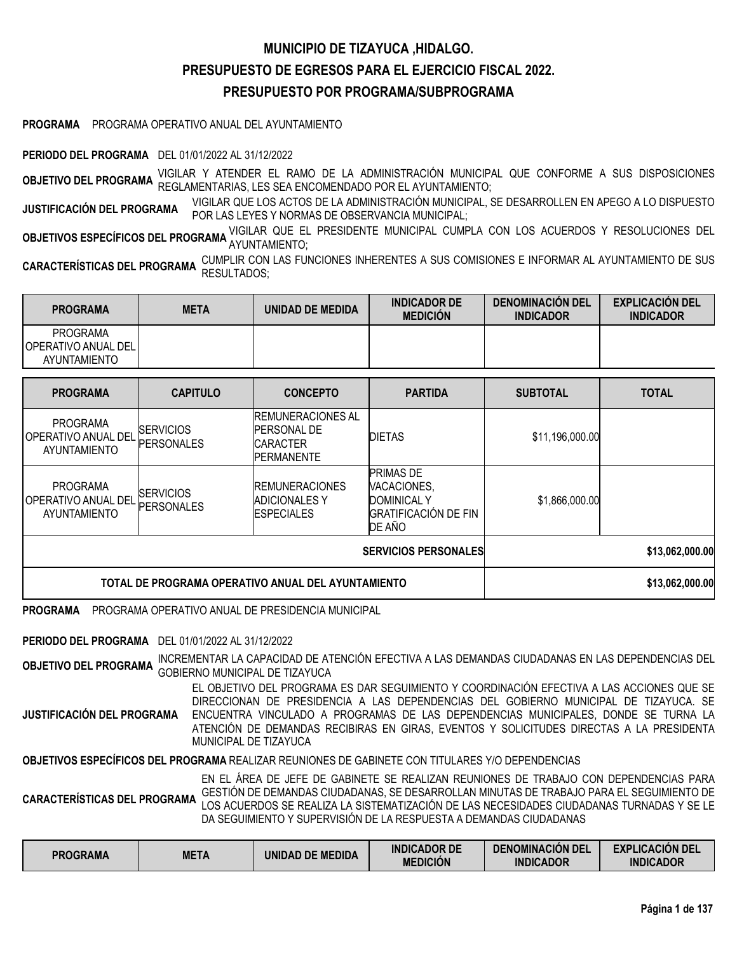# **MUNICIPIO DE TIZAYUCA ,HIDALGO. PRESUPUESTO DE EGRESOS PARA EL EJERCICIO FISCAL 2022. PRESUPUESTO POR PROGRAMA/SUBPROGRAMA**

**PROGRAMA** PROGRAMA OPERATIVO ANUAL DEL AYUNTAMIENTO

**PERIODO DEL PROGRAMA** DEL 01/01/2022 AL 31/12/2022

**OBJETIVO DEL PROGRAMA** VIGILAR <sup>Y</sup> ATENDER EL RAMO DE LA ADMINISTRACIÓN MUNICIPAL QUE CONFORME <sup>A</sup> SUS DISPOSICIONES REGLAMENTARIAS, LES SEA ENCOMENDADO POR EL AYUNTAMIENTO;

**JUSTIFICACIÓN DEL PROGRAMA** VIGILAR QUE LOS ACTOS DE LA ADMINISTRACIÓN MUNICIPAL, SE DESARROLLEN EN APEGO <sup>A</sup> LO DISPUESTO POR LAS LEYES Y NORMAS DE OBSERVANCIA MUNICIPAL;

**OBJETIVOS ESPECÍFICOS DEL PROGRAMA** <sup>VIGILAR QUE EL PRESIDENTE MUNICIPAL CUMPLA CON LOS ACUERDOS Y RESOLUCIONES DEL<br>AYUNTAMIENTO;</sup>

CUMPLIR CON LAS FUNCIONES INHERENTES A SUS COMISIONES E INFORMAR AL AYUNTAMIENTO DE SUS CARACTERÍSTICAS DEL PROGRAMA UDINITION DONS;

| <b>PROGRAMA</b>                                                 | <b>META</b> | UNIDAD DE MEDIDA | <b>INDICADOR DE</b><br><b>MEDICION</b> | <b>DENOMINACION DEL</b><br><b>INDICADOR</b> | <b>EXPLICACIÓN DEL</b><br><b>INDICADOR</b> |
|-----------------------------------------------------------------|-------------|------------------|----------------------------------------|---------------------------------------------|--------------------------------------------|
| <b>PROGRAMA</b><br><b>IOPERATIVO ANUAL DELI</b><br>AYUNTAMIENTO |             |                  |                                        |                                             |                                            |

| <b>PROGRAMA</b>                                               | <b>CAPITULO</b>                       | <b>CONCEPTO</b>                                                                        | <b>PARTIDA</b>                                                                                 | <b>SUBTOTAL</b> | <b>TOTAL</b>    |
|---------------------------------------------------------------|---------------------------------------|----------------------------------------------------------------------------------------|------------------------------------------------------------------------------------------------|-----------------|-----------------|
| <b>PROGRAMA</b><br><b>OPERATIVO ANUAL DEL</b><br>AYUNTAMIENTO | <b>SERVICIOS</b><br><b>PERSONALES</b> | <b>REMUNERACIONES AL</b><br><b>PERSONAL DE</b><br><b>CARACTER</b><br><b>PERMANENTE</b> | <b>DIETAS</b>                                                                                  | \$11,196,000.00 |                 |
| <b>PROGRAMA</b><br>IOPERATIVO ANUAL DEL<br>AYUNTAMIENTO       | <b>SERVICIOS</b><br><b>PERSONALES</b> | <b>IREMUNERACIONES</b><br><b>ADICIONALES Y</b><br><b>ESPECIALES</b>                    | <b>PRIMAS DE</b><br>VACACIONES,<br><b>DOMINICAL Y</b><br><b>GRATIFICACIÓN DE FIN</b><br>DE AÑO | \$1,866,000.00  |                 |
|                                                               |                                       | <b>SERVICIOS PERSONALES</b>                                                            | \$13,062,000.00                                                                                |                 |                 |
| TOTAL DE PROGRAMA OPERATIVO ANUAL DEL AYUNTAMIENTO            |                                       |                                                                                        |                                                                                                |                 | \$13,062,000.00 |

**PROGRAMA** PROGRAMA OPERATIVO ANUAL DE PRESIDENCIA MUNICIPAL

**PERIODO DEL PROGRAMA** DEL 01/01/2022 AL 31/12/2022

**OBJETIVO DEL PROGRAMA** INCREMENTAR LA CAPACIDAD DE ATENCIÓN EFECTIVA <sup>A</sup> LAS DEMANDAS CIUDADANAS EN LAS DEPENDENCIAS DEL GOBIERNO MUNICIPAL DE TIZAYUCA

**JUSTIFICACIÓN DEL PROGRAMA** EL OBJETIVO DEL PROGRAMA ES DAR SEGUIMIENTO Y COORDINACIÓN EFECTIVA A LAS ACCIONES QUE SE DIRECCIONAN DE PRESIDENCIA A LAS DEPENDENCIAS DEL GOBIERNO MUNICIPAL DE TIZAYUCA. SE ENCUENTRA VINCULADO A PROGRAMAS DE LAS DEPENDENCIAS MUNICIPALES, DONDE SE TURNA LA ATENCIÓN DE DEMANDAS RECIBIRAS EN GIRAS, EVENTOS Y SOLICITUDES DIRECTAS A LA PRESIDENTA MUNICIPAL DE TIZAYUCA

**OBJETIVOS ESPECÍFICOS DEL PROGRAMA** REALIZAR REUNIONES DE GABINETE CON TITULARES Y/O DEPENDENCIAS

**CARACTERÍSTICAS DEL PROGRAMA** EN EL ÁREA DE JEFE DE GABINETE SE REALIZAN REUNIONES DE TRABAJO CON DEPENDENCIAS PARA GESTIÓN DE DEMANDAS CIUDADANAS, SE DESARROLLAN MINUTAS DE TRABAJO PARA EL SEGUIMIENTO DE LOS ACUERDOS SE REALIZA LA SISTEMATIZACIÓN DE LAS NECESIDADES CIUDADANAS TURNADAS Y SE LE DA SEGUIMIENTO Y SUPERVISIÓN DE LA RESPUESTA A DEMANDAS CIUDADANAS

| PROGRAMA | <b>META</b> | <b>UNIDAD DE MEDIDA</b> | <b>INDICADOR DE</b><br><b>MEDICIÓN</b> | <b>DENOMINACIÓN DEL</b><br><b>INDICADOR</b> | <b>EXPLICACIÓN DEL</b><br><b>INDICADOR</b> |
|----------|-------------|-------------------------|----------------------------------------|---------------------------------------------|--------------------------------------------|
|          |             |                         |                                        |                                             |                                            |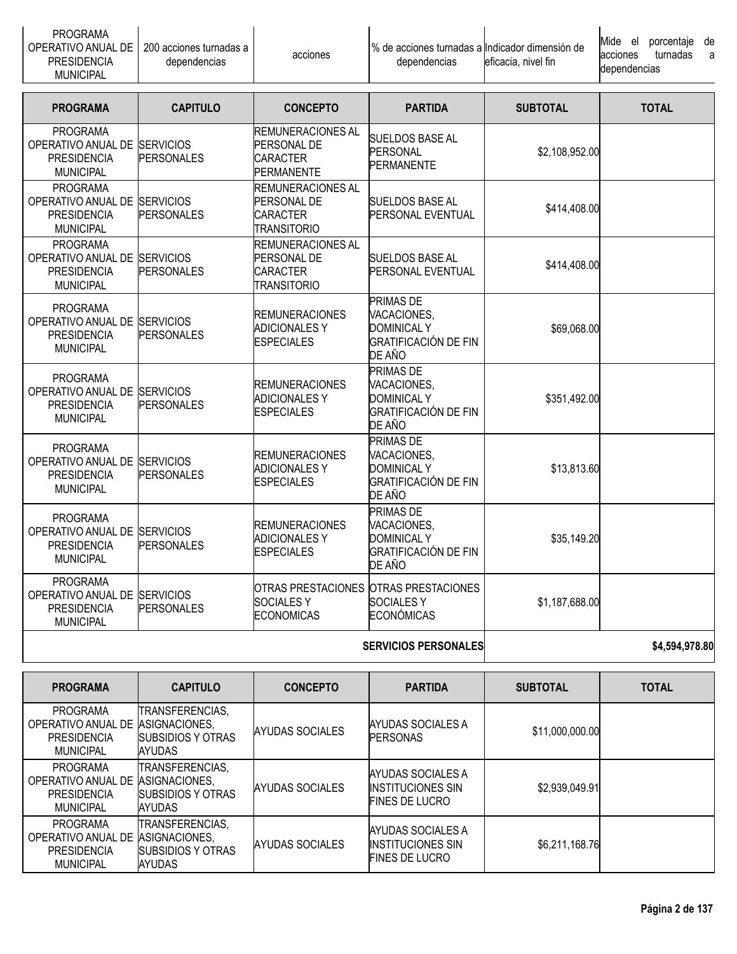| <b>PROGRAMA</b><br>OPERATIVO ANUAL DE<br><b>PRESIDENCIA</b><br><b>MUNICIPAL</b>           | 200 acciones turnadas a<br>dependencias | acciones                                                                  | % de acciones turnadas a Indicador dimensión de<br>dependencias | eficacia, nivel fin | Mide<br>de<br>porcentaje<br>el<br>turnadas<br>acciones<br>a<br>dependencias |
|-------------------------------------------------------------------------------------------|-----------------------------------------|---------------------------------------------------------------------------|-----------------------------------------------------------------|---------------------|-----------------------------------------------------------------------------|
| <b>PROGRAMA</b>                                                                           | <b>CAPITULO</b>                         | <b>CONCEPTO</b>                                                           | <b>PARTIDA</b>                                                  | <b>SUBTOTAL</b>     | <b>TOTAL</b>                                                                |
| <b>PROGRAMA</b><br>OPERATIVO ANUAL DE SERVICIOS<br><b>PRESIDENCIA</b><br><b>MUNICIPAL</b> | <b>PERSONALES</b>                       | <b>REMUNERACIONES AL</b><br>PERSONAL DE<br><b>ICARACTER</b><br>PERMANENTE | <b>SUELDOS BASE AL</b><br><b>PERSONAL</b><br><b>PERMANENTE</b>  | \$2,108,952.00      |                                                                             |

|                                                                                           |                                       | <b>SERVICIOS PERSONALES</b>                                                             | \$4,594,978.80                                                                                 |                |  |
|-------------------------------------------------------------------------------------------|---------------------------------------|-----------------------------------------------------------------------------------------|------------------------------------------------------------------------------------------------|----------------|--|
| <b>PROGRAMA</b><br>OPERATIVO ANUAL DE SERVICIOS<br><b>PRESIDENCIA</b><br><b>MUNICIPAL</b> | <b>PERSONALES</b>                     | <b>SOCIALESY</b><br><b>ECONOMICAS</b>                                                   | OTRAS PRESTACIONES OTRAS PRESTACIONES<br><b>SOCIALESY</b><br><b>ECONÓMICAS</b>                 | \$1,187,688.00 |  |
| <b>PROGRAMA</b><br>OPERATIVO ANUAL DE SERVICIOS<br><b>PRESIDENCIA</b><br><b>MUNICIPAL</b> | <b>PERSONALES</b>                     | <b>REMUNERACIONES</b><br><b>ADICIONALES Y</b><br><b>ESPECIALES</b>                      | <b>PRIMAS DE</b><br>VACACIONES,<br><b>DOMINICAL Y</b><br><b>GRATIFICACIÓN DE FIN</b><br>DE AÑO | \$35,149.20    |  |
| <b>PROGRAMA</b><br>OPERATIVO ANUAL DE SERVICIOS<br><b>PRESIDENCIA</b><br><b>MUNICIPAL</b> | <b>PERSONALES</b>                     | <b>REMUNERACIONES</b><br><b>ADICIONALES Y</b><br><b>ESPECIALES</b>                      | PRIMAS DE<br>VACACIONES,<br><b>DOMINICAL Y</b><br><b>GRATIFICACIÓN DE FIN</b><br>DE AÑO        | \$13,813.60    |  |
| <b>PROGRAMA</b><br>OPERATIVO ANUAL DE<br><b>PRESIDENCIA</b><br><b>MUNICIPAL</b>           | <b>SERVICIOS</b><br><b>PERSONALES</b> | <b>REMUNERACIONES</b><br><b>ADICIONALES Y</b><br><b>ESPECIALES</b>                      | <b>PRIMAS DE</b><br>VACACIONES,<br><b>DOMINICAL Y</b><br><b>GRATIFICACIÓN DE FIN</b><br>DE AÑO | \$351,492.00   |  |
| <b>PROGRAMA</b><br>OPERATIVO ANUAL DE SERVICIOS<br><b>PRESIDENCIA</b><br><b>MUNICIPAL</b> | <b>PERSONALES</b>                     | <b>REMUNERACIONES</b><br><b>ADICIONALES Y</b><br><b>ESPECIALES</b>                      | <b>PRIMAS DE</b><br>VACACIONES,<br><b>DOMINICAL Y</b><br><b>GRATIFICACIÓN DE FIN</b><br>DE AÑO | \$69,068.00    |  |
| <b>PROGRAMA</b><br>OPERATIVO ANUAL DE<br><b>PRESIDENCIA</b><br><b>MUNICIPAL</b>           | <b>SERVICIOS</b><br><b>PERSONALES</b> | <b>REMUNERACIONES AL</b><br><b>PERSONAL DE</b><br><b>CARACTER</b><br><b>TRANSITORIO</b> | <b>SUELDOS BASE AL</b><br><b>PERSONAL EVENTUAL</b>                                             | \$414,408.00   |  |
| <b>PROGRAMA</b><br>OPERATIVO ANUAL DE<br><b>PRESIDENCIA</b><br><b>MUNICIPAL</b>           | <b>SERVICIOS</b><br><b>PERSONALES</b> | <b>REMUNERACIONES AL</b><br><b>PERSONAL DE</b><br><b>CARACTER</b><br><b>TRANSITORIO</b> | <b>SUELDOS BASE AL</b><br><b>PERSONAL EVENTUAL</b>                                             | \$414,408.00   |  |
|                                                                                           |                                       |                                                                                         |                                                                                                |                |  |

| <b>PROGRAMA</b>                                                                 | <b>CAPITULO</b>                                                                | <b>CONCEPTO</b>        | <b>PARTIDA</b>                                                         | <b>SUBTOTAL</b> | <b>TOTAL</b> |
|---------------------------------------------------------------------------------|--------------------------------------------------------------------------------|------------------------|------------------------------------------------------------------------|-----------------|--------------|
| <b>PROGRAMA</b><br>OPERATIVO ANUAL DE<br><b>PRESIDENCIA</b><br><b>MUNICIPAL</b> | ITRANSFERENCIAS.<br>ASIGNACIONES.<br><b>SUBSIDIOS Y OTRAS</b><br><b>AYUDAS</b> | AYUDAS SOCIALES        | AYUDAS SOCIALES A<br><b>PERSONAS</b>                                   | \$11,000,000.00 |              |
| PROGRAMA<br>OPERATIVO ANUAL DE<br><b>PRESIDENCIA</b><br><b>MUNICIPAL</b>        | TRANSFERENCIAS,<br>ASIGNACIONES.<br><b>SUBSIDIOS Y OTRAS</b><br><b>AYUDAS</b>  | AYUDAS SOCIALES        | AYUDAS SOCIALES A<br><b>INSTITUCIONES SIN</b><br><b>FINES DE LUCRO</b> | \$2,939,049.91  |              |
| PROGRAMA<br>OPERATIVO ANUAL DE<br><b>PRESIDENCIA</b><br><b>MUNICIPAL</b>        | TRANSFERENCIAS,<br>ASIGNACIONES.<br><b>SUBSIDIOS Y OTRAS</b><br><b>AYUDAS</b>  | <b>AYUDAS SOCIALES</b> | AYUDAS SOCIALES A<br><b>INSTITUCIONES SIN</b><br><b>FINES DE LUCRO</b> | \$6,211,168.76  |              |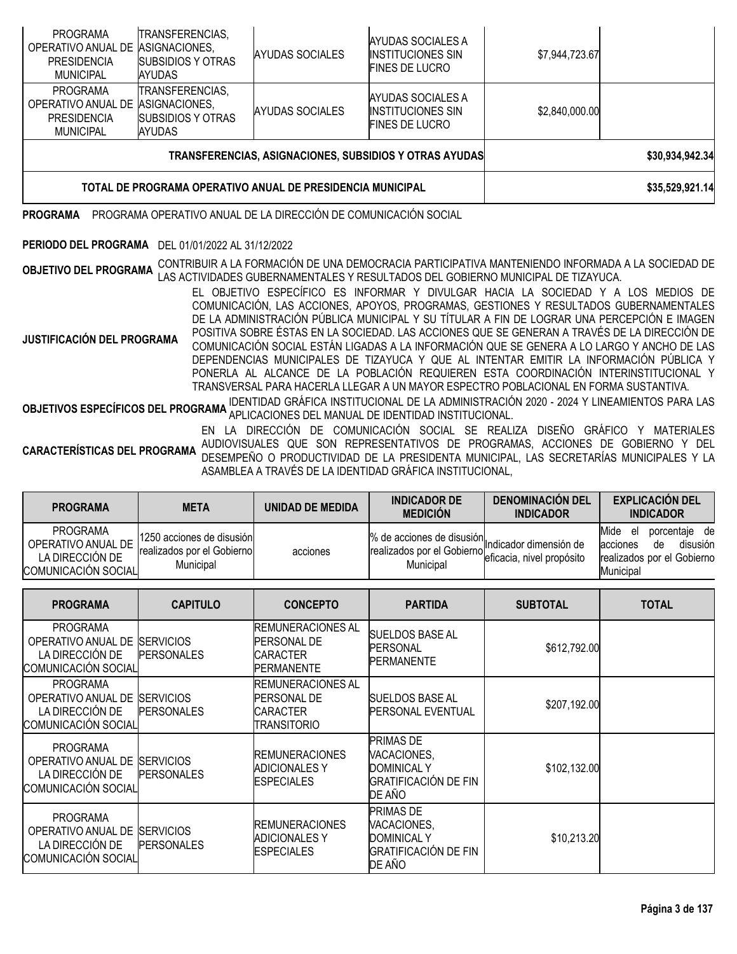| TOTAL DE PROGRAMA OPERATIVO ANUAL DE PRESIDENCIA MUNICIPAL                      |                                                       |                        |                                                                               |                | \$35,529,921.14 |
|---------------------------------------------------------------------------------|-------------------------------------------------------|------------------------|-------------------------------------------------------------------------------|----------------|-----------------|
|                                                                                 |                                                       |                        | <b>TRANSFERENCIAS, ASIGNACIONES, SUBSIDIOS Y OTRAS AYUDAS</b>                 |                | \$30,934,942.34 |
| PROGRAMA<br>OPERATIVO ANUAL DE ASIGNACIONES,<br><b>PRESIDENCIA</b><br>MUNICIPAL | TRANSFERENCIAS,<br>SUBSIDIOS Y OTRAS<br><b>AYUDAS</b> | AYUDAS SOCIALES        | AYUDAS SOCIALES A<br><b>INSTITUCIONES SIN</b><br><b>FINES DE LUCRO</b>        | \$2,840,000.00 |                 |
| PROGRAMA<br>OPERATIVO ANUAL DE ASIGNACIONES,<br><b>PRESIDENCIA</b><br>MUNICIPAL | TRANSFERENCIAS,<br>SUBSIDIOS Y OTRAS<br><b>AYUDAS</b> | <b>AYUDAS SOCIALES</b> | <b>AYUDAS SOCIALES A</b><br><b>INSTITUCIONES SIN</b><br><b>FINES DE LUCRO</b> | \$7,944,723.67 |                 |

# **PROGRAMA** PROGRAMA OPERATIVO ANUAL DE LA DIRECCIÓN DE COMUNICACIÓN SOCIAL

# **PERIODO DEL PROGRAMA** DEL 01/01/2022 AL 31/12/2022

**OBJETIVO DEL PROGRAMA** CONTRIBUIR A LA FORMACIÓN DE UNA DEMOCRACIA PARTICIPATIVA MANTENIENDO INFORMADA A LA SOCIEDAD DE<br>**OBJETIVO DEL PROGRAMA** LAS ACTIVIDADES GUBERNAMENTALES Y RESULTADOS DEL GOBIERNO MUNICIPAL DE TIZAYU

**JUSTIFICACIÓN DEL PROGRAMA** EL OBJETIVO ESPECÍFICO ES INFORMAR Y DIVULGAR HACIA LA SOCIEDAD Y A LOS MEDIOS DE COMUNICACIÓN, LAS ACCIONES, APOYOS, PROGRAMAS, GESTIONES Y RESULTADOS GUBERNAMENTALES DE LA ADMINISTRACIÓN PÚBLICA MUNICIPAL Y SU TÍTULAR A FIN DE LOGRAR UNA PERCEPCIÓN E IMAGEN POSITIVA SOBRE ÉSTAS EN LA SOCIEDAD. LAS ACCIONES QUE SE GENERAN A TRAVÉS DE LA DIRECCIÓN DE COMUNICACIÓN SOCIAL ESTÁN LIGADAS A LA INFORMACIÓN QUE SE GENERA A LO LARGO Y ANCHO DE LAS DEPENDENCIAS MUNICIPALES DE TIZAYUCA Y QUE AL INTENTAR EMITIR LA INFORMACIÓN PÚBLICA Y PONERLA AL ALCANCE DE LA POBLACIÓN REQUIEREN ESTA COORDINACIÓN INTERINSTITUCIONAL Y TRANSVERSAL PARA HACERLA LLEGAR A UN MAYOR ESPECTRO POBLACIONAL EN FORMA SUSTANTIVA.

**OBJETIVOS ESPECÍFICOS DEL PROGRAMA** IDENTIDAD GRÁFICA INSTITUCIONAL DE LA ADMINISTRACIÓN <sup>2020</sup> - <sup>2024</sup> <sup>Y</sup> LINEAMIENTOS PARA LAS APLICACIONES DEL MANUAL DE IDENTIDAD INSTITUCIONAL.

**CARACTERÍSTICAS DEL PROGRAMA** EN LA DIRECCIÓN DE COMUNICACIÓN SOCIAL SE REALIZA DISEÑO GRÁFICO Y MATERIALES AUDIOVISUALES QUE SON REPRESENTATIVOS DE PROGRAMAS, ACCIONES DE GOBIERNO Y DEL DESEMPEÑO O PRODUCTIVIDAD DE LA PRESIDENTA MUNICIPAL, LAS SECRETARÍAS MUNICIPALES Y LA ASAMBLEA A TRAVÉS DE LA IDENTIDAD GRÁFICA INSTITUCIONAL,

| <b>PROGRAMA</b>                                                                 | <b>META</b>                                                          | UNIDAD DE MEDIDA                   | <b>INDICADOR DE</b><br><b>MEDICIÓN</b>                                                                                          | <b>DENOMINACIÓN DEL</b><br><b>INDICADOR</b> | <b>EXPLICACIÓN DEL</b><br><b>INDICADOR</b>                                                              |
|---------------------------------------------------------------------------------|----------------------------------------------------------------------|------------------------------------|---------------------------------------------------------------------------------------------------------------------------------|---------------------------------------------|---------------------------------------------------------------------------------------------------------|
| <b>PROGRAMA</b><br>OPERATIVO ANUAL DE<br>LA DIRECCIÓN DE<br>COMUNICACIÓN SOCIAL | 1250 acciones de disusión<br>realizados por el Gobierno<br>Municipal | acciones                           | % de acciones de disusión ndicador dimensión de<br>realizados por el Gobierno riversa.<br>Ficacia, nivel propósito<br>Municipal |                                             | Mide<br>de<br>porcentaje<br>el<br>disusión<br>acciones<br>de<br>realizados por el Gobierno<br>Municipal |
| <b>PROGRAMA</b>                                                                 | <b>CAPITULO</b>                                                      | <b>CONCEPTO</b>                    | <b>PARTIDA</b>                                                                                                                  | <b>SUBTOTAL</b>                             | <b>TOTAL</b>                                                                                            |
| <b>PROGRAMA</b><br>ODEDATIVO ANIHAL DE REDVICIOS                                |                                                                      | IREMUNERACIONES AL<br>DEDOONIAI DE | <b>SUELDOS BASE AL</b>                                                                                                          |                                             |                                                                                                         |

| <b>FRUURAIVIA</b><br>OPERATIVO ANUAL DE<br>LA DIRECCIÓN DE<br>COMUNICACIÓN SOCIAL | <b>ISERVICIOS</b><br><b>PERSONALES</b> | INEIVIUINENAUIUINEO AL<br><b>PERSONAL DE</b><br><b>CARACTER</b><br><b>PERMANENTE</b> | <b>SUELDOS BASE AL</b><br><b>PERSONAL</b><br><b>PERMANENTE</b>                                 | \$612,792.00 |  |
|-----------------------------------------------------------------------------------|----------------------------------------|--------------------------------------------------------------------------------------|------------------------------------------------------------------------------------------------|--------------|--|
| <b>PROGRAMA</b><br>OPERATIVO ANUAL DE<br>LA DIRECCIÓN DE<br>COMUNICACIÓN SOCIAL   | <b>SERVICIOS</b><br><b>PERSONALES</b>  | <b>REMUNERACIONES AL</b><br><b>PERSONAL DE</b><br><b>CARACTER</b><br>TRANSITORIO     | <b>SUELDOS BASE AL</b><br><b>PERSONAL EVENTUAL</b>                                             | \$207,192.00 |  |
| <b>PROGRAMA</b><br>OPERATIVO ANUAL DE<br>LA DIRECCIÓN DE<br>COMUNICACIÓN SOCIAL   | <b>SERVICIOS</b><br><b>PERSONALES</b>  | <b>REMUNERACIONES</b><br><b>ADICIONALES Y</b><br><b>ESPECIALES</b>                   | <b>PRIMAS DE</b><br>VACACIONES,<br><b>DOMINICAL Y</b><br><b>GRATIFICACIÓN DE FIN</b><br>DE AÑO | \$102,132.00 |  |
| <b>PROGRAMA</b><br>OPERATIVO ANUAL DE<br>LA DIRECCIÓN DE<br>COMUNICACIÓN SOCIAL   | <b>SERVICIOS</b><br><b>PERSONALES</b>  | <b>REMUNERACIONES</b><br><b>ADICIONALES Y</b><br><b>ESPECIALES</b>                   | <b>PRIMAS DE</b><br>VACACIONES,<br><b>DOMINICAL Y</b><br><b>GRATIFICACIÓN DE FIN</b><br>DE AÑO | \$10,213.20  |  |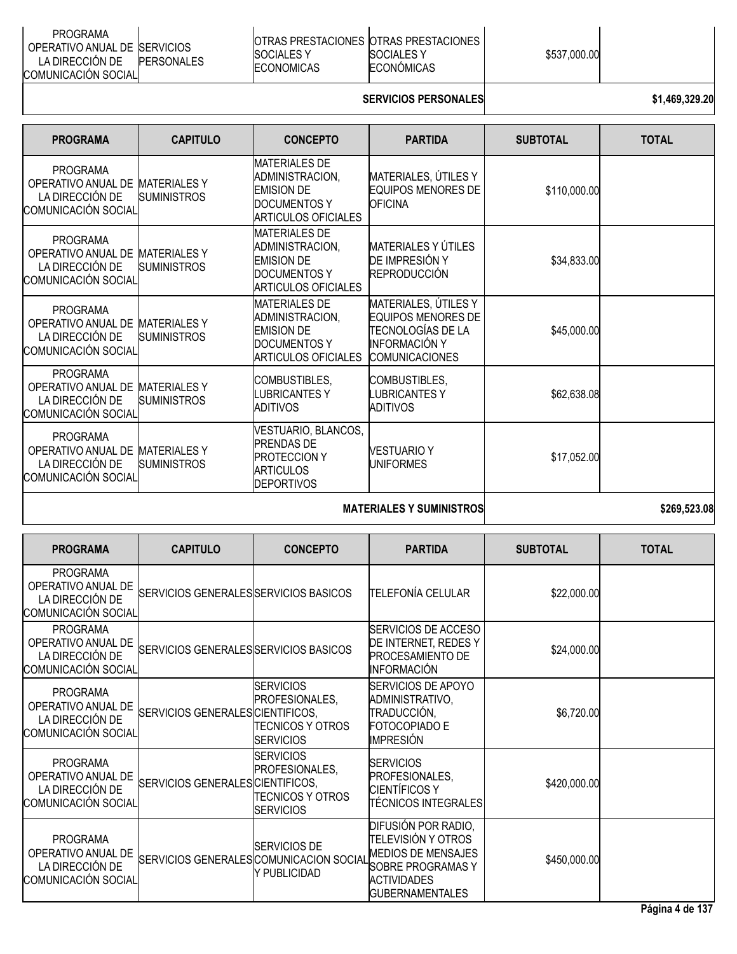| PROGRAMA<br>OPERATIVO ANUAL DE ISERVICIOS<br>LA DIRECCION DE<br>COMUNICACIÓN SOCIALI | <b>PERSONALES</b> | IOTRAS PRESTACIONES IOTRAS PRESTACIONES<br>SOCIALES Y<br>ECONOMICAS | SOCIALES Y<br>ECONÓMICAS | \$537,000.00 |  |
|--------------------------------------------------------------------------------------|-------------------|---------------------------------------------------------------------|--------------------------|--------------|--|
|--------------------------------------------------------------------------------------|-------------------|---------------------------------------------------------------------|--------------------------|--------------|--|

# **SERVICIOS PERSONALES 1,469,329.20**

| <b>PROGRAMA</b>                                                                 | <b>CAPITULO</b>                           | <b>CONCEPTO</b>                                                                                            | <b>PARTIDA</b>                                                                                                          | <b>SUBTOTAL</b> | <b>TOTAL</b> |
|---------------------------------------------------------------------------------|-------------------------------------------|------------------------------------------------------------------------------------------------------------|-------------------------------------------------------------------------------------------------------------------------|-----------------|--------------|
| <b>PROGRAMA</b><br>OPERATIVO ANUAL DE<br>LA DIRECCIÓN DE<br>COMUNICACIÓN SOCIAL | <b>MATERIALES Y</b><br><b>SUMINISTROS</b> | <b>MATERIALES DE</b><br>ADMINISTRACION,<br><b>EMISION DE</b><br>DOCUMENTOS Y<br><b>ARTICULOS OFICIALES</b> | MATERIALES, ÚTILES Y<br><b>EQUIPOS MENORES DE</b><br><b>OFICINA</b>                                                     | \$110,000.00    |              |
| <b>PROGRAMA</b><br>OPERATIVO ANUAL DE<br>LA DIRECCIÓN DE<br>COMUNICACIÓN SOCIAL | <b>MATERIALES Y</b><br><b>SUMINISTROS</b> | <b>MATERIALES DE</b><br>ADMINISTRACION,<br><b>EMISION DE</b><br>DOCUMENTOS Y<br>ARTICULOS OFICIALES        | MATERIALES Y ÚTILES<br>DE IMPRESIÓN Y<br><b>REPRODUCCIÓN</b>                                                            | \$34,833.00     |              |
| <b>PROGRAMA</b><br>OPERATIVO ANUAL DE<br>LA DIRECCIÓN DE<br>COMUNICACIÓN SOCIAL | <b>MATERIALES Y</b><br><b>SUMINISTROS</b> | <b>MATERIALES DE</b><br>ADMINISTRACION,<br><b>EMISION DE</b><br><b>DOCUMENTOS Y</b><br>ARTICULOS OFICIALES | MATERIALES, ÚTILES Y<br><b>EQUIPOS MENORES DE</b><br>TECNOLOGÍAS DE LA<br><b>INFORMACIÓN Y</b><br><b>COMUNICACIONES</b> | \$45,000.00     |              |
| <b>PROGRAMA</b><br>OPERATIVO ANUAL DE<br>LA DIRECCIÓN DE<br>COMUNICACIÓN SOCIAL | <b>MATERIALES Y</b><br><b>SUMINISTROS</b> | COMBUSTIBLES,<br><b>LUBRICANTES Y</b><br>ADITIVOS                                                          | COMBUSTIBLES,<br><b>LUBRICANTESY</b><br><b>ADITIVOS</b>                                                                 | \$62,638.08     |              |
| <b>PROGRAMA</b><br>OPERATIVO ANUAL DE<br>LA DIRECCIÓN DE<br>COMUNICACIÓN SOCIAL | <b>MATERIALES Y</b><br><b>SUMINISTROS</b> | VESTUARIO, BLANCOS,<br><b>PRENDAS DE</b><br><b>PROTECCION Y</b><br><b>ARTICULOS</b><br><b>DEPORTIVOS</b>   | <b>VESTUARIO Y</b><br><b>UNIFORMES</b>                                                                                  | \$17,052.00     |              |
|                                                                                 |                                           |                                                                                                            |                                                                                                                         |                 |              |

**MATERIALES Y SUMINISTROS** \$269,523.08

| <b>PROGRAMA</b>                                                                 | <b>CAPITULO</b>                         | <b>CONCEPTO</b>                                                                           | <b>PARTIDA</b>                                                                                                                                            | <b>SUBTOTAL</b> | <b>TOTAL</b> |
|---------------------------------------------------------------------------------|-----------------------------------------|-------------------------------------------------------------------------------------------|-----------------------------------------------------------------------------------------------------------------------------------------------------------|-----------------|--------------|
| <b>PROGRAMA</b><br>OPERATIVO ANUAL DE<br>LA DIRECCIÓN DE<br>COMUNICACIÓN SOCIAL | SERVICIOS GENERALES SERVICIOS BASICOS   |                                                                                           | <b>TELEFONÍA CELULAR</b>                                                                                                                                  | \$22,000.00     |              |
| <b>PROGRAMA</b><br>OPERATIVO ANUAL DE<br>LA DIRECCIÓN DE<br>COMUNICACIÓN SOCIAL | SERVICIOS GENERALES SERVICIOS BASICOS   |                                                                                           | <b>SERVICIOS DE ACCESO</b><br>DE INTERNET, REDES Y<br><b>PROCESAMIENTO DE</b><br><b>INFORMACIÓN</b>                                                       | \$24,000.00     |              |
| <b>PROGRAMA</b><br>OPERATIVO ANUAL DE<br>LA DIRECCIÓN DE<br>COMUNICACIÓN SOCIAL | SERVICIOS GENERALES CIENTIFICOS,        | <b>SERVICIOS</b><br>PROFESIONALES,<br>TECNICOS Y OTROS<br><b>SERVICIOS</b>                | <b>SERVICIOS DE APOYO</b><br>ADMINISTRATIVO,<br>TRADUCCIÓN,<br>FOTOCOPIADO E<br><b>IMPRESIÓN</b>                                                          | \$6,720.00      |              |
| <b>PROGRAMA</b><br>OPERATIVO ANUAL DE<br>LA DIRECCIÓN DE<br>COMUNICACIÓN SOCIAL | SERVICIOS GENERALES CIENTIFICOS,        | <b>SERVICIOS</b><br><b>IPROFESIONALES.</b><br><b>TECNICOS Y OTROS</b><br><b>SERVICIOS</b> | <b>SERVICIOS</b><br>PROFESIONALES,<br><b>CIENTÍFICOS Y</b><br><b>TÉCNICOS INTEGRALES</b>                                                                  | \$420,000.00    |              |
| <b>PROGRAMA</b><br>OPERATIVO ANUAL DE<br>LA DIRECCIÓN DE<br>COMUNICACIÓN SOCIAL | SERVICIOS GENERALES COMUNICACION SOCIAL | <b>SERVICIOS DE</b><br>Y PUBLICIDAD                                                       | DIFUSIÓN POR RADIO,<br><b>TELEVISIÓN Y OTROS</b><br><b>MEDIOS DE MENSAJES</b><br><b>SOBRE PROGRAMAS Y</b><br><b>ACTIVIDADES</b><br><b>GUBERNAMENTALES</b> | \$450,000.00    |              |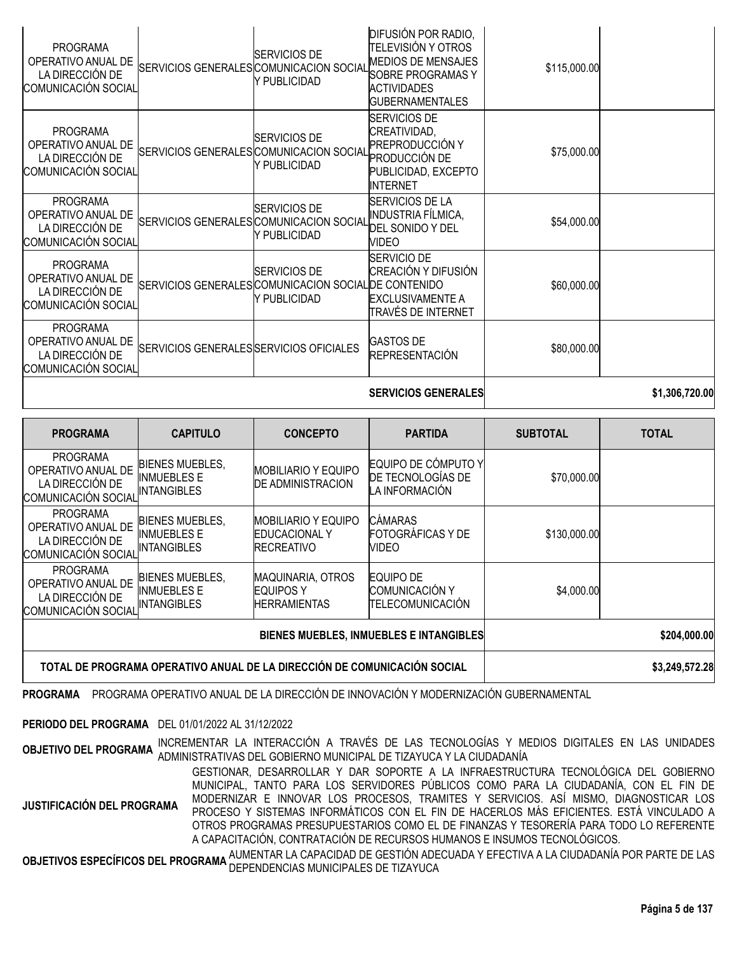|                                                                                 |                                                        |                                     | <b>SERVICIOS GENERALES</b>                                                                                                                         |              | \$1,306,720.00 |
|---------------------------------------------------------------------------------|--------------------------------------------------------|-------------------------------------|----------------------------------------------------------------------------------------------------------------------------------------------------|--------------|----------------|
| <b>PROGRAMA</b><br>OPERATIVO ANUAL DE<br>LA DIRECCIÓN DE<br>COMUNICACIÓN SOCIAL | SERVICIOS GENERALES SERVICIOS OFICIALES                |                                     | <b>GASTOS DE</b><br>REPRESENTACIÓN                                                                                                                 | \$80,000.00  |                |
| <b>PROGRAMA</b><br>OPERATIVO ANUAL DE<br>LA DIRECCIÓN DE<br>COMUNICACIÓN SOCIAL | SERVICIOS GENERALES COMUNICACION SOCIAL DE CONTENIDO   | <b>SERVICIOS DE</b><br>Y PUBLICIDAD | SERVICIO DE<br>CREACIÓN Y DIFUSIÓN<br><b>EXCLUSIVAMENTE A</b><br>TRAVÉS DE INTERNET                                                                | \$60,000.00  |                |
| <b>PROGRAMA</b><br>OPERATIVO ANUAL DE<br>LA DIRECCIÓN DE<br>COMUNICACIÓN SOCIAL | SERVICIOS GENERALES COMUNICACION SOCIAL                | SERVICIOS DE<br>Y PUBLICIDAD        | <b>SERVICIOS DE LA</b><br><b>INDUSTRIA FÍLMICA,</b><br>DEL SONIDO Y DEL<br><b>VIDEO</b>                                                            | \$54,000.00  |                |
| <b>PROGRAMA</b><br>OPERATIVO ANUAL DE<br>LA DIRECCIÓN DE<br>COMUNICACIÓN SOCIAL | SERVICIOS GENERALES COMUNICACION SOCIAL TIEL INCLUSION | <b>SERVICIOS DE</b><br>Y PUBLICIDAD | <b>SERVICIOS DE</b><br>CREATIVIDAD,<br>PREPRODUCCIÓN Y<br>PUBLICIDAD, EXCEPTO<br>INTERNET                                                          | \$75,000.00  |                |
| <b>PROGRAMA</b><br>OPERATIVO ANUAL DE<br>LA DIRECCIÓN DE<br>COMUNICACIÓN SOCIAL | SERVICIOS GENERALES COMUNICACION SOCIAL                | SERVICIOS DE<br>Y PUBLICIDAD        | DIFUSIÓN POR RADIO,<br>TELEVISIÓN Y OTROS<br><b>MEDIOS DE MENSAJES</b><br><b>SOBRE PROGRAMAS Y</b><br><b>ACTIVIDADES</b><br><b>GUBERNAMENTALES</b> | \$115,000.00 |                |

| <b>PROGRAMA</b>                                                                 | <b>CAPITULO</b>                                                          | <b>CONCEPTO</b>                                                         | <b>PARTIDA</b>                                                | <b>SUBTOTAL</b> | <b>TOTAL</b> |
|---------------------------------------------------------------------------------|--------------------------------------------------------------------------|-------------------------------------------------------------------------|---------------------------------------------------------------|-----------------|--------------|
| <b>PROGRAMA</b><br>OPERATIVO ANUAL DE<br>LA DIRECCIÓN DE<br>COMUNICACIÓN SOCIAL | <b>BIENES MUEBLES,</b><br>INMUEBLES E<br><b>INTANGIBLES</b>              | <b>MOBILIARIO Y EQUIPO</b><br><b>DE ADMINISTRACION</b>                  | EQUIPO DE CÓMPUTO Y<br>DE TECNOLOGÍAS DE<br>LA INFORMACIÓN    | \$70,000.00     |              |
| <b>PROGRAMA</b><br>OPERATIVO ANUAL DE<br>LA DIRECCIÓN DE<br>COMUNICACIÓN SOCIAL | <b>BIENES MUEBLES,</b><br><b>INMUEBLES E</b><br><b>INTANGIBLES</b>       | <b>MOBILIARIO Y EQUIPO</b><br><b>EDUCACIONAL Y</b><br><b>RECREATIVO</b> | <b>CÁMARAS</b><br>FOTOGRÁFICAS Y DE<br>VIDEO                  | \$130,000.00    |              |
| PROGRAMA<br>OPERATIVO ANUAL DE<br>LA DIRECCIÓN DE<br>COMUNICACIÓN SOCIAL        | <b>BIENES MUEBLES,</b><br><b>INMUEBLES E</b><br><b>INTANGIBLES</b>       | <b>MAQUINARIA, OTROS</b><br><b>EQUIPOS Y</b><br><b>HERRAMIENTAS</b>     | <b>EQUIPO DE</b><br>COMUNICACIÓN Y<br><b>TELECOMUNICACIÓN</b> | \$4,000.00      |              |
|                                                                                 |                                                                          | BIENES MUEBLES, INMUEBLES E INTANGIBLES                                 | \$204,000.00                                                  |                 |              |
|                                                                                 | TOTAL DE PROGRAMA OPERATIVO ANUAL DE LA DIRECCIÓN DE COMUNICACIÓN SOCIAL |                                                                         | \$3,249,572.28                                                |                 |              |

**PROGRAMA** PROGRAMA OPERATIVO ANUAL DE LA DIRECCIÓN DE INNOVACIÓN Y MODERNIZACIÓN GUBERNAMENTAL

#### **PERIODO DEL PROGRAMA** DEL 01/01/2022 AL 31/12/2022

**OBJETIVO DEL PROGRAMA** INCREMENTAR LA INTERACCIÓN <sup>A</sup> TRAVÉS DE LAS TECNOLOGÍAS <sup>Y</sup> MEDIOS DIGITALES EN LAS UNIDADES ADMINISTRATIVAS DEL GOBIERNO MUNICIPAL DE TIZAYUCA Y LA CIUDADANÍA

**JUSTIFICACIÓN DEL PROGRAMA** GESTIONAR, DESARROLLAR Y DAR SOPORTE A LA INFRAESTRUCTURA TECNOLÓGICA DEL GOBIERNO MUNICIPAL, TANTO PARA LOS SERVIDORES PÚBLICOS COMO PARA LA CIUDADANÍA, CON EL FIN DE MODERNIZAR E INNOVAR LOS PROCESOS, TRAMITES Y SERVICIOS. ASÍ MISMO, DIAGNOSTICAR LOS PROCESO Y SISTEMAS INFORMÁTICOS CON EL FIN DE HACERLOS MÁS EFICIENTES. ESTÁ VINCULADO A OTROS PROGRAMAS PRESUPUESTARIOS COMO EL DE FINANZAS Y TESORERÍA PARA TODO LO REFERENTE A CAPACITACIÓN, CONTRATACIÓN DE RECURSOS HUMANOS E INSUMOS TECNOLÓGICOS.

**OBJETIVOS ESPECÍFICOS DEL PROGRAMA** AUMENTAR LA CAPACIDAD DE GESTIÓN ADECUADA <sup>Y</sup> EFECTIVA <sup>A</sup> LA CIUDADANÍA POR PARTE DE LAS DEPENDENCIAS MUNICIPALES DE TIZAYUCA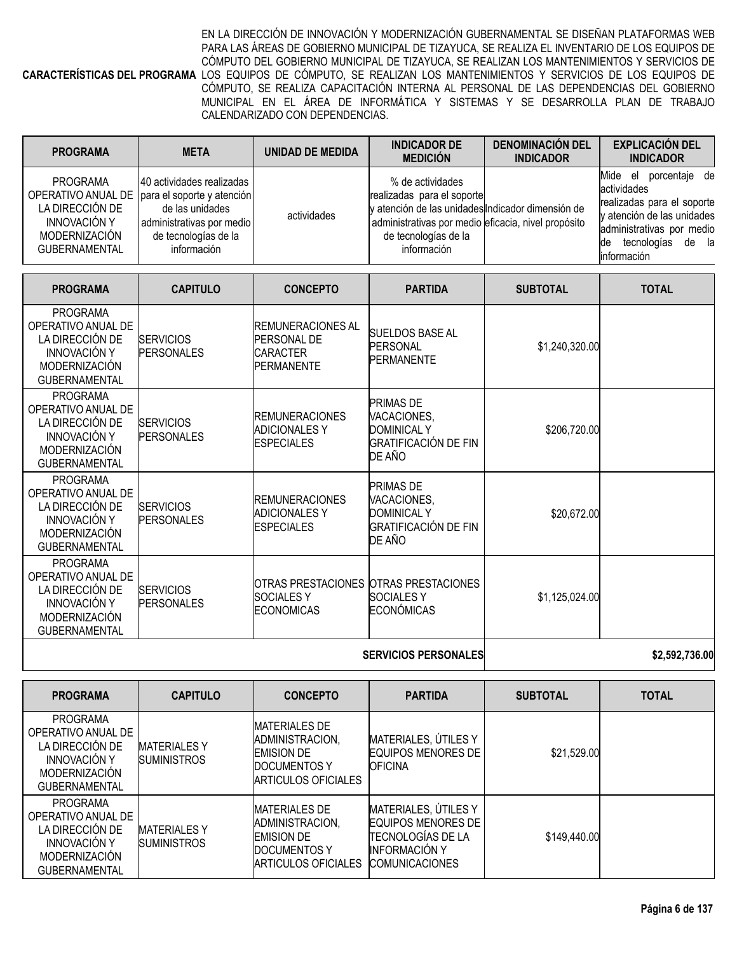**CARACTERÍSTICAS DEL PROGRAMA** LOS EQUIPOS DE CÓMPUTO, SE REALIZAN LOS MANTENIMIENTOS Y SERVICIOS DE LOS EQUIPOS DE EN LA DIRECCIÓN DE INNOVACIÓN Y MODERNIZACIÓN GUBERNAMENTAL SE DISEÑAN PLATAFORMAS WEB PARA LAS ÁREAS DE GOBIERNO MUNICIPAL DE TIZAYUCA, SE REALIZA EL INVENTARIO DE LOS EQUIPOS DE CÓMPUTO DEL GOBIERNO MUNICIPAL DE TIZAYUCA, SE REALIZAN LOS MANTENIMIENTOS Y SERVICIOS DE CÓMPUTO, SE REALIZA CAPACITACIÓN INTERNA AL PERSONAL DE LAS DEPENDENCIAS DEL GOBIERNO MUNICIPAL EN EL ÁREA DE INFORMÁTICA Y SISTEMAS Y SE DESARROLLA PLAN DE TRABAJO CALENDARIZADO CON DEPENDENCIAS.

| <b>PROGRAMA</b>                                                                                    | <b>META</b>                                                                                                                                                           | UNIDAD DE MEDIDA | <b>INDICADOR DE</b><br><b>MEDICIÓN</b>                                                                                                                                                            | <b>DENOMINACIÓN DEL</b><br><b>INDICADOR</b> | <b>EXPLICACIÓN DEL</b><br><b>INDICADOR</b>                                                                                                                                   |
|----------------------------------------------------------------------------------------------------|-----------------------------------------------------------------------------------------------------------------------------------------------------------------------|------------------|---------------------------------------------------------------------------------------------------------------------------------------------------------------------------------------------------|---------------------------------------------|------------------------------------------------------------------------------------------------------------------------------------------------------------------------------|
| PROGRAMA<br>LA DIRECCIÓN DE<br><b>INNOVACIÓN Y</b><br><b>MODERNIZACIÓN</b><br><b>GUBERNAMENTAL</b> | 40 actividades realizadas<br>OPERATIVO ANUAL DE   para el soporte y atención  <br>de las unidades<br>administrativas por medio<br>de tecnologías de la<br>información | actividades      | % de actividades<br>realizadas para el soporte<br>y atención de las unidades Indicador dimensión de<br>administrativas por medio eficacia, nivel propósito<br>de tecnologías de la<br>información |                                             | porcentaje de<br>Mide el<br>actividades<br>realizadas para el soporte<br>y atención de las unidades<br>administrativas por medio<br>tecnologías de la<br>lde<br>linformación |

| <b>PROGRAMA</b>                                                                                                                 | <b>CAPITULO</b>                       | <b>CONCEPTO</b>                                                                         | <b>PARTIDA</b>                                                                                 | <b>SUBTOTAL</b> | <b>TOTAL</b> |
|---------------------------------------------------------------------------------------------------------------------------------|---------------------------------------|-----------------------------------------------------------------------------------------|------------------------------------------------------------------------------------------------|-----------------|--------------|
| <b>PROGRAMA</b><br>OPERATIVO ANUAL DE<br>LA DIRECCIÓN DE<br><b>INNOVACIÓN Y</b><br><b>MODERNIZACIÓN</b><br><b>GUBERNAMENTAL</b> | <b>SERVICIOS</b><br><b>PERSONALES</b> | <b>REMUNERACIONES AL</b><br><b>PERSONAL DE</b><br><b>ICARACTER</b><br><b>PERMANENTE</b> | <b>SUELDOS BASE AL</b><br><b>PERSONAL</b><br><b>PERMANENTE</b>                                 | \$1,240,320.00  |              |
| <b>PROGRAMA</b><br>OPERATIVO ANUAL DE<br>LA DIRECCIÓN DE<br><b>INNOVACIÓN Y</b><br><b>MODERNIZACIÓN</b><br><b>GUBERNAMENTAL</b> | <b>SERVICIOS</b><br><b>PERSONALES</b> | <b>REMUNERACIONES</b><br><b>ADICIONALES Y</b><br><b>ESPECIALES</b>                      | <b>PRIMAS DE</b><br>VACACIONES,<br><b>DOMINICAL Y</b><br>GRATIFICACIÓN DE FIN<br>DE AÑO        | \$206,720.00    |              |
| <b>PROGRAMA</b><br>OPERATIVO ANUAL DE<br>LA DIRECCIÓN DE<br><b>INNOVACIÓN Y</b><br><b>MODERNIZACIÓN</b><br><b>GUBERNAMENTAL</b> | <b>SERVICIOS</b><br><b>PERSONALES</b> | <b>REMUNERACIONES</b><br><b>ADICIONALES Y</b><br><b>ESPECIALES</b>                      | <b>PRIMAS DE</b><br>VACACIONES,<br><b>DOMINICAL Y</b><br><b>GRATIFICACIÓN DE FIN</b><br>DE AÑO | \$20,672.00     |              |
| <b>PROGRAMA</b><br>OPERATIVO ANUAL DE<br>LA DIRECCIÓN DE<br><b>INNOVACIÓN Y</b><br><b>MODERNIZACIÓN</b><br><b>GUBERNAMENTAL</b> | <b>SERVICIOS</b><br><b>PERSONALES</b> | OTRAS PRESTACIONES OTRAS PRESTACIONES<br><b>SOCIALES Y</b><br><b>ECONOMICAS</b>         | <b>SOCIALES Y</b><br><b>ECONÓMICAS</b>                                                         | \$1,125,024.00  |              |
|                                                                                                                                 |                                       |                                                                                         |                                                                                                |                 |              |

# **SERVICIOS PERSONALES \$2,592,736.00**

| <b>PROGRAMA</b>                                                                                                                 | <b>CAPITULO</b>                           | <b>CONCEPTO</b>                                                                                                    | <b>PARTIDA</b>                                                                                                     | <b>SUBTOTAL</b> | <b>TOTAL</b> |
|---------------------------------------------------------------------------------------------------------------------------------|-------------------------------------------|--------------------------------------------------------------------------------------------------------------------|--------------------------------------------------------------------------------------------------------------------|-----------------|--------------|
| <b>PROGRAMA</b><br>OPERATIVO ANUAL DE<br>LA DIRECCIÓN DE<br><b>INNOVACIÓN Y</b><br><b>MODERNIZACIÓN</b><br><b>GUBERNAMENTAL</b> | <b>MATERIALES Y</b><br><b>SUMINISTROS</b> | <b>MATERIALES DE</b><br>ADMINISTRACION,<br><b>EMISION DE</b><br>DOCUMENTOS Y<br>ARTICULOS OFICIALES                | MATERIALES, ÚTILES Y<br><b>EQUIPOS MENORES DE</b><br><b>OFICINA</b>                                                | \$21,529.00     |              |
| <b>PROGRAMA</b><br>OPERATIVO ANUAL DE<br>LA DIRECCIÓN DE<br><b>INNOVACIÓN Y</b><br><b>MODERNIZACIÓN</b><br><b>GUBERNAMENTAL</b> | <b>MATERIALES Y</b><br><b>SUMINISTROS</b> | <b>MATERIALES DE</b><br><b>ADMINISTRACION.</b><br><b>EMISION DE</b><br><b>IDOCUMENTOS Y</b><br>ARTICULOS OFICIALES | MATERIALES, ÚTILES Y<br>EQUIPOS MENORES DE<br>ITECNOLOGÍAS DE LA<br><b>INFORMACIÓN Y</b><br><b>ICOMUNICACIONES</b> | \$149,440.00    |              |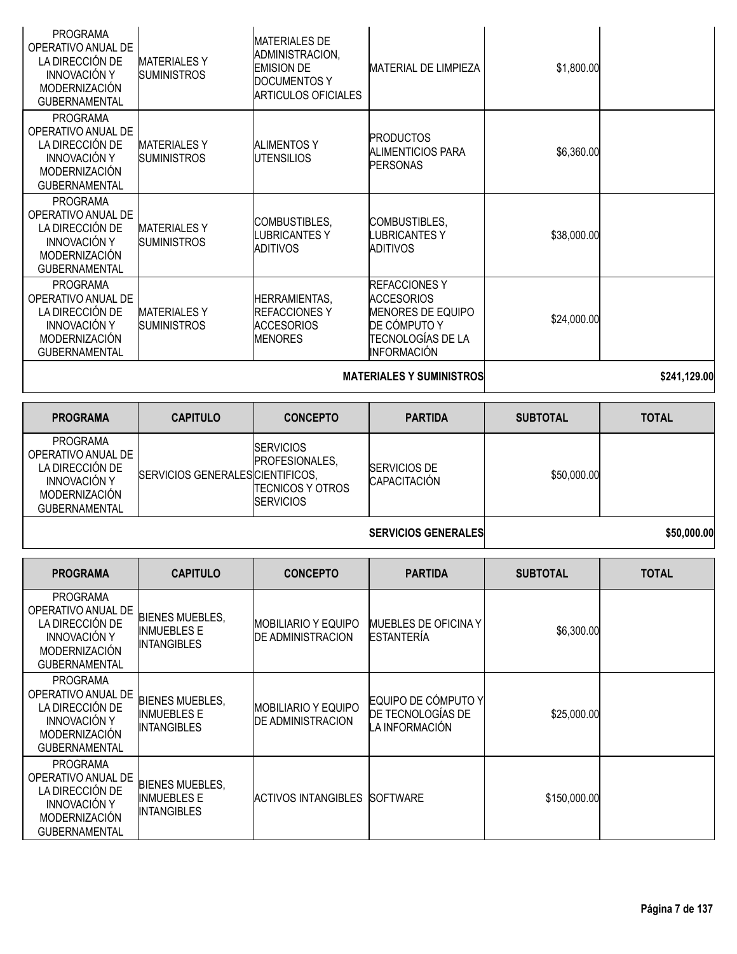| <b>PROGRAMA</b><br>OPERATIVO ANUAL DE<br>LA DIRECCIÓN DE<br><b>INNOVACIÓN Y</b><br>MODERNIZACIÓN<br><b>GUBERNAMENTAL</b> | <b>MATERIALESY</b><br><b>SUMINISTROS</b>                           | <b>MATERIALES DE</b><br>ADMINISTRACION,<br><b>EMISION DE</b><br><b>DOCUMENTOS Y</b><br><b>ARTICULOS OFICIALES</b> | <b>MATERIAL DE LIMPIEZA</b>                                                                                                | \$1,800.00      |              |
|--------------------------------------------------------------------------------------------------------------------------|--------------------------------------------------------------------|-------------------------------------------------------------------------------------------------------------------|----------------------------------------------------------------------------------------------------------------------------|-----------------|--------------|
| <b>PROGRAMA</b><br>OPERATIVO ANUAL DE<br>LA DIRECCIÓN DE<br><b>INNOVACIÓN Y</b><br>MODERNIZACIÓN<br><b>GUBERNAMENTAL</b> | <b>MATERIALESY</b><br><b>SUMINISTROS</b>                           | <b>ALIMENTOS Y</b><br><b>UTENSILIOS</b>                                                                           | <b>PRODUCTOS</b><br><b>ALIMENTICIOS PARA</b><br><b>PERSONAS</b>                                                            | \$6,360.00      |              |
| <b>PROGRAMA</b><br>OPERATIVO ANUAL DE<br>LA DIRECCIÓN DE<br><b>INNOVACIÓN Y</b><br>MODERNIZACIÓN<br><b>GUBERNAMENTAL</b> | <b>MATERIALES Y</b><br><b>SUMINISTROS</b>                          | COMBUSTIBLES,<br><b>LUBRICANTES Y</b><br><b>ADITIVOS</b>                                                          | COMBUSTIBLES,<br><b>LUBRICANTESY</b><br><b>ADITIVOS</b>                                                                    | \$38,000.00     |              |
| <b>PROGRAMA</b><br>OPERATIVO ANUAL DE<br>LA DIRECCIÓN DE<br><b>INNOVACIÓN Y</b><br>MODERNIZACIÓN<br><b>GUBERNAMENTAL</b> | <b>MATERIALES Y</b><br><b>SUMINISTROS</b>                          | HERRAMIENTAS,<br><b>REFACCIONES Y</b><br><b>ACCESORIOS</b><br><b>MENORES</b>                                      | <b>REFACCIONES Y</b><br><b>ACCESORIOS</b><br><b>MENORES DE EQUIPO</b><br>DE CÓMPUTO Y<br>ITECNOLOGÍAS DE LA<br>INFORMACIÓN | \$24,000.00     |              |
|                                                                                                                          |                                                                    |                                                                                                                   | <b>MATERIALES Y SUMINISTROS</b>                                                                                            |                 | \$241,129.00 |
| <b>PROGRAMA</b>                                                                                                          | <b>CAPITULO</b>                                                    | <b>CONCEPTO</b>                                                                                                   | <b>PARTIDA</b>                                                                                                             | <b>SUBTOTAL</b> | <b>TOTAL</b> |
| <b>PROGRAMA</b><br>OPERATIVO ANUAL DE<br>LA DIRECCIÓN DE<br><b>INNOVACIÓN Y</b><br>MODERNIZACIÓN<br><b>GUBERNAMENTAL</b> | SERVICIOS GENERALES CIENTIFICOS,                                   | <b>SERVICIOS</b><br>PROFESIONALES,<br><b>TECNICOS Y OTROS</b><br><b>SERVICIOS</b>                                 | <b>SERVICIOS DE</b><br>CAPACITACIÓN                                                                                        | \$50,000.00     |              |
|                                                                                                                          |                                                                    |                                                                                                                   | <b>SERVICIOS GENERALES</b>                                                                                                 |                 | \$50,000.00  |
| <b>PROGRAMA</b>                                                                                                          | <b>CAPITULO</b>                                                    | <b>CONCEPTO</b>                                                                                                   | <b>PARTIDA</b>                                                                                                             | <b>SUBTOTAL</b> | <b>TOTAL</b> |
| <b>PROGRAMA</b><br>OPERATIVO ANUAL DE<br>LA DIRECCIÓN DE<br><b>INNOVACIÓN Y</b><br>MODERNIZACIÓN                         | <b>BIENES MUEBLES,</b><br><b>INMUEBLES E</b><br><b>INTANGIBLES</b> | <b>MOBILIARIO Y EQUIPO</b><br><b>DE ADMINISTRACION</b>                                                            | <b>MUEBLES DE OFICINA Y</b><br><b>ESTANTERÍA</b>                                                                           | \$6,300.00      |              |
| <b>GUBERNAMENTAL</b><br><b>PROGRAMA</b>                                                                                  |                                                                    |                                                                                                                   |                                                                                                                            |                 |              |

| <b>PROGRAMA</b><br>OPERATIVO ANUAL DE<br>LA DIRECCIÓN DE<br><b>INNOVACIÓN Y</b><br><b>MODERNIZACIÓN</b><br><b>GUBERNAMENTAL</b> | <b>BIENES MUEBLES.</b><br><b>INMUEBLES E</b><br><b>INTANGIBLES</b> | <b>MOBILIARIO Y EQUIPO</b><br><b>DE ADMINISTRACION</b> | EQUIPO DE CÓMPUTO Y<br>DE TECNOLOGIAS DE<br>LA INFORMACIÓN | \$25,000.00  |  |
|---------------------------------------------------------------------------------------------------------------------------------|--------------------------------------------------------------------|--------------------------------------------------------|------------------------------------------------------------|--------------|--|
| PROGRAMA<br>OPERATIVO ANUAL DE<br>LA DIRECCIÓN DE<br><b>INNOVACIÓN Y</b><br><b>MODERNIZACIÓN</b><br><b>GUBERNAMENTAL</b>        | <b>BIENES MUEBLES,</b><br><b>INMUEBLES E</b><br><b>INTANGIBLES</b> | ACTIVOS INTANGIBLES SOFTWARE                           |                                                            | \$150,000.00 |  |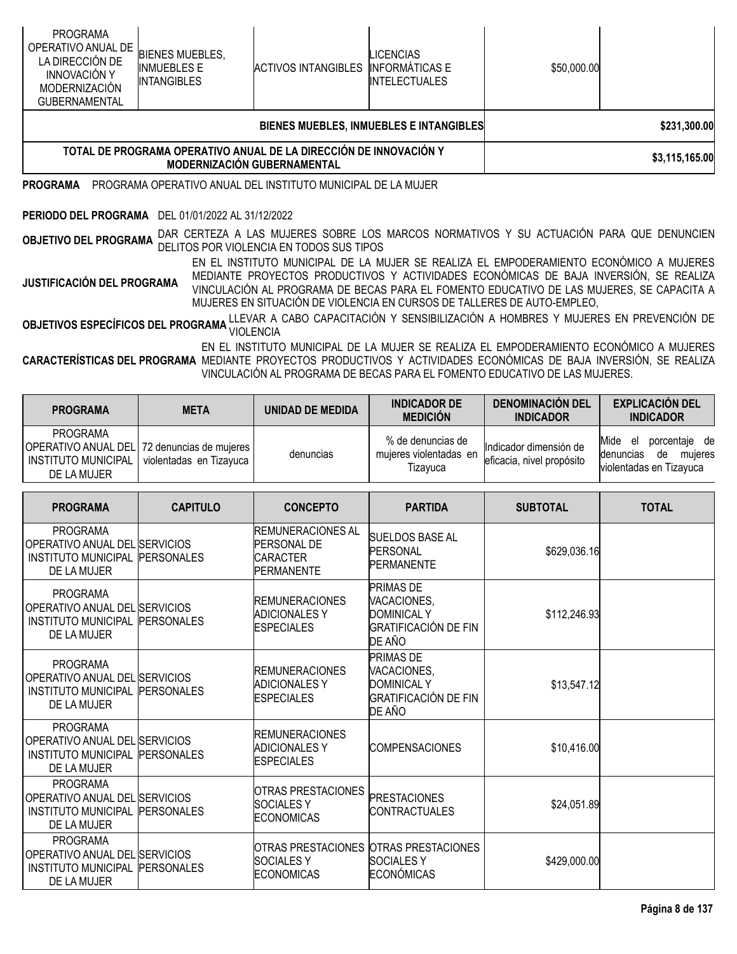| <b>PROGRAMA</b><br>OPERATIVO ANUAL DE<br>LA DIRECCIÓN DE<br><b>INNOVACIÓN Y</b><br>MODERNIZACIÓN<br><b>GUBERNAMENTAL</b>                                                                                                                                                                                                                                                                                                                                                                                                        | <b>BIENES MUEBLES,</b><br><b>INMUEBLES E</b><br><b>INTANGIBLES</b> | <b>ACTIVOS INTANGIBLES</b>                                                                                                          | <b>LICENCIAS</b><br><b>INFORMÁTICAS E</b><br><b>INTELECTUALES</b> | \$50,000.00 |                |
|---------------------------------------------------------------------------------------------------------------------------------------------------------------------------------------------------------------------------------------------------------------------------------------------------------------------------------------------------------------------------------------------------------------------------------------------------------------------------------------------------------------------------------|--------------------------------------------------------------------|-------------------------------------------------------------------------------------------------------------------------------------|-------------------------------------------------------------------|-------------|----------------|
|                                                                                                                                                                                                                                                                                                                                                                                                                                                                                                                                 |                                                                    |                                                                                                                                     | BIENES MUEBLES, INMUEBLES E INTANGIBLES                           |             | \$231,300.00   |
|                                                                                                                                                                                                                                                                                                                                                                                                                                                                                                                                 |                                                                    | TOTAL DE PROGRAMA OPERATIVO ANUAL DE LA DIRECCIÓN DE INNOVACIÓN Y<br><b>MODERNIZACIÓN GUBERNAMENTAL</b>                             |                                                                   |             | \$3,115,165.00 |
| <b>PROGRAMA</b>                                                                                                                                                                                                                                                                                                                                                                                                                                                                                                                 |                                                                    | PROGRAMA OPERATIVO ANUAL DEL INSTITUTO MUNICIPAL DE LA MUJER                                                                        |                                                                   |             |                |
| PERIODO DEL PROGRAMA                                                                                                                                                                                                                                                                                                                                                                                                                                                                                                            | DEL 01/01/2022 AL 31/12/2022                                       |                                                                                                                                     |                                                                   |             |                |
| <b>OBJETIVO DEL PROGRAMA</b>                                                                                                                                                                                                                                                                                                                                                                                                                                                                                                    |                                                                    | DAR CERTEZA A LAS MUJERES SOBRE LOS MARCOS NORMATIVOS Y SU ACTUACIÓN PARA QUE DENUNCIEN<br>DELITOS POR VIOLENCIA EN TODOS SUS TIPOS |                                                                   |             |                |
| EN EL INSTITUTO MUNICIPAL DE LA MUJER SE REALIZA EL EMPODERAMIENTO ECONÓMICO A MUJERES<br>MEDIANTE PROYECTOS PRODUCTIVOS Y ACTIVIDADES ECONÓMICAS DE BAJA INVERSIÓN, SE REALIZA<br><b>JUSTIFICACIÓN DEL PROGRAMA</b><br>VINCULACIÓN AL PROGRAMA DE BECAS PARA EL FOMENTO EDUCATIVO DE LAS MUJERES, SE CAPACITA A<br>MUJERES EN SITUACIÓN DE VIOLENCIA EN CURSOS DE TALLERES DE AUTO-EMPLEO,<br>LLEVAR A CABO CAPACITACIÓN Y SENSIBILIZACIÓN A HOMBRES Y MUJERES EN PREVENCIÓN DE<br>OBJETIVOS ESPECÍFICOS DEL PROGRAMA LLEVAN O |                                                                    |                                                                                                                                     |                                                                   |             |                |
| EN EL INSTITUTO MUNICIPAL DE LA MUJER SE REALIZA EL EMPODERAMIENTO ECONÓMICO A MUJERES<br>CARACTERÍSTICAS DEL PROGRAMA MEDIANTE PROYECTOS PRODUCTIVOS Y ACTIVIDADES ECONÓMICAS DE BAJA INVERSIÓN, SE REALIZA<br>VINCULACIÓN AL PROGRAMA DE BECAS PARA EL FOMENTO EDUCATIVO DE LAS MUJERES.                                                                                                                                                                                                                                      |                                                                    |                                                                                                                                     |                                                                   |             |                |

| <b>PROGRAMA</b>                                                                                        | <b>META</b>             | <b>UNIDAD DE MEDIDA</b> | <b>INDICADOR DE</b><br><b>MEDICIÓN</b>                  | <b>DENOMINACIÓN DEL</b><br><b>INDICADOR</b>         | <b>EXPLICACIÓN DEL</b><br><b>INDICADOR</b>                                                   |
|--------------------------------------------------------------------------------------------------------|-------------------------|-------------------------|---------------------------------------------------------|-----------------------------------------------------|----------------------------------------------------------------------------------------------|
| <b>PROGRAMA</b><br>OPERATIVO ANUAL DEL 72 denuncias de mujeres  <br>INSTITUTO MUNICIPAL<br>DE LA MUJER | violentadas en Tizavuca | denuncias               | % de denuncias de<br>mujeres violentadas en<br>Tizavuca | Indicador dimensión de<br>eficacia, nivel propósito | Mide<br>porcentaie de<br>el<br><b>Idenuncias</b><br>muieres<br>de<br>violentadas en Tizayuca |

| <b>PROGRAMA</b>                                                                               | <b>CAPITULO</b>   | <b>CONCEPTO</b>                                                                         | <b>PARTIDA</b>                                                                          | <b>SUBTOTAL</b> | <b>TOTAL</b> |
|-----------------------------------------------------------------------------------------------|-------------------|-----------------------------------------------------------------------------------------|-----------------------------------------------------------------------------------------|-----------------|--------------|
| <b>PROGRAMA</b><br>OPERATIVO ANUAL DEL SERVICIOS<br><b>INSTITUTO MUNICIPAL</b><br>DE LA MUJER | <b>PERSONALES</b> | <b>IREMUNERACIONES AL</b><br><b>PERSONAL DE</b><br><b>CARACTER</b><br><b>PERMANENTE</b> | SUELDOS BASE AL<br><b>PERSONAL</b><br>PERMANENTE                                        | \$629,036.16    |              |
| <b>PROGRAMA</b><br>OPERATIVO ANUAL DEL SERVICIOS<br><b>INSTITUTO MUNICIPAL</b><br>DE LA MUJER | PERSONALES        | <b>IREMUNERACIONES</b><br><b>ADICIONALES Y</b><br><b>ESPECIALES</b>                     | <b>PRIMAS DE</b><br>VACACIONES,<br><b>DOMINICAL Y</b><br>GRATIFICACIÓN DE FIN<br>DE AÑO | \$112,246.93    |              |
| <b>PROGRAMA</b><br>OPERATIVO ANUAL DEL SERVICIOS<br><b>INSTITUTO MUNICIPAL</b><br>DE LA MUJER | <b>PERSONALES</b> | <b>REMUNERACIONES</b><br><b>ADICIONALES Y</b><br><b>ESPECIALES</b>                      | <b>PRIMAS DE</b><br>VACACIONES,<br><b>DOMINICAL Y</b><br>GRATIFICACIÓN DE FIN<br>DE AÑO | \$13,547.12     |              |
| <b>PROGRAMA</b><br>OPERATIVO ANUAL DEL SERVICIOS<br><b>INSTITUTO MUNICIPAL</b><br>DE LA MUJER | <b>PERSONALES</b> | <b>REMUNERACIONES</b><br><b>ADICIONALES Y</b><br><b>ESPECIALES</b>                      | <b>COMPENSACIONES</b>                                                                   | \$10,416.00     |              |
| <b>PROGRAMA</b><br>OPERATIVO ANUAL DEL SERVICIOS<br><b>INSTITUTO MUNICIPAL</b><br>DE LA MUJER | <b>PERSONALES</b> | <b>IOTRAS PRESTACIONES</b><br><b>SOCIALES Y</b><br><b>ECONOMICAS</b>                    | <b>PRESTACIONES</b><br><b>CONTRACTUALES</b>                                             | \$24,051.89     |              |
| <b>PROGRAMA</b><br>OPERATIVO ANUAL DEL SERVICIOS<br><b>INSTITUTO MUNICIPAL</b><br>DE LA MUJER | <b>PERSONALES</b> | <b>SOCIALES Y</b><br><b>ECONOMICAS</b>                                                  | OTRAS PRESTACIONES OTRAS PRESTACIONES<br>ISOCIALES Y<br><b>ECONÓMICAS</b>               | \$429,000.00    |              |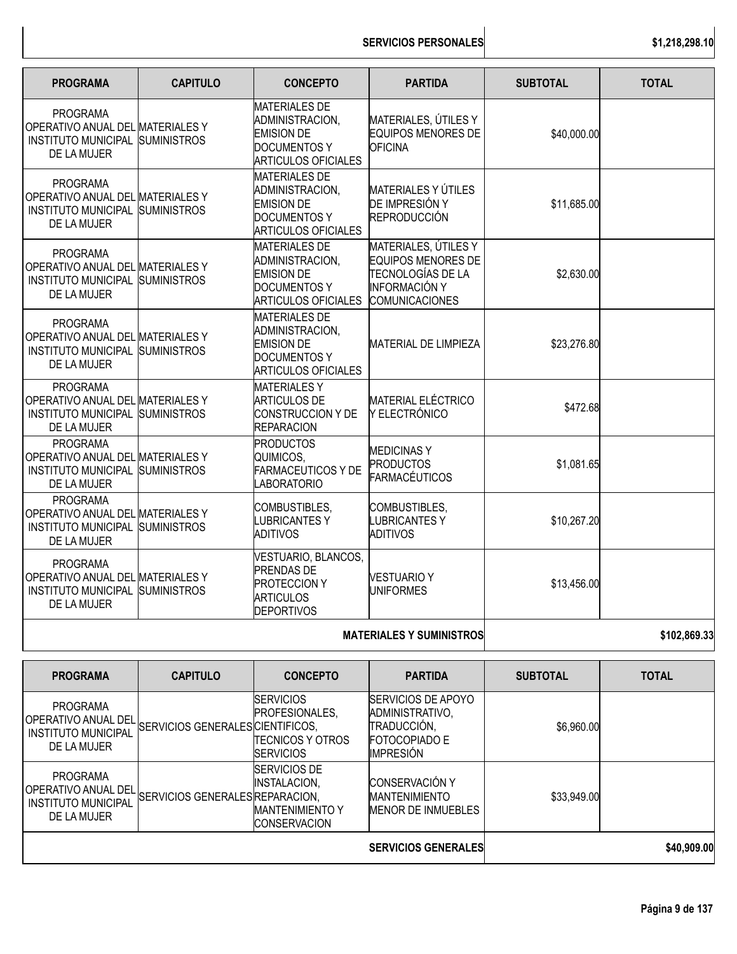**SERVICIOS PERSONALES \$1,218,298.10**

| <b>PROGRAMA</b>                                                                                       | <b>CAPITULO</b>    | <b>CONCEPTO</b>                                                                                                   | <b>PARTIDA</b>                                                                                                          | <b>SUBTOTAL</b> | <b>TOTAL</b> |
|-------------------------------------------------------------------------------------------------------|--------------------|-------------------------------------------------------------------------------------------------------------------|-------------------------------------------------------------------------------------------------------------------------|-----------------|--------------|
| <b>PROGRAMA</b><br>OPERATIVO ANUAL DEL MATERIALES Y<br>INSTITUTO MUNICIPAL SUMINISTROS<br>DE LA MUJER |                    | <b>MATERIALES DE</b><br>ADMINISTRACION,<br><b>EMISION DE</b><br><b>DOCUMENTOS Y</b><br><b>ARTICULOS OFICIALES</b> | MATERIALES, ÚTILES Y<br><b>EQUIPOS MENORES DE</b><br><b>OFICINA</b>                                                     | \$40,000.00     |              |
| <b>PROGRAMA</b><br>OPERATIVO ANUAL DEL MATERIALES Y<br>INSTITUTO MUNICIPAL SUMINISTROS<br>DE LA MUJER |                    | <b>MATERIALES DE</b><br>ADMINISTRACION.<br><b>EMISION DE</b><br><b>DOCUMENTOS Y</b><br><b>ARTICULOS OFICIALES</b> | <b>MATERIALES Y ÚTILES</b><br>DE IMPRESIÓN Y<br>REPRODUCCIÓN                                                            | \$11,685.00     |              |
| <b>PROGRAMA</b><br>OPERATIVO ANUAL DEL MATERIALES Y<br><b>INSTITUTO MUNICIPAL</b><br>DE LA MUJER      | <b>SUMINISTROS</b> | <b>MATERIALES DE</b><br>ADMINISTRACION,<br><b>EMISION DE</b><br><b>DOCUMENTOS Y</b><br><b>ARTICULOS OFICIALES</b> | MATERIALES, ÚTILES Y<br><b>EQUIPOS MENORES DE</b><br>TECNOLOGÍAS DE LA<br><b>INFORMACIÓN Y</b><br><b>COMUNICACIONES</b> | \$2,630.00      |              |
| <b>PROGRAMA</b><br>OPERATIVO ANUAL DEL MATERIALES Y<br>INSTITUTO MUNICIPAL SUMINISTROS<br>DE LA MUJER |                    | <b>MATERIALES DE</b><br>ADMINISTRACION,<br><b>EMISION DE</b><br><b>DOCUMENTOS Y</b><br><b>ARTICULOS OFICIALES</b> | <b>MATERIAL DE LIMPIEZA</b>                                                                                             | \$23,276.80     |              |
| <b>PROGRAMA</b><br>OPERATIVO ANUAL DEL MATERIALES Y<br>INSTITUTO MUNICIPAL SUMINISTROS<br>DE LA MUJER |                    | <b>MATERIALESY</b><br><b>ARTICULOS DE</b><br>CONSTRUCCION Y DE<br><b>REPARACION</b>                               | <b>MATERIAL ELÉCTRICO</b><br>Y ELECTRÓNICO                                                                              | \$472.68        |              |
| <b>PROGRAMA</b><br>OPERATIVO ANUAL DEL MATERIALES Y<br>INSTITUTO MUNICIPAL SUMINISTROS<br>DE LA MUJER |                    | <b>PRODUCTOS</b><br>QUIMICOS,<br><b>FARMACEUTICOS Y DE</b><br><b>ABORATORIO</b>                                   | <b>MEDICINASY</b><br><b>PRODUCTOS</b><br><b>FARMACÉUTICOS</b>                                                           | \$1,081.65      |              |
| <b>PROGRAMA</b><br>OPERATIVO ANUAL DEL MATERIALES Y<br>INSTITUTO MUNICIPAL<br>DE LA MUJER             | <b>SUMINISTROS</b> | COMBUSTIBLES,<br><b>LUBRICANTESY</b><br><b>ADITIVOS</b>                                                           | COMBUSTIBLES,<br><b>LUBRICANTESY</b><br><b>ADITIVOS</b>                                                                 | \$10,267.20     |              |
| <b>PROGRAMA</b><br>OPERATIVO ANUAL DEL MATERIALES Y<br>INSTITUTO MUNICIPAL SUMINISTROS<br>DE LA MUJER |                    | VESTUARIO, BLANCOS,<br><b>PRENDAS DE</b><br><b>PROTECCION Y</b><br><b>ARTICULOS</b><br><b>DEPORTIVOS</b>          | <b>VESTUARIO Y</b><br><b>UNIFORMES</b>                                                                                  | \$13,456.00     |              |
|                                                                                                       |                    |                                                                                                                   | <b>MATERIALES Y SUMINISTROS</b>                                                                                         |                 | \$102,869.33 |
| <b>PROGRAMA</b>                                                                                       | <b>CAPITULO</b>    | <b>CONCEPTO</b>                                                                                                   | <b>PARTIDA</b>                                                                                                          | <b>SUBTOTAL</b> | <b>TOTAL</b> |
| <b>PROGRAMA</b>                                                                                       |                    | <b>SERVICIOS</b>                                                                                                  | SERVICIOS DE APOYO                                                                                                      |                 |              |

|                                                                                     |                                  |                                                                                     | <b>SERVICIOS GENERALES</b>                                                                       |             | \$40,909.00 |
|-------------------------------------------------------------------------------------|----------------------------------|-------------------------------------------------------------------------------------|--------------------------------------------------------------------------------------------------|-------------|-------------|
| <b>PROGRAMA</b><br>OPERATIVO ANUAL DEL<br><b>INSTITUTO MUNICIPAL</b><br>DE LA MUJER | SERVICIOS GENERALES REPARACION.  | SERVICIOS DE<br>INSTALACION.<br><b>MANTENIMIENTO Y</b><br><b>CONSERVACION</b>       | <b>CONSERVACIÓN Y</b><br><b>MANTENIMIENTO</b><br>MENOR DE INMUEBLES                              | \$33,949.00 |             |
| <b>PROGRAMA</b><br>OPERATIVO ANUAL DEL<br><b>INSTITUTO MUNICIPAL</b><br>DE LA MUJER | SERVICIOS GENERALES CIENTIFICOS, | <b>SERVICIOS</b><br>PROFESIONALES,<br><b>ITECNICOS Y OTROS</b><br><b>ISERVICIOS</b> | SERVICIOS DE APOYO<br>ADMINISTRATIVO.<br>TRADUCCIÓN,<br><b>FOTOCOPIADO E</b><br><b>IMPRESION</b> | \$6,960.00  |             |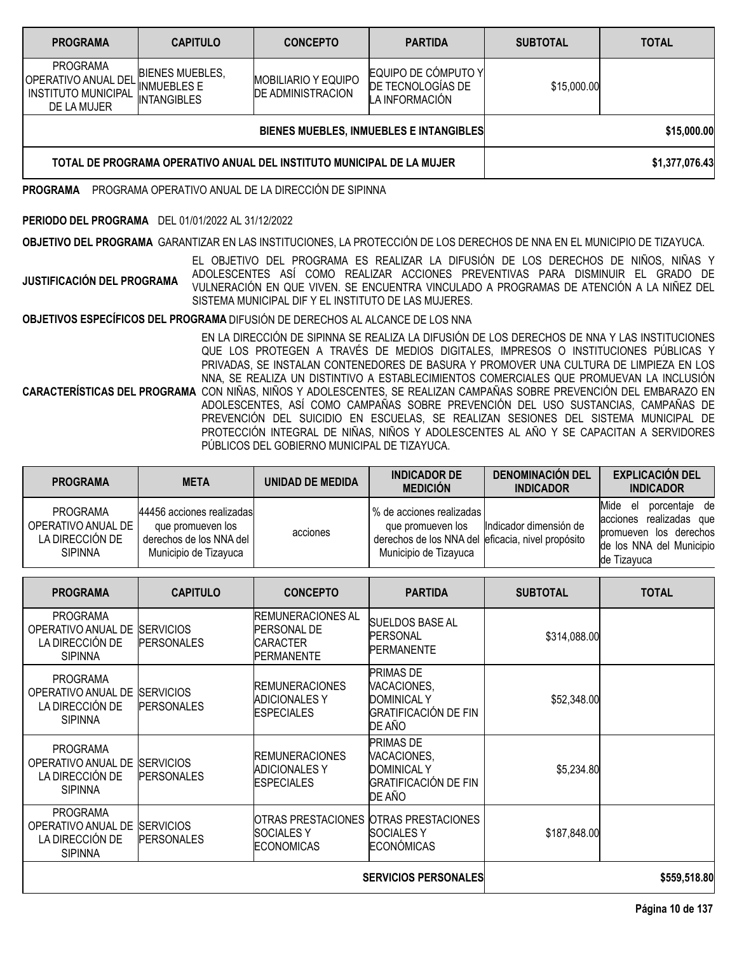| <b>PROGRAMA</b>                                                                            | <b>CAPITULO</b>                                                    | <b>CONCEPTO</b>                                        | <b>PARTIDA</b>                                             | <b>SUBTOTAL</b> | <b>TOTAL</b>   |
|--------------------------------------------------------------------------------------------|--------------------------------------------------------------------|--------------------------------------------------------|------------------------------------------------------------|-----------------|----------------|
| <b>PROGRAMA</b><br><b>OPERATIVO ANUAL DEL</b><br><b>INSTITUTO MUNICIPAL</b><br>DE LA MUJER | <b>BIENES MUEBLES,</b><br><b>INMUEBLES E</b><br><b>INTANGIBLES</b> | <b>MOBILIARIO Y EQUIPO</b><br><b>DE ADMINISTRACION</b> | EQUIPO DE CÓMPUTO Y<br>DE TECNOLOGÍAS DE<br>LA INFORMACIÓN | \$15,000.00     |                |
|                                                                                            |                                                                    |                                                        | BIENES MUEBLES, INMUEBLES E INTANGIBLES                    |                 | \$15,000.00    |
| TOTAL DE PROGRAMA OPERATIVO ANUAL DEL INSTITUTO MUNICIPAL DE LA MUJER                      |                                                                    |                                                        |                                                            |                 | \$1,377,076.43 |

**PROGRAMA** PROGRAMA OPERATIVO ANUAL DE LA DIRECCIÓN DE SIPINNA

# **PERIODO DEL PROGRAMA** DEL 01/01/2022 AL 31/12/2022

**OBJETIVO DEL PROGRAMA** GARANTIZAR EN LAS INSTITUCIONES, LA PROTECCIÓN DE LOS DERECHOS DE NNA EN EL MUNICIPIO DE TIZAYUCA.

**JUSTIFICACIÓN DEL PROGRAMA** EL OBJETIVO DEL PROGRAMA ES REALIZAR LA DIFUSIÓN DE LOS DERECHOS DE NIÑOS, NIÑAS Y ADOLESCENTES ASÍ COMO REALIZAR ACCIONES PREVENTIVAS PARA DISMINUIR EL GRADO DE VULNERACIÓN EN QUE VIVEN. SE ENCUENTRA VINCULADO A PROGRAMAS DE ATENCIÓN A LA NIÑEZ DEL SISTEMA MUNICIPAL DIF Y EL INSTITUTO DE LAS MUJERES.

**OBJETIVOS ESPECÍFICOS DEL PROGRAMA** DIFUSIÓN DE DERECHOS AL ALCANCE DE LOS NNA

**CARACTERÍSTICAS DEL PROGRAMA** CON NIÑAS, NIÑOS Y ADOLESCENTES, SE REALIZAN CAMPAÑAS SOBRE PREVENCIÓN DEL EMBARAZO EN EN LA DIRECCIÓN DE SIPINNA SE REALIZA LA DIFUSIÓN DE LOS DERECHOS DE NNA Y LAS INSTITUCIONES QUE LOS PROTEGEN A TRAVÉS DE MEDIOS DIGITALES, IMPRESOS O INSTITUCIONES PÚBLICAS Y PRIVADAS, SE INSTALAN CONTENEDORES DE BASURA Y PROMOVER UNA CULTURA DE LIMPIEZA EN LOS NNA, SE REALIZA UN DISTINTIVO A ESTABLECIMIENTOS COMERCIALES QUE PROMUEVAN LA INCLUSIÓN ADOLESCENTES, ASÍ COMO CAMPAÑAS SOBRE PREVENCIÓN DEL USO SUSTANCIAS, CAMPAÑAS DE PREVENCIÓN DEL SUICIDIO EN ESCUELAS, SE REALIZAN SESIONES DEL SISTEMA MUNICIPAL DE PROTECCIÓN INTEGRAL DE NIÑAS, NIÑOS Y ADOLESCENTES AL AÑO Y SE CAPACITAN A SERVIDORES PÚBLICOS DEL GOBIERNO MUNICIPAL DE TIZAYUCA.

| <b>PROGRAMA</b>                                                            | <b>META</b>                                                                                        | UNIDAD DE MEDIDA | <b>INDICADOR DE</b><br><b>MEDICIÓN</b>                                                                                          | <b>DENOMINACIÓN DEL</b><br><b>INDICADOR</b> | <b>EXPLICACIÓN DEL</b><br><b>INDICADOR</b>                                                                               |
|----------------------------------------------------------------------------|----------------------------------------------------------------------------------------------------|------------------|---------------------------------------------------------------------------------------------------------------------------------|---------------------------------------------|--------------------------------------------------------------------------------------------------------------------------|
| <b>PROGRAMA</b><br>OPERATIVO ANUAL DE<br>LA DIRECCIÓN DE<br><b>SIPINNA</b> | 44456 acciones realizadas<br>que promueven los<br>derechos de los NNA del<br>Municipio de Tizayuca | acciones         | l % de acciones realizadas l<br>que promueven los<br>derechos de los NNA del eficacia, nivel propósito<br>Municipio de Tizayuca | Indicador dimensión de                      | porcentaje de<br>Mide el<br>acciones realizadas que<br>promueven los derechos<br>de los NNA del Municipio<br>de Tizayuca |

| <b>PROGRAMA</b>                                                            | <b>CAPITULO</b>                       | <b>CONCEPTO</b>                                                                         | <b>PARTIDA</b>                                                                                 | <b>SUBTOTAL</b> | <b>TOTAL</b> |
|----------------------------------------------------------------------------|---------------------------------------|-----------------------------------------------------------------------------------------|------------------------------------------------------------------------------------------------|-----------------|--------------|
| <b>PROGRAMA</b><br>OPERATIVO ANUAL DE<br>LA DIRECCIÓN DE<br><b>SIPINNA</b> | <b>SERVICIOS</b><br><b>PERSONALES</b> | <b>IREMUNERACIONES AL</b><br><b>PERSONAL DE</b><br><b>CARACTER</b><br><b>PERMANENTE</b> | SUELDOS BASE AL<br><b>PERSONAL</b><br><b>PERMANENTE</b>                                        | \$314,088.00    |              |
| <b>PROGRAMA</b><br>OPERATIVO ANUAL DE<br>LA DIRECCIÓN DE<br><b>SIPINNA</b> | <b>SERVICIOS</b><br><b>PERSONALES</b> | <b>REMUNERACIONES</b><br><b>ADICIONALES Y</b><br><b>ESPECIALES</b>                      | <b>PRIMAS DE</b><br>VACACIONES,<br><b>DOMINICAL Y</b><br><b>GRATIFICACIÓN DE FIN</b><br>DE AÑO | \$52,348.00     |              |
| <b>PROGRAMA</b><br>OPERATIVO ANUAL DE<br>LA DIRECCIÓN DE<br><b>SIPINNA</b> | <b>SERVICIOS</b><br><b>PERSONALES</b> | <b>REMUNERACIONES</b><br><b>ADICIONALES Y</b><br><b>ESPECIALES</b>                      | <b>PRIMAS DE</b><br>VACACIONES,<br><b>DOMINICAL Y</b><br><b>GRATIFICACIÓN DE FIN</b><br>DE AÑO | \$5,234.80      |              |
| <b>PROGRAMA</b><br>OPERATIVO ANUAL DE<br>LA DIRECCIÓN DE<br><b>SIPINNA</b> | <b>SERVICIOS</b><br><b>PERSONALES</b> | <b>IOTRAS PRESTACIONES</b><br><b>SOCIALESY</b><br><b>ECONOMICAS</b>                     | <b>OTRAS PRESTACIONES</b><br><b>SOCIALES Y</b><br><b>ECONÓMICAS</b>                            | \$187,848.00    |              |
|                                                                            |                                       |                                                                                         | <b>SERVICIOS PERSONALES</b>                                                                    |                 | \$559,518.80 |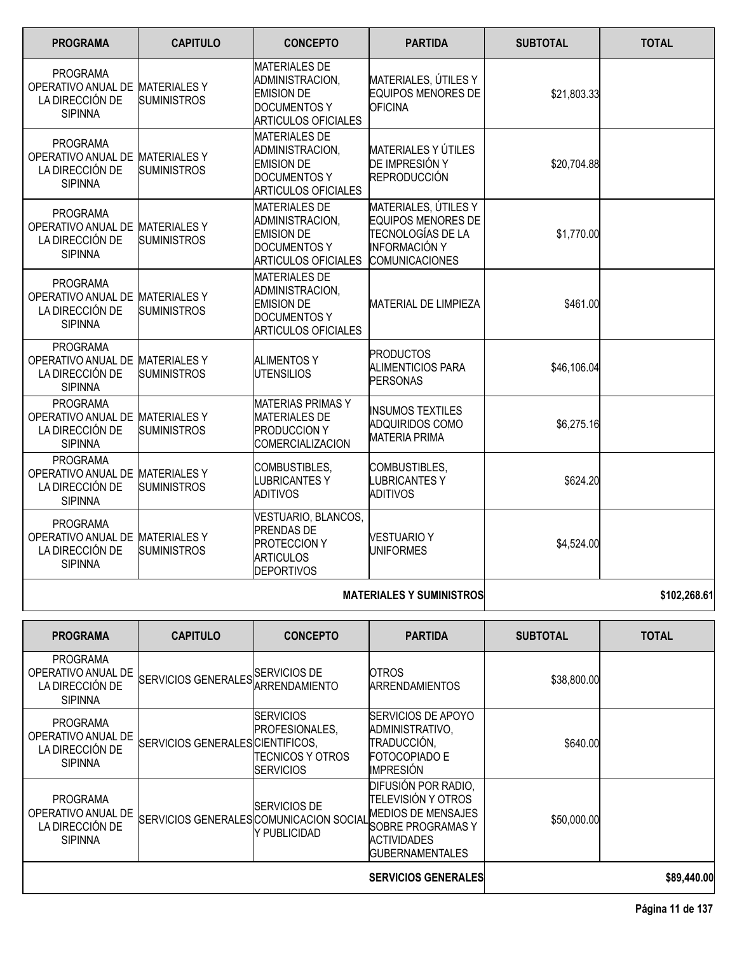| <b>PROGRAMA</b>                                                                         | <b>CAPITULO</b>    | <b>CONCEPTO</b>                                                                                                   | <b>PARTIDA</b>                                                                                                          | <b>SUBTOTAL</b> | <b>TOTAL</b> |
|-----------------------------------------------------------------------------------------|--------------------|-------------------------------------------------------------------------------------------------------------------|-------------------------------------------------------------------------------------------------------------------------|-----------------|--------------|
| <b>PROGRAMA</b><br>OPERATIVO ANUAL DE MATERIALES Y<br>LA DIRECCIÓN DE<br><b>SIPINNA</b> | <b>SUMINISTROS</b> | <b>MATERIALES DE</b><br>ADMINISTRACION,<br><b>EMISION DE</b><br><b>DOCUMENTOS Y</b><br><b>ARTICULOS OFICIALES</b> | MATERIALES, ÚTILES Y<br><b>EQUIPOS MENORES DE</b><br><b>OFICINA</b>                                                     | \$21,803.33     |              |
| <b>PROGRAMA</b><br>OPERATIVO ANUAL DE MATERIALES Y<br>LA DIRECCIÓN DE<br><b>SIPINNA</b> | <b>SUMINISTROS</b> | <b>MATERIALES DE</b><br>ADMINISTRACION,<br><b>EMISION DE</b><br><b>DOCUMENTOS Y</b><br>ARTICULOS OFICIALES        | <b>MATERIALES Y ÚTILES</b><br>DE IMPRESIÓN Y<br><b>REPRODUCCIÓN</b>                                                     | \$20,704.88     |              |
| <b>PROGRAMA</b><br>OPERATIVO ANUAL DE MATERIALES Y<br>LA DIRECCIÓN DE<br><b>SIPINNA</b> | <b>SUMINISTROS</b> | <b>MATERIALES DE</b><br>ADMINISTRACION,<br><b>EMISION DE</b><br><b>DOCUMENTOS Y</b><br><b>ARTICULOS OFICIALES</b> | MATERIALES, ÚTILES Y<br><b>EQUIPOS MENORES DE</b><br>TECNOLOGÍAS DE LA<br><b>INFORMACIÓN Y</b><br><b>COMUNICACIONES</b> | \$1,770.00      |              |
| <b>PROGRAMA</b><br>OPERATIVO ANUAL DE MATERIALES Y<br>LA DIRECCIÓN DE<br><b>SIPINNA</b> | <b>SUMINISTROS</b> | <b>MATERIALES DE</b><br>ADMINISTRACION,<br><b>EMISION DE</b><br><b>DOCUMENTOS Y</b><br><b>ARTICULOS OFICIALES</b> | <b>MATERIAL DE LIMPIEZA</b>                                                                                             | \$461.00        |              |
| <b>PROGRAMA</b><br>OPERATIVO ANUAL DE MATERIALES Y<br>LA DIRECCIÓN DE<br><b>SIPINNA</b> | SUMINISTROS        | IALIMENTOS Y<br><b>IUTENSILIOS</b>                                                                                | <b>PRODUCTOS</b><br><b>ALIMENTICIOS PARA</b><br><b>PERSONAS</b>                                                         | \$46,106.04     |              |
| <b>PROGRAMA</b><br>OPERATIVO ANUAL DE MATERIALES Y<br>LA DIRECCIÓN DE<br><b>SIPINNA</b> | <b>SUMINISTROS</b> | <b>MATERIAS PRIMAS Y</b><br><b>MATERIALES DE</b><br><b>PRODUCCION Y</b><br><b>COMERCIALIZACION</b>                | <b>INSUMOS TEXTILES</b><br><b>ADQUIRIDOS COMO</b><br><b>MATERIA PRIMA</b>                                               | \$6,275.16      |              |
| <b>PROGRAMA</b><br>OPERATIVO ANUAL DE MATERIALES Y<br>LA DIRECCIÓN DE<br><b>SIPINNA</b> | <b>SUMINISTROS</b> | COMBUSTIBLES,<br><b>LUBRICANTESY</b><br><b>ADITIVOS</b>                                                           | COMBUSTIBLES,<br><b>LUBRICANTESY</b><br><b>ADITIVOS</b>                                                                 | \$624.20        |              |
| <b>PROGRAMA</b><br>OPERATIVO ANUAL DE MATERIALES Y<br>LA DIRECCIÓN DE<br><b>SIPINNA</b> | <b>SUMINISTROS</b> | VESTUARIO, BLANCOS,<br><b>PRENDAS DE</b><br><b>PROTECCION Y</b><br><b>ARTICULOS</b><br><b>DEPORTIVOS</b>          | <b>VESTUARIO Y</b><br><b>UNIFORMES</b>                                                                                  | \$4,524.00      |              |

# **MATERIALES Y SUMINISTROS 102,268.61**

| <b>PROGRAMA</b>                                                            | <b>CAPITULO</b>                          | <b>CONCEPTO</b>                                                                       | <b>PARTIDA</b>                                                                                                                                      | <b>SUBTOTAL</b> | <b>TOTAL</b> |
|----------------------------------------------------------------------------|------------------------------------------|---------------------------------------------------------------------------------------|-----------------------------------------------------------------------------------------------------------------------------------------------------|-----------------|--------------|
| <b>PROGRAMA</b><br>OPERATIVO ANUAL DE<br>LA DIRECCIÓN DE<br><b>SIPINNA</b> | SERVICIOS GENERALES SERVICIOS DE         | <b>IARRENDAMIENTO</b>                                                                 | <b>OTROS</b><br><b>ARRENDAMIENTOS</b>                                                                                                               | \$38,800.00     |              |
| <b>PROGRAMA</b><br>OPERATIVO ANUAL DE<br>LA DIRECCIÓN DE<br><b>SIPINNA</b> | SERVICIOS GENERALES CIENTIFICOS,         | <b>ISERVICIOS</b><br><b>IPROFESIONALES.</b><br>ITECNICOS Y OTROS<br><b>ISERVICIOS</b> | <b>ISERVICIOS DE APOYO</b><br>ADMINISTRATIVO,<br>TRADUCCIÓN,<br><b>FOTOCOPIADO E</b><br><b>IMPRESIÓN</b>                                            | \$640.00        |              |
| <b>PROGRAMA</b><br>OPERATIVO ANUAL DE<br>LA DIRECCIÓN DE<br><b>SIPINNA</b> | ISERVICIOS GENERALESICOMUNICACION SOCIAL | <b>SERVICIOS DE</b><br>Y PUBLICIDAD                                                   | DIFUSIÓN POR RADIO,<br><b>TELEVISIÓN Y OTROS</b><br><b>MEDIOS DE MENSAJES</b><br>SOBRE PROGRAMAS Y<br><b>ACTIVIDADES</b><br><b>IGUBERNAMENTALES</b> | \$50,000.00     |              |
|                                                                            |                                          |                                                                                       | <b>SERVICIOS GENERALES</b>                                                                                                                          |                 | \$89,440.00  |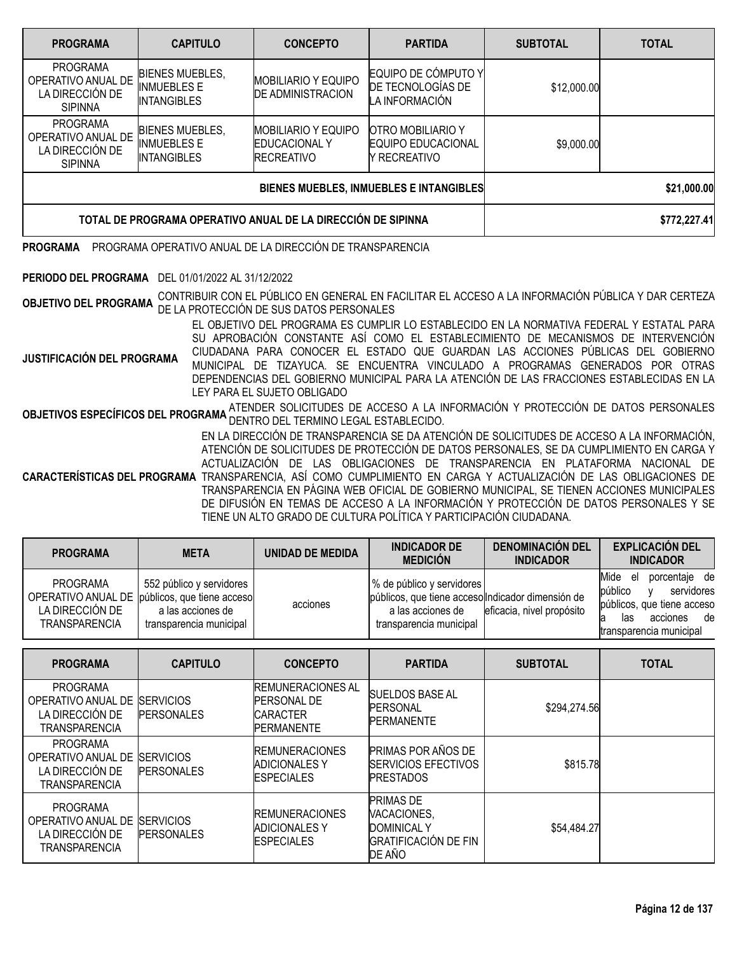| <b>PROGRAMA</b>                                                            | <b>CAPITULO</b>                                                    | <b>CONCEPTO</b>                                                         | <b>PARTIDA</b>                                                             | <b>SUBTOTAL</b> | <b>TOTAL</b> |
|----------------------------------------------------------------------------|--------------------------------------------------------------------|-------------------------------------------------------------------------|----------------------------------------------------------------------------|-----------------|--------------|
| <b>PROGRAMA</b><br>OPERATIVO ANUAL DE<br>LA DIRECCIÓN DE<br><b>SIPINNA</b> | <b>BIENES MUEBLES.</b><br><b>INMUEBLES E</b><br><b>INTANGIBLES</b> | <b>MOBILIARIO Y EQUIPO</b><br><b>DE ADMINISTRACION</b>                  | EQUIPO DE CÓMPUTO Y<br>DE TECNOLOGÍAS DE<br>LA INFORMACIÓN                 | \$12,000.00     |              |
| <b>PROGRAMA</b><br>OPERATIVO ANUAL DE<br>LA DIRECCIÓN DE<br><b>SIPINNA</b> | <b>BIENES MUEBLES,</b><br><b>INMUEBLES E</b><br><b>INTANGIBLES</b> | <b>MOBILIARIO Y EQUIPO</b><br><b>EDUCACIONAL Y</b><br><b>RECREATIVO</b> | <b>OTRO MOBILIARIO Y</b><br><b>EQUIPO EDUCACIONAL</b><br><b>RECREATIVO</b> | \$9,000.00      |              |
|                                                                            |                                                                    | BIENES MUEBLES, INMUEBLES E INTANGIBLES                                 | \$21,000.00                                                                |                 |              |
| TOTAL DE PROGRAMA OPERATIVO ANUAL DE LA DIRECCIÓN DE SIPINNA               |                                                                    |                                                                         |                                                                            |                 | \$772,227.41 |

# **PROGRAMA** PROGRAMA OPERATIVO ANUAL DE LA DIRECCIÓN DE TRANSPARENCIA

# **PERIODO DEL PROGRAMA** DEL 01/01/2022 AL 31/12/2022

**OBJETIVO DEL PROGRAMA** CONTRIBUIR CON EL PÚBLICO EN GENERAL EN FACILITAR EL ACCESO <sup>A</sup> LA INFORMACIÓN PÚBLICA <sup>Y</sup> DAR CERTEZA DE LA PROTECCIÓN DE SUS DATOS PERSONALES

**JUSTIFICACIÓN DEL PROGRAMA** EL OBJETIVO DEL PROGRAMA ES CUMPLIR LO ESTABLECIDO EN LA NORMATIVA FEDERAL Y ESTATAL PARA SU APROBACIÓN CONSTANTE ASÍ COMO EL ESTABLECIMIENTO DE MECANISMOS DE INTERVENCIÓN CIUDADANA PARA CONOCER EL ESTADO QUE GUARDAN LAS ACCIONES PÚBLICAS DEL GOBIERNO MUNICIPAL DE TIZAYUCA. SE ENCUENTRA VINCULADO A PROGRAMAS GENERADOS POR OTRAS DEPENDENCIAS DEL GOBIERNO MUNICIPAL PARA LA ATENCIÓN DE LAS FRACCIONES ESTABLECIDAS EN LA LEY PARA EL SUJETO OBLIGADO

OBJETIVOS ESPECÍFICOS DEL PROGRAMA ATENDER SOLICITUDES DE ACCESO A LA INFORMACIÓN Y PROTECCIÓN DE DATOS PERSONALES DENTRO DEL TERMINO LEGAL ESTABLECIDO.

**CARACTERÍSTICAS DEL PROGRAMA** TRANSPARENCIA, ASÍ COMO CUMPLIMIENTO EN CARGA Y ACTUALIZACIÓN DE LAS OBLIGACIONES DE EN LA DIRECCIÓN DE TRANSPARENCIA SE DA ATENCIÓN DE SOLICITUDES DE ACCESO A LA INFORMACIÓN, ATENCIÓN DE SOLICITUDES DE PROTECCIÓN DE DATOS PERSONALES, SE DA CUMPLIMIENTO EN CARGA Y ACTUALIZACIÓN DE LAS OBLIGACIONES DE TRANSPARENCIA EN PLATAFORMA NACIONAL DE TRANSPARENCIA EN PÁGINA WEB OFICIAL DE GOBIERNO MUNICIPAL, SE TIENEN ACCIONES MUNICIPALES DE DIFUSIÓN EN TEMAS DE ACCESO A LA INFORMACIÓN Y PROTECCIÓN DE DATOS PERSONALES Y SE TIENE UN ALTO GRADO DE CULTURA POLÍTICA Y PARTICIPACIÓN CIUDADANA.

| <b>PROGRAMA</b>                                            | <b>META</b>                                                                                                                 | UNIDAD DE MEDIDA | <b>INDICADOR DE</b><br><b>MEDICIÓN</b>                                                                                         | <b>DENOMINACIÓN DEL</b><br><b>INDICADOR</b> | <b>EXPLICACIÓN DEL</b><br><b>INDICADOR</b>                                                                                             |
|------------------------------------------------------------|-----------------------------------------------------------------------------------------------------------------------------|------------------|--------------------------------------------------------------------------------------------------------------------------------|---------------------------------------------|----------------------------------------------------------------------------------------------------------------------------------------|
| <b>PROGRAMA</b><br>LA DIRECCIÓN DE<br><b>TRANSPARENCIA</b> | 552 público y servidores  <br>OPERATIVO ANUAL DE públicos, que tiene acceso<br>a las acciones de<br>transparencia municipal | acciones         | % de público y servidores<br>públicos, que tiene accesolIndicador dimensión de<br>a las acciones de<br>transparencia municipal | eficacia, nivel propósito                   | Mide<br>porcentaje de<br>el<br>público<br>servidores<br>públicos, que tiene acceso<br>de<br>acciones<br>las<br>transparencia municipal |

| <b>PROGRAMA</b>                                                           | <b>CAPITULO</b>                       | <b>CONCEPTO</b>                                                                        | <b>PARTIDA</b>                                                                                 | <b>SUBTOTAL</b> | <b>TOTAL</b> |
|---------------------------------------------------------------------------|---------------------------------------|----------------------------------------------------------------------------------------|------------------------------------------------------------------------------------------------|-----------------|--------------|
| <b>PROGRAMA</b><br>OPERATIVO ANUAL DE<br>LA DIRECCIÓN DE<br>TRANSPARENCIA | <b>SERVICIOS</b><br><b>PERSONALES</b> | <b>REMUNERACIONES AL</b><br><b>PERSONAL DE</b><br><b>CARACTER</b><br><b>PERMANENTE</b> | <b>SUELDOS BASE AL</b><br><b>PERSONAL</b><br><b>PERMANENTE</b>                                 | \$294,274.56    |              |
| <b>PROGRAMA</b><br>OPERATIVO ANUAL DE<br>LA DIRECCIÓN DE<br>TRANSPARENCIA | <b>SERVICIOS</b><br><b>PERSONALES</b> | <b>IREMUNERACIONES</b><br><b>ADICIONALES Y</b><br><b>ESPECIALES</b>                    | <b>PRIMAS POR AÑOS DE</b><br><b>SERVICIOS EFECTIVOS</b><br><b>PRESTADOS</b>                    | \$815.78        |              |
| PROGRAMA<br>OPERATIVO ANUAL DE<br>LA DIRECCIÓN DE<br>TRANSPARENCIA        | <b>SERVICIOS</b><br><b>PERSONALES</b> | <b>IREMUNERACIONES</b><br>ADICIONALES Y<br><b>ESPECIALES</b>                           | <b>PRIMAS DE</b><br>VACACIONES,<br>DOMINICAL Y<br><b>GRATIFICACIÓN DE FIN</b><br><b>DE AÑO</b> | \$54,484.27     |              |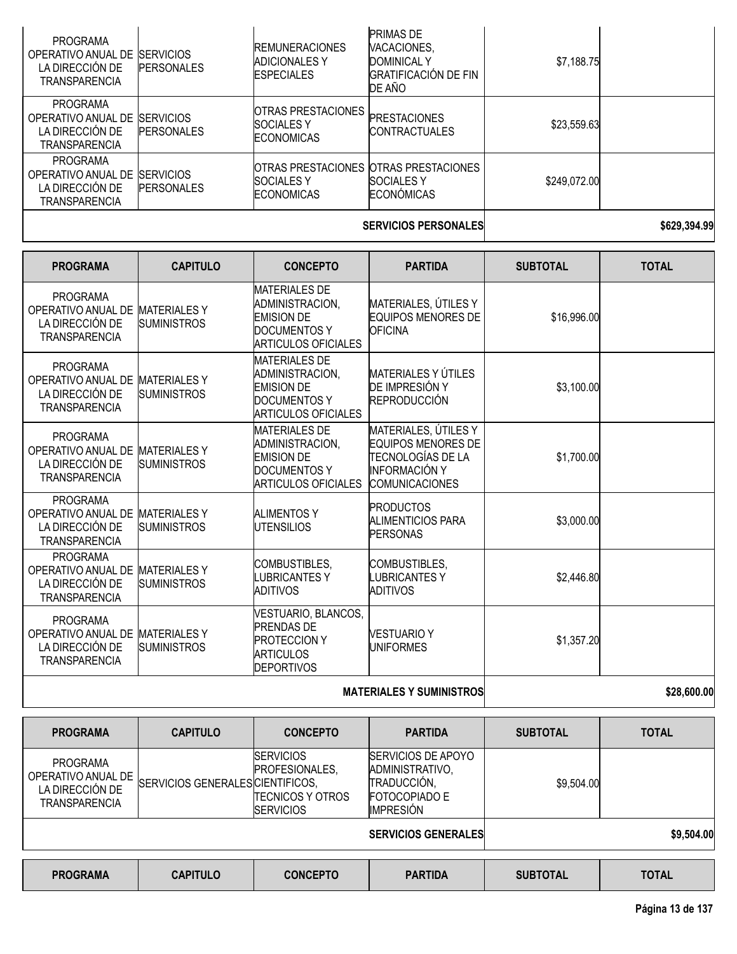|                                                                                            |                   |                                                                    | <b>SERVICIOS PERSONALES</b>                                                                    |              | \$629,394.99 |
|--------------------------------------------------------------------------------------------|-------------------|--------------------------------------------------------------------|------------------------------------------------------------------------------------------------|--------------|--------------|
| <b>PROGRAMA</b><br>OPERATIVO ANUAL DE SERVICIOS<br>LA DIRECCIÓN DE<br><b>TRANSPARENCIA</b> | <b>PERSONALES</b> | <b>SOCIALES Y</b><br><b>ECONOMICAS</b>                             | OTRAS PRESTACIONES OTRAS PRESTACIONES<br><b>SOCIALES Y</b><br><b>ECONÓMICAS</b>                | \$249,072.00 |              |
| <b>PROGRAMA</b><br>OPERATIVO ANUAL DE SERVICIOS<br>LA DIRECCIÓN DE<br><b>TRANSPARENCIA</b> | <b>PERSONALES</b> | OTRAS PRESTACIONES<br><b>SOCIALES Y</b><br><b>ECONOMICAS</b>       | <b>PRESTACIONES</b><br><b>ICONTRACTUALES</b>                                                   | \$23,559.63  |              |
| PROGRAMA<br>OPERATIVO ANUAL DE SERVICIOS<br>LA DIRECCIÓN DE<br><b>TRANSPARENCIA</b>        | <b>PERSONALES</b> | <b>REMUNERACIONES</b><br><b>ADICIONALES Y</b><br><b>ESPECIALES</b> | <b>PRIMAS DE</b><br>VACACIONES.<br><b>DOMINICAL Y</b><br><b>GRATIFICACIÓN DE FIN</b><br>DE AÑO | \$7,188.75   |              |

| <b>PROGRAMA</b>                                                                               | <b>CAPITULO</b>                           | <b>CONCEPTO</b>                                                                                                   | <b>PARTIDA</b>                                                                                                                 | <b>SUBTOTAL</b> | <b>TOTAL</b> |
|-----------------------------------------------------------------------------------------------|-------------------------------------------|-------------------------------------------------------------------------------------------------------------------|--------------------------------------------------------------------------------------------------------------------------------|-----------------|--------------|
| <b>PROGRAMA</b><br>OPERATIVO ANUAL DE<br>LA DIRECCIÓN DE<br><b>TRANSPARENCIA</b>              | <b>MATERIALES Y</b><br><b>SUMINISTROS</b> | <b>MATERIALES DE</b><br>ADMINISTRACION,<br><b>EMISION DE</b><br><b>DOCUMENTOS Y</b><br><b>ARTICULOS OFICIALES</b> | MATERIALES, ÚTILES Y<br><b>EQUIPOS MENORES DE</b><br><b>OFICINA</b>                                                            | \$16,996.00     |              |
| <b>PROGRAMA</b><br>OPERATIVO ANUAL DE<br>LA DIRECCIÓN DE<br><b>TRANSPARENCIA</b>              | <b>MATERIALES Y</b><br><b>SUMINISTROS</b> | <b>MATERIALES DE</b><br>ADMINISTRACION,<br><b>EMISION DE</b><br>DOCUMENTOS Y<br><b>ARTICULOS OFICIALES</b>        | <b>MATERIALES Y ÚTILES</b><br>DE IMPRESIÓN Y<br><b>REPRODUCCIÓN</b>                                                            | \$3,100.00      |              |
| <b>PROGRAMA</b><br>OPERATIVO ANUAL DE MATERIALES Y<br>LA DIRECCIÓN DE<br><b>TRANSPARENCIA</b> | <b>SUMINISTROS</b>                        | <b>MATERIALES DE</b><br>ADMINISTRACION,<br><b>EMISION DE</b><br><b>DOCUMENTOS Y</b><br><b>ARTICULOS OFICIALES</b> | MATERIALES, ÚTILES Y<br><b>EQUIPOS MENORES DE</b><br><b>TECNOLOGÍAS DE LA</b><br><b>INFORMACIÓN Y</b><br><b>COMUNICACIONES</b> | \$1,700.00      |              |
| <b>PROGRAMA</b><br>OPERATIVO ANUAL DE<br>LA DIRECCIÓN DE<br><b>TRANSPARENCIA</b>              | <b>MATERIALESY</b><br><b>SUMINISTROS</b>  | <b>ALIMENTOS Y</b><br><b>UTENSILIOS</b>                                                                           | <b>PRODUCTOS</b><br><b>ALIMENTICIOS PARA</b><br><b>PERSONAS</b>                                                                | \$3,000.00      |              |
| <b>PROGRAMA</b><br>OPERATIVO ANUAL DE MATERIALES Y<br>LA DIRECCIÓN DE<br><b>TRANSPARENCIA</b> | <b>SUMINISTROS</b>                        | COMBUSTIBLES,<br><b>LUBRICANTESY</b><br><b>ADITIVOS</b>                                                           | <b>COMBUSTIBLES,</b><br><b>LUBRICANTESY</b><br><b>ADITIVOS</b>                                                                 | \$2,446.80      |              |
| <b>PROGRAMA</b><br>OPERATIVO ANUAL DE<br>LA DIRECCIÓN DE<br><b>TRANSPARENCIA</b>              | <b>MATERIALESY</b><br><b>SUMINISTROS</b>  | VESTUARIO, BLANCOS,<br><b>PRENDAS DE</b><br><b>PROTECCION Y</b><br><b>ARTICULOS</b><br><b>DEPORTIVOS</b>          | <b>VESTUARIO Y</b><br><b>UNIFORMES</b>                                                                                         | \$1,357.20      |              |
|                                                                                               |                                           |                                                                                                                   | \$28,600.00                                                                                                                    |                 |              |

|  | <b>MATERIALES Y SUMINISTROS</b> |  |
|--|---------------------------------|--|
|  |                                 |  |

| <b>PROGRAMA</b>                                                           | <b>CAPITULO</b>                  | <b>CONCEPTO</b>                                                             | <b>PARTIDA</b>                                                                                          | <b>SUBTOTAL</b> | <b>TOTAL</b> |
|---------------------------------------------------------------------------|----------------------------------|-----------------------------------------------------------------------------|---------------------------------------------------------------------------------------------------------|-----------------|--------------|
| <b>PROGRAMA</b><br>OPERATIVO ANUAL DE<br>LA DIRECCIÓN DE<br>TRANSPARENCIA | SERVICIOS GENERALES CIENTIFICOS, | <b>SERVICIOS</b><br>PROFESIONALES,<br>TECNICOS Y OTROS<br><b>ISERVICIOS</b> | <b>SERVICIOS DE APOYO</b><br>ADMINISTRATIVO,<br>TRADUCCIÓN,<br><b>FOTOCOPIADO E</b><br><b>IMPRESIÓN</b> | \$9,504.00      |              |
|                                                                           |                                  |                                                                             | <b>SERVICIOS GENERALES</b>                                                                              |                 | \$9,504.00   |
| <b>PROGRAMA</b>                                                           | <b>CAPITULO</b>                  | <b>CONCEPTO</b>                                                             | <b>PARTIDA</b>                                                                                          | <b>SUBTOTAL</b> | <b>TOTAL</b> |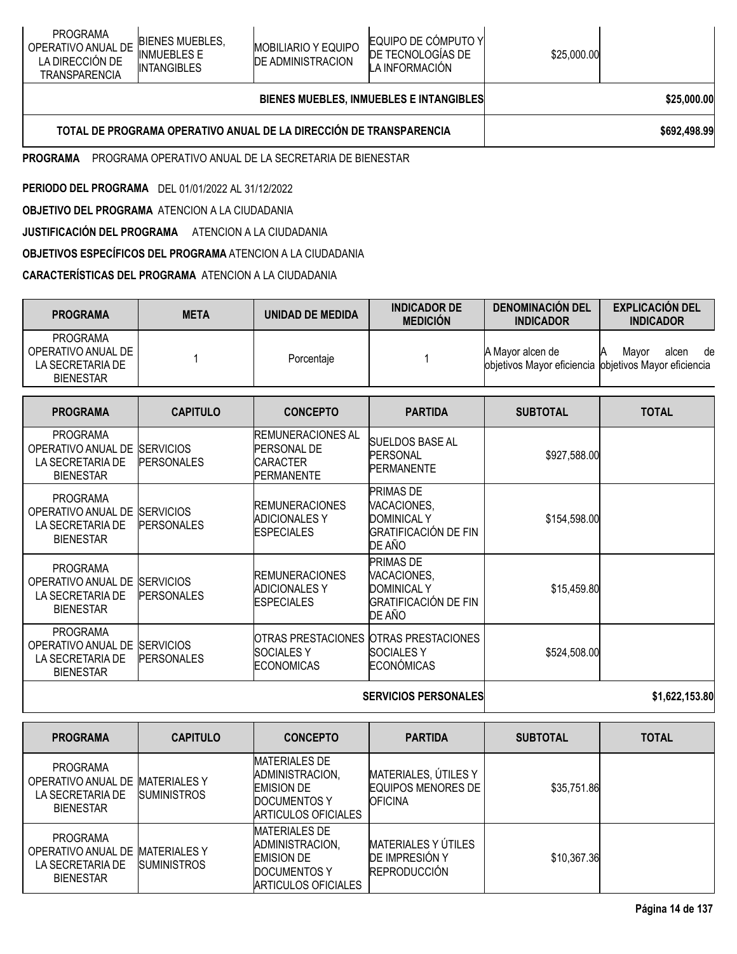| <b>PROGRAMA</b><br><b>BIENES MUEBLES.</b><br>OPERATIVO ANUAL DE<br><b>INMUEBLES E</b><br>LA DIRECCIÓN DE<br><b>INTANGIBLES</b><br>TRANSPARENCIA | <b>MOBILIARIO Y EQUIPO</b><br><b>DE ADMINISTRACION</b> | <b>IEQUIPO DE COMPUTO YI</b><br>DE TECNOLOGIAS DE<br>LA INFORMACION | \$25,000.00 |  |
|-------------------------------------------------------------------------------------------------------------------------------------------------|--------------------------------------------------------|---------------------------------------------------------------------|-------------|--|
|-------------------------------------------------------------------------------------------------------------------------------------------------|--------------------------------------------------------|---------------------------------------------------------------------|-------------|--|

# **BIENES MUEBLES, INMUEBLES E INTANGIBLES \$25,000.00**

### **TOTAL DE PROGRAMA OPERATIVO ANUAL DE LA DIRECCIÓN DE TRANSPARENCIA \$692,498.99**

**PROGRAMA** PROGRAMA OPERATIVO ANUAL DE LA SECRETARIA DE BIENESTAR

**PERIODO DEL PROGRAMA** DEL 01/01/2022 AL 31/12/2022

**OBJETIVO DEL PROGRAMA** ATENCION A LA CIUDADANIA

**JUSTIFICACIÓN DEL PROGRAMA** ATENCION A LA CIUDADANIA

**OBJETIVOS ESPECÍFICOS DEL PROGRAMA** ATENCION A LA CIUDADANIA

# **CARACTERÍSTICAS DEL PROGRAMA** ATENCION A LA CIUDADANIA

| <b>PROGRAMA</b>                                                               | <b>META</b>                           | <b>UNIDAD DE MEDIDA</b>                                                                | <b>INDICADOR DE</b><br><b>MEDICIÓN</b>                                                  | <b>DENOMINACIÓN DEL</b><br><b>INDICADOR</b>                               | <b>EXPLICACIÓN DEL</b><br><b>INDICADOR</b> |
|-------------------------------------------------------------------------------|---------------------------------------|----------------------------------------------------------------------------------------|-----------------------------------------------------------------------------------------|---------------------------------------------------------------------------|--------------------------------------------|
| <b>PROGRAMA</b><br>OPERATIVO ANUAL DE<br>LA SECRETARIA DE<br><b>BIENESTAR</b> |                                       | Porcentaje                                                                             |                                                                                         | A Mayor alcen de<br>objetivos Mayor eficiencia objetivos Mayor eficiencia | Mayor<br>alcen<br>de                       |
| <b>PROGRAMA</b>                                                               | <b>CAPITULO</b>                       | <b>CONCEPTO</b>                                                                        | <b>PARTIDA</b>                                                                          | <b>SUBTOTAL</b>                                                           | <b>TOTAL</b>                               |
| <b>PROGRAMA</b><br>OPERATIVO ANUAL DE<br>LA SECRETARIA DE<br><b>BIENESTAR</b> | <b>SERVICIOS</b><br><b>PERSONALES</b> | <b>REMUNERACIONES AL</b><br><b>PERSONAL DE</b><br><b>CARACTER</b><br><b>PERMANENTE</b> | <b>SUELDOS BASE AL</b><br><b>PERSONAL</b><br>PERMANENTE                                 | \$927,588.00                                                              |                                            |
| <b>PROGRAMA</b><br>OPERATIVO ANUAL DE<br>LA SECRETARIA DE<br><b>BIENESTAR</b> | <b>SERVICIOS</b><br><b>PERSONALES</b> | <b>REMUNERACIONES</b><br><b>ADICIONALES Y</b><br>IESPECIALES                           | PRIMAS DE<br>VACACIONES,<br><b>DOMINICAL Y</b><br><b>GRATIFICACIÓN DE FIN</b><br>DE AÑO | \$154,598.00                                                              |                                            |
| <b>PROGRAMA</b><br>OPERATIVO ANUAL DE<br>LA SECRETARIA DE<br><b>BIENESTAR</b> | <b>SERVICIOS</b><br><b>PERSONALES</b> | <b>REMUNERACIONES</b><br><b>ADICIONALES Y</b><br><b>ESPECIALES</b>                     | PRIMAS DE<br>VACACIONES,<br><b>DOMINICAL Y</b><br><b>GRATIFICACIÓN DE FIN</b><br>DE AÑO | \$15,459.80                                                               |                                            |
| <b>PROGRAMA</b><br>OPERATIVO ANUAL DE<br>LA SECRETARIA DE<br><b>BIENESTAR</b> | <b>SERVICIOS</b><br><b>PERSONALES</b> | OTRAS PRESTACIONES OTRAS PRESTACIONES<br><b>SOCIALESY</b><br><b>ECONOMICAS</b>         | <b>SOCIALES Y</b><br><b>ECONÓMICAS</b>                                                  | \$524,508.00                                                              |                                            |
|                                                                               |                                       | <b>SERVICIOS PERSONALES</b>                                                            | \$1,622,153.80                                                                          |                                                                           |                                            |

| <b>PROGRAMA</b>                                                                            | <b>CAPITULO</b>                           | <b>CONCEPTO</b>                                                                                            | <b>PARTIDA</b>                                                             | <b>SUBTOTAL</b> | <b>TOTAL</b> |
|--------------------------------------------------------------------------------------------|-------------------------------------------|------------------------------------------------------------------------------------------------------------|----------------------------------------------------------------------------|-----------------|--------------|
| <b>PROGRAMA</b><br>OPERATIVO ANUAL DE MATERIALES Y<br>LA SECRETARIA DE<br><b>BIENESTAR</b> | <b>SUMINISTROS</b>                        | <b>MATERIALES DE</b><br>ADMINISTRACION,<br><b>EMISION DE</b><br><b>DOCUMENTOS Y</b><br>ARTICULOS OFICIALES | MATERIALES, ÚTILES Y<br>EQUIPOS MENORES DE<br><b>OFICINA</b>               | \$35,751.86     |              |
| <b>PROGRAMA</b><br>OPERATIVO ANUAL DE<br>LA SECRETARIA DE<br><b>BIENESTAR</b>              | <b>MATERIALES Y</b><br><b>SUMINISTROS</b> | <b>MATERIALES DE</b><br>ADMINISTRACION,<br><b>EMISION DE</b><br>DOCUMENTOS Y<br>ARTICULOS OFICIALES        | <b>MATERIALES Y ÚTILES</b><br><b>DE IMPRESIÓN Y</b><br><b>REPRODUCCIÓN</b> | \$10,367.36     |              |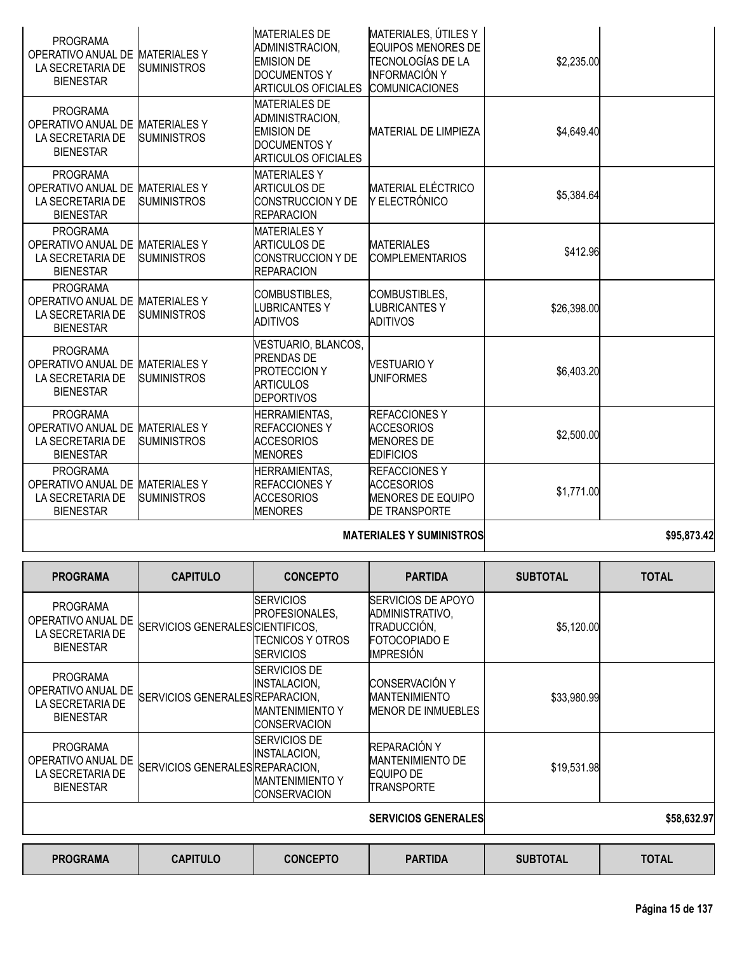| <b>PROGRAMA</b><br>OPERATIVO ANUAL DE                                                      | <b>MATERIALESY</b>                        | <b>MATERIALES DE</b><br>ADMINISTRACION,<br><b>EMISION DE</b>                                                      | MATERIALES, ÚTILES Y<br><b>EQUIPOS MENORES DE</b><br>TECNOLOGÍAS DE LA                       | \$2,235.00  |             |
|--------------------------------------------------------------------------------------------|-------------------------------------------|-------------------------------------------------------------------------------------------------------------------|----------------------------------------------------------------------------------------------|-------------|-------------|
| LA SECRETARIA DE<br><b>BIENESTAR</b>                                                       | <b>SUMINISTROS</b>                        | <b>DOCUMENTOS Y</b><br><b>ARTICULOS OFICIALES</b>                                                                 | INFORMACIÓN Y<br><b>COMUNICACIONES</b>                                                       |             |             |
| <b>PROGRAMA</b><br>OPERATIVO ANUAL DE<br>LA SECRETARIA DE<br><b>BIENESTAR</b>              | <b>MATERIALES Y</b><br><b>SUMINISTROS</b> | <b>MATERIALES DE</b><br>ADMINISTRACION,<br><b>EMISION DE</b><br><b>DOCUMENTOS Y</b><br><b>ARTICULOS OFICIALES</b> | <b>MATERIAL DE LIMPIEZA</b>                                                                  | \$4,649.40  |             |
| <b>PROGRAMA</b><br>OPERATIVO ANUAL DE MATERIALES Y<br>LA SECRETARIA DE<br><b>BIENESTAR</b> | <b>SUMINISTROS</b>                        | <b>MATERIALESY</b><br><b>ARTICULOS DE</b><br><b>CONSTRUCCION Y DE</b><br><b>REPARACION</b>                        | <b>MATERIAL ELÉCTRICO</b><br>Y ELECTRÓNICO                                                   | \$5,384.64  |             |
| <b>PROGRAMA</b><br>OPERATIVO ANUAL DE MATERIALES Y<br>LA SECRETARIA DE<br><b>BIENESTAR</b> | <b>SUMINISTROS</b>                        | <b>MATERIALESY</b><br><b>ARTICULOS DE</b><br><b>CONSTRUCCION Y DE</b><br><b>REPARACION</b>                        | <b>MATERIALES</b><br><b>COMPLEMENTARIOS</b>                                                  | \$412.96    |             |
| <b>PROGRAMA</b><br>OPERATIVO ANUAL DE<br>LA SECRETARIA DE<br><b>BIENESTAR</b>              | <b>MATERIALES Y</b><br><b>SUMINISTROS</b> | COMBUSTIBLES,<br><b>LUBRICANTESY</b><br><b>ADITIVOS</b>                                                           | COMBUSTIBLES,<br><b>LUBRICANTES Y</b><br>ADITIVOS                                            | \$26,398.00 |             |
| <b>PROGRAMA</b><br>OPERATIVO ANUAL DE<br>LA SECRETARIA DE<br><b>BIENESTAR</b>              | <b>MATERIALES Y</b><br><b>SUMINISTROS</b> | VESTUARIO, BLANCOS,<br><b>PRENDAS DE</b><br><b>PROTECCION Y</b><br><b>ARTICULOS</b><br><b>DEPORTIVOS</b>          | <b>VESTUARIO Y</b><br><b>UNIFORMES</b>                                                       | \$6,403.20  |             |
| <b>PROGRAMA</b><br>OPERATIVO ANUAL DE<br>LA SECRETARIA DE<br><b>BIENESTAR</b>              | <b>MATERIALES Y</b><br><b>SUMINISTROS</b> | <b>HERRAMIENTAS,</b><br><b>REFACCIONESY</b><br><b>ACCESORIOS</b><br><b>MENORES</b>                                | <b>REFACCIONESY</b><br><b>ACCESORIOS</b><br><b>MENORES DE</b><br><b>EDIFICIOS</b>            | \$2,500.00  |             |
| <b>PROGRAMA</b><br>OPERATIVO ANUAL DE MATERIALES Y<br>LA SECRETARIA DE<br><b>BIENESTAR</b> | <b>SUMINISTROS</b>                        | <b>HERRAMIENTAS,</b><br><b>REFACCIONES Y</b><br><b>ACCESORIOS</b><br><b>MENORES</b>                               | <b>REFACCIONESY</b><br><b>ACCESORIOS</b><br><b>MENORES DE EQUIPO</b><br><b>DE TRANSPORTE</b> | \$1,771.00  |             |
|                                                                                            |                                           |                                                                                                                   | <b>MATERIALES Y SUMINISTROS</b>                                                              |             | \$95,873.42 |

|  | <b>MATERIALES Y SUMINISTROSI</b> |
|--|----------------------------------|

| <b>PROGRAMA</b>                                                               | <b>CAPITULO</b>                  | <b>CONCEPTO</b>                                                                              | <b>PARTIDA</b>                                                                                    | <b>SUBTOTAL</b> | <b>TOTAL</b> |
|-------------------------------------------------------------------------------|----------------------------------|----------------------------------------------------------------------------------------------|---------------------------------------------------------------------------------------------------|-----------------|--------------|
| <b>PROGRAMA</b><br>OPERATIVO ANUAL DE<br>LA SECRETARIA DE<br><b>BIENESTAR</b> | SERVICIOS GENERALES CIENTIFICOS, | <b>ISERVICIOS</b><br>PROFESIONALES,<br>ITECNICOS Y OTROS<br><b>ISERVICIOS</b>                | <b>ISERVICIOS DE APOYO</b><br>ADMINISTRATIVO,<br>TRADUCCIÓN,<br><b>FOTOCOPIADO E</b><br>IMPRESIÓN | \$5,120.00      |              |
| <b>PROGRAMA</b><br>OPERATIVO ANUAL DE<br>LA SECRETARIA DE<br><b>BIENESTAR</b> | SERVICIOS GENERALES REPARACION,  | <b>SERVICIOS DE</b><br>INSTALACION.<br><b>MANTENIMIENTO Y</b><br><b>CONSERVACION</b>         | <b>CONSERVACIÓN Y</b><br><b>MANTENIMIENTO</b><br><b>MENOR DE INMUEBLES</b>                        | \$33,980.99     |              |
| <b>PROGRAMA</b><br>OPERATIVO ANUAL DE<br>LA SECRETARIA DE<br><b>BIENESTAR</b> | SERVICIOS GENERALES REPARACION,  | <b>ISERVICIOS DE</b><br><b>INSTALACION,</b><br><b>MANTENIMIENTO Y</b><br><b>CONSERVACION</b> | REPARACIÓN Y<br>MANTENIMIENTO DE<br><b>EQUIPO DE</b><br>TRANSPORTE                                | \$19,531.98     |              |
|                                                                               |                                  |                                                                                              | <b>SERVICIOS GENERALES</b>                                                                        |                 | \$58,632.97  |
| <b>PROGRAMA</b>                                                               | <b>CAPITULO</b>                  | <b>CONCEPTO</b>                                                                              | <b>PARTIDA</b>                                                                                    | <b>SUBTOTAL</b> | <b>TOTAL</b> |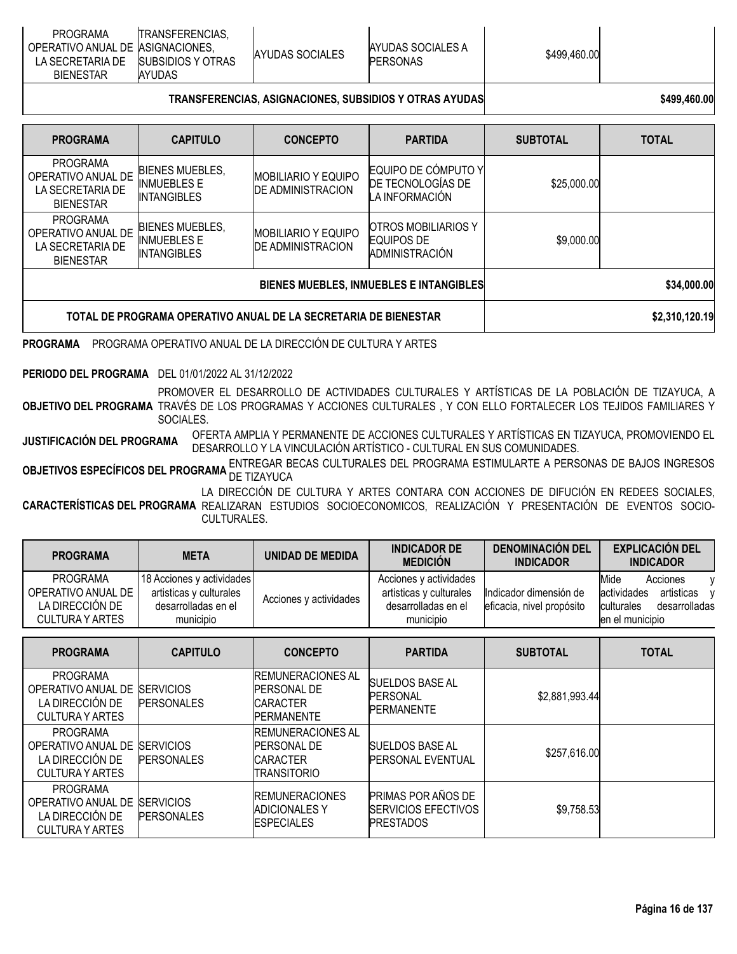| <b>PROGRAMA</b>                  | <b>TRANSFERENCIAS.</b>    |                 |                   |              |  |
|----------------------------------|---------------------------|-----------------|-------------------|--------------|--|
| OPERATIVO ANUAL DE ASIGNACIONES. |                           | AYUDAS SOCIALES | AYUDAS SOCIALES A | \$499,460.00 |  |
| LA SECRETARIA DE                 | <b>ISUBSIDIOS Y OTRAS</b> |                 | <b>PERSONAS</b>   |              |  |
| <b>BIENESTAR</b>                 | <b>AYUDAS</b>             |                 |                   |              |  |

# **TRANSFERENCIAS, ASIGNACIONES, SUBSIDIOS Y OTRAS AYUDAS \$499,460.00**

| <b>PROGRAMA</b>                                                               | <b>CAPITULO</b>                                                    | <b>CONCEPTO</b>                                        | <b>PARTIDA</b>                                             | <b>SUBTOTAL</b> | <b>TOTAL</b>   |
|-------------------------------------------------------------------------------|--------------------------------------------------------------------|--------------------------------------------------------|------------------------------------------------------------|-----------------|----------------|
| <b>PROGRAMA</b><br>OPERATIVO ANUAL DE<br>LA SECRETARIA DE<br><b>BIENESTAR</b> | <b>BIENES MUEBLES,</b><br><b>INMUEBLES E</b><br><b>INTANGIBLES</b> | <b>MOBILIARIO Y EQUIPO</b><br><b>DE ADMINISTRACION</b> | EQUIPO DE CÓMPUTO Y<br>DE TECNOLOGÍAS DE<br>LA INFORMACIÓN | \$25,000.00     |                |
| <b>PROGRAMA</b><br>OPERATIVO ANUAL DE<br>LA SECRETARIA DE<br><b>BIENESTAR</b> | <b>BIENES MUEBLES,</b><br><b>INMUEBLES E</b><br><b>INTANGIBLES</b> | <b>MOBILIARIO Y EQUIPO</b><br><b>DE ADMINISTRACION</b> | OTROS MOBILIARIOS Y<br>EQUIPOS DE<br>ADMINISTRACIÓN        | \$9,000.00      |                |
| BIENES MUEBLES, INMUEBLES E INTANGIBLES                                       |                                                                    |                                                        |                                                            |                 | \$34,000.00    |
| TOTAL DE PROGRAMA OPERATIVO ANUAL DE LA SECRETARIA DE BIENESTAR               |                                                                    |                                                        |                                                            |                 | \$2,310,120.19 |

**PROGRAMA** PROGRAMA OPERATIVO ANUAL DE LA DIRECCIÓN DE CULTURA Y ARTES

**PERIODO DEL PROGRAMA** DEL 01/01/2022 AL 31/12/2022

**OBJETIVO DEL PROGRAMA** TRAVÉS DE LOS PROGRAMAS Y ACCIONES CULTURALES , Y CON ELLO FORTALECER LOS TEJIDOS FAMILIARES Y PROMOVER EL DESARROLLO DE ACTIVIDADES CULTURALES Y ARTÍSTICAS DE LA POBLACIÓN DE TIZAYUCA, A SOCIALES.

**JUSTIFICACIÓN DEL PROGRAMA** OFERTA AMPLIA <sup>Y</sup> PERMANENTE DE ACCIONES CULTURALES <sup>Y</sup> ARTÍSTICAS EN TIZAYUCA, PROMOVIENDO EL DESARROLLO Y LA VINCULACIÓN ARTÍSTICO - CULTURAL EN SUS COMUNIDADES.

**OBJETIVOS ESPECÍFICOS DEL PROGRAMA <sup>ENTRE</sup>GAR BECAS CULTURALES DEL PROGRAMA ESTIMULARTE A PERSONAS DE BAJOS INGRESOS<br>.** 

**CARACTERÍSTICAS DEL PROGRAMA** REALIZARAN ESTUDIOS SOCIOECONOMICOS, REALIZACIÓN Y PRESENTACIÓN DE EVENTOS SOCIO-LA DIRECCIÓN DE CULTURA Y ARTES CONTARA CON ACCIONES DE DIFUCIÓN EN REDEES SOCIALES, CULTURALES.

| <b>PROGRAMA</b>                                                      | <b>META</b>                                                                              | UNIDAD DE MEDIDA       | <b>INDICADOR DE</b><br><b>MEDICIÓN</b>                                                | <b>DENOMINACIÓN DEL</b><br><b>INDICADOR</b>         | <b>EXPLICACIÓN DEL</b><br><b>INDICADOR</b>                                                                           |
|----------------------------------------------------------------------|------------------------------------------------------------------------------------------|------------------------|---------------------------------------------------------------------------------------|-----------------------------------------------------|----------------------------------------------------------------------------------------------------------------------|
| PROGRAMA<br>OPERATIVO ANUAL DE<br>LA DIRECCIÓN DE<br>CULTURA Y ARTES | 18 Acciones y actividades<br>artisticas y culturales<br>desarrolladas en el<br>municipio | Acciones y actividades | Acciones y actividades<br>artisticas y culturales<br>desarrolladas en el<br>municipio | Indicador dimensión de<br>eficacia, nivel propósito | Mide<br>Acciones<br>v<br>actividades<br>artisticas<br>$\mathbf{v}$<br>desarrolladas<br>culturales<br>en el municipio |

| <b>PROGRAMA</b>                                                                    | <b>CAPITULO</b>                        | <b>CONCEPTO</b>                                                                         | <b>PARTIDA</b>                                                              | <b>SUBTOTAL</b> | <b>TOTAL</b> |
|------------------------------------------------------------------------------------|----------------------------------------|-----------------------------------------------------------------------------------------|-----------------------------------------------------------------------------|-----------------|--------------|
| <b>PROGRAMA</b><br>OPERATIVO ANUAL DE<br>LA DIRECCIÓN DE<br><b>CULTURA Y ARTES</b> | <b>SERVICIOS</b><br><b>PERSONALES</b>  | <b>IREMUNERACIONES AL</b><br><b>PERSONAL DE</b><br><b>CARACTER</b><br><b>PERMANENTE</b> | <b>SUELDOS BASE AL</b><br><b>PERSONAL</b><br><b>PERMANENTE</b>              | \$2,881,993.44  |              |
| <b>PROGRAMA</b><br>OPERATIVO ANUAL DE<br>LA DIRECCIÓN DE<br><b>CULTURA Y ARTES</b> | <b>ISERVICIOS</b><br><b>PERSONALES</b> | <b>REMUNERACIONES AL</b><br><b>PERSONAL DE</b><br><b>CARACTER</b><br>TRANSITORIO        | <b>SUELDOS BASE AL</b><br><b>PERSONAL EVENTUAL</b>                          | \$257,616.00    |              |
| <b>PROGRAMA</b><br>OPERATIVO ANUAL DE<br>LA DIRECCIÓN DE<br><b>CULTURA Y ARTES</b> | <b>SERVICIOS</b><br><b>PERSONALES</b>  | <b>REMUNERACIONES</b><br><b>ADICIONALES Y</b><br><b>ESPECIALES</b>                      | <b>PRIMAS POR AÑOS DE</b><br><b>SERVICIOS EFECTIVOS</b><br><b>PRESTADOS</b> | \$9,758.53      |              |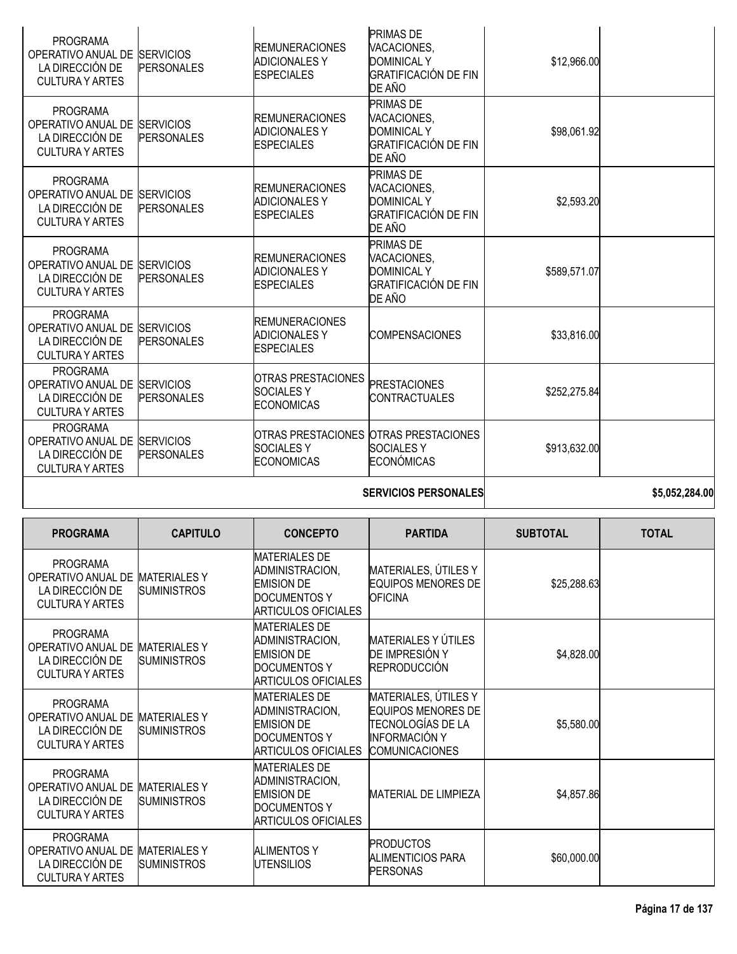| OPERATIVO ANUAL DE<br>LA DIRECCIÓN DE<br><b>CULTURA Y ARTES</b>                                                 | <b>SERVICIOS</b><br><b>PERSONALES</b> | OTRAS PRESTACIONES OTRAS PRESTACIONES<br><b>SOCIALES Y</b><br><b>ECONOMICAS</b> | <b>SOCIALESY</b><br><b>ECONÓMICAS</b>                                                          | \$913,632.00 |  |
|-----------------------------------------------------------------------------------------------------------------|---------------------------------------|---------------------------------------------------------------------------------|------------------------------------------------------------------------------------------------|--------------|--|
| <b>PROGRAMA</b><br>OPERATIVO ANUAL DE SERVICIOS<br>LA DIRECCIÓN DE<br><b>CULTURA Y ARTES</b><br><b>PROGRAMA</b> | <b>PERSONALES</b>                     | <b>OTRAS PRESTACIONES</b><br><b>SOCIALESY</b><br><b>ECONOMICAS</b>              | <b>PRESTACIONES</b><br>CONTRACTUALES                                                           | \$252,275.84 |  |
| <b>PROGRAMA</b><br>OPERATIVO ANUAL DE<br>LA DIRECCIÓN DE<br><b>CULTURA Y ARTES</b>                              | <b>SERVICIOS</b><br><b>PERSONALES</b> | <b>REMUNERACIONES</b><br><b>ADICIONALES Y</b><br><b>ESPECIALES</b>              | <b>COMPENSACIONES</b>                                                                          | \$33,816.00  |  |
| <b>PROGRAMA</b><br>OPERATIVO ANUAL DE SERVICIOS<br>LA DIRECCIÓN DE<br><b>CULTURA Y ARTES</b>                    | <b>PERSONALES</b>                     | <b>REMUNERACIONES</b><br><b>ADICIONALES Y</b><br><b>ESPECIALES</b>              | <b>PRIMAS DE</b><br>VACACIONES,<br><b>DOMINICAL Y</b><br><b>GRATIFICACIÓN DE FIN</b><br>DE AÑO | \$589,571.07 |  |
| <b>PROGRAMA</b><br>OPERATIVO ANUAL DE SERVICIOS<br>LA DIRECCIÓN DE<br><b>CULTURA Y ARTES</b>                    | <b>PERSONALES</b>                     | <b>REMUNERACIONES</b><br><b>ADICIONALES Y</b><br><b>ESPECIALES</b>              | <b>PRIMAS DE</b><br>VACACIONES,<br><b>DOMINICAL Y</b><br><b>GRATIFICACIÓN DE FIN</b><br>DE AÑO | \$2,593.20   |  |
| <b>PROGRAMA</b><br>OPERATIVO ANUAL DE<br>LA DIRECCIÓN DE<br><b>CULTURA Y ARTES</b>                              | <b>SERVICIOS</b><br><b>PERSONALES</b> | <b>REMUNERACIONES</b><br><b>ADICIONALES Y</b><br><b>ESPECIALES</b>              | <b>PRIMAS DE</b><br>VACACIONES,<br><b>DOMINICAL Y</b><br><b>GRATIFICACIÓN DE FIN</b><br>DE AÑO | \$98,061.92  |  |
| <b>PROGRAMA</b><br>OPERATIVO ANUAL DE<br>LA DIRECCIÓN DE<br><b>CULTURA Y ARTES</b>                              | <b>SERVICIOS</b><br><b>PERSONALES</b> | <b>REMUNERACIONES</b><br><b>ADICIONALES Y</b><br><b>ESPECIALES</b>              | <b>PRIMAS DE</b><br>VACACIONES,<br><b>DOMINICAL Y</b><br><b>GRATIFICACIÓN DE FIN</b><br>DE AÑO | \$12,966.00  |  |

| <b>SERVICIOS PERSONALE</b> |
|----------------------------|
|                            |

| <b>PROGRAMA</b>                                                                    | <b>CAPITULO</b>                           | <b>CONCEPTO</b>                                                                                            | <b>PARTIDA</b>                                                                                                          | <b>SUBTOTAL</b> | <b>TOTAL</b> |
|------------------------------------------------------------------------------------|-------------------------------------------|------------------------------------------------------------------------------------------------------------|-------------------------------------------------------------------------------------------------------------------------|-----------------|--------------|
| <b>PROGRAMA</b><br>OPERATIVO ANUAL DE<br>LA DIRECCIÓN DE<br><b>CULTURA Y ARTES</b> | <b>MATERIALESY</b><br><b>SUMINISTROS</b>  | <b>MATERIALES DE</b><br>ADMINISTRACION,<br><b>EMISION DE</b><br>DOCUMENTOS Y<br>ARTICULOS OFICIALES        | MATERIALES, ÚTILES Y<br><b>EQUIPOS MENORES DE</b><br><b>OFICINA</b>                                                     | \$25,288.63     |              |
| <b>PROGRAMA</b><br>OPERATIVO ANUAL DE<br>LA DIRECCIÓN DE<br><b>CULTURA Y ARTES</b> | <b>MATERIALES Y</b><br><b>SUMINISTROS</b> | <b>MATERIALES DE</b><br>ADMINISTRACION,<br><b>EMISION DE</b><br><b>DOCUMENTOS Y</b><br>ARTICULOS OFICIALES | MATERIALES Y ÚTILES<br>DE IMPRESIÓN Y<br><b>REPRODUCCIÓN</b>                                                            | \$4,828.00      |              |
| PROGRAMA<br>OPERATIVO ANUAL DE<br>LA DIRECCIÓN DE<br><b>CULTURA Y ARTES</b>        | <b>MATERIALESY</b><br><b>SUMINISTROS</b>  | <b>MATERIALES DE</b><br>ADMINISTRACION,<br><b>EMISION DE</b><br><b>DOCUMENTOS Y</b><br>ARTICULOS OFICIALES | MATERIALES, ÚTILES Y<br><b>EQUIPOS MENORES DE</b><br>TECNOLOGÍAS DE LA<br><b>INFORMACIÓN Y</b><br><b>COMUNICACIONES</b> | \$5,580.00      |              |
| <b>PROGRAMA</b><br>OPERATIVO ANUAL DE<br>LA DIRECCIÓN DE<br><b>CULTURA Y ARTES</b> | <b>MATERIALESY</b><br><b>SUMINISTROS</b>  | <b>MATERIALES DE</b><br>ADMINISTRACION,<br><b>EMISION DE</b><br><b>DOCUMENTOS Y</b><br>ARTICULOS OFICIALES | <b>MATERIAL DE LIMPIEZA</b>                                                                                             | \$4,857.86      |              |
| <b>PROGRAMA</b><br>OPERATIVO ANUAL DE<br>LA DIRECCIÓN DE<br><b>CULTURA Y ARTES</b> | <b>MATERIALESY</b><br><b>SUMINISTROS</b>  | <b>ALIMENTOS Y</b><br><b>UTENSILIOS</b>                                                                    | <b>PRODUCTOS</b><br>ALIMENTICIOS PARA<br><b>PERSONAS</b>                                                                | \$60,000.00     |              |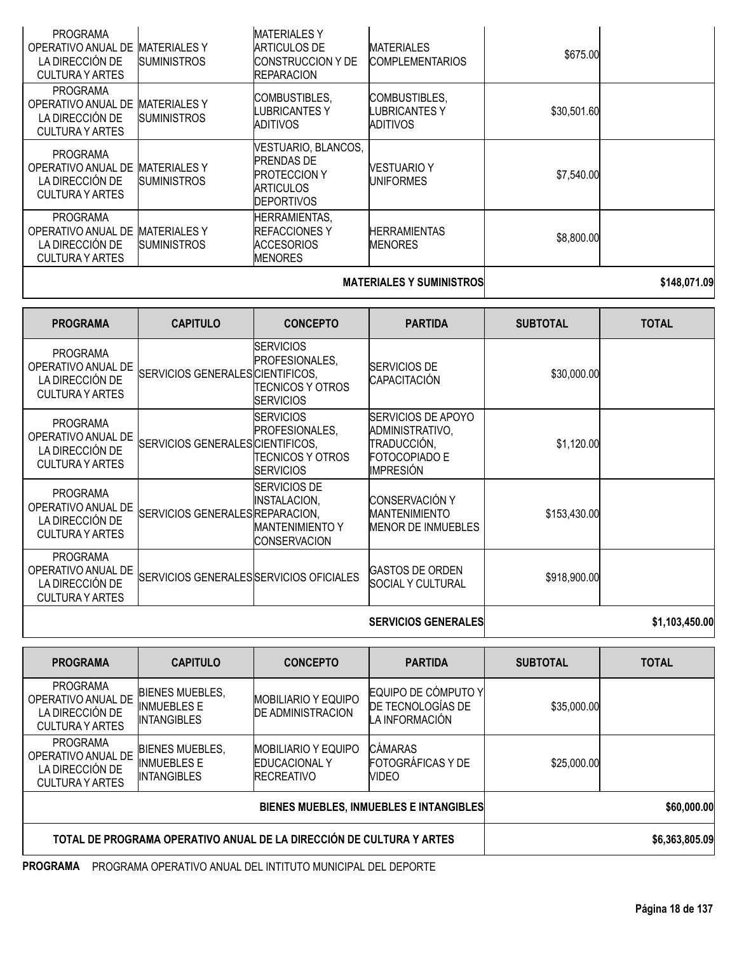| <b>PROGRAMA</b><br>OPERATIVO ANUAL DE<br>LA DIRECCIÓN DE<br><b>CULTURA Y ARTES</b> | <b>MATERIALES Y</b><br><b>SUMINISTROS</b> | <b>MATERIALES Y</b><br>ARTICULOS DE<br><b>CONSTRUCCION Y DE</b><br><b>REPARACION</b>                     | <b>MATERIALES</b><br><b>COMPLEMENTARIOS</b>              | \$675.00    |  |
|------------------------------------------------------------------------------------|-------------------------------------------|----------------------------------------------------------------------------------------------------------|----------------------------------------------------------|-------------|--|
| <b>PROGRAMA</b><br>OPERATIVO ANUAL DE<br>LA DIRECCIÓN DE<br><b>CULTURA Y ARTES</b> | <b>MATERIALES Y</b><br><b>SUMINISTROS</b> | <b>COMBUSTIBLES.</b><br>LUBRICANTES Y<br>ADITIVOS                                                        | <b>COMBUSTIBLES.</b><br>LUBRICANTES Y<br><b>ADITIVOS</b> | \$30,501.60 |  |
| <b>PROGRAMA</b><br>OPERATIVO ANUAL DE<br>LA DIRECCIÓN DE<br><b>CULTURA Y ARTES</b> | <b>MATERIALES Y</b><br><b>SUMINISTROS</b> | VESTUARIO, BLANCOS,<br><b>PRENDAS DE</b><br><b>PROTECCION Y</b><br><b>ARTICULOS</b><br><b>DEPORTIVOS</b> | <b>VESTUARIO Y</b><br><b>UNIFORMES</b>                   | \$7,540.00  |  |
| <b>PROGRAMA</b><br>OPERATIVO ANUAL DE<br>LA DIRECCIÓN DE<br><b>CULTURA Y ARTES</b> | <b>MATERIALES Y</b><br><b>SUMINISTROS</b> | <b>HERRAMIENTAS,</b><br><b>IREFACCIONES Y</b><br><b>ACCESORIOS</b><br><b>MENORES</b>                     | <b>HERRAMIENTAS</b><br><b>MENORES</b>                    | \$8,800.00  |  |
|                                                                                    |                                           |                                                                                                          |                                                          |             |  |

# **MATERIALES Y SUMINISTROS \$148,071.09**

| <b>PROGRAMA</b>                                                                    | <b>CAPITULO</b>                         | <b>CONCEPTO</b>                                                                      | <b>PARTIDA</b>                                                                                          | <b>SUBTOTAL</b> | <b>TOTAL</b>   |
|------------------------------------------------------------------------------------|-----------------------------------------|--------------------------------------------------------------------------------------|---------------------------------------------------------------------------------------------------------|-----------------|----------------|
| <b>PROGRAMA</b><br>OPERATIVO ANUAL DE<br>LA DIRECCIÓN DE<br><b>CULTURA Y ARTES</b> | SERVICIOS GENERALES CIENTIFICOS,        | <b>SERVICIOS</b><br>PROFESIONALES,<br>TECNICOS Y OTROS<br><b>ISERVICIOS</b>          | <b>SERVICIOS DE</b><br>CAPACITACIÓN                                                                     | \$30,000.00     |                |
| <b>PROGRAMA</b><br>OPERATIVO ANUAL DE<br>LA DIRECCIÓN DE<br><b>CULTURA Y ARTES</b> | SERVICIOS GENERALES CIENTIFICOS.        | <b>ISERVICIOS</b><br>PROFESIONALES,<br>TECNICOS Y OTROS<br><b>SERVICIOS</b>          | <b>SERVICIOS DE APOYO</b><br>ADMINISTRATIVO,<br>TRADUCCIÓN,<br><b>FOTOCOPIADO E</b><br><b>IMPRESIÓN</b> | \$1,120.00      |                |
| <b>PROGRAMA</b><br>OPERATIVO ANUAL DE<br>LA DIRECCIÓN DE<br><b>CULTURA Y ARTES</b> | SERVICIOS GENERALES REPARACION,         | <b>SERVICIOS DE</b><br>INSTALACION,<br><b>MANTENIMIENTO Y</b><br><b>CONSERVACION</b> | <b>CONSERVACIÓN Y</b><br><b>MANTENIMIENTO</b><br><b>MENOR DE INMUEBLES</b>                              | \$153,430.00    |                |
| <b>PROGRAMA</b><br>OPERATIVO ANUAL DE<br>LA DIRECCIÓN DE<br><b>CULTURA Y ARTES</b> | SERVICIOS GENERALES SERVICIOS OFICIALES |                                                                                      | <b>GASTOS DE ORDEN</b><br><b>ISOCIAL Y CULTURAL</b>                                                     | \$918,900.00    |                |
|                                                                                    |                                         |                                                                                      | <b>SERVICIOS GENERALES</b>                                                                              |                 | \$1,103,450.00 |

| <b>PROGRAMA</b>                                                                    | <b>CAPITULO</b>                                                    | <b>CONCEPTO</b>                                                            | <b>PARTIDA</b>                                             | <b>SUBTOTAL</b> | <b>TOTAL</b>   |
|------------------------------------------------------------------------------------|--------------------------------------------------------------------|----------------------------------------------------------------------------|------------------------------------------------------------|-----------------|----------------|
| <b>PROGRAMA</b><br>OPERATIVO ANUAL DE<br>LA DIRECCIÓN DE<br><b>CULTURA Y ARTES</b> | <b>BIENES MUEBLES,</b><br><b>INMUEBLES E</b><br><b>INTANGIBLES</b> | <b>MOBILIARIO Y EQUIPO</b><br><b>DE ADMINISTRACION</b>                     | EQUIPO DE CÓMPUTO Y<br>DE TECNOLOGÍAS DE<br>LA INFORMACIÓN | \$35,000.00     |                |
| <b>PROGRAMA</b><br>OPERATIVO ANUAL DE<br>LA DIRECCIÓN DE<br><b>CULTURA Y ARTES</b> | <b>BIENES MUEBLES,</b><br><b>INMUEBLES E</b><br><b>INTANGIBLES</b> | <b>IMOBILIARIO Y EQUIPO</b><br><b>IEDUCACIONAL Y</b><br><b>IRECREATIVO</b> | CÁMARAS<br><b>FOTOGRAFICAS Y DE</b><br>VIDEO               | \$25,000.00     |                |
| BIENES MUEBLES, INMUEBLES E INTANGIBLES                                            |                                                                    |                                                                            |                                                            |                 | \$60,000.00    |
| TOTAL DE PROGRAMA OPERATIVO ANUAL DE LA DIRECCIÓN DE CULTURA Y ARTES               |                                                                    |                                                                            |                                                            |                 | \$6,363,805.09 |

**PROGRAMA** PROGRAMA OPERATIVO ANUAL DEL INTITUTO MUNICIPAL DEL DEPORTE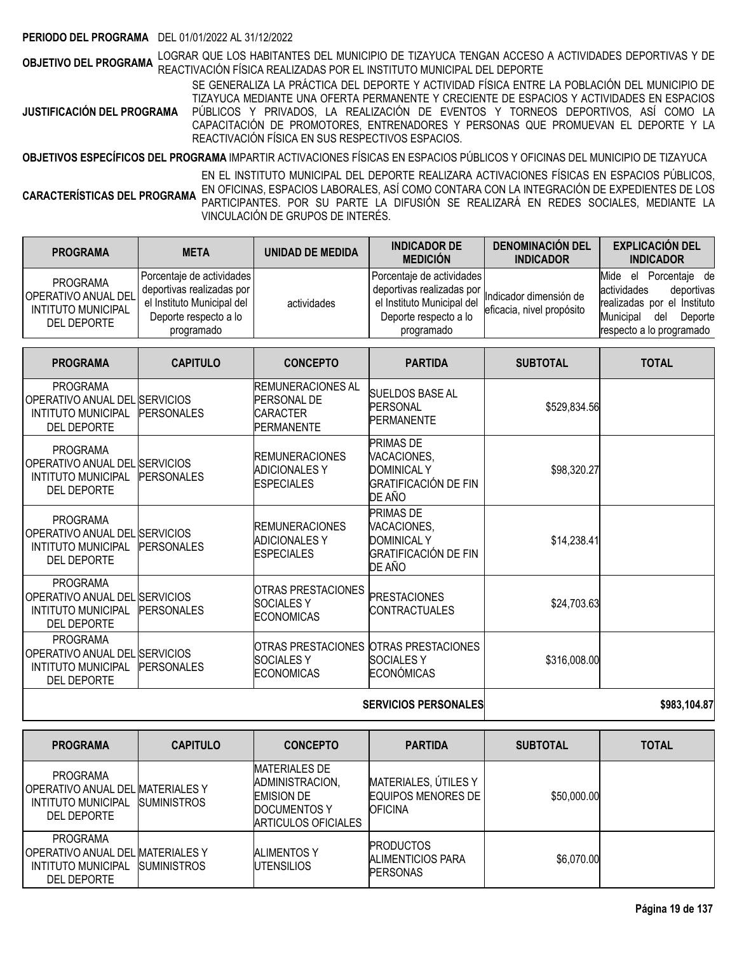### **PERIODO DEL PROGRAMA** DEL 01/01/2022 AL 31/12/2022

**OBJETIVO DEL PROGRAMA** LOGRAR QUE LOS HABITANTES DEL MUNICIPIO DE TIZAYUCA TENGAN ACCESO A ACTIVIDADES DEPORTIVAS Y DE<br>**OBJETIVO DEL PROGRAMA** REACTIVACIÓN FÍSICA REALIZADAS POR EL INSTITUTO MUNICIPAL DEL DEPORTE

**JUSTIFICACIÓN DEL PROGRAMA** SE GENERALIZA LA PRÁCTICA DEL DEPORTE Y ACTIVIDAD FÍSICA ENTRE LA POBLACIÓN DEL MUNICIPIO DE TIZAYUCA MEDIANTE UNA OFERTA PERMANENTE Y CRECIENTE DE ESPACIOS Y ACTIVIDADES EN ESPACIOS PÚBLICOS Y PRIVADOS, LA REALIZACIÓN DE EVENTOS Y TORNEOS DEPORTIVOS, ASÍ COMO LA CAPACITACIÓN DE PROMOTORES, ENTRENADORES Y PERSONAS QUE PROMUEVAN EL DEPORTE Y LA REACTIVACIÓN FÍSICA EN SUS RESPECTIVOS ESPACIOS.

**OBJETIVOS ESPECÍFICOS DEL PROGRAMA** IMPARTIR ACTIVACIONES FÍSICAS EN ESPACIOS PÚBLICOS Y OFICINAS DEL MUNICIPIO DE TIZAYUCA

**CARACTERÍSTICAS DEL PROGRAMA** EN EL INSTITUTO MUNICIPAL DEL DEPORTE REALIZARA ACTIVACIONES FÍSICAS EN ESPACIOS PÚBLICOS, EN OFICINAS, ESPACIOS LABORALES, ASÍ COMO CONTARA CON LA INTEGRACIÓN DE EXPEDIENTES DE LOS PARTICIPANTES. POR SU PARTE LA DIFUSIÓN SE REALIZARÁ EN REDES SOCIALES, MEDIANTE LA VINCULACIÓN DE GRUPOS DE INTERÉS.

| <b>PROGRAMA</b>                                                                           | <b>META</b>                                                                                                                 | UNIDAD DE MEDIDA | <b>INDICADOR DE</b><br><b>MEDICIÓN</b>                                                                                      | <b>DENOMINACIÓN DEL</b><br><b>INDICADOR</b>         | <b>EXPLICACIÓN DEL</b><br><b>INDICADOR</b>                                                                                                         |
|-------------------------------------------------------------------------------------------|-----------------------------------------------------------------------------------------------------------------------------|------------------|-----------------------------------------------------------------------------------------------------------------------------|-----------------------------------------------------|----------------------------------------------------------------------------------------------------------------------------------------------------|
| <b>PROGRAMA</b><br><b>OPERATIVO ANUAL DEL</b><br><b>INTITUTO MUNICIPAL</b><br>DEL DEPORTE | Porcentaje de actividades<br>deportivas realizadas por<br>el Instituto Municipal del<br>Deporte respecto a lo<br>programado | actividades      | Porcentaje de actividades<br>deportivas realizadas por<br>el Instituto Municipal del<br>Deporte respecto a lo<br>programado | Indicador dimensión de<br>eficacia, nivel propósito | Mide<br>Porcentaie de<br>el<br>actividades<br>deportivas<br>realizadas por el Instituto<br>Municipal<br>del<br>Deporte<br>respecto a lo programado |

| <b>PROGRAMA</b>                                                                                     | <b>CAPITULO</b>   | <b>CONCEPTO</b>                                                            | <b>PARTIDA</b>                                                                                 | <b>SUBTOTAL</b> | <b>TOTAL</b> |
|-----------------------------------------------------------------------------------------------------|-------------------|----------------------------------------------------------------------------|------------------------------------------------------------------------------------------------|-----------------|--------------|
| <b>PROGRAMA</b><br>OPERATIVO ANUAL DEL SERVICIOS<br><b>INTITUTO MUNICIPAL</b><br><b>DEL DEPORTE</b> | <b>PERSONALES</b> | IREMUNERACIONES AL<br>PERSONAL DE<br><b>ICARACTER</b><br><b>PERMANENTE</b> | SUELDOS BASE AL<br><b>PERSONAL</b><br><b>PERMANENTE</b>                                        | \$529,834.56    |              |
| <b>PROGRAMA</b><br>OPERATIVO ANUAL DEL SERVICIOS<br><b>INTITUTO MUNICIPAL</b><br><b>DEL DEPORTE</b> | <b>PERSONALES</b> | <b>REMUNERACIONES</b><br>ADICIONALES Y<br><b>ESPECIALES</b>                | <b>PRIMAS DE</b><br>VACACIONES,<br><b>DOMINICAL Y</b><br><b>GRATIFICACIÓN DE FIN</b><br>DE AÑO | \$98,320.27     |              |
| <b>PROGRAMA</b><br>OPERATIVO ANUAL DEL SERVICIOS<br>INTITUTO MUNICIPAL<br><b>DEL DEPORTE</b>        | <b>PERSONALES</b> | <b>REMUNERACIONES</b><br>ADICIONALES Y<br><b>ESPECIALES</b>                | PRIMAS DE<br>VACACIONES,<br><b>DOMINICAL Y</b><br>GRATIFICACIÓN DE FIN<br>DE AÑO               | \$14,238.41     |              |
| <b>PROGRAMA</b><br>OPERATIVO ANUAL DEL SERVICIOS<br><b>INTITUTO MUNICIPAL</b><br><b>DEL DEPORTE</b> | <b>PERSONALES</b> | OTRAS PRESTACIONES<br><b>SOCIALESY</b><br>ECONOMICAS                       | <b>PRESTACIONES</b><br><b>CONTRACTUALES</b>                                                    | \$24,703.63     |              |
| <b>PROGRAMA</b><br>OPERATIVO ANUAL DEL SERVICIOS<br>INTITUTO MUNICIPAL<br><b>DEL DEPORTE</b>        | <b>PERSONALES</b> | OTRAS PRESTACIONES<br><b>SOCIALES Y</b><br><b>ECONOMICAS</b>               | <b>OTRAS PRESTACIONES</b><br><b>SOCIALES Y</b><br><b>ECONÓMICAS</b>                            | \$316,008.00    |              |
|                                                                                                     |                   | <b>SERVICIOS PERSONALES</b>                                                | \$983.104.87                                                                                   |                 |              |

| <b>PROGRAMA</b>                                                                                        | <b>CAPITULO</b>     | <b>CONCEPTO</b>                                                                                     | <b>PARTIDA</b>                                                | <b>SUBTOTAL</b> | <b>TOTAL</b> |
|--------------------------------------------------------------------------------------------------------|---------------------|-----------------------------------------------------------------------------------------------------|---------------------------------------------------------------|-----------------|--------------|
| <b>PROGRAMA</b><br>OPERATIVO ANUAL DEL MATERIALES Y<br><b>INTITUTO MUNICIPAL</b><br><b>DEL DEPORTE</b> | <b>ISUMINISTROS</b> | <b>MATERIALES DE</b><br>ADMINISTRACION,<br><b>EMISION DE</b><br>DOCUMENTOS Y<br>ARTICULOS OFICIALES | MATERIALES, ÚTILES Y<br>EQUIPOS MENORES DE<br><b>IOFICINA</b> | \$50,000.00     |              |
| <b>PROGRAMA</b><br>OPERATIVO ANUAL DEL MATERIALES Y<br>INTITUTO MUNICIPAL<br><b>DEL DEPORTE</b>        | <b>SUMINISTROS</b>  | <b>ALIMENTOS Y</b><br><b>UTENSILIOS</b>                                                             | <b>PRODUCTOS</b><br>ALIMENTICIOS PARA<br><b>PERSONAS</b>      | \$6,070.00      |              |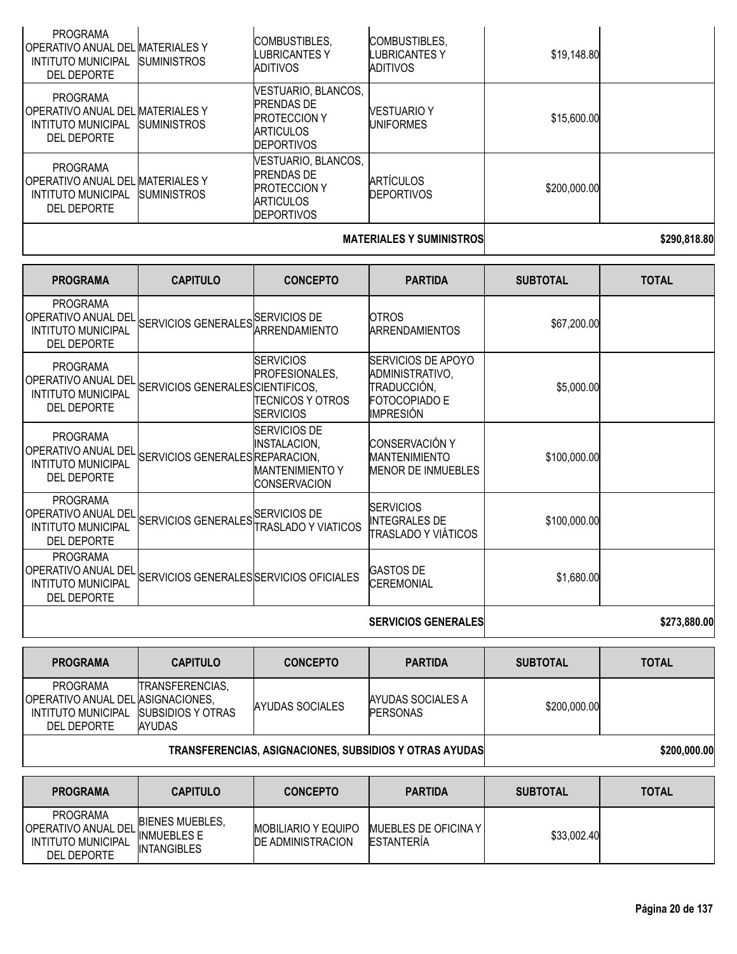| <b>PROGRAMA</b><br>OPERATIVO ANUAL DEL MATERIALES Y<br><b>INTITUTO MUNICIPAL</b><br>DEL DEPORTE | <b>SUMINISTROS</b>  | <b>COMBUSTIBLES.</b><br>LUBRICANTES Y<br>ADITIVOS                                                        | COMBUSTIBLES,<br>LUBRICANTES Y<br>ADITIVOS | \$19,148.80  |  |
|-------------------------------------------------------------------------------------------------|---------------------|----------------------------------------------------------------------------------------------------------|--------------------------------------------|--------------|--|
| PROGRAMA<br>OPERATIVO ANUAL DEL MATERIALES Y<br>INTITUTO MUNICIPAL<br>DEL DEPORTE               | <b>ISUMINISTROS</b> | VESTUARIO, BLANCOS,<br><b>PRENDAS DE</b><br><b>PROTECCION Y</b><br><b>ARTICULOS</b><br><b>DEPORTIVOS</b> | <b>VESTUARIO Y</b><br>UNIFORMES            | \$15,600.00  |  |
| <b>PROGRAMA</b><br> OPERATIVO ANUAL DEL MATERIALES Y<br>INTITUTO MUNICIPAL<br>DEL DEPORTE       | <b>SUMINISTROS</b>  | VESTUARIO, BLANCOS,<br><b>PRENDAS DE</b><br><b>PROTECCION Y</b><br><b>ARTICULOS</b><br><b>DEPORTIVOS</b> | <b>ARTÍCULOS</b><br><b>DEPORTIVOS</b>      | \$200,000.00 |  |
|                                                                                                 |                     |                                                                                                          |                                            |              |  |

### **MATERIALES Y SUMINISTROS 1990,818.80**

| <b>PROGRAMA</b>                                                                                  | <b>CAPITULO</b>                         | <b>CONCEPTO</b>                                                                              | <b>PARTIDA</b>                                                                                          | <b>SUBTOTAL</b> | <b>TOTAL</b> |
|--------------------------------------------------------------------------------------------------|-----------------------------------------|----------------------------------------------------------------------------------------------|---------------------------------------------------------------------------------------------------------|-----------------|--------------|
| <b>PROGRAMA</b><br><b>OPERATIVO ANUAL DEL</b><br><b>INTITUTO MUNICIPAL</b><br><b>DEL DEPORTE</b> | SERVICIOS GENERALES SERVICIOS DE        | ARRENDAMIENTO                                                                                | <b>OTROS</b><br><b>ARRENDAMIENTOS</b>                                                                   | \$67,200.00     |              |
| <b>PROGRAMA</b><br><b>OPERATIVO ANUAL DEL</b><br><b>INTITUTO MUNICIPAL</b><br><b>DEL DEPORTE</b> | SERVICIOS GENERALES CIENTIFICOS,        | <b>SERVICIOS</b><br>PROFESIONALES,<br>TECNICOS Y OTROS<br><b>SERVICIOS</b>                   | <b>SERVICIOS DE APOYO</b><br>ADMINISTRATIVO,<br>TRADUCCIÓN,<br><b>FOTOCOPIADO E</b><br><b>IMPRESIÓN</b> | \$5,000.00      |              |
| <b>PROGRAMA</b><br>I OPERATIVO ANUAL DEL<br>INTITUTO MUNICIPAL<br><b>DEL DEPORTE</b>             | SERVICIOS GENERALES REPARACION,         | <b>ISERVICIOS DE</b><br><b>INSTALACION,</b><br><b>MANTENIMIENTO Y</b><br><b>CONSERVACION</b> | <b>CONSERVACIÓN Y</b><br><b>MANTENIMIENTO</b><br><b>MENOR DE INMUEBLES</b>                              | \$100,000.00    |              |
| <b>PROGRAMA</b><br>I OPERATIVO ANUAL DEL<br><b>INTITUTO MUNICIPAL</b><br><b>DEL DEPORTE</b>      | SERVICIOS GENERALES SERVICIOS DE        | <b>TRASLADO Y VIATICOS</b>                                                                   | <b>SERVICIOS</b><br><b>INTEGRALES DE</b><br>TRASLADO Y VIÁTICOS                                         | \$100,000.00    |              |
| <b>PROGRAMA</b><br> OPERATIVO ANUAL DEL<br><b>INTITUTO MUNICIPAL</b><br>DEL DEPORTE              | SERVICIOS GENERALES SERVICIOS OFICIALES |                                                                                              | <b>GASTOS DE</b><br><b>CEREMONIAL</b>                                                                   | \$1,680.00      |              |
|                                                                                                  |                                         |                                                                                              | <b>SERVICIOS GENERALES</b>                                                                              |                 | \$273,880.00 |

| <b>PROGRAMA</b>                                                                                        | <b>CAPITULO</b>                                        | <b>CONCEPTO</b> | <b>PARTIDA</b>                       | <b>SUBTOTAL</b> | <b>TOTAL</b> |
|--------------------------------------------------------------------------------------------------------|--------------------------------------------------------|-----------------|--------------------------------------|-----------------|--------------|
| PROGRAMA<br>IOPERATIVO ANUAL DEL IASIGNACIONES.<br>INTITUTO MUNICIPAL SUBSIDIOS Y OTRAS<br>DEL DEPORTE | <b>TRANSFERENCIAS.</b><br>AYUDAS                       | AYUDAS SOCIALES | AYUDAS SOCIALES A<br><b>PERSONAS</b> | \$200,000.00    |              |
|                                                                                                        | TRAHOFFREHOLLO AQIQUAQIQUEQ QURQIBIQQ VI QTRAQ AVURAQI |                 | cano ano an                          |                 |              |

# **TRANSFERENCIAS, ASIGNACIONES, SUBSIDIOS Y OTRAS AYUDAS \$200,000.00**

| <b>PROGRAMA</b>                                                                           | <b>CAPITULO</b>                                                    | <b>CONCEPTO</b>                                         | <b>PARTIDA</b>                              | <b>SUBTOTAL</b> | TOTAL |
|-------------------------------------------------------------------------------------------|--------------------------------------------------------------------|---------------------------------------------------------|---------------------------------------------|-----------------|-------|
| <b>PROGRAMA</b><br><b>OPERATIVO ANUAL DEL</b><br>INTITUTO MUNICIPAL<br><b>DEL DEPORTE</b> | <b>BIENES MUEBLES.</b><br><b>INMUEBLES E</b><br><b>INTANGIBLES</b> | <b>IMOBILIARIO Y EQUIPO</b><br><b>DE ADMINISTRACION</b> | MUEBLES DE OFICINA Y I<br><b>ESTANTERIA</b> | \$33,002.40     |       |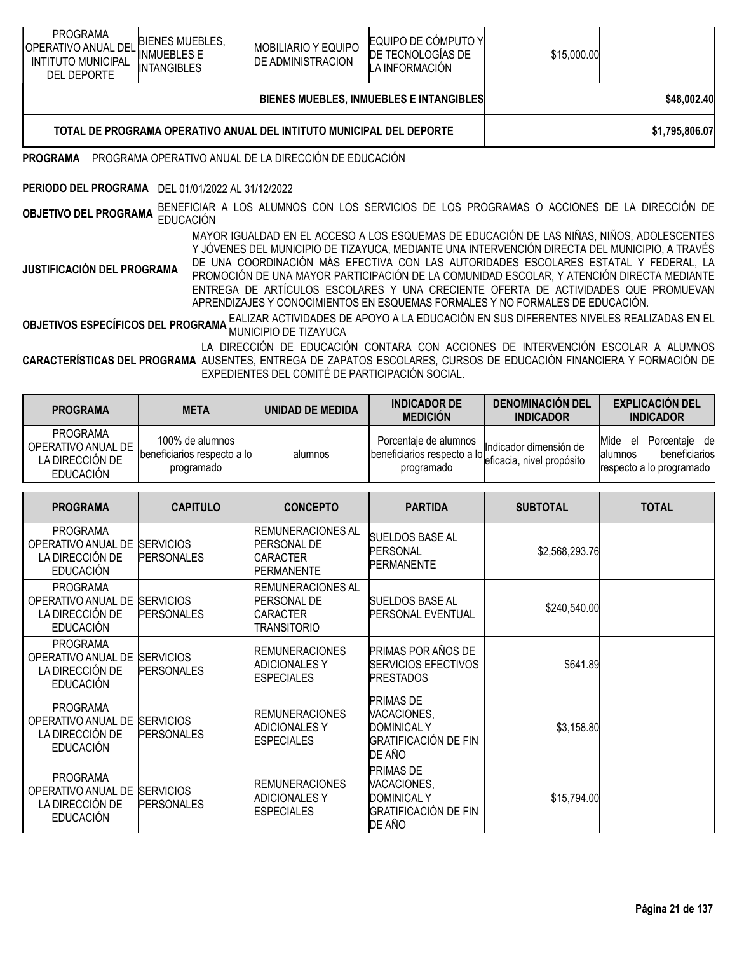| <b>PROGRAMA</b><br>OPERATIVO ANUAL DEL<br><b>INTITUTO MUNICIPAL</b><br><b>DEL DEPORTE</b>                                                                                                                                                                                                                                                                                                                                                                                                                                                                                             | <b>BIENES MUEBLES,</b><br><b>INMUEBLES E</b><br><b>INTANGIBLES</b> | <b>MOBILIARIO Y EQUIPO</b><br><b>DE ADMINISTRACION</b>                                                                                                    | EQUIPO DE CÓMPUTO Y<br>DE TECNOLOGÍAS DE<br>LA INFORMACIÓN | \$15,000.00 |                                                                                           |  |  |  |  |  |
|---------------------------------------------------------------------------------------------------------------------------------------------------------------------------------------------------------------------------------------------------------------------------------------------------------------------------------------------------------------------------------------------------------------------------------------------------------------------------------------------------------------------------------------------------------------------------------------|--------------------------------------------------------------------|-----------------------------------------------------------------------------------------------------------------------------------------------------------|------------------------------------------------------------|-------------|-------------------------------------------------------------------------------------------|--|--|--|--|--|
|                                                                                                                                                                                                                                                                                                                                                                                                                                                                                                                                                                                       |                                                                    |                                                                                                                                                           | <b>BIENES MUEBLES, INMUEBLES E INTANGIBLES</b>             |             | \$48,002.40                                                                               |  |  |  |  |  |
| \$1,795,806.07<br>TOTAL DE PROGRAMA OPERATIVO ANUAL DEL INTITUTO MUNICIPAL DEL DEPORTE                                                                                                                                                                                                                                                                                                                                                                                                                                                                                                |                                                                    |                                                                                                                                                           |                                                            |             |                                                                                           |  |  |  |  |  |
| <b>PROGRAMA</b>                                                                                                                                                                                                                                                                                                                                                                                                                                                                                                                                                                       |                                                                    | PROGRAMA OPERATIVO ANUAL DE LA DIRECCIÓN DE EDUCACIÓN                                                                                                     |                                                            |             |                                                                                           |  |  |  |  |  |
| PERIODO DEL PROGRAMA DEL 01/01/2022 AL 31/12/2022                                                                                                                                                                                                                                                                                                                                                                                                                                                                                                                                     |                                                                    |                                                                                                                                                           |                                                            |             |                                                                                           |  |  |  |  |  |
| <b>OBJETIVO DEL PROGRAMA</b>                                                                                                                                                                                                                                                                                                                                                                                                                                                                                                                                                          | <b>EDUCACIÓN</b>                                                   |                                                                                                                                                           |                                                            |             | BENEFICIAR A LOS ALUMNOS CON LOS SERVICIOS DE LOS PROGRAMAS O ACCIONES DE LA DIRECCIÓN DE |  |  |  |  |  |
| MAYOR IGUALDAD EN EL ACCESO A LOS ESQUEMAS DE EDUCACIÓN DE LAS NIÑAS, NIÑOS, ADOLESCENTES<br>Y JÓVENES DEL MUNICIPIO DE TIZAYUCA, MEDIANTE UNA INTERVENCIÓN DIRECTA DEL MUNICIPIO, A TRAVÉS<br>DE UNA COORDINACIÓN MÁS EFECTIVA CON LAS AUTORIDADES ESCOLARES ESTATAL Y FEDERAL, LA<br>JUSTIFICACIÓN DEL PROGRAMA<br>PROMOCIÓN DE UNA MAYOR PARTICIPACIÓN DE LA COMUNIDAD ESCOLAR, Y ATENCIÓN DIRECTA MEDIANTE<br>ENTREGA DE ARTÍCULOS ESCOLARES Y UNA CRECIENTE OFERTA DE ACTIVIDADES QUE PROMUEVAN<br>APRENDIZAJES Y CONOCIMIENTOS EN ESQUEMAS FORMALES Y NO FORMALES DE EDUCACIÓN. |                                                                    |                                                                                                                                                           |                                                            |             |                                                                                           |  |  |  |  |  |
|                                                                                                                                                                                                                                                                                                                                                                                                                                                                                                                                                                                       |                                                                    | EALIZAR ACTIVIDADES DE APOYO A LA EDUCACIÓN EN SUS DIFERENTES NIVELES REALIZADAS EN EL<br><b>OBJETIVOS ESPECÍFICOS DEL PROGRAMA LALIADO DE TIZAVILO A</b> |                                                            |             |                                                                                           |  |  |  |  |  |

**GRAMA** MUNICIPIO DE TIZAYUCA LA DIRECCIÓN DE EDUCACIÓN CONTARA CON ACCIONES DE INTERVENCIÓN ESCOLAR A ALUMNOS

**CARACTERÍSTICAS DEL PROGRAMA** AUSENTES, ENTREGA DE ZAPATOS ESCOLARES, CURSOS DE EDUCACIÓN FINANCIERA Y FORMACIÓN DE EXPEDIENTES DEL COMITÉ DE PARTICIPACIÓN SOCIAL.

| <b>PROGRAMA</b>                                                              | <b>META</b>                                                  | UNIDAD DE MEDIDA | <b>INDICADOR DE</b><br><b>MEDICIÓN</b>                                                       | <b>DENOMINACIÓN DEL</b><br><b>INDICADOR</b> | <b>EXPLICACIÓN DEL</b><br><b>INDICADOR</b>                                           |
|------------------------------------------------------------------------------|--------------------------------------------------------------|------------------|----------------------------------------------------------------------------------------------|---------------------------------------------|--------------------------------------------------------------------------------------|
| <b>PROGRAMA</b><br>OPERATIVO ANUAL DE<br>LA DIRECCIÓN DE<br><b>EDUCACIÓN</b> | 100% de alumnos<br>beneficiarios respecto a lo<br>programado | alumnos          | Porcentaje de alumnos<br>beneficiarios respecto a lo eficacia, nivel propósito<br>programado | Indicador dimensión de                      | Mide<br>Porcentaie de<br>el<br>beneficiarios<br>lalumnos<br>respecto a lo programado |

| <b>PROGRAMA</b>                                                              | <b>CAPITULO</b>                       | <b>CONCEPTO</b>                                                                        | <b>PARTIDA</b>                                                                                 | <b>SUBTOTAL</b> | <b>TOTAL</b> |
|------------------------------------------------------------------------------|---------------------------------------|----------------------------------------------------------------------------------------|------------------------------------------------------------------------------------------------|-----------------|--------------|
| <b>PROGRAMA</b><br>OPERATIVO ANUAL DE<br>LA DIRECCIÓN DE<br><b>EDUCACIÓN</b> | <b>SERVICIOS</b><br><b>PERSONALES</b> | <b>REMUNERACIONES AL</b><br><b>PERSONAL DE</b><br><b>CARACTER</b><br><b>PERMANENTE</b> | <b>SUELDOS BASE AL</b><br>PERSONAL<br><b>PERMANENTE</b>                                        | \$2,568,293.76  |              |
| <b>PROGRAMA</b><br>OPERATIVO ANUAL DE<br>LA DIRECCIÓN DE<br><b>EDUCACIÓN</b> | <b>SERVICIOS</b><br>PERSONALES        | <b>REMUNERACIONES AL</b><br><b>PERSONAL DE</b><br><b>CARACTER</b><br>TRANSITORIO       | <b>SUELDOS BASE AL</b><br><b>PERSONAL EVENTUAL</b>                                             | \$240,540.00    |              |
| <b>PROGRAMA</b><br>OPERATIVO ANUAL DE<br>LA DIRECCIÓN DE<br><b>EDUCACIÓN</b> | <b>SERVICIOS</b><br><b>PERSONALES</b> | <b>IREMUNERACIONES</b><br><b>ADICIONALES Y</b><br><b>ESPECIALES</b>                    | PRIMAS POR AÑOS DE<br><b>SERVICIOS EFECTIVOS</b><br><b>PRESTADOS</b>                           | \$641.89        |              |
| <b>PROGRAMA</b><br>OPERATIVO ANUAL DE<br>LA DIRECCIÓN DE<br><b>EDUCACIÓN</b> | <b>SERVICIOS</b><br>PERSONALES        | <b>REMUNERACIONES</b><br><b>ADICIONALES Y</b><br><b>ESPECIALES</b>                     | <b>PRIMAS DE</b><br>VACACIONES,<br><b>DOMINICAL Y</b><br><b>GRATIFICACIÓN DE FIN</b><br>DE AÑO | \$3,158.80      |              |
| <b>PROGRAMA</b><br>OPERATIVO ANUAL DE<br>LA DIRECCIÓN DE<br><b>EDUCACIÓN</b> | <b>SERVICIOS</b><br>PERSONALES        | <b>REMUNERACIONES</b><br><b>ADICIONALES Y</b><br><b>ESPECIALES</b>                     | <b>PRIMAS DE</b><br>VACACIONES,<br><b>DOMINICAL Y</b><br><b>GRATIFICACIÓN DE FIN</b><br>DE AÑO | \$15,794.00     |              |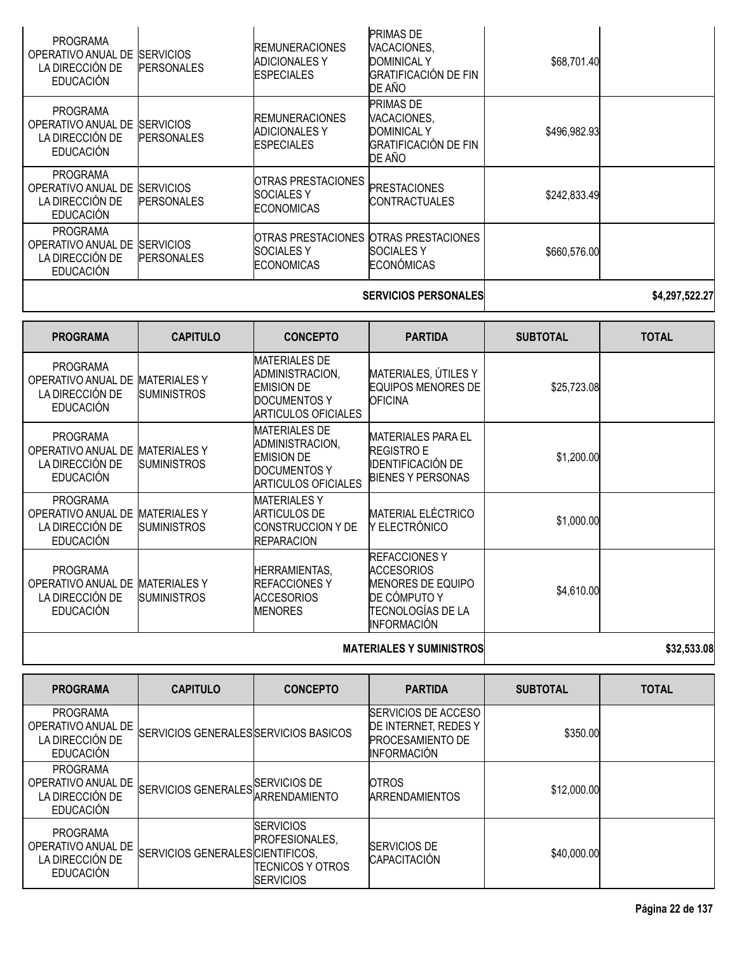| PROGRAMA<br>OPERATIVO ANUAL DE<br>LA DIRECCIÓN DE<br><b>EDUCACIÓN</b>        | <b>SERVICIOS</b><br><b>PERSONALES</b> | <b>IREMUNERACIONES</b><br><b>ADICIONALES Y</b><br><b>ESPECIALES</b> | <b>PRIMAS DE</b><br>VACACIONES,<br><b>DOMINICAL Y</b><br><b>GRATIFICACIÓN DE FIN</b><br>DE AÑO | \$68,701.40  |  |
|------------------------------------------------------------------------------|---------------------------------------|---------------------------------------------------------------------|------------------------------------------------------------------------------------------------|--------------|--|
| <b>PROGRAMA</b><br>OPERATIVO ANUAL DE<br>LA DIRECCIÓN DE<br><b>EDUCACIÓN</b> | <b>SERVICIOS</b><br><b>PERSONALES</b> | <b>IREMUNERACIONES</b><br><b>ADICIONALES Y</b><br><b>ESPECIALES</b> | <b>PRIMAS DE</b><br>VACACIONES,<br><b>DOMINICAL Y</b><br><b>GRATIFICACIÓN DE FIN</b><br>DE AÑO | \$496,982.93 |  |
| <b>PROGRAMA</b><br>OPERATIVO ANUAL DE<br>LA DIRECCIÓN DE<br><b>EDUCACIÓN</b> | <b>SERVICIOS</b><br><b>PERSONALES</b> | OTRAS PRESTACIONES<br><b>ISOCIALES Y</b><br><b>ECONOMICAS</b>       | <b>PRESTACIONES</b><br>ICONTRACTUALES                                                          | \$242,833.49 |  |
| <b>PROGRAMA</b><br>OPERATIVO ANUAL DE<br>LA DIRECCIÓN DE<br><b>EDUCACIÓN</b> | <b>SERVICIOS</b><br><b>PERSONALES</b> | <b>SOCIALES Y</b><br><b>ECONOMICAS</b>                              | IOTRAS PRESTACIONES IOTRAS PRESTACIONES<br>ISOCIALES Y<br><b>ECONÓMICAS</b>                    | \$660,576.00 |  |
|                                                                              |                                       |                                                                     |                                                                                                |              |  |

# **SERVICIOS PERSONALES \$4,297,522.27**

| <b>PROGRAMA</b>                                                              | <b>CAPITULO</b>                           | <b>CONCEPTO</b>                                                                                                   | <b>PARTIDA</b>                                                                                                                          | <b>SUBTOTAL</b> | <b>TOTAL</b> |
|------------------------------------------------------------------------------|-------------------------------------------|-------------------------------------------------------------------------------------------------------------------|-----------------------------------------------------------------------------------------------------------------------------------------|-----------------|--------------|
| <b>PROGRAMA</b><br>OPERATIVO ANUAL DE<br>LA DIRECCIÓN DE<br><b>EDUCACIÓN</b> | <b>MATERIALES Y</b><br><b>SUMINISTROS</b> | <b>MATERIALES DE</b><br>ADMINISTRACION,<br><b>EMISION DE</b><br><b>DOCUMENTOS Y</b><br><b>ARTICULOS OFICIALES</b> | MATERIALES, ÚTILES Y<br><b>EQUIPOS MENORES DE</b><br><b>OFICINA</b>                                                                     | \$25,723.08     |              |
| <b>PROGRAMA</b><br>OPERATIVO ANUAL DE<br>LA DIRECCIÓN DE<br><b>EDUCACIÓN</b> | <b>MATERIALES Y</b><br><b>SUMINISTROS</b> | <b>MATERIALES DE</b><br>ADMINISTRACION,<br><b>EMISION DE</b><br><b>DOCUMENTOS Y</b><br><b>ARTICULOS OFICIALES</b> | <b>MATERIALES PARA EL</b><br><b>REGISTRO E</b><br><b>IDENTIFICACIÓN DE</b><br><b>BIENES Y PERSONAS</b>                                  | \$1,200.00      |              |
| <b>PROGRAMA</b><br>OPERATIVO ANUAL DE<br>LA DIRECCIÓN DE<br><b>EDUCACIÓN</b> | <b>MATERIALESY</b><br><b>SUMINISTROS</b>  | <b>MATERIALES Y</b><br><b>ARTICULOS DE</b><br><b>CONSTRUCCION Y DE</b><br><b>REPARACION</b>                       | <b>MATERIAL ELÉCTRICO</b><br>Y ELECTRÓNICO                                                                                              | \$1,000.00      |              |
| <b>PROGRAMA</b><br>OPERATIVO ANUAL DE<br>LA DIRECCIÓN DE<br><b>EDUCACIÓN</b> | <b>MATERIALES Y</b><br><b>SUMINISTROS</b> | <b>HERRAMIENTAS,</b><br><b>IREFACCIONES Y</b><br><b>ACCESORIOS</b><br><b>MENORES</b>                              | <b>REFACCIONES Y</b><br><b>ACCESORIOS</b><br><b>MENORES DE EQUIPO</b><br>DE CÓMPUTO Y<br><b>TECNOLOGÍAS DE LA</b><br><b>INFORMACIÓN</b> | \$4,610.00      |              |
|                                                                              |                                           |                                                                                                                   | 800 FOO AO                                                                                                                              |                 |              |

# **MATERIALES Y SUMINISTROS \$32,533.08**

| <b>PROGRAMA</b>                                                              | <b>CAPITULO</b>                       | <b>CONCEPTO</b>                                                             | <b>PARTIDA</b>                                                                                       | <b>SUBTOTAL</b> | <b>TOTAL</b> |
|------------------------------------------------------------------------------|---------------------------------------|-----------------------------------------------------------------------------|------------------------------------------------------------------------------------------------------|-----------------|--------------|
| <b>PROGRAMA</b><br>OPERATIVO ANUAL DE<br>LA DIRECCIÓN DE<br><b>EDUCACIÓN</b> | SERVICIOS GENERALES SERVICIOS BASICOS |                                                                             | <b>ISERVICIOS DE ACCESO</b><br>DE INTERNET, REDES Y<br><b>PROCESAMIENTO DE</b><br><b>INFORMACIÓN</b> | \$350.00        |              |
| <b>PROGRAMA</b><br>OPERATIVO ANUAL DE<br>LA DIRECCIÓN DE<br><b>EDUCACIÓN</b> | SERVICIOS GENERALES SERVICIOS DE      | <b>ARRENDAMIENTO</b>                                                        | <b>OTROS</b><br><b>ARRENDAMIENTOS</b>                                                                | \$12,000.00     |              |
| <b>PROGRAMA</b><br>OPERATIVO ANUAL DE<br>LA DIRECCIÓN DE<br>EDUCACIÓN        | SERVICIOS GENERALES CIENTIFICOS,      | <b>SERVICIOS</b><br>PROFESIONALES,<br>ITECNICOS Y OTROS<br><b>SERVICIOS</b> | <b>SERVICIOS DE</b><br><b>CAPACITACIÓN</b>                                                           | \$40,000.00     |              |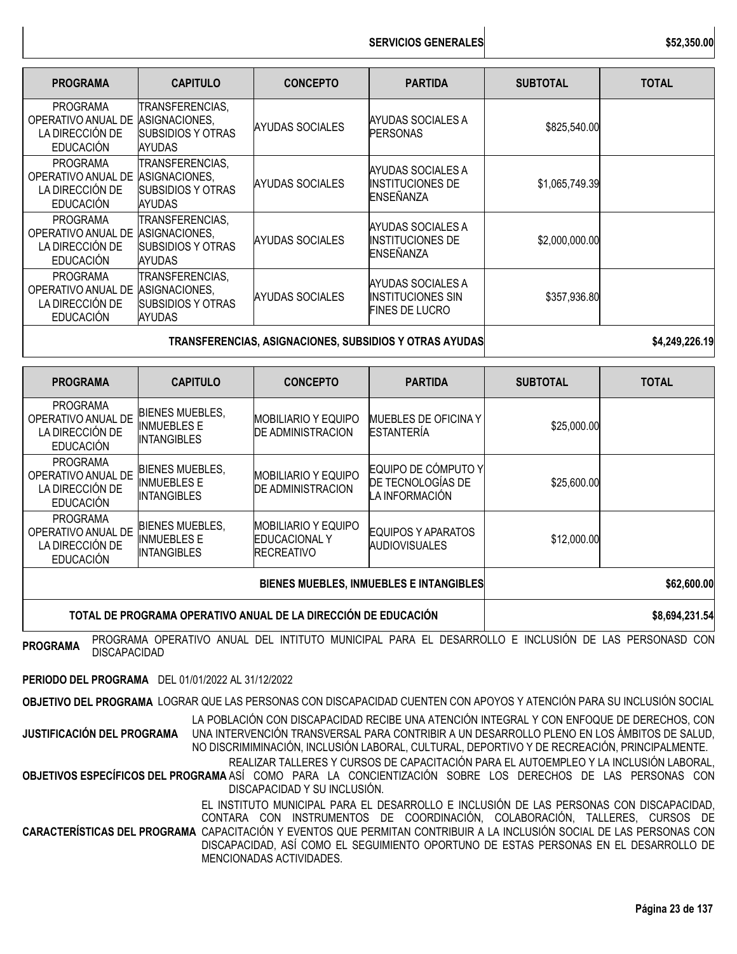**SERVICIOS GENERALES** 

| <b>PROGRAMA</b>                                                              | <b>CAPITULO</b>                                                               | <b>CONCEPTO</b>        | <b>PARTIDA</b>                                                          | <b>SUBTOTAL</b> | <b>TOTAL</b> |
|------------------------------------------------------------------------------|-------------------------------------------------------------------------------|------------------------|-------------------------------------------------------------------------|-----------------|--------------|
| <b>PROGRAMA</b><br>OPERATIVO ANUAL DE<br>LA DIRECCIÓN DE<br><b>EDUCACIÓN</b> | TRANSFERENCIAS,<br>ASIGNACIONES,<br><b>SUBSIDIOS Y OTRAS</b><br>AYUDAS        | <b>AYUDAS SOCIALES</b> | AYUDAS SOCIALES A<br><b>PERSONAS</b>                                    | \$825,540.00    |              |
| <b>PROGRAMA</b><br>OPERATIVO ANUAL DE<br>LA DIRECCIÓN DE<br><b>EDUCACIÓN</b> | TRANSFERENCIAS,<br>ASIGNACIONES,<br><b>SUBSIDIOS Y OTRAS</b><br><b>AYUDAS</b> | <b>AYUDAS SOCIALES</b> | AYUDAS SOCIALES A<br><b>INSTITUCIONES DE</b><br><b>ENSEÑANZA</b>        | \$1,065,749.39  |              |
| <b>PROGRAMA</b><br>OPERATIVO ANUAL DE<br>LA DIRECCIÓN DE<br><b>EDUCACIÓN</b> | TRANSFERENCIAS,<br>ASIGNACIONES,<br><b>SUBSIDIOS Y OTRAS</b><br>AYUDAS        | <b>AYUDAS SOCIALES</b> | AYUDAS SOCIALES A<br><b>INSTITUCIONES DE</b><br>ENSEÑANZA               | \$2,000,000.00  |              |
| <b>PROGRAMA</b><br>OPERATIVO ANUAL DE<br>LA DIRECCIÓN DE<br><b>EDUCACIÓN</b> | TRANSFERENCIAS,<br>ASIGNACIONES.<br><b>SUBSIDIOS Y OTRAS</b><br>AYUDAS        | <b>AYUDAS SOCIALES</b> | AYUDAS SOCIALES A<br><b>IINSTITUCIONES SIN</b><br><b>FINES DE LUCRO</b> | \$357,936.80    |              |
|                                                                              | TRANSFERENCIAS, ASIGNACIONES, SUBSIDIOS Y OTRAS AYUDAS                        |                        | \$4,249,226.19                                                          |                 |              |

| <b>PROGRAMA</b>                                                              | <b>CAPITULO</b>                                                    | <b>CONCEPTO</b>                                                         | <b>PARTIDA</b>                                             | <b>SUBTOTAL</b> | <b>TOTAL</b> |
|------------------------------------------------------------------------------|--------------------------------------------------------------------|-------------------------------------------------------------------------|------------------------------------------------------------|-----------------|--------------|
| <b>PROGRAMA</b><br>OPERATIVO ANUAL DE<br>LA DIRECCIÓN DE<br><b>EDUCACIÓN</b> | <b>BIENES MUEBLES,</b><br><b>INMUEBLES E</b><br><b>INTANGIBLES</b> | <b>MOBILIARIO Y EQUIPO</b><br><b>DE ADMINISTRACION</b>                  | MUEBLES DE OFICINA Y<br><b>ESTANTERIA</b>                  | \$25,000.00     |              |
| <b>PROGRAMA</b><br>OPERATIVO ANUAL DE<br>LA DIRECCIÓN DE<br><b>EDUCACIÓN</b> | <b>BIENES MUEBLES,</b><br><b>INMUEBLES E</b><br><b>INTANGIBLES</b> | <b>MOBILIARIO Y EQUIPO</b><br><b>DE ADMINISTRACION</b>                  | EQUIPO DE CÓMPUTO Y<br>DE TECNOLOGÍAS DE<br>LA INFORMACIÓN | \$25,600.00     |              |
| <b>PROGRAMA</b><br>OPERATIVO ANUAL DE<br>LA DIRECCIÓN DE<br><b>EDUCACIÓN</b> | <b>BIENES MUEBLES.</b><br><b>INMUEBLES E</b><br><b>INTANGIBLES</b> | <b>MOBILIARIO Y EQUIPO</b><br><b>EDUCACIONAL Y</b><br><b>RECREATIVO</b> | EQUIPOS Y APARATOS<br><b>AUDIOVISUALES</b>                 | \$12,000.00     |              |
|                                                                              |                                                                    |                                                                         | \$62,600.00                                                |                 |              |

# **TOTAL DE PROGRAMA OPERATIVO ANUAL DE LA DIRECCIÓN DE EDUCACIÓN \$8,694,231.54**

**PROGRAMA** PROGRAMA OPERATIVO ANUAL DEL INTITUTO MUNICIPAL PARA EL DESARROLLO <sup>E</sup> INCLUSIÓN DE LAS PERSONASD CON

DISCAPACIDAD

**PERIODO DEL PROGRAMA** DEL 01/01/2022 AL 31/12/2022

**OBJETIVO DEL PROGRAMA** LOGRAR QUE LAS PERSONAS CON DISCAPACIDAD CUENTEN CON APOYOS Y ATENCIÓN PARA SU INCLUSIÓN SOCIAL

**JUSTIFICACIÓN DEL PROGRAMA** LA POBLACIÓN CON DISCAPACIDAD RECIBE UNA ATENCIÓN INTEGRAL Y CON ENFOQUE DE DERECHOS, CON UNA INTERVENCIÓN TRANSVERSAL PARA CONTRIBIR A UN DESARROLLO PLENO EN LOS ÁMBITOS DE SALUD, NO DISCRIMIMINACIÓN, INCLUSIÓN LABORAL, CULTURAL, DEPORTIVO Y DE RECREACIÓN, PRINCIPALMENTE. REALIZAR TALLERES Y CURSOS DE CAPACITACIÓN PARA EL AUTOEMPLEO Y LA INCLUSIÓN LABORAL,

**OBJETIVOS ESPECÍFICOS DEL PROGRAMA** ASÍ COMO PARA LA CONCIENTIZACIÓN SOBRE LOS DERECHOS DE LAS PERSONAS CON DISCAPACIDAD Y SU INCLUSIÓN.

**CARACTERÍSTICAS DEL PROGRAMA** CAPACITACIÓN Y EVENTOS QUE PERMITAN CONTRIBUIR A LA INCLUSIÓN SOCIAL DE LAS PERSONAS CON EL INSTITUTO MUNICIPAL PARA EL DESARROLLO E INCLUSIÓN DE LAS PERSONAS CON DISCAPACIDAD, CONTARA CON INSTRUMENTOS DE COORDINACIÓN, COLABORACIÓN, TALLERES, CURSOS DE DISCAPACIDAD, ASÍ COMO EL SEGUIMIENTO OPORTUNO DE ESTAS PERSONAS EN EL DESARROLLO DE MENCIONADAS ACTIVIDADES.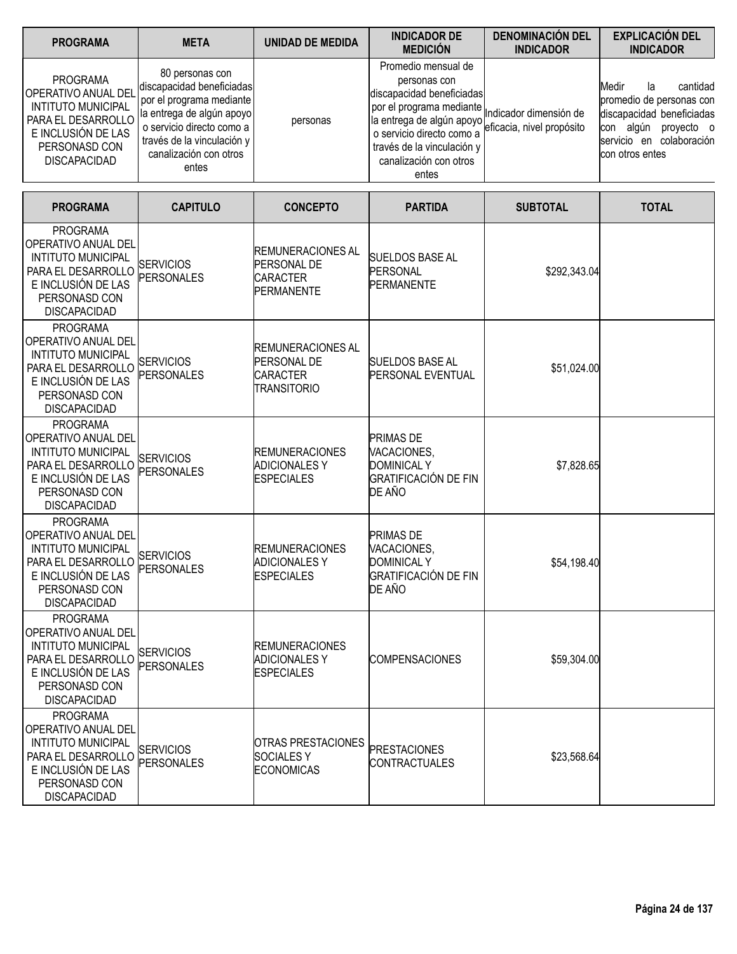| <b>PROGRAMA</b>                                                                                                                                         | <b>META</b>                                                                                                                                                                                         | <b>UNIDAD DE MEDIDA</b>                                                                | <b>INDICADOR DE</b><br><b>MEDICIÓN</b>                                                                                                                                                                                  | <b>DENOMINACIÓN DEL</b><br><b>INDICADOR</b>         | <b>EXPLICACIÓN DEL</b><br><b>INDICADOR</b>                                                                                                              |
|---------------------------------------------------------------------------------------------------------------------------------------------------------|-----------------------------------------------------------------------------------------------------------------------------------------------------------------------------------------------------|----------------------------------------------------------------------------------------|-------------------------------------------------------------------------------------------------------------------------------------------------------------------------------------------------------------------------|-----------------------------------------------------|---------------------------------------------------------------------------------------------------------------------------------------------------------|
| <b>PROGRAMA</b><br>OPERATIVO ANUAL DEL<br><b>INTITUTO MUNICIPAL</b><br>PARA EL DESARROLLO<br>E INCLUSIÓN DE LAS<br>PERSONASD CON<br><b>DISCAPACIDAD</b> | 80 personas con<br>discapacidad beneficiadas<br>por el programa mediante<br>la entrega de algún apoyo<br>o servicio directo como a<br>través de la vinculación y<br>canalización con otros<br>entes | personas                                                                               | Promedio mensual de<br>personas con<br>discapacidad beneficiadas<br>por el programa mediante<br>la entrega de algún apoyo<br>o servicio directo como a<br>través de la vinculación y<br>canalización con otros<br>entes | Indicador dimensión de<br>eficacia, nivel propósito | cantidad<br>Medir<br>la<br>promedio de personas con<br>discapacidad beneficiadas<br>con algún proyecto o<br>servicio en colaboración<br>con otros entes |
| <b>PROGRAMA</b>                                                                                                                                         | <b>CAPITULO</b>                                                                                                                                                                                     | <b>CONCEPTO</b>                                                                        | <b>PARTIDA</b>                                                                                                                                                                                                          | <b>SUBTOTAL</b>                                     | <b>TOTAL</b>                                                                                                                                            |
| PROGRAMA<br>OPERATIVO ANUAL DEL<br><b>INTITUTO MUNICIPAL</b><br>PARA EL DESARROLLO<br>E INCLUSIÓN DE LAS<br>PERSONASD CON<br><b>DISCAPACIDAD</b>        | <b>SERVICIOS</b><br><b>PERSONALES</b>                                                                                                                                                               | <b>REMUNERACIONES AL</b><br><b>PERSONAL DE</b><br><b>CARACTER</b><br><b>PERMANENTE</b> | <b>SUELDOS BASE AL</b><br><b>PERSONAL</b><br><b>PERMANENTE</b>                                                                                                                                                          | \$292,343.04                                        |                                                                                                                                                         |
| <b>PROGRAMA</b><br>OPERATIVO ANUAL DEL<br><b>INTITUTO MUNICIPAL</b><br>PARA EL DESARROLLO<br>E INCLUSIÓN DE LAS<br>PERSONASD CON<br><b>DISCAPACIDAD</b> | <b>SERVICIOS</b><br><b>PERSONALES</b>                                                                                                                                                               | <b>REMUNERACIONES AL</b><br><b>PERSONAL DE</b><br>CARACTER<br><b>TRANSITORIO</b>       | <b>SUELDOS BASE AL</b><br><b>PERSONAL EVENTUAL</b>                                                                                                                                                                      | \$51,024.00                                         |                                                                                                                                                         |
| <b>PROGRAMA</b><br>OPERATIVO ANUAL DEL<br><b>INTITUTO MUNICIPAL</b><br>PARA EL DESARROLLO<br>E INCLUSIÓN DE LAS<br>PERSONASD CON<br><b>DISCAPACIDAD</b> | <b>SERVICIOS</b><br>PERSONALES                                                                                                                                                                      | <b>REMUNERACIONES</b><br><b>ADICIONALES Y</b><br><b>ESPECIALES</b>                     | <b>PRIMAS DE</b><br>VACACIONES,<br><b>DOMINICAL Y</b><br><b>GRATIFICACIÓN DE FIN</b><br>DE AÑO                                                                                                                          | \$7,828.65                                          |                                                                                                                                                         |
| <b>PROGRAMA</b><br>OPERATIVO ANUAL DEL<br><b>INTITUTO MUNICIPAL</b><br>PARA EL DESARROLLO<br>E INCLUSIÓN DE LAS<br>PERSONASD CON<br><b>DISCAPACIDAD</b> | <b>SERVICIOS</b><br><b>PERSONALES</b>                                                                                                                                                               | <b>REMUNERACIONES</b><br><b>ADICIONALES Y</b><br><b>ESPECIALES</b>                     | <b>PRIMAS DE</b><br>VACACIONES,<br><b>DOMINICAL Y</b><br><b>GRATIFICACIÓN DE FIN</b><br>DE AÑO                                                                                                                          | \$54,198.40                                         |                                                                                                                                                         |
| <b>PROGRAMA</b><br>OPERATIVO ANUAL DEL<br><b>INTITUTO MUNICIPAL</b><br>PARA EL DESARROLLO<br>E INCLUSIÓN DE LAS<br>PERSONASD CON<br><b>DISCAPACIDAD</b> | <b>SERVICIOS</b><br><b>PERSONALES</b>                                                                                                                                                               | <b>REMUNERACIONES</b><br><b>ADICIONALES Y</b><br><b>ESPECIALES</b>                     | <b>COMPENSACIONES</b>                                                                                                                                                                                                   | \$59,304.00                                         |                                                                                                                                                         |
| <b>PROGRAMA</b><br>OPERATIVO ANUAL DEL<br><b>INTITUTO MUNICIPAL</b><br>PARA EL DESARROLLO<br>E INCLUSIÓN DE LAS<br>PERSONASD CON<br><b>DISCAPACIDAD</b> | <b>SERVICIOS</b><br><b>PERSONALES</b>                                                                                                                                                               | <b>OTRAS PRESTACIONES</b><br><b>SOCIALESY</b><br><b>ECONOMICAS</b>                     | <b>PRESTACIONES</b><br><b>CONTRACTUALES</b>                                                                                                                                                                             | \$23,568.64                                         |                                                                                                                                                         |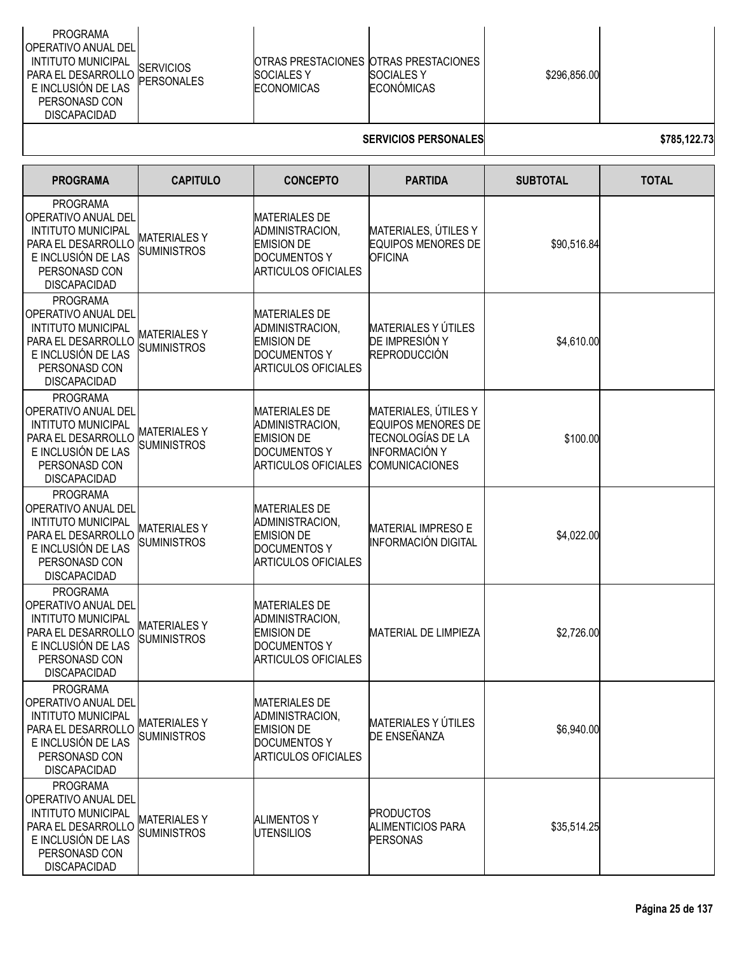| \$296,856.00<br><b>SOCIALES Y</b><br><b>SOCIALES Y</b><br><b>PERSONALES</b><br>E INCLUSIÓN DE LAS<br>ECONÓMICAS<br><b>ECONOMICAS</b><br>PERSONASD CON<br><b>DISCAPACIDAD</b> |  | <b>PROGRAMA</b><br><b>OPERATIVO ANUAL DEL</b><br><b>INTITUTO MUNICIPAL</b><br>PARA EL DESARROLLO | <b>ISERVICIOS</b> |  | IOTRAS PRESTACIONES IOTRAS PRESTACIONES |  |  |
|------------------------------------------------------------------------------------------------------------------------------------------------------------------------------|--|--------------------------------------------------------------------------------------------------|-------------------|--|-----------------------------------------|--|--|
|------------------------------------------------------------------------------------------------------------------------------------------------------------------------------|--|--------------------------------------------------------------------------------------------------|-------------------|--|-----------------------------------------|--|--|

# **SERVICIOS PERSONALES \$785,122.73**

| <b>PROGRAMA</b>                                                                                                                                         | <b>CAPITULO</b>                          | <b>CONCEPTO</b>                                                                                                   | <b>PARTIDA</b>                                                                                                   | <b>SUBTOTAL</b> | <b>TOTAL</b> |
|---------------------------------------------------------------------------------------------------------------------------------------------------------|------------------------------------------|-------------------------------------------------------------------------------------------------------------------|------------------------------------------------------------------------------------------------------------------|-----------------|--------------|
| <b>PROGRAMA</b><br>OPERATIVO ANUAL DEL<br><b>INTITUTO MUNICIPAL</b><br>PARA EL DESARROLLO<br>E INCLUSIÓN DE LAS<br>PERSONASD CON<br><b>DISCAPACIDAD</b> | <b>MATERIALESY</b><br><b>SUMINISTROS</b> | <b>MATERIALES DE</b><br>ADMINISTRACION,<br><b>EMISION DE</b><br><b>DOCUMENTOS Y</b><br><b>ARTICULOS OFICIALES</b> | MATERIALES, ÚTILES Y<br><b>EQUIPOS MENORES DE</b><br><b>OFICINA</b>                                              | \$90,516.84     |              |
| <b>PROGRAMA</b><br>OPERATIVO ANUAL DEL<br><b>INTITUTO MUNICIPAL</b><br>PARA EL DESARROLLO<br>E INCLUSIÓN DE LAS<br>PERSONASD CON<br><b>DISCAPACIDAD</b> | <b>MATERIALESY</b><br><b>SUMINISTROS</b> | <b>MATERIALES DE</b><br>ADMINISTRACION,<br><b>EMISION DE</b><br><b>DOCUMENTOS Y</b><br><b>ARTICULOS OFICIALES</b> | <b>MATERIALES Y ÚTILES</b><br>DE IMPRESIÓN Y<br><b>REPRODUCCIÓN</b>                                              | \$4,610.00      |              |
| <b>PROGRAMA</b><br>OPERATIVO ANUAL DEL<br><b>INTITUTO MUNICIPAL</b><br>PARA EL DESARROLLO<br>E INCLUSIÓN DE LAS<br>PERSONASD CON<br><b>DISCAPACIDAD</b> | <b>MATERIALESY</b><br><b>SUMINISTROS</b> | <b>MATERIALES DE</b><br>ADMINISTRACION.<br><b>EMISION DE</b><br><b>DOCUMENTOS Y</b><br><b>ARTICULOS OFICIALES</b> | MATERIALES, ÚTILES Y<br><b>EQUIPOS MENORES DE</b><br>TECNOLOGÍAS DE LA<br>INFORMACIÓN Y<br><b>COMUNICACIONES</b> | \$100.00        |              |
| <b>PROGRAMA</b><br>OPERATIVO ANUAL DEL<br><b>INTITUTO MUNICIPAL</b><br>PARA EL DESARROLLO<br>E INCLUSIÓN DE LAS<br>PERSONASD CON<br><b>DISCAPACIDAD</b> | <b>MATERIALESY</b><br><b>SUMINISTROS</b> | <b>MATERIALES DE</b><br>ADMINISTRACION,<br><b>EMISION DE</b><br><b>DOCUMENTOS Y</b><br><b>ARTICULOS OFICIALES</b> | <b>MATERIAL IMPRESO E</b><br>INFORMACIÓN DIGITAL                                                                 | \$4,022.00      |              |
| <b>PROGRAMA</b><br>OPERATIVO ANUAL DEL<br><b>INTITUTO MUNICIPAL</b><br>PARA EL DESARROLLO<br>E INCLUSIÓN DE LAS<br>PERSONASD CON<br><b>DISCAPACIDAD</b> | <b>MATERIALESY</b><br><b>SUMINISTROS</b> | <b>MATERIALES DE</b><br>ADMINISTRACION,<br><b>EMISION DE</b><br><b>DOCUMENTOS Y</b><br><b>ARTICULOS OFICIALES</b> | <b>MATERIAL DE LIMPIEZA</b>                                                                                      | \$2,726.00      |              |
| <b>PROGRAMA</b><br>OPERATIVO ANUAL DEL<br><b>INTITUTO MUNICIPAL</b><br>PARA EL DESARROLLO<br>E INCLUSIÓN DE LAS<br>PERSONASD CON<br><b>DISCAPACIDAD</b> | <b>MATERIALESY</b><br><b>SUMINISTROS</b> | <b>MATERIALES DE</b><br>ADMINISTRACION,<br><b>EMISION DE</b><br><b>DOCUMENTOS Y</b><br><b>ARTICULOS OFICIALES</b> | MATERIALES Y ÚTILES<br>DE ENSEÑANZA                                                                              | \$6,940.00      |              |
| <b>PROGRAMA</b><br>OPERATIVO ANUAL DEL<br><b>INTITUTO MUNICIPAL</b><br>PARA EL DESARROLLO<br>E INCLUSIÓN DE LAS<br>PERSONASD CON<br><b>DISCAPACIDAD</b> | <b>MATERIALESY</b><br><b>SUMINISTROS</b> | <b>ALIMENTOS Y</b><br><b>UTENSILIOS</b>                                                                           | <b>PRODUCTOS</b><br><b>ALIMENTICIOS PARA</b><br>PERSONAS                                                         | \$35,514.25     |              |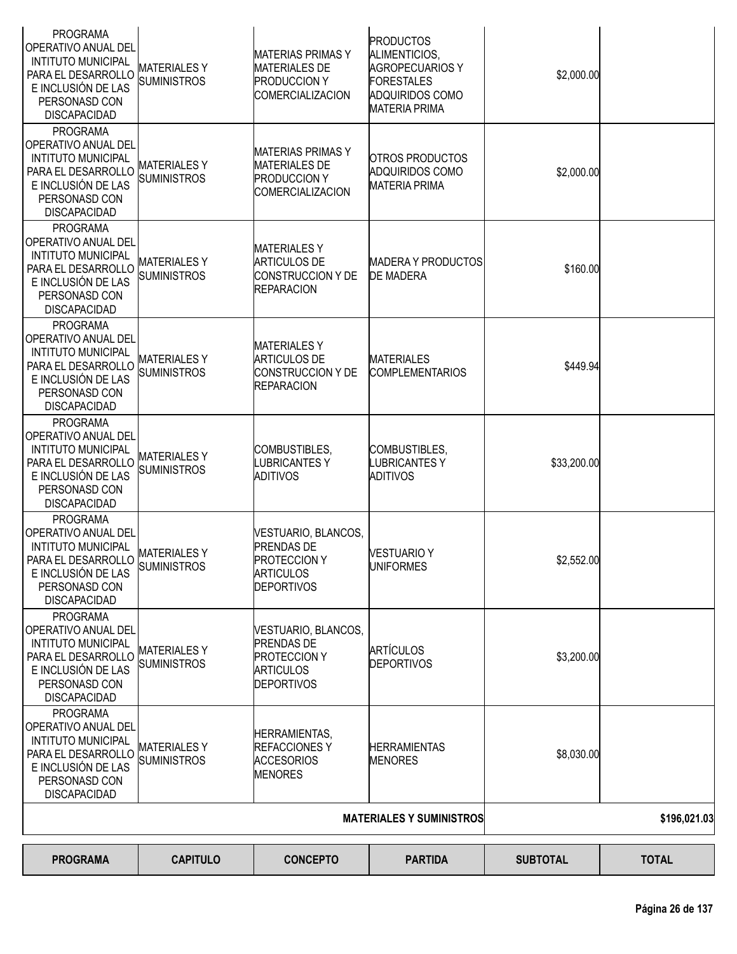| <b>PROGRAMA</b><br>OPERATIVO ANUAL DEL<br><b>INTITUTO MUNICIPAL</b><br>PARA EL DESARROLLO<br>E INCLUSIÓN DE LAS<br>PERSONASD CON<br><b>DISCAPACIDAD</b> | <b>MATERIALES Y</b><br><b>SUMINISTROS</b> | <b>MATERIAS PRIMAS Y</b><br><b>MATERIALES DE</b><br><b>PRODUCCION Y</b><br><b>COMERCIALIZACION</b>       | <b>PRODUCTOS</b><br>ALIMENTICIOS,<br><b>AGROPECUARIOS Y</b><br><b>FORESTALES</b><br><b>ADQUIRIDOS COMO</b><br><b>MATERIA PRIMA</b> | \$2,000.00      |              |
|---------------------------------------------------------------------------------------------------------------------------------------------------------|-------------------------------------------|----------------------------------------------------------------------------------------------------------|------------------------------------------------------------------------------------------------------------------------------------|-----------------|--------------|
| <b>PROGRAMA</b><br>OPERATIVO ANUAL DEL<br><b>INTITUTO MUNICIPAL</b><br>PARA EL DESARROLLO<br>E INCLUSIÓN DE LAS<br>PERSONASD CON<br><b>DISCAPACIDAD</b> | MATERIALES Y<br><b>SUMINISTROS</b>        | <b>MATERIAS PRIMAS Y</b><br><b>MATERIALES DE</b><br><b>PRODUCCION Y</b><br><b>COMERCIALIZACION</b>       | <b>OTROS PRODUCTOS</b><br><b>ADQUIRIDOS COMO</b><br><b>MATERIA PRIMA</b>                                                           | \$2,000.00      |              |
| <b>PROGRAMA</b><br>OPERATIVO ANUAL DEL<br><b>INTITUTO MUNICIPAL</b><br>PARA EL DESARROLLO<br>E INCLUSIÓN DE LAS<br>PERSONASD CON<br><b>DISCAPACIDAD</b> | <b>MATERIALESY</b><br><b>SUMINISTROS</b>  | <b>MATERIALESY</b><br><b>ARTICULOS DE</b><br><b>CONSTRUCCION Y DE</b><br><b>REPARACION</b>               | <b>MADERA Y PRODUCTOS</b><br><b>DE MADERA</b>                                                                                      | \$160.00        |              |
| <b>PROGRAMA</b><br>OPERATIVO ANUAL DEL<br><b>INTITUTO MUNICIPAL</b><br>PARA EL DESARROLLO<br>E INCLUSIÓN DE LAS<br>PERSONASD CON<br><b>DISCAPACIDAD</b> | MATERIALES Y<br><b>SUMINISTROS</b>        | <b>MATERIALES Y</b><br><b>ARTICULOS DE</b><br>CONSTRUCCION Y DE<br><b>REPARACION</b>                     | <b>MATERIALES</b><br><b>COMPLEMENTARIOS</b>                                                                                        | \$449.94        |              |
| <b>PROGRAMA</b><br>OPERATIVO ANUAL DEL<br><b>INTITUTO MUNICIPAL</b><br>PARA EL DESARROLLO<br>E INCLUSIÓN DE LAS<br>PERSONASD CON<br><b>DISCAPACIDAD</b> | <b>MATERIALESY</b><br><b>SUMINISTROS</b>  | COMBUSTIBLES,<br><b>LUBRICANTESY</b><br>ADITIVOS                                                         | COMBUSTIBLES,<br><b>LUBRICANTESY</b><br><b>ADITIVOS</b>                                                                            | \$33,200.00     |              |
| <b>PROGRAMA</b><br>OPERATIVO ANUAL DEL<br><b>INTITUTO MUNICIPAL</b><br>PARA EL DESARROLLO<br>E INCLUSIÓN DE LAS<br>PERSONASD CON<br><b>DISCAPACIDAD</b> | <b>MATERIALESY</b><br><b>SUMINISTROS</b>  | VESTUARIO, BLANCOS,<br><b>PRENDAS DE</b><br><b>PROTECCION Y</b><br><b>ARTICULOS</b><br><b>DEPORTIVOS</b> | <b>VESTUARIO Y</b><br><b>UNIFORMES</b>                                                                                             | \$2,552.00      |              |
| <b>PROGRAMA</b><br>OPERATIVO ANUAL DEL<br><b>INTITUTO MUNICIPAL</b><br>PARA EL DESARROLLO<br>E INCLUSIÓN DE LAS<br>PERSONASD CON<br><b>DISCAPACIDAD</b> | MATERIALES Y<br><b>SUMINISTROS</b>        | VESTUARIO, BLANCOS,<br><b>PRENDAS DE</b><br><b>PROTECCION Y</b><br><b>ARTICULOS</b><br><b>DEPORTIVOS</b> | ARTÍCULOS<br><b>DEPORTIVOS</b>                                                                                                     | \$3,200.00      |              |
| <b>PROGRAMA</b><br>OPERATIVO ANUAL DEL<br><b>INTITUTO MUNICIPAL</b><br>PARA EL DESARROLLO<br>E INCLUSIÓN DE LAS<br>PERSONASD CON<br><b>DISCAPACIDAD</b> | <b>MATERIALESY</b><br><b>SUMINISTROS</b>  | <b>HERRAMIENTAS,</b><br><b>REFACCIONESY</b><br><b>ACCESORIOS</b><br><b>MENORES</b>                       | <b>HERRAMIENTAS</b><br><b>MENORES</b>                                                                                              | \$8,030.00      |              |
|                                                                                                                                                         |                                           |                                                                                                          | <b>MATERIALES Y SUMINISTROS</b>                                                                                                    |                 | \$196,021.03 |
| <b>PROGRAMA</b>                                                                                                                                         | <b>CAPITULO</b>                           | <b>CONCEPTO</b>                                                                                          | <b>PARTIDA</b>                                                                                                                     | <b>SUBTOTAL</b> | <b>TOTAL</b> |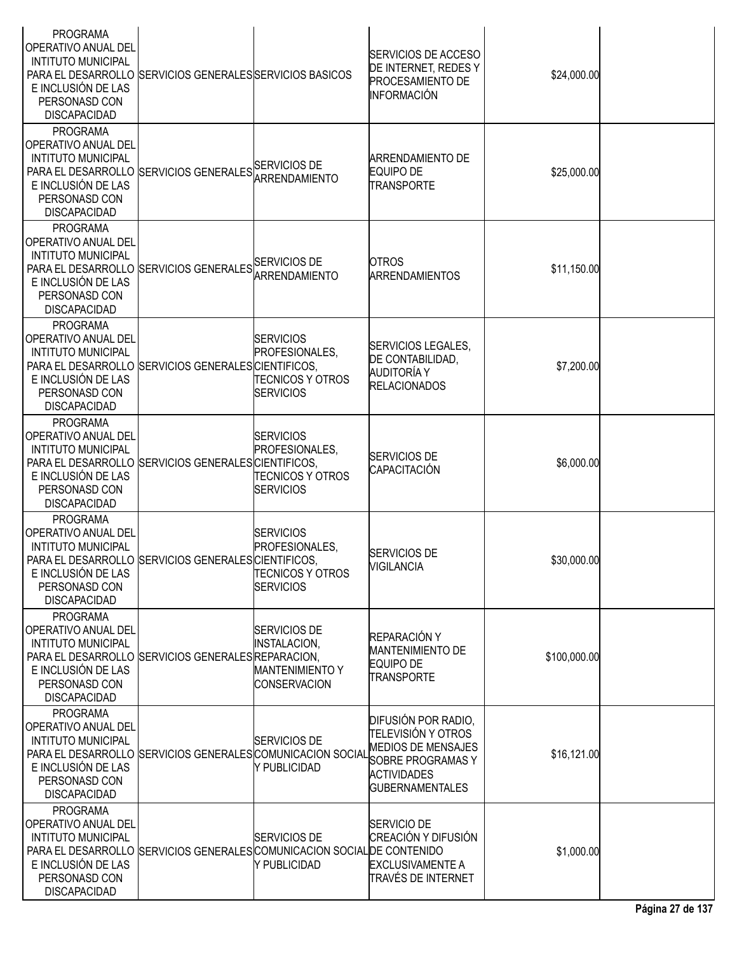| <b>PROGRAMA</b><br><b>OPERATIVO ANUAL DEL</b><br><b>INTITUTO MUNICIPAL</b><br>E INCLUSIÓN DE LAS<br>PERSONASD CON<br><b>DISCAPACIDAD</b> | PARA EL DESARROLLO SERVICIOS GENERALES SERVICIOS BASICOS                |                                                                                      | <b>SERVICIOS DE ACCESO</b><br>DE INTERNET, REDES Y<br><b>PROCESAMIENTO DE</b><br><b>INFORMACIÓN</b>                                         | \$24,000.00  |  |
|------------------------------------------------------------------------------------------------------------------------------------------|-------------------------------------------------------------------------|--------------------------------------------------------------------------------------|---------------------------------------------------------------------------------------------------------------------------------------------|--------------|--|
| <b>PROGRAMA</b><br> OPERATIVO ANUAL DEL<br><b>INTITUTO MUNICIPAL</b><br>E INCLUSIÓN DE LAS<br>PERSONASD CON<br><b>DISCAPACIDAD</b>       | PARA EL DESARROLLO SERVICIOS GENERALES ARRENDAMIENTO                    |                                                                                      | <b>ARRENDAMIENTO DE</b><br><b>EQUIPO DE</b><br><b>TRANSPORTE</b>                                                                            | \$25,000.00  |  |
| <b>PROGRAMA</b><br>OPERATIVO ANUAL DEL<br><b>INTITUTO MUNICIPAL</b><br>E INCLUSIÓN DE LAS<br>PERSONASD CON<br><b>DISCAPACIDAD</b>        | PARA EL DESARROLLO SERVICIOS GENERALES SERVICIOS DE                     | ARRENDAMIENTO                                                                        | <b>OTROS</b><br><b>ARRENDAMIENTOS</b>                                                                                                       | \$11,150.00  |  |
| <b>PROGRAMA</b><br>OPERATIVO ANUAL DEL<br><b>INTITUTO MUNICIPAL</b><br>E INCLUSIÓN DE LAS<br>PERSONASD CON<br><b>DISCAPACIDAD</b>        | PARA EL DESARROLLO SERVICIOS GENERALES CIENTIFICOS,                     | <b>SERVICIOS</b><br><b>PROFESIONALES.</b><br>TECNICOS Y OTROS<br><b>SERVICIOS</b>    | SERVICIOS LEGALES,<br>DE CONTABILIDAD,<br>AUDITORÍA Y<br><b>RELACIONADOS</b>                                                                | \$7,200.00   |  |
| <b>PROGRAMA</b><br> OPERATIVO ANUAL DEL<br><b>INTITUTO MUNICIPAL</b><br>E INCLUSIÓN DE LAS<br>PERSONASD CON<br><b>DISCAPACIDAD</b>       | PARA EL DESARROLLO SERVICIOS GENERALES CIENTIFICOS,                     | <b>SERVICIOS</b><br>PROFESIONALES,<br><b>TECNICOS Y OTROS</b><br><b>SERVICIOS</b>    | <b>SERVICIOS DE</b><br><b>CAPACITACIÓN</b>                                                                                                  | \$6,000.00   |  |
| <b>PROGRAMA</b><br> OPERATIVO ANUAL DEL<br><b>INTITUTO MUNICIPAL</b><br>E INCLUSIÓN DE LAS<br>PERSONASD CON<br><b>DISCAPACIDAD</b>       | PARA EL DESARROLLO SERVICIOS GENERALES CIENTIFICOS,                     | <b>SERVICIOS</b><br>PROFESIONALES,<br><b>TECNICOS Y OTROS</b><br><b>SERVICIOS</b>    | <b>SERVICIOS DE</b><br><b>VIGILANCIA</b>                                                                                                    | \$30,000.00  |  |
| <b>PROGRAMA</b><br><b>OPERATIVO ANUAL DEL</b><br><b>INTITUTO MUNICIPAL</b><br>E INCLUSIÓN DE LAS<br>PERSONASD CON<br><b>DISCAPACIDAD</b> | PARA EL DESARROLLO SERVICIOS GENERALES REPARACION,                      | SERVICIOS DE<br><b>INSTALACION,</b><br><b>MANTENIMIENTO Y</b><br><b>CONSERVACION</b> | REPARACIÓN Y<br><b>MANTENIMIENTO DE</b><br><b>EQUIPO DE</b><br><b>TRANSPORTE</b>                                                            | \$100,000.00 |  |
| <b>PROGRAMA</b><br> OPERATIVO ANUAL DEL<br><b>INTITUTO MUNICIPAL</b><br>E INCLUSIÓN DE LAS<br>PERSONASD CON<br><b>DISCAPACIDAD</b>       | PARA EL DESARROLLO SERVICIOS GENERALES COMUNICACION SOCIAL              | <b>SERVICIOS DE</b><br>Y PUBLICIDAD                                                  | DIFUSIÓN POR RADIO,<br>TELEVISIÓN Y OTROS<br><b>MEDIOS DE MENSAJES</b><br>SOBRE PROGRAMAS Y<br><b>ACTIVIDADES</b><br><b>GUBERNAMENTALES</b> | \$16,121.00  |  |
| <b>PROGRAMA</b><br> OPERATIVO ANUAL DEL<br><b>INTITUTO MUNICIPAL</b><br>E INCLUSIÓN DE LAS<br>PERSONASD CON<br><b>DISCAPACIDAD</b>       | PARA EL DESARROLLO SERVICIOS GENERALES COMUNICACION SOCIAL DE CONTENIDO | <b>SERVICIOS DE</b><br>Y PUBLICIDAD                                                  | SERVICIO DE<br>CREACIÓN Y DIFUSIÓN<br><b>EXCLUSIVAMENTE A</b><br>TRAVÉS DE INTERNET                                                         | \$1,000.00   |  |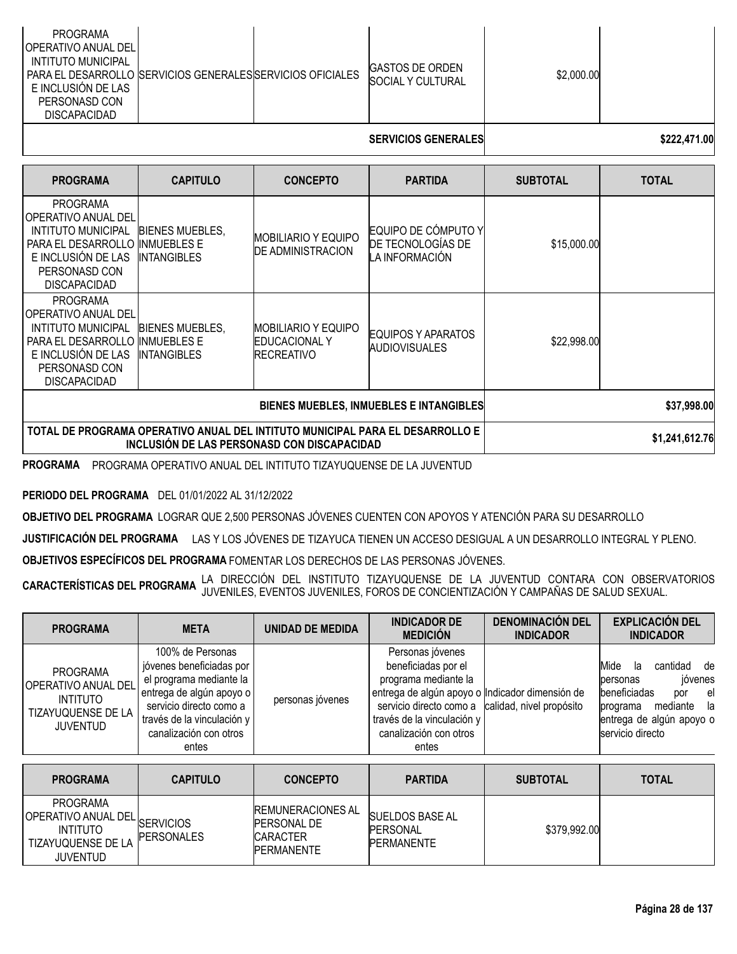| PROGRAMA<br><b>JOPERATIVO ANUAL DELI</b><br>INTITUTO MUNICIPAL<br>  PARA EL DESARROLLO  SERVICIOS GENERALES SERVICIOS OFICIALES  <br>E INCLUSIÓN DE LAS<br>PERSONASD CON<br><b>DISCAPACIDAD</b> |  | <b>IGASTOS DE ORDEN</b><br>SOCIAL Y CULTURAL | \$2,000.00 |  |
|-------------------------------------------------------------------------------------------------------------------------------------------------------------------------------------------------|--|----------------------------------------------|------------|--|
|                                                                                                                                                                                                 |  |                                              |            |  |

# **SERVICIOS GENERALES \$222,471.00**

| <b>PROGRAMA</b>                                                                                                                                  | <b>CAPITULO</b>                                                                                                              | <b>CONCEPTO</b>                                                    | <b>PARTIDA</b>                                             | <b>SUBTOTAL</b> | <b>TOTAL</b> |
|--------------------------------------------------------------------------------------------------------------------------------------------------|------------------------------------------------------------------------------------------------------------------------------|--------------------------------------------------------------------|------------------------------------------------------------|-----------------|--------------|
| <b>PROGRAMA</b><br>OPERATIVO ANUAL DEL<br>INTITUTO MUNICIPAL<br>PARA EL DESARROLLO<br>E INCLUSIÓN DE LAS<br>PERSONASD CON<br><b>DISCAPACIDAD</b> | <b>BIENES MUEBLES.</b><br><b>INMUEBLES E</b><br>INTANGIBLES                                                                  | IMOBILIARIO Y EQUIPO<br><b>DE ADMINISTRACION</b>                   | EQUIPO DE CÓMPUTO Y<br>DE TECNOLOGÍAS DE<br>LA INFORMACIÓN | \$15,000.00     |              |
| <b>PROGRAMA</b><br>OPERATIVO ANUAL DEL<br>INTITUTO MUNICIPAL<br>PARA EL DESARROLLO<br>E INCLUSIÓN DE LAS<br>PERSONASD CON<br><b>DISCAPACIDAD</b> | BIENES MUEBLES.<br>INMUEBLES E<br>INTANGIBLES                                                                                | IMOBILIARIO Y EQUIPO<br><b>EDUCACIONAL Y</b><br><b>IRECREATIVO</b> | EQUIPOS Y APARATOS<br><b>AUDIOVISUALES</b>                 | \$22,998.00     |              |
|                                                                                                                                                  |                                                                                                                              | <b>BIENES MUEBLES, INMUEBLES E INTANGIBLES</b>                     | \$37,998.00                                                |                 |              |
|                                                                                                                                                  | TOTAL DE PROGRAMA OPERATIVO ANUAL DEL INTITUTO MUNICIPAL PARA EL DESARROLLO E<br>INCLUSIÓN DE LAS PERSONASD CON DISCAPACIDAD |                                                                    | \$1,241,612.76                                             |                 |              |

**PROGRAMA** PROGRAMA OPERATIVO ANUAL DEL INTITUTO TIZAYUQUENSE DE LA JUVENTUD

**PERIODO DEL PROGRAMA** DEL 01/01/2022 AL 31/12/2022

**OBJETIVO DEL PROGRAMA** LOGRAR QUE 2,500 PERSONAS JÓVENES CUENTEN CON APOYOS Y ATENCIÓN PARA SU DESARROLLO

**JUSTIFICACIÓN DEL PROGRAMA** LAS Y LOS JÓVENES DE TIZAYUCA TIENEN UN ACCESO DESIGUAL A UN DESARROLLO INTEGRAL Y PLENO.

**OBJETIVOS ESPECÍFICOS DEL PROGRAMA** FOMENTAR LOS DERECHOS DE LAS PERSONAS JÓVENES.

**CARACTERÍSTICAS DEL PROGRAMA** LA DIRECCIÓN DEL INSTITUTO TIZAYUQUENSE DE LA JUVENTUD CONTARA CON OBSERVATORIOS JUVENILES, EVENTOS JUVENILES, FOROS DE CONCIENTIZACIÓN Y CAMPAÑAS DE SALUD SEXUAL.

| <b>PROGRAMA</b>                                                                                    | <b>META</b>                                                                                                                                                                                     | <b>UNIDAD DE MEDIDA</b> | <b>INDICADOR DE</b><br><b>MEDICIÓN</b>                                                                                                                                                                         | <b>DENOMINACIÓN DEL</b><br><b>INDICADOR</b> | <b>EXPLICACIÓN DEL</b><br><b>INDICADOR</b>                                                                                                                  |
|----------------------------------------------------------------------------------------------------|-------------------------------------------------------------------------------------------------------------------------------------------------------------------------------------------------|-------------------------|----------------------------------------------------------------------------------------------------------------------------------------------------------------------------------------------------------------|---------------------------------------------|-------------------------------------------------------------------------------------------------------------------------------------------------------------|
| <b>PROGRAMA</b><br>OPERATIVO ANUAL DEL<br><b>INTITUTO</b><br>TIZAYUQUENSE DE LA<br><b>JUVENTUD</b> | 100% de Personas<br>jóvenes beneficiadas por<br>el programa mediante la<br>entrega de algún apoyo o<br>servicio directo como a<br>través de la vinculación y<br>canalización con otros<br>entes | personas jóvenes        | Personas jóvenes<br>beneficiadas por el<br>programa mediante la<br>entrega de algún apoyo o Indicador dimensión de<br>servicio directo como a<br>través de la vinculación y<br>canalización con otros<br>entes | calidad, nivel propósito                    | Mide<br>cantidad<br>de<br>la<br>jóvenes<br>personas<br>beneficiadas<br>el<br>por<br>mediante la<br>programa<br>entrega de algún apoyo o<br>servicio directo |
| <u></u>                                                                                            | <b>AIREDIA</b>                                                                                                                                                                                  | 88118FBT8               | ------                                                                                                                                                                                                         | AURTAT LI                                   | -----                                                                                                                                                       |

| <b>PROGRAMA</b>                                                                         | <b>CAPITULO</b>   | <b>CONCEPTO</b>                                                                        | <b>PARTIDA</b>                                                  | <b>SUBTOTAL</b> | <b>TOTAL</b> |
|-----------------------------------------------------------------------------------------|-------------------|----------------------------------------------------------------------------------------|-----------------------------------------------------------------|-----------------|--------------|
| PROGRAMA<br>OPERATIVO ANUAL DEL SERVICIOS<br>INTITUTO<br>TIZAYUQUENSE DE LA<br>JUVENTUD | <b>PERSONALES</b> | <b>REMUNERACIONES AL</b><br><b>PERSONAL DE</b><br><b>CARACTER</b><br><b>PERMANENTE</b> | <b>SUELDOS BASE AL</b><br><b>IPERSONAL</b><br><b>PERMANENTE</b> | \$379,992.00    |              |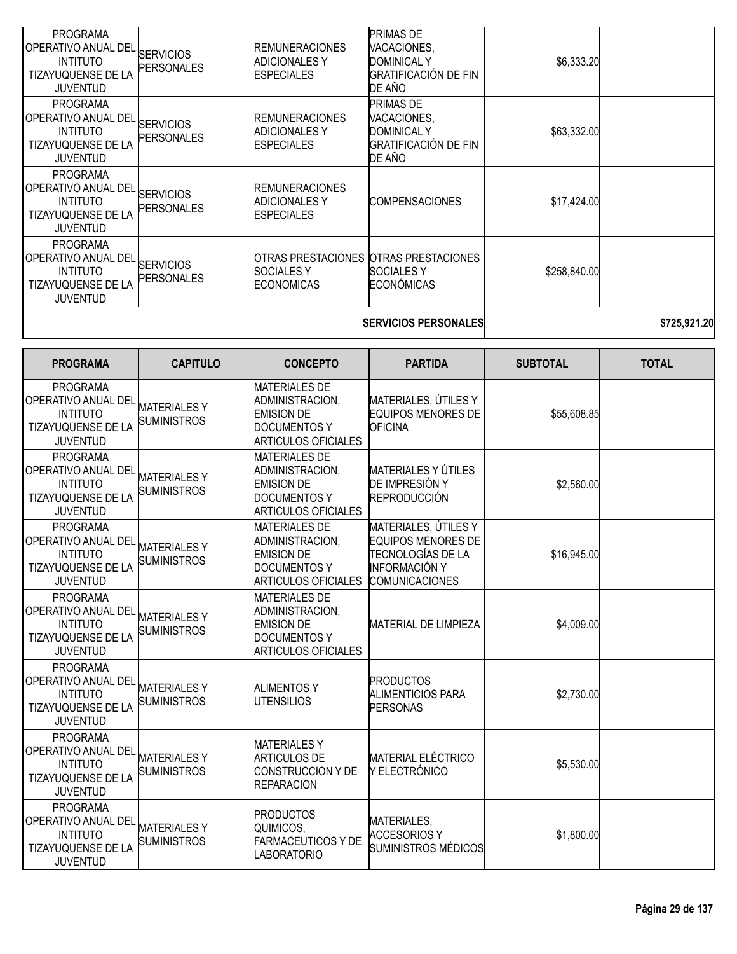| <b>PROGRAMA</b><br>OPERATIVO ANUAL DEL<br><b>INTITUTO</b><br>TIZAYUQUENSE DE LA<br><b>JUVENTUD</b>        | <b>SERVICIOS</b><br><b>PERSONALES</b>     | <b>REMUNERACIONES</b><br><b>ADICIONALES Y</b><br><b>ESPECIALES</b>                                                | <b>PRIMAS DE</b><br>VACACIONES,<br><b>DOMINICAL Y</b><br><b>GRATIFICACIÓN DE FIN</b><br>DE AÑO                          | \$6,333.20      |              |
|-----------------------------------------------------------------------------------------------------------|-------------------------------------------|-------------------------------------------------------------------------------------------------------------------|-------------------------------------------------------------------------------------------------------------------------|-----------------|--------------|
| <b>PROGRAMA</b><br>OPERATIVO ANUAL DEI<br><b>INTITUTO</b><br>TIZAYUQUENSE DE LA<br><b>JUVENTUD</b>        | <b>SERVICIOS</b><br>PERSONALES            | <b>REMUNERACIONES</b><br><b>ADICIONALES Y</b><br><b>ESPECIALES</b>                                                | <b>PRIMAS DE</b><br>VACACIONES,<br><b>DOMINICAL Y</b><br><b>GRATIFICACIÓN DE FIN</b><br>DE AÑO                          | \$63,332.00     |              |
| <b>PROGRAMA</b><br>OPERATIVO ANUAL DEL<br><b>INTITUTO</b><br>TIZAYUQUENSE DE LA<br><b>JUVENTUD</b>        | <b>SERVICIOS</b><br>PERSONALES            | <b>REMUNERACIONES</b><br><b>ADICIONALES Y</b><br><b>ESPECIALES</b>                                                | <b>COMPENSACIONES</b>                                                                                                   | \$17,424.00     |              |
| <b>PROGRAMA</b><br>OPERATIVO ANUAL DEL<br><b>INTITUTO</b><br><b>TIZAYUQUENSE DE LA</b><br><b>JUVENTUD</b> | <b>SERVICIOS</b><br><b>PERSONALES</b>     | <b>SOCIALESY</b><br><b>ECONOMICAS</b>                                                                             | OTRAS PRESTACIONES OTRAS PRESTACIONES<br><b>SOCIALESY</b><br><b>ECONÓMICAS</b>                                          | \$258,840.00    |              |
|                                                                                                           |                                           |                                                                                                                   | <b>SERVICIOS PERSONALES</b>                                                                                             |                 | \$725,921.20 |
| <b>PROGRAMA</b>                                                                                           | <b>CAPITULO</b>                           | <b>CONCEPTO</b>                                                                                                   | <b>PARTIDA</b>                                                                                                          | <b>SUBTOTAL</b> | <b>TOTAL</b> |
| <b>PROGRAMA</b><br>OPERATIVO ANUAL DEL<br><b>INTITUTO</b><br>TIZAYUQUENSE DE LA<br><b>JUVENTUD</b>        | <b>MATERIALESY</b><br><b>SUMINISTROS</b>  | <b>MATERIALES DE</b><br>ADMINISTRACION,<br><b>EMISION DE</b><br><b>DOCUMENTOS Y</b><br><b>ARTICULOS OFICIALES</b> | MATERIALES, ÚTILES Y<br><b>EQUIPOS MENORES DE</b><br><b>OFICINA</b>                                                     | \$55,608.85     |              |
| <b>PROGRAMA</b><br>OPERATIVO ANUAL DEL<br><b>INTITUTO</b><br>TIZAYUQUENSE DE LA<br><b>JUVENTUD</b>        | <b>MATERIALESY</b><br><b>SUMINISTROS</b>  | <b>MATERIALES DE</b><br>ADMINISTRACION,<br><b>EMISION DE</b><br><b>DOCUMENTOS Y</b><br><b>ARTICULOS OFICIALES</b> | MATERIALES Y ÚTILES<br>DE IMPRESIÓN Y<br><b>REPRODUCCIÓN</b>                                                            | \$2,560.00      |              |
| <b>PROGRAMA</b><br>OPERATIVO ANUAL DEL<br><b>INTITUTO</b><br>TIZAYUQUENSE DE LA<br><b>JUVENTUD</b>        | <b>MATERIALES Y</b><br><b>SUMINISTROS</b> | <b>MATERIALES DE</b><br>ADMINISTRACION,<br><b>EMISION DE</b><br>DOCUMENTOS Y<br><b>ARTICULOS OFICIALES</b>        | MATERIALES, ÚTILES Y<br><b>EQUIPOS MENORES DE</b><br>TECNOLOGÍAS DE LA<br><b>INFORMACIÓN Y</b><br><b>COMUNICACIONES</b> | \$16,945.00     |              |
| <b>PROGRAMA</b><br>OPERATIVO ANUAL DEL<br><b>INTITUTO</b><br>TIZAYUQUENSE DE LA<br><b>JUVENTUD</b>        | <b>MATERIALESY</b><br><b>SUMINISTROS</b>  | <b>MATERIALES DE</b><br>ADMINISTRACION,<br><b>EMISION DE</b><br><b>DOCUMENTOS Y</b><br><b>ARTICULOS OFICIALES</b> | <b>MATERIAL DE LIMPIEZA</b>                                                                                             | \$4,009.00      |              |
| <b>PROGRAMA</b><br>OPERATIVO ANUAL DEL<br><b>INTITUTO</b><br><b>TIZAYUQUENSE DE LA</b><br><b>JUVENTUD</b> | <b>MATERIALESY</b><br><b>SUMINISTROS</b>  | <b>ALIMENTOS Y</b><br><b>UTENSILIOS</b>                                                                           | <b>PRODUCTOS</b><br><b>ALIMENTICIOS PARA</b><br><b>PERSONAS</b>                                                         | \$2,730.00      |              |
| <b>PROGRAMA</b><br>OPERATIVO ANUAL DEL<br><b>INTITUTO</b><br>TIZAYUQUENSE DE LA<br><b>JUVENTUD</b>        | <b>MATERIALESY</b><br><b>SUMINISTROS</b>  | <b>MATERIALESY</b><br><b>ARTICULOS DE</b><br>CONSTRUCCION Y DE<br><b>REPARACION</b>                               | <b>MATERIAL ELÉCTRICO</b><br>Y ELECTRÓNICO                                                                              | \$5,530.00      |              |
| <b>PROGRAMA</b><br>OPERATIVO ANUAL DEL<br><b>INTITUTO</b><br>TIZAYUQUENSE DE LA<br><b>JUVENTUD</b>        | <b>MATERIALESY</b><br><b>SUMINISTROS</b>  | <b>PRODUCTOS</b><br>QUIMICOS,<br><b>FARMACEUTICOS Y DE</b><br><b>LABORATORIO</b>                                  | MATERIALES,<br><b>ACCESORIOS Y</b><br>SUMINISTROS MÉDICOS                                                               | \$1,800.00      |              |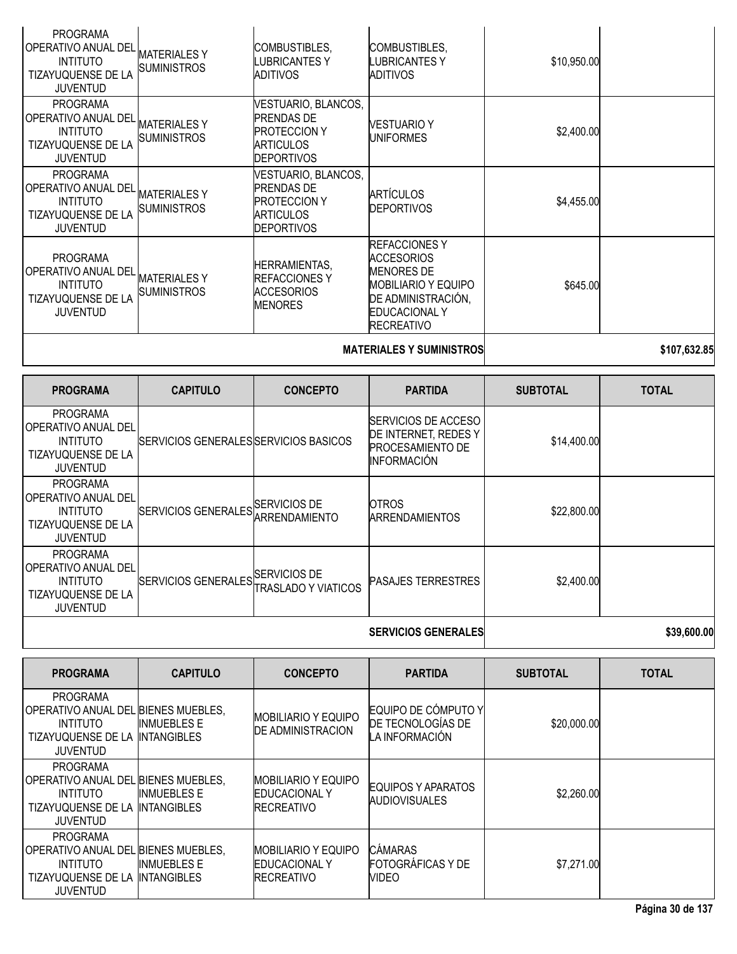| <b>PROGRAMA</b><br>I OPERATIVO ANUAL DEL<br><b>INTITUTO</b><br>TIZAYUQUENSE DE LA<br><b>JUVENTUD</b>        | <b>MATERIALESY</b><br><b>SUMINISTROS</b> | COMBUSTIBLES,<br>LUBRICANTES Y<br><b>ADITIVOS</b>                                                        | COMBUSTIBLES,<br>LUBRICANTES Y<br>ADITIVOS                                                                                                                      | \$10,950.00 |  |
|-------------------------------------------------------------------------------------------------------------|------------------------------------------|----------------------------------------------------------------------------------------------------------|-----------------------------------------------------------------------------------------------------------------------------------------------------------------|-------------|--|
| <b>PROGRAMA</b><br>OPERATIVO ANUAL DEL<br><b>INTITUTO</b><br>TIZAYUQUENSE DE LA<br><b>JUVENTUD</b>          | <b>MATERIALESY</b><br><b>SUMINISTROS</b> | VESTUARIO, BLANCOS,<br><b>PRENDAS DE</b><br><b>PROTECCION Y</b><br><b>ARTICULOS</b><br><b>DEPORTIVOS</b> | <b>VESTUARIO Y</b><br><b>UNIFORMES</b>                                                                                                                          | \$2,400.00  |  |
| <b>PROGRAMA</b><br>I OPERATIVO ANUAL DEL<br><b>INTITUTO</b><br><b>TIZAYUQUENSE DE LA</b><br><b>JUVENTUD</b> | <b>MATERIALESY</b><br><b>SUMINISTROS</b> | VESTUARIO, BLANCOS,<br><b>PRENDAS DE</b><br><b>PROTECCION Y</b><br><b>ARTICULOS</b><br><b>DEPORTIVOS</b> | <b>ARTÍCULOS</b><br><b>DEPORTIVOS</b>                                                                                                                           | \$4,455.00  |  |
| <b>PROGRAMA</b><br><b>OPERATIVO ANUAL DEL</b><br><b>INTITUTO</b><br>TIZAYUQUENSE DE LA<br><b>JUVENTUD</b>   | <b>MATERIALESY</b><br><b>SUMINISTROS</b> | <b>HERRAMIENTAS,</b><br><b>IREFACCIONES Y</b><br><b>ACCESORIOS</b><br><b>MENORES</b>                     | <b>REFACCIONES Y</b><br><b>ACCESORIOS</b><br><b>MENORES DE</b><br><b>MOBILIARIO Y EQUIPO</b><br>DE ADMINISTRACIÓN,<br><b>EDUCACIONAL Y</b><br><b>RECREATIVO</b> | \$645.00    |  |
|                                                                                                             |                                          |                                                                                                          |                                                                                                                                                                 |             |  |

**MATERIALES Y SUMINISTROS 107,632.85** 

| <b>PROGRAMA</b>                                                                                    | <b>CAPITULO</b>                       | <b>CONCEPTO</b>     | <b>PARTIDA</b>                                                                                       | <b>SUBTOTAL</b> | <b>TOTAL</b> |
|----------------------------------------------------------------------------------------------------|---------------------------------------|---------------------|------------------------------------------------------------------------------------------------------|-----------------|--------------|
| <b>PROGRAMA</b><br>OPERATIVO ANUAL DEL<br><b>INTITUTO</b><br>TIZAYUQUENSE DE LA<br><b>JUVENTUD</b> | SERVICIOS GENERALES SERVICIOS BASICOS |                     | <b>ISERVICIOS DE ACCESO</b><br>DE INTERNET, REDES Y<br><b>PROCESAMIENTO DE</b><br><b>INFORMACIÓN</b> | \$14,400.00     |              |
| <b>PROGRAMA</b><br>OPERATIVO ANUAL DEL<br><b>INTITUTO</b><br>TIZAYUQUENSE DE LA<br><b>JUVENTUD</b> | SERVICIOS GENERALES SERVICIOS DE      | IARRENDAMIENTO      | OTROS.<br><b>ARRENDAMIENTOS</b>                                                                      | \$22,800.00     |              |
| <b>PROGRAMA</b><br>OPERATIVO ANUAL DEL<br><b>INTITUTO</b><br>TIZAYUQUENSE DE LA<br><b>JUVENTUD</b> | SERVICIOS GENERALES SERVICIOS DE      | [RASLADO Y VIATICOS | <b>PASAJES TERRESTRES</b>                                                                            | \$2,400.00      |              |
|                                                                                                    |                                       |                     | can can an                                                                                           |                 |              |

# **SERVICIOS GENERALES \$39,600.00**

| <b>PROGRAMA</b>                                                                                                    | <b>CAPITULO</b>                                               | <b>CONCEPTO</b>                                                           | <b>PARTIDA</b>                                             | <b>SUBTOTAL</b> | <b>TOTAL</b> |
|--------------------------------------------------------------------------------------------------------------------|---------------------------------------------------------------|---------------------------------------------------------------------------|------------------------------------------------------------|-----------------|--------------|
| <b>PROGRAMA</b><br>IOPERATIVO ANUAL DEL<br><b>INTITUTO</b><br>TIZAYUQUENSE DE LA<br><b>JUVENTUD</b>                | . BIENES MUEBLES.<br><b>INMUEBLES E</b><br><b>INTANGIBLES</b> | <b>MOBILIARIO Y EQUIPO</b><br><b>DE ADMINISTRACION</b>                    | EQUIPO DE CÓMPUTO Y<br>DE TECNOLOGÍAS DE<br>LA INFORMACIÓN | \$20,000.00     |              |
| <b>PROGRAMA</b><br>OPERATIVO ANUAL DEL BIENES MUEBLES,<br><b>INTITUTO</b><br>TIZAYUQUENSE DE LA<br><b>JUVENTUD</b> | <b>INMUEBLES E</b><br><b>INTANGIBLES</b>                      | <b>MOBILIARIO Y EQUIPO</b><br><b>IEDUCACIONAL Y</b><br><b>IRECREATIVO</b> | <b>EQUIPOS Y APARATOS</b><br><b>AUDIOVISUALES</b>          | \$2,260.00      |              |
| <b>PROGRAMA</b><br>IOPERATIVO ANUAL DEL<br><b>INTITUTO</b><br>TIZAYUQUENSE DE LA<br><b>JUVENTUD</b>                | . BIENES MUEBLES.<br><b>INMUEBLES E</b><br><b>INTANGIBLES</b> | <b>MOBILIARIO Y EQUIPO</b><br><b>IEDUCACIONAL Y</b><br><b>IRECREATIVO</b> | <b>CÁMARAS</b><br><b>FOTOGRÁFICAS Y DE</b><br><b>VIDEO</b> | \$7,271.00      |              |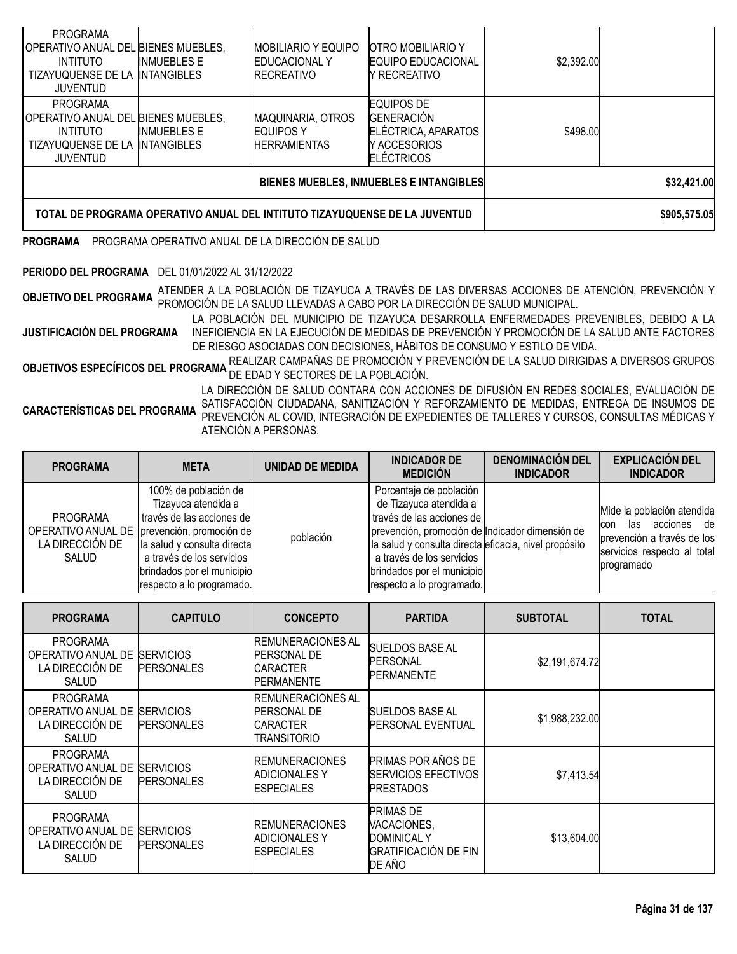| PROGRAMA<br>IOPERATIVO ANUAL DEL BIENES MUEBLES.<br><b>INTITUTO</b><br>TIZAYUQUENSE DE LA<br>JUVENTUD               | <b>INMUEBLES E</b><br><b>INTANGIBLES</b> | <b>MOBILIARIO Y EQUIPO</b><br><b>EDUCACIONAL Y</b><br><b>RECREATIVO</b> | <b>OTRO MOBILIARIO Y</b><br><b>EQUIPO EDUCACIONAL</b><br>Y RECREATIVO                               | \$2,392.00 |              |
|---------------------------------------------------------------------------------------------------------------------|------------------------------------------|-------------------------------------------------------------------------|-----------------------------------------------------------------------------------------------------|------------|--------------|
| <b>PROGRAMA</b><br>IOPERATIVO ANUAL DEL BIENES MUEBLES.<br><b>INTITUTO</b><br>TIZAYUQUENSE DE LA<br><b>JUVENTUD</b> | <b>INMUEBLES E</b><br><b>INTANGIBLES</b> | <b>MAQUINARIA, OTROS</b><br>EQUIPOS Y<br><b>HERRAMIENTAS</b>            | <b>EQUIPOS DE</b><br><b>GENERACIÓN</b><br>ELÉCTRICA, APARATOS<br>IY ACCESORIOS<br><b>ELÉCTRICOS</b> | \$498.00   |              |
|                                                                                                                     |                                          | BIENES MUEBLES, INMUEBLES E INTANGIBLES                                 | \$32,421.00                                                                                         |            |              |
| TOTAL DE PROGRAMA OPERATIVO ANUAL DEL INTITUTO TIZAYUQUENSE DE LA JUVENTUD                                          |                                          |                                                                         |                                                                                                     |            | \$905,575.05 |

# **PROGRAMA** PROGRAMA OPERATIVO ANUAL DE LA DIRECCIÓN DE SALUD

# **PERIODO DEL PROGRAMA** DEL 01/01/2022 AL 31/12/2022

**OBJETIVO DEL PROGRAMA** ATENDER <sup>A</sup> LA POBLACIÓN DE TIZAYUCA <sup>A</sup> TRAVÉS DE LAS DIVERSAS ACCIONES DE ATENCIÓN, PREVENCIÓN <sup>Y</sup> PROMOCIÓN DE LA SALUD LLEVADAS A CABO POR LA DIRECCIÓN DE SALUD MUNICIPAL.

**JUSTIFICACIÓN DEL PROGRAMA** LA POBLACIÓN DEL MUNICIPIO DE TIZAYUCA DESARROLLA ENFERMEDADES PREVENIBLES, DEBIDO A LA INEFICIENCIA EN LA EJECUCIÓN DE MEDIDAS DE PREVENCIÓN Y PROMOCIÓN DE LA SALUD ANTE FACTORES DE RIESGO ASOCIADAS CON DECISIONES, HÁBITOS DE CONSUMO Y ESTILO DE VIDA.

**OBJETIVOS ESPECÍFICOS DEL PROGRAMA** REALIZAR CAMPAÑAS DE PROMOCIÓN Y PREVENCIÓN DE LA SALUD DIRIGIDAS A DIVERSOS GRUPOS<br>DE la salud de programa de Edad y Sectores de la Población.

**CARACTERÍSTICAS DEL PROGRAMA** LA DIRECCIÓN DE SALUD CONTARA CON ACCIONES DE DIFUSIÓN EN REDES SOCIALES, EVALUACIÓN DE SATISFACCIÓN CIUDADANA, SANITIZACIÓN Y REFORZAMIENTO DE MEDIDAS, ENTREGA DE INSUMOS DE PREVENCIÓN AL COVID, INTEGRACIÓN DE EXPEDIENTES DE TALLERES Y CURSOS, CONSULTAS MÉDICAS Y ATENCIÓN A PERSONAS.

| <b>PROGRAMA</b>                             | <b>META</b>                                                                                                                                                                                                                                        | <b>UNIDAD DE MEDIDA</b> | <b>INDICADOR DE</b><br><b>MEDICIÓN</b>                                                                                                                                                                                                                                             | <b>DENOMINACIÓN DEL</b><br><b>INDICADOR</b> | <b>EXPLICACIÓN DEL</b><br><b>INDICADOR</b>                                                                                      |
|---------------------------------------------|----------------------------------------------------------------------------------------------------------------------------------------------------------------------------------------------------------------------------------------------------|-------------------------|------------------------------------------------------------------------------------------------------------------------------------------------------------------------------------------------------------------------------------------------------------------------------------|---------------------------------------------|---------------------------------------------------------------------------------------------------------------------------------|
| <b>PROGRAMA</b><br>LA DIRECCIÓN DE<br>SALUD | 100% de población de<br>Tizayuca atendida a<br>través de las acciones de<br>OPERATIVO ANUAL DE   prevención, promoción de  <br>la salud y consulta directa<br>a través de los servicios<br>brindados por el municipio<br>respecto a lo programado. | población               | Porcentaje de población<br>de Tizayuca atendida a<br>través de las acciones de<br>prevención, promoción de Indicador dimensión de<br>la salud y consulta directa eficacia, nivel propósito<br>a través de los servicios<br>brindados por el municipio<br>respecto a lo programado. |                                             | Mide la población atendida<br>las acciones de<br>con<br>prevención a través de los<br>servicios respecto al total<br>programado |

| <b>PROGRAMA</b>                                                          | <b>CAPITULO</b>                       | <b>CONCEPTO</b>                                                                         | <b>PARTIDA</b>                                                                           | <b>SUBTOTAL</b> | <b>TOTAL</b> |
|--------------------------------------------------------------------------|---------------------------------------|-----------------------------------------------------------------------------------------|------------------------------------------------------------------------------------------|-----------------|--------------|
| <b>PROGRAMA</b><br>OPERATIVO ANUAL DE<br>LA DIRECCIÓN DE<br>SALUD        | <b>SERVICIOS</b><br><b>PERSONALES</b> | <b>IREMUNERACIONES AL</b><br><b>PERSONAL DE</b><br><b>CARACTER</b><br><b>PERMANENTE</b> | SUELDOS BASE AL<br><b>PERSONAL</b><br><b>PERMANENTE</b>                                  | \$2,191,674.72  |              |
| <b>PROGRAMA</b><br>OPERATIVO ANUAL DE<br>LA DIRECCIÓN DE<br><b>SALUD</b> | <b>SERVICIOS</b><br><b>PERSONALES</b> | REMUNERACIONES AL<br><b>PERSONAL DE</b><br>CARACTER<br>TRANSITORIO                      | ISUELDOS BASE AL<br><b>PERSONAL EVENTUAL</b>                                             | \$1,988,232.00  |              |
| <b>PROGRAMA</b><br>OPERATIVO ANUAL DE<br>LA DIRECCIÓN DE<br>SALUD        | <b>SERVICIOS</b><br><b>PERSONALES</b> | <b>REMUNERACIONES</b><br><b>ADICIONALES Y</b><br><b>ESPECIALES</b>                      | PRIMAS POR AÑOS DE<br>SERVICIOS EFECTIVOS<br><b>PRESTADOS</b>                            | \$7,413.54      |              |
| <b>PROGRAMA</b><br>OPERATIVO ANUAL DE<br>LA DIRECCIÓN DE<br>SALUD        | <b>SERVICIOS</b><br><b>PERSONALES</b> | <b>IREMUNERACIONES</b><br><b>ADICIONALES Y</b><br><b>ESPECIALES</b>                     | <b>PRIMAS DE</b><br>VACACIONES,<br><b>DOMINICAL Y</b><br>IGRATIFICACIÓN DE FIN<br>DE AÑO | \$13,604.00     |              |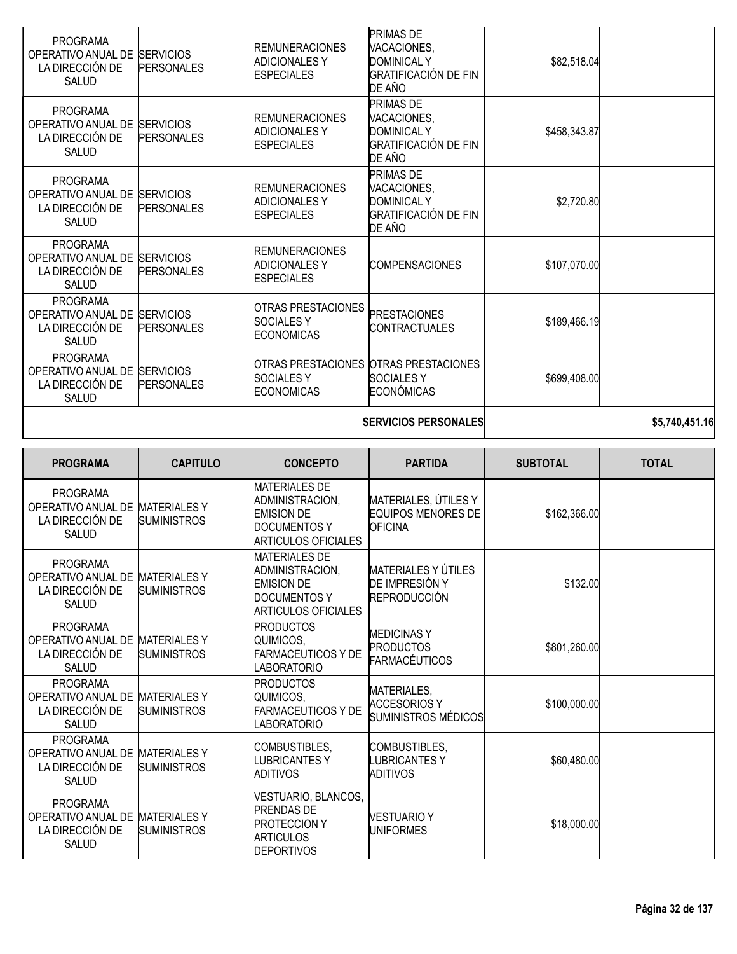| <b>PROGRAMA</b><br>OPERATIVO ANUAL DE<br>LA DIRECCIÓN DE<br><b>SALUD</b> | <b>SERVICIOS</b><br><b>PERSONALES</b> | <b>REMUNERACIONES</b><br><b>ADICIONALES Y</b><br><b>ESPECIALES</b>   | <b>PRIMAS DE</b><br>VACACIONES,<br><b>DOMINICAL Y</b><br>GRATIFICACIÓN DE FIN<br>DE AÑO        | \$82,518.04  |  |
|--------------------------------------------------------------------------|---------------------------------------|----------------------------------------------------------------------|------------------------------------------------------------------------------------------------|--------------|--|
| <b>PROGRAMA</b><br>OPERATIVO ANUAL DE<br>LA DIRECCIÓN DE<br>SALUD        | <b>SERVICIOS</b><br><b>PERSONALES</b> | <b>IREMUNERACIONES</b><br><b>ADICIONALES Y</b><br><b>IESPECIALES</b> | <b>PRIMAS DE</b><br>VACACIONES,<br><b>DOMINICAL Y</b><br>GRATIFICACIÓN DE FIN<br>DE AÑO        | \$458,343.87 |  |
| <b>PROGRAMA</b><br>OPERATIVO ANUAL DE<br>LA DIRECCIÓN DE<br>SALUD        | <b>SERVICIOS</b><br><b>PERSONALES</b> | <b>REMUNERACIONES</b><br><b>ADICIONALES Y</b><br><b>IESPECIALES</b>  | <b>PRIMAS DE</b><br>VACACIONES,<br><b>DOMINICAL Y</b><br><b>GRATIFICACIÓN DE FIN</b><br>DE AÑO | \$2,720.80   |  |
| <b>PROGRAMA</b><br>OPERATIVO ANUAL DE<br>LA DIRECCIÓN DE<br>SALUD        | <b>SERVICIOS</b><br><b>PERSONALES</b> | <b>IREMUNERACIONES</b><br><b>ADICIONALES Y</b><br><b>IESPECIALES</b> | <b>COMPENSACIONES</b>                                                                          | \$107,070.00 |  |
| <b>PROGRAMA</b><br>OPERATIVO ANUAL DE<br>LA DIRECCIÓN DE<br>SALUD        | <b>SERVICIOS</b><br><b>PERSONALES</b> | OTRAS PRESTACIONES<br><b>SOCIALES Y</b><br><b>ECONOMICAS</b>         | <b>PRESTACIONES</b><br><b>CONTRACTUALES</b>                                                    | \$189,466.19 |  |
| <b>PROGRAMA</b><br>OPERATIVO ANUAL DE<br>LA DIRECCIÓN DE<br>SALUD        | <b>SERVICIOS</b><br><b>PERSONALES</b> | <b>SOCIALESY</b><br><b>ECONOMICAS</b>                                | OTRAS PRESTACIONES OTRAS PRESTACIONES<br>ISOCIALES Y<br>ECONÓMICAS                             | \$699,408.00 |  |
|                                                                          |                                       |                                                                      |                                                                                                |              |  |

# **SERVICIOS PERSONALES \$5,740,451.16**

| <b>PROGRAMA</b>                                                          | <b>CAPITULO</b>                           | <b>CONCEPTO</b>                                                                                                   | <b>PARTIDA</b>                                                      | <b>SUBTOTAL</b> | <b>TOTAL</b> |
|--------------------------------------------------------------------------|-------------------------------------------|-------------------------------------------------------------------------------------------------------------------|---------------------------------------------------------------------|-----------------|--------------|
| <b>PROGRAMA</b><br>OPERATIVO ANUAL DE<br>LA DIRECCIÓN DE<br>SALUD        | <b>MATERIALES Y</b><br><b>SUMINISTROS</b> | <b>MATERIALES DE</b><br>ADMINISTRACION,<br><b>EMISION DE</b><br>DOCUMENTOS Y<br><b>ARTICULOS OFICIALES</b>        | MATERIALES, ÚTILES Y<br><b>EQUIPOS MENORES DE</b><br><b>OFICINA</b> | \$162,366.00    |              |
| <b>PROGRAMA</b><br>OPERATIVO ANUAL DE<br>LA DIRECCIÓN DE<br>SALUD        | <b>MATERIALESY</b><br><b>SUMINISTROS</b>  | <b>MATERIALES DE</b><br>ADMINISTRACION,<br><b>EMISION DE</b><br><b>DOCUMENTOS Y</b><br><b>ARTICULOS OFICIALES</b> | MATERIALES Y ÚTILES<br>DE IMPRESIÓN Y<br><b>REPRODUCCIÓN</b>        | \$132.00        |              |
| <b>PROGRAMA</b><br>OPERATIVO ANUAL DE<br>LA DIRECCIÓN DE<br><b>SALUD</b> | <b>MATERIALES Y</b><br><b>SUMINISTROS</b> | <b>PRODUCTOS</b><br>QUIMICOS.<br><b>FARMACEUTICOS Y DE</b><br><b>LABORATORIO</b>                                  | <b>MEDICINAS Y</b><br><b>PRODUCTOS</b><br><b>FARMACÉUTICOS</b>      | \$801,260.00    |              |
| <b>PROGRAMA</b><br>OPERATIVO ANUAL DE<br>LA DIRECCIÓN DE<br><b>SALUD</b> | <b>MATERIALESY</b><br><b>SUMINISTROS</b>  | <b>PRODUCTOS</b><br>QUIMICOS,<br><b>FARMACEUTICOS Y DE</b><br><b>LABORATORIO</b>                                  | MATERIALES,<br>ACCESORIOS Y<br>SUMINISTROS MÉDICOS                  | \$100,000.00    |              |
| <b>PROGRAMA</b><br>OPERATIVO ANUAL DE<br>LA DIRECCIÓN DE<br>SALUD        | <b>MATERIALES Y</b><br><b>SUMINISTROS</b> | COMBUSTIBLES,<br><b>LUBRICANTESY</b><br><b>ADITIVOS</b>                                                           | COMBUSTIBLES,<br><b>LUBRICANTESY</b><br><b>ADITIVOS</b>             | \$60,480.00     |              |
| <b>PROGRAMA</b><br>OPERATIVO ANUAL DE<br>LA DIRECCIÓN DE<br>SALUD        | <b>MATERIALES Y</b><br><b>SUMINISTROS</b> | VESTUARIO, BLANCOS,<br><b>PRENDAS DE</b><br><b>PROTECCION Y</b><br><b>ARTICULOS</b><br><b>DEPORTIVOS</b>          | <b>VESTUARIO Y</b><br><b>UNIFORMES</b>                              | \$18,000.00     |              |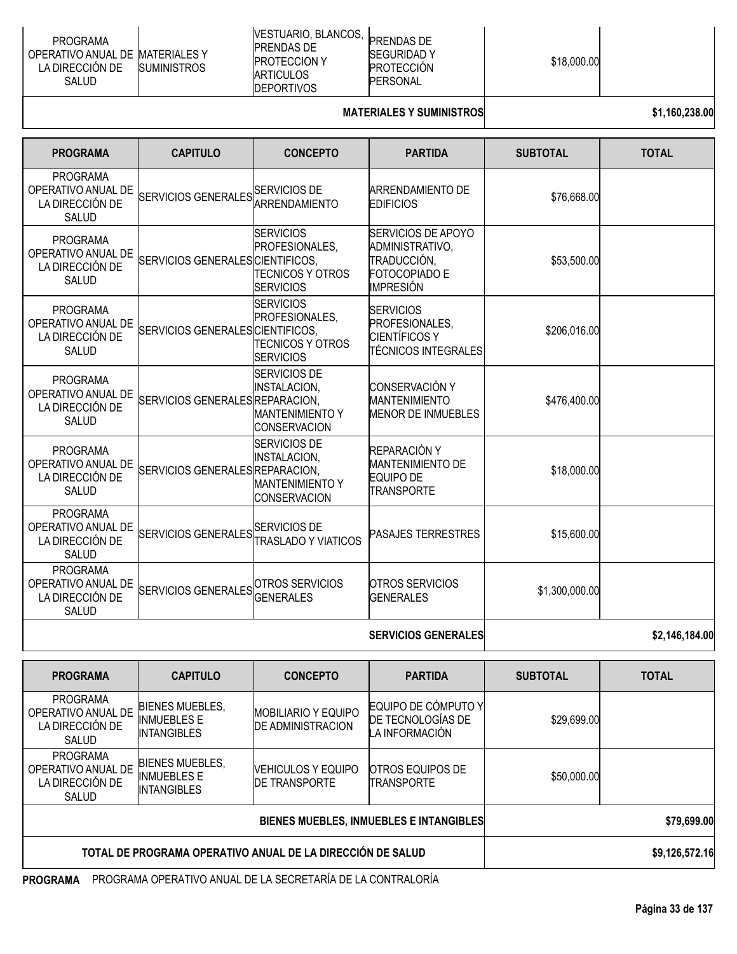| <b>PROGRAMA</b><br>OPERATIVO ANUAL DE IMATERIALES Y<br>LA DIRECCION DE<br><b>SUMINISTROS</b><br>SALUD | IVESTUARIO, BLANCOS,<br>PRENDAS DE<br><b>PROTECCION Y</b><br><b>IARTICULOS</b><br><b>DEPORTIVOS</b> | <b>PRENDAS DE</b><br><b>SEGURIDAD Y</b><br><b>PROTECCION</b><br>PERSONAL | \$18,000.00 |  |
|-------------------------------------------------------------------------------------------------------|-----------------------------------------------------------------------------------------------------|--------------------------------------------------------------------------|-------------|--|
|-------------------------------------------------------------------------------------------------------|-----------------------------------------------------------------------------------------------------|--------------------------------------------------------------------------|-------------|--|

# **MATERIALES Y SUMINISTROS \$1,160,238.00**

| <b>PROGRAMA</b>                                                          | <b>CAPITULO</b>                                   | <b>CONCEPTO</b>                                                                             | <b>PARTIDA</b>                                                                            | <b>SUBTOTAL</b> | <b>TOTAL</b> |
|--------------------------------------------------------------------------|---------------------------------------------------|---------------------------------------------------------------------------------------------|-------------------------------------------------------------------------------------------|-----------------|--------------|
| <b>PROGRAMA</b><br>OPERATIVO ANUAL DE<br>LA DIRECCIÓN DE<br><b>SALUD</b> | SERVICIOS GENERALES SERVICIOS DE<br>ARRENDAMIENTO |                                                                                             | <b>ARRENDAMIENTO DE</b><br><b>EDIFICIOS</b>                                               | \$76,668.00     |              |
| <b>PROGRAMA</b><br>OPERATIVO ANUAL DE<br>LA DIRECCIÓN DE<br><b>SALUD</b> | SERVICIOS GENERALES CIENTIFICOS,                  | <b>SERVICIOS</b><br>PROFESIONALES,<br><b>TECNICOS Y OTROS</b><br><b>SERVICIOS</b>           | SERVICIOS DE APOYO<br>ADMINISTRATIVO,<br>TRADUCCIÓN.<br><b>FOTOCOPIADO E</b><br>IMPRESIÓN | \$53,500.00     |              |
| <b>PROGRAMA</b><br>OPERATIVO ANUAL DE<br>LA DIRECCIÓN DE<br><b>SALUD</b> | SERVICIOS GENERALES CIENTIFICOS,                  | <b>SERVICIOS</b><br>PROFESIONALES,<br><b>TECNICOS Y OTROS</b><br><b>SERVICIOS</b>           | <b>SERVICIOS</b><br>PROFESIONALES.<br><b>CIENTÍFICOS Y</b><br>TÉCNICOS INTEGRALES         | \$206,016.00    |              |
| <b>PROGRAMA</b><br>OPERATIVO ANUAL DE<br>LA DIRECCIÓN DE<br><b>SALUD</b> | SERVICIOS GENERALES REPARACION,                   | <b>SERVICIOS DE</b><br><b>INSTALACION,</b><br><b>MANTENIMIENTO Y</b><br><b>CONSERVACION</b> | <b>CONSERVACIÓN Y</b><br><b>MANTENIMIENTO</b><br><b>MENOR DE INMUEBLES</b>                | \$476,400.00    |              |
| <b>PROGRAMA</b><br>OPERATIVO ANUAL DE<br>LA DIRECCIÓN DE<br><b>SALUD</b> | SERVICIOS GENERALES REPARACION,                   | <b>SERVICIOS DE</b><br><b>INSTALACION,</b><br><b>MANTENIMIENTO Y</b><br><b>CONSERVACION</b> | REPARACIÓN Y<br><b>MANTENIMIENTO DE</b><br><b>EQUIPO DE</b><br>TRANSPORTE                 | \$18,000.00     |              |
| <b>PROGRAMA</b><br>OPERATIVO ANUAL DE<br>LA DIRECCIÓN DE<br><b>SALUD</b> | SERVICIOS GENERALES SERVICIOS DE                  | <b>TRASLADO Y VIATICOS</b>                                                                  | <b>PASAJES TERRESTRES</b>                                                                 | \$15,600.00     |              |
| <b>PROGRAMA</b><br>OPERATIVO ANUAL DE<br>LA DIRECCIÓN DE<br><b>SALUD</b> | SERVICIOS GENERALES OTROS SERVICIOS               | <b>GENERALES</b>                                                                            | <b>OTROS SERVICIOS</b><br><b>GENERALES</b>                                                | \$1,300,000.00  |              |

# **SERVICIOS GENERALES \$2,146,184.00**

| <b>PROGRAMA</b>                                                          | <b>CAPITULO</b>                                                    | <b>CONCEPTO</b>                                        | <b>PARTIDA</b>                                             | <b>SUBTOTAL</b> | <b>TOTAL</b>   |
|--------------------------------------------------------------------------|--------------------------------------------------------------------|--------------------------------------------------------|------------------------------------------------------------|-----------------|----------------|
| <b>PROGRAMA</b><br>OPERATIVO ANUAL DE<br>LA DIRECCIÓN DE<br><b>SALUD</b> | <b>BIENES MUEBLES,</b><br><b>INMUEBLES E</b><br><b>INTANGIBLES</b> | <b>MOBILIARIO Y EQUIPO</b><br><b>DE ADMINISTRACION</b> | EQUIPO DE CÓMPUTO Y<br>DE TECNOLOGÍAS DE<br>LA INFORMACIÓN | \$29,699.00     |                |
| <b>PROGRAMA</b><br>OPERATIVO ANUAL DE<br>LA DIRECCIÓN DE<br><b>SALUD</b> | <b>BIENES MUEBLES,</b><br><b>INMUEBLES E</b><br><b>INTANGIBLES</b> | <b>NEHICULOS Y EQUIPO</b><br><b>DE TRANSPORTE</b>      | <b>OTROS EQUIPOS DE</b><br><b>TRANSPORTE</b>               | \$50,000.00     |                |
| <b>BIENES MUEBLES, INMUEBLES E INTANGIBLES</b>                           |                                                                    |                                                        |                                                            |                 | \$79,699.00    |
| TOTAL DE PROGRAMA OPERATIVO ANUAL DE LA DIRECCIÓN DE SALUD               |                                                                    |                                                        |                                                            |                 | \$9,126,572.16 |

**PROGRAMA** PROGRAMA OPERATIVO ANUAL DE LA SECRETARÍA DE LA CONTRALORÍA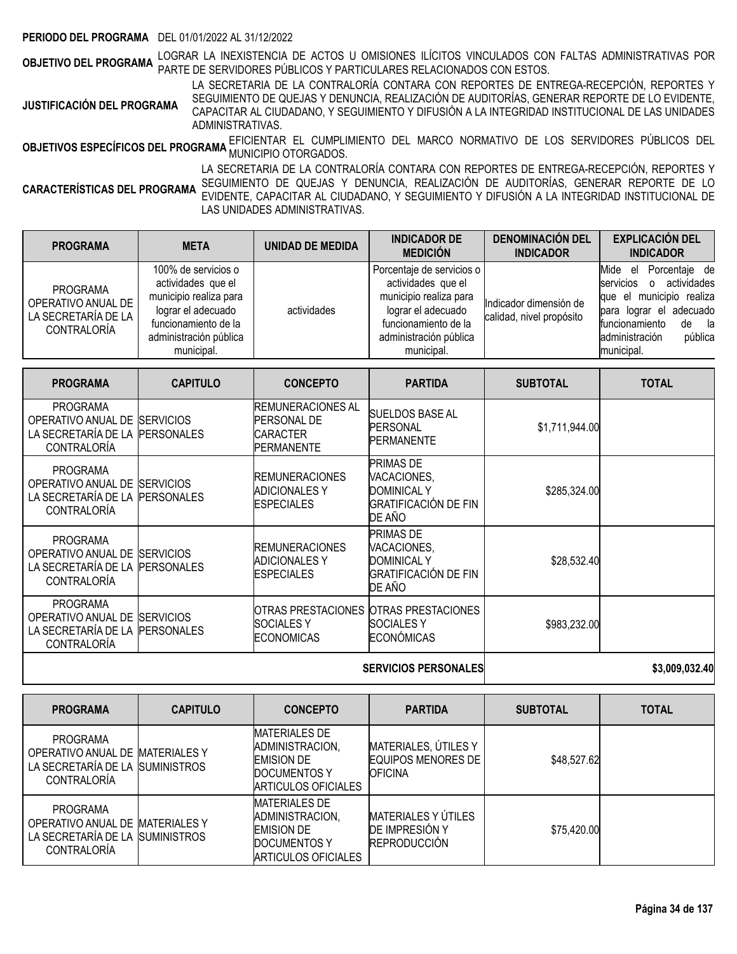#### **PERIODO DEL PROGRAMA** DEL 01/01/2022 AL 31/12/2022

**OBJETIVO DEL PROGRAMA** LOGRAR LA INEXISTENCIA DE ACTOS U OMISIONES ILÍCITOS VINCULADOS CON FALTAS ADMINISTRATIVAS POR<br>**OBJETIVO DEL PROGRAMA** PARTE DE SERVIDORES PÚBLICOS Y PARTICULARES RELACIONADOS CON ESTOS.

**JUSTIFICACIÓN DEL PROGRAMA** LA SECRETARIA DE LA CONTRALORÍA CONTARA CON REPORTES DE ENTREGA-RECEPCIÓN, REPORTES Y SEGUIMIENTO DE QUEJAS Y DENUNCIA, REALIZACIÓN DE AUDITORÍAS, GENERAR REPORTE DE LO EVIDENTE, CAPACITAR AL CIUDADANO, Y SEGUIMIENTO Y DIFUSIÓN A LA INTEGRIDAD INSTITUCIONAL DE LAS UNIDADES ADMINISTRATIVAS.

**OBJETIVOS ESPECÍFICOS DEL PROGRAMA** EFICIENTAR EL CUMPLIMIENTO DEL MARCO NORMATIVO DE LOS SERVIDORES PÚBLICOS DEL<br>MUNICIPIO OTORGADO EL PROGRAMA MUNICIPIO OTORGADOS.

**CARACTERÍSTICAS DEL PROGRAMA** LA SECRETARIA DE LA CONTRALORÍA CONTARA CON REPORTES DE ENTREGA-RECEPCIÓN, REPORTES Y SEGUIMIENTO DE QUEJAS Y DENUNCIA, REALIZACIÓN DE AUDITORÍAS, GENERAR REPORTE DE LO EVIDENTE, CAPACITAR AL CIUDADANO, Y SEGUIMIENTO Y DIFUSIÓN A LA INTEGRIDAD INSTITUCIONAL DE LAS UNIDADES ADMINISTRATIVAS.

| <b>PROGRAMA</b>                                                             | <b>META</b>                                                                                                                                               | UNIDAD DE MEDIDA | <b>INDICADOR DE</b><br><b>MEDICIÓN</b>                                                                                                                          | <b>DENOMINACIÓN DEL</b><br><b>INDICADOR</b>        | <b>EXPLICACIÓN DEL</b><br><b>INDICADOR</b>                                                                                                                                                                  |
|-----------------------------------------------------------------------------|-----------------------------------------------------------------------------------------------------------------------------------------------------------|------------------|-----------------------------------------------------------------------------------------------------------------------------------------------------------------|----------------------------------------------------|-------------------------------------------------------------------------------------------------------------------------------------------------------------------------------------------------------------|
| <b>PROGRAMA</b><br>OPERATIVO ANUAL DE<br>LA SECRETARÍA DE LA<br>CONTRALORÍA | 100% de servicios o<br>actividades que el<br>municipio realiza para<br>lograr el adecuado<br>funcionamiento de la<br>administración pública<br>municipal. | actividades      | Porcentaje de servicios o<br>actividades que el<br>municipio realiza para<br>lograr el adecuado<br>funcionamiento de la<br>administración pública<br>municipal. | Indicador dimensión de<br>calidad, nivel propósito | Porcentaie de<br>Mide<br>el<br>servicios<br>actividades<br>$\circ$<br>municipio realiza<br>aue el<br>adecuado<br>para lograr el<br>funcionamiento<br>la la<br>de<br>administración<br>pública<br>municipal. |

| <b>PROGRAMA</b>                                                                    | <b>CAPITULO</b>                        | <b>CONCEPTO</b>                                                             | <b>PARTIDA</b>                                                                          | <b>SUBTOTAL</b> | <b>TOTAL</b> |
|------------------------------------------------------------------------------------|----------------------------------------|-----------------------------------------------------------------------------|-----------------------------------------------------------------------------------------|-----------------|--------------|
| <b>PROGRAMA</b><br>OPERATIVO ANUAL DE<br>LA SECRETARÍA DE LA<br>CONTRALORÍA        | <b>SERVICIOS</b><br><b>PERSONALES</b>  | IREMUNERACIONES AL<br><b>PERSONAL DE</b><br>ICARACTER<br><b>IPERMANENTE</b> | SUELDOS BASE AL<br><b>PERSONAL</b><br><b>PERMANENTE</b>                                 | \$1,711,944.00  |              |
| <b>PROGRAMA</b><br>OPERATIVO ANUAL DE<br>LA SECRETARÍA DE LA<br><b>CONTRALORÍA</b> | <b>ISERVICIOS</b><br><b>PERSONALES</b> | <b>IREMUNERACIONES</b><br><b>ADICIONALES Y</b><br><b>ESPECIALES</b>         | <b>PRIMAS DE</b><br>VACACIONES,<br><b>DOMINICAL Y</b><br>GRATIFICACIÓN DE FIN<br>DE AÑO | \$285,324.00    |              |
| <b>PROGRAMA</b><br>OPERATIVO ANUAL DE<br>LA SECRETARÍA DE LA<br>CONTRALORÍA        | <b>ISERVICIOS</b><br><b>PERSONALES</b> | <b>IREMUNERACIONES</b><br><b>ADICIONALESY</b><br><b>IESPECIALES</b>         | <b>PRIMAS DE</b><br>VACACIONES,<br><b>DOMINICAL Y</b><br>GRATIFICACIÓN DE FIN<br>DE AÑO | \$28,532.40     |              |
| <b>PROGRAMA</b><br>OPERATIVO ANUAL DE<br>LA SECRETARÍA DE LA<br>CONTRALORÍA        | <b>SERVICIOS</b><br><b>PERSONALES</b>  | ISOCIALES Y<br>ECONOMICAS                                                   | IOTRAS PRESTACIONES IOTRAS PRESTACIONES<br>ISOCIALES Y<br><b>ECONÓMICAS</b>             | \$983,232.00    |              |

**SERVICIOS PERSONALES \$3,009,032.40**

| <b>PROGRAMA</b>                                                                                             | <b>CAPITULO</b> | <b>CONCEPTO</b>                                                                                            | <b>PARTIDA</b>                                                             | <b>SUBTOTAL</b> | <b>TOTAL</b> |
|-------------------------------------------------------------------------------------------------------------|-----------------|------------------------------------------------------------------------------------------------------------|----------------------------------------------------------------------------|-----------------|--------------|
| <b>PROGRAMA</b><br>OPERATIVO ANUAL DE MATERIALES Y<br>LA SECRETARÍA DE LA SUMINISTROS<br><b>CONTRALORIA</b> |                 | <b>MATERIALES DE</b><br>ADMINISTRACION,<br><b>EMISION DE</b><br>DOCUMENTOS Y<br><b>ARTICULOS OFICIALES</b> | MATERIALES, ÚTILES Y<br>EQUIPOS MENORES DE<br><b>OFICINA</b>               | \$48,527.62     |              |
| PROGRAMA<br>OPERATIVO ANUAL DE MATERIALES Y<br>LA SECRETARÍA DE LA SUMINISTROS<br><b>CONTRALORIA</b>        |                 | <b>MATERIALES DE</b><br>ADMINISTRACION,<br><b>EMISION DE</b><br><b>DOCUMENTOS Y</b><br>ARTICULOS OFICIALES | <b>MATERIALES Y ÚTILES</b><br><b>DE IMPRESIÓN Y</b><br><b>REPRODUCCIÓN</b> | \$75,420.00     |              |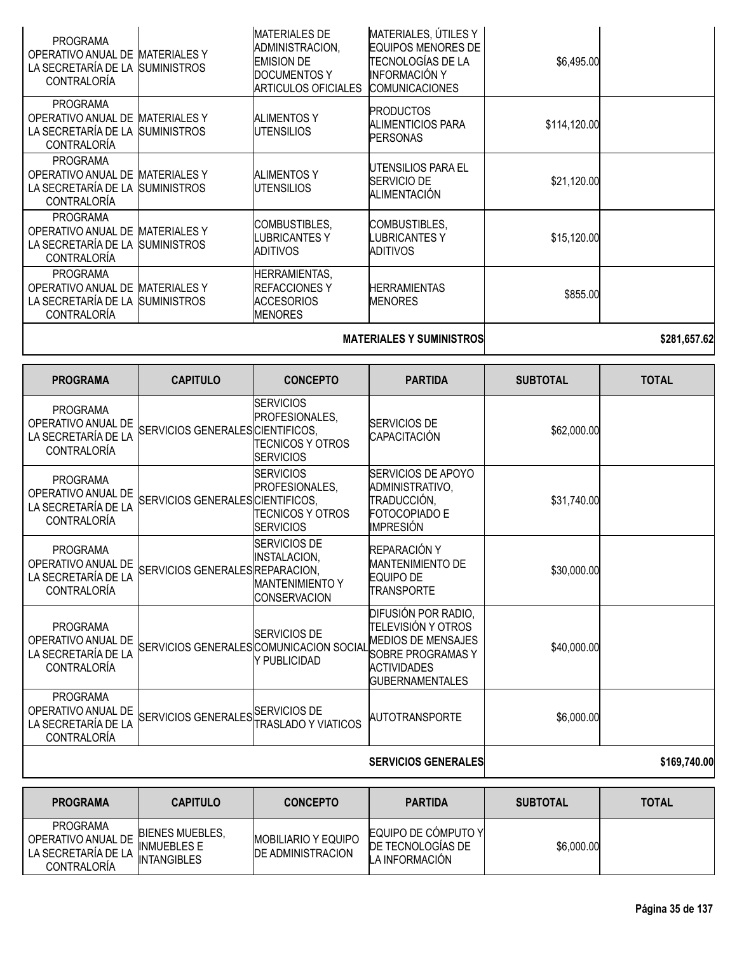|                                                                                                 |                                           |                                                                                                                   | <b>MATERIALES Y SUMINISTROS</b>                                                                                         |              | \$281,657.62 |
|-------------------------------------------------------------------------------------------------|-------------------------------------------|-------------------------------------------------------------------------------------------------------------------|-------------------------------------------------------------------------------------------------------------------------|--------------|--------------|
| <b>PROGRAMA</b><br>OPERATIVO ANUAL DE MATERIALES Y<br>LA SECRETARÍA DE LA<br><b>CONTRALORÍA</b> | <b>SUMINISTROS</b>                        | HERRAMIENTAS,<br><b>REFACCIONESY</b><br><b>ACCESORIOS</b><br><b>MENORES</b>                                       | HERRAMIENTAS<br><b>MENORES</b>                                                                                          | \$855.00     |              |
| <b>PROGRAMA</b><br>OPERATIVO ANUAL DE<br>LA SECRETARÍA DE LA<br><b>CONTRALORIA</b>              | <b>MATERIALES Y</b><br><b>SUMINISTROS</b> | COMBUSTIBLES,<br><b>LUBRICANTESY</b><br>ADITIVOS                                                                  | COMBUSTIBLES,<br><b>LUBRICANTES Y</b><br>ADITIVOS                                                                       | \$15,120.00  |              |
| <b>PROGRAMA</b><br>OPERATIVO ANUAL DE MATERIALES Y<br>LA SECRETARÍA DE LA<br><b>CONTRALORÍA</b> | <b>SUMINISTROS</b>                        | <b>ALIMENTOS Y</b><br>UTENSILIOS                                                                                  | UTENSILIOS PARA EL<br><b>SERVICIO DE</b><br><b>ALIMENTACIÓN</b>                                                         | \$21,120.00  |              |
| <b>PROGRAMA</b><br>OPERATIVO ANUAL DE<br>LA SECRETARÍA DE LA<br><b>CONTRALORÍA</b>              | MATERIALES Y<br><b>SUMINISTROS</b>        | <b>ALIMENTOS Y</b><br>UTENSILIOS                                                                                  | <b>PRODUCTOS</b><br>ALIMENTICIOS PARA<br><b>PERSONAS</b>                                                                | \$114,120.00 |              |
| <b>PROGRAMA</b><br>OPERATIVO ANUAL DE<br>LA SECRETARÍA DE LA<br><b>CONTRALORÍA</b>              | <b>MATERIALES Y</b><br><b>SUMINISTROS</b> | <b>MATERIALES DE</b><br>ADMINISTRACION,<br><b>EMISION DE</b><br><b>DOCUMENTOS Y</b><br><b>ARTICULOS OFICIALES</b> | MATERIALES, ÚTILES Y<br><b>EQUIPOS MENORES DE</b><br>TECNOLOGÍAS DE LA<br><b>INFORMACIÓN Y</b><br><b>COMUNICACIONES</b> | \$6,495.00   |              |

| <b>PROGRAMA</b>                                                                    | <b>CAPITULO</b>                  | <b>CONCEPTO</b>                                                                             | <b>PARTIDA</b>                                                                                                                              | <b>SUBTOTAL</b> | <b>TOTAL</b> |
|------------------------------------------------------------------------------------|----------------------------------|---------------------------------------------------------------------------------------------|---------------------------------------------------------------------------------------------------------------------------------------------|-----------------|--------------|
| <b>PROGRAMA</b><br>OPERATIVO ANUAL DE<br>LA SECRETARÍA DE LA<br>CONTRALORÍA        | SERVICIOS GENERALES CIENTIFICOS, | <b>SERVICIOS</b><br>PROFESIONALES,<br><b>TECNICOS Y OTROS</b><br><b>SERVICIOS</b>           | <b>SERVICIOS DE</b><br>CAPACITACIÓN                                                                                                         | \$62,000.00     |              |
| <b>PROGRAMA</b><br>OPERATIVO ANUAL DE<br>LA SECRETARÍA DE LA<br><b>CONTRALORÍA</b> | SERVICIOS GENERALES CIENTIFICOS, | <b>SERVICIOS</b><br><b>PROFESIONALES.</b><br><b>TECNICOS Y OTROS</b><br><b>SERVICIOS</b>    | SERVICIOS DE APOYO<br>ADMINISTRATIVO,<br>TRADUCCIÓN,<br><b>FOTOCOPIADO E</b><br>IMPRESIÓN                                                   | \$31,740.00     |              |
| <b>PROGRAMA</b><br>OPERATIVO ANUAL DE<br>LA SECRETARÍA DE LA<br><b>CONTRALORÍA</b> | SERVICIOS GENERALES REPARACION.  | <b>SERVICIOS DE</b><br><b>INSTALACION,</b><br><b>MANTENIMIENTO Y</b><br><b>CONSERVACION</b> | REPARACIÓN Y<br><b>MANTENIMIENTO DE</b><br><b>EQUIPO DE</b><br><b>TRANSPORTE</b>                                                            | \$30,000.00     |              |
| <b>PROGRAMA</b><br>OPERATIVO ANUAL DE<br>LA SECRETARÍA DE LA<br><b>CONTRALORÍA</b> |                                  | <b>SERVICIOS DE</b><br>SERVICIOS GENERALES COMUNICACION SOCIAL<br>Y PUBLICIDAD              | DIFUSIÓN POR RADIO,<br>TELEVISIÓN Y OTROS<br><b>MEDIOS DE MENSAJES</b><br>SOBRE PROGRAMAS Y<br><b>ACTIVIDADES</b><br><b>GUBERNAMENTALES</b> | \$40,000.00     |              |
| <b>PROGRAMA</b><br>OPERATIVO ANUAL DE<br>LA SECRETARÍA DE LA<br>CONTRALORÍA        | SERVICIOS GENERALES SERVICIOS DE | ITRASLADO Y VIATICOS                                                                        | AUTOTRANSPORTE                                                                                                                              | \$6,000.00      |              |
|                                                                                    |                                  |                                                                                             | <b>SERVICIOS GENERALES</b>                                                                                                                  |                 | \$169,740.00 |

| <b>PROGRAMA</b>                                                             | <b>CAPITULO</b>                                                    | <b>CONCEPTO</b>                                         | <b>PARTIDA</b>                                              | <b>SUBTOTAL</b> | <b>TOTAL</b> |
|-----------------------------------------------------------------------------|--------------------------------------------------------------------|---------------------------------------------------------|-------------------------------------------------------------|-----------------|--------------|
| <b>PROGRAMA</b><br>OPERATIVO ANUAL DE<br>LA SECRETARÍA DE LA<br>CONTRALORÍA | <b>BIENES MUEBLES.</b><br><b>INMUEBLES E</b><br><b>INTANGIBLES</b> | <b>MOBILIARIO Y EQUIPO</b><br><b>IDE ADMINISTRACION</b> | EQUIPO DE CÓMPUTO YI<br>DE TECNOLOGIAS DE<br>LA INFORMACIÓN | \$6,000.00      |              |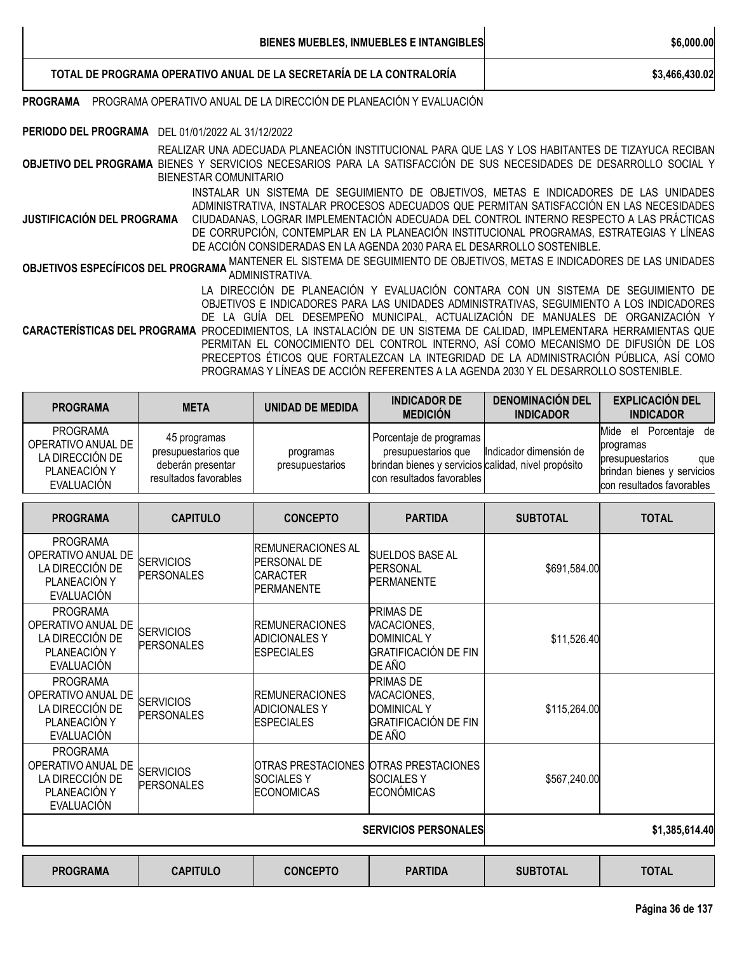|                                                                                                                                               | BIENES MUEBLES, INMUEBLES E INTANGIBLES                                                                                                                                                                                                                                                                                                                                                                                                                                                                                                                                | \$6,000.00     |  |  |  |
|-----------------------------------------------------------------------------------------------------------------------------------------------|------------------------------------------------------------------------------------------------------------------------------------------------------------------------------------------------------------------------------------------------------------------------------------------------------------------------------------------------------------------------------------------------------------------------------------------------------------------------------------------------------------------------------------------------------------------------|----------------|--|--|--|
|                                                                                                                                               | TOTAL DE PROGRAMA OPERATIVO ANUAL DE LA SECRETARÍA DE LA CONTRALORÍA                                                                                                                                                                                                                                                                                                                                                                                                                                                                                                   | \$3,466,430.02 |  |  |  |
| PROGRAMA                                                                                                                                      | PROGRAMA OPERATIVO ANUAL DE LA DIRECCIÓN DE PLANEACIÓN Y EVALUACIÓN                                                                                                                                                                                                                                                                                                                                                                                                                                                                                                    |                |  |  |  |
| PERIODO DEL PROGRAMA DEL 01/01/2022 AL 31/12/2022                                                                                             |                                                                                                                                                                                                                                                                                                                                                                                                                                                                                                                                                                        |                |  |  |  |
|                                                                                                                                               | REALIZAR UNA ADECUADA PLANEACIÓN INSTITUCIONAL PARA QUE LAS Y LOS HABITANTES DE TIZAYUCA RECIBAN<br>OBJETIVO DEL PROGRAMA BIENES Y SERVICIOS NECESARIOS PARA LA SATISFACCIÓN DE SUS NECESIDADES DE DESARROLLO SOCIAL Y<br>BIENESTAR COMUNITARIO                                                                                                                                                                                                                                                                                                                        |                |  |  |  |
| JUSTIFICACIÓN DEL PROGRAMA                                                                                                                    | INSTALAR UN SISTEMA DE SEGUIMIENTO DE OBJETIVOS, METAS E INDICADORES DE LAS UNIDADES<br>ADMINISTRATIVA, INSTALAR PROCESOS ADECUADOS QUE PERMITAN SATISFACCIÓN EN LAS NECESIDADES<br>CIUDADANAS, LOGRAR IMPLEMENTACIÓN ADECUADA DEL CONTROL INTERNO RESPECTO A LAS PRÁCTICAS<br>DE CORRUPCIÓN, CONTEMPLAR EN LA PLANEACIÓN INSTITUCIONAL PROGRAMAS, ESTRATEGIAS Y LÍNEAS<br>DE ACCIÓN CONSIDERADAS EN LA AGENDA 2030 PARA EL DESARROLLO SOSTENIBLE.                                                                                                                     |                |  |  |  |
| MANTENER EL SISTEMA DE SEGUIMIENTO DE OBJETIVOS, METAS E INDICADORES DE LAS UNIDADES<br>OBJETIVOS ESPECÍFICOS DEL PROGRAMA<br>ADMINISTRATIVA. |                                                                                                                                                                                                                                                                                                                                                                                                                                                                                                                                                                        |                |  |  |  |
|                                                                                                                                               | LA DIRECCIÓN DE PLANEACIÓN Y EVALUACIÓN CONTARA CON UN SISTEMA DE SEGUIMIENTO DE<br>OBJETIVOS E INDICADORES PARA LAS UNIDADES ADMINISTRATIVAS, SEGUIMIENTO A LOS INDICADORES<br>DE LA GUÍA DEL DESEMPEÑO MUNICIPAL, ACTUALIZACIÓN DE MANUALES DE ORGANIZACIÓN Y<br>CARACTERÍSTICAS DEL PROGRAMA PROCEDIMIENTOS, LA INSTALACIÓN DE UN SISTEMA DE CALIDAD, IMPLEMENTARA HERRAMIENTAS QUE<br>PERMITAN EL CONOCIMIENTO DEL CONTROL INTERNO, ASÍ COMO MECANISMO DE DIFUSIÓN DE LOS<br>PRECEPTOS ÉTICOS QUE FORTALEZCAN LA INTEGRIDAD DE LA ADMINISTRACIÓN PÚBLICA, ASÍ COMO |                |  |  |  |

PROGRAMAS Y LÍNEAS DE ACCIÓN REFERENTES A LA AGENDA 2030 Y EL DESARROLLO SOSTENIBLE.

| <b>PROGRAMA</b>                                                                        | <b>META</b>                                                                       | UNIDAD DE MEDIDA             | <b>INDICADOR DE</b><br><b>MEDICIÓN</b>                                                                                                 | <b>DENOMINACIÓN DEL</b><br><b>INDICADOR</b> | <b>EXPLICACIÓN DEL</b><br><b>INDICADOR</b>                                                                                    |
|----------------------------------------------------------------------------------------|-----------------------------------------------------------------------------------|------------------------------|----------------------------------------------------------------------------------------------------------------------------------------|---------------------------------------------|-------------------------------------------------------------------------------------------------------------------------------|
| <b>PROGRAMA</b><br>OPERATIVO ANUAL DE<br>LA DIRECCIÓN DE<br>PLANEACIÓN Y<br>EVALUACIÓN | 45 programas<br>presupuestarios que<br>deberán presentar<br>resultados favorables | programas<br>presupuestarios | Porcentaje de programas<br>presupuestarios que<br>brindan bienes y servicios calidad, nivel propósito<br>I con resultados favorables I | Indicador dimensión de                      | Mide<br>Porcentaie de<br>el<br>programas<br>presupuestarios<br>que<br>brindan bienes y servicios<br>con resultados favorables |

| <b>PROGRAMA</b>                                                                        | <b>CAPITULO</b>                       | <b>CONCEPTO</b>                                                                         | <b>PARTIDA</b>                                                                          | <b>SUBTOTAL</b> | <b>TOTAL</b>   |
|----------------------------------------------------------------------------------------|---------------------------------------|-----------------------------------------------------------------------------------------|-----------------------------------------------------------------------------------------|-----------------|----------------|
| <b>PROGRAMA</b><br>OPERATIVO ANUAL DE<br>LA DIRECCIÓN DE<br>PLANEACIÓN Y<br>EVALUACIÓN | <b>SERVICIOS</b><br><b>PERSONALES</b> | <b>IREMUNERACIONES AL</b><br><b>PERSONAL DE</b><br><b>CARACTER</b><br><b>PERMANENTE</b> | SUELDOS BASE AL<br><b>PERSONAL</b><br><b>PERMANENTE</b>                                 | \$691,584.00    |                |
| <b>PROGRAMA</b><br>OPERATIVO ANUAL DE<br>LA DIRECCIÓN DE<br>PLANEACIÓN Y<br>EVALUACIÓN | <b>SERVICIOS</b><br><b>PERSONALES</b> | <b>REMUNERACIONES</b><br><b>ADICIONALES Y</b><br><b>ESPECIALES</b>                      | <b>PRIMAS DE</b><br>VACACIONES,<br><b>DOMINICAL Y</b><br>GRATIFICACIÓN DE FIN<br>DE AÑO | \$11,526.40     |                |
| <b>PROGRAMA</b><br>OPERATIVO ANUAL DE<br>LA DIRECCIÓN DE<br>PLANEACIÓN Y<br>EVALUACIÓN | <b>SERVICIOS</b><br><b>PERSONALES</b> | <b>IREMUNERACIONES</b><br><b>ADICIONALES Y</b><br><b>ESPECIALES</b>                     | <b>PRIMAS DE</b><br>VACACIONES,<br><b>DOMINICAL Y</b><br>GRATIFICACIÓN DE FIN<br>DE AÑO | \$115,264.00    |                |
| <b>PROGRAMA</b><br>OPERATIVO ANUAL DE<br>LA DIRECCIÓN DE<br>PLANEACIÓN Y<br>EVALUACIÓN | <b>SERVICIOS</b><br><b>PERSONALES</b> | OTRAS PRESTACIONES<br><b>SOCIALESY</b><br><b>ECONOMICAS</b>                             | <b>OTRAS PRESTACIONES</b><br><b>SOCIALESY</b><br>ECONÓMICAS                             | \$567,240.00    |                |
|                                                                                        |                                       |                                                                                         | <b>SERVICIOS PERSONALES</b>                                                             |                 | \$1,385,614.40 |

| <b>CONCEPTO</b><br><b>TOTAL</b><br><b>CAPITULO</b><br><b>SUBTOTAL</b><br><b>PARTIDA</b><br><b>PROGRAMA</b> |
|------------------------------------------------------------------------------------------------------------|
|------------------------------------------------------------------------------------------------------------|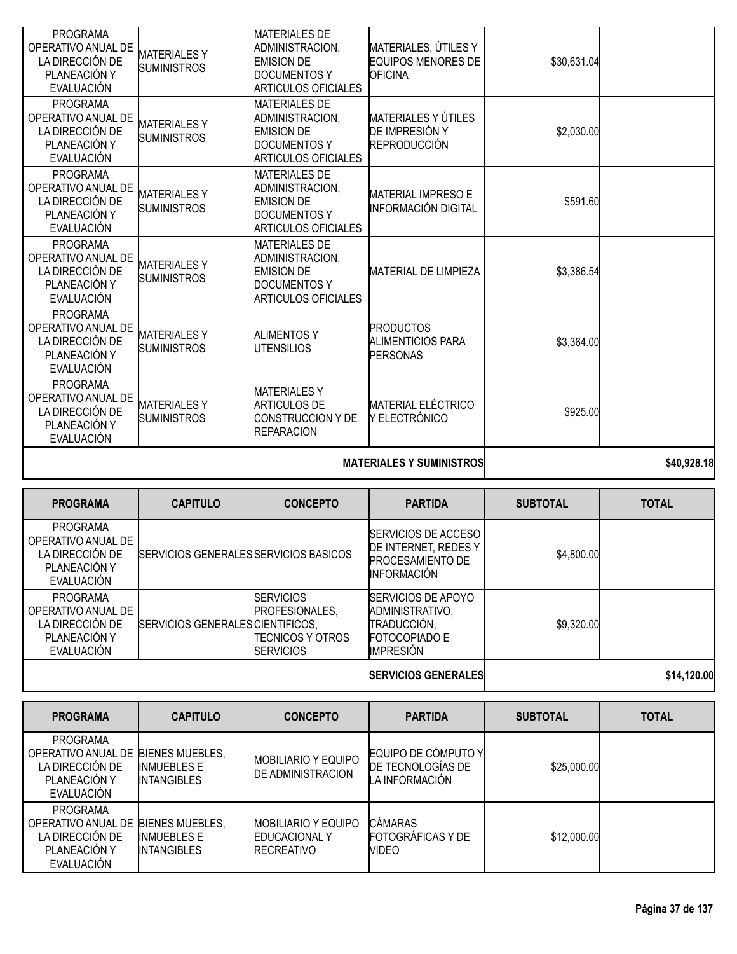|                                                                                        |                                           |                                                                                                                   | <b>MATERIALES Y SUMINISTROS</b>                                     |             | \$40,928.18 |
|----------------------------------------------------------------------------------------|-------------------------------------------|-------------------------------------------------------------------------------------------------------------------|---------------------------------------------------------------------|-------------|-------------|
| <b>PROGRAMA</b><br>OPERATIVO ANUAL DE<br>LA DIRECCIÓN DE<br>PLANEACIÓN Y<br>EVALUACIÓN | <b>MATERIALESY</b><br><b>SUMINISTROS</b>  | <b>MATERIALES Y</b><br><b>ARTICULOS DE</b><br><b>CONSTRUCCION Y DE</b><br><b>REPARACION</b>                       | <b>MATERIAL ELÉCTRICO</b><br>Y ELECTRÓNICO                          | \$925.00    |             |
| <b>PROGRAMA</b><br>OPERATIVO ANUAL DE<br>LA DIRECCIÓN DE<br>PLANEACIÓN Y<br>EVALUACIÓN | <b>MATERIALES Y</b><br><b>SUMINISTROS</b> | <b>ALIMENTOS Y</b><br><b>UTENSILIOS</b>                                                                           | <b>PRODUCTOS</b><br>ALIMENTICIOS PARA<br><b>PERSONAS</b>            | \$3,364.00  |             |
| <b>PROGRAMA</b><br>OPERATIVO ANUAL DE<br>LA DIRECCIÓN DE<br>PLANEACIÓN Y<br>EVALUACIÓN | <b>MATERIALESY</b><br><b>SUMINISTROS</b>  | <b>MATERIALES DE</b><br>ADMINISTRACION,<br><b>EMISION DE</b><br><b>DOCUMENTOS Y</b><br><b>ARTICULOS OFICIALES</b> | MATERIAL DE LIMPIEZA                                                | \$3,386.54  |             |
| <b>PROGRAMA</b><br>OPERATIVO ANUAL DE<br>LA DIRECCIÓN DE<br>PLANEACIÓN Y<br>EVALUACIÓN | <b>MATERIALESY</b><br><b>SUMINISTROS</b>  | <b>MATERIALES DE</b><br>ADMINISTRACION,<br><b>EMISION DE</b><br>DOCUMENTOS Y<br><b>ARTICULOS OFICIALES</b>        | <b>MATERIAL IMPRESO E</b><br><b>INFORMACIÓN DIGITAL</b>             | \$591.60    |             |
| <b>PROGRAMA</b><br>OPERATIVO ANUAL DE<br>LA DIRECCIÓN DE<br>PLANEACIÓN Y<br>EVALUACIÓN | <b>MATERIALES Y</b><br><b>SUMINISTROS</b> | <b>MATERIALES DE</b><br>ADMINISTRACION.<br><b>EMISION DE</b><br><b>DOCUMENTOS Y</b><br><b>ARTICULOS OFICIALES</b> | MATERIALES Y ÚTILES<br>DE IMPRESIÓN Y<br><b>REPRODUCCIÓN</b>        | \$2,030.00  |             |
| <b>PROGRAMA</b><br>OPERATIVO ANUAL DE<br>LA DIRECCIÓN DE<br>PLANEACIÓN Y<br>EVALUACIÓN | <b>MATERIALESY</b><br><b>SUMINISTROS</b>  | <b>MATERIALES DE</b><br>ADMINISTRACION,<br><b>EMISION DE</b><br><b>DOCUMENTOS Y</b><br><b>ARTICULOS OFICIALES</b> | MATERIALES, ÚTILES Y<br><b>EQUIPOS MENORES DE</b><br><b>OFICINA</b> | \$30,631.04 |             |

|  | MAI ERIALEJ I JUMINIJI RUJI |  |
|--|-----------------------------|--|
|  |                             |  |

| <b>PROGRAMA</b>                                                                        | <b>CAPITULO</b>                       | <b>CONCEPTO</b>                                                             | <b>PARTIDA</b>                                                                                          | <b>SUBTOTAL</b> | <b>TOTAL</b> |
|----------------------------------------------------------------------------------------|---------------------------------------|-----------------------------------------------------------------------------|---------------------------------------------------------------------------------------------------------|-----------------|--------------|
| <b>PROGRAMA</b><br>OPERATIVO ANUAL DE<br>LA DIRECCIÓN DE<br>PLANEACIÓN Y<br>EVALUACIÓN | SERVICIOS GENERALES SERVICIOS BASICOS |                                                                             | <b>ISERVICIOS DE ACCESO</b><br>DE INTERNET, REDES Y<br><b>PROCESAMIENTO DE</b><br><b>INFORMACIÓN</b>    | \$4,800.00      |              |
| <b>PROGRAMA</b><br>OPERATIVO ANUAL DE<br>LA DIRECCIÓN DE<br>PLANEACIÓN Y<br>EVALUACIÓN | SERVICIOS GENERALES CIENTIFICOS,      | <b>SERVICIOS</b><br>PROFESIONALES,<br>ITECNICOS Y OTROS<br><b>SERVICIOS</b> | <b>SERVICIOS DE APOYO</b><br>ADMINISTRATIVO,<br>TRADUCCIÓN,<br><b>FOTOCOPIADO E</b><br><b>IMPRESIÓN</b> | \$9,320.00      |              |
|                                                                                        |                                       |                                                                             | <b>SERVICIOS GENERALES</b>                                                                              |                 | \$14,120.00  |

| <b>PROGRAMA</b>                                                                                         | <b>CAPITULO</b>                          | <b>CONCEPTO</b>                                                         | <b>PARTIDA</b>                                             | <b>SUBTOTAL</b> | <b>TOTAL</b> |
|---------------------------------------------------------------------------------------------------------|------------------------------------------|-------------------------------------------------------------------------|------------------------------------------------------------|-----------------|--------------|
| <b>PROGRAMA</b><br>OPERATIVO ANUAL DE IBIENES MUEBLES.<br>LA DIRECCIÓN DE<br>PLANEACIÓN Y<br>EVALUACIÓN | <b>INMUEBLES E</b><br><b>INTANGIBLES</b> | <b>MOBILIARIO Y EQUIPO</b><br><b>DE ADMINISTRACION</b>                  | EQUIPO DE CÓMPUTO Y<br>DE TECNOLOGIAS DE<br>LA INFORMACIÓN | \$25,000.00     |              |
| <b>PROGRAMA</b><br>OPERATIVO ANUAL DE BIENES MUEBLES.<br>LA DIRECCIÓN DE<br>PLANEACIÓN Y<br>EVALUACIÓN  | <b>INMUEBLES E</b><br><b>INTANGIBLES</b> | <b>MOBILIARIO Y EQUIPO</b><br><b>EDUCACIONAL Y</b><br><b>RECREATIVO</b> | <b>CÁMARAS</b><br><b>FOTOGRAFICAS Y DE</b><br>VIDEO        | \$12,000.00     |              |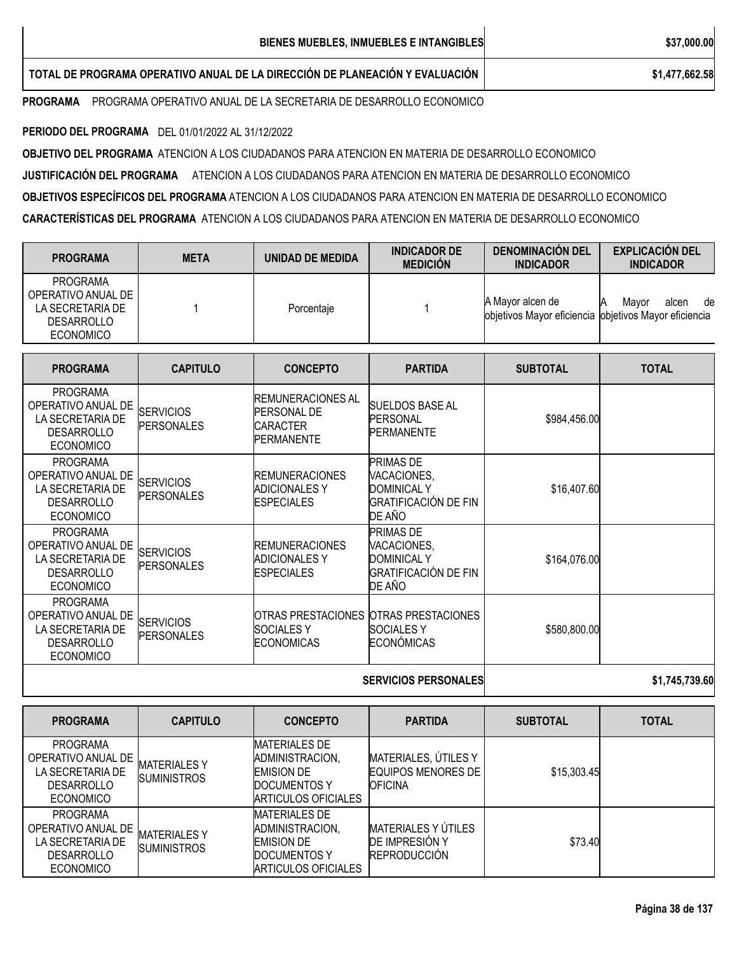| BIENES MUEBLES, INMUEBLES E INTANGIBLES                                      | \$37,000.00    |
|------------------------------------------------------------------------------|----------------|
| TOTAL DE PROGRAMA OPERATIVO ANUAL DE LA DIRECCIÓN DE PLANEACIÓN Y EVALUACIÓN | \$1,477,662.58 |

**PROGRAMA** PROGRAMA OPERATIVO ANUAL DE LA SECRETARIA DE DESARROLLO ECONOMICO

**PERIODO DEL PROGRAMA** DEL 01/01/2022 AL 31/12/2022

**OBJETIVO DEL PROGRAMA** ATENCION A LOS CIUDADANOS PARA ATENCION EN MATERIA DE DESARROLLO ECONOMICO **JUSTIFICACIÓN DEL PROGRAMA** ATENCION A LOS CIUDADANOS PARA ATENCION EN MATERIA DE DESARROLLO ECONOMICO **OBJETIVOS ESPECÍFICOS DEL PROGRAMA** ATENCION A LOS CIUDADANOS PARA ATENCION EN MATERIA DE DESARROLLO ECONOMICO **CARACTERÍSTICAS DEL PROGRAMA** ATENCION A LOS CIUDADANOS PARA ATENCION EN MATERIA DE DESARROLLO ECONOMICO

| <b>PROGRAMA</b>                                                                                    | <b>META</b> | UNIDAD DE MEDIDA | <b>INDICADOR DE</b><br><b>MEDICION</b> | <b>DENOMINACION DEL</b><br><b>INDICADOR</b>                               | <b>EXPLICACION DEL</b><br><b>INDICADOR</b> |
|----------------------------------------------------------------------------------------------------|-------------|------------------|----------------------------------------|---------------------------------------------------------------------------|--------------------------------------------|
| <b>PROGRAMA</b><br>OPERATIVO ANUAL DE<br>LA SECRETARIA DE<br><b>DESARROLLO</b><br><b>ECONOMICO</b> |             | Porcentaie       |                                        | A Mayor alcen de<br>objetivos Mayor eficiencia objetivos Mayor eficiencia | de<br>Mavor<br>alcen<br>Α                  |

| <b>PROGRAMA</b>                                                                                    | <b>CAPITULO</b>                       | <b>CONCEPTO</b>                                                                         | <b>PARTIDA</b>                                                                                 | <b>SUBTOTAL</b> | <b>TOTAL</b> |
|----------------------------------------------------------------------------------------------------|---------------------------------------|-----------------------------------------------------------------------------------------|------------------------------------------------------------------------------------------------|-----------------|--------------|
| <b>PROGRAMA</b><br>OPERATIVO ANUAL DE<br>LA SECRETARIA DE<br><b>DESARROLLO</b><br><b>ECONOMICO</b> | <b>SERVICIOS</b><br><b>PERSONALES</b> | <b>IREMUNERACIONES AL</b><br><b>PERSONAL DE</b><br><b>CARACTER</b><br><b>PERMANENTE</b> | <b>SUELDOS BASE AL</b><br><b>PERSONAL</b><br><b>PERMANENTE</b>                                 | \$984,456.00    |              |
| <b>PROGRAMA</b><br>OPERATIVO ANUAL DE<br>LA SECRETARIA DE<br><b>DESARROLLO</b><br><b>ECONOMICO</b> | <b>SERVICIOS</b><br><b>PERSONALES</b> | <b>IREMUNERACIONES</b><br><b>ADICIONALES Y</b><br><b>ESPECIALES</b>                     | <b>PRIMAS DE</b><br>VACACIONES,<br><b>DOMINICAL Y</b><br><b>GRATIFICACIÓN DE FIN</b><br>DE AÑO | \$16,407.60     |              |
| <b>PROGRAMA</b><br>OPERATIVO ANUAL DE<br>LA SECRETARIA DE<br><b>DESARROLLO</b><br><b>ECONOMICO</b> | <b>SERVICIOS</b><br><b>PERSONALES</b> | <b>IREMUNERACIONES</b><br><b>ADICIONALES Y</b><br><b>ESPECIALES</b>                     | PRIMAS DE<br>VACACIONES,<br><b>DOMINICAL Y</b><br><b>GRATIFICACIÓN DE FIN</b><br>DE AÑO        | \$164,076.00    |              |
| <b>PROGRAMA</b><br>OPERATIVO ANUAL DE<br>LA SECRETARIA DE<br><b>DESARROLLO</b><br><b>ECONOMICO</b> | <b>SERVICIOS</b><br><b>PERSONALES</b> | <b>SOCIALESY</b><br><b>ECONOMICAS</b>                                                   | OTRAS PRESTACIONES OTRAS PRESTACIONES<br><b>SOCIALESY</b><br><b>ECONÓMICAS</b>                 | \$580,800.00    |              |
|                                                                                                    |                                       | <b>SERVICIOS PERSONALES</b>                                                             | \$1,745,739.60                                                                                 |                 |              |

| <b>PROGRAMA</b>                                                                                    | <b>CAPITULO</b>                           | <b>CONCEPTO</b>                                                                                     | <b>PARTIDA</b>                                                             | <b>SUBTOTAL</b> | <b>TOTAL</b> |
|----------------------------------------------------------------------------------------------------|-------------------------------------------|-----------------------------------------------------------------------------------------------------|----------------------------------------------------------------------------|-----------------|--------------|
| <b>PROGRAMA</b><br>OPERATIVO ANUAL DE<br>LA SECRETARIA DE<br><b>DESARROLLO</b><br><b>ECONOMICO</b> | <b>MATERIALES Y</b><br><b>SUMINISTROS</b> | <b>MATERIALES DE</b><br>ADMINISTRACION,<br><b>EMISION DE</b><br>DOCUMENTOS Y<br>ARTICULOS OFICIALES | MATERIALES, ÚTILES Y<br><b>EQUIPOS MENORES DE</b><br><b>IOFICINA</b>       | \$15,303.45     |              |
| <b>PROGRAMA</b><br>OPERATIVO ANUAL DE<br>LA SECRETARIA DE<br><b>DESARROLLO</b><br><b>ECONOMICO</b> | <b>MATERIALES Y</b><br><b>SUMINISTROS</b> | <b>MATERIALES DE</b><br>ADMINISTRACION,<br><b>EMISION DE</b><br>DOCUMENTOS Y<br>ARTICULOS OFICIALES | <b>MATERIALES Y ÚTILES</b><br><b>DE IMPRESIÓN Y</b><br><b>REPRODUCCIÓN</b> | \$73.40         |              |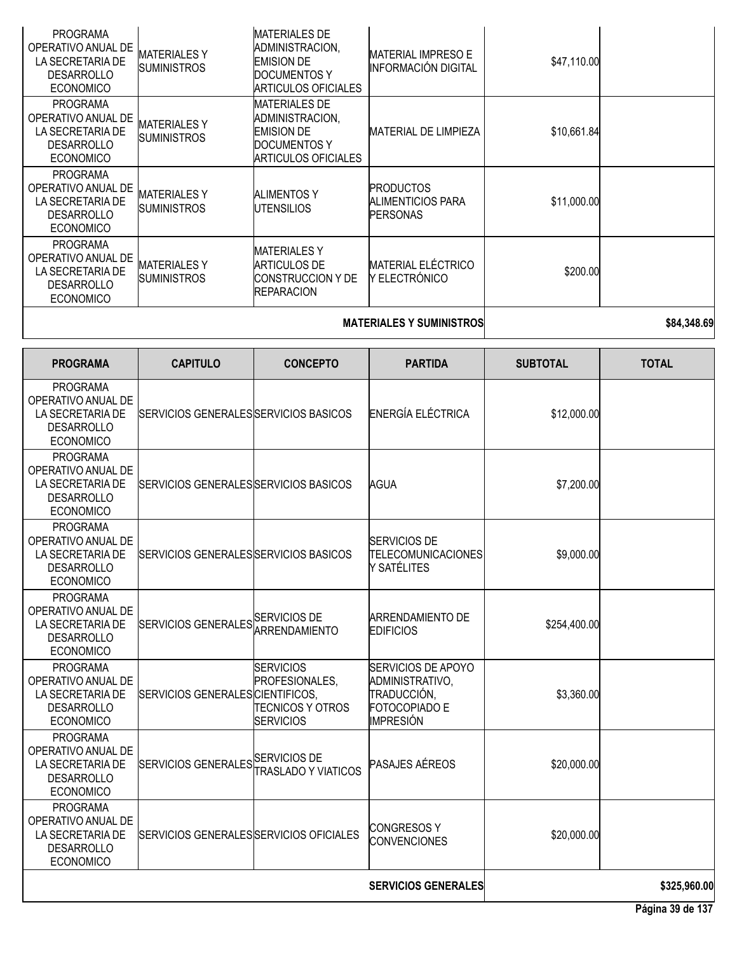| <b>PROGRAMA</b><br>OPERATIVO ANUAL DE<br>LA SECRETARIA DE<br><b>DESARROLLO</b><br><b>ECONOMICO</b> | <b>MATERIALESY</b><br><b>SUMINISTROS</b> | <b>MATERIALES DE</b><br>ADMINISTRACION,<br><b>EMISION DE</b><br><b>DOCUMENTOS Y</b><br><b>ARTICULOS OFICIALES</b> | <b>MATERIAL IMPRESO E</b><br><b>INFORMACIÓN DIGITAL</b>                                          | \$47,110.00     |                  |
|----------------------------------------------------------------------------------------------------|------------------------------------------|-------------------------------------------------------------------------------------------------------------------|--------------------------------------------------------------------------------------------------|-----------------|------------------|
| <b>PROGRAMA</b><br>OPERATIVO ANUAL DE<br>LA SECRETARIA DE<br><b>DESARROLLO</b><br><b>ECONOMICO</b> | <b>MATERIALESY</b><br><b>SUMINISTROS</b> | <b>MATERIALES DE</b><br>ADMINISTRACION,<br><b>EMISION DE</b><br><b>DOCUMENTOS Y</b><br><b>ARTICULOS OFICIALES</b> | <b>MATERIAL DE LIMPIEZA</b>                                                                      | \$10,661.84     |                  |
| <b>PROGRAMA</b><br>OPERATIVO ANUAL DE<br>LA SECRETARIA DE<br><b>DESARROLLO</b><br><b>ECONOMICO</b> | <b>MATERIALESY</b><br><b>SUMINISTROS</b> | <b>ALIMENTOS Y</b><br><b>UTENSILIOS</b>                                                                           | <b>PRODUCTOS</b><br><b>ALIMENTICIOS PARA</b><br><b>PERSONAS</b>                                  | \$11,000.00     |                  |
| <b>PROGRAMA</b><br>OPERATIVO ANUAL DE<br>LA SECRETARIA DE<br><b>DESARROLLO</b><br><b>ECONOMICO</b> | <b>MATERIALESY</b><br><b>SUMINISTROS</b> | <b>MATERIALESY</b><br><b>ARTICULOS DE</b><br>CONSTRUCCION Y DE<br><b>REPARACION</b>                               | <b>MATERIAL ELÉCTRICO</b><br>Y ELECTRÓNICO                                                       | \$200.00        |                  |
|                                                                                                    |                                          |                                                                                                                   | <b>MATERIALES Y SUMINISTROS</b>                                                                  |                 | \$84,348.69      |
| <b>PROGRAMA</b>                                                                                    | <b>CAPITULO</b>                          | <b>CONCEPTO</b>                                                                                                   | <b>PARTIDA</b>                                                                                   | <b>SUBTOTAL</b> | <b>TOTAL</b>     |
| <b>PROGRAMA</b><br>OPERATIVO ANUAL DE<br>LA SECRETARIA DE<br><b>DESARROLLO</b><br><b>ECONOMICO</b> | SERVICIOS GENERALES SERVICIOS BASICOS    |                                                                                                                   | ENERGÍA ELÉCTRICA                                                                                | \$12,000.00     |                  |
| <b>PROGRAMA</b><br>OPERATIVO ANUAL DE<br>LA SECRETARIA DE<br><b>DESARROLLO</b><br><b>ECONOMICO</b> | SERVICIOS GENERALES SERVICIOS BASICOS    |                                                                                                                   | AGUA                                                                                             | \$7,200.00      |                  |
| PROGRAMA<br>OPERATIVO ANUAL DE<br>LA SECRETARIA DE<br>DESARROLLO<br><b>ECONOMICO</b>               | SERVICIOS GENERALES SERVICIOS BASICOS    |                                                                                                                   | <b>SERVICIOS DE</b><br><b>TELECOMUNICACIONES</b><br>Y SATÉLITES                                  | \$9,000.00      |                  |
| <b>PROGRAMA</b><br>OPERATIVO ANUAL DE<br>LA SECRETARIA DE<br><b>DESARROLLO</b><br><b>ECONOMICO</b> | SERVICIOS GENERALES SERVICIOS DE         | <b>ARRENDAMIENTO</b>                                                                                              | <b>ARRENDAMIENTO DE</b><br><b>EDIFICIOS</b>                                                      | \$254,400.00    |                  |
| <b>PROGRAMA</b><br>OPERATIVO ANUAL DE<br>LA SECRETARIA DE<br><b>DESARROLLO</b><br><b>ECONOMICO</b> | SERVICIOS GENERALES CIENTIFICOS.         | <b>SERVICIOS</b><br>PROFESIONALES.<br><b>TECNICOS Y OTROS</b><br><b>SERVICIOS</b>                                 | <b>SERVICIOS DE APOYO</b><br>ADMINISTRATIVO,<br>TRADUCCIÓN,<br>FOTOCOPIADO E<br><b>IMPRESIÓN</b> | \$3,360.00      |                  |
| <b>PROGRAMA</b><br>OPERATIVO ANUAL DE<br>LA SECRETARIA DE<br><b>DESARROLLO</b><br><b>ECONOMICO</b> | SERVICIOS GENERALES SERVICIOS DE         | <b>TRASLADO Y VIATICOS</b>                                                                                        | <b>PASAJES AÉREOS</b>                                                                            | \$20,000.00     |                  |
| <b>PROGRAMA</b><br>OPERATIVO ANUAL DE<br>LA SECRETARIA DE<br><b>DESARROLLO</b><br><b>ECONOMICO</b> | SERVICIOS GENERALES SERVICIOS OFICIALES  |                                                                                                                   | <b>CONGRESOS Y</b><br><b>CONVENCIONES</b>                                                        | \$20,000.00     |                  |
|                                                                                                    |                                          |                                                                                                                   | <b>SERVICIOS GENERALES</b>                                                                       |                 | \$325,960.00     |
|                                                                                                    |                                          |                                                                                                                   |                                                                                                  |                 | Página 39 de 137 |

 $\overline{\phantom{a}}$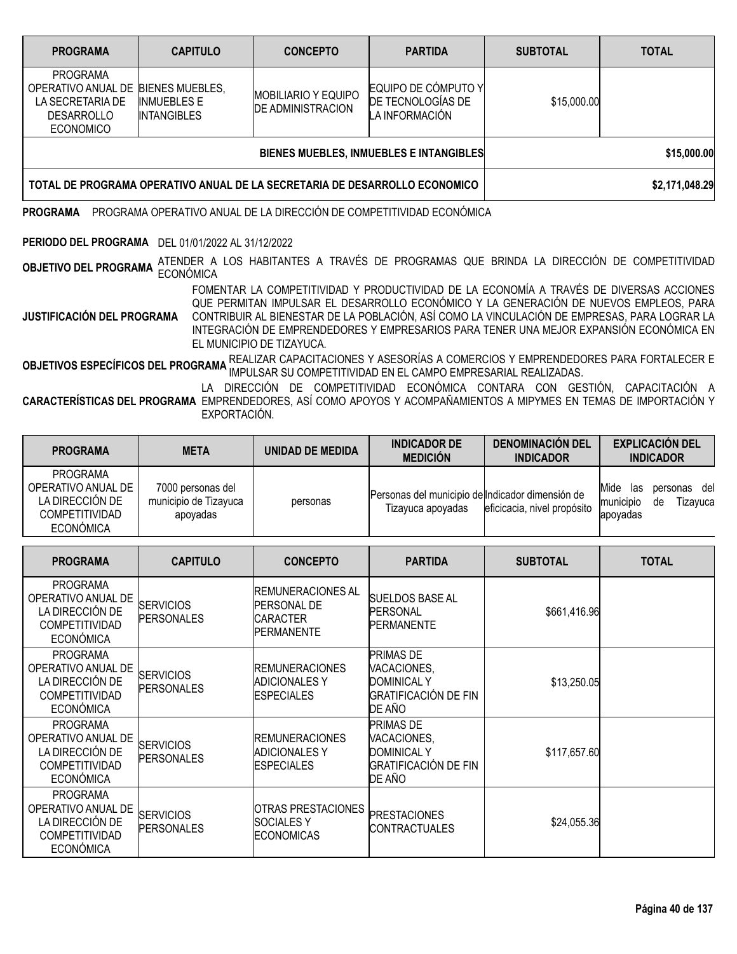| <b>PROGRAMA</b>                                                                                                    | <b>CAPITULO</b>                                                            | <b>CONCEPTO</b>                                        | <b>PARTIDA</b>                                             | <b>SUBTOTAL</b> | <b>TOTAL</b> |
|--------------------------------------------------------------------------------------------------------------------|----------------------------------------------------------------------------|--------------------------------------------------------|------------------------------------------------------------|-----------------|--------------|
| <b>PROGRAMA</b><br>OPERATIVO ANUAL DE BIENES MUEBLES,<br>LA SECRETARIA DE<br><b>DESARROLLO</b><br><b>ECONOMICO</b> | <b>INMUEBLES E</b><br><b>INTANGIBLES</b>                                   | <b>MOBILIARIO Y EQUIPO</b><br><b>DE ADMINISTRACION</b> | EQUIPO DE CÓMPUTO Y<br>DE TECNOLOGÍAS DE<br>LA INFORMACIÓN | \$15,000.00     |              |
|                                                                                                                    |                                                                            | BIENES MUEBLES, INMUEBLES E INTANGIBLES                | \$15,000.00                                                |                 |              |
|                                                                                                                    | TOTAL DE PROGRAMA OPERATIVO ANUAL DE LA SECRETARIA DE DESARROLLO ECONOMICO |                                                        | \$2,171,048.29                                             |                 |              |

**PROGRAMA** PROGRAMA OPERATIVO ANUAL DE LA DIRECCIÓN DE COMPETITIVIDAD ECONÓMICA

### **PERIODO DEL PROGRAMA** DEL 01/01/2022 AL 31/12/2022

**OBJETIVO DEL PROGRAMA** ATENDER A LOS HABITANTES A TRAVÉS DE PROGRAMAS QUE BRINDA LA DIRECCIÓN DE COMPETITIVIDAD<br>.

**JUSTIFICACIÓN DEL PROGRAMA** FOMENTAR LA COMPETITIVIDAD Y PRODUCTIVIDAD DE LA ECONOMÍA A TRAVÉS DE DIVERSAS ACCIONES QUE PERMITAN IMPULSAR EL DESARROLLO ECONÓMICO Y LA GENERACIÓN DE NUEVOS EMPLEOS, PARA CONTRIBUIR AL BIENESTAR DE LA POBLACIÓN, ASÍ COMO LA VINCULACIÓN DE EMPRESAS, PARA LOGRAR LA

INTEGRACIÓN DE EMPRENDEDORES Y EMPRESARIOS PARA TENER UNA MEJOR EXPANSIÓN ECONÓMICA EN EL MUNICIPIO DE TIZAYUCA.

**OBJETIVOS ESPECÍFICOS DEL PROGRAMA** REALIZAR CAPACITACIONES <sup>Y</sup> ASESORÍAS <sup>A</sup> COMERCIOS <sup>Y</sup> EMPRENDEDORES PARA FORTALECER <sup>E</sup> IMPULSAR SU COMPETITIVIDAD EN EL CAMPO EMPRESARIAL REALIZADAS.

**CARACTERÍSTICAS DEL PROGRAMA** EMPRENDEDORES, ASÍ COMO APOYOS Y ACOMPAÑAMIENTOS A MIPYMES EN TEMAS DE IMPORTACIÓN Y LA DIRECCIÓN DE COMPETITIVIDAD ECONÓMICA CONTARA CON GESTIÓN, CAPACITACIÓN A EXPORTACIÓN.

| <b>PROGRAMA</b>                                                                                       | <b>META</b>                                            | UNIDAD DE MEDIDA | <b>INDICADOR DE</b><br><b>MEDICIÓN</b>                                | <b>DENOMINACIÓN DEL</b><br><b>INDICADOR</b> | <b>EXPLICACIÓN DEL</b><br><b>INDICADOR</b>                                |
|-------------------------------------------------------------------------------------------------------|--------------------------------------------------------|------------------|-----------------------------------------------------------------------|---------------------------------------------|---------------------------------------------------------------------------|
| <b>PROGRAMA</b><br>OPERATIVO ANUAL DE<br>LA DIRECCIÓN DE<br><b>COMPETITIVIDAD</b><br><b>ECONÓMICA</b> | 7000 personas del<br>municipio de Tizayuca<br>apoyadas | personas         | Personas del municipio de Indicador dimensión de<br>Tizayuca apoyadas | eficicacia, nivel propósito                 | Mide<br>del<br>las<br>personas<br>municipio<br>Tizavuca<br>de<br>apovadas |

| <b>PROGRAMA</b>                                                                                       | <b>CAPITULO</b>                       | <b>CONCEPTO</b>                                                                          | <b>PARTIDA</b>                                                                                 | <b>SUBTOTAL</b> | <b>TOTAL</b> |
|-------------------------------------------------------------------------------------------------------|---------------------------------------|------------------------------------------------------------------------------------------|------------------------------------------------------------------------------------------------|-----------------|--------------|
| <b>PROGRAMA</b><br>OPERATIVO ANUAL DE<br>LA DIRECCIÓN DE<br><b>COMPETITIVIDAD</b><br><b>ECONÓMICA</b> | <b>SERVICIOS</b><br><b>PERSONALES</b> | <b>IREMUNERACIONES AL</b><br><b>PERSONAL DE</b><br><b>ICARACTER</b><br><b>PERMANENTE</b> | <b>SUELDOS BASE AL</b><br>PERSONAL<br><b>PERMANENTE</b>                                        | \$661,416.96    |              |
| <b>PROGRAMA</b><br>OPERATIVO ANUAL DE<br>LA DIRECCIÓN DE<br><b>COMPETITIVIDAD</b><br><b>ECONÓMICA</b> | <b>SERVICIOS</b><br><b>PERSONALES</b> | <b>IREMUNERACIONES</b><br><b>ADICIONALES Y</b><br><b>ESPECIALES</b>                      | <b>PRIMAS DE</b><br>VACACIONES,<br><b>DOMINICAL Y</b><br><b>GRATIFICACIÓN DE FIN</b><br>DE AÑO | \$13,250.05     |              |
| <b>PROGRAMA</b><br>OPERATIVO ANUAL DE<br>LA DIRECCIÓN DE<br><b>COMPETITIVIDAD</b><br><b>ECONÓMICA</b> | <b>SERVICIOS</b><br><b>PERSONALES</b> | <b>REMUNERACIONES</b><br><b>ADICIONALES Y</b><br><b>ESPECIALES</b>                       | <b>PRIMAS DE</b><br>VACACIONES,<br><b>DOMINICAL Y</b><br><b>GRATIFICACIÓN DE FIN</b><br>DE AÑO | \$117,657.60    |              |
| <b>PROGRAMA</b><br>OPERATIVO ANUAL DE<br>LA DIRECCIÓN DE<br><b>COMPETITIVIDAD</b><br><b>ECONÓMICA</b> | <b>SERVICIOS</b><br><b>PERSONALES</b> | <b>OTRAS PRESTACIONES</b><br><b>SOCIALES Y</b><br><b>ECONOMICAS</b>                      | <b>PRESTACIONES</b><br><b>CONTRACTUALES</b>                                                    | \$24,055.36     |              |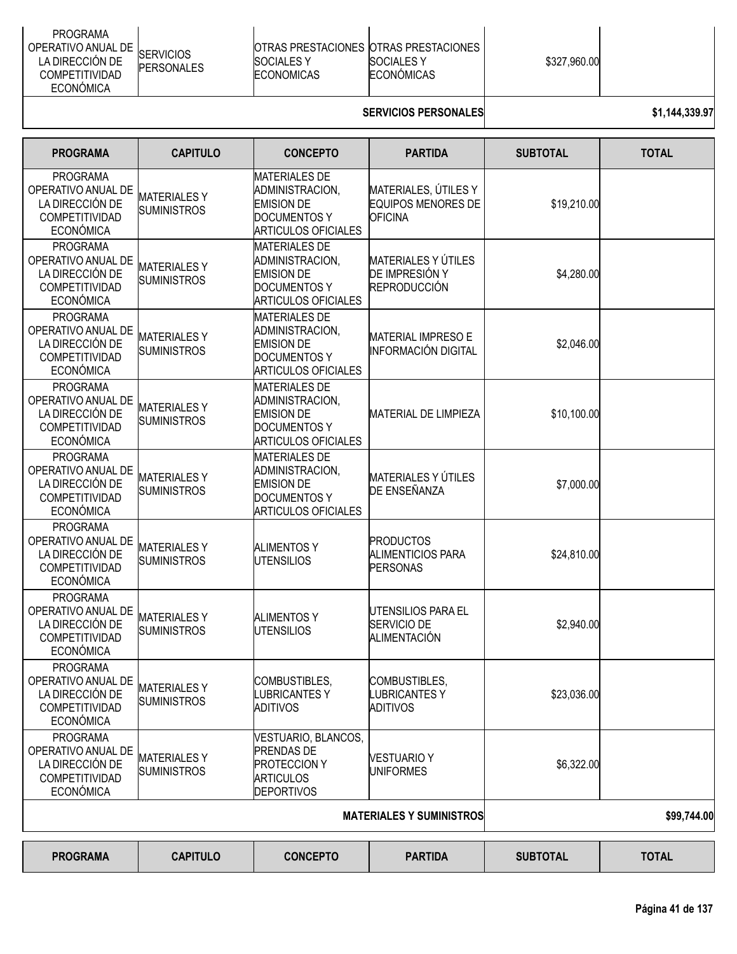| <b>PROGRAMA</b><br>OPERATIVO ANUAL DE SERVICIOS<br>LA DIRECCIÓN DE<br><b>PERSONALES</b><br><b>COMPETITIVIDAD</b><br>ECONÓMICA | <b>IOTRAS PRESTACIONES IOTRAS PRESTACIONES</b><br><b>ISOCIALES Y</b><br><b>ECONOMICAS</b> | <b>ISOCIALES Y</b><br><b>ECONOMICAS</b> | \$327,960.00 |  |
|-------------------------------------------------------------------------------------------------------------------------------|-------------------------------------------------------------------------------------------|-----------------------------------------|--------------|--|
|-------------------------------------------------------------------------------------------------------------------------------|-------------------------------------------------------------------------------------------|-----------------------------------------|--------------|--|

# **SERVICIOS PERSONALES \$1,144,339.97**

| <b>PROGRAMA</b>                                                                                       | <b>CAPITULO</b>                          | <b>CONCEPTO</b>                                                                                                   | <b>PARTIDA</b>                                                      | <b>SUBTOTAL</b> | <b>TOTAL</b> |
|-------------------------------------------------------------------------------------------------------|------------------------------------------|-------------------------------------------------------------------------------------------------------------------|---------------------------------------------------------------------|-----------------|--------------|
| <b>PROGRAMA</b><br>OPERATIVO ANUAL DE<br>LA DIRECCIÓN DE<br>COMPETITIVIDAD<br><b>ECONÓMICA</b>        | <b>MATERIALESY</b><br><b>SUMINISTROS</b> | <b>MATERIALES DE</b><br>ADMINISTRACION,<br><b>EMISION DE</b><br><b>DOCUMENTOS Y</b><br><b>ARTICULOS OFICIALES</b> | MATERIALES, ÚTILES Y<br>EQUIPOS MENORES DE<br><b>OFICINA</b>        | \$19,210.00     |              |
| <b>PROGRAMA</b><br>OPERATIVO ANUAL DE<br>LA DIRECCIÓN DE<br><b>COMPETITIVIDAD</b><br><b>ECONÓMICA</b> | <b>MATERIALESY</b><br><b>SUMINISTROS</b> | <b>MATERIALES DE</b><br>ADMINISTRACION,<br><b>EMISION DE</b><br><b>DOCUMENTOS Y</b><br><b>ARTICULOS OFICIALES</b> | <b>MATERIALES Y ÚTILES</b><br>DE IMPRESIÓN Y<br><b>REPRODUCCIÓN</b> | \$4,280.00      |              |
| <b>PROGRAMA</b><br>OPERATIVO ANUAL DE<br>LA DIRECCIÓN DE<br><b>COMPETITIVIDAD</b><br><b>ECONÓMICA</b> | <b>MATERIALESY</b><br><b>SUMINISTROS</b> | <b>MATERIALES DE</b><br>ADMINISTRACION,<br><b>EMISION DE</b><br><b>DOCUMENTOS Y</b><br><b>ARTICULOS OFICIALES</b> | <b>MATERIAL IMPRESO E</b><br><b>INFORMACIÓN DIGITAL</b>             | \$2,046.00      |              |
| <b>PROGRAMA</b><br>OPERATIVO ANUAL DE<br>LA DIRECCIÓN DE<br>COMPETITIVIDAD<br><b>ECONÓMICA</b>        | <b>MATERIALESY</b><br><b>SUMINISTROS</b> | <b>MATERIALES DE</b><br>ADMINISTRACION,<br><b>EMISION DE</b><br><b>DOCUMENTOS Y</b><br><b>ARTICULOS OFICIALES</b> | <b>MATERIAL DE LIMPIEZA</b>                                         | \$10,100.00     |              |
| <b>PROGRAMA</b><br>OPERATIVO ANUAL DE<br>LA DIRECCIÓN DE<br>COMPETITIVIDAD<br><b>ECONÓMICA</b>        | <b>MATERIALESY</b><br><b>SUMINISTROS</b> | <b>MATERIALES DE</b><br>ADMINISTRACION,<br><b>EMISION DE</b><br><b>DOCUMENTOS Y</b><br><b>ARTICULOS OFICIALES</b> | <b>MATERIALES Y ÚTILES</b><br>DE ENSEÑANZA                          | \$7,000.00      |              |
| <b>PROGRAMA</b><br>OPERATIVO ANUAL DE<br>LA DIRECCIÓN DE<br>COMPETITIVIDAD<br><b>ECONÓMICA</b>        | <b>MATERIALESY</b><br><b>SUMINISTROS</b> | <b>ALIMENTOS Y</b><br><b>UTENSILIOS</b>                                                                           | <b>PRODUCTOS</b><br><b>ALIMENTICIOS PARA</b><br><b>PERSONAS</b>     | \$24,810.00     |              |
| <b>PROGRAMA</b><br>OPERATIVO ANUAL DE<br>LA DIRECCIÓN DE<br>COMPETITIVIDAD<br><b>ECONÓMICA</b>        | <b>MATERIALESY</b><br><b>SUMINISTROS</b> | <b>ALIMENTOS Y</b><br><b>UTENSILIOS</b>                                                                           | UTENSILIOS PARA EL<br>SERVICIO DE<br><b>ALIMENTACIÓN</b>            | \$2,940.00      |              |
| <b>PROGRAMA</b><br>OPERATIVO ANUAL DE<br>LA DIRECCIÓN DE<br>COMPETITIVIDAD<br><b>ECONÓMICA</b>        | <b>MATERIALESY</b><br><b>SUMINISTROS</b> | COMBUSTIBLES,<br><b>LUBRICANTESY</b><br>ADITIVOS                                                                  | COMBUSTIBLES,<br><b>LUBRICANTESY</b><br><b>ADITIVOS</b>             | \$23,036.00     |              |
| <b>PROGRAMA</b><br>OPERATIVO ANUAL DE<br>LA DIRECCIÓN DE<br>COMPETITIVIDAD<br><b>ECONÓMICA</b>        | <b>MATERIALESY</b><br><b>SUMINISTROS</b> | VESTUARIO, BLANCOS,<br><b>PRENDAS DE</b><br><b>PROTECCION Y</b><br><b>ARTICULOS</b><br><b>DEPORTIVOS</b>          | <b>VESTUARIO Y</b><br><b>UNIFORMES</b>                              | \$6,322.00      |              |
|                                                                                                       |                                          |                                                                                                                   | <b>MATERIALES Y SUMINISTROS</b>                                     |                 | \$99,744.00  |
| <b>PROGRAMA</b>                                                                                       | <b>CAPITULO</b>                          | <b>CONCEPTO</b>                                                                                                   | <b>PARTIDA</b>                                                      | <b>SUBTOTAL</b> | <b>TOTAL</b> |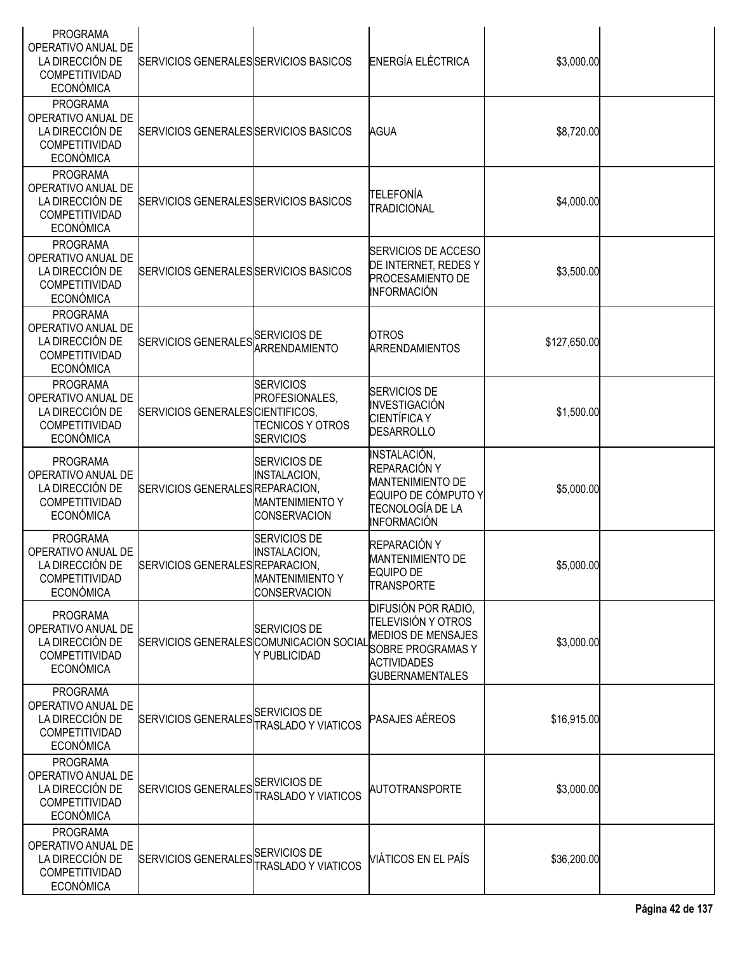| <b>PROGRAMA</b><br>OPERATIVO ANUAL DE<br>LA DIRECCIÓN DE<br>COMPETITIVIDAD<br><b>ECONÓMICA</b>        | SERVICIOS GENERALES SERVICIOS BASICOS   |                                                                                             | ENERGÍA ELÉCTRICA                                                                                                                                         | \$3,000.00   |  |
|-------------------------------------------------------------------------------------------------------|-----------------------------------------|---------------------------------------------------------------------------------------------|-----------------------------------------------------------------------------------------------------------------------------------------------------------|--------------|--|
| <b>PROGRAMA</b><br>OPERATIVO ANUAL DE<br>LA DIRECCIÓN DE<br>COMPETITIVIDAD<br><b>ECONÓMICA</b>        | SERVICIOS GENERALES SERVICIOS BASICOS   |                                                                                             | <b>AGUA</b>                                                                                                                                               | \$8,720.00   |  |
| <b>PROGRAMA</b><br>OPERATIVO ANUAL DE<br>LA DIRECCIÓN DE<br>COMPETITIVIDAD<br><b>ECONÓMICA</b>        | SERVICIOS GENERALES SERVICIOS BASICOS   |                                                                                             | <b>TELEFONÍA</b><br><b>TRADICIONAL</b>                                                                                                                    | \$4,000.00   |  |
| <b>PROGRAMA</b><br>OPERATIVO ANUAL DE<br>LA DIRECCIÓN DE<br>COMPETITIVIDAD<br><b>ECONÓMICA</b>        | SERVICIOS GENERALES SERVICIOS BASICOS   |                                                                                             | SERVICIOS DE ACCESO<br>DE INTERNET, REDES Y<br><b>PROCESAMIENTO DE</b><br><b>INFORMACIÓN</b>                                                              | \$3,500.00   |  |
| <b>PROGRAMA</b><br>OPERATIVO ANUAL DE<br>LA DIRECCIÓN DE<br>COMPETITIVIDAD<br><b>ECONÓMICA</b>        | SERVICIOS GENERALES SERVICIOS DE        | <b>ARRENDAMIENTO</b>                                                                        | <b>OTROS</b><br><b>ARRENDAMIENTOS</b>                                                                                                                     | \$127,650.00 |  |
| <b>PROGRAMA</b><br>OPERATIVO ANUAL DE<br>LA DIRECCIÓN DE<br>COMPETITIVIDAD<br><b>ECONÓMICA</b>        | SERVICIOS GENERALES CIENTIFICOS,        | <b>SERVICIOS</b><br>PROFESIONALES,<br><b>TECNICOS Y OTROS</b><br><b>SERVICIOS</b>           | <b>SERVICIOS DE</b><br>INVESTIGACIÓN<br><b>CIENTÍFICA Y</b><br><b>DESARROLLO</b>                                                                          | \$1,500.00   |  |
| <b>PROGRAMA</b><br>OPERATIVO ANUAL DE<br>LA DIRECCIÓN DE<br>COMPETITIVIDAD<br><b>ECONÓMICA</b>        | SERVICIOS GENERALES REPARACION,         | <b>SERVICIOS DE</b><br><b>INSTALACION,</b><br><b>MANTENIMIENTO Y</b><br><b>CONSERVACION</b> | <b>INSTALACIÓN,</b><br>REPARACIÓN Y<br><b>MANTENIMIENTO DE</b><br>EQUIPO DE CÓMPUTO Y<br>TECNOLOGÍA DE LA<br>INFORMACIÓN                                  | \$5,000.00   |  |
| <b>PROGRAMA</b><br>OPERATIVO ANUAL DE<br>LA DIRECCIÓN DE<br><b>COMPETITIVIDAD</b><br><b>ECONÓMICA</b> | SERVICIOS GENERALESREPARACION,          | SERVICIOS DE<br><b>INSTALACION,</b><br><b>MANTENIMIENTO Y</b><br><b>CONSERVACION</b>        | REPARACIÓN Y<br><b>MANTENIMIENTO DE</b><br><b>EQUIPO DE</b><br><b>TRANSPORTE</b>                                                                          | \$5,000.00   |  |
| <b>PROGRAMA</b><br>OPERATIVO ANUAL DE<br>LA DIRECCIÓN DE<br>COMPETITIVIDAD<br><b>ECONÓMICA</b>        | SERVICIOS GENERALES COMUNICACION SOCIAL | <b>SERVICIOS DE</b><br>Y PUBLICIDAD                                                         | DIFUSIÓN POR RADIO,<br><b>TELEVISIÓN Y OTROS</b><br><b>MEDIOS DE MENSAJES</b><br><b>SOBRE PROGRAMAS Y</b><br><b>ACTIVIDADES</b><br><b>GUBERNAMENTALES</b> | \$3,000.00   |  |
| <b>PROGRAMA</b><br>OPERATIVO ANUAL DE<br>LA DIRECCIÓN DE<br><b>COMPETITIVIDAD</b><br><b>ECONÓMICA</b> | SERVICIOS GENERALES SERVICIOS DE        | <b>TRASLADO Y VIATICOS</b>                                                                  | <b>PASAJES AÉREOS</b>                                                                                                                                     | \$16,915.00  |  |
| <b>PROGRAMA</b><br>OPERATIVO ANUAL DE<br>LA DIRECCIÓN DE<br><b>COMPETITIVIDAD</b><br><b>ECONÓMICA</b> | SERVICIOS GENERALES SERVICIOS DE        | <b>TRASLADO Y VIATICOS</b>                                                                  | <b>AUTOTRANSPORTE</b>                                                                                                                                     | \$3,000.00   |  |
| <b>PROGRAMA</b><br>OPERATIVO ANUAL DE<br>LA DIRECCIÓN DE<br>COMPETITIVIDAD<br><b>ECONÓMICA</b>        | SERVICIOS GENERALES SERVICIOS DE        | <b>TRASLADO Y VIATICOS</b>                                                                  | <b>VIÁTICOS EN EL PAÍS</b>                                                                                                                                | \$36,200.00  |  |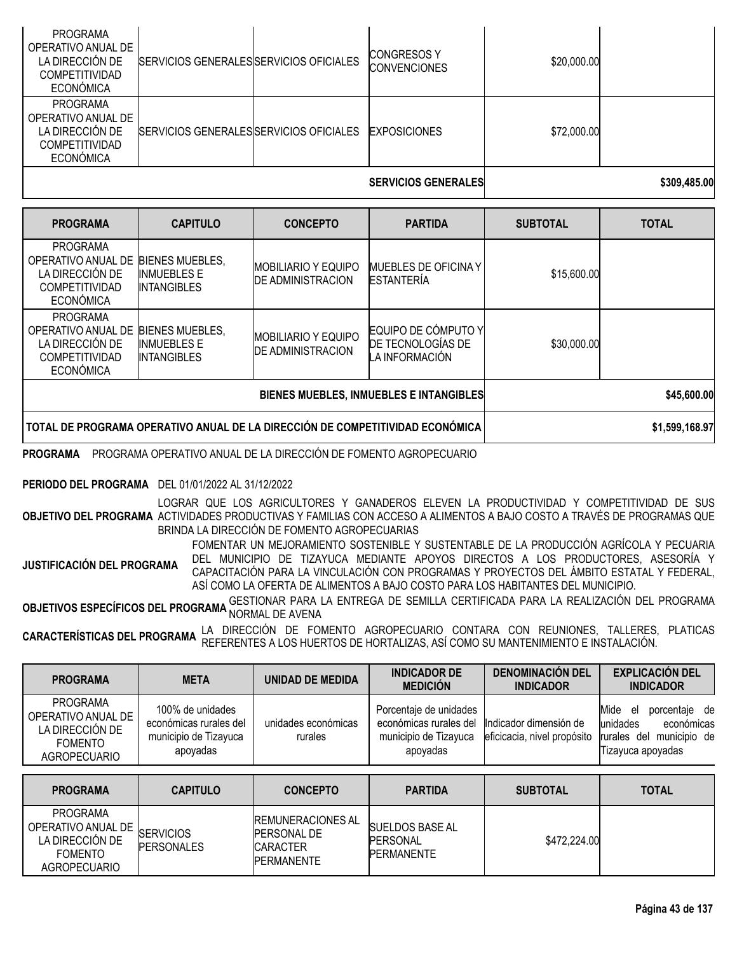| <b>PROGRAMA</b><br>OPERATIVO ANUAL DE<br>LA DIRECCIÓN DE<br><b>COMPETITIVIDAD</b><br><b>ECONÓMICA</b> | SERVICIOS GENERALES SERVICIOS OFICIALES | <b>CONGRESOSY</b><br><b>CONVENCIONES</b> | \$20,000.00 |              |
|-------------------------------------------------------------------------------------------------------|-----------------------------------------|------------------------------------------|-------------|--------------|
| <b>PROGRAMA</b><br>OPERATIVO ANUAL DE<br>LA DIRECCIÓN DE<br><b>COMPETITIVIDAD</b><br><b>ECONÓMICA</b> | SERVICIOS GENERALES SERVICIOS OFICIALES | <b>EXPOSICIONES</b>                      | \$72,000.00 |              |
|                                                                                                       |                                         | <b>SERVICIOS GENERALES</b>               |             | \$309,485.00 |

| <b>PROGRAMA</b>                                                                                       | <b>CAPITULO</b>                                                               | <b>CONCEPTO</b>                                        | <b>PARTIDA</b>                                             | <b>SUBTOTAL</b> | <b>TOTAL</b>   |
|-------------------------------------------------------------------------------------------------------|-------------------------------------------------------------------------------|--------------------------------------------------------|------------------------------------------------------------|-----------------|----------------|
| <b>PROGRAMA</b><br>OPERATIVO ANUAL DE<br>LA DIRECCIÓN DE<br><b>COMPETITIVIDAD</b><br><b>ECONÓMICA</b> | <b>BIENES MUEBLES,</b><br><b>INMUEBLES E</b><br><b>INTANGIBLES</b>            | <b>MOBILIARIO Y EQUIPO</b><br><b>DE ADMINISTRACION</b> | <b>MUEBLES DE OFICINA Y</b><br><b>ESTANTERÍA</b>           | \$15,600.00     |                |
| <b>PROGRAMA</b><br>OPERATIVO ANUAL DE<br>LA DIRECCIÓN DE<br>COMPETITIVIDAD<br><b>ECONÓMICA</b>        | <b>BIENES MUEBLES,</b><br><b>INMUEBLES E</b><br><b>INTANGIBLES</b>            | <b>MOBILIARIO Y EQUIPO</b><br><b>DE ADMINISTRACION</b> | EQUIPO DE CÓMPUTO Y<br>DE TECNOLOGÍAS DE<br>LA INFORMACIÓN | \$30,000.00     |                |
|                                                                                                       |                                                                               | BIENES MUEBLES, INMUEBLES E INTANGIBLES                |                                                            | \$45,600.00     |                |
|                                                                                                       | TOTAL DE PROGRAMA OPERATIVO ANUAL DE LA DIRECCIÓN DE COMPETITIVIDAD ECONÓMICA |                                                        |                                                            |                 | \$1,599,168.97 |

**PROGRAMA** PROGRAMA OPERATIVO ANUAL DE LA DIRECCIÓN DE FOMENTO AGROPECUARIO

### **PERIODO DEL PROGRAMA** DEL 01/01/2022 AL 31/12/2022

**OBJETIVO DEL PROGRAMA** ACTIVIDADES PRODUCTIVAS Y FAMILIAS CON ACCESO A ALIMENTOS A BAJO COSTO A TRAVÉS DE PROGRAMAS QUE LOGRAR QUE LOS AGRICULTORES Y GANADEROS ELEVEN LA PRODUCTIVIDAD Y COMPETITIVIDAD DE SUS BRINDA LA DIRECCIÓN DE FOMENTO AGROPECUARIAS

**JUSTIFICACIÓN DEL PROGRAMA** FOMENTAR UN MEJORAMIENTO SOSTENIBLE Y SUSTENTABLE DE LA PRODUCCIÓN AGRÍCOLA Y PECUARIA DEL MUNICIPIO DE TIZAYUCA MEDIANTE APOYOS DIRECTOS A LOS PRODUCTORES, ASESORÍA Y CAPACITACIÓN PARA LA VINCULACIÓN CON PROGRAMAS Y PROYECTOS DEL ÁMBITO ESTATAL Y FEDERAL, ASÍ COMO LA OFERTA DE ALIMENTOS A BAJO COSTO PARA LOS HABITANTES DEL MUNICIPIO.

**OBJETIVOS ESPECÍFICOS DEL PROGRAMA** GESTIONAR PARA LA ENTREGA DE SEMILLA CERTIFICADA PARA LA REALIZACIÓN DEL PROGRAMA<br>Mormal de aveces de algorama de avena

**CARACTERÍSTICAS DEL PROGRAMA** LA DIRECCIÓN DE FOMENTO AGROPECUARIO CONTARA CON REUNIONES, TALLERES, PLATICAS REFERENTES A LOS HUERTOS DE HORTALIZAS, ASÍ COMO SU MANTENIMIENTO E INSTALACIÓN.

| <b>PROGRAMA</b>                                                                                   | <b>META</b>                                                                     | UNIDAD DE MEDIDA                                                                       | <b>INDICADOR DE</b><br><b>MEDICIÓN</b>                                                | <b>DENOMINACIÓN DEL</b><br><b>INDICADOR</b>           | <b>EXPLICACIÓN DEL</b><br><b>INDICADOR</b>                                                                |
|---------------------------------------------------------------------------------------------------|---------------------------------------------------------------------------------|----------------------------------------------------------------------------------------|---------------------------------------------------------------------------------------|-------------------------------------------------------|-----------------------------------------------------------------------------------------------------------|
| <b>PROGRAMA</b><br>OPERATIVO ANUAL DE<br>LA DIRECCIÓN DE<br><b>FOMENTO</b><br><b>AGROPECUARIO</b> | 100% de unidades<br>económicas rurales del<br>municipio de Tizayuca<br>apoyadas | unidades económicas<br>rurales                                                         | Porcentaje de unidades<br>económicas rurales del<br>municipio de Tizayuca<br>apoyadas | Indicador dimensión de<br>eficicacia, nivel propósito | Mide<br>porcentaje de<br>el<br>unidades<br>económicas<br>municipio de<br>rurales del<br>Tizayuca apoyadas |
| <b>PROGRAMA</b>                                                                                   | <b>CAPITULO</b>                                                                 | <b>CONCEPTO</b>                                                                        | <b>PARTIDA</b>                                                                        | <b>SUBTOTAL</b>                                       | <b>TOTAL</b>                                                                                              |
| <b>PROGRAMA</b><br>OPERATIVO ANUAL DE<br>LA DIRECCIÓN DE<br><b>FOMENTO</b><br><b>AGROPECUARIO</b> | <b>SERVICIOS</b><br><b>PERSONALES</b>                                           | <b>REMUNERACIONES AL</b><br><b>PERSONAL DE</b><br><b>CARACTER</b><br><b>PERMANENTE</b> | <b>SUELDOS BASE AL</b><br><b>PERSONAL</b><br><b>PERMANENTE</b>                        | \$472,224.00                                          |                                                                                                           |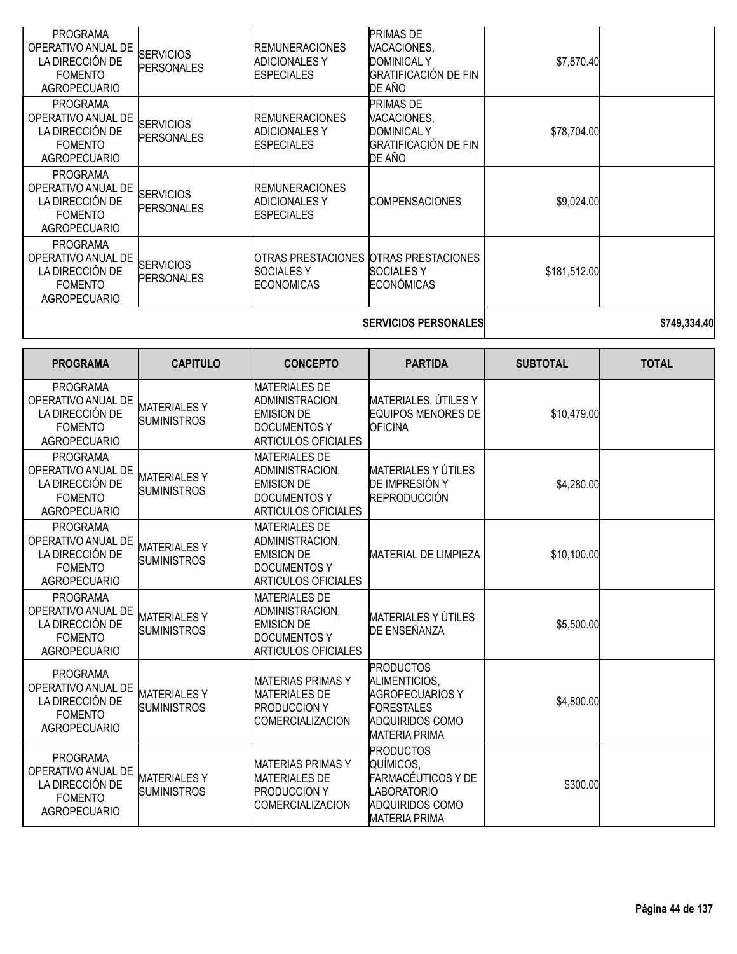| <b>PROGRAMA</b><br>OPERATIVO ANUAL DE<br>LA DIRECCIÓN DE<br><b>FOMENTO</b><br><b>AGROPECUARIO</b> | <b>SERVICIOS</b><br><b>PERSONALES</b>    | <b>REMUNERACIONES</b><br><b>ADICIONALESY</b><br><b>ESPECIALES</b>                                                 | PRIMAS DE<br>VACACIONES,<br><b>DOMINICAL Y</b><br><b>GRATIFICACIÓN DE FIN</b><br>DE AÑO                                            | \$7,870.40      |              |
|---------------------------------------------------------------------------------------------------|------------------------------------------|-------------------------------------------------------------------------------------------------------------------|------------------------------------------------------------------------------------------------------------------------------------|-----------------|--------------|
| <b>PROGRAMA</b><br>OPERATIVO ANUAL DE<br>LA DIRECCIÓN DE<br><b>FOMENTO</b><br><b>AGROPECUARIO</b> | <b>SERVICIOS</b><br><b>PERSONALES</b>    | <b>REMUNERACIONES</b><br><b>ADICIONALESY</b><br><b>ESPECIALES</b>                                                 | PRIMAS DE<br>VACACIONES,<br><b>DOMINICAL Y</b><br><b>GRATIFICACIÓN DE FIN</b><br>DE AÑO                                            | \$78,704.00     |              |
| <b>PROGRAMA</b><br>OPERATIVO ANUAL DE<br>LA DIRECCIÓN DE<br><b>FOMENTO</b><br><b>AGROPECUARIO</b> | <b>SERVICIOS</b><br><b>PERSONALES</b>    | <b>REMUNERACIONES</b><br><b>ADICIONALES Y</b><br><b>ESPECIALES</b>                                                | <b>COMPENSACIONES</b>                                                                                                              | \$9,024.00      |              |
| <b>PROGRAMA</b><br>OPERATIVO ANUAL DE<br>LA DIRECCIÓN DE<br><b>FOMENTO</b><br><b>AGROPECUARIO</b> | <b>SERVICIOS</b><br><b>PERSONALES</b>    | OTRAS PRESTACIONES<br><b>SOCIALESY</b><br><b>ECONOMICAS</b>                                                       | <b>OTRAS PRESTACIONES</b><br><b>SOCIALESY</b><br>ECONÓMICAS                                                                        | \$181,512.00    |              |
|                                                                                                   |                                          |                                                                                                                   | <b>SERVICIOS PERSONALES</b>                                                                                                        |                 | \$749,334.40 |
| <b>PROGRAMA</b>                                                                                   | <b>CAPITULO</b>                          | <b>CONCEPTO</b>                                                                                                   | <b>PARTIDA</b>                                                                                                                     | <b>SUBTOTAL</b> | <b>TOTAL</b> |
| <b>PROGRAMA</b><br>OPERATIVO ANUAL DE<br>LA DIRECCIÓN DE<br><b>FOMENTO</b><br><b>AGROPECUARIO</b> | <b>MATERIALESY</b><br><b>SUMINISTROS</b> | <b>MATERIALES DE</b><br>ADMINISTRACION,<br><b>EMISION DE</b><br><b>DOCUMENTOS Y</b><br><b>ARTICULOS OFICIALES</b> | MATERIALES, ÚTILES Y<br><b>EQUIPOS MENORES DE</b><br><b>OFICINA</b>                                                                | \$10,479.00     |              |
| <b>PROGRAMA</b><br>OPERATIVO ANUAL DE<br>LA DIRECCIÓN DE<br><b>FOMENTO</b><br><b>AGROPECUARIO</b> | <b>MATERIALESY</b><br><b>SUMINISTROS</b> | <b>MATERIALES DE</b><br>ADMINISTRACION,<br><b>EMISION DE</b><br><b>DOCUMENTOS Y</b><br><b>ARTICULOS OFICIALES</b> | <b>MATERIALES Y ÚTILES</b><br>DE IMPRESIÓN Y<br>REPRODUCCIÓN                                                                       | \$4,280.00      |              |
| <b>PROGRAMA</b><br>OPERATIVO ANUAL DE<br>LA DIRECCIÓN DE<br>FOMENTO<br><b>AGROPECUARIO</b>        | <b>MATERIALESY</b><br><b>SUMINISTROS</b> | <b>MATERIALES DE</b><br>ADMINISTRACION,<br><b>EMISION DE</b><br> DOCUMENTOS Y<br>ARTICULOS OFICIALES              | <b>MATERIAL DE LIMPIEZA</b>                                                                                                        | \$10,100.00     |              |
| <b>PROGRAMA</b><br>OPERATIVO ANUAL DE<br>LA DIRECCIÓN DE<br><b>FOMENTO</b><br><b>AGROPECUARIO</b> | <b>MATERIALESY</b><br><b>SUMINISTROS</b> | <b>MATERIALES DE</b><br>ADMINISTRACION,<br><b>EMISION DE</b><br><b>DOCUMENTOS Y</b><br><b>ARTICULOS OFICIALES</b> | MATERIALES Y ÚTILES<br><b>DE ENSEÑANZA</b>                                                                                         | \$5,500.00      |              |
| <b>PROGRAMA</b><br>OPERATIVO ANUAL DE<br>LA DIRECCIÓN DE<br><b>FOMENTO</b><br><b>AGROPECUARIO</b> | <b>MATERIALESY</b><br><b>SUMINISTROS</b> | <b>MATERIAS PRIMAS Y</b><br><b>MATERIALES DE</b><br><b>PRODUCCION Y</b><br>COMERCIALIZACION                       | <b>PRODUCTOS</b><br>ALIMENTICIOS,<br><b>AGROPECUARIOS Y</b><br><b>FORESTALES</b><br><b>ADQUIRIDOS COMO</b><br><b>MATERIA PRIMA</b> | \$4,800.00      |              |
| <b>PROGRAMA</b><br>OPERATIVO ANUAL DE<br>LA DIRECCIÓN DE<br><b>FOMENTO</b><br><b>AGROPECUARIO</b> | <b>MATERIALESY</b><br><b>SUMINISTROS</b> | <b>MATERIAS PRIMAS Y</b><br><b>MATERIALES DE</b><br><b>PRODUCCION Y</b><br><b>COMERCIALIZACION</b>                | <b>PRODUCTOS</b><br>QUÍMICOS.<br>FARMACÉUTICOS Y DE<br>LABORATORIO<br>ADQUIRIDOS COMO<br><b>MATERIA PRIMA</b>                      | \$300.00        |              |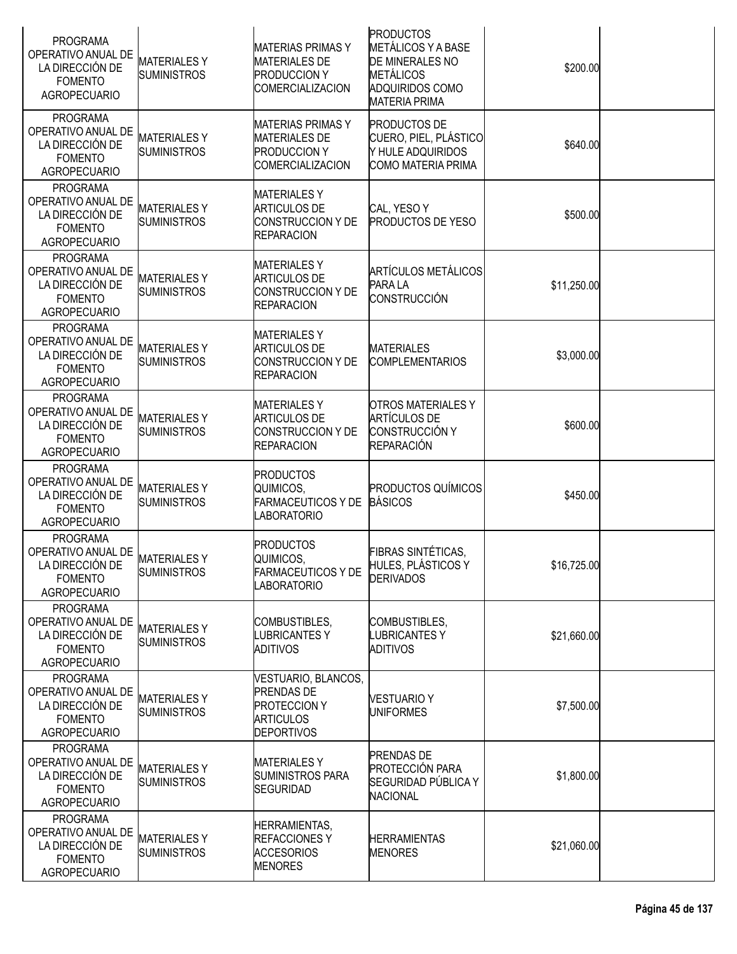| <b>PROGRAMA</b><br>OPERATIVO ANUAL DE<br>LA DIRECCIÓN DE<br><b>FOMENTO</b><br><b>AGROPECUARIO</b> | <b>MATERIALESY</b><br><b>SUMINISTROS</b> | <b>MATERIAS PRIMAS Y</b><br><b>MATERIALES DE</b><br><b>PRODUCCION Y</b><br><b>COMERCIALIZACION</b>       | <b>PRODUCTOS</b><br><b>METÁLICOS Y A BASE</b><br>DE MINERALES NO<br><b>METÁLICOS</b><br>ADQUIRIDOS COMO<br><b>MATERIA PRIMA</b> | \$200.00    |  |
|---------------------------------------------------------------------------------------------------|------------------------------------------|----------------------------------------------------------------------------------------------------------|---------------------------------------------------------------------------------------------------------------------------------|-------------|--|
| <b>PROGRAMA</b><br>OPERATIVO ANUAL DE<br>LA DIRECCIÓN DE<br><b>FOMENTO</b><br><b>AGROPECUARIO</b> | <b>MATERIALESY</b><br><b>SUMINISTROS</b> | <b>MATERIAS PRIMAS Y</b><br><b>MATERIALES DE</b><br><b>PRODUCCION Y</b><br><b>COMERCIALIZACION</b>       | <b>PRODUCTOS DE</b><br>CUERO, PIEL, PLÁSTICO<br>Y HULE ADQUIRIDOS<br><b>COMO MATERIA PRIMA</b>                                  | \$640.00    |  |
| <b>PROGRAMA</b><br>OPERATIVO ANUAL DE<br>LA DIRECCIÓN DE<br><b>FOMENTO</b><br><b>AGROPECUARIO</b> | <b>MATERIALESY</b><br><b>SUMINISTROS</b> | <b>MATERIALES Y</b><br><b>ARTICULOS DE</b><br>CONSTRUCCION Y DE<br><b>REPARACION</b>                     | CAL, YESO Y<br><b>PRODUCTOS DE YESO</b>                                                                                         | \$500.00    |  |
| <b>PROGRAMA</b><br>OPERATIVO ANUAL DE<br>LA DIRECCIÓN DE<br><b>FOMENTO</b><br><b>AGROPECUARIO</b> | <b>MATERIALESY</b><br><b>SUMINISTROS</b> | <b>MATERIALESY</b><br><b>ARTICULOS DE</b><br><b>ICONSTRUCCION Y DE</b><br><b>REPARACION</b>              | <b>ARTÍCULOS METÁLICOS</b><br>PARA LA<br>CONSTRUCCIÓN                                                                           | \$11,250.00 |  |
| <b>PROGRAMA</b><br>OPERATIVO ANUAL DE<br>LA DIRECCIÓN DE<br><b>FOMENTO</b><br><b>AGROPECUARIO</b> | <b>MATERIALESY</b><br><b>SUMINISTROS</b> | <b>MATERIALESY</b><br><b>ARTICULOS DE</b><br><b>CONSTRUCCION Y DE</b><br><b>REPARACION</b>               | <b>MATERIALES</b><br><b>COMPLEMENTARIOS</b>                                                                                     | \$3,000.00  |  |
| <b>PROGRAMA</b><br>OPERATIVO ANUAL DE<br>LA DIRECCIÓN DE<br><b>FOMENTO</b><br><b>AGROPECUARIO</b> | <b>MATERIALESY</b><br><b>SUMINISTROS</b> | <b>MATERIALESY</b><br><b>ARTICULOS DE</b><br>CONSTRUCCION Y DE<br><b>REPARACION</b>                      | <b>OTROS MATERIALES Y</b><br><b>ARTÍCULOS DE</b><br>CONSTRUCCIÓN Y<br><b>REPARACIÓN</b>                                         | \$600.00    |  |
| <b>PROGRAMA</b><br>OPERATIVO ANUAL DE<br>LA DIRECCIÓN DE<br><b>FOMENTO</b><br><b>AGROPECUARIO</b> | <b>MATERIALESY</b><br><b>SUMINISTROS</b> | <b>PRODUCTOS</b><br>QUIMICOS,<br><b>FARMACEUTICOS Y DE</b><br><b>LABORATORIO</b>                         | <b>PRODUCTOS QUÍMICOS</b><br><b>BÁSICOS</b>                                                                                     | \$450.00    |  |
| <b>PROGRAMA</b><br>OPERATIVO ANUAL DE<br>LA DIRECCIÓN DE<br><b>FOMENTO</b><br><b>AGROPECUARIO</b> | <b>MATERIALESY</b><br><b>SUMINISTROS</b> | <b>PRODUCTOS</b><br>QUIMICOS,<br><b>FARMACEUTICOS Y DE</b><br><b>LABORATORIO</b>                         | FIBRAS SINTÉTICAS,<br>HULES, PLÁSTICOS Y<br><b>DERIVADOS</b>                                                                    | \$16,725.00 |  |
| <b>PROGRAMA</b><br>OPERATIVO ANUAL DE<br>LA DIRECCIÓN DE<br><b>FOMENTO</b><br><b>AGROPECUARIO</b> | <b>MATERIALESY</b><br><b>SUMINISTROS</b> | COMBUSTIBLES,<br><b>LUBRICANTESY</b><br><b>ADITIVOS</b>                                                  | COMBUSTIBLES,<br><b>LUBRICANTESY</b><br><b>ADITIVOS</b>                                                                         | \$21,660.00 |  |
| <b>PROGRAMA</b><br>OPERATIVO ANUAL DE<br>LA DIRECCIÓN DE<br><b>FOMENTO</b><br><b>AGROPECUARIO</b> | <b>MATERIALESY</b><br><b>SUMINISTROS</b> | VESTUARIO, BLANCOS,<br><b>PRENDAS DE</b><br><b>PROTECCION Y</b><br><b>ARTICULOS</b><br><b>DEPORTIVOS</b> | <b>VESTUARIO Y</b><br><b>UNIFORMES</b>                                                                                          | \$7,500.00  |  |
| <b>PROGRAMA</b><br>OPERATIVO ANUAL DE<br>LA DIRECCIÓN DE<br><b>FOMENTO</b><br><b>AGROPECUARIO</b> | <b>MATERIALESY</b><br><b>SUMINISTROS</b> | <b>MATERIALESY</b><br><b>SUMINISTROS PARA</b><br><b>SEGURIDAD</b>                                        | <b>PRENDAS DE</b><br><b>PROTECCIÓN PARA</b><br>SEGURIDAD PÚBLICA Y<br><b>NACIONAL</b>                                           | \$1,800.00  |  |
| <b>PROGRAMA</b><br>OPERATIVO ANUAL DE<br>LA DIRECCIÓN DE<br><b>FOMENTO</b><br><b>AGROPECUARIO</b> | <b>MATERIALESY</b><br><b>SUMINISTROS</b> | HERRAMIENTAS,<br><b>REFACCIONESY</b><br><b>ACCESORIOS</b><br><b>MENORES</b>                              | <b>HERRAMIENTAS</b><br><b>MENORES</b>                                                                                           | \$21,060.00 |  |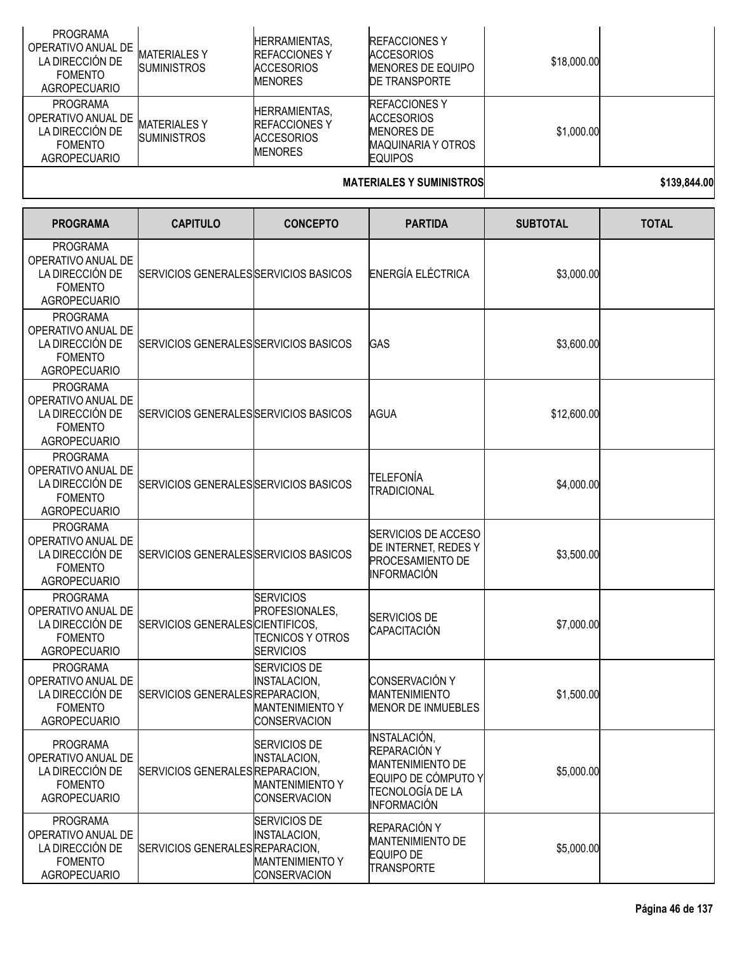| <b>PROGRAMA</b><br>OPERATIVO ANUAL DE<br>LA DIRECCIÓN DE<br><b>FOMENTO</b><br>AGROPECUARIO | <b>MATERIALES Y</b><br><b>SUMINISTROS</b> | <b>HERRAMIENTAS.</b><br><b>IREFACCIONES Y</b><br><b>ACCESORIOS</b><br><b>MENORES</b> | <b>REFACCIONES Y</b><br><b>ACCESORIOS</b><br><b>MENORES DE EQUIPO</b><br><b>DE TRANSPORTE</b>           | \$18,000.00 |  |
|--------------------------------------------------------------------------------------------|-------------------------------------------|--------------------------------------------------------------------------------------|---------------------------------------------------------------------------------------------------------|-------------|--|
| <b>PROGRAMA</b><br>OPERATIVO ANUAL DE<br>LA DIRECCIÓN DE<br><b>FOMENTO</b><br>AGROPECUARIO | MATERIALES Y<br><b>SUMINISTROS</b>        | <b>HERRAMIENTAS.</b><br><b>IREFACCIONES Y</b><br><b>ACCESORIOS</b><br><b>MENORES</b> | <b>IREFACCIONES Y</b><br><b>ACCESORIOS</b><br>MENORES DE<br><b>MAQUINARIA Y OTROS</b><br><b>EQUIPOS</b> | \$1,000.00  |  |
|                                                                                            |                                           |                                                                                      | 11177771117817811111187588                                                                              |             |  |

#### **MATERIALES Y SUMINISTROS 139,844.00**

| <b>PROGRAMA</b>                                                                                   | <b>CAPITULO</b>                       | <b>CONCEPTO</b>                                                                      | <b>PARTIDA</b>                                                                                                           | <b>SUBTOTAL</b> | <b>TOTAL</b> |
|---------------------------------------------------------------------------------------------------|---------------------------------------|--------------------------------------------------------------------------------------|--------------------------------------------------------------------------------------------------------------------------|-----------------|--------------|
| <b>PROGRAMA</b><br>OPERATIVO ANUAL DE<br>LA DIRECCIÓN DE<br><b>FOMENTO</b><br><b>AGROPECUARIO</b> | SERVICIOS GENERALES SERVICIOS BASICOS |                                                                                      | ENERGÍA ELÉCTRICA                                                                                                        | \$3,000.00      |              |
| <b>PROGRAMA</b><br>OPERATIVO ANUAL DE<br>LA DIRECCIÓN DE<br><b>FOMENTO</b><br><b>AGROPECUARIO</b> | SERVICIOS GENERALES SERVICIOS BASICOS |                                                                                      | <b>GAS</b>                                                                                                               | \$3,600.00      |              |
| <b>PROGRAMA</b><br>OPERATIVO ANUAL DE<br>LA DIRECCIÓN DE<br><b>FOMENTO</b><br><b>AGROPECUARIO</b> | SERVICIOS GENERALES SERVICIOS BASICOS |                                                                                      | AGUA                                                                                                                     | \$12,600.00     |              |
| <b>PROGRAMA</b><br>OPERATIVO ANUAL DE<br>LA DIRECCIÓN DE<br><b>FOMENTO</b><br><b>AGROPECUARIO</b> | SERVICIOS GENERALES SERVICIOS BASICOS |                                                                                      | TELEFONÍA<br><b>TRADICIONAL</b>                                                                                          | \$4,000.00      |              |
| <b>PROGRAMA</b><br>OPERATIVO ANUAL DE<br>LA DIRECCIÓN DE<br><b>FOMENTO</b><br><b>AGROPECUARIO</b> | SERVICIOS GENERALES SERVICIOS BASICOS |                                                                                      | SERVICIOS DE ACCESO<br>DE INTERNET, REDES Y<br>PROCESAMIENTO DE<br><b>INFORMACIÓN</b>                                    | \$3,500.00      |              |
| <b>PROGRAMA</b><br>OPERATIVO ANUAL DE<br>LA DIRECCIÓN DE<br><b>FOMENTO</b><br><b>AGROPECUARIO</b> | SERVICIOS GENERALES CIENTIFICOS,      | <b>SERVICIOS</b><br>PROFESIONALES,<br><b>TECNICOS Y OTROS</b><br><b>SERVICIOS</b>    | SERVICIOS DE<br>CAPACITACIÓN                                                                                             | \$7,000.00      |              |
| <b>PROGRAMA</b><br>OPERATIVO ANUAL DE<br>LA DIRECCIÓN DE<br><b>FOMENTO</b><br><b>AGROPECUARIO</b> | SERVICIOS GENERALES REPARACION,       | SERVICIOS DE<br><b>INSTALACION,</b><br><b>MANTENIMIENTO Y</b><br><b>CONSERVACION</b> | CONSERVACIÓN Y<br><b>MANTENIMIENTO</b><br><b>MENOR DE INMUEBLES</b>                                                      | \$1,500.00      |              |
| <b>PROGRAMA</b><br>OPERATIVO ANUAL DE<br>LA DIRECCIÓN DE<br><b>FOMENTO</b><br><b>AGROPECUARIO</b> | SERVICIOS GENERALES REPARACION,       | <b>SERVICIOS DE</b><br>INSTALACION,<br><b>MANTENIMIENTO Y</b><br><b>CONSERVACION</b> | INSTALACIÓN,<br>REPARACIÓN Y<br><b>MANTENIMIENTO DE</b><br>EQUIPO DE CÓMPUTO Y<br>TECNOLOGÍA DE LA<br><b>INFORMACIÓN</b> | \$5,000.00      |              |
| <b>PROGRAMA</b><br>OPERATIVO ANUAL DE<br>LA DIRECCIÓN DE<br><b>FOMENTO</b><br><b>AGROPECUARIO</b> | SERVICIOS GENERALES REPARACION,       | SERVICIOS DE<br>INSTALACION,<br><b>MANTENIMIENTO Y</b><br>CONSERVACION               | REPARACIÓN Y<br><b>MANTENIMIENTO DE</b><br><b>EQUIPO DE</b><br><b>TRANSPORTE</b>                                         | \$5,000.00      |              |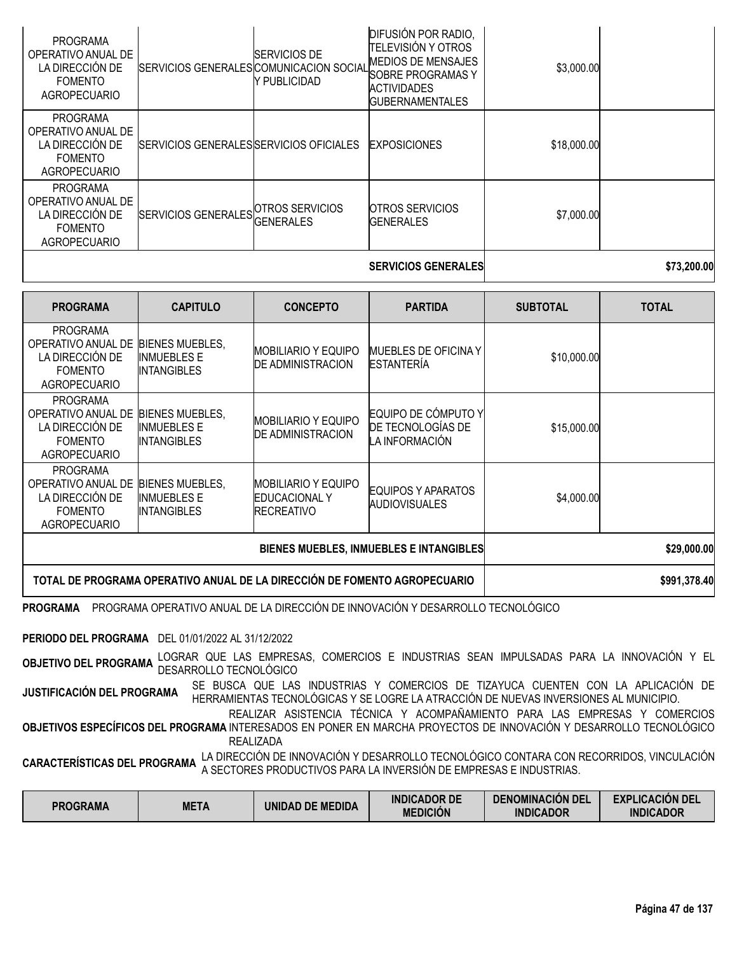|                                                                                            |                                         |                                     | <b>SERVICIOS GENERALES</b>                                                                                                                  |             | \$73,200.00 |
|--------------------------------------------------------------------------------------------|-----------------------------------------|-------------------------------------|---------------------------------------------------------------------------------------------------------------------------------------------|-------------|-------------|
| <b>PROGRAMA</b><br>OPERATIVO ANUAL DE<br>LA DIRECCIÓN DE<br><b>FOMENTO</b><br>AGROPECUARIO | SERVICIOS GENERALES GENERALES           | <b>OTROS SERVICIOS</b>              | <b>OTROS SERVICIOS</b><br><b>IGENERALES</b>                                                                                                 | \$7,000.00  |             |
| <b>PROGRAMA</b><br>OPERATIVO ANUAL DE<br>LA DIRECCIÓN DE<br><b>FOMENTO</b><br>AGROPECUARIO | SERVICIOS GENERALES SERVICIOS OFICIALES |                                     | <b>EXPOSICIONES</b>                                                                                                                         | \$18,000.00 |             |
| <b>PROGRAMA</b><br>OPERATIVO ANUAL DE<br>LA DIRECCIÓN DE<br><b>FOMENTO</b><br>AGROPECUARIO | SERVICIOS GENERALES COMUNICACION SOCIAL | <b>SERVICIOS DE</b><br>Y PUBLICIDAD | DIFUSIÓN POR RADIO,<br>TELEVISIÓN Y OTROS<br><b>MEDIOS DE MENSAJES</b><br>SOBRE PROGRAMAS Y<br><b>ACTIVIDADES</b><br><b>GUBERNAMENTALES</b> | \$3,000.00  |             |

| <b>PROGRAMA</b>                                                                                   | <b>CAPITULO</b>                                                           | <b>CONCEPTO</b>                                                          | <b>PARTIDA</b>                                             | <b>SUBTOTAL</b> | <b>TOTAL</b> |
|---------------------------------------------------------------------------------------------------|---------------------------------------------------------------------------|--------------------------------------------------------------------------|------------------------------------------------------------|-----------------|--------------|
| <b>PROGRAMA</b><br>OPERATIVO ANUAL DE<br>LA DIRECCIÓN DE<br><b>FOMENTO</b><br>AGROPECUARIO        | <b>BIENES MUEBLES,</b><br><b>INMUEBLES E</b><br>INTANGIBLES               | IMOBILIARIO Y EQUIPO<br><b>DE ADMINISTRACION</b>                         | <b>MUEBLES DE OFICINA Y</b><br><b>ESTANTERÍA</b>           | \$10,000.00     |              |
| <b>PROGRAMA</b><br>OPERATIVO ANUAL DE<br>LA DIRECCIÓN DE<br><b>FOMENTO</b><br>AGROPECUARIO        | <b>BIENES MUEBLES,</b><br><b>INMUEBLES E</b><br><b>INTANGIBLES</b>        | IMOBILIARIO Y EQUIPO<br><b>DE ADMINISTRACION</b>                         | EQUIPO DE CÓMPUTO Y<br>DE TECNOLOGÍAS DE<br>LA INFORMACIÓN | \$15,000.00     |              |
| <b>PROGRAMA</b><br>OPERATIVO ANUAL DE<br>LA DIRECCIÓN DE<br><b>FOMENTO</b><br><b>AGROPECUARIO</b> | <b>BIENES MUEBLES,</b><br><b>INMUEBLES E</b><br><b>INTANGIBLES</b>        | <b>MOBILIARIO Y EQUIPO</b><br><b>EDUCACIONAL Y</b><br><b>IRECREATIVO</b> | EQUIPOS Y APARATOS<br><b>AUDIOVISUALES</b>                 | \$4,000.00      |              |
|                                                                                                   |                                                                           |                                                                          | \$29,000.00                                                |                 |              |
|                                                                                                   | TOTAL DE PROGRAMA OPERATIVO ANUAL DE LA DIRECCIÓN DE FOMENTO AGROPECUARIO |                                                                          |                                                            |                 | \$991,378.40 |

**PROGRAMA** PROGRAMA OPERATIVO ANUAL DE LA DIRECCIÓN DE INNOVACIÓN Y DESARROLLO TECNOLÓGICO

**PERIODO DEL PROGRAMA** DEL 01/01/2022 AL 31/12/2022

**OBJETIVO DEL PROGRAMA** LOGRAR QUE LAS EMPRESAS, COMERCIOS <sup>E</sup> INDUSTRIAS SEAN IMPULSADAS PARA LA INNOVACIÓN <sup>Y</sup> EL DESARROLLO TECNOLÓGICO

**JUSTIFICACIÓN DEL PROGRAMA** SE BUSCA QUE LAS INDUSTRIAS <sup>Y</sup> COMERCIOS DE TIZAYUCA CUENTEN CON LA APLICACIÓN DE HERRAMIENTAS TECNOLÓGICAS Y SE LOGRE LA ATRACCIÓN DE NUEVAS INVERSIONES AL MUNICIPIO.

**OBJETIVOS ESPECÍFICOS DEL PROGRAMA** INTERESADOS EN PONER EN MARCHA PROYECTOS DE INNOVACIÓN Y DESARROLLO TECNOLÓGICO REALIZAR ASISTENCIA TÉCNICA Y ACOMPAÑAMIENTO PARA LAS EMPRESAS Y COMERCIOS REALIZADA

**CARACTERÍSTICAS DEL PROGRAMA** LA DIRECCIÓN DE INNOVACIÓN Y DESARROLLO TECNOLÓGICO CONTARA CON RECORRIDOS, VINCULACIÓN<br>A SECTORA A SECTORES PRODUCTIVOS PARA LA INVERSIÓN DE EMPRESAS E INDUSTRIAS.

| <b>PROGRAMA</b> | <b>META</b> | UNIDAD DE MEDIDA | <b>INDICADOR DE</b><br><b>MEDICIÓN</b> | <b>DENOMINACION DEL</b><br><b>INDICADOR</b> | <b>EXPLICACIÓN DEL</b><br><b>INDICADOR</b> |
|-----------------|-------------|------------------|----------------------------------------|---------------------------------------------|--------------------------------------------|
|-----------------|-------------|------------------|----------------------------------------|---------------------------------------------|--------------------------------------------|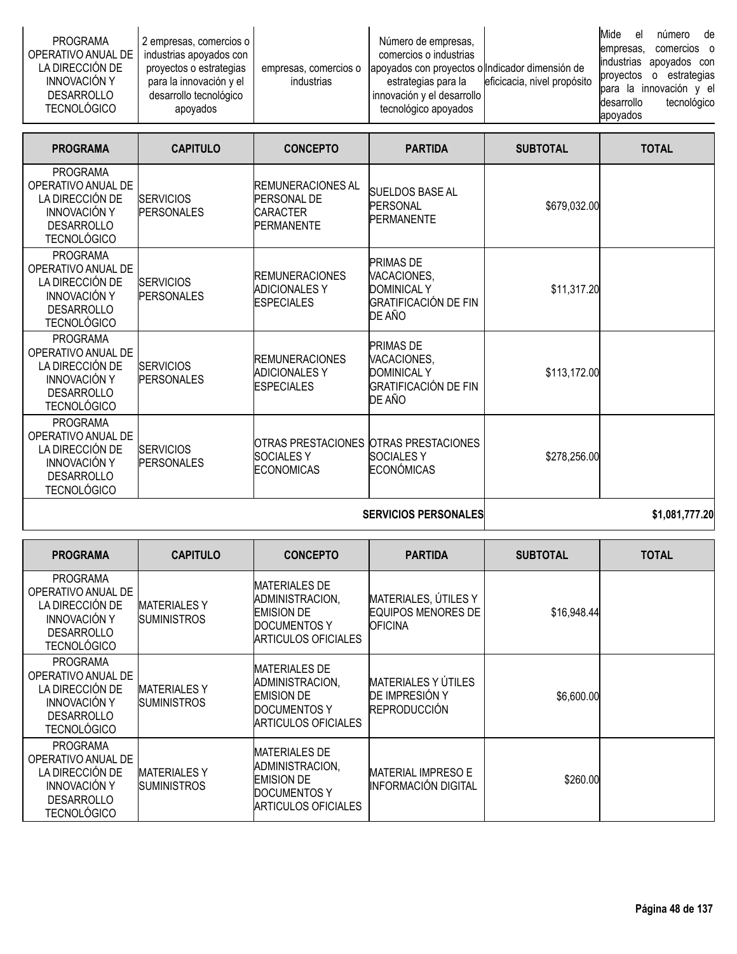| <b>PROGRAMA</b><br>OPERATIVO ANUAL DE<br>LA DIRECCIÓN DE<br><b>INNOVACIÓN Y</b><br>DESARROLLO<br><b>TECNOLÓGICO</b> | 2 empresas, comercios o  <br>industrias apoyados con<br>proyectos o estrategias<br>para la innovación y el<br>desarrollo tecnológico<br>apovados | empresas, comercios o<br>industrias | Número de empresas,<br>comercios o industrias<br>apoyados con proyectos o Indicador dimensión de<br>estrategias para la<br>innovación y el desarrollo<br>tecnológico apoyados | eficicacia, nivel propósito | Mide<br>empresas.<br>industrias apoyados con<br>provectos<br>para la innovación y el<br>desarrollo<br>apoyados | el<br>$\Omega$ | número<br>comercios o<br>estrategias<br>tecnológico | de |
|---------------------------------------------------------------------------------------------------------------------|--------------------------------------------------------------------------------------------------------------------------------------------------|-------------------------------------|-------------------------------------------------------------------------------------------------------------------------------------------------------------------------------|-----------------------------|----------------------------------------------------------------------------------------------------------------|----------------|-----------------------------------------------------|----|
|---------------------------------------------------------------------------------------------------------------------|--------------------------------------------------------------------------------------------------------------------------------------------------|-------------------------------------|-------------------------------------------------------------------------------------------------------------------------------------------------------------------------------|-----------------------------|----------------------------------------------------------------------------------------------------------------|----------------|-----------------------------------------------------|----|

| <b>PROGRAMA</b>                                                                                                            | <b>CAPITULO</b>                       | <b>CONCEPTO</b>                                                                        | <b>PARTIDA</b>                                                                                 | <b>SUBTOTAL</b> | <b>TOTAL</b> |
|----------------------------------------------------------------------------------------------------------------------------|---------------------------------------|----------------------------------------------------------------------------------------|------------------------------------------------------------------------------------------------|-----------------|--------------|
| <b>PROGRAMA</b><br>OPERATIVO ANUAL DE<br>LA DIRECCIÓN DE<br><b>INNOVACIÓN Y</b><br><b>DESARROLLO</b><br><b>TECNOLÓGICO</b> | <b>SERVICIOS</b><br><b>PERSONALES</b> | <b>REMUNERACIONES AL</b><br><b>PERSONAL DE</b><br><b>CARACTER</b><br><b>PERMANENTE</b> | <b>SUELDOS BASE AL</b><br><b>PERSONAL</b><br><b>PERMANENTE</b>                                 | \$679,032.00    |              |
| <b>PROGRAMA</b><br>OPERATIVO ANUAL DE<br>LA DIRECCIÓN DE<br><b>INNOVACIÓN Y</b><br><b>DESARROLLO</b><br><b>TECNOLÓGICO</b> | <b>SERVICIOS</b><br><b>PERSONALES</b> | <b>IREMUNERACIONES</b><br><b>ADICIONALES Y</b><br><b>ESPECIALES</b>                    | <b>PRIMAS DE</b><br>VACACIONES,<br><b>DOMINICAL Y</b><br><b>GRATIFICACIÓN DE FIN</b><br>DE AÑO | \$11,317.20     |              |
| <b>PROGRAMA</b><br>OPERATIVO ANUAL DE<br>LA DIRECCIÓN DE<br><b>INNOVACIÓN Y</b><br><b>DESARROLLO</b><br><b>TECNOLÓGICO</b> | <b>SERVICIOS</b><br><b>PERSONALES</b> | <b>IREMUNERACIONES</b><br><b>ADICIONALES Y</b><br><b>ESPECIALES</b>                    | <b>PRIMAS DE</b><br>VACACIONES,<br><b>DOMINICAL Y</b><br><b>GRATIFICACIÓN DE FIN</b><br>DE AÑO | \$113,172.00    |              |
| <b>PROGRAMA</b><br>OPERATIVO ANUAL DE<br>LA DIRECCIÓN DE<br><b>INNOVACIÓN Y</b><br><b>DESARROLLO</b><br><b>TECNOLÓGICO</b> | <b>SERVICIOS</b><br><b>PERSONALES</b> | OTRAS PRESTACIONES OTRAS PRESTACIONES<br><b>SOCIALESY</b><br><b>ECONOMICAS</b>         | <b>SOCIALESY</b><br><b>ECONÓMICAS</b>                                                          | \$278,256.00    |              |

# **SERVICIOS PERSONALES 1,081,777.20**

| <b>PROGRAMA</b>                                                                                                            | <b>CAPITULO</b>                           | <b>CONCEPTO</b>                                                                                      | <b>PARTIDA</b>                                                       | <b>SUBTOTAL</b> | <b>TOTAL</b> |
|----------------------------------------------------------------------------------------------------------------------------|-------------------------------------------|------------------------------------------------------------------------------------------------------|----------------------------------------------------------------------|-----------------|--------------|
| <b>PROGRAMA</b><br>OPERATIVO ANUAL DE<br>LA DIRECCIÓN DE<br><b>INNOVACIÓN Y</b><br><b>DESARROLLO</b><br><b>TECNOLÓGICO</b> | <b>MATERIALES Y</b><br><b>SUMINISTROS</b> | <b>MATERIALES DE</b><br>ADMINISTRACION,<br><b>EMISION DE</b><br>DOCUMENTOS Y<br>ARTICULOS OFICIALES  | MATERIALES, ÚTILES Y<br><b>EQUIPOS MENORES DE</b><br><b>IOFICINA</b> | \$16,948.44     |              |
| <b>PROGRAMA</b><br>OPERATIVO ANUAL DE<br>LA DIRECCIÓN DE<br><b>INNOVACIÓN Y</b><br><b>DESARROLLO</b><br><b>TECNOLÓGICO</b> | <b>MATERIALESY</b><br><b>SUMINISTROS</b>  | <b>MATERIALES DE</b><br>ADMINISTRACION,<br><b>EMISION DE</b><br>DOCUMENTOS Y<br>IARTICULOS OFICIALES | <b>MATERIALES Y ÚTILES</b><br>DE IMPRESIÓN Y<br><b>REPRODUCCIÓN</b>  | \$6,600.00      |              |
| <b>PROGRAMA</b><br>OPERATIVO ANUAL DE<br>LA DIRECCIÓN DE<br><b>INNOVACIÓN Y</b><br><b>DESARROLLO</b><br><b>TECNOLÓGICO</b> | <b>MATERIALESY</b><br><b>SUMINISTROS</b>  | <b>MATERIALES DE</b><br>ADMINISTRACION,<br><b>EMISION DE</b><br>DOCUMENTOS Y<br>ARTICULOS OFICIALES  | MATERIAL IMPRESO E<br>IINFORMACIÓN DIGITAL                           | \$260.00        |              |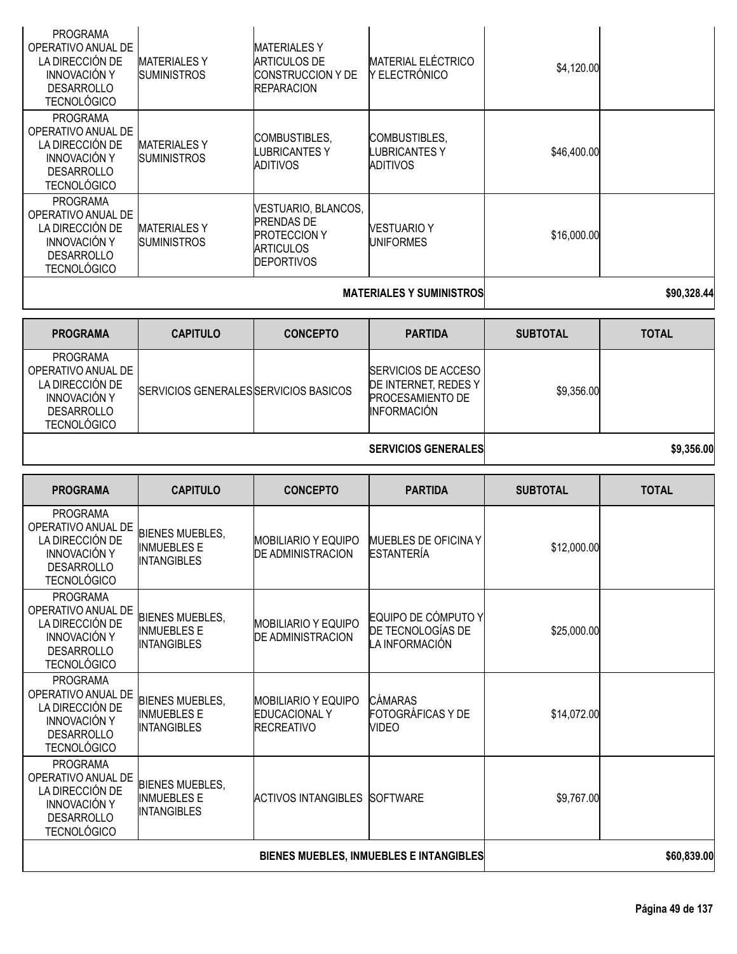| <b>PROGRAMA</b><br>OPERATIVO ANUAL DE<br>LA DIRECCIÓN DE<br><b>INNOVACIÓN Y</b><br><b>DESARROLLO</b><br><b>TECNOLÓGICO</b> | <b>MATERIALES Y</b><br><b>SUMINISTROS</b> | <b>MATERIALES Y</b><br>ARTICULOS DE<br><b>CONSTRUCCION Y DE</b><br><b>REPARACION</b>                     | <b>MATERIAL ELÉCTRICO</b><br>Y ELECTRÓNICO | \$4,120.00  |  |
|----------------------------------------------------------------------------------------------------------------------------|-------------------------------------------|----------------------------------------------------------------------------------------------------------|--------------------------------------------|-------------|--|
| <b>PROGRAMA</b><br>OPERATIVO ANUAL DE<br>LA DIRECCIÓN DE<br><b>INNOVACIÓN Y</b><br><b>DESARROLLO</b><br><b>TECNOLÓGICO</b> | <b>MATERIALES Y</b><br><b>SUMINISTROS</b> | <b>COMBUSTIBLES,</b><br><b>LUBRICANTESY</b><br>ADITIVOS                                                  | COMBUSTIBLES,<br>LUBRICANTES Y<br>ADITIVOS | \$46,400.00 |  |
| <b>PROGRAMA</b><br>OPERATIVO ANUAL DE<br>LA DIRECCIÓN DE<br><b>INNOVACIÓN Y</b><br><b>DESARROLLO</b><br><b>TECNOLÓGICO</b> | <b>MATERIALESY</b><br><b>SUMINISTROS</b>  | VESTUARIO, BLANCOS,<br><b>PRENDAS DE</b><br><b>PROTECCION Y</b><br><b>ARTICULOS</b><br><b>DEPORTIVOS</b> | <b>VESTUARIO Y</b><br><b>UNIFORMES</b>     | \$16,000.00 |  |
|                                                                                                                            |                                           |                                                                                                          |                                            |             |  |

#### **MATERIALES Y SUMINISTROS \$90,328.44**

| <b>PROGRAMA</b>                                                                                              | <b>CAPITULO</b>                       | <b>CONCEPTO</b> | <b>PARTIDA</b>                                                                                | <b>SUBTOTAL</b> | <b>TOTAL</b> |
|--------------------------------------------------------------------------------------------------------------|---------------------------------------|-----------------|-----------------------------------------------------------------------------------------------|-----------------|--------------|
| PROGRAMA<br>OPERATIVO ANUAL DE<br>LA DIRECCIÓN DE<br>INNOVACIÓN Y<br><b>DESARROLLO</b><br><b>TECNOLÓGICO</b> | SERVICIOS GENERALES SERVICIOS BASICOS |                 | <b>ISERVICIOS DE ACCESO</b><br>DE INTERNET, REDES Y<br><b>PROCESAMIENTO DE</b><br>INFORMACIÓN | \$9,356.00      |              |

**SERVICIOS GENERALES \$9,356.00** 

| <b>PROGRAMA</b>                                                                                                            | <b>CAPITULO</b>                                                    | <b>CONCEPTO</b>                                                         | <b>PARTIDA</b>                                             | <b>SUBTOTAL</b> | <b>TOTAL</b> |
|----------------------------------------------------------------------------------------------------------------------------|--------------------------------------------------------------------|-------------------------------------------------------------------------|------------------------------------------------------------|-----------------|--------------|
| <b>PROGRAMA</b><br>OPERATIVO ANUAL DE<br>LA DIRECCIÓN DE<br><b>INNOVACIÓN Y</b><br><b>DESARROLLO</b><br><b>TECNOLÓGICO</b> | <b>BIENES MUEBLES,</b><br><b>INMUEBLES E</b><br><b>INTANGIBLES</b> | <b>MOBILIARIO Y EQUIPO</b><br><b>DE ADMINISTRACION</b>                  | <b>MUEBLES DE OFICINA Y</b><br><b>ESTANTERÍA</b>           | \$12,000.00     |              |
| <b>PROGRAMA</b><br>OPERATIVO ANUAL DE<br>LA DIRECCIÓN DE<br><b>INNOVACIÓN Y</b><br><b>DESARROLLO</b><br><b>TECNOLÓGICO</b> | <b>BIENES MUEBLES,</b><br><b>INMUEBLES E</b><br><b>INTANGIBLES</b> | MOBILIARIO Y EQUIPO<br><b>DE ADMINISTRACION</b>                         | EQUIPO DE CÓMPUTO Y<br>DE TECNOLOGÍAS DE<br>LA INFORMACIÓN | \$25,000.00     |              |
| <b>PROGRAMA</b><br>OPERATIVO ANUAL DE<br>LA DIRECCIÓN DE<br><b>INNOVACIÓN Y</b><br><b>DESARROLLO</b><br><b>TECNOLÓGICO</b> | <b>BIENES MUEBLES,</b><br><b>INMUEBLES E</b><br><b>INTANGIBLES</b> | <b>MOBILIARIO Y EQUIPO</b><br><b>EDUCACIONAL Y</b><br><b>RECREATIVO</b> | <b>CAMARAS</b><br>FOTOGRÁFICAS Y DE<br><b>VIDEO</b>        | \$14,072.00     |              |
| <b>PROGRAMA</b><br>OPERATIVO ANUAL DE<br>LA DIRECCIÓN DE<br><b>INNOVACIÓN Y</b><br><b>DESARROLLO</b><br><b>TECNOLÓGICO</b> | <b>BIENES MUEBLES,</b><br><b>INMUEBLES E</b><br><b>INTANGIBLES</b> | <b>ACTIVOS INTANGIBLES</b>                                              | <b>SOFTWARE</b>                                            | \$9,767.00      |              |
|                                                                                                                            |                                                                    | BIENES MUEBLES, INMUEBLES E INTANGIBLES                                 | \$60,839.00                                                |                 |              |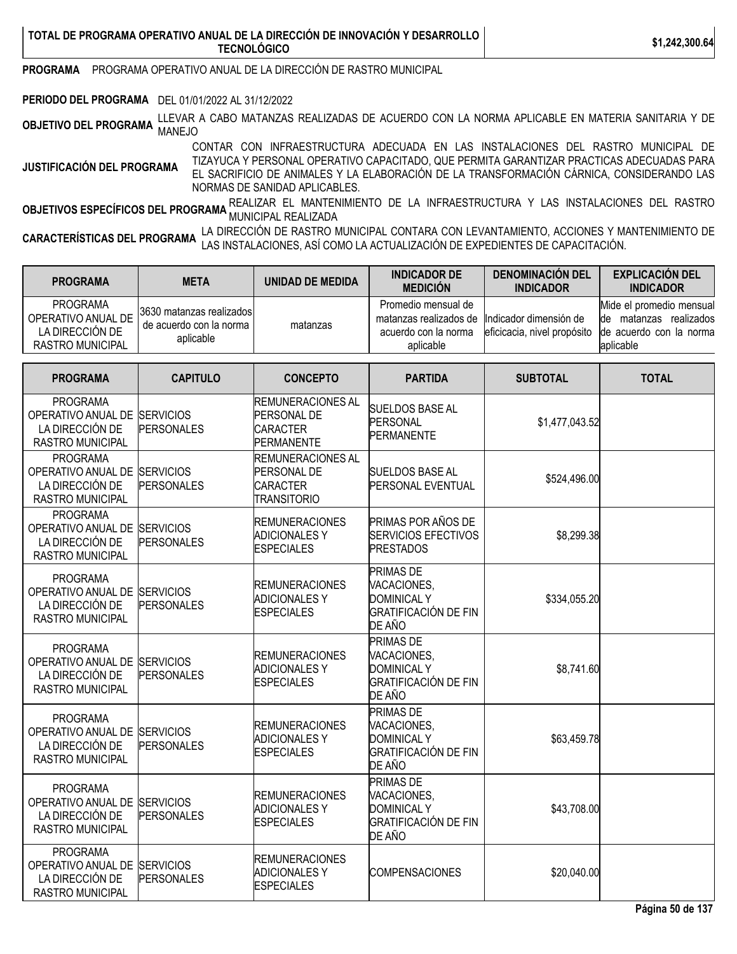**PROGRAMA** PROGRAMA OPERATIVO ANUAL DE LA DIRECCIÓN DE RASTRO MUNICIPAL

**PERIODO DEL PROGRAMA** DEL 01/01/2022 AL 31/12/2022

**OBJETIVO DEL PROGRAMA** LLEVAR <sup>A</sup> CABO MATANZAS REALIZADAS DE ACUERDO CON LA NORMA APLICABLE EN MATERIA SANITARIA <sup>Y</sup> DE MANEJO

**JUSTIFICACIÓN DEL PROGRAMA** CONTAR CON INFRAESTRUCTURA ADECUADA EN LAS INSTALACIONES DEL RASTRO MUNICIPAL DE TIZAYUCA Y PERSONAL OPERATIVO CAPACITADO, QUE PERMITA GARANTIZAR PRACTICAS ADECUADAS PARA EL SACRIFICIO DE ANIMALES Y LA ELABORACIÓN DE LA TRANSFORMACIÓN CÁRNICA, CONSIDERANDO LAS NORMAS DE SANIDAD APLICABLES.

**OBJETIVOS ESPECÍFICOS DEL PROGRAMA** REALIZAR EL MANTENIMIENTO DE LA INFRAESTRUCTURA Y LAS INSTALACIONES DEL RASTRO<br>MUNICIPAL REALIZADE EL PROGRA**MA** MUNICIPAL REALIZADA

**CARACTERÍSTICAS DEL PROGRAMA** LA DIRECCIÓN DE RASTRO MUNICIPAL CONTARA CON LEVANTAMIENTO, ACCIONES <sup>Y</sup> MANTENIMIENTO DE LAS INSTALACIONES, ASÍ COMO LA ACTUALIZACIÓN DE EXPEDIENTES DE CAPACITACIÓN.

| <b>PROGRAMA</b>                                                                     | <b>META</b>                                                        | UNIDAD DE MEDIDA | <b>INDICADOR DE</b><br><b>MEDICIÓN</b>                                             | <b>DENOMINACIÓN DEL</b><br><b>INDICADOR</b>           | <b>EXPLICACIÓN DEL</b><br><b>INDICADOR</b>                                                         |
|-------------------------------------------------------------------------------------|--------------------------------------------------------------------|------------------|------------------------------------------------------------------------------------|-------------------------------------------------------|----------------------------------------------------------------------------------------------------|
| <b>PROGRAMA</b><br>OPERATIVO ANUAL DE<br>LA DIRECCIÓN DE<br><b>RASTRO MUNICIPAL</b> | 3630 matanzas realizados<br>de acuerdo con la norma  <br>aplicable | matanzas         | Promedio mensual de<br>matanzas realizados de<br>acuerdo con la norma<br>aplicable | Indicador dimensión de<br>eficicacia, nivel propósito | Mide el promedio mensual<br>realizados<br>matanzas<br>lde<br>lde acuerdo con la norma<br>aplicable |

| <b>PROGRAMA</b>                                                                               | <b>CAPITULO</b>   | <b>CONCEPTO</b>                                                                         | <b>PARTIDA</b>                                                                                 | <b>SUBTOTAL</b> | <b>TOTAL</b> |
|-----------------------------------------------------------------------------------------------|-------------------|-----------------------------------------------------------------------------------------|------------------------------------------------------------------------------------------------|-----------------|--------------|
| <b>PROGRAMA</b><br>OPERATIVO ANUAL DE SERVICIOS<br>LA DIRECCIÓN DE<br><b>RASTRO MUNICIPAL</b> | <b>PERSONALES</b> | <b>REMUNERACIONES AL</b><br><b>PERSONAL DE</b><br><b>CARACTER</b><br><b>PERMANENTE</b>  | <b>SUELDOS BASE AL</b><br>PERSONAL<br><b>PERMANENTE</b>                                        | \$1,477,043.52  |              |
| <b>PROGRAMA</b><br>OPERATIVO ANUAL DE SERVICIOS<br>LA DIRECCIÓN DE<br><b>RASTRO MUNICIPAL</b> | <b>PERSONALES</b> | <b>REMUNERACIONES AL</b><br><b>PERSONAL DE</b><br><b>CARACTER</b><br><b>TRANSITORIO</b> | <b>SUELDOS BASE AL</b><br>PERSONAL EVENTUAL                                                    | \$524,496.00    |              |
| <b>PROGRAMA</b><br>OPERATIVO ANUAL DE SERVICIOS<br>LA DIRECCIÓN DE<br><b>RASTRO MUNICIPAL</b> | <b>PERSONALES</b> | <b>REMUNERACIONES</b><br><b>ADICIONALES Y</b><br><b>ESPECIALES</b>                      | PRIMAS POR AÑOS DE<br><b>SERVICIOS EFECTIVOS</b><br><b>PRESTADOS</b>                           | \$8,299.38      |              |
| <b>PROGRAMA</b><br>OPERATIVO ANUAL DE SERVICIOS<br>LA DIRECCIÓN DE<br><b>RASTRO MUNICIPAL</b> | <b>PERSONALES</b> | <b>REMUNERACIONES</b><br><b>ADICIONALES Y</b><br><b>ESPECIALES</b>                      | <b>PRIMAS DE</b><br>VACACIONES,<br><b>DOMINICAL Y</b><br><b>GRATIFICACIÓN DE FIN</b><br>DE AÑO | \$334,055.20    |              |
| <b>PROGRAMA</b><br>OPERATIVO ANUAL DE SERVICIOS<br>LA DIRECCIÓN DE<br><b>RASTRO MUNICIPAL</b> | <b>PERSONALES</b> | <b>REMUNERACIONES</b><br><b>ADICIONALES Y</b><br><b>ESPECIALES</b>                      | <b>PRIMAS DE</b><br>VACACIONES,<br><b>DOMINICAL Y</b><br><b>GRATIFICACIÓN DE FIN</b><br>DE AÑO | \$8,741.60      |              |
| <b>PROGRAMA</b><br>OPERATIVO ANUAL DE SERVICIOS<br>LA DIRECCIÓN DE<br><b>RASTRO MUNICIPAL</b> | <b>PERSONALES</b> | <b>REMUNERACIONES</b><br><b>ADICIONALES Y</b><br><b>ESPECIALES</b>                      | <b>PRIMAS DE</b><br>VACACIONES,<br><b>DOMINICAL Y</b><br><b>GRATIFICACIÓN DE FIN</b><br>DE AÑO | \$63,459.78     |              |
| <b>PROGRAMA</b><br>OPERATIVO ANUAL DE SERVICIOS<br>LA DIRECCIÓN DE<br><b>RASTRO MUNICIPAL</b> | <b>PERSONALES</b> | <b>REMUNERACIONES</b><br><b>ADICIONALES Y</b><br><b>ESPECIALES</b>                      | PRIMAS DE<br>VACACIONES.<br><b>DOMINICAL Y</b><br><b>GRATIFICACIÓN DE FIN</b><br>DE AÑO        | \$43,708.00     |              |
| <b>PROGRAMA</b><br>OPERATIVO ANUAL DE SERVICIOS<br>LA DIRECCIÓN DE<br><b>RASTRO MUNICIPAL</b> | <b>PERSONALES</b> | <b>REMUNERACIONES</b><br><b>ADICIONALES Y</b><br><b>ESPECIALES</b>                      | <b>COMPENSACIONES</b>                                                                          | \$20,040.00     |              |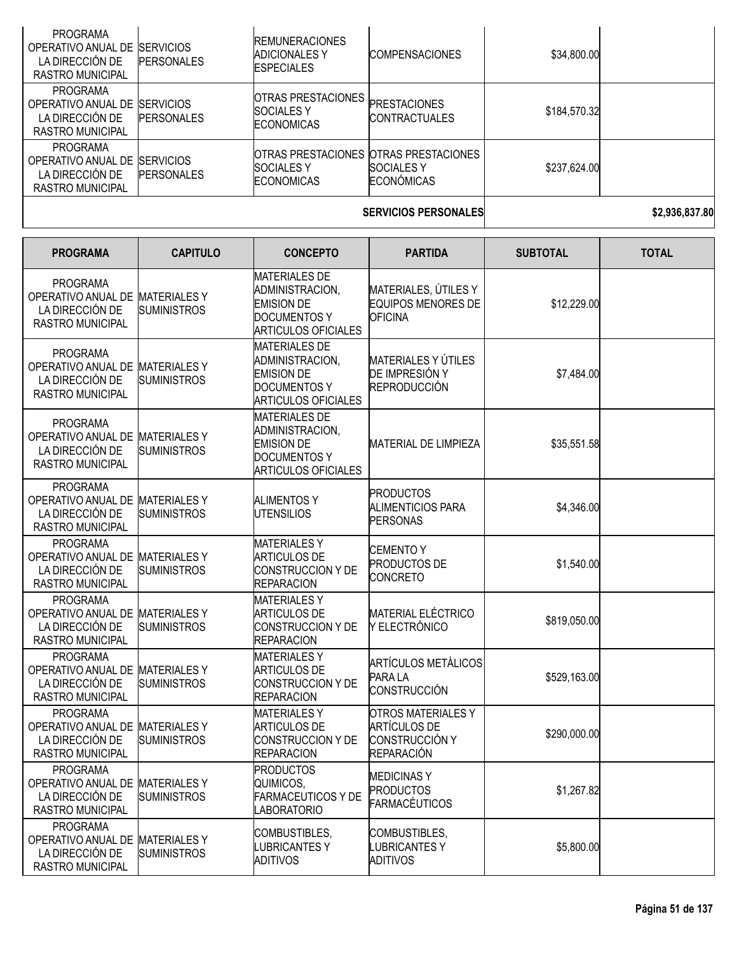| PROGRAMA<br>OPERATIVO ANUAL DE<br>LA DIRECCIÓN DE<br>RASTRO MUNICIPAL                   | <b>SERVICIOS</b><br><b>PERSONALES</b> | <b>REMUNERACIONES</b><br><b>ADICIONALES Y</b><br><b>ESPECIALES</b>   | <b>COMPENSACIONES</b>                                                                    | \$34,800.00  |  |
|-----------------------------------------------------------------------------------------|---------------------------------------|----------------------------------------------------------------------|------------------------------------------------------------------------------------------|--------------|--|
| <b>PROGRAMA</b><br>OPERATIVO ANUAL DE ISERVICIOS<br>LA DIRECCIÓN DE<br>RASTRO MUNICIPAL | <b>PERSONALES</b>                     | <b>OTRAS PRESTACIONES</b><br><b>ISOCIALES Y</b><br><b>ECONOMICAS</b> | <b>PRESTACIONES</b><br><b>CONTRACTUALES</b>                                              | \$184,570.32 |  |
| <b>PROGRAMA</b><br>OPERATIVO ANUAL DE ISERVICIOS<br>LA DIRECCIÓN DE<br>RASTRO MUNICIPAL | <b>PERSONALES</b>                     | <b>SOCIALES Y</b><br><b>ECONOMICAS</b>                               | <b>IOTRAS PRESTACIONES IOTRAS PRESTACIONES</b><br><b>SOCIALES Y</b><br><b>ECONÓMICAS</b> | \$237,624.00 |  |
|                                                                                         |                                       |                                                                      |                                                                                          |              |  |

**SERVICIOS PERSONALES \$2,936,837.80**

| <b>PROGRAMA</b>                                                                                  | <b>CAPITULO</b>    | <b>CONCEPTO</b>                                                                                                   | <b>PARTIDA</b>                                                                                 | <b>SUBTOTAL</b> | <b>TOTAL</b> |
|--------------------------------------------------------------------------------------------------|--------------------|-------------------------------------------------------------------------------------------------------------------|------------------------------------------------------------------------------------------------|-----------------|--------------|
| <b>PROGRAMA</b><br>OPERATIVO ANUAL DE MATERIALES Y<br>LA DIRECCIÓN DE<br><b>RASTRO MUNICIPAL</b> | <b>SUMINISTROS</b> | <b>MATERIALES DE</b><br>ADMINISTRACION,<br><b>EMISION DE</b><br><b>DOCUMENTOS Y</b><br><b>ARTICULOS OFICIALES</b> | MATERIALES, ÚTILES Y<br>EQUIPOS MENORES DE<br><b>OFICINA</b>                                   | \$12,229.00     |              |
| <b>PROGRAMA</b><br>OPERATIVO ANUAL DE MATERIALES Y<br>LA DIRECCIÓN DE<br>RASTRO MUNICIPAL        | <b>SUMINISTROS</b> | <b>MATERIALES DE</b><br>ADMINISTRACION,<br><b>EMISION DE</b><br><b>DOCUMENTOS Y</b><br><b>ARTICULOS OFICIALES</b> | <b>MATERIALES Y ÚTILES</b><br>DE IMPRESIÓN Y<br><b>REPRODUCCIÓN</b>                            | \$7,484.00      |              |
| <b>PROGRAMA</b><br>OPERATIVO ANUAL DE MATERIALES Y<br>LA DIRECCIÓN DE<br>RASTRO MUNICIPAL        | <b>SUMINISTROS</b> | <b>MATERIALES DE</b><br>ADMINISTRACION,<br><b>EMISION DE</b><br><b>DOCUMENTOS Y</b><br><b>ARTICULOS OFICIALES</b> | <b>MATERIAL DE LIMPIEZA</b>                                                                    | \$35,551.58     |              |
| <b>PROGRAMA</b><br>OPERATIVO ANUAL DE MATERIALES Y<br>LA DIRECCIÓN DE<br><b>RASTRO MUNICIPAL</b> | <b>SUMINISTROS</b> | <b>ALIMENTOS Y</b><br><b>UTENSILIOS</b>                                                                           | <b>PRODUCTOS</b><br><b>ALIMENTICIOS PARA</b><br><b>PERSONAS</b>                                | \$4,346.00      |              |
| <b>PROGRAMA</b><br>OPERATIVO ANUAL DE MATERIALES Y<br>LA DIRECCIÓN DE<br><b>RASTRO MUNICIPAL</b> | <b>SUMINISTROS</b> | <b>MATERIALESY</b><br><b>ARTICULOS DE</b><br><b>CONSTRUCCION Y DE</b><br><b>REPARACION</b>                        | <b>CEMENTO Y</b><br><b>PRODUCTOS DE</b><br><b>CONCRETO</b>                                     | \$1,540.00      |              |
| <b>PROGRAMA</b><br>OPERATIVO ANUAL DE MATERIALES Y<br>LA DIRECCIÓN DE<br><b>RASTRO MUNICIPAL</b> | <b>SUMINISTROS</b> | <b>MATERIALESY</b><br><b>ARTICULOS DE</b><br>CONSTRUCCION Y DE<br><b>REPARACION</b>                               | <b>MATERIAL ELÉCTRICO</b><br>Y ELECTRÓNICO                                                     | \$819,050.00    |              |
| <b>PROGRAMA</b><br>OPERATIVO ANUAL DE MATERIALES Y<br>LA DIRECCIÓN DE<br>RASTRO MUNICIPAL        | <b>SUMINISTROS</b> | <b>MATERIALESY</b><br><b>ARTICULOS DE</b><br><b>CONSTRUCCION Y DE</b><br><b>REPARACION</b>                        | <b>ARTÍCULOS METÁLICOS</b><br>PARA LA<br>CONSTRUCCIÓN                                          | \$529,163.00    |              |
| <b>PROGRAMA</b><br>OPERATIVO ANUAL DE MATERIALES Y<br>LA DIRECCIÓN DE<br><b>RASTRO MUNICIPAL</b> | <b>SUMINISTROS</b> | <b>MATERIALESY</b><br><b>ARTICULOS DE</b><br>CONSTRUCCION Y DE<br><b>REPARACION</b>                               | <b>OTROS MATERIALES Y</b><br><b>ARTÍCULOS DE</b><br><b>CONSTRUCCIÓN Y</b><br><b>REPARACIÓN</b> | \$290,000.00    |              |
| <b>PROGRAMA</b><br>OPERATIVO ANUAL DE MATERIALES Y<br>LA DIRECCIÓN DE<br>RASTRO MUNICIPAL        | <b>SUMINISTROS</b> | <b>PRODUCTOS</b><br>QUIMICOS,<br><b>FARMACEUTICOS Y DE</b><br><b>LABORATORIO</b>                                  | <b>MEDICINASY</b><br><b>PRODUCTOS</b><br><b>FARMACÉUTICOS</b>                                  | \$1,267.82      |              |
| <b>PROGRAMA</b><br>OPERATIVO ANUAL DE MATERIALES Y<br>LA DIRECCIÓN DE<br><b>RASTRO MUNICIPAL</b> | <b>SUMINISTROS</b> | COMBUSTIBLES,<br><b>LUBRICANTESY</b><br><b>ADITIVOS</b>                                                           | COMBUSTIBLES,<br><b>LUBRICANTESY</b><br><b>ADITIVOS</b>                                        | \$5,800.00      |              |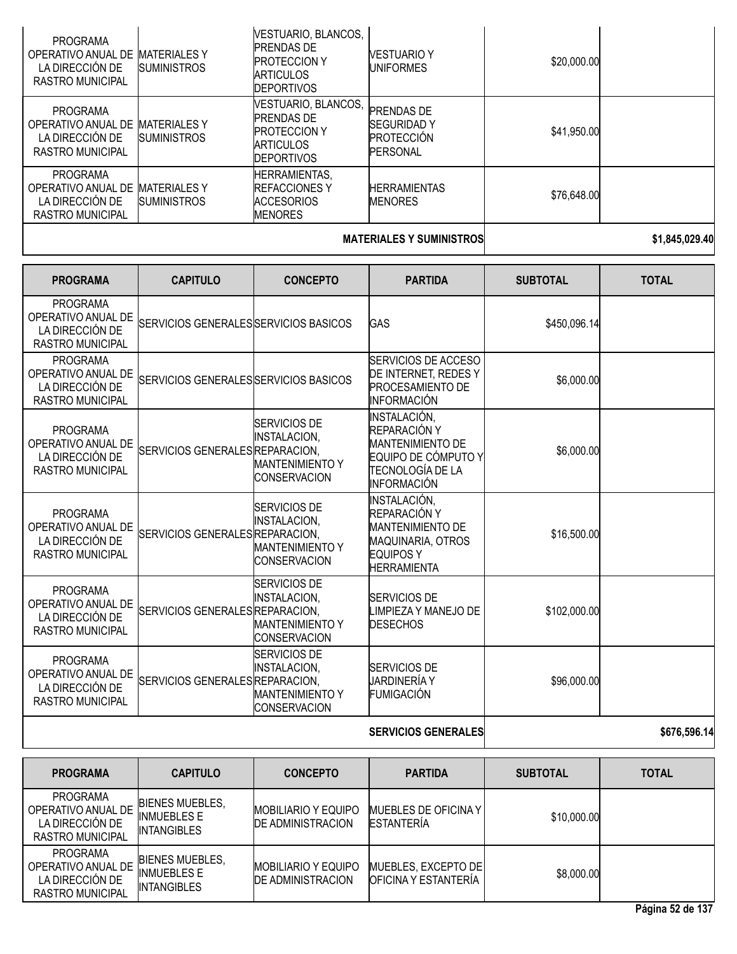| <b>PROGRAMA</b><br>OPERATIVO ANUAL DE<br>LA DIRECCIÓN DE<br><b>RASTRO MUNICIPAL</b><br><b>PROGRAMA</b> | <b>MATERIALES Y</b><br><b>SUMINISTROS</b> | VESTUARIO, BLANCOS,<br><b>PRENDAS DE</b><br><b>PROTECCION Y</b><br><b>ARTICULOS</b><br><b>DEPORTIVOS</b><br>VESTUARIO, BLANCOS, | VESTUARIO Y<br>UNIFORMES<br><b>PRENDAS DE</b>              | \$20,000.00 |                |
|--------------------------------------------------------------------------------------------------------|-------------------------------------------|---------------------------------------------------------------------------------------------------------------------------------|------------------------------------------------------------|-------------|----------------|
| OPERATIVO ANUAL DE<br>LA DIRECCIÓN DE<br>RASTRO MUNICIPAL                                              | <b>MATERIALES Y</b><br><b>SUMINISTROS</b> | <b>PRENDAS DE</b><br><b>PROTECCION Y</b><br><b>ARTICULOS</b><br><b>DEPORTIVOS</b>                                               | <b>SEGURIDAD Y</b><br><b>PROTECCIÓN</b><br><b>PERSONAL</b> | \$41,950.00 |                |
| <b>PROGRAMA</b><br>OPERATIVO ANUAL DE<br>LA DIRECCIÓN DE<br>RASTRO MUNICIPAL                           | <b>MATERIALES Y</b><br><b>SUMINISTROS</b> | <b>HERRAMIENTAS,</b><br><b>REFACCIONES Y</b><br><b>ACCESORIOS</b><br><b>MENORES</b>                                             | <b>HERRAMIENTAS</b><br><b>MENORES</b>                      | \$76,648.00 |                |
|                                                                                                        |                                           |                                                                                                                                 | MATERIALEA VALIMINIATRAA                                   |             | 84 A 15 AAA 10 |

#### **MATERIALES Y SUMINISTROS \$1,845,029.40**

| <b>PROGRAMA</b>                                                                     | <b>CAPITULO</b>                       | <b>CONCEPTO</b>                                                                             | <b>PARTIDA</b>                                                                                                                  | <b>SUBTOTAL</b> | <b>TOTAL</b> |
|-------------------------------------------------------------------------------------|---------------------------------------|---------------------------------------------------------------------------------------------|---------------------------------------------------------------------------------------------------------------------------------|-----------------|--------------|
| <b>PROGRAMA</b><br>OPERATIVO ANUAL DE<br>LA DIRECCIÓN DE<br><b>RASTRO MUNICIPAL</b> | SERVICIOS GENERALES SERVICIOS BASICOS |                                                                                             | <b>GAS</b>                                                                                                                      | \$450,096.14    |              |
| <b>PROGRAMA</b><br>OPERATIVO ANUAL DE<br>LA DIRECCIÓN DE<br><b>RASTRO MUNICIPAL</b> | SERVICIOS GENERALES SERVICIOS BASICOS |                                                                                             | SERVICIOS DE ACCESO<br>DE INTERNET, REDES Y<br>PROCESAMIENTO DE<br><b>INFORMACIÓN</b>                                           | \$6,000.00      |              |
| <b>PROGRAMA</b><br>OPERATIVO ANUAL DE<br>LA DIRECCIÓN DE<br><b>RASTRO MUNICIPAL</b> | SERVICIOS GENERALES REPARACION,       | <b>SERVICIOS DE</b><br><b>INSTALACION,</b><br><b>MANTENIMIENTO Y</b><br><b>CONSERVACION</b> | <b>INSTALACIÓN,</b><br>REPARACIÓN Y<br><b>MANTENIMIENTO DE</b><br>EQUIPO DE CÓMPUTO Y<br>TECNOLOGÍA DE LA<br><b>INFORMACIÓN</b> | \$6,000.00      |              |
| <b>PROGRAMA</b><br>OPERATIVO ANUAL DE<br>LA DIRECCIÓN DE<br><b>RASTRO MUNICIPAL</b> | SERVICIOS GENERALES REPARACION,       | <b>SERVICIOS DE</b><br><b>INSTALACION,</b><br><b>MANTENIMIENTO Y</b><br><b>CONSERVACION</b> | <b>INSTALACIÓN,</b><br>REPARACIÓN Y<br><b>MANTENIMIENTO DE</b><br>MAQUINARIA, OTROS<br><b>EQUIPOS Y</b><br><b>HERRAMIENTA</b>   | \$16,500.00     |              |
| <b>PROGRAMA</b><br>OPERATIVO ANUAL DE<br>LA DIRECCIÓN DE<br><b>RASTRO MUNICIPAL</b> | SERVICIOS GENERALES REPARACION,       | <b>SERVICIOS DE</b><br><b>INSTALACION,</b><br><b>MANTENIMIENTO Y</b><br><b>CONSERVACION</b> | <b>SERVICIOS DE</b><br>LIMPIEZA Y MANEJO DE<br><b>DESECHOS</b>                                                                  | \$102,000.00    |              |
| <b>PROGRAMA</b><br>OPERATIVO ANUAL DE<br>LA DIRECCIÓN DE<br><b>RASTRO MUNICIPAL</b> | SERVICIOS GENERALES REPARACION,       | SERVICIOS DE<br><b>INSTALACION,</b><br><b>MANTENIMIENTO Y</b><br><b>CONSERVACION</b>        | <b>SERVICIOS DE</b><br>JARDINERÍA Y<br><b>FUMIGACIÓN</b>                                                                        | \$96,000.00     |              |
|                                                                                     |                                       |                                                                                             | <b>SERVICIOS GENERALES</b>                                                                                                      |                 | \$676,596.14 |

| <b>PROGRAMA</b>                                                              | <b>CAPITULO</b>                                                    | <b>CONCEPTO</b>                                         | <b>PARTIDA</b>                                     | <b>SUBTOTAL</b> | <b>TOTAL</b> |
|------------------------------------------------------------------------------|--------------------------------------------------------------------|---------------------------------------------------------|----------------------------------------------------|-----------------|--------------|
| PROGRAMA<br>OPERATIVO ANUAL DE<br>LA DIRECCIÓN DE<br><b>RASTRO MUNICIPAL</b> | <b>BIENES MUEBLES.</b><br><b>INMUEBLES E</b><br><b>INTANGIBLES</b> | <b>IMOBILIARIO Y EQUIPO</b><br><b>DE ADMINISTRACION</b> | <b>MUEBLES DE OFICINA Y I</b><br><b>ESTANTERIA</b> | \$10,000.00     |              |
| <b>PROGRAMA</b><br>OPERATIVO ANUAL DE<br>LA DIRECCIÓN DE<br>RASTRO MUNICIPAL | <b>BIENES MUEBLES.</b><br><b>INMUEBLES E</b><br><b>INTANGIBLES</b> | <b>MOBILIARIO Y EQUIPO</b><br><b>DE ADMINISTRACION</b>  | MUEBLES, EXCEPTO DE<br>IOFICINA Y ESTANTERÍA       | \$8,000.00      |              |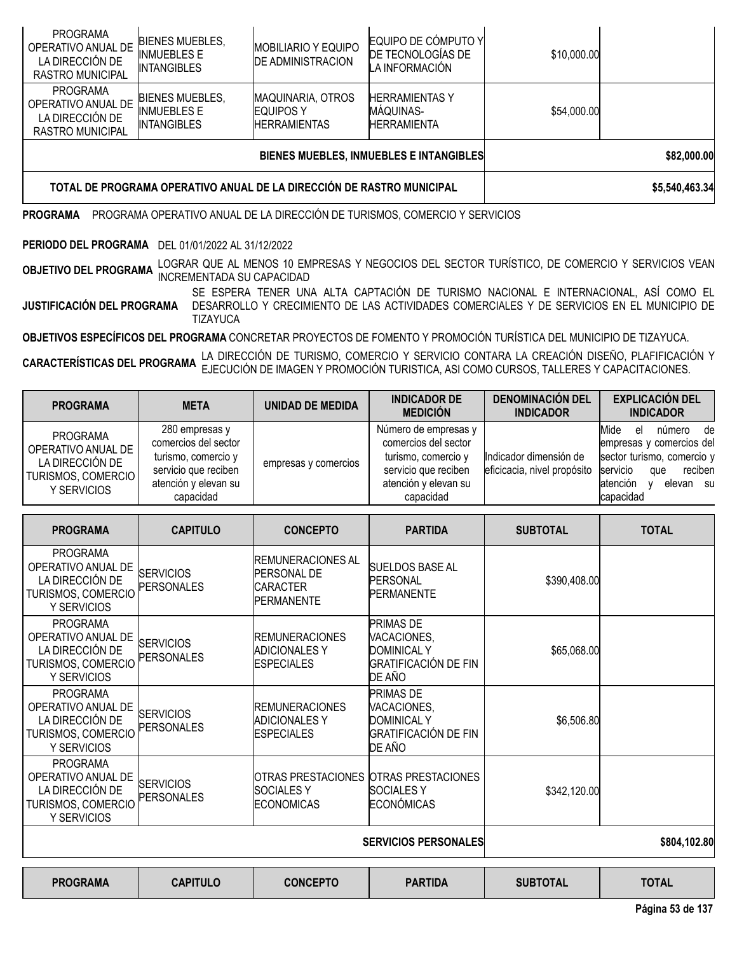| <b>PROGRAMA</b>                                                              |                                                                       |                                                              | PROGRAMA OPERATIVO ANUAL DE LA DIRECCIÓN DE TURISMOS, COMERCIO Y SERVICIOS |             |             |
|------------------------------------------------------------------------------|-----------------------------------------------------------------------|--------------------------------------------------------------|----------------------------------------------------------------------------|-------------|-------------|
|                                                                              | TOTAL DE PROGRAMA OPERATIVO ANUAL DE LA DIRECCIÓN DE RASTRO MUNICIPAL |                                                              | \$5,540,463.34                                                             |             |             |
|                                                                              |                                                                       |                                                              | BIENES MUEBLES, INMUEBLES E INTANGIBLES                                    |             | \$82,000.00 |
| <b>PROGRAMA</b><br>OPERATIVO ANUAL DE<br>LA DIRECCIÓN DE<br>RASTRO MUNICIPAL | <b>BIENES MUEBLES,</b><br><b>INMUEBLES E</b><br><b>INTANGIBLES</b>    | <b>MAQUINARIA, OTROS</b><br>EQUIPOS Y<br><b>HERRAMIENTAS</b> | <b>HERRAMIENTASY</b><br>MÁQUINAS-<br><b>HERRAMIENTA</b>                    | \$54,000.00 |             |
| <b>PROGRAMA</b><br>OPERATIVO ANUAL DE<br>LA DIRECCIÓN DE<br>RASTRO MUNICIPAL | <b>BIENES MUEBLES,</b><br>INMUEBLES E<br><b>INTANGIBLES</b>           | <b>MOBILIARIO Y EQUIPO</b><br><b>DE ADMINISTRACION</b>       | EQUIPO DE CÓMPUTO Y<br>DE TECNOLOGÍAS DE<br>LA INFORMACIÓN                 | \$10,000.00 |             |

**PERIODO DEL PROGRAMA** DEL 01/01/2022 AL 31/12/2022

**OBJETIVO DEL PROGRAMA** LOGRAR QUE AL MENOS <sup>10</sup> EMPRESAS <sup>Y</sup> NEGOCIOS DEL SECTOR TURÍSTICO, DE COMERCIO <sup>Y</sup> SERVICIOS VEAN INCREMENTADA SU CAPACIDAD

**JUSTIFICACIÓN DEL PROGRAMA** SE ESPERA TENER UNA ALTA CAPTACIÓN DE TURISMO NACIONAL E INTERNACIONAL, ASÍ COMO EL DESARROLLO Y CRECIMIENTO DE LAS ACTIVIDADES COMERCIALES Y DE SERVICIOS EN EL MUNICIPIO DE TIZAYUCA

**OBJETIVOS ESPECÍFICOS DEL PROGRAMA** CONCRETAR PROYECTOS DE FOMENTO Y PROMOCIÓN TURÍSTICA DEL MUNICIPIO DE TIZAYUCA.

**CARACTERÍSTICAS DEL PROGRAMA** LA DIRECCIÓN DE TURISMO, COMERCIO Y SERVICIO CONTARA LA CREACIÓN DISEÑO, PLAFIFICACIÓN Y<br>CARACTERÍSTICAS DEL PROGRAMA EJECUCIÓN DE IMAGEN Y PROMOCIÓN TURISTICA, ASI COMO CURSOS, TALLERES Y CA

| <b>PROGRAMA</b>                                                                        | <b>META</b>                                                                                                                | UNIDAD DE MEDIDA     | <b>INDICADOR DE</b><br><b>MEDICIÓN</b>                                                                                           | <b>DENOMINACIÓN DEL</b><br><b>INDICADOR</b>           | <b>EXPLICACIÓN DEL</b><br><b>INDICADOR</b>                                                                                                                      |
|----------------------------------------------------------------------------------------|----------------------------------------------------------------------------------------------------------------------------|----------------------|----------------------------------------------------------------------------------------------------------------------------------|-------------------------------------------------------|-----------------------------------------------------------------------------------------------------------------------------------------------------------------|
| PROGRAMA<br>OPERATIVO ANUAL DE<br>LA DIRECCIÓN DE<br>TURISMOS, COMERCIO<br>Y SERVICIOS | 280 empresas y<br>comercios del sector<br>turismo, comercio y<br>servicio que reciben<br>atención y elevan su<br>capacidad | empresas y comercios | Número de empresas y<br>comercios del sector<br>turismo, comercio v<br>servicio que reciben<br>atención y elevan su<br>capacidad | Indicador dimensión de<br>eficicacia, nivel propósito | Mide<br>número<br>el<br>de<br>empresas y comercios del<br>sector turismo, comercio y<br>servicio<br>reciben<br>que<br><b>atención</b><br>elevan su<br>capacidad |

| <b>PROGRAMA</b>                                                                               | <b>CAPITULO</b>                       | <b>CONCEPTO</b>                                                                   | <b>PARTIDA</b>                                                                                 | <b>SUBTOTAL</b> | <b>TOTAL</b> |
|-----------------------------------------------------------------------------------------------|---------------------------------------|-----------------------------------------------------------------------------------|------------------------------------------------------------------------------------------------|-----------------|--------------|
| <b>PROGRAMA</b><br>OPERATIVO ANUAL DE<br>LA DIRECCIÓN DE<br>TURISMOS, COMERCIO<br>Y SERVICIOS | <b>SERVICIOS</b><br><b>PERSONALES</b> | <b>IREMUNERACIONES AL</b><br><b>PERSONAL DE</b><br>CARACTER<br><b>IPERMANENTE</b> | <b>SUELDOS BASE AL</b><br><b>PERSONAL</b><br><b>PERMANENTE</b>                                 | \$390,408.00    |              |
| <b>PROGRAMA</b><br>OPERATIVO ANUAL DE<br>LA DIRECCIÓN DE<br>TURISMOS, COMERCIO<br>Y SERVICIOS | <b>SERVICIOS</b><br>PERSONALES        | <b>REMUNERACIONES</b><br><b>ADICIONALES Y</b><br><b>ESPECIALES</b>                | <b>PRIMAS DE</b><br>VACACIONES,<br>DOMINICAL Y<br><b>GRATIFICACIÓN DE FIN</b><br>DE AÑO        | \$65,068.00     |              |
| <b>PROGRAMA</b><br>OPERATIVO ANUAL DE<br>LA DIRECCIÓN DE<br>TURISMOS, COMERCIO<br>Y SERVICIOS | <b>SERVICIOS</b><br><b>PERSONALES</b> | <b>IREMUNERACIONES</b><br><b>ADICIONALES Y</b><br><b>ESPECIALES</b>               | <b>PRIMAS DE</b><br>VACACIONES,<br><b>DOMINICAL Y</b><br><b>GRATIFICACIÓN DE FIN</b><br>DE AÑO | \$6,506.80      |              |
| <b>PROGRAMA</b><br>OPERATIVO ANUAL DE<br>LA DIRECCIÓN DE<br>TURISMOS, COMERCIO<br>Y SERVICIOS | <b>SERVICIOS</b><br><b>PERSONALES</b> | <b>SOCIALESY</b><br>ECONOMICAS                                                    | OTRAS PRESTACIONES OTRAS PRESTACIONES<br><b>SOCIALES Y</b><br><b>ECONÓMICAS</b>                | \$342,120.00    |              |
|                                                                                               |                                       | <b>SERVICIOS PERSONALES</b>                                                       | \$804,102.80                                                                                   |                 |              |

**PROGRAMA CAPITULO CONCEPTO PARTIDA SUBTOTAL TOTAL**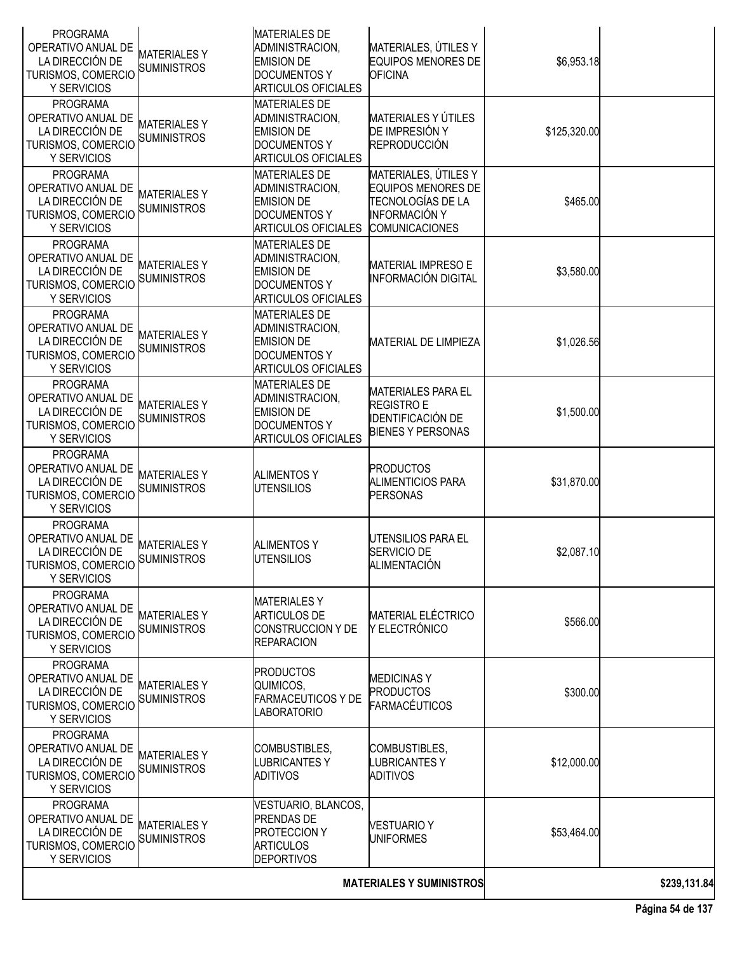| <b>PROGRAMA</b><br>OPERATIVO ANUAL DE<br>LA DIRECCIÓN DE<br>TURISMOS, COMERCIO<br>Y SERVICIOS             | <b>MATERIALESY</b><br><b>SUMINISTROS</b> | <b>MATERIALES DE</b><br>ADMINISTRACION,<br><b>EMISION DE</b><br><b>DOCUMENTOS Y</b><br><b>ARTICULOS OFICIALES</b> | MATERIALES, ÚTILES Y<br><b>EQUIPOS MENORES DE</b><br><b>OFICINA</b>                                       | \$6,953.18   |  |
|-----------------------------------------------------------------------------------------------------------|------------------------------------------|-------------------------------------------------------------------------------------------------------------------|-----------------------------------------------------------------------------------------------------------|--------------|--|
| <b>PROGRAMA</b><br>OPERATIVO ANUAL DE<br>LA DIRECCIÓN DE<br>TURISMOS, COMERCIO<br>Y SERVICIOS             | <b>MATERIALESY</b><br><b>SUMINISTROS</b> | <b>MATERIALES DE</b><br>ADMINISTRACION,<br><b>EMISION DE</b><br><b>DOCUMENTOS Y</b><br><b>ARTICULOS OFICIALES</b> | MATERIALES Y ÚTILES<br>DE IMPRESIÓN Y<br>REPRODUCCIÓN                                                     | \$125,320.00 |  |
| <b>PROGRAMA</b><br>OPERATIVO ANUAL DE<br>LA DIRECCIÓN DE<br>TURISMOS, COMERCIO<br>Y SERVICIOS             | <b>MATERIALESY</b><br><b>SUMINISTROS</b> | <b>MATERIALES DE</b><br>ADMINISTRACION,<br><b>EMISION DE</b><br><b>DOCUMENTOS Y</b><br><b>ARTICULOS OFICIALES</b> | MATERIALES, ÚTILES Y<br>EQUIPOS MENORES DE<br>TECNOLOGÍAS DE LA<br>INFORMACIÓN Y<br><b>COMUNICACIONES</b> | \$465.00     |  |
| <b>PROGRAMA</b><br>OPERATIVO ANUAL DE<br>LA DIRECCIÓN DE<br>TURISMOS, COMERCIO<br>Y SERVICIOS             | <b>MATERIALESY</b><br><b>SUMINISTROS</b> | <b>MATERIALES DE</b><br>ADMINISTRACION,<br><b>EMISION DE</b><br><b>DOCUMENTOS Y</b><br><b>ARTICULOS OFICIALES</b> | <b>MATERIAL IMPRESO E</b><br><b>INFORMACIÓN DIGITAL</b>                                                   | \$3,580.00   |  |
| <b>PROGRAMA</b><br>OPERATIVO ANUAL DE<br>LA DIRECCIÓN DE<br>TURISMOS, COMERCIO<br>Y SERVICIOS             | <b>MATERIALESY</b><br><b>SUMINISTROS</b> | <b>MATERIALES DE</b><br>ADMINISTRACION,<br><b>EMISION DE</b><br><b>DOCUMENTOS Y</b><br><b>ARTICULOS OFICIALES</b> | <b>MATERIAL DE LIMPIEZA</b>                                                                               | \$1,026.56   |  |
| <b>PROGRAMA</b><br>OPERATIVO ANUAL DE<br>LA DIRECCIÓN DE<br>TURISMOS, COMERCIO<br>Y SERVICIOS             | <b>MATERIALESY</b><br>SUMINISTROS        | <b>MATERIALES DE</b><br>ADMINISTRACION,<br><b>EMISION DE</b><br><b>DOCUMENTOS Y</b><br><b>ARTICULOS OFICIALES</b> | <b>MATERIALES PARA EL</b><br><b>REGISTRO E</b><br><b>IDENTIFICACIÓN DE</b><br><b>BIENES Y PERSONAS</b>    | \$1,500.00   |  |
| <b>PROGRAMA</b><br>OPERATIVO ANUAL DE<br>LA DIRECCIÓN DE<br>TURISMOS, COMERCIO<br>Y SERVICIOS             | <b>MATERIALESY</b><br><b>SUMINISTROS</b> | <b>ALIMENTOS Y</b><br><b>UTENSILIOS</b>                                                                           | <b>PRODUCTOS</b><br><b>ALIMENTICIOS PARA</b><br><b>PERSONAS</b>                                           | \$31,870.00  |  |
| <b>PROGRAMA</b><br>OPERATIVO ANUAL DE<br>LA DIRECCIÓN DE<br>TURISMOS, COMERCIO SUMINISTROS<br>Y SERVICIOS | <b>MATERIALESY</b>                       | <b>ALIMENTOS Y</b><br><b>UTENSILIOS</b>                                                                           | UTENSILIOS PARA EL<br>SERVICIO DE<br>ALIMENTACIÓN                                                         | \$2,087.10   |  |
| <b>PROGRAMA</b><br>OPERATIVO ANUAL DE<br>LA DIRECCIÓN DE<br>TURISMOS, COMERCIO<br>Y SERVICIOS             | <b>MATERIALESY</b><br><b>SUMINISTROS</b> | <b>MATERIALESY</b><br><b>ARTICULOS DE</b><br>CONSTRUCCION Y DE<br><b>REPARACION</b>                               | <b>MATERIAL ELÉCTRICO</b><br>Y ELECTRÓNICO                                                                | \$566.00     |  |
| <b>PROGRAMA</b><br>OPERATIVO ANUAL DE<br>LA DIRECCIÓN DE<br>TURISMOS, COMERCIO<br>Y SERVICIOS             | <b>MATERIALESY</b><br><b>SUMINISTROS</b> | <b>PRODUCTOS</b><br>QUIMICOS,<br><b>FARMACEUTICOS Y DE</b><br><b>LABORATORIO</b>                                  | <b>MEDICINASY</b><br><b>PRODUCTOS</b><br>FARMACÉUTICOS                                                    | \$300.00     |  |
| <b>PROGRAMA</b><br>OPERATIVO ANUAL DE<br>LA DIRECCIÓN DE<br>TURISMOS, COMERCIO<br>Y SERVICIOS             | <b>MATERIALESY</b><br><b>SUMINISTROS</b> | COMBUSTIBLES,<br><b>LUBRICANTESY</b><br><b>ADITIVOS</b>                                                           | COMBUSTIBLES,<br><b>LUBRICANTES Y</b><br><b>ADITIVOS</b>                                                  | \$12,000.00  |  |
| <b>PROGRAMA</b><br>OPERATIVO ANUAL DE<br>LA DIRECCIÓN DE<br>TURISMOS, COMERCIO<br>Y SERVICIOS             | <b>MATERIALESY</b><br><b>SUMINISTROS</b> | VESTUARIO, BLANCOS,<br><b>PRENDAS DE</b><br><b>PROTECCION Y</b><br><b>ARTICULOS</b><br><b>DEPORTIVOS</b>          | <b>VESTUARIO Y</b><br><b>UNIFORMES</b>                                                                    | \$53,464.00  |  |
|                                                                                                           |                                          |                                                                                                                   | \$239,131.84                                                                                              |              |  |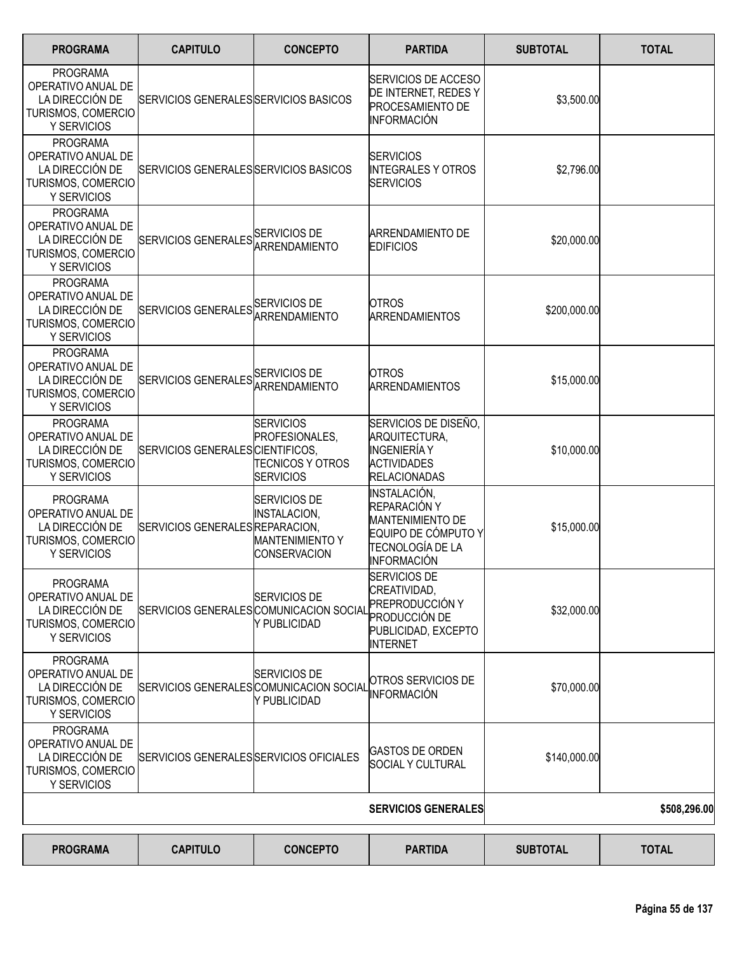| <b>PROGRAMA</b>                                                                                      | <b>CAPITULO</b>                         | <b>CONCEPTO</b>                                                                             | <b>PARTIDA</b>                                                                                                           | <b>SUBTOTAL</b> | <b>TOTAL</b> |
|------------------------------------------------------------------------------------------------------|-----------------------------------------|---------------------------------------------------------------------------------------------|--------------------------------------------------------------------------------------------------------------------------|-----------------|--------------|
| <b>PROGRAMA</b><br>OPERATIVO ANUAL DE<br>LA DIRECCIÓN DE<br>TURISMOS, COMERCIO<br>Y SERVICIOS        | SERVICIOS GENERALES SERVICIOS BASICOS   |                                                                                             | SERVICIOS DE ACCESO<br>DE INTERNET, REDES Y<br>PROCESAMIENTO DE<br><b>INFORMACIÓN</b>                                    | \$3,500.00      |              |
| <b>PROGRAMA</b><br>OPERATIVO ANUAL DE<br>LA DIRECCIÓN DE<br>TURISMOS, COMERCIO<br>Y SERVICIOS        | SERVICIOS GENERALES SERVICIOS BASICOS   |                                                                                             | <b>SERVICIOS</b><br><b>INTEGRALES Y OTROS</b><br><b>SERVICIOS</b>                                                        | \$2,796.00      |              |
| <b>PROGRAMA</b><br>OPERATIVO ANUAL DE<br>LA DIRECCIÓN DE<br>TURISMOS, COMERCIO<br>Y SERVICIOS        | SERVICIOS GENERALES SERVICIOS DE        | ARRENDAMIENTO                                                                               | <b>ARRENDAMIENTO DE</b><br><b>EDIFICIOS</b>                                                                              | \$20,000.00     |              |
| <b>PROGRAMA</b><br>OPERATIVO ANUAL DE<br>LA DIRECCIÓN DE<br>TURISMOS, COMERCIO<br>Y SERVICIOS        | SERVICIOS GENERALES SERVICIOS DE        | <b>ARRENDAMIENTO</b>                                                                        | <b>OTROS</b><br><b>ARRENDAMIENTOS</b>                                                                                    | \$200,000.00    |              |
| <b>PROGRAMA</b><br>OPERATIVO ANUAL DE<br>LA DIRECCIÓN DE<br>TURISMOS, COMERCIO<br>Y SERVICIOS        | SERVICIOS GENERALES SERVICIOS DE        | ARRENDAMIENTO                                                                               | <b>OTROS</b><br><b>ARRENDAMIENTOS</b>                                                                                    | \$15,000.00     |              |
| <b>PROGRAMA</b><br>OPERATIVO ANUAL DE<br>LA DIRECCIÓN DE<br>TURISMOS, COMERCIO<br><b>Y SERVICIOS</b> | SERVICIOS GENERALES CIENTIFICOS,        | <b>SERVICIOS</b><br>PROFESIONALES,<br><b>TECNICOS Y OTROS</b><br><b>SERVICIOS</b>           | SERVICIOS DE DISEÑO,<br>ARQUITECTURA,<br>INGENIERÍA Y<br><b>ACTIVIDADES</b><br><b>RELACIONADAS</b>                       | \$10,000.00     |              |
| <b>PROGRAMA</b><br>OPERATIVO ANUAL DE<br>LA DIRECCIÓN DE<br>TURISMOS, COMERCIO<br>Y SERVICIOS        | SERVICIOS GENERALES REPARACION,         | <b>SERVICIOS DE</b><br><b>INSTALACION,</b><br><b>MANTENIMIENTO Y</b><br><b>CONSERVACION</b> | INSTALACIÓN,<br>REPARACIÓN Y<br><b>MANTENIMIENTO DE</b><br>EQUIPO DE CÓMPUTO Y<br>TECNOLOGÍA DE LA<br><b>INFORMACIÓN</b> | \$15,000.00     |              |
| <b>PROGRAMA</b><br>OPERATIVO ANUAL DE<br>LA DIRECCIÓN DE<br>TURISMOS, COMERCIO<br>Y SERVICIOS        | SERVICIOS GENERALES COMUNICACION SOCIAL | SERVICIOS DE<br>Y PUBLICIDAD                                                                | <b>SERVICIOS DE</b><br>CREATIVIDAD,<br>PREPRODUCCIÓN Y<br>PRODUCCIÓN DE<br>PUBLICIDAD, EXCEPTO<br><b>INTERNET</b>        | \$32,000.00     |              |
| <b>PROGRAMA</b><br>OPERATIVO ANUAL DE<br>LA DIRECCIÓN DE<br>TURISMOS, COMERCIO<br>Y SERVICIOS        | SERVICIOS GENERALES COMUNICACION SOCIAL | <b>SERVICIOS DE</b><br>Y PUBLICIDAD                                                         | OTROS SERVICIOS DE<br><b>INFORMACIÓN</b>                                                                                 | \$70,000.00     |              |
| <b>PROGRAMA</b><br>OPERATIVO ANUAL DE<br>LA DIRECCIÓN DE<br>TURISMOS, COMERCIO<br>Y SERVICIOS        | SERVICIOS GENERALES SERVICIOS OFICIALES |                                                                                             | <b>GASTOS DE ORDEN</b><br><b>SOCIAL Y CULTURAL</b>                                                                       | \$140,000.00    |              |
|                                                                                                      |                                         |                                                                                             | <b>SERVICIOS GENERALES</b>                                                                                               |                 | \$508,296.00 |
| <b>PROGRAMA</b>                                                                                      | <b>CAPITULO</b>                         | <b>CONCEPTO</b>                                                                             | <b>PARTIDA</b>                                                                                                           | <b>SUBTOTAL</b> | <b>TOTAL</b> |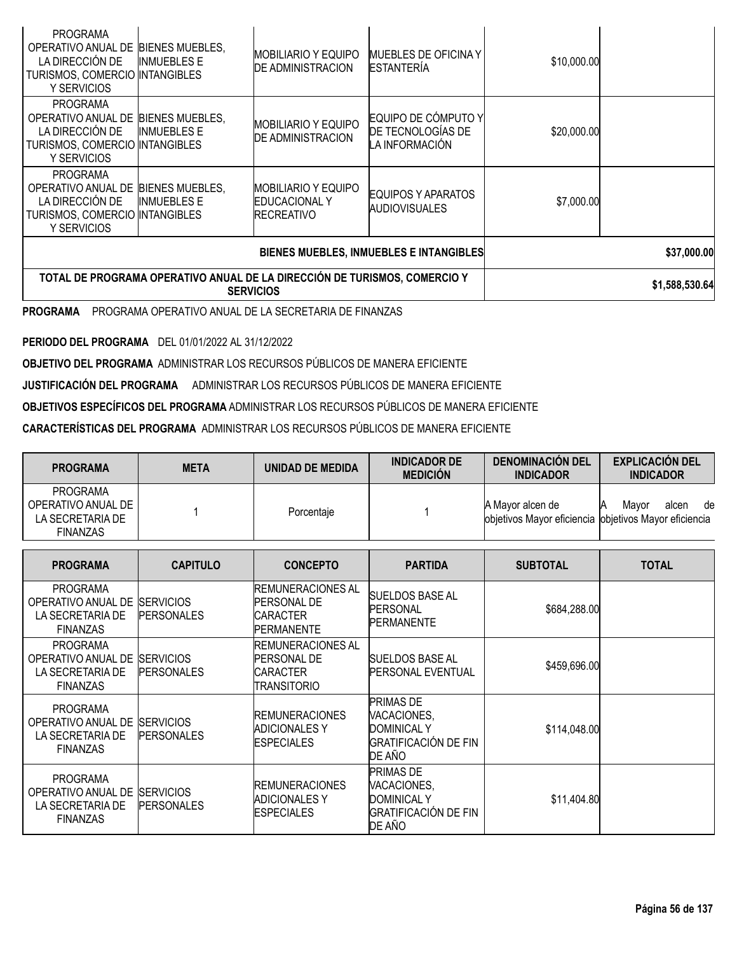| <b>BIENES MUEBLES, INMUEBLES E INTANGIBLES</b><br>TOTAL DE PROGRAMA OPERATIVO ANUAL DE LA DIRECCION DE TURISMOS, COMERCIO Y<br><b>SERVICIOS</b> |                    |                                                                   |                                                            |             | \$1,588,530.64 |
|-------------------------------------------------------------------------------------------------------------------------------------------------|--------------------|-------------------------------------------------------------------|------------------------------------------------------------|-------------|----------------|
|                                                                                                                                                 |                    |                                                                   | \$37,000.00                                                |             |                |
| <b>PROGRAMA</b><br>OPERATIVO ANUAL DE BIENES MUEBLES,<br>LA DIRECCIÓN DE<br>TURISMOS, COMERCIO INTANGIBLES<br>Y SERVICIOS                       | <b>INMUEBLES E</b> | IMOBILIARIO Y EQUIPO<br><b>EDUCACIONAL Y</b><br><b>RECREATIVO</b> | EQUIPOS Y APARATOS<br><b>AUDIOVISUALES</b>                 | \$7,000.00  |                |
| <b>PROGRAMA</b><br>OPERATIVO ANUAL DE BIENES MUEBLES,<br>LA DIRECCIÓN DE<br>TURISMOS, COMERCIO INTANGIBLES<br>Y SERVICIOS                       | <b>INMUEBLES E</b> | <b>MOBILIARIO Y EQUIPO</b><br><b>DE ADMINISTRACION</b>            | EQUIPO DE CÓMPUTO Y<br>DE TECNOLOGÍAS DE<br>LA INFORMACIÓN | \$20,000.00 |                |
| <b>PROGRAMA</b><br>OPERATIVO ANUAL DE BIENES MUEBLES,<br>LA DIRECCIÓN DE<br>TURISMOS, COMERCIO INTANGIBLES<br>Y SERVICIOS                       | <b>INMUEBLES E</b> | <b>MOBILIARIO Y EQUIPO</b><br><b>DE ADMINISTRACION</b>            | MUEBLES DE OFICINA Y<br><b>ESTANTERÍA</b>                  | \$10,000.00 |                |

**PROGRAMA** PROGRAMA OPERATIVO ANUAL DE LA SECRETARIA DE FINANZAS

**PERIODO DEL PROGRAMA** DEL 01/01/2022 AL 31/12/2022

**OBJETIVO DEL PROGRAMA** ADMINISTRAR LOS RECURSOS PÚBLICOS DE MANERA EFICIENTE

**JUSTIFICACIÓN DEL PROGRAMA** ADMINISTRAR LOS RECURSOS PÚBLICOS DE MANERA EFICIENTE

**OBJETIVOS ESPECÍFICOS DEL PROGRAMA** ADMINISTRAR LOS RECURSOS PÚBLICOS DE MANERA EFICIENTE

**CARACTERÍSTICAS DEL PROGRAMA** ADMINISTRAR LOS RECURSOS PÚBLICOS DE MANERA EFICIENTE

| <b>PROGRAMA</b>                                                                        | <b>META</b>                           | <b>UNIDAD DE MEDIDA</b>                                                                | <b>INDICADOR DE</b><br><b>MEDICIÓN</b>                                                         | <b>DENOMINACIÓN DEL</b><br><b>INDICADOR</b>    | <b>EXPLICACIÓN DEL</b><br><b>INDICADOR</b>         |
|----------------------------------------------------------------------------------------|---------------------------------------|----------------------------------------------------------------------------------------|------------------------------------------------------------------------------------------------|------------------------------------------------|----------------------------------------------------|
| <b>PROGRAMA</b><br>OPERATIVO ANUAL DE<br>LA SECRETARIA DE<br><b>FINANZAS</b>           |                                       | Porcentaje                                                                             |                                                                                                | A Mayor alcen de<br>objetivos Mayor eficiencia | Mayor<br>alcen<br>de<br>objetivos Mayor eficiencia |
| <b>PROGRAMA</b>                                                                        | <b>CAPITULO</b>                       | <b>CONCEPTO</b>                                                                        | <b>PARTIDA</b>                                                                                 | <b>SUBTOTAL</b>                                | <b>TOTAL</b>                                       |
| <b>PROGRAMA</b><br>OPERATIVO ANUAL DE<br>LA SECRETARIA DE<br><b>FINANZAS</b>           | <b>SERVICIOS</b><br><b>PERSONALES</b> | <b>REMUNERACIONES AL</b><br><b>PERSONAL DE</b><br><b>CARACTER</b><br><b>PERMANENTE</b> | <b>SUELDOS BASE AL</b><br><b>PERSONAL</b><br><b>PERMANENTE</b>                                 | \$684,288.00                                   |                                                    |
| <b>PROGRAMA</b><br>OPERATIVO ANUAL DE<br>LA SECRETARIA DE<br><b>FINANZAS</b>           | <b>SERVICIOS</b><br><b>PERSONALES</b> | <b>REMUNERACIONES AL</b><br><b>PERSONAL DE</b><br><b>CARACTER</b><br>TRANSITORIO       | <b>SUELDOS BASE AL</b><br><b>PERSONAL EVENTUAL</b>                                             | \$459,696.00                                   |                                                    |
| <b>PROGRAMA</b><br>OPERATIVO ANUAL DE SERVICIOS<br>LA SECRETARIA DE<br><b>FINANZAS</b> | <b>PERSONALES</b>                     | <b>REMUNERACIONES</b><br><b>ADICIONALES Y</b><br><b>ESPECIALES</b>                     | PRIMAS DE<br>VACACIONES,<br><b>DOMINICAL Y</b><br><b>GRATIFICACIÓN DE FIN</b><br>DE AÑO        | \$114,048.00                                   |                                                    |
| <b>PROGRAMA</b><br>OPERATIVO ANUAL DE SERVICIOS<br>LA SECRETARIA DE<br><b>FINANZAS</b> | <b>PERSONALES</b>                     | <b>IREMUNERACIONES</b><br><b>ADICIONALES Y</b><br><b>ESPECIALES</b>                    | <b>PRIMAS DE</b><br>VACACIONES,<br><b>DOMINICAL Y</b><br><b>GRATIFICACIÓN DE FIN</b><br>DE AÑO | \$11,404.80                                    |                                                    |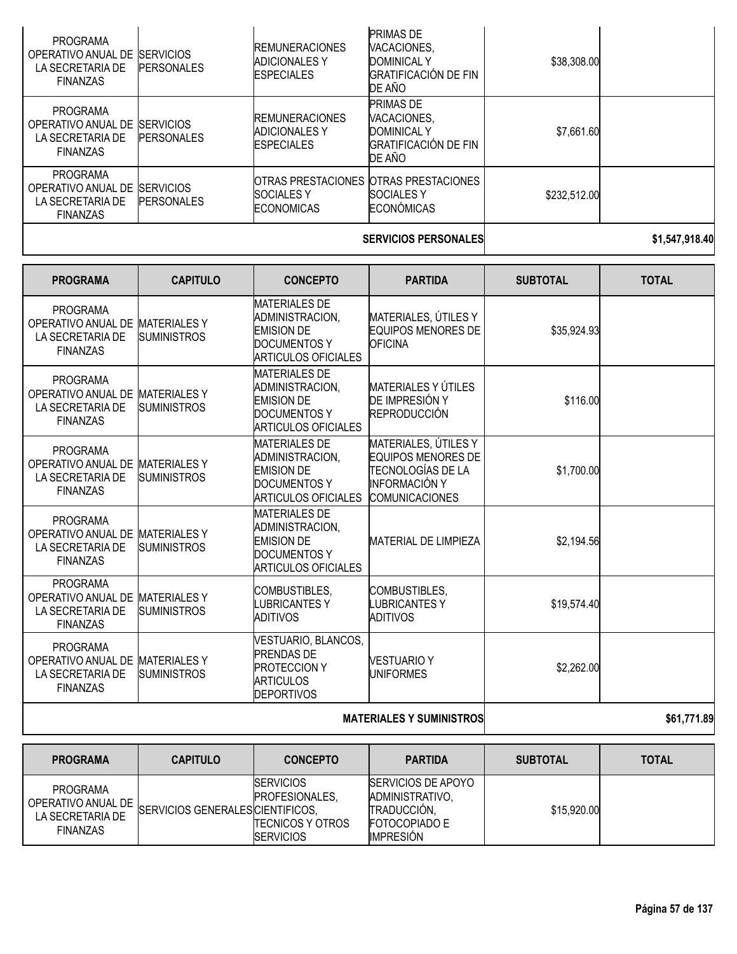| <b>PROGRAMA</b><br>OPERATIVO ANUAL DE<br>LA SECRETARIA DE<br><b>FINANZAS</b> | <b>ISERVICIOS</b><br><b>PERSONALES</b> | <b>REMUNERACIONES</b><br><b>ADICIONALES Y</b><br><b>ESPECIALES</b> | <b>PRIMAS DE</b><br>VACACIONES,<br><b>DOMINICAL Y</b><br><b>GRATIFICACIÓN DE FIN</b><br>DE AÑO | \$38,308.00  |  |
|------------------------------------------------------------------------------|----------------------------------------|--------------------------------------------------------------------|------------------------------------------------------------------------------------------------|--------------|--|
| <b>PROGRAMA</b><br>OPERATIVO ANUAL DE<br>LA SECRETARIA DE<br><b>FINANZAS</b> | <b>SERVICIOS</b><br><b>PERSONALES</b>  | <b>REMUNERACIONES</b><br><b>ADICIONALES Y</b><br><b>ESPECIALES</b> | <b>PRIMAS DE</b><br>VACACIONES.<br><b>DOMINICAL Y</b><br>IGRATIFICACIÓN DE FIN<br>DE AÑO       | \$7,661.60   |  |
| <b>PROGRAMA</b><br>OPERATIVO ANUAL DE<br>LA SECRETARIA DE<br><b>FINANZAS</b> | <b>SERVICIOS</b><br><b>PERSONALES</b>  | <b>SOCIALES Y</b><br><b>ECONOMICAS</b>                             | OTRAS PRESTACIONES OTRAS PRESTACIONES<br><b>SOCIALES Y</b><br><b>ECONÓMICAS</b>                | \$232,512.00 |  |
|                                                                              |                                        |                                                                    |                                                                                                |              |  |

#### **SERVICIOS PERSONALES \$1,547,918.40**

| <b>PROGRAMA</b>                                                                           | <b>CAPITULO</b>                           | <b>CONCEPTO</b>                                                                                                   | <b>PARTIDA</b>                                                                                                   | <b>SUBTOTAL</b> | <b>TOTAL</b> |
|-------------------------------------------------------------------------------------------|-------------------------------------------|-------------------------------------------------------------------------------------------------------------------|------------------------------------------------------------------------------------------------------------------|-----------------|--------------|
| <b>PROGRAMA</b><br>OPERATIVO ANUAL DE<br>LA SECRETARIA DE<br><b>FINANZAS</b>              | <b>MATERIALES Y</b><br><b>SUMINISTROS</b> | <b>MATERIALES DE</b><br>ADMINISTRACION,<br><b>EMISION DE</b><br><b>DOCUMENTOS Y</b><br><b>ARTICULOS OFICIALES</b> | MATERIALES, ÚTILES Y<br><b>EQUIPOS MENORES DE</b><br><b>OFICINA</b>                                              | \$35,924.93     |              |
| <b>PROGRAMA</b><br>OPERATIVO ANUAL DE MATERIALES Y<br>LA SECRETARIA DE<br><b>FINANZAS</b> | <b>SUMINISTROS</b>                        | <b>MATERIALES DE</b><br>ADMINISTRACION,<br><b>EMISION DE</b><br><b>DOCUMENTOS Y</b><br>ARTICULOS OFICIALES        | <b>MATERIALES Y ÚTILES</b><br>DE IMPRESIÓN Y<br><b>REPRODUCCIÓN</b>                                              | \$116.00        |              |
| <b>PROGRAMA</b><br>OPERATIVO ANUAL DE MATERIALES Y<br>LA SECRETARIA DE<br><b>FINANZAS</b> | SUMINISTROS                               | <b>MATERIALES DE</b><br>ADMINISTRACION,<br><b>EMISION DE</b><br><b>DOCUMENTOS Y</b><br><b>ARTICULOS OFICIALES</b> | MATERIALES, ÚTILES Y<br>EQUIPOS MENORES DE<br>TECNOLOGÍAS DE LA<br><b>INFORMACIÓN Y</b><br><b>COMUNICACIONES</b> | \$1,700.00      |              |
| <b>PROGRAMA</b><br>OPERATIVO ANUAL DE<br>LA SECRETARIA DE<br><b>FINANZAS</b>              | <b>MATERIALESY</b><br><b>SUMINISTROS</b>  | <b>MATERIALES DE</b><br>ADMINISTRACION,<br><b>EMISION DE</b><br>DOCUMENTOS Y<br>ARTICULOS OFICIALES               | <b>MATERIAL DE LIMPIEZA</b>                                                                                      | \$2,194.56      |              |
| <b>PROGRAMA</b><br>OPERATIVO ANUAL DE<br>LA SECRETARIA DE<br><b>FINANZAS</b>              | <b>MATERIALES Y</b><br><b>SUMINISTROS</b> | COMBUSTIBLES,<br><b>LUBRICANTES Y</b><br><b>ADITIVOS</b>                                                          | <b>COMBUSTIBLES,</b><br><b>LUBRICANTESY</b><br><b>ADITIVOS</b>                                                   | \$19,574.40     |              |
| <b>PROGRAMA</b><br>OPERATIVO ANUAL DE<br>LA SECRETARIA DE<br><b>FINANZAS</b>              | <b>MATERIALES Y</b><br><b>SUMINISTROS</b> | VESTUARIO, BLANCOS,<br><b>PRENDAS DE</b><br><b>PROTECCION Y</b><br><b>ARTICULOS</b><br><b>DEPORTIVOS</b>          | <b>VESTUARIO Y</b><br><b>UNIFORMES</b>                                                                           | \$2,262.00      |              |
|                                                                                           |                                           | <b>MATERIALES Y SUMINISTROS</b>                                                                                   | \$61,771.89                                                                                                      |                 |              |

| <b>PROGRAMA</b>                                                              | <b>CAPITULO</b>                  | <b>CONCEPTO</b>                                                                   | <b>PARTIDA</b>                                                                                           | <b>SUBTOTAL</b> | <b>TOTAL</b> |
|------------------------------------------------------------------------------|----------------------------------|-----------------------------------------------------------------------------------|----------------------------------------------------------------------------------------------------------|-----------------|--------------|
| <b>PROGRAMA</b><br>OPERATIVO ANUAL DE<br>LA SECRETARIA DE<br><b>FINANZAS</b> | SERVICIOS GENERALES CIENTIFICOS, | <b>SERVICIOS</b><br>PROFESIONALES.<br><b>TECNICOS Y OTROS</b><br><b>SERVICIOS</b> | <b>ISERVICIOS DE APOYO</b><br>ADMINISTRATIVO.<br>TRADUCCIÓN,<br><b>FOTOCOPIADO E</b><br><b>IMPRESIÓN</b> | \$15,920.00     |              |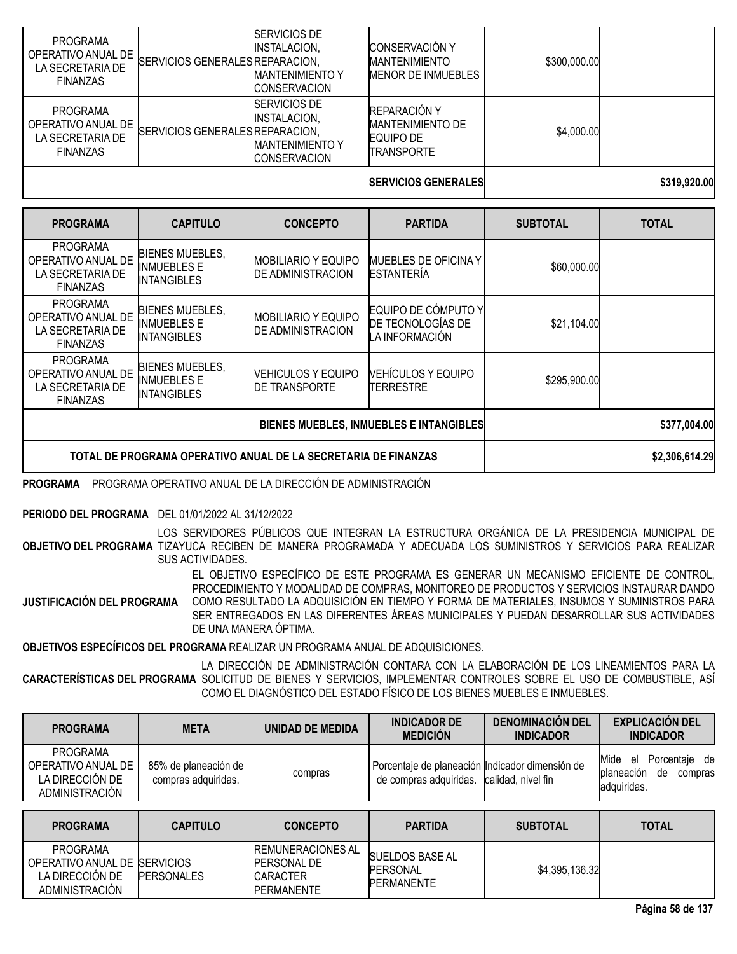| <b>PROGRAMA</b><br>OPERATIVO ANUAL DE<br>LA SECRETARIA DE<br><b>FINANZAS</b> | SERVICIOS GENERALES REPARACION. | <b>SERVICIOS DE</b><br>INSTALACION.<br><b>MANTENIMIENTO Y</b><br><b>ICONSERVACION</b> | <b>CONSERVACIÓN Y</b><br><b>MANTENIMIENTO</b><br>MENOR DE INMUEBLES | \$300,000.00 |              |
|------------------------------------------------------------------------------|---------------------------------|---------------------------------------------------------------------------------------|---------------------------------------------------------------------|--------------|--------------|
| PROGRAMA<br>OPERATIVO ANUAL DE<br>LA SECRETARIA DE<br><b>FINANZAS</b>        | SERVICIOS GENERALES REPARACION, | <b>ISERVICIOS DE</b><br>INSTALACION.<br><b>MANTENIMIENTO Y</b><br><b>CONSERVACION</b> | REPARACIÓN Y<br><b>MANTENIMIENTO DE</b><br>EQUIPO DE<br>TRANSPORTE  | \$4,000.00   |              |
|                                                                              |                                 |                                                                                       | <b>SERVICIOS GENERALES</b>                                          |              | \$319,920,00 |

| <b>PROGRAMA</b>                                                              | <b>CAPITULO</b>                                                    | <b>CONCEPTO</b>                                        | <b>PARTIDA</b>                                             | <b>SUBTOTAL</b> | <b>TOTAL</b>   |
|------------------------------------------------------------------------------|--------------------------------------------------------------------|--------------------------------------------------------|------------------------------------------------------------|-----------------|----------------|
| <b>PROGRAMA</b><br>OPERATIVO ANUAL DE<br>LA SECRETARIA DE<br><b>FINANZAS</b> | <b>BIENES MUEBLES,</b><br>INMUEBLES E<br><b>INTANGIBLES</b>        | <b>MOBILIARIO Y EQUIPO</b><br><b>DE ADMINISTRACION</b> | <b>IMUEBLES DE OFICINA Y</b><br><b>ESTANTERIA</b>          | \$60,000.00     |                |
| <b>PROGRAMA</b><br>OPERATIVO ANUAL DE<br>LA SECRETARIA DE<br><b>FINANZAS</b> | <b>BIENES MUEBLES,</b><br><b>INMUEBLES E</b><br><b>INTANGIBLES</b> | <b>MOBILIARIO Y EQUIPO</b><br><b>DE ADMINISTRACION</b> | EQUIPO DE CÓMPUTO Y<br>DE TECNOLOGÍAS DE<br>LA INFORMACIÓN | \$21,104.00     |                |
| <b>PROGRAMA</b><br>OPERATIVO ANUAL DE<br>LA SECRETARIA DE<br><b>FINANZAS</b> | <b>BIENES MUEBLES,</b><br><b>INMUEBLES E</b><br><b>INTANGIBLES</b> | NEHICULOS Y EQUIPO<br><b>DE TRANSPORTE</b>             | <b>VEHÍCULOS Y EQUIPO</b><br>TERRESTRE                     | \$295,900.00    |                |
|                                                                              |                                                                    |                                                        | \$377,004.00                                               |                 |                |
|                                                                              | TOTAL DE PROGRAMA OPERATIVO ANUAL DE LA SECRETARIA DE FINANZAS     |                                                        |                                                            |                 | \$2,306,614.29 |

#### **PROGRAMA** PROGRAMA OPERATIVO ANUAL DE LA DIRECCIÓN DE ADMINISTRACIÓN

#### **PERIODO DEL PROGRAMA** DEL 01/01/2022 AL 31/12/2022

**OBJETIVO DEL PROGRAMA** TIZAYUCA RECIBEN DE MANERA PROGRAMADA Y ADECUADA LOS SUMINISTROS Y SERVICIOS PARA REALIZAR LOS SERVIDORES PÚBLICOS QUE INTEGRAN LA ESTRUCTURA ORGÁNICA DE LA PRESIDENCIA MUNICIPAL DE SUS ACTIVIDADES.

**JUSTIFICACIÓN DEL PROGRAMA** EL OBJETIVO ESPECÍFICO DE ESTE PROGRAMA ES GENERAR UN MECANISMO EFICIENTE DE CONTROL, PROCEDIMIENTO Y MODALIDAD DE COMPRAS, MONITOREO DE PRODUCTOS Y SERVICIOS INSTAURAR DANDO COMO RESULTADO LA ADQUISICIÓN EN TIEMPO Y FORMA DE MATERIALES, INSUMOS Y SUMINISTROS PARA SER ENTREGADOS EN LAS DIFERENTES ÁREAS MUNICIPALES Y PUEDAN DESARROLLAR SUS ACTIVIDADES DE UNA MANERA ÓPTIMA.

**OBJETIVOS ESPECÍFICOS DEL PROGRAMA** REALIZAR UN PROGRAMA ANUAL DE ADQUISICIONES.

**CARACTERÍSTICAS DEL PROGRAMA** SOLICITUD DE BIENES Y SERVICIOS, IMPLEMENTAR CONTROLES SOBRE EL USO DE COMBUSTIBLE, ASÍ LA DIRECCIÓN DE ADMINISTRACIÓN CONTARA CON LA ELABORACIÓN DE LOS LINEAMIENTOS PARA LA COMO EL DIAGNÓSTICO DEL ESTADO FÍSICO DE LOS BIENES MUEBLES E INMUEBLES.

| <b>PROGRAMA</b>                                                     | <b>META</b>                                 | UNIDAD DE MEDIDA | <b>INDICADOR DE</b><br><b>MEDICIÓN</b>                                                       | <b>DENOMINACIÓN DEL</b><br><b>INDICADOR</b> | <b>EXPLICACIÓN DEL</b><br><b>INDICADOR</b>                              |
|---------------------------------------------------------------------|---------------------------------------------|------------------|----------------------------------------------------------------------------------------------|---------------------------------------------|-------------------------------------------------------------------------|
| PROGRAMA<br>OPERATIVO ANUAL DE<br>LA DIRECCIÓN DE<br>ADMINISTRACIÓN | 85% de planeación de<br>compras adquiridas. | compras          | Porcentaje de planeación Indicador dimensión de<br>de compras adquiridas. calidad, nivel fin |                                             | Mide el<br>Porcentaie de<br>planeación<br>de<br>compras<br>ladquiridas. |

| <b>PROGRAMA</b>                                                                       | <b>CAPITULO</b>   | <b>CONCEPTO</b>                                                                        | <b>PARTIDA</b>                                                 | <b>SUBTOTAL</b> | <b>TOTAL</b> |
|---------------------------------------------------------------------------------------|-------------------|----------------------------------------------------------------------------------------|----------------------------------------------------------------|-----------------|--------------|
| <b>PROGRAMA</b><br>OPERATIVO ANUAL DE ISERVICIOS<br>LA DIRECCION DE<br>ADMINISTRACIÓN | <b>PERSONALES</b> | <b>REMUNERACIONES AL</b><br><b>PERSONAL DE</b><br><b>CARACTER</b><br><b>PERMANENTE</b> | <b>SUELDOS BASE AL</b><br><b>PERSONAL</b><br><b>PERMANENTE</b> | \$4,395,136.32  |              |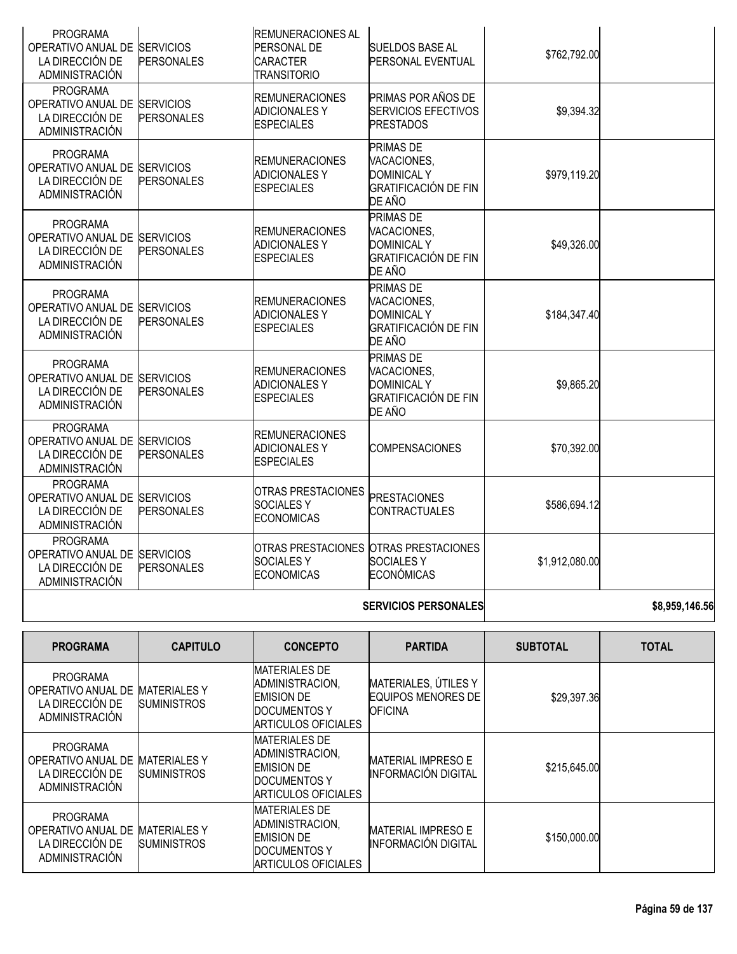| <b>PROGRAMA</b><br>OPERATIVO ANUAL DE SERVICIOS<br>LA DIRECCIÓN DE<br>ADMINISTRACIÓN        | <b>PERSONALES</b> | <b>REMUNERACIONES AL</b><br>PERSONAL DE<br><b>CARACTER</b><br><b>TRANSITORIO</b> | <b>SUELDOS BASE AL</b><br>PERSONAL EVENTUAL                                                    | \$762,792.00   |  |
|---------------------------------------------------------------------------------------------|-------------------|----------------------------------------------------------------------------------|------------------------------------------------------------------------------------------------|----------------|--|
| <b>PROGRAMA</b><br>OPERATIVO ANUAL DE SERVICIOS<br>LA DIRECCIÓN DE<br><b>ADMINISTRACIÓN</b> | <b>PERSONALES</b> | <b>REMUNERACIONES</b><br><b>ADICIONALES Y</b><br><b>ESPECIALES</b>               | PRIMAS POR AÑOS DE<br><b>SERVICIOS EFECTIVOS</b><br><b>PRESTADOS</b>                           | \$9,394.32     |  |
| <b>PROGRAMA</b><br>OPERATIVO ANUAL DE SERVICIOS<br>LA DIRECCIÓN DE<br><b>ADMINISTRACIÓN</b> | <b>PERSONALES</b> | <b>REMUNERACIONES</b><br><b>ADICIONALES Y</b><br><b>ESPECIALES</b>               | PRIMAS DE<br>VACACIONES,<br><b>DOMINICAL Y</b><br><b>GRATIFICACIÓN DE FIN</b><br>DE AÑO        | \$979,119.20   |  |
| <b>PROGRAMA</b><br>OPERATIVO ANUAL DE SERVICIOS<br>LA DIRECCIÓN DE<br><b>ADMINISTRACIÓN</b> | <b>PERSONALES</b> | <b>REMUNERACIONES</b><br><b>ADICIONALES Y</b><br><b>ESPECIALES</b>               | <b>PRIMAS DE</b><br>VACACIONES,<br><b>DOMINICAL Y</b><br><b>GRATIFICACIÓN DE FIN</b><br>DE AÑO | \$49,326.00    |  |
| <b>PROGRAMA</b><br>OPERATIVO ANUAL DE SERVICIOS<br>LA DIRECCIÓN DE<br>ADMINISTRACIÓN        | <b>PERSONALES</b> | <b>REMUNERACIONES</b><br><b>ADICIONALES Y</b><br><b>ESPECIALES</b>               | PRIMAS DE<br>VACACIONES,<br><b>DOMINICAL Y</b><br>GRATIFICACIÓN DE FIN<br>DE AÑO               | \$184,347.40   |  |
| <b>PROGRAMA</b><br>OPERATIVO ANUAL DE SERVICIOS<br>LA DIRECCIÓN DE<br><b>ADMINISTRACIÓN</b> | <b>PERSONALES</b> | <b>REMUNERACIONES</b><br><b>ADICIONALES Y</b><br><b>ESPECIALES</b>               | PRIMAS DE<br>VACACIONES,<br><b>DOMINICAL Y</b><br><b>GRATIFICACIÓN DE FIN</b><br>DE AÑO        | \$9,865.20     |  |
| PROGRAMA<br>OPERATIVO ANUAL DE SERVICIOS<br>LA DIRECCIÓN DE<br>ADMINISTRACIÓN               | <b>PERSONALES</b> | <b>REMUNERACIONES</b><br><b>ADICIONALES Y</b><br><b>ESPECIALES</b>               | <b>COMPENSACIONES</b>                                                                          | \$70,392.00    |  |
| <b>PROGRAMA</b><br>OPERATIVO ANUAL DE SERVICIOS<br>LA DIRECCIÓN DE<br><b>ADMINISTRACIÓN</b> | <b>PERSONALES</b> | OTRAS PRESTACIONES<br><b>SOCIALESY</b><br><b>ECONOMICAS</b>                      | <b>PRESTACIONES</b><br><b>CONTRACTUALES</b>                                                    | \$586,694.12   |  |
| <b>PROGRAMA</b><br>OPERATIVO ANUAL DE SERVICIOS<br>LA DIRECCIÓN DE<br>ADMINISTRACIÓN        | <b>PERSONALES</b> | <b>SOCIALESY</b><br><b>ECONOMICAS</b>                                            | OTRAS PRESTACIONES OTRAS PRESTACIONES<br><b>SOCIALESY</b><br><b>ECONÓMICAS</b>                 | \$1,912,080.00 |  |
|                                                                                             |                   |                                                                                  | $\bullet \bullet \bullet \bullet \bullet$                                                      |                |  |

#### **SERVICIOS PERSONALES \$8,959,146.56**

| <b>PROGRAMA</b>                                                                   | <b>CAPITULO</b>                           | <b>CONCEPTO</b>                                                                                            | <b>PARTIDA</b>                                                      | <b>SUBTOTAL</b> | <b>TOTAL</b> |
|-----------------------------------------------------------------------------------|-------------------------------------------|------------------------------------------------------------------------------------------------------------|---------------------------------------------------------------------|-----------------|--------------|
| <b>PROGRAMA</b><br>OPERATIVO ANUAL DE<br>LA DIRECCIÓN DE<br>ADMINISTRACIÓN        | <b>MATERIALES Y</b><br><b>SUMINISTROS</b> | <b>MATERIALES DE</b><br>ADMINISTRACION.<br><b>EMISION DE</b><br>DOCUMENTOS Y<br><b>ARTICULOS OFICIALES</b> | MATERIALES, ÚTILES Y<br><b>EQUIPOS MENORES DE</b><br><b>OFICINA</b> | \$29,397.36     |              |
| <b>PROGRAMA</b><br>OPERATIVO ANUAL DE<br>LA DIRECCIÓN DE<br>ADMINISTRACIÓN        | <b>MATERIALES Y</b><br><b>SUMINISTROS</b> | <b>MATERIALES DE</b><br>ADMINISTRACION,<br><b>EMISION DE</b><br>DOCUMENTOS Y<br><b>ARTICULOS OFICIALES</b> | <b>MATERIAL IMPRESO E</b><br><b>INFORMACIÓN DIGITAL</b>             | \$215,645.00    |              |
| <b>PROGRAMA</b><br>OPERATIVO ANUAL DE<br>LA DIRECCIÓN DE<br><b>ADMINISTRACIÓN</b> | <b>MATERIALES Y</b><br><b>SUMINISTROS</b> | <b>MATERIALES DE</b><br>ADMINISTRACION,<br><b>EMISION DE</b><br>DOCUMENTOS Y<br><b>ARTICULOS OFICIALES</b> | <b>MATERIAL IMPRESO E</b><br>INFORMACIÓN DIGITAL                    | \$150,000.00    |              |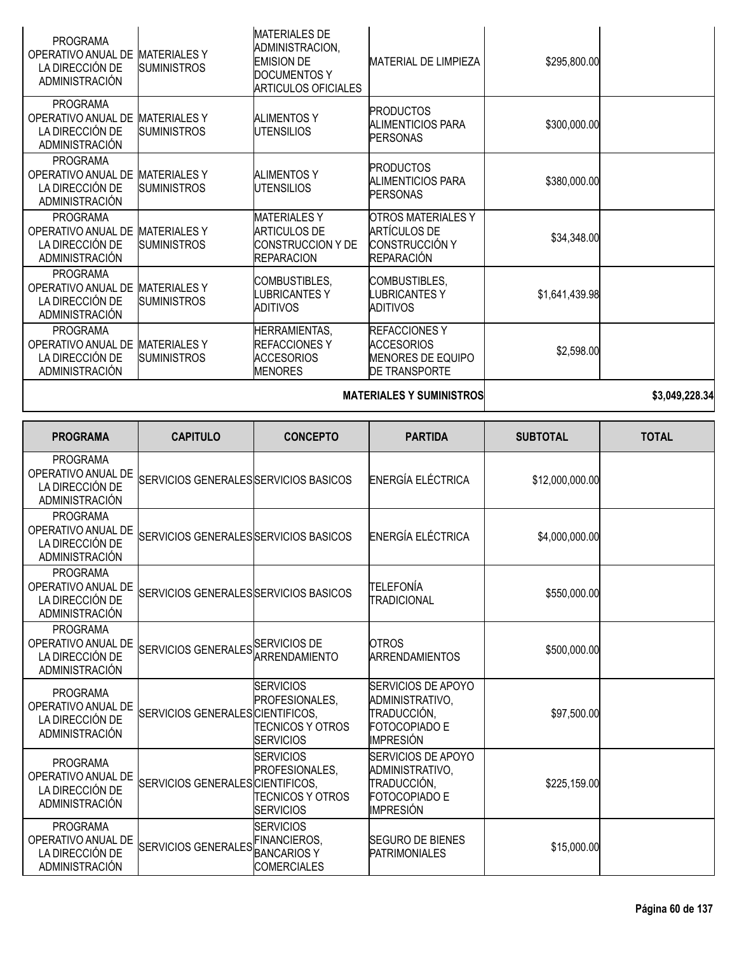| <b>PROGRAMA</b><br>OPERATIVO ANUAL DE<br>LA DIRECCIÓN DE<br><b>ADMINISTRACIÓN</b> | <b>MATERIALESY</b><br><b>SUMINISTROS</b>  | <b>MATERIALES DE</b><br>ADMINISTRACION,<br><b>EMISION DE</b><br><b>DOCUMENTOS Y</b><br><b>ARTICULOS OFICIALES</b> | <b>MATERIAL DE LIMPIEZA</b>                                                                    | \$295,800.00   |  |
|-----------------------------------------------------------------------------------|-------------------------------------------|-------------------------------------------------------------------------------------------------------------------|------------------------------------------------------------------------------------------------|----------------|--|
| <b>PROGRAMA</b><br>OPERATIVO ANUAL DE<br>LA DIRECCIÓN DE<br><b>ADMINISTRACIÓN</b> | <b>MATERIALES Y</b><br><b>SUMINISTROS</b> | <b>ALIMENTOS Y</b><br>UTENSILIOS                                                                                  | <b>PRODUCTOS</b><br><b>ALIMENTICIOS PARA</b><br><b>PERSONAS</b>                                | \$300,000.00   |  |
| <b>PROGRAMA</b><br>OPERATIVO ANUAL DE<br>LA DIRECCIÓN DE<br><b>ADMINISTRACIÓN</b> | <b>MATERIALESY</b><br><b>SUMINISTROS</b>  | <b>ALIMENTOS Y</b><br>UTENSILIOS                                                                                  | <b>PRODUCTOS</b><br><b>ALIMENTICIOS PARA</b><br><b>PERSONAS</b>                                | \$380,000.00   |  |
| <b>PROGRAMA</b><br>OPERATIVO ANUAL DE<br>LA DIRECCIÓN DE<br><b>ADMINISTRACIÓN</b> | <b>MATERIALES Y</b><br><b>SUMINISTROS</b> | <b>MATERIALESY</b><br><b>ARTICULOS DE</b><br><b>CONSTRUCCION Y DE</b><br><b>REPARACION</b>                        | <b>OTROS MATERIALES Y</b><br><b>ARTÍCULOS DE</b><br><b>CONSTRUCCIÓN Y</b><br><b>REPARACIÓN</b> | \$34,348.00    |  |
| <b>PROGRAMA</b><br>OPERATIVO ANUAL DE<br>LA DIRECCIÓN DE<br><b>ADMINISTRACIÓN</b> | <b>MATERIALESY</b><br><b>SUMINISTROS</b>  | COMBUSTIBLES,<br>LUBRICANTES Y<br><b>ADITIVOS</b>                                                                 | COMBUSTIBLES,<br>LUBRICANTES Y<br><b>ADITIVOS</b>                                              | \$1,641,439.98 |  |
| <b>PROGRAMA</b><br>OPERATIVO ANUAL DE<br>LA DIRECCIÓN DE<br><b>ADMINISTRACIÓN</b> | <b>MATERIALESY</b><br><b>SUMINISTROS</b>  | <b>HERRAMIENTAS,</b><br><b>REFACCIONESY</b><br><b>ACCESORIOS</b><br><b>MENORES</b>                                | <b>REFACCIONESY</b><br><b>ACCESORIOS</b><br><b>MENORES DE EQUIPO</b><br><b>DE TRANSPORTE</b>   | \$2,598.00     |  |
|                                                                                   |                                           | <b>MATERIALES Y SUMINISTROS</b>                                                                                   | \$3,049,228.34                                                                                 |                |  |

| <b>PROGRAMA</b>                                                                   | <b>CAPITULO</b>                                   | <b>CONCEPTO</b>                                                                   | <b>PARTIDA</b>                                                                                   | <b>SUBTOTAL</b> | <b>TOTAL</b> |
|-----------------------------------------------------------------------------------|---------------------------------------------------|-----------------------------------------------------------------------------------|--------------------------------------------------------------------------------------------------|-----------------|--------------|
| <b>PROGRAMA</b><br>OPERATIVO ANUAL DE<br>LA DIRECCIÓN DE<br>ADMINISTRACIÓN        | SERVICIOS GENERALES SERVICIOS BASICOS             |                                                                                   | ENERGÍA ELÉCTRICA                                                                                | \$12,000,000.00 |              |
| <b>PROGRAMA</b><br>OPERATIVO ANUAL DE<br>LA DIRECCIÓN DE<br>ADMINISTRACIÓN        | SERVICIOS GENERALES SERVICIOS BASICOS             |                                                                                   | ENERGÍA ELÉCTRICA                                                                                | \$4,000,000.00  |              |
| <b>PROGRAMA</b><br>OPERATIVO ANUAL DE<br>LA DIRECCIÓN DE<br>ADMINISTRACIÓN        | SERVICIOS GENERALES SERVICIOS BASICOS             |                                                                                   | ITELEFONÍA<br><b>TRADICIONAL</b>                                                                 | \$550,000.00    |              |
| <b>PROGRAMA</b><br>OPERATIVO ANUAL DE<br>LA DIRECCIÓN DE<br><b>ADMINISTRACIÓN</b> | SERVICIOS GENERALES SERVICIOS DE<br>ARRENDAMIENTO |                                                                                   | <b>OTROS</b><br><b>ARRENDAMIENTOS</b>                                                            | \$500,000.00    |              |
| <b>PROGRAMA</b><br>OPERATIVO ANUAL DE<br>LA DIRECCIÓN DE<br><b>ADMINISTRACIÓN</b> | SERVICIOS GENERALES CIENTIFICOS,                  | <b>SERVICIOS</b><br>PROFESIONALES,<br>TECNICOS Y OTROS<br><b>SERVICIOS</b>        | SERVICIOS DE APOYO<br>ADMINISTRATIVO,<br>TRADUCCIÓN,<br><b>FOTOCOPIADO E</b><br>IMPRESIÓN        | \$97,500.00     |              |
| <b>PROGRAMA</b><br>OPERATIVO ANUAL DE<br>LA DIRECCIÓN DE<br>ADMINISTRACIÓN        | SERVICIOS GENERALES CIENTIFICOS,                  | <b>SERVICIOS</b><br>PROFESIONALES,<br><b>TECNICOS Y OTROS</b><br><b>SERVICIOS</b> | SERVICIOS DE APOYO<br>ADMINISTRATIVO,<br>TRADUCCIÓN,<br><b>FOTOCOPIADO E</b><br><b>IMPRESIÓN</b> | \$225,159.00    |              |
| <b>PROGRAMA</b><br>OPERATIVO ANUAL DE<br>LA DIRECCIÓN DE<br>ADMINISTRACIÓN        | SERVICIOS GENERALES FINANCIEROS,                  | <b>SERVICIOS</b><br><b>BANCARIOSY</b><br><b>COMERCIALES</b>                       | <b>SEGURO DE BIENES</b><br><b>PATRIMONIALES</b>                                                  | \$15,000.00     |              |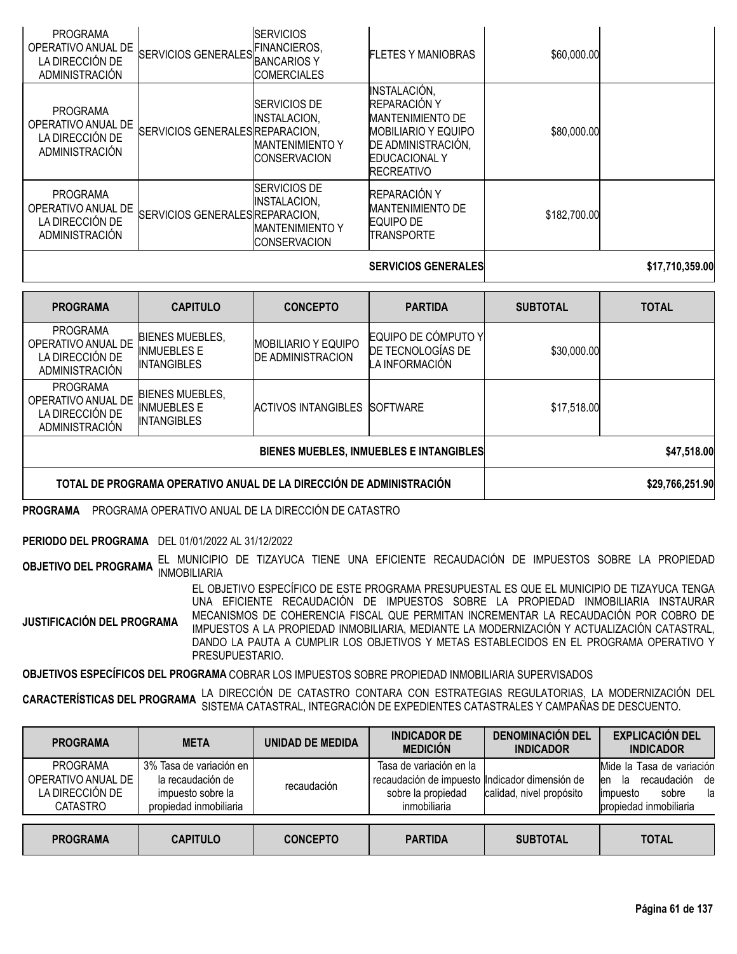| <b>PROGRAMA</b><br>OPERATIVO ANUAL DE<br>LA DIRECCIÓN DE<br>ADMINISTRACIÓN        | SERVICIOS GENERALES FINANCIEROS, | <b>SERVICIOS</b><br><b>ICOMERCIALES</b>                                                     | <b>FLETES Y MANIOBRAS</b>                                                                                                                                | \$60,000.00  |                 |
|-----------------------------------------------------------------------------------|----------------------------------|---------------------------------------------------------------------------------------------|----------------------------------------------------------------------------------------------------------------------------------------------------------|--------------|-----------------|
| <b>PROGRAMA</b><br>OPERATIVO ANUAL DE<br>LA DIRECCIÓN DE<br><b>ADMINISTRACIÓN</b> | SERVICIOS GENERALES REPARACION,  | <b>SERVICIOS DE</b><br><b>INSTALACION,</b><br><b>MANTENIMIENTO Y</b><br><b>CONSERVACION</b> | INSTALACIÓN,<br>REPARACIÓN Y<br><b>MANTENIMIENTO DE</b><br><b>MOBILIARIO Y EQUIPO</b><br>DE ADMINISTRACIÓN,<br><b>EDUCACIONAL Y</b><br><b>RECREATIVO</b> | \$80,000.00  |                 |
| <b>PROGRAMA</b><br>OPERATIVO ANUAL DE<br>LA DIRECCIÓN DE<br><b>ADMINISTRACIÓN</b> | SERVICIOS GENERALES REPARACION,  | <b>SERVICIOS DE</b><br>INSTALACION,<br><b>MANTENIMIENTO Y</b><br><b>CONSERVACION</b>        | REPARACIÓN Y<br><b>MANTENIMIENTO DE</b><br>EQUIPO DE<br><b>TRANSPORTE</b>                                                                                | \$182,700.00 |                 |
|                                                                                   |                                  |                                                                                             | <b>SERVICIOS GENERALES</b>                                                                                                                               |              | \$17,710,359.00 |

| <b>PROGRAMA</b>                                                                   | <b>CAPITULO</b>                                                    | <b>CONCEPTO</b>                                                     | <b>PARTIDA</b>                                             | <b>SUBTOTAL</b> | <b>TOTAL</b>    |
|-----------------------------------------------------------------------------------|--------------------------------------------------------------------|---------------------------------------------------------------------|------------------------------------------------------------|-----------------|-----------------|
| <b>PROGRAMA</b><br>OPERATIVO ANUAL DE<br>LA DIRECCIÓN DE<br><b>ADMINISTRACIÓN</b> | <b>BIENES MUEBLES,</b><br><b>INMUEBLES E</b><br><b>INTANGIBLES</b> | <b>MOBILIARIO Y EQUIPO</b><br><b>DE ADMINISTRACION</b>              | EQUIPO DE CÓMPUTO Y<br>DE TECNOLOGÍAS DE<br>LA INFORMACIÓN | \$30,000.00     |                 |
| <b>PROGRAMA</b><br>OPERATIVO ANUAL DE<br>LA DIRECCIÓN DE<br><b>ADMINISTRACIÓN</b> | <b>BIENES MUEBLES,</b><br><b>INMUEBLES E</b><br><b>INTANGIBLES</b> | ACTIVOS INTANGIBLES                                                 | SOFTWARE                                                   | \$17,518.00     |                 |
|                                                                                   |                                                                    | BIENES MUEBLES, INMUEBLES E INTANGIBLES                             | \$47,518.00                                                |                 |                 |
|                                                                                   |                                                                    | TOTAL DE PROGRAMA OPERATIVO ANUAL DE LA DIRECCIÓN DE ADMINISTRACIÓN |                                                            |                 | \$29,766,251.90 |

**PROGRAMA** PROGRAMA OPERATIVO ANUAL DE LA DIRECCIÓN DE CATASTRO

**PERIODO DEL PROGRAMA** DEL 01/01/2022 AL 31/12/2022

**OBJETIVO DEL PROGRAMA** EL MUNICIPIO DE TIZAYUCA TIENE UNA EFICIENTE RECAUDACIÓN DE IMPUESTOS SOBRE LA PROPIEDAD INMOBILIARIA

**JUSTIFICACIÓN DEL PROGRAMA** EL OBJETIVO ESPECÍFICO DE ESTE PROGRAMA PRESUPUESTAL ES QUE EL MUNICIPIO DE TIZAYUCA TENGA UNA EFICIENTE RECAUDACIÓN DE IMPUESTOS SOBRE LA PROPIEDAD INMOBILIARIA INSTAURAR MECANISMOS DE COHERENCIA FISCAL QUE PERMITAN INCREMENTAR LA RECAUDACIÓN POR COBRO DE IMPUESTOS A LA PROPIEDAD INMOBILIARIA, MEDIANTE LA MODERNIZACIÓN Y ACTUALIZACIÓN CATASTRAL, DANDO LA PAUTA A CUMPLIR LOS OBJETIVOS Y METAS ESTABLECIDOS EN EL PROGRAMA OPERATIVO Y PRESUPUESTARIO.

**OBJETIVOS ESPECÍFICOS DEL PROGRAMA** COBRAR LOS IMPUESTOS SOBRE PROPIEDAD INMOBILIARIA SUPERVISADOS

**CARACTERÍSTICAS DEL PROGRAMA** LA DIRECCIÓN DE CATASTRO CONTARA CON ESTRATEGIAS REGULATORIAS, LA MODERNIZACIÓN DEL<br>CARACTERÍSTICAS DEL PROGRAMA SISTEMA CATASTRAL, INTEGRACIÓN DE EXPEDIENTES CATASTRALES Y CAMPAÑAS DE DESCUE

| <b>PROGRAMA</b>                                                             | <b>META</b>                                                                                 | UNIDAD DE MEDIDA | <b>INDICADOR DE</b><br><b>MEDICIÓN</b>                                                                          | <b>DENOMINACIÓN DEL</b><br><b>INDICADOR</b> | <b>EXPLICACIÓN DEL</b><br><b>INDICADOR</b>                                                                         |
|-----------------------------------------------------------------------------|---------------------------------------------------------------------------------------------|------------------|-----------------------------------------------------------------------------------------------------------------|---------------------------------------------|--------------------------------------------------------------------------------------------------------------------|
| <b>PROGRAMA</b><br>OPERATIVO ANUAL DE<br>LA DIRECCIÓN DE<br><b>CATASTRO</b> | 3% Tasa de variación en<br>la recaudación de<br>impuesto sobre la<br>propiedad inmobiliaria | recaudación      | Tasa de variación en la<br>recaudación de impuesto Indicador dimensión de<br>sobre la propiedad<br>inmobiliaria | calidad, nivel propósito                    | Mide la Tasa de variación<br>recaudación<br>de<br>la.<br>len<br>sobre<br>la<br>limpuesto<br>propiedad inmobiliaria |
| <b>PROGRAMA</b>                                                             | <b>CAPITULO</b>                                                                             | <b>CONCEPTO</b>  | <b>PARTIDA</b>                                                                                                  | <b>SUBTOTAL</b>                             | <b>TOTAL</b>                                                                                                       |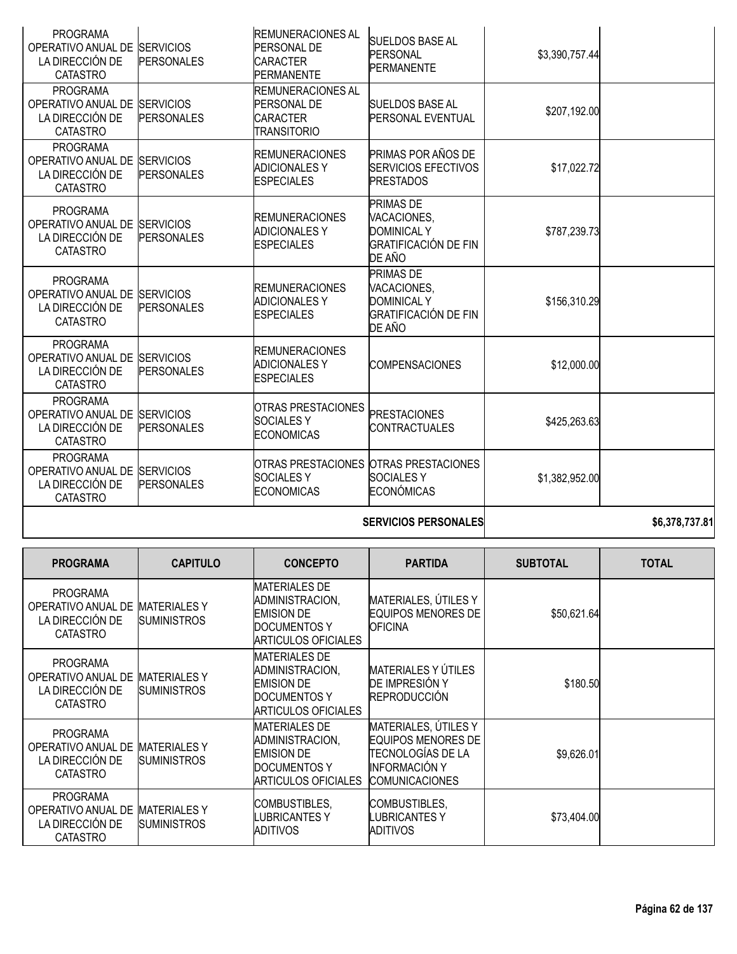| <b>PROGRAMA</b><br>OPERATIVO ANUAL DE<br>LA DIRECCIÓN DE<br><b>CATASTRO</b>              | <b>SERVICIOS</b><br><b>PERSONALES</b>     | <b>REMUNERACIONES AL</b><br>PERSONAL DE<br><b>CARACTER</b><br>PERMANENTE                                          | <b>SUELDOS BASE AL</b><br><b>PERSONAL</b><br><b>PERMANENTE</b>                                 | \$3,390,757.44  |                |
|------------------------------------------------------------------------------------------|-------------------------------------------|-------------------------------------------------------------------------------------------------------------------|------------------------------------------------------------------------------------------------|-----------------|----------------|
| <b>PROGRAMA</b><br>OPERATIVO ANUAL DE<br>LA DIRECCIÓN DE<br><b>CATASTRO</b>              | <b>SERVICIOS</b><br><b>PERSONALES</b>     | <b>REMUNERACIONES AL</b><br>PERSONAL DE<br><b>CARACTER</b><br><b>TRANSITORIO</b>                                  | <b>SUELDOS BASE AL</b><br><b>PERSONAL EVENTUAL</b>                                             | \$207,192.00    |                |
| <b>PROGRAMA</b><br>OPERATIVO ANUAL DE SERVICIOS<br>LA DIRECCIÓN DE<br><b>CATASTRO</b>    | <b>PERSONALES</b>                         | <b>REMUNERACIONES</b><br><b>ADICIONALES Y</b><br><b>ESPECIALES</b>                                                | PRIMAS POR AÑOS DE<br><b>SERVICIOS EFECTIVOS</b><br><b>PRESTADOS</b>                           | \$17,022.72     |                |
| <b>PROGRAMA</b><br>OPERATIVO ANUAL DE SERVICIOS<br>LA DIRECCIÓN DE<br><b>CATASTRO</b>    | <b>PERSONALES</b>                         | <b>REMUNERACIONES</b><br><b>ADICIONALES Y</b><br><b>ESPECIALES</b>                                                | <b>PRIMAS DE</b><br>VACACIONES,<br><b>DOMINICAL Y</b><br><b>GRATIFICACIÓN DE FIN</b><br>DE AÑO | \$787,239.73    |                |
| <b>PROGRAMA</b><br>OPERATIVO ANUAL DE<br>LA DIRECCIÓN DE<br><b>CATASTRO</b>              | <b>SERVICIOS</b><br><b>PERSONALES</b>     | <b>REMUNERACIONES</b><br><b>ADICIONALES Y</b><br><b>ESPECIALES</b>                                                | <b>PRIMAS DE</b><br>VACACIONES,<br><b>DOMINICAL Y</b><br>GRATIFICACIÓN DE FIN<br>DE AÑO        | \$156,310.29    |                |
| <b>PROGRAMA</b><br>OPERATIVO ANUAL DE<br>LA DIRECCIÓN DE<br><b>CATASTRO</b>              | <b>SERVICIOS</b><br><b>PERSONALES</b>     | <b>REMUNERACIONES</b><br><b>ADICIONALES Y</b><br><b>ESPECIALES</b>                                                | <b>COMPENSACIONES</b>                                                                          | \$12,000.00     |                |
| <b>PROGRAMA</b><br>OPERATIVO ANUAL DE SERVICIOS<br>LA DIRECCIÓN DE<br><b>CATASTRO</b>    | <b>PERSONALES</b>                         | <b>OTRAS PRESTACIONES</b><br><b>SOCIALESY</b><br><b>ECONOMICAS</b>                                                | <b>PRESTACIONES</b><br><b>CONTRACTUALES</b>                                                    | \$425,263.63    |                |
| <b>PROGRAMA</b><br>OPERATIVO ANUAL DE SERVICIOS<br>LA DIRECCIÓN DE<br><b>CATASTRO</b>    | <b>PERSONALES</b>                         | <b>SOCIALESY</b><br><b>ECONOMICAS</b>                                                                             | OTRAS PRESTACIONES OTRAS PRESTACIONES<br><b>SOCIALESY</b><br><b>ECONÓMICAS</b>                 | \$1,382,952.00  |                |
|                                                                                          |                                           |                                                                                                                   | <b>SERVICIOS PERSONALES</b>                                                                    |                 | \$6,378,737.81 |
| <b>PROGRAMA</b>                                                                          | <b>CAPITULO</b>                           | <b>CONCEPTO</b>                                                                                                   | <b>PARTIDA</b>                                                                                 | <b>SUBTOTAL</b> | <b>TOTAL</b>   |
| <b>PROGRAMA</b><br>OPERATIVO ANUAL DE MATERIALES Y<br>LA DIRECCIÓN DE<br><b>CATASTRO</b> | <b>SUMINISTROS</b>                        | <b>MATERIALES DE</b><br>ADMINISTRACION,<br><b>EMISION DE</b><br><b>DOCUMENTOS Y</b><br><b>ARTICULOS OFICIALES</b> | MATERIALES, ÚTILES Y<br><b>EQUIPOS MENORES DE</b><br><b>OFICINA</b>                            | \$50,621.64     |                |
| <b>PROGRAMA</b><br>OPERATIVO ANUAL DE<br>LA DIRECCIÓN DE<br><b>CATASTRO</b>              | <b>MATERIALES Y</b><br><b>SUMINISTROS</b> | <b>MATERIALES DE</b><br>ADMINISTRACION,<br><b>EMISION DE</b><br><b>DOCUMENTOS Y</b><br><b>ARTICULOS OFICIALES</b> | MATERIALES Y ÚTILES<br>DE IMPRESIÓN Y<br><b>REPRODUCCIÓN</b>                                   | \$180.50        |                |
| <b>PROGRAMA</b><br>OPERATIVO ANUAL DE MATERIALES Y<br>LA DIRECCIÓN DE<br><b>CATACTDO</b> | <b>SUMINISTROS</b>                        | <b>MATERIALES DE</b><br>ADMINISTRACION,<br><b>EMISION DE</b><br><b>DOCUMENTOS Y</b>                               | MATERIALES, ÚTILES Y<br>EQUIPOS MENORES DE<br>TECNOLOGÍAS DE LA<br><b>INFORMACIÓN Y</b>        | \$9,626.01      |                |

ARTICULOS OFICIALES

COMBUSTIBLES, LUBRICANTES Y ADITIVOS

COMUNICACIONES

COMBUSTIBLES, LUBRICANTES Y ADITIVOS

CATASTRO

PROGRAMA

LA DIRECCIÓN DE CATASTRO

OPERATIVO ANUAL DE MATERIALES Y

**SUMINISTROS** 

**Página 62 de 137**

\$73,404.00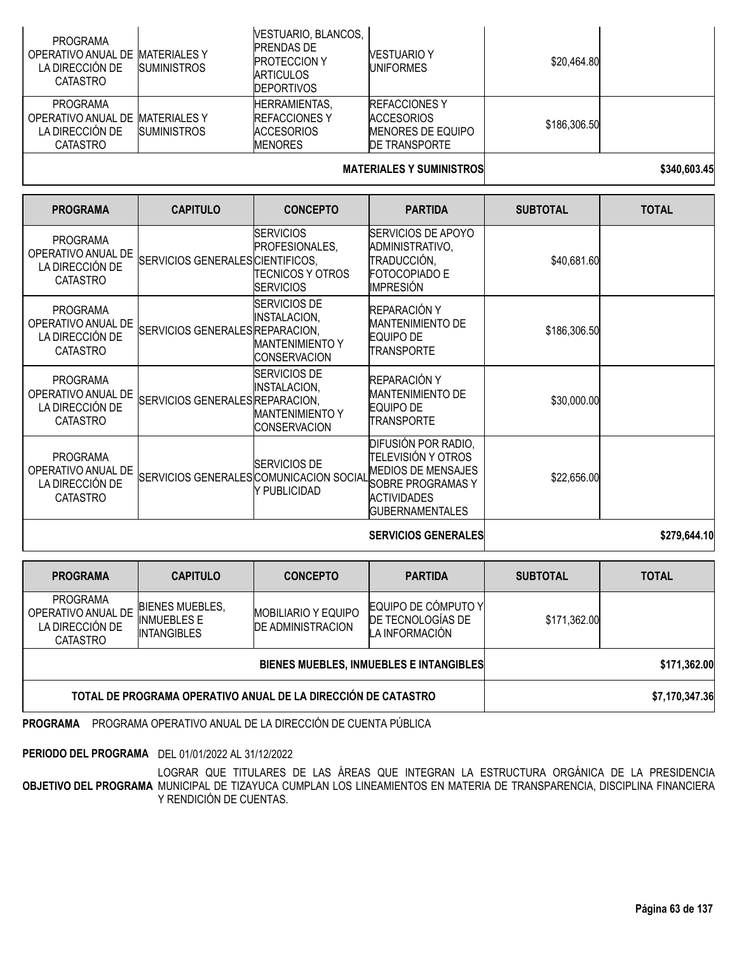| <b>PROGRAMA</b><br>OPERATIVO ANUAL DE MATERIALES Y<br>LA DIRECCIÓN DE<br><b>CATASTRO</b> | <b>SUMINISTROS</b> | VESTUARIO, BLANCOS,<br><b>PRENDAS DE</b><br><b>PROTECCION Y</b><br><b>ARTICULOS</b><br><b>IDEPORTIVOS</b> | <b>VESTUARIO Y</b><br><b>UNIFORMES</b>                                                 | \$20,464.80  |  |
|------------------------------------------------------------------------------------------|--------------------|-----------------------------------------------------------------------------------------------------------|----------------------------------------------------------------------------------------|--------------|--|
| <b>PROGRAMA</b><br>OPERATIVO ANUAL DE MATERIALES Y<br>LA DIRECCIÓN DE<br><b>CATASTRO</b> | <b>SUMINISTROS</b> | <b>HERRAMIENTAS,</b><br><b>IREFACCIONES Y</b><br><b>ACCESORIOS</b><br><b>MENORES</b>                      | <b>REFACCIONES Y</b><br><b>ACCESORIOS</b><br><b>MENORES DE EQUIPO</b><br>DE TRANSPORTE | \$186,306.50 |  |
|                                                                                          |                    |                                                                                                           |                                                                                        |              |  |

#### **MATERIALES Y SUMINISTROS \$340,603.45**

| <b>PROGRAMA</b>                                                             | <b>CAPITULO</b>                  | <b>CONCEPTO</b>                                                                      | <b>PARTIDA</b>                                                                                                                                     | <b>SUBTOTAL</b> | <b>TOTAL</b> |
|-----------------------------------------------------------------------------|----------------------------------|--------------------------------------------------------------------------------------|----------------------------------------------------------------------------------------------------------------------------------------------------|-----------------|--------------|
| <b>PROGRAMA</b><br>OPERATIVO ANUAL DE<br>LA DIRECCIÓN DE<br><b>CATASTRO</b> | SERVICIOS GENERALES CIENTIFICOS. | <b>ISERVICIOS</b><br>PROFESIONALES,<br>TECNICOS Y OTROS<br><b>ISERVICIOS</b>         | <b>SERVICIOS DE APOYO</b><br>ADMINISTRATIVO,<br>TRADUCCIÓN,<br><b>FOTOCOPIADO E</b><br><b>IMPRESIÓN</b>                                            | \$40,681.60     |              |
| <b>PROGRAMA</b><br>OPERATIVO ANUAL DE<br>LA DIRECCIÓN DE<br><b>CATASTRO</b> | SERVICIOS GENERALES REPARACION,  | SERVICIOS DE<br><b>INSTALACION,</b><br><b>MANTENIMIENTO Y</b><br><b>CONSERVACION</b> | REPARACIÓN Y<br><b>MANTENIMIENTO DE</b><br>EQUIPO DE<br>TRANSPORTE                                                                                 | \$186,306.50    |              |
| <b>PROGRAMA</b><br>OPERATIVO ANUAL DE<br>LA DIRECCIÓN DE<br><b>CATASTRO</b> | SERVICIOS GENERALES REPARACION,  | <b>SERVICIOS DE</b><br>INSTALACION,<br><b>MANTENIMIENTO Y</b><br><b>CONSERVACION</b> | REPARACIÓN Y<br><b>MANTENIMIENTO DE</b><br><b>EQUIPO DE</b><br>TRANSPORTE                                                                          | \$30,000.00     |              |
| <b>PROGRAMA</b><br>OPERATIVO ANUAL DE<br>LA DIRECCIÓN DE<br><b>CATASTRO</b> |                                  | <b>SERVICIOS DE</b><br>SERVICIOS GENERALES COMUNICACION SOCIAL<br>Y PUBLICIDAD       | DIFUSIÓN POR RADIO,<br>TELEVISIÓN Y OTROS<br><b>MEDIOS DE MENSAJES</b><br><b>SOBRE PROGRAMAS Y</b><br><b>ACTIVIDADES</b><br><b>GUBERNAMENTALES</b> | \$22,656.00     |              |
|                                                                             |                                  |                                                                                      | <b>SERVICIOS GENERALES</b>                                                                                                                         |                 | \$279,644.10 |

| <b>PROGRAMA</b>                                                                           | <b>CAPITULO</b>                              | <b>CONCEPTO</b>            | <b>PARTIDA</b>                                             | <b>SUBTOTAL</b> | <b>TOTAL</b>   |
|-------------------------------------------------------------------------------------------|----------------------------------------------|----------------------------|------------------------------------------------------------|-----------------|----------------|
| <b>PROGRAMA</b><br>OPERATIVO ANUAL DE<br>LA DIRECCIÓN DE<br><b>CATASTRO</b>               | <b>BIENES MUEBLES,</b><br><b>INMUEBLES E</b> | <b>MOBILIARIO Y EQUIPO</b> | EQUIPO DE CÓMPUTO Y<br>DE TECNOLOGÍAS DE<br>LA INFORMACIÓN | \$171,362.00    |                |
| <b>DE ADMINISTRACION</b><br><b>INTANGIBLES</b><br>BIENES MUEBLES, INMUEBLES E INTANGIBLES |                                              |                            |                                                            |                 | \$171,362.00   |
| TOTAL DE PROGRAMA OPERATIVO ANUAL DE LA DIRECCIÓN DE CATASTRO                             |                                              |                            |                                                            |                 | \$7,170,347.36 |

**PROGRAMA** PROGRAMA OPERATIVO ANUAL DE LA DIRECCIÓN DE CUENTA PÚBLICA

**PERIODO DEL PROGRAMA** DEL 01/01/2022 AL 31/12/2022

**OBJETIVO DEL PROGRAMA** LOGRAR QUE TITULARES DE LAS ÁREAS QUE INTEGRAN LA ESTRUCTURA ORGÁNICA DE LA PRESIDENCIA MUNICIPAL DE TIZAYUCA CUMPLAN LOS LINEAMIENTOS EN MATERIA DE TRANSPARENCIA, DISCIPLINA FINANCIERA Y RENDICIÓN DE CUENTAS.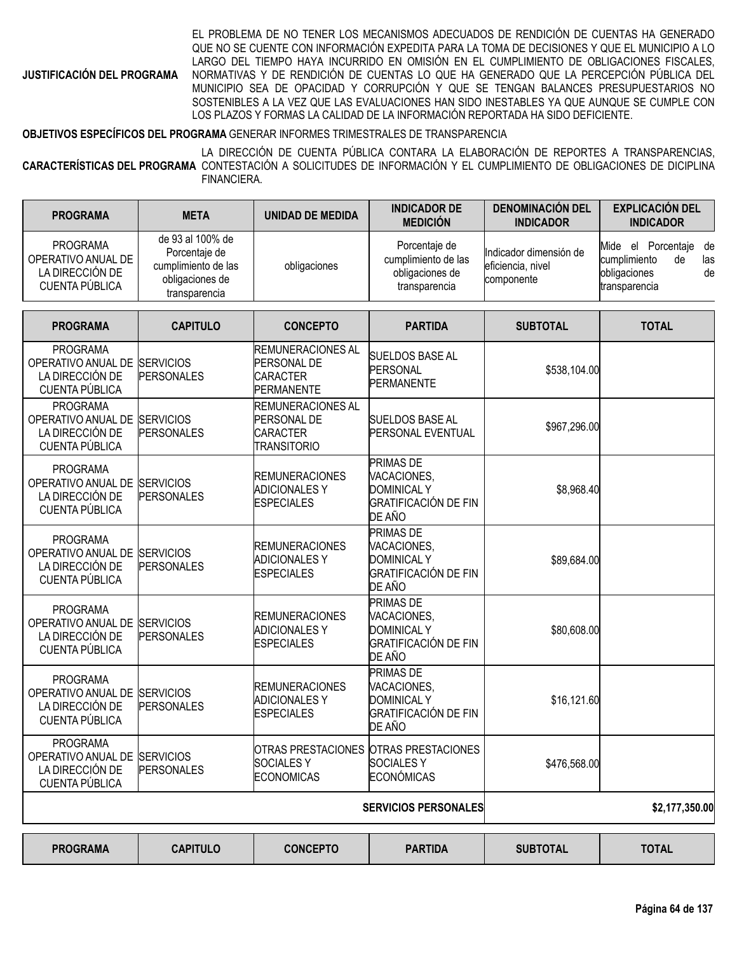**JUSTIFICACIÓN DEL PROGRAMA**

EL PROBLEMA DE NO TENER LOS MECANISMOS ADECUADOS DE RENDICIÓN DE CUENTAS HA GENERADO QUE NO SE CUENTE CON INFORMACIÓN EXPEDITA PARA LA TOMA DE DECISIONES Y QUE EL MUNICIPIO A LO LARGO DEL TIEMPO HAYA INCURRIDO EN OMISIÓN EN EL CUMPLIMIENTO DE OBLIGACIONES FISCALES, NORMATIVAS Y DE RENDICIÓN DE CUENTAS LO QUE HA GENERADO QUE LA PERCEPCIÓN PÚBLICA DEL MUNICIPIO SEA DE OPACIDAD Y CORRUPCIÓN Y QUE SE TENGAN BALANCES PRESUPUESTARIOS NO SOSTENIBLES A LA VEZ QUE LAS EVALUACIONES HAN SIDO INESTABLES YA QUE AUNQUE SE CUMPLE CON LOS PLAZOS Y FORMAS LA CALIDAD DE LA INFORMACIÓN REPORTADA HA SIDO DEFICIENTE.

#### **OBJETIVOS ESPECÍFICOS DEL PROGRAMA** GENERAR INFORMES TRIMESTRALES DE TRANSPARENCIA

**CARACTERÍSTICAS DEL PROGRAMA** CONTESTACIÓN A SOLICITUDES DE INFORMACIÓN Y EL CUMPLIMIENTO DE OBLIGACIONES DE DICIPLINA LA DIRECCIÓN DE CUENTA PÚBLICA CONTARA LA ELABORACIÓN DE REPORTES A TRANSPARENCIAS, FINANCIERA.

| <b>PROGRAMA</b>                                                                             | <b>META</b>                                                                                  | <b>UNIDAD DE MEDIDA</b>                                                          | <b>INDICADOR DE</b><br><b>MEDICIÓN</b>                                                  | <b>DENOMINACIÓN DEL</b><br><b>INDICADOR</b>               | <b>EXPLICACIÓN DEL</b><br><b>INDICADOR</b>                                                      |
|---------------------------------------------------------------------------------------------|----------------------------------------------------------------------------------------------|----------------------------------------------------------------------------------|-----------------------------------------------------------------------------------------|-----------------------------------------------------------|-------------------------------------------------------------------------------------------------|
| <b>PROGRAMA</b><br>OPERATIVO ANUAL DE<br>LA DIRECCIÓN DE<br>CUENTA PÚBLICA                  | de 93 al 100% de<br>Porcentaje de<br>cumplimiento de las<br>obligaciones de<br>transparencia | obligaciones                                                                     | Porcentaje de<br>cumplimiento de las<br>obligaciones de<br>transparencia                | Indicador dimensión de<br>eficiencia, nivel<br>componente | el Porcentaje<br>Mide<br>de<br>cumplimiento<br>de<br>las<br>de<br>obligaciones<br>transparencia |
| <b>PROGRAMA</b>                                                                             | <b>CAPITULO</b>                                                                              | <b>CONCEPTO</b>                                                                  | <b>PARTIDA</b>                                                                          | <b>SUBTOTAL</b>                                           | <b>TOTAL</b>                                                                                    |
| <b>PROGRAMA</b><br>OPERATIVO ANUAL DE SERVICIOS<br>LA DIRECCIÓN DE<br><b>CUENTA PÚBLICA</b> | <b>PERSONALES</b>                                                                            | <b>REMUNERACIONES AL</b><br>PERSONAL DE<br><b>CARACTER</b><br><b>PERMANENTE</b>  | <b>SUELDOS BASE AL</b><br>PERSONAL<br><b>PERMANENTE</b>                                 | \$538,104.00                                              |                                                                                                 |
| <b>PROGRAMA</b><br>OPERATIVO ANUAL DE<br>LA DIRECCIÓN DE<br>CUENTA PÚBLICA                  | <b>SERVICIOS</b><br><b>PERSONALES</b>                                                        | <b>REMUNERACIONES AL</b><br>PERSONAL DE<br><b>CARACTER</b><br><b>TRANSITORIO</b> | <b>SUELDOS BASE AL</b><br>PERSONAL EVENTUAL                                             | \$967,296.00                                              |                                                                                                 |
| <b>PROGRAMA</b><br>OPERATIVO ANUAL DE SERVICIOS<br>LA DIRECCIÓN DE<br><b>CUENTA PÚBLICA</b> | <b>PERSONALES</b>                                                                            | <b>REMUNERACIONES</b><br><b>ADICIONALESY</b><br><b>ESPECIALES</b>                | PRIMAS DE<br>VACACIONES,<br><b>DOMINICAL Y</b><br><b>GRATIFICACIÓN DE FIN</b><br>DE AÑO | \$8,968.40                                                |                                                                                                 |
| <b>PROGRAMA</b><br>OPERATIVO ANUAL DE<br>LA DIRECCIÓN DE<br>CUENTA PÚBLICA                  | <b>SERVICIOS</b><br><b>PERSONALES</b>                                                        | <b>REMUNERACIONES</b><br><b>ADICIONALES Y</b><br><b>ESPECIALES</b>               | PRIMAS DE<br>VACACIONES,<br><b>DOMINICAL Y</b><br><b>GRATIFICACIÓN DE FIN</b><br>DE AÑO | \$89,684.00                                               |                                                                                                 |
| <b>PROGRAMA</b><br>OPERATIVO ANUAL DE SERVICIOS<br>LA DIRECCIÓN DE<br>CUENTA PÚBLICA        | <b>PERSONALES</b>                                                                            | <b>REMUNERACIONES</b><br><b>ADICIONALES Y</b><br><b>ESPECIALES</b>               | PRIMAS DE<br>VACACIONES,<br><b>DOMINICAL Y</b><br><b>GRATIFICACIÓN DE FIN</b><br>DE AÑO | \$80,608.00                                               |                                                                                                 |
| <b>PROGRAMA</b><br>OPERATIVO ANUAL DE<br>LA DIRECCIÓN DE<br>CUENTA PÚBLICA                  | <b>SERVICIOS</b><br><b>PERSONALES</b>                                                        | <b>REMUNERACIONES</b><br><b>ADICIONALES Y</b><br><b>ESPECIALES</b>               | PRIMAS DE<br>VACACIONES,<br><b>DOMINICAL Y</b><br><b>GRATIFICACIÓN DE FIN</b><br>DE AÑO | \$16,121.60                                               |                                                                                                 |
| PROGRAMA<br>OPERATIVO ANUAL DE SERVICIOS<br>LA DIRECCIÓN DE<br>CUENTA PÚBLICA               | <b>PERSONALES</b>                                                                            | OTRAS PRESTACIONES OTRAS PRESTACIONES<br><b>SOCIALESY</b><br><b>ECONOMICAS</b>   | <b>SOCIALESY</b><br><b>ECONÓMICAS</b>                                                   | \$476,568.00                                              |                                                                                                 |
|                                                                                             |                                                                                              |                                                                                  | <b>SERVICIOS PERSONALES</b>                                                             |                                                           | \$2,177,350.00                                                                                  |
| <b>PROGRAMA</b>                                                                             | <b>CAPITULO</b>                                                                              | <b>CONCEPTO</b>                                                                  | <b>PARTIDA</b>                                                                          | <b>SUBTOTAL</b>                                           | <b>TOTAL</b>                                                                                    |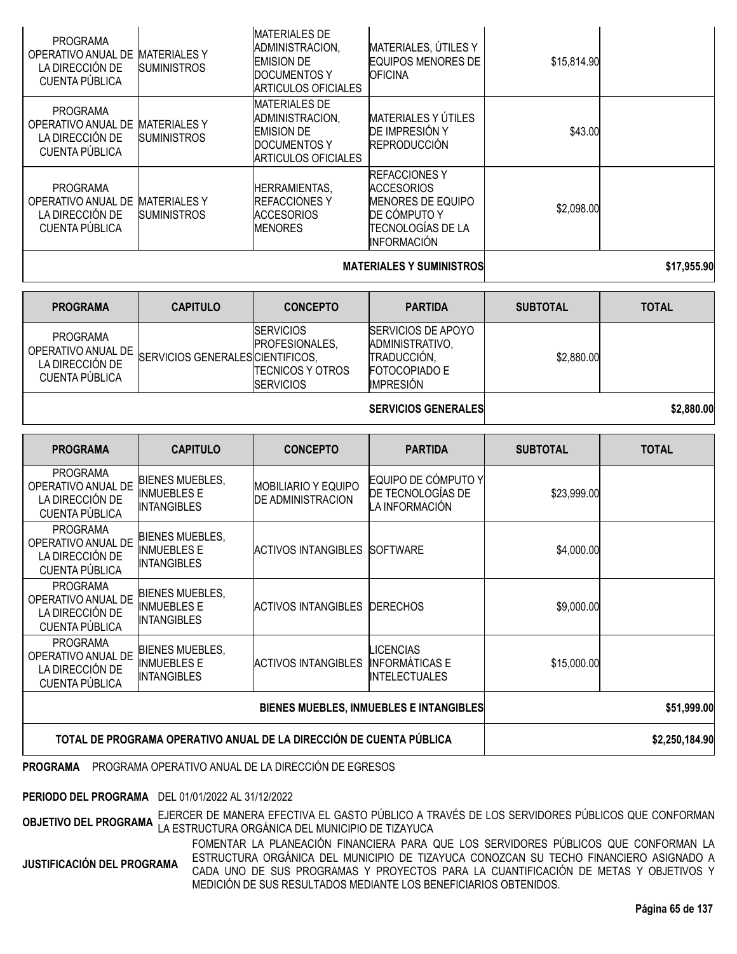| <b>PROGRAMA</b><br>OPERATIVO ANUAL DE<br>LA DIRECCIÓN DE<br>CUENTA PÚBLICA | <b>MATERIALESY</b><br><b>SUMINISTROS</b>  | <b>MATERIALES DE</b><br>ADMINISTRACION,<br><b>EMISION DE</b><br><b>DOCUMENTOS Y</b><br><b>ARTICULOS OFICIALES</b><br><b>MATERIALES DE</b> | MATERIALES, ÚTILES Y<br><b>EQUIPOS MENORES DE</b><br><b>OFICINA</b>                                                               | \$15,814.90 |  |
|----------------------------------------------------------------------------|-------------------------------------------|-------------------------------------------------------------------------------------------------------------------------------------------|-----------------------------------------------------------------------------------------------------------------------------------|-------------|--|
| <b>PROGRAMA</b><br>OPERATIVO ANUAL DE<br>LA DIRECCIÓN DE<br>CUENTA PÚBLICA | <b>MATERIALES Y</b><br><b>SUMINISTROS</b> | ADMINISTRACION,<br><b>EMISION DE</b><br><b>DOCUMENTOS Y</b><br><b>ARTICULOS OFICIALES</b>                                                 | MATERIALES Y ÚTILES<br>DE IMPRESIÓN Y<br><b>REPRODUCCIÓN</b>                                                                      | \$43.00     |  |
| <b>PROGRAMA</b><br>OPERATIVO ANUAL DE<br>LA DIRECCIÓN DE<br>CUENTA PÚBLICA | <b>MATERIALES Y</b><br><b>SUMINISTROS</b> | <b>HERRAMIENTAS,</b><br><b>REFACCIONES Y</b><br><b>ACCESORIOS</b><br><b>MENORES</b>                                                       | <b>REFACCIONES Y</b><br><b>ACCESORIOS</b><br><b>MENORES DE EQUIPO</b><br>DE CÓMPUTO Y<br>ITECNOLOGÍAS DE LA<br><b>INFORMACIÓN</b> | \$2,098.00  |  |
|                                                                            |                                           | <b>MATERIALES Y SUMINISTROS</b>                                                                                                           | \$17,955.90                                                                                                                       |             |  |

| <b>PROGRAMA</b>                                                            | <b>CAPITULO</b>                  | <b>CONCEPTO</b>                                                                    | <b>PARTIDA</b>                                                                                          | <b>SUBTOTAL</b> | <b>TOTAL</b> |
|----------------------------------------------------------------------------|----------------------------------|------------------------------------------------------------------------------------|---------------------------------------------------------------------------------------------------------|-----------------|--------------|
| <b>PROGRAMA</b><br>OPERATIVO ANUAL DE<br>LA DIRECCIÓN DE<br>CUENTA PÚBLICA | SERVICIOS GENERALES CIENTIFICOS, | <b>SERVICIOS</b><br>PROFESIONALES.<br><b>TECNICOS Y OTROS</b><br><b>ISERVICIOS</b> | <b>SERVICIOS DE APOYO</b><br>ADMINISTRATIVO.<br>TRADUCCIÓN.<br><b>FOTOCOPIADO E</b><br><b>IMPRESIÓN</b> | \$2,880.00      |              |
|                                                                            |                                  |                                                                                    |                                                                                                         |                 |              |

**SERVICIOS GENERALES \$2,880.00**

| <b>PROGRAMA</b>                                                            | <b>CAPITULO</b>                                                     | <b>CONCEPTO</b>                                        | <b>PARTIDA</b>                                                    | <b>SUBTOTAL</b> | <b>TOTAL</b> |
|----------------------------------------------------------------------------|---------------------------------------------------------------------|--------------------------------------------------------|-------------------------------------------------------------------|-----------------|--------------|
| <b>PROGRAMA</b><br>OPERATIVO ANUAL DE<br>LA DIRECCIÓN DE<br>CUENTA PÚBLICA | BIENES MUEBLES,<br><b>INMUEBLES E</b><br><b>INTANGIBLES</b>         | <b>MOBILIARIO Y EQUIPO</b><br><b>DE ADMINISTRACION</b> | EQUIPO DE CÓMPUTO Y<br>DE TECNOLOGÍAS DE<br>LA INFORMACIÓN        | \$23,999.00     |              |
| <b>PROGRAMA</b><br>OPERATIVO ANUAL DE<br>LA DIRECCIÓN DE<br>CUENTA PÚBLICA | <b>BIENES MUEBLES,</b><br><b>INMUEBLES E</b><br><b>INTANGIBLES</b>  | <b>ACTIVOS INTANGIBLES</b>                             | <b>ISOFTWARE</b>                                                  | \$4,000.00      |              |
| <b>PROGRAMA</b><br>OPERATIVO ANUAL DE<br>LA DIRECCIÓN DE<br>CUENTA PÚBLICA | BIENES MUEBLES,<br><b>INMUEBLES E</b><br><b>INTANGIBLES</b>         | <b>ACTIVOS INTANGIBLES</b>                             | <b>IDERECHOS</b>                                                  | \$9,000.00      |              |
| <b>PROGRAMA</b><br>OPERATIVO ANUAL DE<br>LA DIRECCIÓN DE<br>CUENTA PÚBLICA | BIENES MUEBLES,<br><b>INMUEBLES E</b><br><b>INTANGIBLES</b>         | <b>ACTIVOS INTANGIBLES</b>                             | <b>LICENCIAS</b><br><b>INFORMÁTICAS E</b><br><b>INTELECTUALES</b> | \$15,000.00     |              |
|                                                                            |                                                                     | <b>BIENES MUEBLES, INMUEBLES E INTANGIBLES</b>         | \$51,999.00                                                       |                 |              |
|                                                                            | TOTAL DE PROGRAMA OPERATIVO ANUAL DE LA DIRECCIÓN DE CUENTA PÚBLICA |                                                        | \$2,250,184.90                                                    |                 |              |

**PROGRAMA** PROGRAMA OPERATIVO ANUAL DE LA DIRECCIÓN DE EGRESOS

**PERIODO DEL PROGRAMA** DEL 01/01/2022 AL 31/12/2022

**OBJETIVO DEL PROGRAMA** EJERCER DE MANERA EFECTIVA EL GASTO PÚBLICO <sup>A</sup> TRAVÉS DE LOS SERVIDORES PÚBLICOS QUE CONFORMAN LA ESTRUCTURA ORGÁNICA DEL MUNICIPIO DE TIZAYUCA

**JUSTIFICACIÓN DEL PROGRAMA** FOMENTAR LA PLANEACIÓN FINANCIERA PARA QUE LOS SERVIDORES PÚBLICOS QUE CONFORMAN LA ESTRUCTURA ORGÁNICA DEL MUNICIPIO DE TIZAYUCA CONOZCAN SU TECHO FINANCIERO ASIGNADO A CADA UNO DE SUS PROGRAMAS Y PROYECTOS PARA LA CUANTIFICACIÓN DE METAS Y OBJETIVOS Y MEDICIÓN DE SUS RESULTADOS MEDIANTE LOS BENEFICIARIOS OBTENIDOS.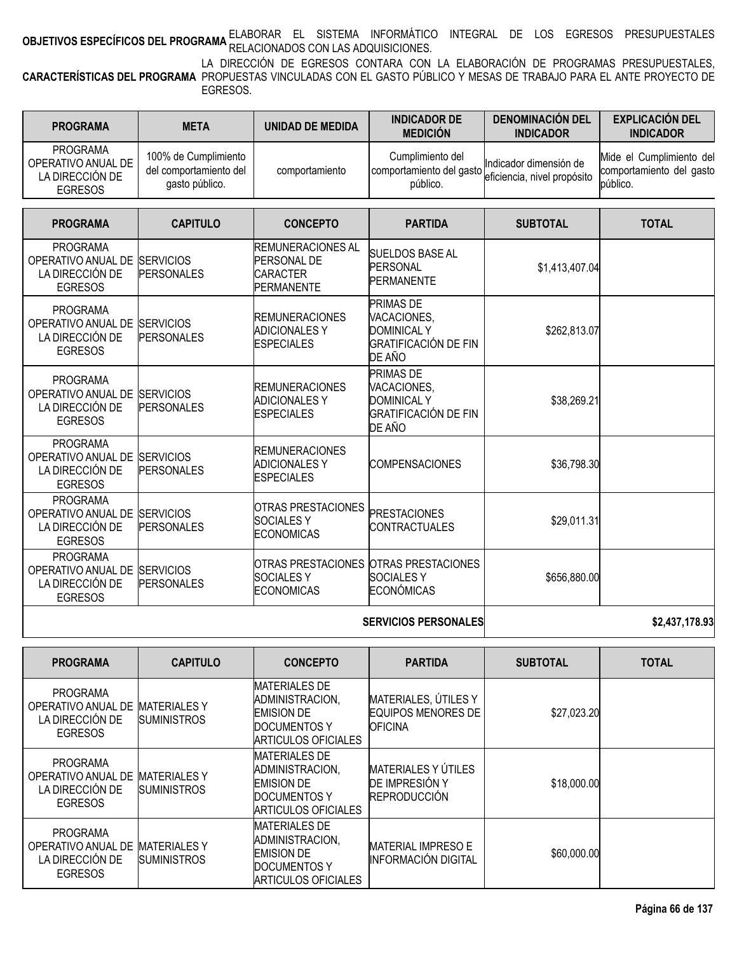# **OBJETIVOS ESPECÍFICOS DEL PROGRAMA** <sup>ELABORAR EL SISTEMA INFORMÁTICO INTEGRAL DE LOS EGRESOS PRESUPUESTALES<br>RELACIONES EN EL PROGRAMA RELACIONADOS CON LAS ADQUISICIONES.</sup>

**CARACTERÍSTICAS DEL PROGRAMA** PROPUESTAS VINCULADAS CON EL GASTO PÚBLICO Y MESAS DE TRABAJO PARA EL ANTE PROYECTO DE LA DIRECCIÓN DE EGRESOS CONTARA CON LA ELABORACIÓN DE PROGRAMAS PRESUPUESTALES, EGRESOS.

| <b>PROGRAMA</b>                                                            | <b>META</b>                                                      | UNIDAD DE MEDIDA | <b>INDICADOR DE</b><br><b>MEDICIÓN</b>                   | <b>DENOMINACION DEL</b><br><b>INDICADOR</b>           | <b>EXPLICACION DEL</b><br><b>INDICADOR</b>                       |
|----------------------------------------------------------------------------|------------------------------------------------------------------|------------------|----------------------------------------------------------|-------------------------------------------------------|------------------------------------------------------------------|
| <b>PROGRAMA</b><br>OPERATIVO ANUAL DE<br>LA DIRECCIÓN DE<br><b>EGRESOS</b> | 100% de Cumplimiento<br>del comportamiento del<br>gasto público. | comportamiento   | Cumplimiento del<br>comportamiento del gasto<br>público. | Indicador dimensión de<br>eficiencia, nivel propósito | Mide el Cumplimiento del<br>comportamiento del gasto<br>público. |

| <b>PROGRAMA</b>                                                                      | <b>CAPITULO</b>   | <b>CONCEPTO</b>                                                                        | <b>PARTIDA</b>                                                                                 | <b>SUBTOTAL</b> | <b>TOTAL</b> |
|--------------------------------------------------------------------------------------|-------------------|----------------------------------------------------------------------------------------|------------------------------------------------------------------------------------------------|-----------------|--------------|
| <b>PROGRAMA</b><br>OPERATIVO ANUAL DE SERVICIOS<br>LA DIRECCIÓN DE<br><b>EGRESOS</b> | <b>PERSONALES</b> | <b>REMUNERACIONES AL</b><br><b>PERSONAL DE</b><br><b>CARACTER</b><br><b>PERMANENTE</b> | <b>SUELDOS BASE AL</b><br><b>PERSONAL</b><br><b>PERMANENTE</b>                                 | \$1,413,407.04  |              |
| <b>PROGRAMA</b><br>OPERATIVO ANUAL DE SERVICIOS<br>LA DIRECCIÓN DE<br><b>EGRESOS</b> | <b>PERSONALES</b> | <b>REMUNERACIONES</b><br><b>ADICIONALES Y</b><br><b>ESPECIALES</b>                     | <b>PRIMAS DE</b><br>VACACIONES,<br><b>DOMINICAL Y</b><br><b>GRATIFICACIÓN DE FIN</b><br>DE AÑO | \$262,813.07    |              |
| <b>PROGRAMA</b><br>OPERATIVO ANUAL DE SERVICIOS<br>LA DIRECCIÓN DE<br><b>EGRESOS</b> | <b>PERSONALES</b> | <b>REMUNERACIONES</b><br><b>ADICIONALES Y</b><br><b>ESPECIALES</b>                     | <b>PRIMAS DE</b><br>VACACIONES,<br><b>DOMINICAL Y</b><br><b>GRATIFICACIÓN DE FIN</b><br>DE AÑO | \$38,269.21     |              |
| <b>PROGRAMA</b><br>OPERATIVO ANUAL DE SERVICIOS<br>LA DIRECCIÓN DE<br><b>EGRESOS</b> | <b>PERSONALES</b> | <b>REMUNERACIONES</b><br><b>ADICIONALES Y</b><br><b>IESPECIALES</b>                    | <b>COMPENSACIONES</b>                                                                          | \$36,798.30     |              |
| <b>PROGRAMA</b><br>OPERATIVO ANUAL DE SERVICIOS<br>LA DIRECCIÓN DE<br><b>EGRESOS</b> | <b>PERSONALES</b> | <b>OTRAS PRESTACIONES</b><br><b>SOCIALES Y</b><br><b>ECONOMICAS</b>                    | <b>PRESTACIONES</b><br><b>CONTRACTUALES</b>                                                    | \$29,011.31     |              |
| <b>PROGRAMA</b><br>OPERATIVO ANUAL DE SERVICIOS<br>LA DIRECCIÓN DE<br><b>EGRESOS</b> | <b>PERSONALES</b> | OTRAS PRESTACIONES OTRAS PRESTACIONES<br><b>SOCIALESY</b><br><b>ECONOMICAS</b>         | <b>SOCIALESY</b><br><b>ECONÓMICAS</b>                                                          | \$656,880.00    |              |
|                                                                                      |                   |                                                                                        |                                                                                                |                 |              |

#### **SERVICIOS PERSONALES \$2,437,178.93**

| <b>PROGRAMA</b>                                                            | <b>CAPITULO</b>                           | <b>CONCEPTO</b>                                                                                            | <b>PARTIDA</b>                                                      | <b>SUBTOTAL</b> | <b>TOTAL</b> |
|----------------------------------------------------------------------------|-------------------------------------------|------------------------------------------------------------------------------------------------------------|---------------------------------------------------------------------|-----------------|--------------|
| <b>PROGRAMA</b><br>OPERATIVO ANUAL DE<br>LA DIRECCIÓN DE<br><b>EGRESOS</b> | <b>MATERIALES Y</b><br><b>SUMINISTROS</b> | <b>MATERIALES DE</b><br>ADMINISTRACION,<br><b>EMISION DE</b><br>DOCUMENTOS Y<br>ARTICULOS OFICIALES        | MATERIALES, ÚTILES Y<br><b>EQUIPOS MENORES DE</b><br><b>OFICINA</b> | \$27,023.20     |              |
| <b>PROGRAMA</b><br>OPERATIVO ANUAL DE<br>LA DIRECCIÓN DE<br><b>EGRESOS</b> | <b>MATERIALES Y</b><br><b>SUMINISTROS</b> | <b>MATERIALES DE</b><br>ADMINISTRACION.<br><b>EMISION DE</b><br>DOCUMENTOS Y<br><b>ARTICULOS OFICIALES</b> | <b>MATERIALES Y ÚTILES</b><br>DE IMPRESIÓN Y<br><b>REPRODUCCIÓN</b> | \$18,000.00     |              |
| <b>PROGRAMA</b><br>OPERATIVO ANUAL DE<br>LA DIRECCIÓN DE<br><b>EGRESOS</b> | <b>MATERIALES Y</b><br><b>SUMINISTROS</b> | <b>MATERIALES DE</b><br>ADMINISTRACION,<br><b>EMISION DE</b><br>DOCUMENTOS Y<br><b>ARTICULOS OFICIALES</b> | <b>MATERIAL IMPRESO E</b><br><b>INFORMACIÓN DIGITAL</b>             | \$60,000.00     |              |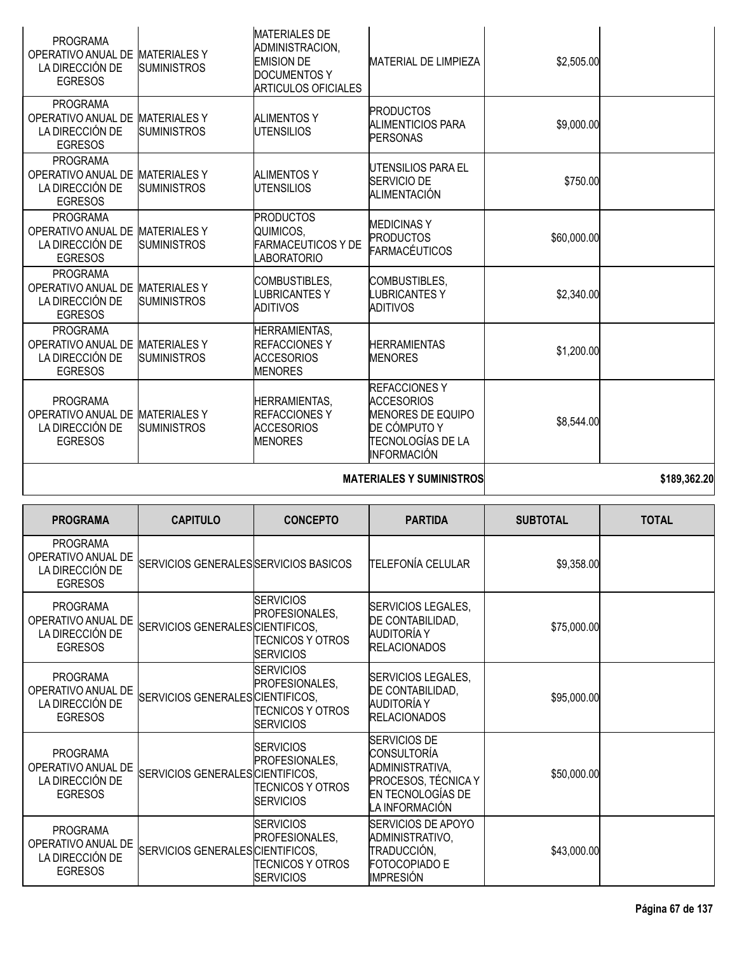| <b>PROGRAMA</b><br>OPERATIVO ANUAL DE<br>LA DIRECCIÓN DE<br><b>EGRESOS</b> | <b>MATERIALES Y</b><br><b>SUMINISTROS</b> | <b>MATERIALES DE</b><br>ADMINISTRACION,<br><b>EMISION DE</b><br><b>DOCUMENTOS Y</b><br><b>ARTICULOS OFICIALES</b> | MATERIAL DE LIMPIEZA                                                                                                      | \$2,505.00  |  |
|----------------------------------------------------------------------------|-------------------------------------------|-------------------------------------------------------------------------------------------------------------------|---------------------------------------------------------------------------------------------------------------------------|-------------|--|
| <b>PROGRAMA</b><br>OPERATIVO ANUAL DE<br>LA DIRECCIÓN DE<br><b>EGRESOS</b> | <b>MATERIALES Y</b><br><b>SUMINISTROS</b> | <b>ALIMENTOS Y</b><br><b>UTENSILIOS</b>                                                                           | <b>PRODUCTOS</b><br>ALIMENTICIOS PARA<br><b>PERSONAS</b>                                                                  | \$9,000.00  |  |
| <b>PROGRAMA</b><br>OPERATIVO ANUAL DE<br>LA DIRECCIÓN DE<br><b>EGRESOS</b> | <b>MATERIALES Y</b><br><b>SUMINISTROS</b> | <b>ALIMENTOS Y</b><br>UTENSILIOS                                                                                  | UTENSILIOS PARA EL<br>SERVICIO DE<br>ALIMENTACIÓN                                                                         | \$750.00    |  |
| <b>PROGRAMA</b><br>OPERATIVO ANUAL DE<br>LA DIRECCIÓN DE<br><b>EGRESOS</b> | <b>MATERIALES Y</b><br><b>SUMINISTROS</b> | <b>PRODUCTOS</b><br>QUIMICOS,<br><b>FARMACEUTICOS Y DE</b><br><b>LABORATORIO</b>                                  | <b>MEDICINASY</b><br><b>PRODUCTOS</b><br><b>FARMACÉUTICOS</b>                                                             | \$60,000.00 |  |
| <b>PROGRAMA</b><br>OPERATIVO ANUAL DE<br>LA DIRECCIÓN DE<br><b>EGRESOS</b> | <b>MATERIALESY</b><br><b>SUMINISTROS</b>  | COMBUSTIBLES,<br>LUBRICANTES Y<br><b>ADITIVOS</b>                                                                 | COMBUSTIBLES,<br><b>LUBRICANTESY</b><br>ADITIVOS                                                                          | \$2,340.00  |  |
| <b>PROGRAMA</b><br>OPERATIVO ANUAL DE<br>LA DIRECCIÓN DE<br><b>EGRESOS</b> | <b>MATERIALES Y</b><br><b>SUMINISTROS</b> | <b>HERRAMIENTAS,</b><br><b>REFACCIONES Y</b><br><b>ACCESORIOS</b><br><b>MENORES</b>                               | <b>HERRAMIENTAS</b><br><b>MENORES</b>                                                                                     | \$1,200.00  |  |
| <b>PROGRAMA</b><br>OPERATIVO ANUAL DE<br>LA DIRECCIÓN DE<br><b>EGRESOS</b> | <b>MATERIALES Y</b><br><b>SUMINISTROS</b> | <b>HERRAMIENTAS,</b><br><b>REFACCIONES Y</b><br><b>ACCESORIOS</b><br><b>MENORES</b>                               | <b>REFACCIONES Y</b><br>ACCESORIOS<br><b>MENORES DE EQUIPO</b><br>DE CÓMPUTO Y<br>TECNOLOGÍAS DE LA<br><b>INFORMACIÓN</b> | \$8,544.00  |  |
|                                                                            |                                           |                                                                                                                   | edon pen nn                                                                                                               |             |  |

**MATERIALES Y SUMINISTROS 189,362.20** 

| <b>PROGRAMA</b>                                                            | <b>CAPITULO</b>                       | <b>CONCEPTO</b>                                                                    | <b>PARTIDA</b>                                                                                                             | <b>SUBTOTAL</b> | <b>TOTAL</b> |
|----------------------------------------------------------------------------|---------------------------------------|------------------------------------------------------------------------------------|----------------------------------------------------------------------------------------------------------------------------|-----------------|--------------|
| <b>PROGRAMA</b><br>OPERATIVO ANUAL DE<br>LA DIRECCIÓN DE<br><b>EGRESOS</b> | SERVICIOS GENERALES SERVICIOS BASICOS |                                                                                    | TELEFONÍA CELULAR                                                                                                          | \$9,358.00      |              |
| <b>PROGRAMA</b><br>OPERATIVO ANUAL DE<br>LA DIRECCIÓN DE<br><b>EGRESOS</b> | SERVICIOS GENERALES CIENTIFICOS,      | <b>SERVICIOS</b><br>PROFESIONALES.<br><b>TECNICOS Y OTROS</b><br><b>ISERVICIOS</b> | SERVICIOS LEGALES,<br>DE CONTABILIDAD,<br>AUDITORÍA Y<br><b>RELACIONADOS</b>                                               | \$75,000.00     |              |
| <b>PROGRAMA</b><br>OPERATIVO ANUAL DE<br>LA DIRECCIÓN DE<br><b>EGRESOS</b> | SERVICIOS GENERALES CIENTIFICOS.      | <b>SERVICIOS</b><br>PROFESIONALES.<br><b>TECNICOS Y OTROS</b><br><b>ISERVICIOS</b> | SERVICIOS LEGALES,<br>DE CONTABILIDAD,<br><b>AUDITORÍA Y</b><br><b>RELACIONADOS</b>                                        | \$95,000.00     |              |
| <b>PROGRAMA</b><br>OPERATIVO ANUAL DE<br>LA DIRECCIÓN DE<br><b>EGRESOS</b> | SERVICIOS GENERALES CIENTIFICOS,      | ISERVICIOS<br>PROFESIONALES,<br><b>TECNICOS Y OTROS</b><br>ISERVICIOS              | <b>SERVICIOS DE</b><br><b>CONSULTORÍA</b><br>ADMINISTRATIVA,<br>PROCESOS, TÉCNICA Y<br>EN TECNOLOGÍAS DE<br>LA INFORMACIÓN | \$50,000.00     |              |
| <b>PROGRAMA</b><br>OPERATIVO ANUAL DE<br>LA DIRECCIÓN DE<br><b>EGRESOS</b> | SERVICIOS GENERALES CIENTIFICOS.      | <b>SERVICIOS</b><br>PROFESIONALES,<br>TECNICOS Y OTROS<br><b>SERVICIOS</b>         | <b>SERVICIOS DE APOYO</b><br>ADMINISTRATIVO,<br>TRADUCCIÓN,<br>FOTOCOPIADO E<br><b>IMPRESIÓN</b>                           | \$43,000.00     |              |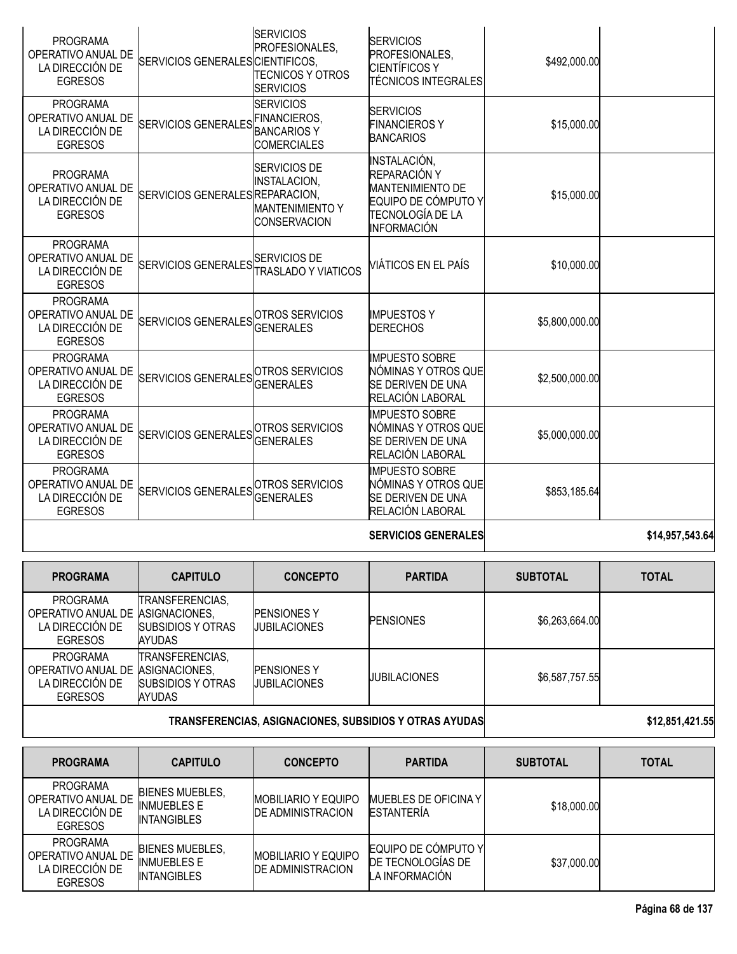| <b>PROGRAMA</b><br>OPERATIVO ANUAL DE<br>LA DIRECCIÓN DE<br><b>EGRESOS</b> | SERVICIOS GENERALES CIENTIFICOS,    | <b>SERVICIOS</b><br>PROFESIONALES,<br><b>TECNICOS Y OTROS</b><br><b>SERVICIOS</b>  | <b>SERVICIOS</b><br>PROFESIONALES,<br><b>CIENTÍFICOS Y</b><br>ITÉCNICOS INTEGRALES                                       | \$492,000.00   |                 |
|----------------------------------------------------------------------------|-------------------------------------|------------------------------------------------------------------------------------|--------------------------------------------------------------------------------------------------------------------------|----------------|-----------------|
| <b>PROGRAMA</b><br>OPERATIVO ANUAL DE<br>LA DIRECCIÓN DE<br><b>EGRESOS</b> | <b>SERVICIOS GENERALES</b>          | <b>SERVICIOS</b><br><b>FINANCIEROS,</b><br><b>BANCARIOSY</b><br><b>COMERCIALES</b> | <b>SERVICIOS</b><br><b>FINANCIEROSY</b><br><b>BANCARIOS</b>                                                              | \$15,000.00    |                 |
| <b>PROGRAMA</b><br>OPERATIVO ANUAL DE<br>LA DIRECCIÓN DE<br><b>EGRESOS</b> | SERVICIOS GENERALESREPARACION,      | SERVICIOS DE<br>INSTALACION,<br><b>MANTENIMIENTO Y</b><br><b>CONSERVACION</b>      | INSTALACIÓN,<br>REPARACIÓN Y<br><b>MANTENIMIENTO DE</b><br>EQUIPO DE CÓMPUTO Y<br>TECNOLOGÍA DE LA<br><b>INFORMACIÓN</b> | \$15,000.00    |                 |
| <b>PROGRAMA</b><br>OPERATIVO ANUAL DE<br>LA DIRECCIÓN DE<br><b>EGRESOS</b> | SERVICIOS GENERALES SERVICIOS DE    | <b>TRASLADO Y VIATICOS</b>                                                         | VIÁTICOS EN EL PAÍS                                                                                                      | \$10,000.00    |                 |
| <b>PROGRAMA</b><br>OPERATIVO ANUAL DE<br>LA DIRECCIÓN DE<br><b>EGRESOS</b> | SERVICIOS GENERALES OTROS SERVICIOS | <b>GENERALES</b>                                                                   | <b>IMPUESTOS Y</b><br><b>DERECHOS</b>                                                                                    | \$5,800,000.00 |                 |
| <b>PROGRAMA</b><br>OPERATIVO ANUAL DE<br>LA DIRECCIÓN DE<br><b>EGRESOS</b> | SERVICIOS GENERALES OTROS SERVICIOS | <b>GENERALES</b>                                                                   | <b>IMPUESTO SOBRE</b><br>NÓMINAS Y OTROS QUE<br>SE DERIVEN DE UNA<br>RELACIÓN LABORAL                                    | \$2,500,000.00 |                 |
| <b>PROGRAMA</b><br>OPERATIVO ANUAL DE<br>LA DIRECCIÓN DE<br><b>EGRESOS</b> | <b>SERVICIOS GENERALES</b>          | OTROS SERVICIOS<br><b>GENERALES</b>                                                | <b>IMPUESTO SOBRE</b><br>NÓMINAS Y OTROS QUE<br>SE DERIVEN DE UNA<br>RELACIÓN LABORAL                                    | \$5,000,000.00 |                 |
| <b>PROGRAMA</b><br>OPERATIVO ANUAL DE<br>LA DIRECCIÓN DE<br><b>EGRESOS</b> | SERVICIOS GENERALES OTROS SERVICIOS | <b>GENERALES</b>                                                                   | <b>IMPUESTO SOBRE</b><br>NÓMINAS Y OTROS QUE<br><b>SE DERIVEN DE UNA</b><br>RELACIÓN LABORAL                             | \$853,185.64   |                 |
|                                                                            |                                     |                                                                                    | <b>SERVICIOS GENERALES</b>                                                                                               |                | \$14,957,543.64 |

| <b>PROGRAMA</b>                                                                           | <b>CAPITULO</b>                                               | <b>CONCEPTO</b>                           | <b>PARTIDA</b>      | <b>SUBTOTAL</b> | <b>TOTAL</b> |
|-------------------------------------------------------------------------------------------|---------------------------------------------------------------|-------------------------------------------|---------------------|-----------------|--------------|
| <b>PROGRAMA</b><br>OPERATIVO ANUAL DE IASIGNACIONES.<br>LA DIRECCIÓN DE<br><b>EGRESOS</b> | TRANSFERENCIAS,<br>SUBSIDIOS Y OTRAS<br>AYUDAS                | <b>PENSIONES Y</b><br><b>JUBILACIONES</b> | <b>PENSIONES</b>    | \$6,263,664.00  |              |
| PROGRAMA<br>OPERATIVO ANUAL DE IASIGNACIONES.<br>LA DIRECCIÓN DE<br><b>EGRESOS</b>        | TRANSFERENCIAS,<br>SUBSIDIOS Y OTRAS<br>AYUDAS                | <b>PENSIONES Y</b><br><b>JUBILACIONES</b> | <b>JUBILACIONES</b> | \$6,587,757,55  |              |
|                                                                                           | <b>TRANSFERENCIAS, ASIGNACIONES, SUBSIDIOS Y OTRAS AYUDAS</b> |                                           | \$12,851,421.55     |                 |              |

| <b>PROGRAMA</b>                                                            | <b>CAPITULO</b>                                                    | <b>CONCEPTO</b>                                         | <b>PARTIDA</b>                                             | <b>SUBTOTAL</b> | <b>TOTAL</b> |
|----------------------------------------------------------------------------|--------------------------------------------------------------------|---------------------------------------------------------|------------------------------------------------------------|-----------------|--------------|
| <b>PROGRAMA</b><br>OPERATIVO ANUAL DE<br>LA DIRECCIÓN DE<br><b>EGRESOS</b> | <b>BIENES MUEBLES,</b><br><b>INMUEBLES E</b><br><b>INTANGIBLES</b> | <b>MOBILIARIO Y EQUIPO</b><br><b>IDE ADMINISTRACION</b> | MUEBLES DE OFICINA Y<br>ESTANTERÍA                         | \$18,000.00     |              |
| <b>PROGRAMA</b><br>OPERATIVO ANUAL DE<br>LA DIRECCIÓN DE<br><b>EGRESOS</b> | <b>BIENES MUEBLES.</b><br><b>INMUEBLES E</b><br><b>INTANGIBLES</b> | <b>MOBILIARIO Y EQUIPO</b><br><b>DE ADMINISTRACION</b>  | EQUIPO DE CÓMPUTO Y<br>DE TECNOLOGÍAS DE<br>LA INFORMACIÓN | \$37,000.00     |              |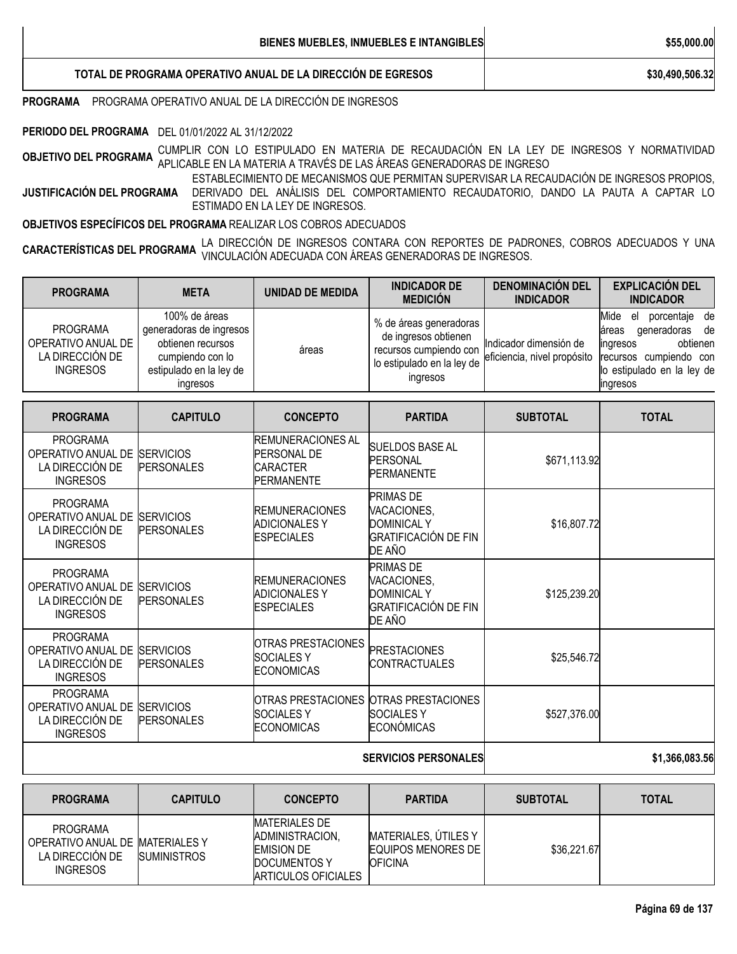**TOTAL DE PROGRAMA OPERATIVO ANUAL DE LA DIRECCIÓN DE EGRESOS \$30,490,506.32**

**PROGRAMA** PROGRAMA OPERATIVO ANUAL DE LA DIRECCIÓN DE INGRESOS

**PERIODO DEL PROGRAMA** DEL 01/01/2022 AL 31/12/2022

**OBJETIVO DEL PROGRAMA** CUMPLIR CON LO ESTIPULADO EN MATERIA DE RECAUDACIÓN EN LA LEY DE INGRESOS <sup>Y</sup> NORMATIVIDAD APLICABLE EN LA MATERIA A TRAVÉS DE LAS ÁREAS GENERADORAS DE INGRESO

**JUSTIFICACIÓN DEL PROGRAMA** ESTABLECIMIENTO DE MECANISMOS QUE PERMITAN SUPERVISAR LA RECAUDACIÓN DE INGRESOS PROPIOS, DERIVADO DEL ANÁLISIS DEL COMPORTAMIENTO RECAUDATORIO, DANDO LA PAUTA A CAPTAR LO ESTIMADO EN LA LEY DE INGRESOS.

**OBJETIVOS ESPECÍFICOS DEL PROGRAMA** REALIZAR LOS COBROS ADECUADOS

**CARACTERÍSTICAS DEL PROGRAMA** LA DIRECCIÓN DE INGRESOS CONTARA CON REPORTES DE PADRONES, COBROS ADECUADOS <sup>Y</sup> UNA VINCULACIÓN ADECUADA CON ÁREAS GENERADORAS DE INGRESOS.

| <b>META</b>                                                                                                              | <b>UNIDAD DE MEDIDA</b>                                                         | <b>INDICADOR DE</b><br><b>MEDICIÓN</b>                                                                             | <b>DENOMINACIÓN DEL</b><br><b>INDICADOR</b>                                                                                                                                                                                                                                                                                                                        | <b>EXPLICACIÓN DEL</b><br><b>INDICADOR</b>                                                                                                      |
|--------------------------------------------------------------------------------------------------------------------------|---------------------------------------------------------------------------------|--------------------------------------------------------------------------------------------------------------------|--------------------------------------------------------------------------------------------------------------------------------------------------------------------------------------------------------------------------------------------------------------------------------------------------------------------------------------------------------------------|-------------------------------------------------------------------------------------------------------------------------------------------------|
| 100% de áreas<br>generadoras de ingresos<br>obtienen recursos<br>cumpiendo con lo<br>estipulado en la ley de<br>ingresos | áreas                                                                           | % de áreas generadoras<br>de ingresos obtienen<br>recursos cumpiendo con<br>lo estipulado en la ley de<br>ingresos | Indicador dimensión de                                                                                                                                                                                                                                                                                                                                             | Mide el porcentaje de<br>generadoras<br>de<br>áreas<br>obtienen<br>ingresos<br>recursos cumpiendo con<br>lo estipulado en la ley de<br>ingresos |
| <b>CAPITULO</b>                                                                                                          | <b>CONCEPTO</b>                                                                 | <b>PARTIDA</b>                                                                                                     | <b>SUBTOTAL</b>                                                                                                                                                                                                                                                                                                                                                    | <b>TOTAL</b>                                                                                                                                    |
| <b>SERVICIOS</b><br><b>PERSONALES</b>                                                                                    | <b>REMUNERACIONES AL</b><br>PERSONAL DE<br><b>CARACTER</b><br><b>PERMANENTE</b> |                                                                                                                    |                                                                                                                                                                                                                                                                                                                                                                    |                                                                                                                                                 |
| <b>SERVICIOS</b><br><b>PERSONALES</b>                                                                                    | <b>REMUNERACIONES</b><br><b>ADICIONALES Y</b><br><b>ESPECIALES</b>              |                                                                                                                    |                                                                                                                                                                                                                                                                                                                                                                    |                                                                                                                                                 |
| OPERATIVO ANUAL DE SERVICIOS<br><b>PERSONALES</b>                                                                        | <b>REMUNERACIONES</b><br><b>ADICIONALESY</b><br><b>ESPECIALES</b>               |                                                                                                                    |                                                                                                                                                                                                                                                                                                                                                                    |                                                                                                                                                 |
| OPERATIVO ANUAL DE SERVICIOS<br><b>PERSONALES</b>                                                                        | <b>OTRAS PRESTACIONES</b><br><b>SOCIALESY</b><br><b>ECONOMICAS</b>              |                                                                                                                    |                                                                                                                                                                                                                                                                                                                                                                    |                                                                                                                                                 |
| <b>SERVICIOS</b><br><b>PERSONALES</b>                                                                                    | OTRAS PRESTACIONES<br><b>SOCIALESY</b><br><b>ECONOMICAS</b>                     |                                                                                                                    |                                                                                                                                                                                                                                                                                                                                                                    |                                                                                                                                                 |
|                                                                                                                          |                                                                                 |                                                                                                                    | <b>SUELDOS BASE AL</b><br>PERSONAL<br><b>PERMANENTE</b><br>PRIMAS DE<br>VACACIONES.<br><b>DOMINICAL Y</b><br><b>GRATIFICACIÓN DE FIN</b><br>DE AÑO<br>PRIMAS DE<br>VACACIONES,<br><b>DOMINICAL Y</b><br><b>GRATIFICACIÓN DE FIN</b><br>DE AÑO<br><b>PRESTACIONES</b><br><b>CONTRACTUALES</b><br><b>OTRAS PRESTACIONES</b><br><b>SOCIALESY</b><br><b>ECONÓMICAS</b> | eficiencia, nivel propósito<br>\$671,113.92<br>\$16,807.72<br>\$125,239.20<br>\$25,546.72<br>\$527,376.00                                       |

#### **SERVICIOS PERSONALES \$1,366,083.56**

| <b>PROGRAMA</b>                                                                          | <b>CAPITULO</b>    | <b>CONCEPTO</b>                                                                                                   | <b>PARTIDA</b>                                                        | <b>SUBTOTAL</b> | <b>TOTAL</b> |
|------------------------------------------------------------------------------------------|--------------------|-------------------------------------------------------------------------------------------------------------------|-----------------------------------------------------------------------|-----------------|--------------|
| <b>PROGRAMA</b><br>OPERATIVO ANUAL DE MATERIALES Y<br>LA DIRECCIÓN DE<br><b>INGRESOS</b> | <b>SUMINISTROS</b> | <b>MATERIALES DE</b><br><b>ADMINISTRACION.</b><br><b>EMISION DE</b><br><b>DOCUMENTOS Y</b><br>ARTICULOS OFICIALES | MATERIALES, ÚTILES Y<br><b>EQUIPOS MENORES DE I</b><br><b>OFICINA</b> | \$36,221.67     |              |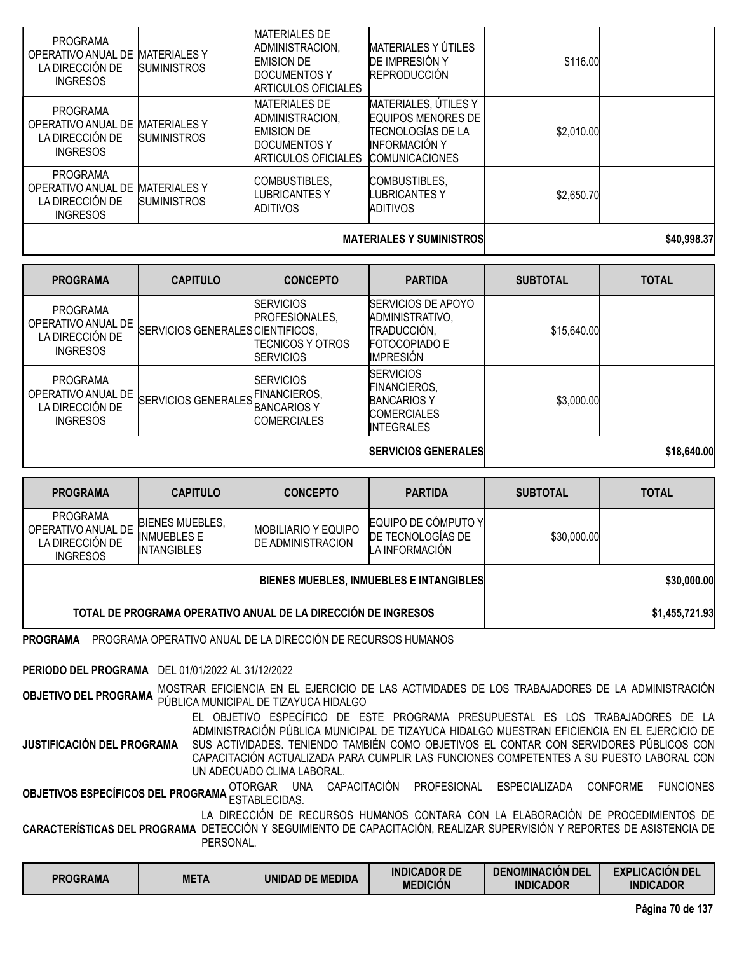| <b>INGRESOS</b>                                                             |                                           | ADITIVOS                                                                                            | ADITIVOS<br><b>MATERIALES Y SUMINISTROS</b>                                                                                    |            | \$40,998,37 |
|-----------------------------------------------------------------------------|-------------------------------------------|-----------------------------------------------------------------------------------------------------|--------------------------------------------------------------------------------------------------------------------------------|------------|-------------|
| <b>PROGRAMA</b><br>OPERATIVO ANUAL DE<br>LA DIRECCIÓN DE                    | <b>MATERIALES Y</b><br><b>SUMINISTROS</b> | COMBUSTIBLES,<br>LUBRICANTES Y                                                                      | <b>COMBUSTIBLES,</b><br>LUBRICANTES Y                                                                                          | \$2,650.70 |             |
| <b>PROGRAMA</b><br>OPERATIVO ANUAL DE<br>LA DIRECCIÓN DE<br><b>INGRESOS</b> | <b>MATERIALES Y</b><br><b>SUMINISTROS</b> | <b>MATERIALES DE</b><br>ADMINISTRACION.<br><b>EMISION DE</b><br>DOCUMENTOS Y<br>ARTICULOS OFICIALES | MATERIALES, ÚTILES Y<br><b>EQUIPOS MENORES DE</b><br><b>TECNOLOGÍAS DE LA</b><br><b>INFORMACIÓN Y</b><br><b>COMUNICACIONES</b> | \$2,010.00 |             |
| <b>PROGRAMA</b><br>OPERATIVO ANUAL DE<br>LA DIRECCIÓN DE<br><b>INGRESOS</b> | <b>MATERIALES Y</b><br><b>SUMINISTROS</b> | <b>MATERIALES DE</b><br>ADMINISTRACION,<br><b>EMISION DE</b><br>DOCUMENTOS Y<br>ARTICULOS OFICIALES | <b>MATERIALES Y ÚTILES</b><br><b>DE IMPRESIÓN Y</b><br><b>REPRODUCCIÓN</b>                                                     | \$116.00   |             |

| <b>PROGRAMA</b>                                                             | <b>CAPITULO</b>                  | <b>CONCEPTO</b>                                                             | <b>PARTIDA</b>                                                                                           | <b>SUBTOTAL</b> | <b>TOTAL</b> |
|-----------------------------------------------------------------------------|----------------------------------|-----------------------------------------------------------------------------|----------------------------------------------------------------------------------------------------------|-----------------|--------------|
| <b>PROGRAMA</b><br>OPERATIVO ANUAL DE<br>LA DIRECCIÓN DE<br><b>INGRESOS</b> | SERVICIOS GENERALES CIENTIFICOS, | <b>SERVICIOS</b><br>PROFESIONALES,<br>TECNICOS Y OTROS<br><b>ISERVICIOS</b> | <b>ISERVICIOS DE APOYO</b><br>ADMINISTRATIVO,<br>TRADUCCIÓN,<br><b>FOTOCOPIADO E</b><br><b>IMPRESIÓN</b> | \$15,640.00     |              |
| <b>PROGRAMA</b><br>OPERATIVO ANUAL DE<br>LA DIRECCIÓN DE<br><b>INGRESOS</b> | SERVICIOS GENERALES FINANCIEROS, | <b>SERVICIOS</b><br><b>COMERCIALES</b>                                      | <b>SERVICIOS</b><br><b>FINANCIEROS,</b><br><b>BANCARIOS Y</b><br><b>COMERCIALES</b><br><b>INTEGRALES</b> | \$3,000.00      |              |

**SERVICIOS GENERALES \$18,640.00**

| <b>PROGRAMA</b>                                                      | <b>CAPITULO</b>                                                    | <b>CONCEPTO</b>                                        | <b>PARTIDA</b>                                             | <b>SUBTOTAL</b> | <b>TOTAL</b>   |
|----------------------------------------------------------------------|--------------------------------------------------------------------|--------------------------------------------------------|------------------------------------------------------------|-----------------|----------------|
| PROGRAMA<br>OPERATIVO ANUAL DE<br>LA DIRECCIÓN DE<br><b>INGRESOS</b> | <b>BIENES MUEBLES,</b><br><b>INMUEBLES E</b><br><b>INTANGIBLES</b> | <b>MOBILIARIO Y EQUIPO</b><br><b>DE ADMINISTRACION</b> | EQUIPO DE CÓMPUTO Y<br>DE TECNOLOGÍAS DE<br>LA INFORMACIÓN | \$30,000.00     |                |
|                                                                      |                                                                    | BIENES MUEBLES, INMUEBLES E INTANGIBLES                | \$30,000.00                                                |                 |                |
| TOTAL DE PROGRAMA OPERATIVO ANUAL DE LA DIRECCIÓN DE INGRESOS        |                                                                    |                                                        |                                                            |                 | \$1,455,721.93 |

**PROGRAMA** PROGRAMA OPERATIVO ANUAL DE LA DIRECCIÓN DE RECURSOS HUMANOS

**PERIODO DEL PROGRAMA** DEL 01/01/2022 AL 31/12/2022

**OBJETIVO DEL PROGRAMA** MOSTRAR EFICIENCIA EN EL EJERCICIO DE LAS ACTIVIDADES DE LOS TRABAJADORES DE LA ADMINISTRACIÓN PÚBLICA MUNICIPAL DE TIZAYUCA HIDALGO

**JUSTIFICACIÓN DEL PROGRAMA** EL OBJETIVO ESPECÍFICO DE ESTE PROGRAMA PRESUPUESTAL ES LOS TRABAJADORES DE LA ADMINISTRACIÓN PÚBLICA MUNICIPAL DE TIZAYUCA HIDALGO MUESTRAN EFICIENCIA EN EL EJERCICIO DE SUS ACTIVIDADES. TENIENDO TAMBIÉN COMO OBJETIVOS EL CONTAR CON SERVIDORES PÚBLICOS CON CAPACITACIÓN ACTUALIZADA PARA CUMPLIR LAS FUNCIONES COMPETENTES A SU PUESTO LABORAL CON UN ADECUADO CLIMA LABORAL.

**OBJETIVOS ESPECÍFICOS DEL PROGRAMA** OTORGAR UNA CAPACITACIÓN PROFESIONAL ESPECIALIZADA CONFORME FUNCIONES<br>.

**CARACTERÍSTICAS DEL PROGRAMA** DETECCIÓN Y SEGUIMIENTO DE CAPACITACIÓN, REALIZAR SUPERVISIÓN Y REPORTES DE ASISTENCIA DE LA DIRECCIÓN DE RECURSOS HUMANOS CONTARA CON LA ELABORACIÓN DE PROCEDIMIENTOS DE PERSONAL.

| <b>META</b><br><b>PROGRAMA</b><br><b>UNIDAD DE MEDIDA</b> | <b>INDICADOR DE</b><br><b>MEDICIÓN</b> | <b>DENOMINACIÓN DEL</b><br><b>INDICADOR</b> | <b>EXPLICACIÓN DEL</b><br><b>INDICADOR</b> |
|-----------------------------------------------------------|----------------------------------------|---------------------------------------------|--------------------------------------------|
|-----------------------------------------------------------|----------------------------------------|---------------------------------------------|--------------------------------------------|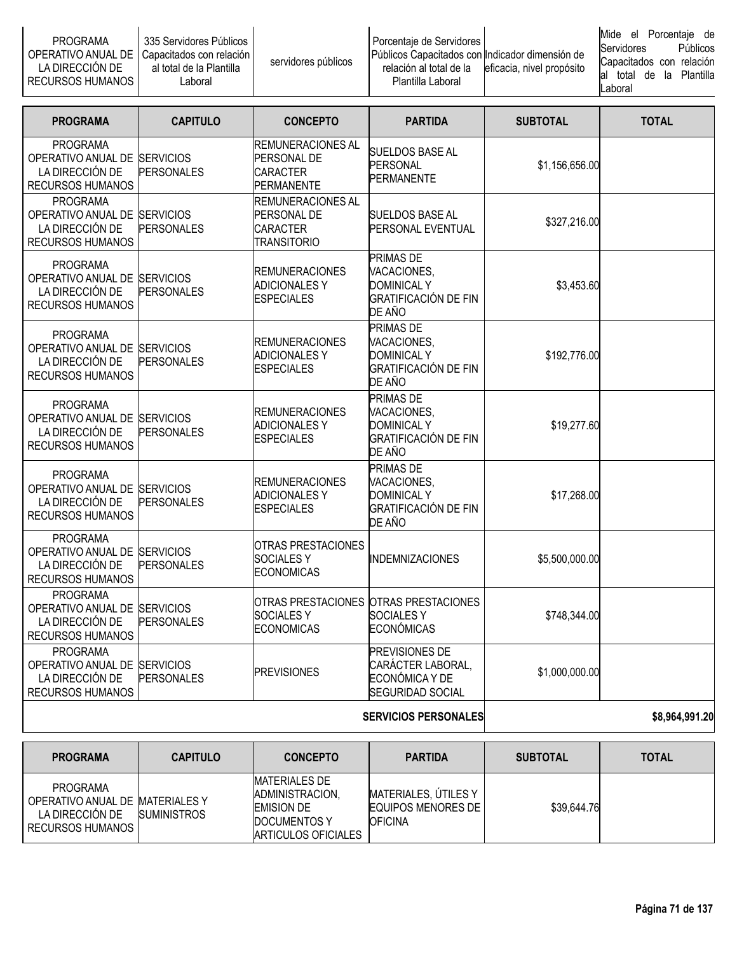| <b>PROGRAMA</b><br>LA DIRECCION DE<br><b>RECURSOS HUMANOS  </b> | ∟335 Servidores Públicos II<br>OPERATIVO ANUAL DE   Capacitados con relación  <br>al total de la Plantilla<br>∟aboral | servidores públicos | Porcentaie de Servidores I<br>Públicos Capacitados con Indicador dimensión de<br>relación al total de la<br>Plantilla Laboral | eficacia, nivel propósito | Mide el Porcentaie de<br><b>Servidores</b><br>Capacitados con relación<br>total<br>lal<br><b>Laboral</b> |  | la.<br>de |  | <b>Públicos</b><br>Plantilla |
|-----------------------------------------------------------------|-----------------------------------------------------------------------------------------------------------------------|---------------------|-------------------------------------------------------------------------------------------------------------------------------|---------------------------|----------------------------------------------------------------------------------------------------------|--|-----------|--|------------------------------|
|-----------------------------------------------------------------|-----------------------------------------------------------------------------------------------------------------------|---------------------|-------------------------------------------------------------------------------------------------------------------------------|---------------------------|----------------------------------------------------------------------------------------------------------|--|-----------|--|------------------------------|

| <b>PROGRAMA</b>                                                                               | <b>CAPITULO</b>   | <b>CONCEPTO</b>                                                                  | <b>PARTIDA</b>                                                                                 | <b>SUBTOTAL</b> | <b>TOTAL</b>   |
|-----------------------------------------------------------------------------------------------|-------------------|----------------------------------------------------------------------------------|------------------------------------------------------------------------------------------------|-----------------|----------------|
| <b>PROGRAMA</b><br>OPERATIVO ANUAL DE SERVICIOS<br>LA DIRECCIÓN DE<br><b>RECURSOS HUMANOS</b> | <b>PERSONALES</b> | <b>REMUNERACIONES AL</b><br>PERSONAL DE<br><b>CARACTER</b><br><b>PERMANENTE</b>  | <b>SUELDOS BASE AL</b><br>PERSONAL<br><b>PERMANENTE</b>                                        | \$1,156,656.00  |                |
| <b>PROGRAMA</b><br>OPERATIVO ANUAL DE SERVICIOS<br>LA DIRECCIÓN DE<br><b>RECURSOS HUMANOS</b> | <b>PERSONALES</b> | <b>REMUNERACIONES AL</b><br>PERSONAL DE<br><b>CARACTER</b><br><b>TRANSITORIO</b> | SUELDOS BASE AL<br>PERSONAL EVENTUAL                                                           | \$327,216.00    |                |
| <b>PROGRAMA</b><br>OPERATIVO ANUAL DE SERVICIOS<br>LA DIRECCIÓN DE<br><b>RECURSOS HUMANOS</b> | <b>PERSONALES</b> | <b>REMUNERACIONES</b><br>ADICIONALES Y<br><b>ESPECIALES</b>                      | PRIMAS DE<br>VACACIONES,<br><b>DOMINICAL Y</b><br><b>GRATIFICACIÓN DE FIN</b><br>DE AÑO        | \$3,453.60      |                |
| <b>PROGRAMA</b><br>OPERATIVO ANUAL DE SERVICIOS<br>LA DIRECCIÓN DE<br><b>RECURSOS HUMANOS</b> | <b>PERSONALES</b> | <b>REMUNERACIONES</b><br><b>ADICIONALES Y</b><br><b>ESPECIALES</b>               | <b>PRIMAS DE</b><br>VACACIONES.<br><b>DOMINICAL Y</b><br><b>GRATIFICACIÓN DE FIN</b><br>DE AÑO | \$192,776.00    |                |
| <b>PROGRAMA</b><br>OPERATIVO ANUAL DE SERVICIOS<br>LA DIRECCIÓN DE<br><b>RECURSOS HUMANOS</b> | <b>PERSONALES</b> | <b>REMUNERACIONES</b><br><b>ADICIONALES Y</b><br><b>ESPECIALES</b>               | PRIMAS DE<br>VACACIONES,<br><b>DOMINICAL Y</b><br>GRATIFICACIÓN DE FIN<br>DE AÑO               | \$19,277.60     |                |
| <b>PROGRAMA</b><br>OPERATIVO ANUAL DE SERVICIOS<br>LA DIRECCIÓN DE<br><b>RECURSOS HUMANOS</b> | <b>PERSONALES</b> | <b>REMUNERACIONES</b><br><b>ADICIONALES Y</b><br><b>ESPECIALES</b>               | PRIMAS DE<br>VACACIONES,<br><b>DOMINICAL Y</b><br><b>GRATIFICACIÓN DE FIN</b><br>DE AÑO        | \$17,268.00     |                |
| <b>PROGRAMA</b><br>OPERATIVO ANUAL DE SERVICIOS<br>LA DIRECCIÓN DE<br>RECURSOS HUMANOS        | <b>PERSONALES</b> | OTRAS PRESTACIONES<br><b>SOCIALES Y</b><br><b>ECONOMICAS</b>                     | <b>INDEMNIZACIONES</b>                                                                         | \$5,500,000.00  |                |
| <b>PROGRAMA</b><br>OPERATIVO ANUAL DE SERVICIOS<br>LA DIRECCIÓN DE<br><b>RECURSOS HUMANOS</b> | <b>PERSONALES</b> | <b>SOCIALES Y</b><br><b>ECONOMICAS</b>                                           | OTRAS PRESTACIONES OTRAS PRESTACIONES<br><b>SOCIALESY</b><br><b>ECONÓMICAS</b>                 | \$748,344.00    |                |
| <b>PROGRAMA</b><br>OPERATIVO ANUAL DE SERVICIOS<br>LA DIRECCIÓN DE<br><b>RECURSOS HUMANOS</b> | <b>PERSONALES</b> | <b>PREVISIONES</b>                                                               | PREVISIONES DE<br>CARÁCTER LABORAL,<br>ECONÓMICA Y DE<br>SEGURIDAD SOCIAL                      | \$1,000,000.00  |                |
|                                                                                               |                   |                                                                                  | <b>SERVICIOS PERSONALES</b>                                                                    |                 | \$8,964,991.20 |

| <b>PROGRAMA</b>                                                                           | <b>CAPITULO</b>    | <b>CONCEPTO</b>                                                                                             | <b>PARTIDA</b>                                                 | <b>SUBTOTAL</b> | <b>TOTAL</b> |
|-------------------------------------------------------------------------------------------|--------------------|-------------------------------------------------------------------------------------------------------------|----------------------------------------------------------------|-----------------|--------------|
| PROGRAMA<br>OPERATIVO ANUAL DE MATERIALES Y<br>LA DIRECCIÓN DE<br><b>RECURSOS HUMANOS</b> | <b>SUMINISTROS</b> | <b>MATERIALES DE</b><br>ADMINISTRACION.<br><b>EMISION DE</b><br><b>IDOCUMENTOS Y</b><br>ARTICULOS OFICIALES | MATERIALES, ÚTILES Y<br>EQUIPOS MENORES DE I<br><b>OFICINA</b> | \$39,644.76     |              |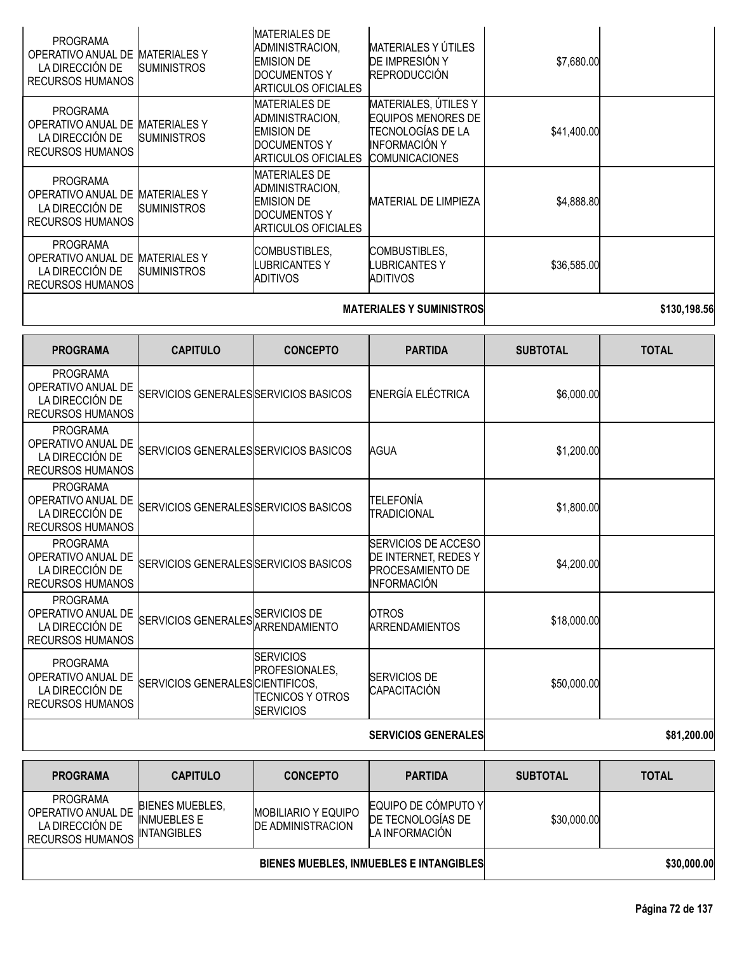| <b>PROGRAMA</b><br>OPERATIVO ANUAL DE<br>LA DIRECCIÓN DE<br><b>RECURSOS HUMANOS</b> | <b>MATERIALES Y</b><br><b>SUMINISTROS</b> | <b>MATERIALES DE</b><br>ADMINISTRACION,<br><b>EMISION DE</b><br>DOCUMENTOS Y<br>IARTICULOS OFICIALES | <b>MATERIALES Y ÚTILES</b><br>DE IMPRESIÓN Y<br><b>REPRODUCCIÓN</b>                                              | \$7,680.00  |  |
|-------------------------------------------------------------------------------------|-------------------------------------------|------------------------------------------------------------------------------------------------------|------------------------------------------------------------------------------------------------------------------|-------------|--|
| <b>PROGRAMA</b><br>OPERATIVO ANUAL DE<br>LA DIRECCIÓN DE<br><b>RECURSOS HUMANOS</b> | <b>MATERIALES Y</b><br><b>SUMINISTROS</b> | <b>MATERIALES DE</b><br>ADMINISTRACION,<br><b>EMISION DE</b><br>DOCUMENTOS Y<br>ARTICULOS OFICIALES  | MATERIALES, ÚTILES Y<br>EQUIPOS MENORES DE<br>TECNOLOGÍAS DE LA<br><b>INFORMACIÓN Y</b><br><b>COMUNICACIONES</b> | \$41,400.00 |  |
| <b>PROGRAMA</b><br>OPERATIVO ANUAL DE<br>LA DIRECCIÓN DE<br><b>RECURSOS HUMANOS</b> | <b>MATERIALES Y</b><br><b>SUMINISTROS</b> | <b>MATERIALES DE</b><br>ADMINISTRACION,<br><b>EMISION DE</b><br>DOCUMENTOS Y<br>IARTICULOS OFICIALES | <b>MATERIAL DE LIMPIEZA</b>                                                                                      | \$4,888.80  |  |
| <b>PROGRAMA</b><br>OPERATIVO ANUAL DE<br>LA DIRECCIÓN DE<br><b>RECURSOS HUMANOS</b> | <b>MATERIALES Y</b><br><b>SUMINISTROS</b> | COMBUSTIBLES,<br>LUBRICANTES Y<br>ADITIVOS                                                           | COMBUSTIBLES,<br>LUBRICANTES Y<br>ADITIVOS                                                                       | \$36,585.00 |  |
|                                                                                     |                                           |                                                                                                      |                                                                                                                  |             |  |

## **MATERIALES Y SUMINISTROS 198.56**

| <b>PROGRAMA</b>                                                                     | <b>CAPITULO</b>                       | <b>CONCEPTO</b>                                                                    | <b>PARTIDA</b>                                                                                      | <b>SUBTOTAL</b> | <b>TOTAL</b> |
|-------------------------------------------------------------------------------------|---------------------------------------|------------------------------------------------------------------------------------|-----------------------------------------------------------------------------------------------------|-----------------|--------------|
| <b>PROGRAMA</b><br>OPERATIVO ANUAL DE<br>LA DIRECCIÓN DE<br><b>RECURSOS HUMANOS</b> | SERVICIOS GENERALES SERVICIOS BASICOS |                                                                                    | ENERGÍA ELÉCTRICA                                                                                   | \$6,000.00      |              |
| <b>PROGRAMA</b><br>OPERATIVO ANUAL DE<br>LA DIRECCIÓN DE<br><b>RECURSOS HUMANOS</b> | SERVICIOS GENERALES SERVICIOS BASICOS |                                                                                    | AGUA                                                                                                | \$1,200.00      |              |
| <b>PROGRAMA</b><br>OPERATIVO ANUAL DE<br>LA DIRECCIÓN DE<br><b>RECURSOS HUMANOS</b> | SERVICIOS GENERALES SERVICIOS BASICOS |                                                                                    | TELEFONÍA<br>TRADICIONAL                                                                            | \$1,800.00      |              |
| <b>PROGRAMA</b><br>OPERATIVO ANUAL DE<br>LA DIRECCIÓN DE<br><b>RECURSOS HUMANOS</b> | SERVICIOS GENERALES SERVICIOS BASICOS |                                                                                    | <b>SERVICIOS DE ACCESO</b><br>DE INTERNET, REDES Y<br><b>PROCESAMIENTO DE</b><br><b>INFORMACIÓN</b> | \$4,200.00      |              |
| <b>PROGRAMA</b><br>OPERATIVO ANUAL DE<br>LA DIRECCIÓN DE<br><b>RECURSOS HUMANOS</b> | SERVICIOS GENERALES SERVICIOS DE      | <b>ARRENDAMIENTO</b>                                                               | <b>OTROS</b><br><b>ARRENDAMIENTOS</b>                                                               | \$18,000.00     |              |
| <b>PROGRAMA</b><br>OPERATIVO ANUAL DE<br>LA DIRECCIÓN DE<br><b>RECURSOS HUMANOS</b> | SERVICIOS GENERALES CIENTIFICOS,      | <b>SERVICIOS</b><br><b>PROFESIONALES.</b><br>ITECNICOS Y OTROS<br><b>SERVICIOS</b> | <b>SERVICIOS DE</b><br>CAPACITACIÓN                                                                 | \$50,000.00     |              |
|                                                                                     |                                       |                                                                                    | <b>SERVICIOS GENERALES</b>                                                                          |                 | \$81,200.00  |

| <b>PROGRAMA</b>                                                                     | <b>CAPITULO</b>                                                    | <b>CONCEPTO</b>                                         | <b>PARTIDA</b>                                                     | <b>SUBTOTAL</b> | <b>TOTAL</b> |
|-------------------------------------------------------------------------------------|--------------------------------------------------------------------|---------------------------------------------------------|--------------------------------------------------------------------|-----------------|--------------|
| <b>PROGRAMA</b><br>OPERATIVO ANUAL DE<br>LA DIRECCIÓN DE<br><b>RECURSOS HUMANOS</b> | <b>BIENES MUEBLES.</b><br><b>INMUEBLES E</b><br><b>INTANGIBLES</b> | <b>MOBILIARIO Y EQUIPO</b><br><b>IDE ADMINISTRACION</b> | EQUIPO DE CÓMPUTO Y<br><b>IDE TECNOLOGÍAS DE</b><br>LA INFORMACIÓN | \$30,000.00     |              |
| BIENES MUEBLES, INMUEBLES E INTANGIBLES                                             |                                                                    |                                                         |                                                                    | \$30,000.00     |              |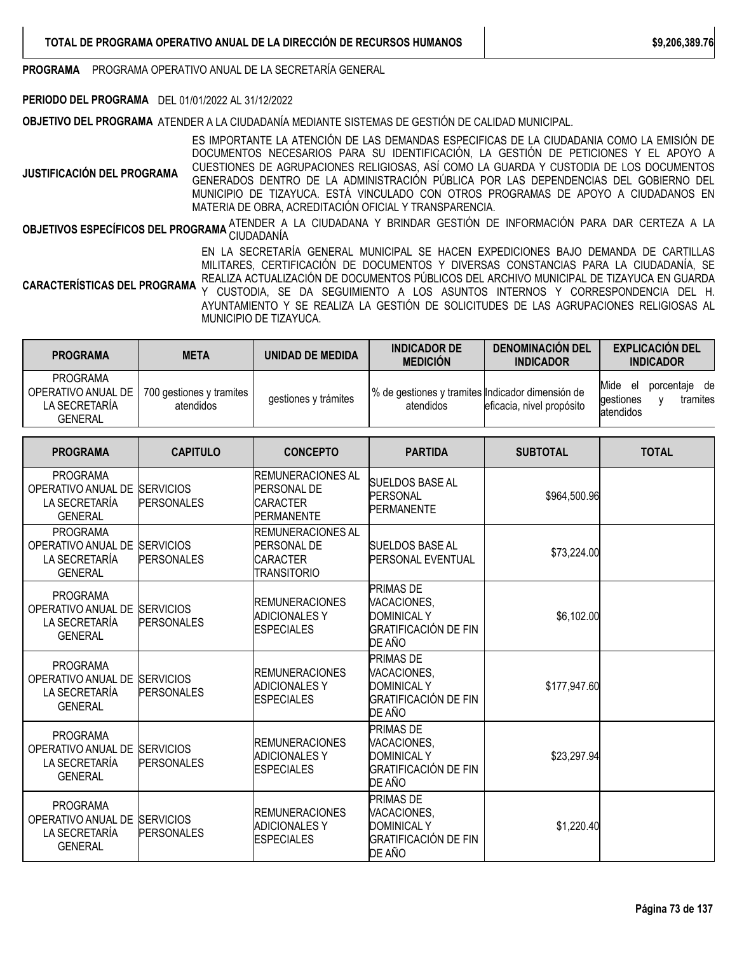**PROGRAMA** PROGRAMA OPERATIVO ANUAL DE LA SECRETARÍA GENERAL

### **PERIODO DEL PROGRAMA** DEL 01/01/2022 AL 31/12/2022

**OBJETIVO DEL PROGRAMA** ATENDER A LA CIUDADANÍA MEDIANTE SISTEMAS DE GESTIÓN DE CALIDAD MUNICIPAL.

**JUSTIFICACIÓN DEL PROGRAMA** ES IMPORTANTE LA ATENCIÓN DE LAS DEMANDAS ESPECIFICAS DE LA CIUDADANIA COMO LA EMISIÓN DE DOCUMENTOS NECESARIOS PARA SU IDENTIFICACIÓN, LA GESTIÓN DE PETICIONES Y EL APOYO A CUESTIONES DE AGRUPACIONES RELIGIOSAS, ASÍ COMO LA GUARDA Y CUSTODIA DE LOS DOCUMENTOS GENERADOS DENTRO DE LA ADMINISTRACIÓN PÚBLICA POR LAS DEPENDENCIAS DEL GOBIERNO DEL MUNICIPIO DE TIZAYUCA. ESTÁ VINCULADO CON OTROS PROGRAMAS DE APOYO A CIUDADANOS EN MATERIA DE OBRA, ACREDITACIÓN OFICIAL Y TRANSPARENCIA.

**OBJETIVOS ESPECÍFICOS DEL PROGRAMA** ATENDER A LA CIUDADANA Y BRINDAR GESTIÓN DE INFORMACIÓN PARA DAR CERTEZA A LA<br>.

EN LA SECRETARÍA GENERAL MUNICIPAL SE HACEN EXPEDICIONES BAJO DEMANDA DE CARTILLAS MILITARES, CERTIFICACIÓN DE DOCUMENTOS Y DIVERSAS CONSTANCIAS PARA LA CIUDADANÍA, SE REALIZA ACTUALIZACIÓN DE DOCUMENTOS PÚBLICOS DEL ARCHIVO MUNICIPAL DE TIZAYUCA EN GUARDA

**CARACTERÍSTICAS DEL PROGRAMA** Y CUSTODIA, SE DA SEGUIMIENTO A LOS ASUNTOS INTERNOS Y CORRESPONDENCIA DEL H. AYUNTAMIENTO Y SE REALIZA LA GESTIÓN DE SOLICITUDES DE LAS AGRUPACIONES RELIGIOSAS AL MUNICIPIO DE TIZAYUCA.

| <b>PROGRAMA</b>                                                          | <b>META</b>                           | UNIDAD DE MEDIDA     | <b>INDICADOR DE</b><br><b>MEDICION</b>                        | <b>DENOMINACION DEL</b><br><b>INDICADOR</b> | <b>EXPLICACIÓN DEL</b><br><b>INDICADOR</b>                        |
|--------------------------------------------------------------------------|---------------------------------------|----------------------|---------------------------------------------------------------|---------------------------------------------|-------------------------------------------------------------------|
| <b>PROGRAMA</b><br>OPERATIVO ANUAL DE<br>LA SECRETARÍA<br><b>GENERAL</b> | 700 gestiones y tramites<br>atendidos | gestiones y trámites | % de gestiones y tramites Indicador dimensión de<br>atendidos | eficacia, nivel propósito                   | Mide<br>porcentaie de<br>el<br>gestiones<br>tramites<br>atendidos |

| <b>PROGRAMA</b>                                                                    | <b>CAPITULO</b>                       | <b>CONCEPTO</b>                                                                        | <b>PARTIDA</b>                                                                                 | <b>SUBTOTAL</b> | <b>TOTAL</b> |
|------------------------------------------------------------------------------------|---------------------------------------|----------------------------------------------------------------------------------------|------------------------------------------------------------------------------------------------|-----------------|--------------|
| <b>PROGRAMA</b><br>OPERATIVO ANUAL DE<br>LA SECRETARÍA<br><b>GENERAL</b>           | <b>SERVICIOS</b><br><b>PERSONALES</b> | <b>REMUNERACIONES AL</b><br><b>PERSONAL DE</b><br><b>CARACTER</b><br><b>PERMANENTE</b> | <b>SUELDOS BASE AL</b><br><b>PERSONAL</b><br><b>PERMANENTE</b>                                 | \$964,500.96    |              |
| <b>PROGRAMA</b><br>OPERATIVO ANUAL DE<br>LA SECRETARÍA<br><b>GENERAL</b>           | <b>SERVICIOS</b><br><b>PERSONALES</b> | <b>REMUNERACIONES AL</b><br><b>PERSONAL DE</b><br><b>CARACTER</b><br>TRANSITORIO       | <b>SUELDOS BASE AL</b><br><b>PERSONAL EVENTUAL</b>                                             | \$73,224.00     |              |
| <b>PROGRAMA</b><br>OPERATIVO ANUAL DE<br>LA SECRETARÍA<br><b>GENERAL</b>           | <b>SERVICIOS</b><br><b>PERSONALES</b> | <b>REMUNERACIONES</b><br><b>ADICIONALES Y</b><br><b>ESPECIALES</b>                     | <b>PRIMAS DE</b><br>VACACIONES,<br><b>DOMINICAL Y</b><br><b>GRATIFICACIÓN DE FIN</b><br>DE AÑO | \$6,102.00      |              |
| <b>PROGRAMA</b><br>OPERATIVO ANUAL DE SERVICIOS<br>LA SECRETARÍA<br><b>GENERAL</b> | <b>PERSONALES</b>                     | <b>REMUNERACIONES</b><br><b>ADICIONALES Y</b><br><b>ESPECIALES</b>                     | <b>PRIMAS DE</b><br>VACACIONES,<br><b>DOMINICAL Y</b><br><b>GRATIFICACIÓN DE FIN</b><br>DE AÑO | \$177,947.60    |              |
| <b>PROGRAMA</b><br>OPERATIVO ANUAL DE<br>LA SECRETARÍA<br><b>GENERAL</b>           | <b>SERVICIOS</b><br><b>PERSONALES</b> | <b>REMUNERACIONES</b><br><b>ADICIONALES Y</b><br><b>ESPECIALES</b>                     | <b>PRIMAS DE</b><br>VACACIONES,<br><b>DOMINICAL Y</b><br><b>GRATIFICACIÓN DE FIN</b><br>DE AÑO | \$23,297.94     |              |
| <b>PROGRAMA</b><br>OPERATIVO ANUAL DE<br>LA SECRETARÍA<br><b>GENERAL</b>           | <b>SERVICIOS</b><br><b>PERSONALES</b> | <b>IREMUNERACIONES</b><br><b>ADICIONALESY</b><br><b>ESPECIALES</b>                     | <b>PRIMAS DE</b><br>VACACIONES,<br><b>DOMINICAL Y</b><br><b>GRATIFICACIÓN DE FIN</b><br>DE AÑO | \$1,220.40      |              |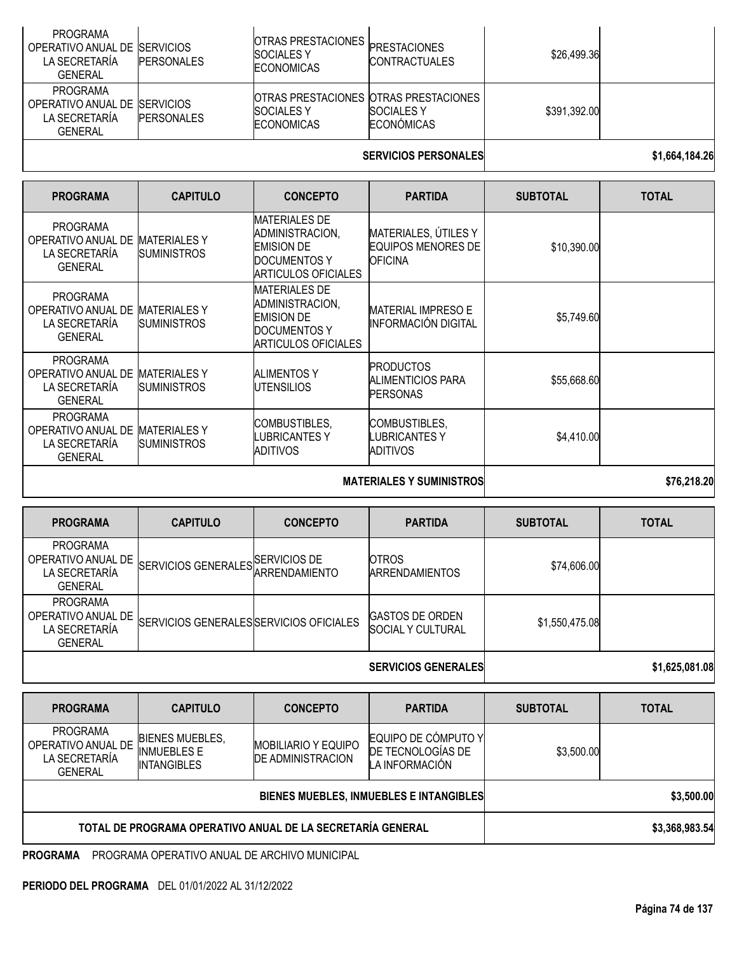| <b>PROGRAMA</b><br>OPERATIVO ANUAL DE ISERVICIOS<br>I A SECRETARÍA<br>GENERAL       | <b>PERSONALES</b> | <b>OTRAS PRESTACIONES PRESTACIONES</b><br><b>ISOCIALES Y</b><br><b>ECONOMICAS</b>         | <b>CONTRACTUALES</b>                   | \$26,499.36  |  |
|-------------------------------------------------------------------------------------|-------------------|-------------------------------------------------------------------------------------------|----------------------------------------|--------------|--|
| <b>PROGRAMA</b><br>OPERATIVO ANUAL DE SERVICIOS<br>I A SECRETARÍA<br><b>GENERAL</b> | <b>PERSONALES</b> | <b>IOTRAS PRESTACIONES IOTRAS PRESTACIONES</b><br><b>ISOCIALES Y</b><br><b>ECONOMICAS</b> | <b>SOCIALES Y</b><br><b>ECONOMICAS</b> | \$391,392.00 |  |

## **SERVICIOS PERSONALES 1,664,184.26**

| <b>PROGRAMA</b>                                                          | <b>CAPITULO</b>                           | <b>CONCEPTO</b>                                                                                            | <b>PARTIDA</b>                                               | <b>SUBTOTAL</b> | <b>TOTAL</b> |
|--------------------------------------------------------------------------|-------------------------------------------|------------------------------------------------------------------------------------------------------------|--------------------------------------------------------------|-----------------|--------------|
| <b>PROGRAMA</b><br>OPERATIVO ANUAL DE<br>LA SECRETARÍA<br><b>GENERAL</b> | <b>MATERIALES Y</b><br><b>SUMINISTROS</b> | <b>MATERIALES DE</b><br>ADMINISTRACION,<br><b>EMISION DE</b><br>DOCUMENTOS Y<br><b>ARTICULOS OFICIALES</b> | MATERIALES, ÚTILES Y<br>EQUIPOS MENORES DE<br><b>OFICINA</b> | \$10,390.00     |              |
| <b>PROGRAMA</b><br>OPERATIVO ANUAL DE<br>LA SECRETARÍA<br><b>GENERAL</b> | <b>MATERIALESY</b><br><b>SUMINISTROS</b>  | <b>MATERIALES DE</b><br>ADMINISTRACION,<br><b>EMISION DE</b><br><b>DOCUMENTOS Y</b><br>ARTICULOS OFICIALES | <b>IMATERIAL IMPRESO E</b><br><b>INFORMACIÓN DIGITAL</b>     | \$5,749.60      |              |
| <b>PROGRAMA</b><br>OPERATIVO ANUAL DE<br>LA SECRETARÍA<br><b>GENERAL</b> | <b>MATERIALES Y</b><br><b>SUMINISTROS</b> | <b>ALIMENTOS Y</b><br><b>UTENSILIOS</b>                                                                    | <b>PRODUCTOS</b><br>ALIMENTICIOS PARA<br><b>PERSONAS</b>     | \$55,668.60     |              |
| <b>PROGRAMA</b><br>OPERATIVO ANUAL DE<br>LA SECRETARÍA<br><b>GENERAL</b> | <b>MATERIALES Y</b><br><b>SUMINISTROS</b> | COMBUSTIBLES,<br>LUBRICANTES Y<br>ADITIVOS                                                                 | COMBUSTIBLES,<br>LUBRICANTES Y<br>ADITIVOS                   | \$4,410.00      |              |
|                                                                          |                                           |                                                                                                            | \$76,218.20                                                  |                 |              |

| <b>PROGRAMA</b>                                                          | <b>CAPITULO</b>                         | <b>CONCEPTO</b> | <b>PARTIDA</b>                                     | <b>SUBTOTAL</b> | <b>TOTAL</b> |
|--------------------------------------------------------------------------|-----------------------------------------|-----------------|----------------------------------------------------|-----------------|--------------|
| <b>PROGRAMA</b><br>OPERATIVO ANUAL DE<br>LA SECRETARÍA<br><b>GENERAL</b> | SERVICIOS GENERALES SERVICIOS DE        |                 | <b>OTROS</b><br><b>ARRENDAMIENTOS</b>              | \$74,606.00     |              |
| <b>PROGRAMA</b><br>OPERATIVO ANUAL DE<br>LA SECRETARÍA<br><b>GENERAL</b> | SERVICIOS GENERALES SERVICIOS OFICIALES |                 | <b>GASTOS DE ORDEN</b><br><b>SOCIAL Y CULTURAL</b> | \$1,550,475.08  |              |
|                                                                          |                                         |                 | ---- <i>-------------</i>                          |                 | .            |

**SERVICIOS GENERALES \$1,625,081.08**

| <b>PROGRAMA</b>                                                          | <b>CAPITULO</b>                                                    | <b>CONCEPTO</b>                                         | <b>PARTIDA</b>                                             | <b>SUBTOTAL</b> | <b>TOTAL</b> |
|--------------------------------------------------------------------------|--------------------------------------------------------------------|---------------------------------------------------------|------------------------------------------------------------|-----------------|--------------|
| <b>PROGRAMA</b><br>OPERATIVO ANUAL DE<br>LA SECRETARÍA<br><b>GENERAL</b> | <b>BIENES MUEBLES,</b><br><b>INMUEBLES E</b><br><b>INTANGIBLES</b> | <b>MOBILIARIO Y EQUIPO</b><br><b>IDE ADMINISTRACION</b> | EQUIPO DE CÓMPUTO Y<br>DE TECNOLOGÍAS DE<br>LA INFORMACIÓN | \$3,500.00      |              |
|                                                                          |                                                                    | BIENES MUEBLES, INMUEBLES E INTANGIBLES                 | \$3,500.00                                                 |                 |              |
|                                                                          | TOTAL DE PROGRAMA OPERATIVO ANUAL DE LA SECRETARÍA GENERAL         |                                                         | \$3,368,983.54                                             |                 |              |

**PROGRAMA** PROGRAMA OPERATIVO ANUAL DE ARCHIVO MUNICIPAL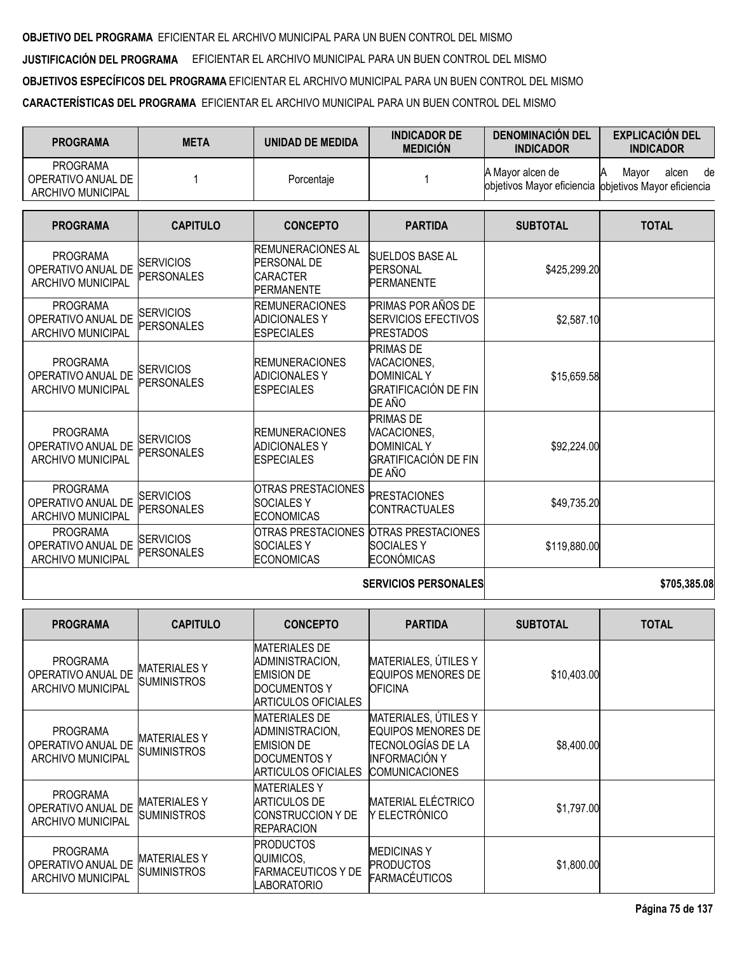**OBJETIVO DEL PROGRAMA** EFICIENTAR EL ARCHIVO MUNICIPAL PARA UN BUEN CONTROL DEL MISMO **JUSTIFICACIÓN DEL PROGRAMA** EFICIENTAR EL ARCHIVO MUNICIPAL PARA UN BUEN CONTROL DEL MISMO **OBJETIVOS ESPECÍFICOS DEL PROGRAMA** EFICIENTAR EL ARCHIVO MUNICIPAL PARA UN BUEN CONTROL DEL MISMO **CARACTERÍSTICAS DEL PROGRAMA** EFICIENTAR EL ARCHIVO MUNICIPAL PARA UN BUEN CONTROL DEL MISMO

| <b>PROGRAMA</b>                                                   | <b>META</b>                           | <b>UNIDAD DE MEDIDA</b>                                                                | <b>INDICADOR DE</b><br><b>MEDICIÓN</b>                                                         | <b>DENOMINACIÓN DEL</b><br><b>INDICADOR</b>                               | <b>EXPLICACIÓN DEL</b><br><b>INDICADOR</b> |
|-------------------------------------------------------------------|---------------------------------------|----------------------------------------------------------------------------------------|------------------------------------------------------------------------------------------------|---------------------------------------------------------------------------|--------------------------------------------|
| <b>PROGRAMA</b><br>OPERATIVO ANUAL DE<br><b>ARCHIVO MUNICIPAL</b> | 1                                     | Porcentaje                                                                             |                                                                                                | A Mayor alcen de<br>objetivos Mayor eficiencia objetivos Mayor eficiencia | Mayor<br>alcen<br>de                       |
| <b>PROGRAMA</b>                                                   | <b>CAPITULO</b>                       | <b>CONCEPTO</b>                                                                        | <b>PARTIDA</b>                                                                                 | <b>SUBTOTAL</b>                                                           | <b>TOTAL</b>                               |
| <b>PROGRAMA</b><br>OPERATIVO ANUAL DE<br><b>ARCHIVO MUNICIPAL</b> | <b>SERVICIOS</b><br><b>PERSONALES</b> | <b>REMUNERACIONES AL</b><br><b>PERSONAL DE</b><br><b>CARACTER</b><br><b>PERMANENTE</b> | <b>SUELDOS BASE AL</b><br><b>PERSONAL</b><br><b>PERMANENTE</b>                                 | \$425,299.20                                                              |                                            |
| <b>PROGRAMA</b><br>OPERATIVO ANUAL DE<br><b>ARCHIVO MUNICIPAL</b> | <b>SERVICIOS</b><br><b>PERSONALES</b> | <b>REMUNERACIONES</b><br><b>ADICIONALES Y</b><br><b>ESPECIALES</b>                     | PRIMAS POR AÑOS DE<br><b>SERVICIOS EFECTIVOS</b><br><b>PRESTADOS</b>                           | \$2,587.10                                                                |                                            |
| <b>PROGRAMA</b><br>OPERATIVO ANUAL DE<br><b>ARCHIVO MUNICIPAL</b> | <b>SERVICIOS</b><br><b>PERSONALES</b> | <b>REMUNERACIONES</b><br><b>ADICIONALES Y</b><br><b>ESPECIALES</b>                     | <b>PRIMAS DE</b><br>VACACIONES,<br><b>DOMINICAL Y</b><br>GRATIFICACIÓN DE FIN<br>DE AÑO        | \$15,659.58                                                               |                                            |
| <b>PROGRAMA</b><br>OPERATIVO ANUAL DE<br><b>ARCHIVO MUNICIPAL</b> | <b>SERVICIOS</b><br><b>PERSONALES</b> | <b>REMUNERACIONES</b><br><b>ADICIONALES Y</b><br><b>ESPECIALES</b>                     | <b>PRIMAS DE</b><br>VACACIONES,<br><b>DOMINICAL Y</b><br><b>GRATIFICACIÓN DE FIN</b><br>DE AÑO | \$92,224.00                                                               |                                            |
| <b>PROGRAMA</b><br>OPERATIVO ANUAL DE<br><b>ARCHIVO MUNICIPAL</b> | <b>SERVICIOS</b><br><b>PERSONALES</b> | <b>OTRAS PRESTACIONES</b><br><b>SOCIALESY</b><br><b>ECONOMICAS</b>                     | <b>PRESTACIONES</b><br><b>CONTRACTUALES</b>                                                    | \$49,735.20                                                               |                                            |
| <b>PROGRAMA</b><br>OPERATIVO ANUAL DE<br><b>ARCHIVO MUNICIPAL</b> | <b>SERVICIOS</b><br><b>PERSONALES</b> | <b>OTRAS PRESTACIONES</b><br><b>SOCIALESY</b><br><b>ECONOMICAS</b>                     | <b>OTRAS PRESTACIONES</b><br><b>SOCIALESY</b><br><b>ECONÓMICAS</b>                             | \$119,880.00                                                              |                                            |
|                                                                   |                                       |                                                                                        | <b>CEDUICIOS DEDCONALES</b>                                                                    |                                                                           | <b>CJOE 20E 00</b>                         |

| <b>SERVICIOS PERSONALES</b> |
|-----------------------------|
|                             |

**SERVICIOS PERSONALES \$705,385.08**

| <b>PROGRAMA</b>                                                   | <b>CAPITULO</b>                          | <b>CONCEPTO</b>                                                                                            | <b>PARTIDA</b>                                                                                                          | <b>SUBTOTAL</b> | <b>TOTAL</b> |
|-------------------------------------------------------------------|------------------------------------------|------------------------------------------------------------------------------------------------------------|-------------------------------------------------------------------------------------------------------------------------|-----------------|--------------|
| <b>PROGRAMA</b><br>OPERATIVO ANUAL DE<br><b>ARCHIVO MUNICIPAL</b> | <b>MATERIALESY</b><br><b>SUMINISTROS</b> | <b>MATERIALES DE</b><br>ADMINISTRACION,<br><b>EMISION DE</b><br><b>DOCUMENTOS Y</b><br>ARTICULOS OFICIALES | MATERIALES, ÚTILES Y<br><b>EQUIPOS MENORES DE</b><br><b>OFICINA</b>                                                     | \$10,403.00     |              |
| <b>PROGRAMA</b><br>OPERATIVO ANUAL DE<br><b>ARCHIVO MUNICIPAL</b> | <b>MATERIALESY</b><br><b>SUMINISTROS</b> | <b>MATERIALES DE</b><br>ADMINISTRACION,<br><b>EMISION DE</b><br>DOCUMENTOS Y<br>ARTICULOS OFICIALES        | MATERIALES, ÚTILES Y<br><b>EQUIPOS MENORES DE</b><br>TECNOLOGÍAS DE LA<br><b>INFORMACIÓN Y</b><br><b>COMUNICACIONES</b> | \$8,400.00      |              |
| <b>PROGRAMA</b><br>OPERATIVO ANUAL DE<br><b>ARCHIVO MUNICIPAL</b> | <b>MATERIALESY</b><br><b>SUMINISTROS</b> | <b>MATERIALES Y</b><br><b>ARTICULOS DE</b><br>ICONSTRUCCION Y DE<br><b>REPARACION</b>                      | <b>MATERIAL ELÉCTRICO</b><br>Y ELECTRÓNICO                                                                              | \$1,797.00      |              |
| <b>PROGRAMA</b><br>OPERATIVO ANUAL DE<br><b>ARCHIVO MUNICIPAL</b> | <b>MATERIALESY</b><br>SUMINISTROS        | <b>PRODUCTOS</b><br>QUIMICOS,<br>FARMACEUTICOS Y DE<br>LABORATORIO                                         | <b>MEDICINAS Y</b><br><b>PRODUCTOS</b><br><b>FARMACÉUTICOS</b>                                                          | \$1,800.00      |              |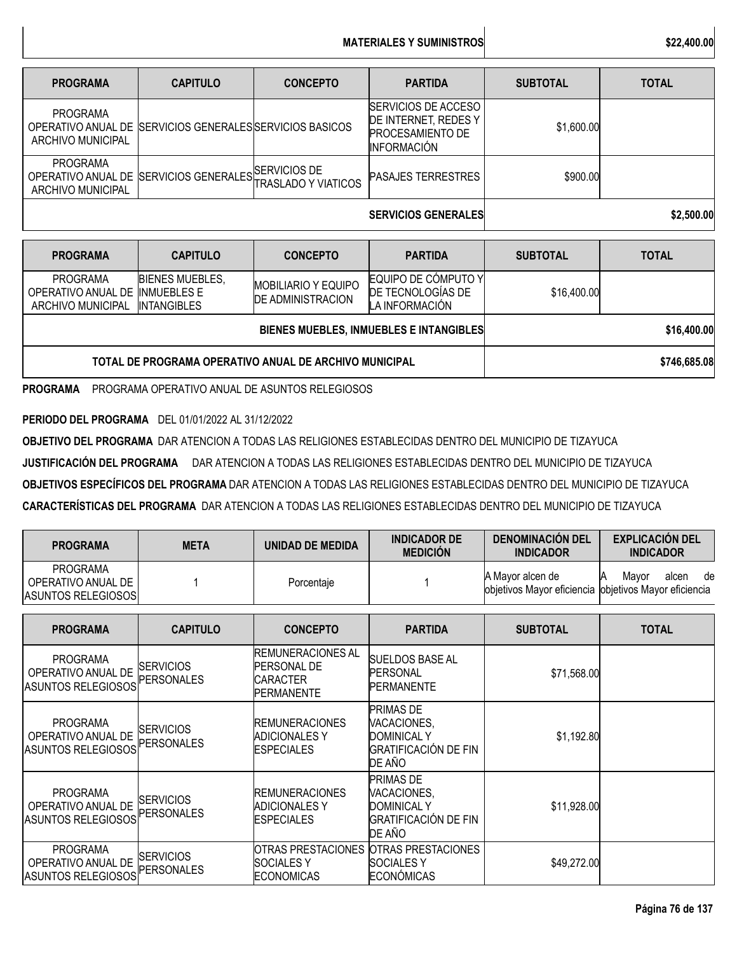| <b>PROGRAMA</b>                      | <b>CAPITULO</b>                                            | <b>CONCEPTO</b> | <b>PARTIDA</b>                                                                                      | <b>SUBTOTAL</b> | <b>TOTAL</b> |
|--------------------------------------|------------------------------------------------------------|-----------------|-----------------------------------------------------------------------------------------------------|-----------------|--------------|
| <b>PROGRAMA</b><br>ARCHIVO MUNICIPAL | OPERATIVO ANUAL DE SERVICIOS GENERALES SERVICIOS BASICOS   |                 | <b>SERVICIOS DE ACCESO</b><br>DE INTERNET, REDES Y<br><b>PROCESAMIENTO DE</b><br><b>INFORMACIÓN</b> | \$1,600.00      |              |
| <b>PROGRAMA</b><br>ARCHIVO MUNICIPAL | OPERATIVO ANUAL DE SERVICIOS GENERALES TRASLADO Y VIATICOS |                 | <b>PASAJES TERRESTRES</b>                                                                           | \$900.00        |              |
|                                      |                                                            |                 | <b>SERVICIOS GENERALES</b>                                                                          |                 | \$2,500.00   |

| <b>PROGRAMA</b>                                        | <b>CAPITULO</b>                                             | <b>CONCEPTO</b>                                        | <b>PARTIDA</b>                                             | <b>SUBTOTAL</b> | <b>TOTAL</b> |
|--------------------------------------------------------|-------------------------------------------------------------|--------------------------------------------------------|------------------------------------------------------------|-----------------|--------------|
| PROGRAMA<br>OPERATIVO ANUAL DE<br>ARCHIVO MUNICIPAL    | <b>BIENES MUEBLES.</b><br><b>INMUEBLES E</b><br>INTANGIBLES | <b>MOBILIARIO Y EQUIPO</b><br><b>DE ADMINISTRACION</b> | EQUIPO DE CÓMPUTO Y<br>DE TECNOLOGIAS DE<br>LA INFORMACIÓN | \$16,400.00     |              |
|                                                        |                                                             | <b>BIENES MUEBLES, INMUEBLES E INTANGIBLES</b>         | \$16,400.00                                                |                 |              |
| TOTAL DE PROGRAMA OPERATIVO ANUAL DE ARCHIVO MUNICIPAL |                                                             |                                                        |                                                            |                 | \$746,685.08 |

**PROGRAMA** PROGRAMA OPERATIVO ANUAL DE ASUNTOS RELEGIOSOS

**PERIODO DEL PROGRAMA** DEL 01/01/2022 AL 31/12/2022

**OBJETIVO DEL PROGRAMA** DAR ATENCION A TODAS LAS RELIGIONES ESTABLECIDAS DENTRO DEL MUNICIPIO DE TIZAYUCA

**JUSTIFICACIÓN DEL PROGRAMA** DAR ATENCION A TODAS LAS RELIGIONES ESTABLECIDAS DENTRO DEL MUNICIPIO DE TIZAYUCA

**OBJETIVOS ESPECÍFICOS DEL PROGRAMA** DAR ATENCION A TODAS LAS RELIGIONES ESTABLECIDAS DENTRO DEL MUNICIPIO DE TIZAYUCA

**CARACTERÍSTICAS DEL PROGRAMA** DAR ATENCION A TODAS LAS RELIGIONES ESTABLECIDAS DENTRO DEL MUNICIPIO DE TIZAYUCA

| <b>PROGRAMA</b>                                                    | <b>META</b>                           | <b>UNIDAD DE MEDIDA</b>                                                         | <b>INDICADOR DE</b><br><b>MEDICIÓN</b>                                                         | <b>DENOMINACIÓN DEL</b><br><b>INDICADOR</b>                               | <b>EXPLICACIÓN DEL</b><br><b>INDICADOR</b> |
|--------------------------------------------------------------------|---------------------------------------|---------------------------------------------------------------------------------|------------------------------------------------------------------------------------------------|---------------------------------------------------------------------------|--------------------------------------------|
| <b>PROGRAMA</b><br>OPERATIVO ANUAL DE<br><b>ASUNTOS RELEGIOSOS</b> |                                       | Porcentaje                                                                      |                                                                                                | A Mayor alcen de<br>objetivos Mayor eficiencia objetivos Mayor eficiencia | Mayor<br>alcen<br>de                       |
| <b>PROGRAMA</b>                                                    | <b>CAPITULO</b>                       | <b>CONCEPTO</b>                                                                 | <b>PARTIDA</b>                                                                                 | <b>SUBTOTAL</b>                                                           | <b>TOTAL</b>                               |
| <b>PROGRAMA</b><br>OPERATIVO ANUAL DE<br><b>ASUNTOS RELEGIOSOS</b> | <b>SERVICIOS</b><br><b>PERSONALES</b> | <b>REMUNERACIONES AL</b><br><b>PERSONAL DE</b><br>CARACTER<br><b>PERMANENTE</b> | SUELDOS BASE AL<br><b>PERSONAL</b><br>PERMANENTE                                               | \$71,568.00                                                               |                                            |
| <b>PROGRAMA</b><br>OPERATIVO ANUAL DE<br><b>ASUNTOS RELEGIOSOS</b> | <b>SERVICIOS</b><br><b>PERSONALES</b> | <b>REMUNERACIONES</b><br><b>ADICIONALES Y</b><br><b>ESPECIALES</b>              | PRIMAS DE<br>VACACIONES,<br><b>DOMINICAL Y</b><br><b>GRATIFICACIÓN DE FIN</b><br>DE AÑO        | \$1,192.80                                                                |                                            |
| <b>PROGRAMA</b><br>OPERATIVO ANUAL DE<br><b>ASUNTOS RELEGIOSOS</b> | <b>SERVICIOS</b><br>PERSONALES        | <b>REMUNERACIONES</b><br><b>ADICIONALES Y</b><br><b>ESPECIALES</b>              | <b>PRIMAS DE</b><br>VACACIONES,<br><b>DOMINICAL Y</b><br><b>GRATIFICACIÓN DE FIN</b><br>DE AÑO | \$11,928.00                                                               |                                            |
| <b>PROGRAMA</b><br>OPERATIVO ANUAL DE<br><b>ASUNTOS RELEGIOSOS</b> | <b>SERVICIOS</b><br>PERSONALES        | OTRAS PRESTACIONES<br><b>SOCIALESY</b><br><b>ECONOMICAS</b>                     | OTRAS PRESTACIONES<br><b>SOCIALESY</b><br><b>ECONÓMICAS</b>                                    | \$49,272.00                                                               |                                            |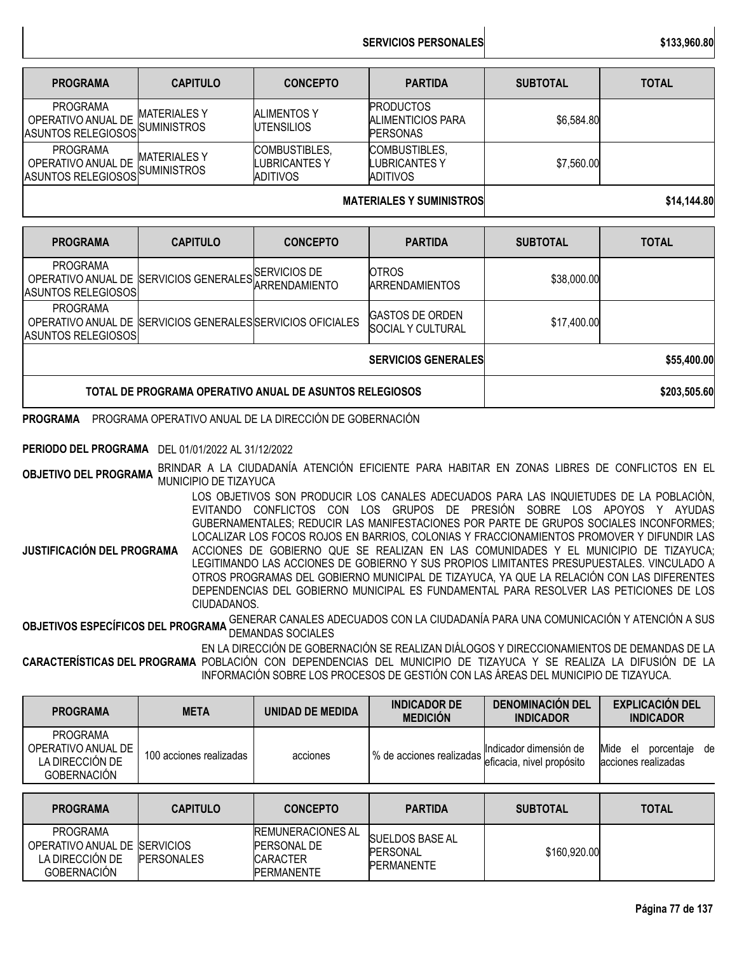**SERVICIOS PERSONALES \$133,960.80**

| <b>PROGRAMA</b>                                                         | <b>CAPITULO</b>                          | <b>CONCEPTO</b>                                   | <b>PARTIDA</b>                                           | <b>SUBTOTAL</b> | <b>TOTAL</b> |
|-------------------------------------------------------------------------|------------------------------------------|---------------------------------------------------|----------------------------------------------------------|-----------------|--------------|
| <b>PROGRAMA</b><br>OPERATIVO ANUAL DE<br>ASUNTOS RELEGIOSOS SUMINISTROS | <b>MATERIALESY</b>                       | <b>ALIMENTOS Y</b><br><b>IUTENSILIOS</b>          | <b>PRODUCTOS</b><br>ALIMENTICIOS PARA<br><b>PERSONAS</b> | \$6,584.80      |              |
| <b>PROGRAMA</b><br>OPERATIVO ANUAL DE<br><b>ASUNTOS RELEGIOSOS</b>      | <b>MATERIALESY</b><br><b>SUMINISTROS</b> | COMBUSTIBLES,<br>LUBRICANTES Y<br><b>ADITIVOS</b> | COMBUSTIBLES,<br>LUBRICANTES Y<br><b>ADITIVOS</b>        | \$7,560.00      |              |
|                                                                         |                                          | <b>MATERIALES Y SUMINISTROS</b>                   | \$14,144.80                                              |                 |              |

| <b>PROGRAMA</b>                                         | <b>CAPITULO</b>                                            | <b>CONCEPTO</b>            | <b>PARTIDA</b>                                      | <b>SUBTOTAL</b> | <b>TOTAL</b> |
|---------------------------------------------------------|------------------------------------------------------------|----------------------------|-----------------------------------------------------|-----------------|--------------|
| <b>PROGRAMA</b><br><b>ASUNTOS RELEGIOSOS</b>            | OPERATIVO ANUAL DE SERVICIOS GENERALES ARRENDAMIENTO       |                            | <b>OTROS</b><br><b>ARRENDAMIENTOS</b>               | \$38,000.00     |              |
| <b>PROGRAMA</b><br>ASUNTOS RELEGIOSOS                   | OPERATIVO ANUAL DE SERVICIOS GENERALES SERVICIOS OFICIALES |                            | <b>GASTOS DE ORDEN</b><br><b>ISOCIAL Y CULTURAL</b> | \$17,400.00     |              |
|                                                         |                                                            | <b>SERVICIOS GENERALES</b> | \$55,400.00                                         |                 |              |
| TOTAL DE PROGRAMA OPERATIVO ANUAL DE ASUNTOS RELEGIOSOS |                                                            |                            |                                                     |                 | \$203,505.60 |

**PROGRAMA** PROGRAMA OPERATIVO ANUAL DE LA DIRECCIÓN DE GOBERNACIÓN

### **PERIODO DEL PROGRAMA** DEL 01/01/2022 AL 31/12/2022

**OBJETIVO DEL PROGRAMA** BRINDAR <sup>A</sup> LA CIUDADANÍA ATENCIÓN EFICIENTE PARA HABITAR EN ZONAS LIBRES DE CONFLICTOS EN EL MUNICIPIO DE TIZAYUCA

**JUSTIFICACIÓN DEL PROGRAMA** LOS OBJETIVOS SON PRODUCIR LOS CANALES ADECUADOS PARA LAS INQUIETUDES DE LA POBLACIÒN, EVITANDO CONFLICTOS CON LOS GRUPOS DE PRESIÓN SOBRE LOS APOYOS Y AYUDAS GUBERNAMENTALES; REDUCIR LAS MANIFESTACIONES POR PARTE DE GRUPOS SOCIALES INCONFORMES; LOCALIZAR LOS FOCOS ROJOS EN BARRIOS, COLONIAS Y FRACCIONAMIENTOS PROMOVER Y DIFUNDIR LAS ACCIONES DE GOBIERNO QUE SE REALIZAN EN LAS COMUNIDADES Y EL MUNICIPIO DE TIZAYUCA; LEGITIMANDO LAS ACCIONES DE GOBIERNO Y SUS PROPIOS LIMITANTES PRESUPUESTALES. VINCULADO A OTROS PROGRAMAS DEL GOBIERNO MUNICIPAL DE TIZAYUCA, YA QUE LA RELACIÓN CON LAS DIFERENTES DEPENDENCIAS DEL GOBIERNO MUNICIPAL ES FUNDAMENTAL PARA RESOLVER LAS PETICIONES DE LOS CIUDADANOS.

**OBJETIVOS ESPECÍFICOS DEL PROGRAMA** GENERAR CANALES ADECUADOS CON LA CIUDADANÍA PARA UNA COMUNICACIÓN Y ATENCIÓN A SUS<br>.

**CARACTERÍSTICAS DEL PROGRAMA** POBLACIÓN CON DEPENDENCIAS DEL MUNICIPIO DE TIZAYUCA Y SE REALIZA LA DIFUSIÓN DE LA EN LA DIRECCIÓN DE GOBERNACIÓN SE REALIZAN DIÁLOGOS Y DIRECCIONAMIENTOS DE DEMANDAS DE LA INFORMACIÓN SOBRE LOS PROCESOS DE GESTIÓN CON LAS ÁREAS DEL MUNICIPIO DE TIZAYUCA.

| <b>PROGRAMA</b>                                                                | <b>META</b>             | UNIDAD DE MEDIDA | <b>INDICADOR DE</b><br><b>MEDICIÓN</b>                | <b>DENOMINACIÓN DEL</b><br><b>INDICADOR</b> | <b>EXPLICACIÓN DEL</b><br><b>INDICADOR</b>          |
|--------------------------------------------------------------------------------|-------------------------|------------------|-------------------------------------------------------|---------------------------------------------|-----------------------------------------------------|
| <b>PROGRAMA</b><br>OPERATIVO ANUAL DE<br>LA DIRECCIÓN DE<br><b>GOBERNACIÓN</b> | 100 acciones realizadas | acciones         | 1% de acciones realizadas "interestadas" en propósito | Indicador dimensión de                      | Mide el<br>de<br>porcentaje<br>lacciones realizadas |

| <b>PROGRAMA</b>                                                                           | <b>CAPITULO</b>   | <b>CONCEPTO</b>                                                                  | <b>PARTIDA</b>                                                  | <b>SUBTOTAL</b> | TOTAL |
|-------------------------------------------------------------------------------------------|-------------------|----------------------------------------------------------------------------------|-----------------------------------------------------------------|-----------------|-------|
| <b>PROGRAMA</b><br>OPERATIVO ANUAL DE ISERVICIOS<br>LA DIRECCIÓN DE<br><b>GOBERNACIÓN</b> | <b>PERSONALES</b> | <b>IREMUNERACIONES AL</b><br><b>PERSONAL DE</b><br><b>CARACTER</b><br>PERMANENTE | <b>SUELDOS BASE AL</b><br><b>IPERSONAL</b><br><b>PERMANENTE</b> | \$160,920.00    |       |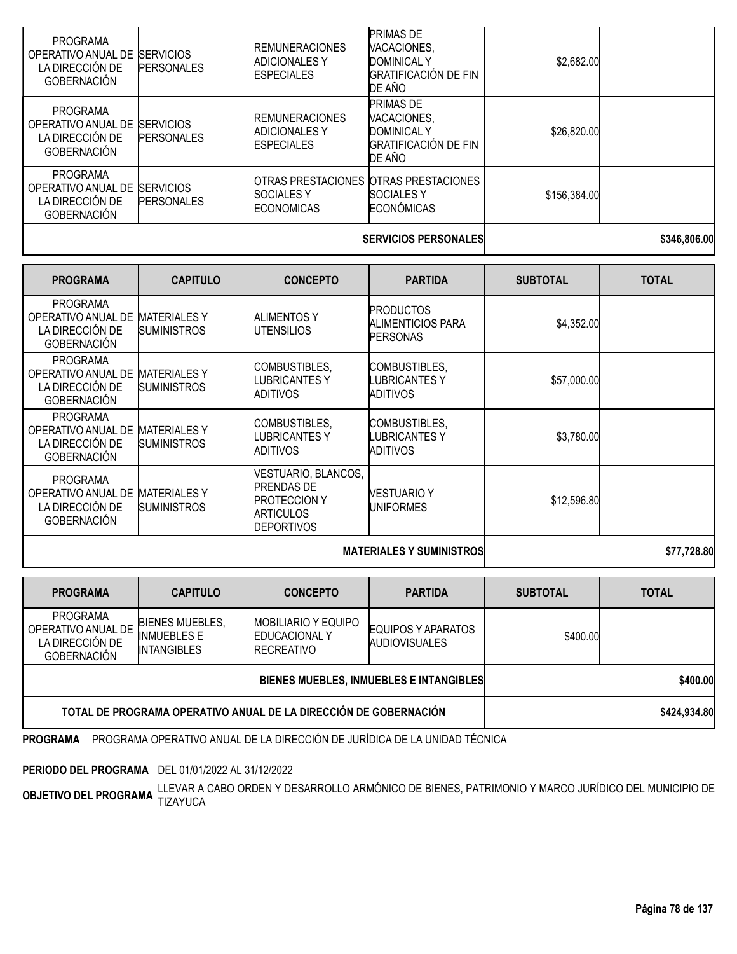|                                                                                |                                        | <b>CEDUCIOS DEDCAUSI FC</b>                                        | <u>ESAC ONC NN</u>                                                                             |              |  |
|--------------------------------------------------------------------------------|----------------------------------------|--------------------------------------------------------------------|------------------------------------------------------------------------------------------------|--------------|--|
| <b>PROGRAMA</b><br>OPERATIVO ANUAL DE<br>LA DIRECCIÓN DE<br><b>GOBERNACIÓN</b> | <b>ISERVICIOS</b><br><b>PERSONALES</b> | <b>SOCIALES Y</b><br><b>ECONOMICAS</b>                             | OTRAS PRESTACIONES OTRAS PRESTACIONES<br><b>SOCIALES Y</b><br><b>ECONÓMICAS</b>                | \$156,384.00 |  |
| <b>PROGRAMA</b><br>OPERATIVO ANUAL DE<br>LA DIRECCIÓN DE<br><b>GOBERNACIÓN</b> | <b>SERVICIOS</b><br><b>PERSONALES</b>  | <b>REMUNERACIONES</b><br><b>ADICIONALES Y</b><br><b>ESPECIALES</b> | <b>PRIMAS DE</b><br>VACACIONES,<br><b>DOMINICAL Y</b><br><b>GRATIFICACIÓN DE FIN</b><br>DE AÑO | \$26,820.00  |  |
| <b>PROGRAMA</b><br>OPERATIVO ANUAL DE<br>LA DIRECCIÓN DE<br><b>GOBERNACIÓN</b> | <b>SERVICIOS</b><br><b>PERSONALES</b>  | <b>REMUNERACIONES</b><br><b>ADICIONALES Y</b><br><b>ESPECIALES</b> | <b>PRIMAS DE</b><br>VACACIONES,<br><b>DOMINICAL Y</b><br><b>GRATIFICACIÓN DE FIN</b><br>DE AÑO | \$2,682.00   |  |

### SERVICIOS PERSONALES **bidden** and the state state state state state state state state state state state state state state state state state state state state state state state state state state state state state state stat

| <b>PROGRAMA</b>                                                                | <b>CAPITULO</b>                           | <b>CONCEPTO</b>                                                                                          | <b>PARTIDA</b>                                           | <b>SUBTOTAL</b> | <b>TOTAL</b> |
|--------------------------------------------------------------------------------|-------------------------------------------|----------------------------------------------------------------------------------------------------------|----------------------------------------------------------|-----------------|--------------|
| <b>PROGRAMA</b><br>OPERATIVO ANUAL DE<br>LA DIRECCIÓN DE<br><b>GOBERNACIÓN</b> | <b>MATERIALESY</b><br><b>SUMINISTROS</b>  | <b>ALIMENTOS Y</b><br><b>IUTENSILIOS</b>                                                                 | <b>PRODUCTOS</b><br>ALIMENTICIOS PARA<br><b>PERSONAS</b> | \$4,352.00      |              |
| <b>PROGRAMA</b><br>OPERATIVO ANUAL DE<br>LA DIRECCIÓN DE<br><b>GOBERNACIÓN</b> | <b>MATERIALES Y</b><br><b>SUMINISTROS</b> | COMBUSTIBLES,<br>LUBRICANTES Y<br>ADITIVOS                                                               | COMBUSTIBLES,<br>LUBRICANTES Y<br>ADITIVOS               | \$57,000.00     |              |
| <b>PROGRAMA</b><br>OPERATIVO ANUAL DE<br>LA DIRECCIÓN DE<br><b>GOBERNACIÓN</b> | <b>MATERIALES Y</b><br><b>SUMINISTROS</b> | COMBUSTIBLES,<br>LUBRICANTES Y<br><b>ADITIVOS</b>                                                        | COMBUSTIBLES,<br>LUBRICANTES Y<br>ADITIVOS               | \$3,780.00      |              |
| <b>PROGRAMA</b><br>OPERATIVO ANUAL DE<br>LA DIRECCIÓN DE<br><b>GOBERNACIÓN</b> | <b>MATERIALES Y</b><br><b>SUMINISTROS</b> | VESTUARIO, BLANCOS,<br><b>PRENDAS DE</b><br><b>PROTECCION Y</b><br><b>ARTICULOS</b><br><b>DEPORTIVOS</b> | <b>VESTUARIO Y</b><br><b>UNIFORMES</b>                   | \$12,596.80     |              |
|                                                                                |                                           | <b>MATERIALES Y SUMINISTROSI</b>                                                                         | \$77,728.80                                              |                 |              |

| <b>PROGRAMA</b>                                                                | <b>CAPITULO</b>                                                    | <b>CONCEPTO</b>                                                          | <b>PARTIDA</b>                             | <b>SUBTOTAL</b> | <b>TOTAL</b> |
|--------------------------------------------------------------------------------|--------------------------------------------------------------------|--------------------------------------------------------------------------|--------------------------------------------|-----------------|--------------|
| <b>PROGRAMA</b><br>OPERATIVO ANUAL DE<br>LA DIRECCIÓN DE<br><b>GOBERNACIÓN</b> | <b>BIENES MUEBLES,</b><br><b>INMUEBLES E</b><br><b>INTANGIBLES</b> | <b>MOBILIARIO Y EQUIPO</b><br><b>EDUCACIONAL Y</b><br><b>IRECREATIVO</b> | EQUIPOS Y APARATOS<br><b>AUDIOVISUALES</b> | \$400.00        |              |
|                                                                                |                                                                    | BIENES MUEBLES, INMUEBLES E INTANGIBLES                                  | \$400.00                                   |                 |              |
| TOTAL DE PROGRAMA OPERATIVO ANUAL DE LA DIRECCIÓN DE GOBERNACIÓN               |                                                                    |                                                                          |                                            |                 | \$424,934.80 |

**PROGRAMA** PROGRAMA OPERATIVO ANUAL DE LA DIRECCIÓN DE JURÍDICA DE LA UNIDAD TÉCNICA

**PERIODO DEL PROGRAMA** DEL 01/01/2022 AL 31/12/2022

**OBJETIVO DEL PROGRAMA** LLEVAR A CABO ORDEN Y DESARROLLO ARMÓNICO DE BIENES, PATRIMONIO Y MARCO JURÍDICO DEL MUNICIPIO DE<br>TIZAYO DE PROGRAMA TIZAYUCA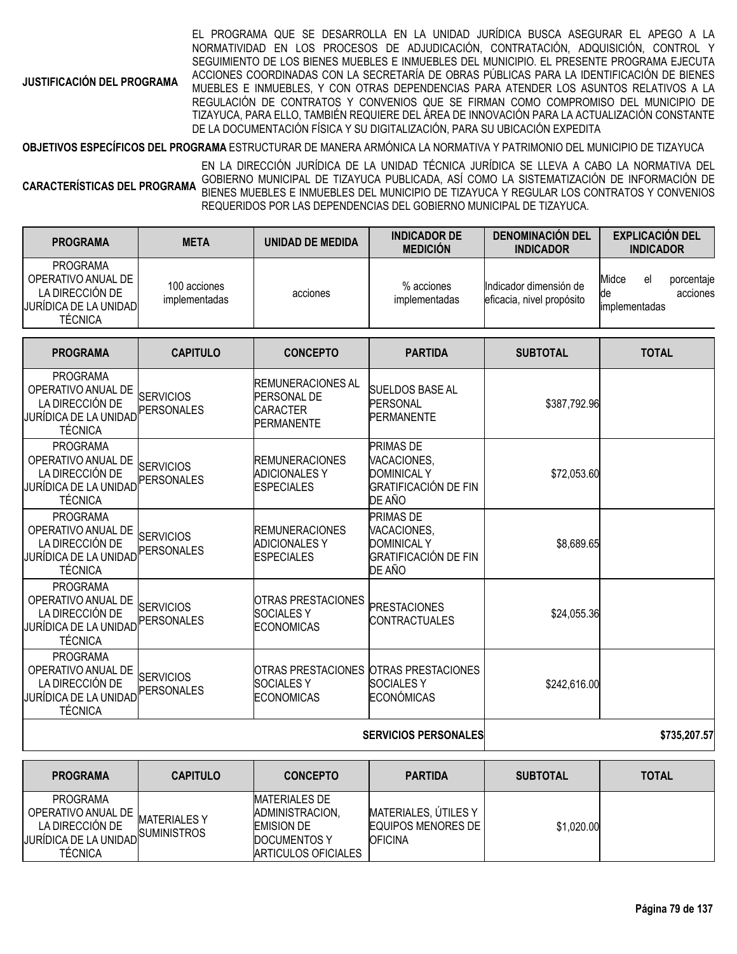**JUSTIFICACIÓN DEL PROGRAMA**

EL PROGRAMA QUE SE DESARROLLA EN LA UNIDAD JURÍDICA BUSCA ASEGURAR EL APEGO A LA NORMATIVIDAD EN LOS PROCESOS DE ADJUDICACIÓN, CONTRATACIÓN, ADQUISICIÓN, CONTROL Y SEGUIMIENTO DE LOS BIENES MUEBLES E INMUEBLES DEL MUNICIPIO. EL PRESENTE PROGRAMA EJECUTA ACCIONES COORDINADAS CON LA SECRETARÍA DE OBRAS PÚBLICAS PARA LA IDENTIFICACIÓN DE BIENES MUEBLES E INMUEBLES, Y CON OTRAS DEPENDENCIAS PARA ATENDER LOS ASUNTOS RELATIVOS A LA REGULACIÓN DE CONTRATOS Y CONVENIOS QUE SE FIRMAN COMO COMPROMISO DEL MUNICIPIO DE TIZAYUCA, PARA ELLO, TAMBIÉN REQUIERE DEL ÁREA DE INNOVACIÓN PARA LA ACTUALIZACIÓN CONSTANTE DE LA DOCUMENTACIÓN FÍSICA Y SU DIGITALIZACIÓN, PARA SU UBICACIÓN EXPEDITA

**OBJETIVOS ESPECÍFICOS DEL PROGRAMA** ESTRUCTURAR DE MANERA ARMÓNICA LA NORMATIVA Y PATRIMONIO DEL MUNICIPIO DE TIZAYUCA

**CARACTERÍSTICAS DEL PROGRAMA** EN LA DIRECCIÓN JURÍDICA DE LA UNIDAD TÉCNICA JURÍDICA SE LLEVA A CABO LA NORMATIVA DEL GOBIERNO MUNICIPAL DE TIZAYUCA PUBLICADA, ASÍ COMO LA SISTEMATIZACIÓN DE INFORMACIÓN DE BIENES MUEBLES E INMUEBLES DEL MUNICIPIO DE TIZAYUCA Y REGULAR LOS CONTRATOS Y CONVENIOS REQUERIDOS POR LAS DEPENDENCIAS DEL GOBIERNO MUNICIPAL DE TIZAYUCA.

| <b>PROGRAMA</b>                                                                                     | <b>META</b>                           | <b>UNIDAD DE MEDIDA</b>                                                                | <b>INDICADOR DE</b><br><b>MEDICIÓN</b>                                                  | <b>DENOMINACIÓN DEL</b><br><b>INDICADOR</b>         | <b>EXPLICACIÓN DEL</b><br><b>INDICADOR</b>                   |
|-----------------------------------------------------------------------------------------------------|---------------------------------------|----------------------------------------------------------------------------------------|-----------------------------------------------------------------------------------------|-----------------------------------------------------|--------------------------------------------------------------|
| <b>PROGRAMA</b><br>OPERATIVO ANUAL DE<br>LA DIRECCIÓN DE<br>JURÍDICA DE LA UNIDAD<br><b>TÉCNICA</b> | 100 acciones<br>implementadas         | acciones                                                                               | % acciones<br>implementadas                                                             | Indicador dimensión de<br>eficacia, nivel propósito | Midce<br>el<br>porcentaje<br>acciones<br>de<br>implementadas |
| <b>PROGRAMA</b>                                                                                     | <b>CAPITULO</b>                       | <b>CONCEPTO</b>                                                                        | <b>PARTIDA</b>                                                                          | <b>SUBTOTAL</b>                                     | <b>TOTAL</b>                                                 |
| <b>PROGRAMA</b><br>OPERATIVO ANUAL DE<br>LA DIRECCIÓN DE<br>JURÍDICA DE LA UNIDAD<br><b>TÉCNICA</b> | <b>SERVICIOS</b><br><b>PERSONALES</b> | <b>REMUNERACIONES AL</b><br><b>PERSONAL DE</b><br><b>CARACTER</b><br><b>PERMANENTE</b> | <b>SUELDOS BASE AL</b><br>PERSONAL<br><b>PERMANENTE</b>                                 | \$387,792.96                                        |                                                              |
| <b>PROGRAMA</b><br>OPERATIVO ANUAL DE<br>LA DIRECCIÓN DE<br>JURÍDICA DE LA UNIDAD<br><b>TÉCNICA</b> | <b>SERVICIOS</b><br><b>PERSONALES</b> | <b>REMUNERACIONES</b><br><b>ADICIONALES Y</b><br><b>ESPECIALES</b>                     | PRIMAS DE<br>VACACIONES,<br><b>DOMINICAL Y</b><br><b>GRATIFICACIÓN DE FIN</b><br>DE AÑO | \$72,053.60                                         |                                                              |
| <b>PROGRAMA</b><br>OPERATIVO ANUAL DE<br>LA DIRECCIÓN DE<br>JURÍDICA DE LA UNIDAD<br><b>TÉCNICA</b> | <b>SERVICIOS</b><br><b>PERSONALES</b> | <b>REMUNERACIONES</b><br><b>ADICIONALES Y</b><br><b>ESPECIALES</b>                     | PRIMAS DE<br>VACACIONES,<br><b>DOMINICAL Y</b><br><b>GRATIFICACIÓN DE FIN</b><br>DE AÑO | \$8,689.65                                          |                                                              |
| <b>PROGRAMA</b><br>OPERATIVO ANUAL DE<br>LA DIRECCIÓN DE<br>JURÍDICA DE LA UNIDAD<br><b>TÉCNICA</b> | <b>SERVICIOS</b><br><b>PERSONALES</b> | <b>OTRAS PRESTACIONES</b><br><b>SOCIALESY</b><br><b>ECONOMICAS</b>                     | <b>PRESTACIONES</b><br><b>CONTRACTUALES</b>                                             | \$24,055.36                                         |                                                              |
| <b>PROGRAMA</b><br>OPERATIVO ANUAL DE<br>LA DIRECCIÓN DE<br>JURÍDICA DE LA UNIDAD<br><b>TÉCNICA</b> | <b>SERVICIOS</b><br><b>PERSONALES</b> | <b>OTRAS PRESTACIONES</b><br><b>SOCIALESY</b><br><b>ECONOMICAS</b>                     | <b>OTRAS PRESTACIONES</b><br><b>SOCIALESY</b><br><b>ECONÓMICAS</b>                      | \$242,616.00                                        |                                                              |
| <b>SERVICIOS PERSONALES</b>                                                                         |                                       |                                                                                        |                                                                                         |                                                     | \$735,207.57                                                 |

| <b>PROGRAMA</b>                                                                              | <b>CAPITULO</b>                      | <b>CONCEPTO</b>                                                                              | <b>PARTIDA</b>                                                 | <b>SUBTOTAL</b> | <b>TOTAL</b> |
|----------------------------------------------------------------------------------------------|--------------------------------------|----------------------------------------------------------------------------------------------|----------------------------------------------------------------|-----------------|--------------|
| PROGRAMA<br>OPERATIVO ANUAL DE<br>LA DIRECCIÓN DE<br>JURÍDICA DE LA UNIDAD<br><b>TÉCNICA</b> | <b>MATERIALES Y</b><br>.ISUMINISTROS | MATERIALES DE<br>ADMINISTRACION,<br><b>EMISION DE</b><br>DOCUMENTOS Y<br>ARTICULOS OFICIALES | MATERIALES, UTILES Y<br>EQUIPOS MENORES DE I<br><b>OFICINA</b> | \$1,020.00      |              |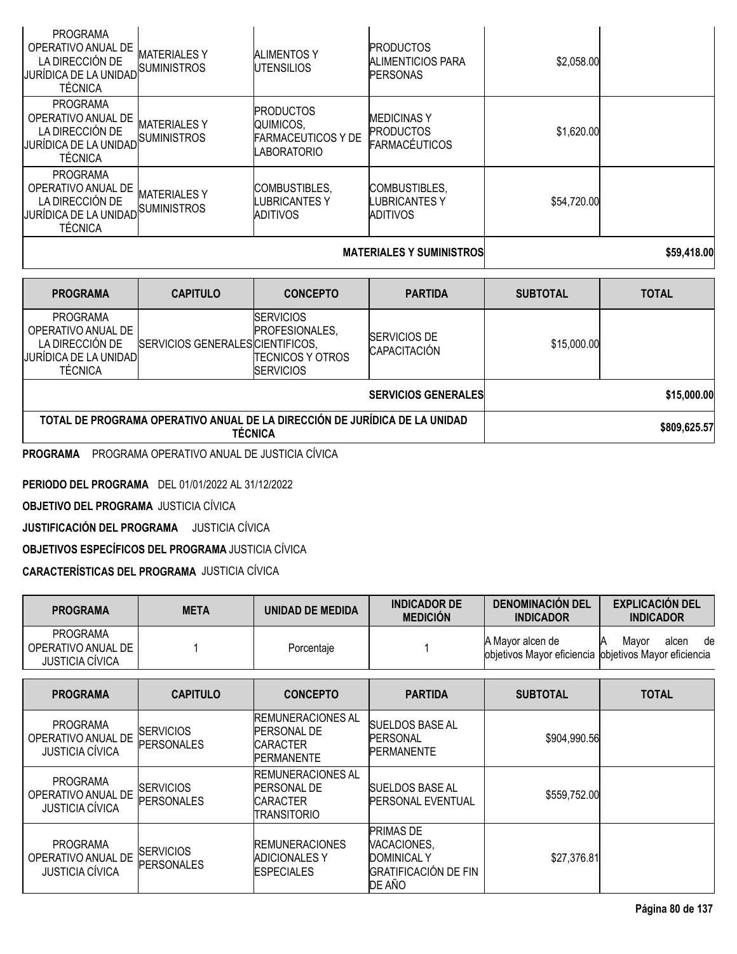|                                                                                                |                                           | <b>MATERIALES Y SUMINISTROS</b>                                           | \$59,418.00                                                    |             |  |
|------------------------------------------------------------------------------------------------|-------------------------------------------|---------------------------------------------------------------------------|----------------------------------------------------------------|-------------|--|
| <b>PROGRAMA</b><br>OPERATIVO ANUAL DE<br>LA DIRECCIÓN DE<br> JURÍDICA DE LA UNIDAD <br>TÉCNICA | MATERIALES Y<br><b>SUMINISTROS</b>        | <b>COMBUSTIBLES.</b><br>LUBRICANTES Y<br>ADITIVOS                         | <b>COMBUSTIBLES.</b><br>LUBRICANTES Y<br>ADITIVOS              | \$54,720.00 |  |
| <b>PROGRAMA</b><br>OPERATIVO ANUAL DE<br>LA DIRECCIÓN DE<br>IJURÍDICA DE LA UNIDADI<br>TÉCNICA | <b>MATERIALES Y</b><br><b>SUMINISTROS</b> | <b>PRODUCTOS</b><br>QUIMICOS.<br><b>FARMACEUTICOS Y DE</b><br>LABORATORIO | <b>MEDICINAS Y</b><br><b>PRODUCTOS</b><br><b>FARMACÉUTICOS</b> | \$1,620.00  |  |
| <b>PROGRAMA</b><br>OPERATIVO ANUAL DE<br>LA DIRECCIÓN DE<br>IJURÍDICA DE LA UNIDADI<br>TÉCNICA | MATERIALES Y<br><b>SUMINISTROS</b>        | <b>ALIMENTOS Y</b><br><b>UTENSILIOS</b>                                   | <b>PRODUCTOS</b><br>ALIMENTICIOS PARA<br><b>PERSONAS</b>       | \$2,058.00  |  |

| <b>PROGRAMA</b>                                                                                      | <b>CAPITULO</b>                  | <b>CONCEPTO</b>                                                                     | <b>PARTIDA</b>                             | <b>SUBTOTAL</b> | <b>TOTAL</b> |  |  |
|------------------------------------------------------------------------------------------------------|----------------------------------|-------------------------------------------------------------------------------------|--------------------------------------------|-----------------|--------------|--|--|
| <b>PROGRAMA</b><br>OPERATIVO ANUAL DE<br>LA DIRECCIÓN DE<br>JURÍDICA DE LA UNIDADI<br><b>TÉCNICA</b> | SERVICIOS GENERALES CIENTIFICOS, | <b>SERVICIOS</b><br>PROFESIONALES,<br><b>ITECNICOS Y OTROS</b><br><b>ISERVICIOS</b> | <b>SERVICIOS DE</b><br><b>CAPACITACIÓN</b> | \$15,000.00     |              |  |  |
|                                                                                                      |                                  | <b>SERVICIOS GENERALES</b>                                                          | \$15,000.00                                |                 |              |  |  |
| TOTAL DE PROGRAMA OPERATIVO ANUAL DE LA DIRECCIÓN DE JURÍDICA DE LA UNIDAD<br><b>TÉCNICA</b>         |                                  |                                                                                     |                                            |                 | \$809,625.57 |  |  |
| DDOCDAMA ODEDATIVO ANIHAL DE IHOTICIA OÍLICA<br><b>DDOODAMA</b>                                      |                                  |                                                                                     |                                            |                 |              |  |  |

**PROGRAMA** PROGRAMA OPERATIVO ANUAL DE JUSTICIA CÍVICA

**PERIODO DEL PROGRAMA** DEL 01/01/2022 AL 31/12/2022

**OBJETIVO DEL PROGRAMA** JUSTICIA CÍVICA

**JUSTIFICACIÓN DEL PROGRAMA** JUSTICIA CÍVICA

**OBJETIVOS ESPECÍFICOS DEL PROGRAMA** JUSTICIA CÍVICA

**CARACTERÍSTICAS DEL PROGRAMA** JUSTICIA CÍVICA

| <b>PROGRAMA</b>                                                 | <b>META</b>                           | <b>UNIDAD DE MEDIDA</b>                                                                  | <b>INDICADOR DE</b><br><b>MEDICIÓN</b>                                                         | <b>DENOMINACIÓN DEL</b><br><b>INDICADOR</b>                               | <b>EXPLICACIÓN DEL</b><br><b>INDICADOR</b> |
|-----------------------------------------------------------------|---------------------------------------|------------------------------------------------------------------------------------------|------------------------------------------------------------------------------------------------|---------------------------------------------------------------------------|--------------------------------------------|
| <b>PROGRAMA</b><br>OPERATIVO ANUAL DE<br><b>JUSTICIA CÍVICA</b> |                                       | Porcentaje                                                                               |                                                                                                | A Mayor alcen de<br>objetivos Mayor eficiencia objetivos Mayor eficiencia | Mayor<br>alcen<br>de<br>Α                  |
| <b>PROGRAMA</b>                                                 | <b>CAPITULO</b>                       | <b>CONCEPTO</b>                                                                          | <b>PARTIDA</b>                                                                                 | <b>SUBTOTAL</b>                                                           | <b>TOTAL</b>                               |
| <b>PROGRAMA</b><br>OPERATIVO ANUAL DE<br><b>JUSTICIA CÍVICA</b> | <b>SERVICIOS</b><br>PERSONALES        | <b>REMUNERACIONES AL</b><br><b>PERSONAL DE</b><br><b>CARACTER</b><br><b>PERMANENTE</b>   | <b>SUELDOS BASE AL</b><br>PERSONAL<br><b>PERMANENTE</b>                                        | \$904,990.56                                                              |                                            |
| <b>PROGRAMA</b><br>OPERATIVO ANUAL DE<br><b>JUSTICIA CÍVICA</b> | SERVICIOS<br><b>PERSONALES</b>        | <b>IREMUNERACIONES AL</b><br><b>PERSONAL DE</b><br><b>CARACTER</b><br><b>TRANSITORIO</b> | <b>SUELDOS BASE AL</b><br><b>PERSONAL EVENTUAL</b>                                             | \$559,752.00                                                              |                                            |
| <b>PROGRAMA</b><br>OPERATIVO ANUAL DE<br><b>JUSTICIA CÍVICA</b> | <b>SERVICIOS</b><br><b>PERSONALES</b> | <b>REMUNERACIONES</b><br><b>ADICIONALES Y</b><br><b>ESPECIALES</b>                       | <b>PRIMAS DE</b><br>VACACIONES,<br><b>DOMINICAL Y</b><br><b>GRATIFICACIÓN DE FIN</b><br>DE AÑO | \$27,376.81                                                               |                                            |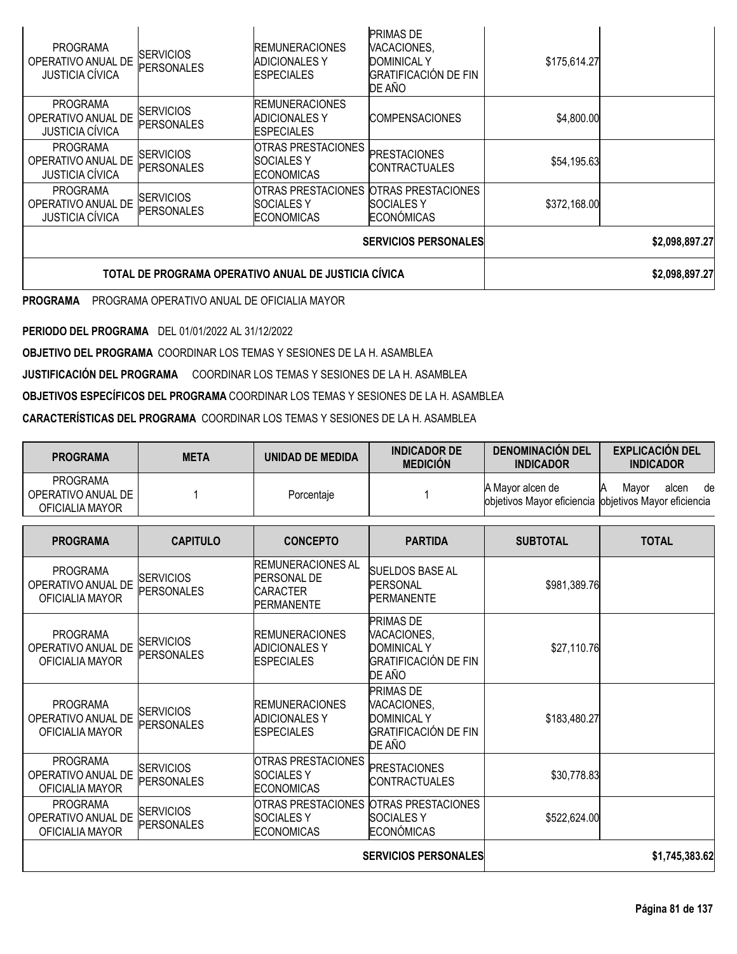| <b>PROGRAMA</b><br>OPERATIVO ANUAL DE<br><b>JUSTICIA CÍVICA</b> | <b>SERVICIOS</b><br><b>PERSONALES</b>                | <b>IREMUNERACIONES</b><br><b>ADICIONALES Y</b><br><b>IESPECIALES</b> | <b>PRIMAS DE</b><br>VACACIONES,<br><b>DOMINICAL Y</b><br><b>GRATIFICACIÓN DE FIN</b><br>DE AÑO | \$175,614.27 |                |
|-----------------------------------------------------------------|------------------------------------------------------|----------------------------------------------------------------------|------------------------------------------------------------------------------------------------|--------------|----------------|
| <b>PROGRAMA</b><br>OPERATIVO ANUAL DE<br><b>JUSTICIA CÍVICA</b> | <b>SERVICIOS</b><br>PERSONALES                       | <b>IREMUNERACIONES</b><br><b>ADICIONALES Y</b><br><b>IESPECIALES</b> | <b>COMPENSACIONES</b>                                                                          | \$4,800.00   |                |
| <b>PROGRAMA</b><br>OPERATIVO ANUAL DE<br><b>JUSTICIA CÍVICA</b> | <b>SERVICIOS</b><br><b>PERSONALES</b>                | <b>OTRAS PRESTACIONES</b><br><b>SOCIALES Y</b><br><b>ECONOMICAS</b>  | <b>PRESTACIONES</b><br>ICONTRACTUALES                                                          | \$54,195.63  |                |
| <b>PROGRAMA</b><br>OPERATIVO ANUAL DE<br><b>JUSTICIA CÍVICA</b> | <b>SERVICIOS</b><br>PERSONALES                       | <b>SOCIALES Y</b><br><b>ECONOMICAS</b>                               | OTRAS PRESTACIONES OTRAS PRESTACIONES<br>ISOCIALES Y<br><b>ECONÓMICAS</b>                      | \$372,168.00 |                |
|                                                                 |                                                      | <b>SERVICIOS PERSONALES</b>                                          | \$2,098,897.27                                                                                 |              |                |
|                                                                 | TOTAL DE PROGRAMA OPERATIVO ANUAL DE JUSTICIA CÍVICA |                                                                      |                                                                                                |              | \$2,098,897.27 |

**PROGRAMA** PROGRAMA OPERATIVO ANUAL DE OFICIALIA MAYOR

**PERIODO DEL PROGRAMA** DEL 01/01/2022 AL 31/12/2022

**OBJETIVO DEL PROGRAMA** COORDINAR LOS TEMAS Y SESIONES DE LA H. ASAMBLEA

**JUSTIFICACIÓN DEL PROGRAMA** COORDINAR LOS TEMAS Y SESIONES DE LA H. ASAMBLEA

**OBJETIVOS ESPECÍFICOS DEL PROGRAMA** COORDINAR LOS TEMAS Y SESIONES DE LA H. ASAMBLEA

**CARACTERÍSTICAS DEL PROGRAMA** COORDINAR LOS TEMAS Y SESIONES DE LA H. ASAMBLEA

| <b>PROGRAMA</b>                                          | <b>META</b> | UNIDAD DE MEDIDA | <b>INDICADOR DE</b><br><b>MEDICIÓN</b> | <b>DENOMINACION DEL</b><br><b>INDICADOR</b>                                | <b>EXPLICACIÓN DEL</b><br><b>INDICADOR</b> |
|----------------------------------------------------------|-------------|------------------|----------------------------------------|----------------------------------------------------------------------------|--------------------------------------------|
| <b>PROGRAMA</b><br>OPERATIVO ANUAL DE<br>OFICIALIA MAYOR |             | Porcentaje       |                                        | A Mavor alcen de<br>objetivos Mayor eficiencia lobjetivos Mayor eficiencia | Mavor<br>de<br>alcen                       |

| <b>PROGRAMA</b>                                          | <b>CAPITULO</b>                       | <b>CONCEPTO</b>                                                                        | <b>PARTIDA</b>                                                                          | <b>SUBTOTAL</b> | <b>TOTAL</b>   |
|----------------------------------------------------------|---------------------------------------|----------------------------------------------------------------------------------------|-----------------------------------------------------------------------------------------|-----------------|----------------|
| <b>PROGRAMA</b><br>OPERATIVO ANUAL DE<br>OFICIALIA MAYOR | <b>ISERVICIOS</b><br>PERSONALES       | <b>REMUNERACIONES AL</b><br><b>PERSONAL DE</b><br><b>CARACTER</b><br><b>PERMANENTE</b> | <b>SUELDOS BASE AL</b><br><b>PERSONAL</b><br><b>PERMANENTE</b>                          | \$981,389.76    |                |
| <b>PROGRAMA</b><br>OPERATIVO ANUAL DE<br>OFICIALIA MAYOR | <b>SERVICIOS</b><br><b>PERSONALES</b> | <b>IREMUNERACIONES</b><br><b>ADICIONALES Y</b><br><b>ESPECIALES</b>                    | PRIMAS DE<br>VACACIONES,<br><b>DOMINICAL Y</b><br><b>GRATIFICACIÓN DE FIN</b><br>DE AÑO | \$27,110.76     |                |
| <b>PROGRAMA</b><br>OPERATIVO ANUAL DE<br>OFICIALIA MAYOR | <b>SERVICIOS</b><br><b>PERSONALES</b> | <b>REMUNERACIONES</b><br><b>ADICIONALES Y</b><br><b>ESPECIALES</b>                     | PRIMAS DE<br>VACACIONES,<br><b>DOMINICAL Y</b><br><b>GRATIFICACIÓN DE FIN</b><br>DE AÑO | \$183,480.27    |                |
| <b>PROGRAMA</b><br>OPERATIVO ANUAL DE<br>OFICIALIA MAYOR | <b>SERVICIOS</b><br>PERSONALES        | <b>OTRAS PRESTACIONES</b><br><b>SOCIALES Y</b><br><b>ECONOMICAS</b>                    | <b>PRESTACIONES</b><br><b>CONTRACTUALES</b>                                             | \$30,778.83     |                |
| <b>PROGRAMA</b><br>OPERATIVO ANUAL DE<br>OFICIALIA MAYOR | <b>SERVICIOS</b><br>PERSONALES        | <b>OTRAS PRESTACIONES</b><br><b>SOCIALES Y</b><br><b>ECONOMICAS</b>                    | OTRAS PRESTACIONES<br><b>SOCIALES Y</b><br><b>ECONÓMICAS</b>                            | \$522,624.00    |                |
|                                                          |                                       |                                                                                        | <b>SERVICIOS PERSONALES</b>                                                             |                 | \$1,745,383.62 |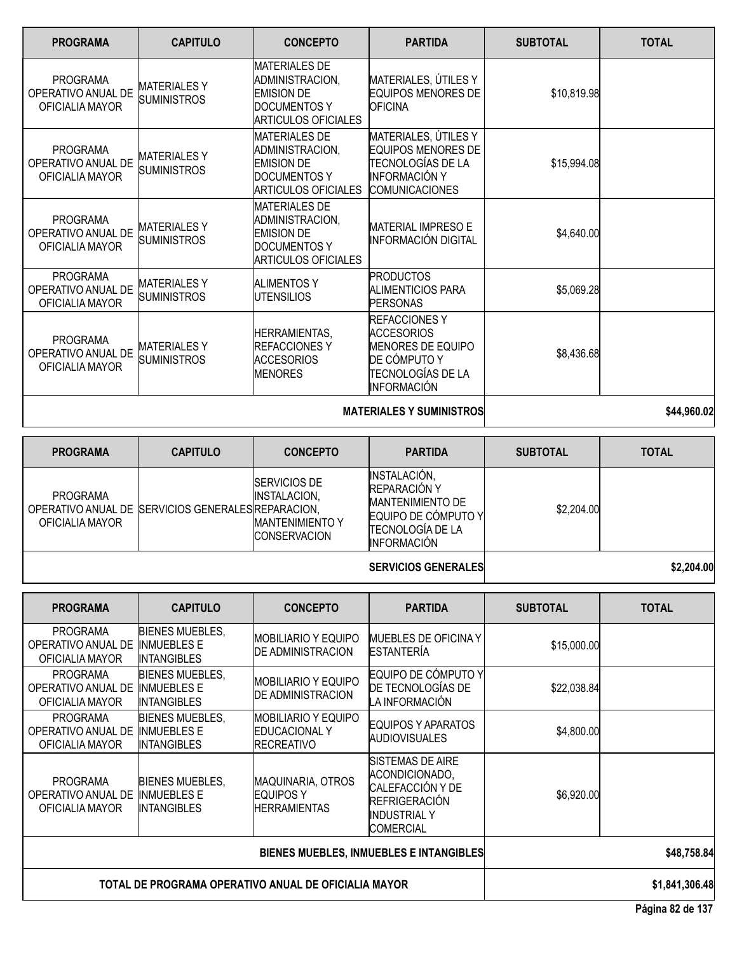| <b>PROGRAMA</b>                                          | <b>CAPITULO</b>                           | <b>CONCEPTO</b>                                                                                                   | <b>PARTIDA</b>                                                                                                                   | <b>SUBTOTAL</b> | <b>TOTAL</b> |
|----------------------------------------------------------|-------------------------------------------|-------------------------------------------------------------------------------------------------------------------|----------------------------------------------------------------------------------------------------------------------------------|-----------------|--------------|
| <b>PROGRAMA</b><br>OPERATIVO ANUAL DE<br>OFICIALIA MAYOR | <b>MATERIALESY</b><br><b>SUMINISTROS</b>  | <b>MATERIALES DE</b><br>ADMINISTRACION,<br><b>EMISION DE</b><br><b>DOCUMENTOS Y</b><br><b>ARTICULOS OFICIALES</b> | MATERIALES, ÚTILES Y<br><b>EQUIPOS MENORES DE</b><br><b>OFICINA</b>                                                              | \$10,819.98     |              |
| <b>PROGRAMA</b><br>OPERATIVO ANUAL DE<br>OFICIALIA MAYOR | <b>MATERIALESY</b><br><b>SUMINISTROS</b>  | <b>MATERIALES DE</b><br>ADMINISTRACION,<br><b>EMISION DE</b><br>DOCUMENTOS Y<br><b>ARTICULOS OFICIALES</b>        | MATERIALES, ÚTILES Y<br><b>EQUIPOS MENORES DE</b><br>TECNOLOGÍAS DE LA<br><b>INFORMACIÓN Y</b><br><b>COMUNICACIONES</b>          | \$15,994.08     |              |
| <b>PROGRAMA</b><br>OPERATIVO ANUAL DE<br>OFICIALIA MAYOR | <b>MATERIALESY</b><br><b>SUMINISTROS</b>  | <b>MATERIALES DE</b><br>ADMINISTRACION,<br><b>EMISION DE</b><br><b>DOCUMENTOS Y</b><br><b>ARTICULOS OFICIALES</b> | <b>MATERIAL IMPRESO E</b><br><b>INFORMACIÓN DIGITAL</b>                                                                          | \$4,640.00      |              |
| <b>PROGRAMA</b><br>OPERATIVO ANUAL DE<br>OFICIALIA MAYOR | <b>MATERIALESY</b><br><b>SUMINISTROS</b>  | <b>ALIMENTOS Y</b><br><b>IUTENSILIOS</b>                                                                          | <b>PRODUCTOS</b><br>ALIMENTICIOS PARA<br><b>PERSONAS</b>                                                                         | \$5,069.28      |              |
| <b>PROGRAMA</b><br>OPERATIVO ANUAL DE<br>OFICIALIA MAYOR | <b>MATERIALES Y</b><br><b>SUMINISTROS</b> | <b>HERRAMIENTAS,</b><br><b>REFACCIONES Y</b><br><b>ACCESORIOS</b><br><b>MENORES</b>                               | <b>REFACCIONES Y</b><br><b>ACCESORIOS</b><br><b>MENORES DE EQUIPO</b><br>DE CÓMPUTO Y<br>TECNOLOGÍAS DE LA<br><b>INFORMACIÓN</b> | \$8,436.68      |              |
|                                                          |                                           |                                                                                                                   | <b>MATERIALES Y SUMINISTROS</b>                                                                                                  |                 | \$44,960.02  |

**PROGRAMA CAPITULO CONCEPTO PARTIDA SUBTOTAL TOTAL** PROGRAMA OPERATIVO ANUAL DE SERVICIOS GENERALES REPARACION, OFICIALIA MAYOR SERVICIOS DE INSTALACION, MANTENIMIENTO Y **CONSERVACION** INSTALACIÓN, REPARACIÓN Y MANTENIMIENTO DE EQUIPO DE CÓMPUTO Y TECNOLOGÍA DE LA INFORMACIÓN \$2,204.00 **SERVICIOS GENERALES \$2,204.00** 

| <b>PROGRAMA</b>                                          | <b>CAPITULO</b>                                              | <b>CONCEPTO</b>                                            | <b>PARTIDA</b>                                                                                               | <b>SUBTOTAL</b> | <b>TOTAL</b>   |
|----------------------------------------------------------|--------------------------------------------------------------|------------------------------------------------------------|--------------------------------------------------------------------------------------------------------------|-----------------|----------------|
| <b>PROGRAMA</b><br>OPERATIVO ANUAL DE<br>OFICIALIA MAYOR | <b>BIENES MUEBLES,</b><br><b>INMUEBLES E</b><br>IINTANGIBLES | <b>IMOBILIARIO Y EQUIPO</b><br><b>DE ADMINISTRACION</b>    | MUEBLES DE OFICINA Y<br><b>ESTANTERÍA</b>                                                                    | \$15,000.00     |                |
| <b>PROGRAMA</b><br>OPERATIVO ANUAL DE<br>OFICIALIA MAYOR | <b>BIENES MUEBLES,</b><br><b>INMUEBLES E</b><br>INTANGIBLES  | <b>MOBILIARIO Y EQUIPO</b><br><b>DE ADMINISTRACION</b>     | EQUIPO DE CÓMPUTO Y<br>DE TECNOLOGÍAS DE<br>LA INFORMACIÓN                                                   | \$22,038.84     |                |
| <b>PROGRAMA</b><br>OPERATIVO ANUAL DE<br>OFICIALIA MAYOR | <b>BIENES MUEBLES,</b><br><b>INMUEBLES E</b><br>INTANGIBLES  | IMOBILIARIO Y EQUIPO<br>EDUCACIONAL Y<br><b>RECREATIVO</b> | EQUIPOS Y APARATOS<br><b>AUDIOVISUALES</b>                                                                   | \$4,800.00      |                |
| <b>PROGRAMA</b><br>OPERATIVO ANUAL DE<br>OFICIALIA MAYOR | <b>BIENES MUEBLES.</b><br><b>INMUEBLES E</b><br>INTANGIBLES  | MAQUINARIA, OTROS<br><b>EQUIPOS Y</b><br>HERRAMIENTAS      | ISISTEMAS DE AIRE<br>ACONDICIONADO,<br>CALEFACCIÓN Y DE<br>REFRIGERACIÓN<br><b>INDUSTRIAL Y</b><br>COMERCIAL | \$6,920.00      |                |
|                                                          |                                                              |                                                            | BIENES MUEBLES, INMUEBLES E INTANGIBLES                                                                      |                 | \$48,758.84    |
|                                                          | TOTAL DE PROGRAMA OPERATIVO ANUAL DE OFICIALIA MAYOR         |                                                            |                                                                                                              |                 | \$1,841,306.48 |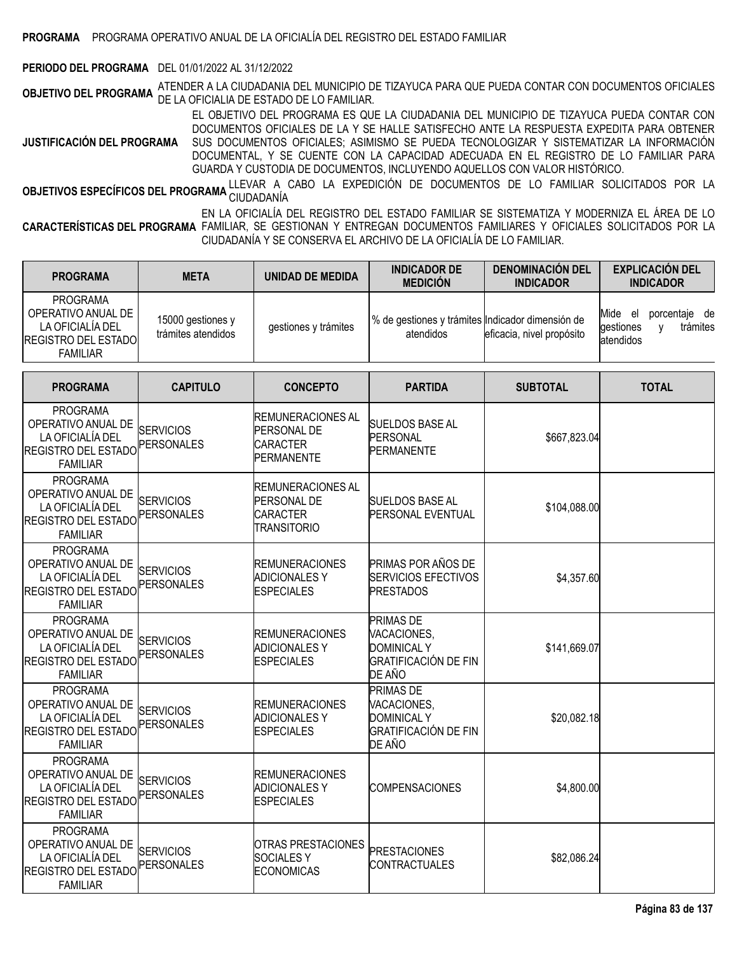### **PERIODO DEL PROGRAMA** DEL 01/01/2022 AL 31/12/2022

**OBJETIVO DEL PROGRAMA** ATENDER <sup>A</sup> LA CIUDADANIA DEL MUNICIPIO DE TIZAYUCA PARA QUE PUEDA CONTAR CON DOCUMENTOS OFICIALES DE LA OFICIALIA DE ESTADO DE LO FAMILIAR.

**JUSTIFICACIÓN DEL PROGRAMA** EL OBJETIVO DEL PROGRAMA ES QUE LA CIUDADANIA DEL MUNICIPIO DE TIZAYUCA PUEDA CONTAR CON DOCUMENTOS OFICIALES DE LA Y SE HALLE SATISFECHO ANTE LA RESPUESTA EXPEDITA PARA OBTENER SUS DOCUMENTOS OFICIALES; ASIMISMO SE PUEDA TECNOLOGIZAR Y SISTEMATIZAR LA INFORMACIÓN DOCUMENTAL, Y SE CUENTE CON LA CAPACIDAD ADECUADA EN EL REGISTRO DE LO FAMILIAR PARA GUARDA Y CUSTODIA DE DOCUMENTOS, INCLUYENDO AQUELLOS CON VALOR HISTÓRICO.

**OBJETIVOS ESPECÍFICOS DEL PROGRAMA** LLEVAR A CABO LA EXPEDICIÓN DE DOCUMENTOS DE LO FAMILIAR SOLICITADOS POR LA<br>.

**CARACTERÍSTICAS DEL PROGRAMA** FAMILIAR, SE GESTIONAN Y ENTREGAN DOCUMENTOS FAMILIARES Y OFICIALES SOLICITADOS POR LA EN LA OFICIALÍA DEL REGISTRO DEL ESTADO FAMILIAR SE SISTEMATIZA Y MODERNIZA EL ÁREA DE LO CIUDADANÍA Y SE CONSERVA EL ARCHIVO DE LA OFICIALÍA DE LO FAMILIAR.

| <b>PROGRAMA</b>                                                                                            | <b>META</b>                             | <b>UNIDAD DE MEDIDA</b>                                                                 | <b>INDICADOR DE</b><br><b>MEDICIÓN</b>                                                         | <b>DENOMINACIÓN DEL</b><br><b>INDICADOR</b> | <b>EXPLICACIÓN DEL</b><br><b>INDICADOR</b>                          |
|------------------------------------------------------------------------------------------------------------|-----------------------------------------|-----------------------------------------------------------------------------------------|------------------------------------------------------------------------------------------------|---------------------------------------------|---------------------------------------------------------------------|
| <b>PROGRAMA</b><br>OPERATIVO ANUAL DE<br>LA OFICIALÍA DEL<br><b>REGISTRO DEL ESTADO</b><br><b>FAMILIAR</b> | 15000 gestiones y<br>trámites atendidos | gestiones y trámites                                                                    | % de gestiones y trámites Indicador dimensión de<br>atendidos                                  | eficacia, nivel propósito                   | porcentaje de<br>Mide el<br>trámites<br>gestiones<br>٧<br>atendidos |
| <b>PROGRAMA</b>                                                                                            | <b>CAPITULO</b>                         | <b>CONCEPTO</b>                                                                         | <b>PARTIDA</b>                                                                                 | <b>SUBTOTAL</b>                             | <b>TOTAL</b>                                                        |
| <b>PROGRAMA</b><br>OPERATIVO ANUAL DE<br>LA OFICIALÍA DEL<br><b>REGISTRO DEL ESTADO</b><br><b>FAMILIAR</b> | <b>SERVICIOS</b><br><b>PERSONALES</b>   | <b>REMUNERACIONES AL</b><br><b>PERSONAL DE</b><br><b>CARACTER</b><br><b>PERMANENTE</b>  | <b>SUELDOS BASE AL</b><br>PERSONAL<br><b>PERMANENTE</b>                                        | \$667,823.04                                |                                                                     |
| <b>PROGRAMA</b><br>OPERATIVO ANUAL DE<br>LA OFICIALÍA DEL<br><b>REGISTRO DEL ESTADO</b><br><b>FAMILIAR</b> | <b>SERVICIOS</b><br>PERSONALES          | <b>REMUNERACIONES AL</b><br><b>PERSONAL DE</b><br><b>CARACTER</b><br><b>TRANSITORIO</b> | <b>SUELDOS BASE AL</b><br>PERSONAL EVENTUAL                                                    | \$104,088.00                                |                                                                     |
| <b>PROGRAMA</b><br>OPERATIVO ANUAL DE<br>LA OFICIALÍA DEL<br><b>REGISTRO DEL ESTADO</b><br><b>FAMILIAR</b> | <b>SERVICIOS</b><br>PERSONALES          | <b>REMUNERACIONES</b><br><b>ADICIONALES Y</b><br><b>ESPECIALES</b>                      | PRIMAS POR AÑOS DE<br><b>SERVICIOS EFECTIVOS</b><br><b>PRESTADOS</b>                           | \$4,357.60                                  |                                                                     |
| <b>PROGRAMA</b><br>OPERATIVO ANUAL DE<br>LA OFICIALÍA DEL<br><b>REGISTRO DEL ESTADO</b><br><b>FAMILIAR</b> | <b>SERVICIOS</b><br><b>PERSONALES</b>   | <b>REMUNERACIONES</b><br><b>ADICIONALES Y</b><br><b>ESPECIALES</b>                      | <b>PRIMAS DE</b><br>VACACIONES,<br><b>DOMINICAL Y</b><br>GRATIFICACIÓN DE FIN<br>DE AÑO        | \$141,669.07                                |                                                                     |
| <b>PROGRAMA</b><br>OPERATIVO ANUAL DE<br>LA OFICIALÍA DEL<br><b>REGISTRO DEL ESTADO</b><br><b>FAMILIAR</b> | <b>SERVICIOS</b><br>PERSONALES          | <b>REMUNERACIONES</b><br><b>ADICIONALES Y</b><br><b>ESPECIALES</b>                      | <b>PRIMAS DE</b><br>VACACIONES,<br><b>DOMINICAL Y</b><br><b>GRATIFICACIÓN DE FIN</b><br>DE AÑO | \$20,082.18                                 |                                                                     |
| <b>PROGRAMA</b><br>OPERATIVO ANUAL DE<br>LA OFICIALÍA DEL<br>REGISTRO DEL ESTADO<br><b>FAMILIAR</b>        | <b>SERVICIOS</b><br><b>PERSONALES</b>   | <b>REMUNERACIONES</b><br><b>ADICIONALES Y</b><br><b>ESPECIALES</b>                      | <b>COMPENSACIONES</b>                                                                          | \$4,800.00                                  |                                                                     |
| <b>PROGRAMA</b><br>OPERATIVO ANUAL DE<br>LA OFICIALÍA DEL<br><b>REGISTRO DEL ESTADO</b><br><b>FAMILIAR</b> | <b>SERVICIOS</b><br>PERSONALES          | <b>OTRAS PRESTACIONES</b><br><b>SOCIALESY</b><br><b>ECONOMICAS</b>                      | <b>PRESTACIONES</b><br><b>CONTRACTUALES</b>                                                    | \$82,086.24                                 |                                                                     |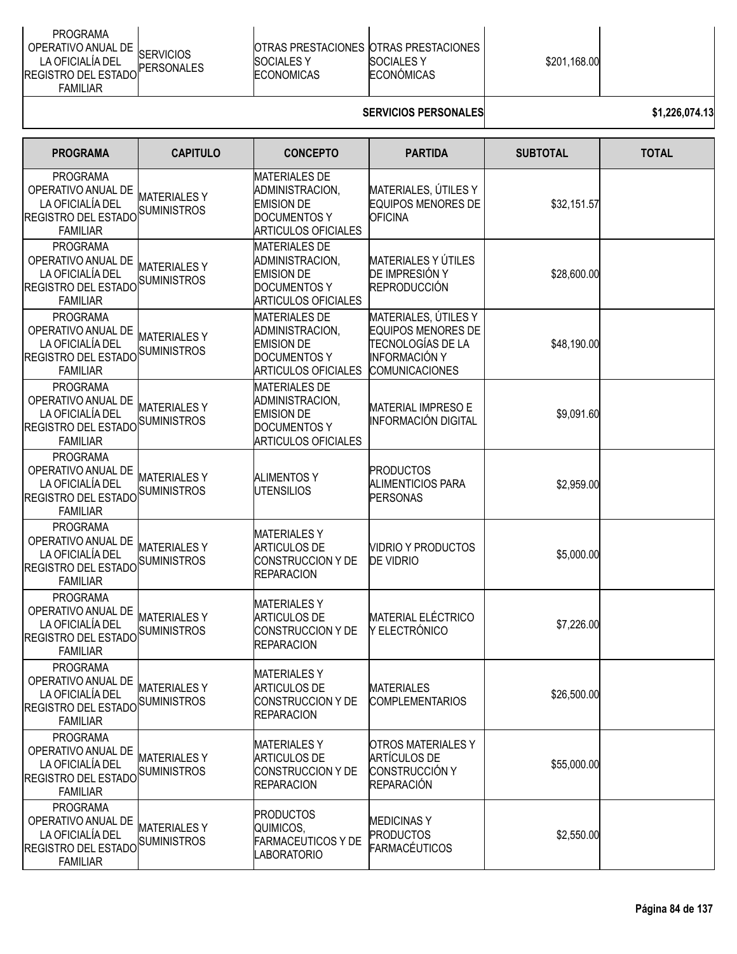| <b>PROGRAMA</b><br>OPERATIVO ANUAL DE SERVICIOS<br>LA OFICIALÍA DEL<br>PERSONALES<br><b>IREGISTRO DEL ESTADO"</b><br><b>FAMILIAR</b> | <b>SOCIALES Y</b><br><b>ECONOMICAS</b> | <b>IOTRAS PRESTACIONES IOTRAS PRESTACIONES</b><br><b>SOCIALES Y</b><br>ECONÓMICAS | \$201,168.00 |  |
|--------------------------------------------------------------------------------------------------------------------------------------|----------------------------------------|-----------------------------------------------------------------------------------|--------------|--|
|--------------------------------------------------------------------------------------------------------------------------------------|----------------------------------------|-----------------------------------------------------------------------------------|--------------|--|

## **SERVICIOS PERSONALES \$1,226,074.13**

| <b>PROGRAMA</b>                                                                                                 | <b>CAPITULO</b>                          | <b>CONCEPTO</b>                                                                                                   | <b>PARTIDA</b>                                                                                                          | <b>SUBTOTAL</b> | <b>TOTAL</b> |
|-----------------------------------------------------------------------------------------------------------------|------------------------------------------|-------------------------------------------------------------------------------------------------------------------|-------------------------------------------------------------------------------------------------------------------------|-----------------|--------------|
| <b>PROGRAMA</b><br>OPERATIVO ANUAL DE<br>LA OFICIALÍA DEL<br><b>REGISTRO DEL ESTADO</b><br><b>FAMILIAR</b>      | <b>MATERIALESY</b><br>SUMINISTROS        | <b>MATERIALES DE</b><br>ADMINISTRACION,<br><b>EMISION DE</b><br><b>DOCUMENTOS Y</b><br><b>ARTICULOS OFICIALES</b> | MATERIALES, ÚTILES Y<br><b>EQUIPOS MENORES DE</b><br><b>OFICINA</b>                                                     | \$32,151.57     |              |
| <b>PROGRAMA</b><br>OPERATIVO ANUAL DE<br>LA OFICIALÍA DEL<br><b>REGISTRO DEL ESTADO</b><br><b>FAMILIAR</b>      | <b>MATERIALESY</b><br><b>SUMINISTROS</b> | <b>MATERIALES DE</b><br>ADMINISTRACION,<br><b>EMISION DE</b><br><b>DOCUMENTOS Y</b><br><b>ARTICULOS OFICIALES</b> | MATERIALES Y ÚTILES<br>DE IMPRESIÓN Y<br><b>REPRODUCCIÓN</b>                                                            | \$28,600.00     |              |
| <b>PROGRAMA</b><br>OPERATIVO ANUAL DE<br>LA OFICIALÍA DEL<br><b>REGISTRO DEL ESTADO</b><br><b>FAMILIAR</b>      | <b>MATERIALESY</b><br>SUMINISTROS        | <b>MATERIALES DE</b><br>ADMINISTRACION,<br><b>EMISION DE</b><br><b>DOCUMENTOS Y</b><br><b>ARTICULOS OFICIALES</b> | MATERIALES, ÚTILES Y<br><b>EQUIPOS MENORES DE</b><br>TECNOLOGÍAS DE LA<br><b>INFORMACIÓN Y</b><br><b>COMUNICACIONES</b> | \$48,190.00     |              |
| <b>PROGRAMA</b><br>OPERATIVO ANUAL DE<br>LA OFICIALÍA DEL<br><b>REGISTRO DEL ESTADO</b><br><b>FAMILIAR</b>      | <b>MATERIALESY</b><br><b>SUMINISTROS</b> | <b>MATERIALES DE</b><br>ADMINISTRACION,<br><b>EMISION DE</b><br><b>DOCUMENTOS Y</b><br><b>ARTICULOS OFICIALES</b> | <b>MATERIAL IMPRESO E</b><br><b>INFORMACIÓN DIGITAL</b>                                                                 | \$9,091.60      |              |
| <b>PROGRAMA</b><br>OPERATIVO ANUAL DE<br>LA OFICIALÍA DEL<br>REGISTRO DEL ESTADO SUMINISTROS<br><b>FAMILIAR</b> | <b>MATERIALESY</b>                       | <b>ALIMENTOS Y</b><br><b>UTENSILIOS</b>                                                                           | <b>PRODUCTOS</b><br><b>ALIMENTICIOS PARA</b><br><b>PERSONAS</b>                                                         | \$2,959.00      |              |
| <b>PROGRAMA</b><br>OPERATIVO ANUAL DE<br>LA OFICIALÍA DEL<br>REGISTRO DEL ESTADO SUMINISTROS<br><b>FAMILIAR</b> | <b>MATERIALESY</b>                       | <b>MATERIALESY</b><br><b>ARTICULOS DE</b><br><b>CONSTRUCCION Y DE</b><br><b>REPARACION</b>                        | VIDRIO Y PRODUCTOS<br><b>DE VIDRIO</b>                                                                                  | \$5,000.00      |              |
| <b>PROGRAMA</b><br>OPERATIVO ANUAL DE<br>LA OFICIALÍA DEL<br>REGISTRO DEL ESTADO SUMINISTROS<br><b>FAMILIAR</b> | <b>MATERIALESY</b>                       | <b>MATERIALES Y</b><br><b>ARTICULOS DE</b><br>CONSTRUCCION Y DE<br><b>REPARACION</b>                              | <b>MATERIAL ELÉCTRICO</b><br>Y ELECTRÓNICO                                                                              | \$7,226.00      |              |
| <b>PROGRAMA</b><br>OPERATIVO ANUAL DE<br>LA OFICIALÍA DEL<br>REGISTRO DEL ESTADO SUMINISTROS<br><b>FAMILIAR</b> | <b>MATERIALESY</b>                       | <b>MATERIALESY</b><br><b>ARTICULOS DE</b><br>CONSTRUCCION Y DE<br><b>REPARACION</b>                               | <b>MATERIALES</b><br><b>COMPLEMENTARIOS</b>                                                                             | \$26,500.00     |              |
| <b>PROGRAMA</b><br>OPERATIVO ANUAL DE<br>LA OFICIALÍA DEL<br>REGISTRO DEL ESTADO SUMINISTROS<br><b>FAMILIAR</b> | <b>MATERIALESY</b>                       | <b>MATERIALESY</b><br><b>ARTICULOS DE</b><br><b>CONSTRUCCION Y DE</b><br><b>REPARACION</b>                        | <b>OTROS MATERIALES Y</b><br><b>ARTÍCULOS DE</b><br>CONSTRUCCIÓN Y<br><b>REPARACIÓN</b>                                 | \$55,000.00     |              |
| <b>PROGRAMA</b><br>OPERATIVO ANUAL DE<br>LA OFICIALÍA DEL<br><b>REGISTRO DEL ESTADO</b><br><b>FAMILIAR</b>      | <b>MATERIALESY</b><br><b>SUMINISTROS</b> | <b>PRODUCTOS</b><br>QUIMICOS,<br><b>FARMACEUTICOS Y DE</b><br>LABORATORIO                                         | <b>MEDICINASY</b><br><b>PRODUCTOS</b><br><b>FARMACÉUTICOS</b>                                                           | \$2,550.00      |              |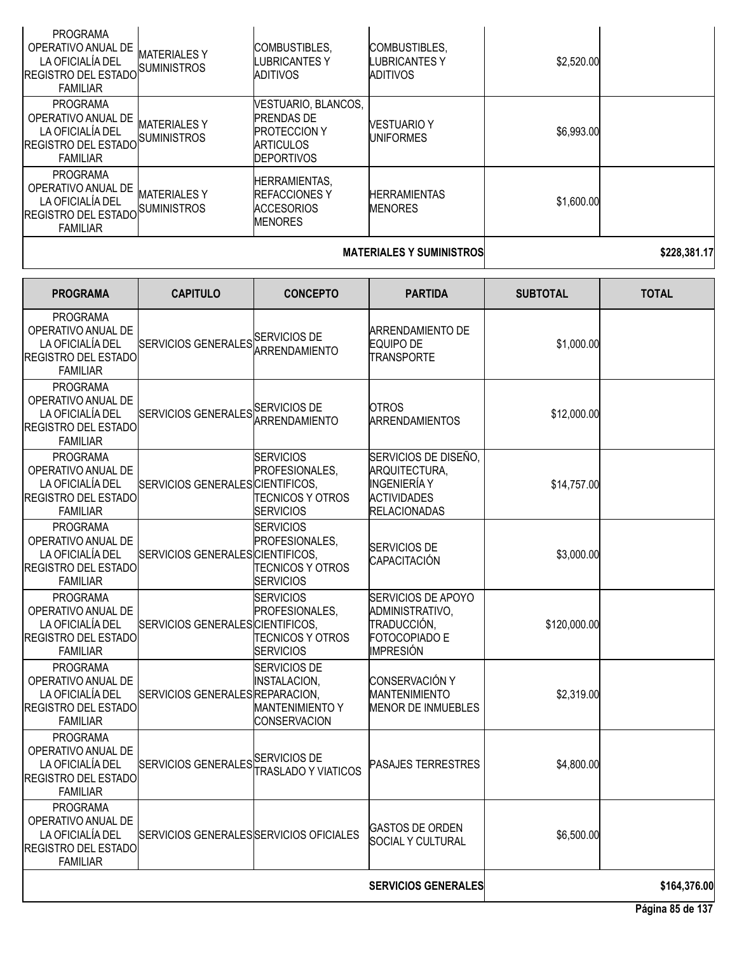| <b>PROGRAMA</b><br>OPERATIVO ANUAL DE<br>LA OFICIALÍA DEL<br><b>REGISTRO DEL ESTADO</b><br><b>FAMILIAR</b> | <b>MATERIALES Y</b><br><b>SUMINISTROS</b> | <b>COMBUSTIBLES.</b><br>LUBRICANTES Y<br>ADITIVOS                                                        | <b>COMBUSTIBLES.</b><br>LUBRICANTES Y<br>ADITIVOS | \$2,520.00 |              |
|------------------------------------------------------------------------------------------------------------|-------------------------------------------|----------------------------------------------------------------------------------------------------------|---------------------------------------------------|------------|--------------|
| PROGRAMA<br>OPERATIVO ANUAL DE<br>LA OFICIALÍA DEL<br><b>REGISTRO DEL ESTADO</b><br><b>FAMILIAR</b>        | <b>MATERIALES Y</b><br><b>SUMINISTROS</b> | VESTUARIO, BLANCOS,<br><b>PRENDAS DE</b><br><b>PROTECCION Y</b><br><b>ARTICULOS</b><br><b>DEPORTIVOS</b> | <b>VESTUARIO Y</b><br><b>IUNIFORMES</b>           | \$6,993.00 |              |
| PROGRAMA<br>OPERATIVO ANUAL DE<br>LA OFICIALÍA DEL<br><b>REGISTRO DEL ESTADO</b><br><b>FAMILIAR</b>        | <b>MATERIALES Y</b><br><b>SUMINISTROS</b> | <b>HERRAMIENTAS.</b><br><b>REFACCIONES Y</b><br><b>ACCESORIOS</b><br><b>MENORES</b>                      | <b>HERRAMIENTAS</b><br><b>MENORES</b>             | \$1,600.00 |              |
|                                                                                                            |                                           |                                                                                                          | <b>MATERIALES Y SUMINISTROS</b>                   |            | \$228,381.17 |

| <b>PROGRAMA</b>                                                                                            | <b>CAPITULO</b>                         | <b>CONCEPTO</b>                                                                      | <b>PARTIDA</b>                                                                                            | <b>SUBTOTAL</b> | <b>TOTAL</b> |
|------------------------------------------------------------------------------------------------------------|-----------------------------------------|--------------------------------------------------------------------------------------|-----------------------------------------------------------------------------------------------------------|-----------------|--------------|
| <b>PROGRAMA</b><br>OPERATIVO ANUAL DE<br>LA OFICIALÍA DEL<br><b>REGISTRO DEL ESTADO</b><br><b>FAMILIAR</b> | SERVICIOS GENERALES SERVICIOS DE        |                                                                                      | ARRENDAMIENTO DE<br><b>EQUIPO DE</b><br>TRANSPORTE                                                        | \$1,000.00      |              |
| <b>PROGRAMA</b><br>OPERATIVO ANUAL DE<br>LA OFICIALÍA DEL<br><b>REGISTRO DEL ESTADO</b><br><b>FAMILIAR</b> | SERVICIOS GENERALES SERVICIOS DE        | ARRENDAMIENTO                                                                        | <b>OTROS</b><br><b>ARRENDAMIENTOS</b>                                                                     | \$12,000.00     |              |
| <b>PROGRAMA</b><br>OPERATIVO ANUAL DE<br>LA OFICIALÍA DEL<br><b>REGISTRO DEL ESTADO</b><br><b>FAMILIAR</b> | SERVICIOS GENERALES CIENTIFICOS,        | <b>ISERVICIOS</b><br>PROFESIONALES,<br>TECNICOS Y OTROS<br><b>SERVICIOS</b>          | SERVICIOS DE DISEÑO,<br>ARQUITECTURA,<br><b>INGENIERÍA Y</b><br><b>ACTIVIDADES</b><br><b>RELACIONADAS</b> | \$14,757.00     |              |
| <b>PROGRAMA</b><br>OPERATIVO ANUAL DE<br>LA OFICIALÍA DEL<br>REGISTRO DEL ESTADO<br><b>FAMILIAR</b>        | SERVICIOS GENERALES CIENTIFICOS.        | <b>SERVICIOS</b><br>PROFESIONALES,<br>TECNICOS Y OTROS<br><b>SERVICIOS</b>           | <b>SERVICIOS DE</b><br><b>CAPACITACIÓN</b>                                                                | \$3,000.00      |              |
| <b>PROGRAMA</b><br>OPERATIVO ANUAL DE<br>LA OFICIALÍA DEL<br>REGISTRO DEL ESTADO<br><b>FAMILIAR</b>        | SERVICIOS GENERALES CIENTIFICOS,        | <b>SERVICIOS</b><br>PROFESIONALES,<br>TECNICOS Y OTROS<br><b>SERVICIOS</b>           | <b>SERVICIOS DE APOYO</b><br>ADMINISTRATIVO,<br>TRADUCCIÓN,<br>FOTOCOPIADO E<br><b>IMPRESIÓN</b>          | \$120,000.00    |              |
| <b>PROGRAMA</b><br>OPERATIVO ANUAL DE<br>LA OFICIALÍA DEL<br><b>REGISTRO DEL ESTADO</b><br><b>FAMILIAR</b> | SERVICIOS GENERALES REPARACION,         | <b>SERVICIOS DE</b><br>INSTALACION,<br><b>MANTENIMIENTO Y</b><br><b>CONSERVACION</b> | <b>CONSERVACIÓN Y</b><br><b>MANTENIMIENTO</b><br>MENOR DE INMUEBLES                                       | \$2,319.00      |              |
| <b>PROGRAMA</b><br>OPERATIVO ANUAL DE<br>LA OFICIALÍA DEL<br>REGISTRO DEL ESTADO<br><b>FAMILIAR</b>        | SERVICIOS GENERALES SERVICIOS DE        | <b>TRASLADO Y VIATICOS</b>                                                           | <b>PASAJES TERRESTRES</b>                                                                                 | \$4,800.00      |              |
| <b>PROGRAMA</b><br>OPERATIVO ANUAL DE<br>LA OFICIALIA DEL<br><b>REGISTRO DEL ESTADO</b><br><b>FAMILIAR</b> | SERVICIOS GENERALES SERVICIOS OFICIALES |                                                                                      | <b>GASTOS DE ORDEN</b><br><b>SOCIAL Y CULTURAL</b>                                                        | \$6,500.00      |              |
|                                                                                                            |                                         |                                                                                      | <b>SERVICIOS GENERALES</b>                                                                                |                 | \$164,376.00 |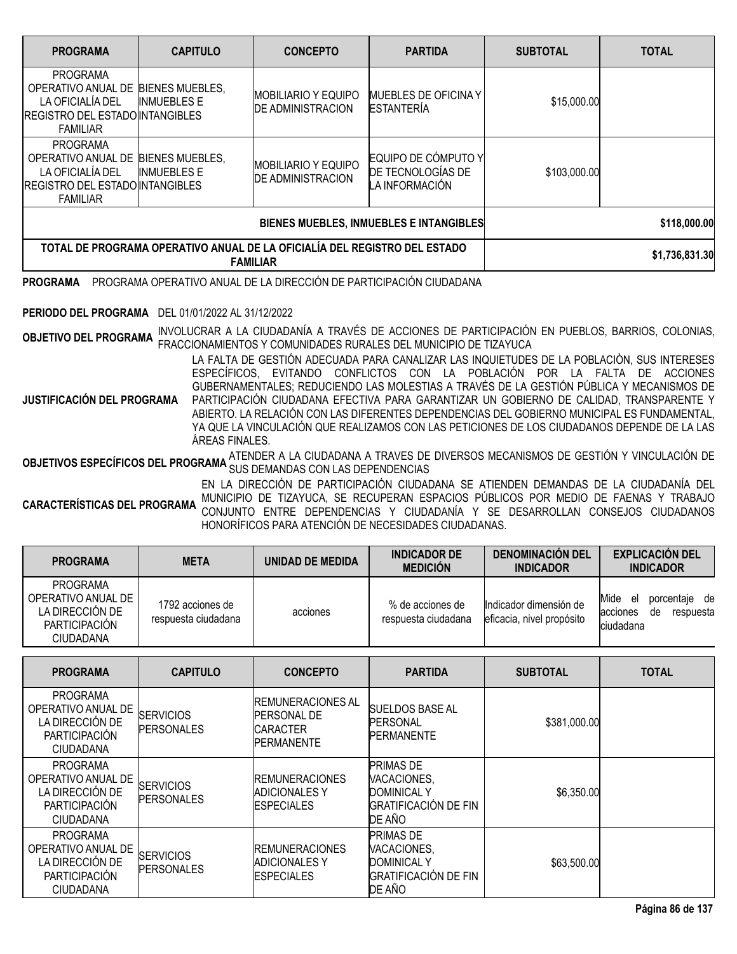| <b>PROGRAMA</b>                                                                                                                        | <b>CAPITULO</b>                                                           | <b>CONCEPTO</b>                                        | <b>PARTIDA</b>                                                                                                                                                                                                                                                                                                                                  | <b>SUBTOTAL</b> | <b>TOTAL</b>   |
|----------------------------------------------------------------------------------------------------------------------------------------|---------------------------------------------------------------------------|--------------------------------------------------------|-------------------------------------------------------------------------------------------------------------------------------------------------------------------------------------------------------------------------------------------------------------------------------------------------------------------------------------------------|-----------------|----------------|
| <b>PROGRAMA</b><br>OPERATIVO ANUAL DE BIENES MUEBLES,<br>LA OFICIALÍA DEL<br><b>REGISTRO DEL ESTADO INTANGIBLES</b><br><b>FAMILIAR</b> | <b>INMUEBLES E</b>                                                        | <b>MOBILIARIO Y EQUIPO</b><br><b>DE ADMINISTRACION</b> | <b>MUEBLES DE OFICINA Y</b><br><b>ESTANTERÍA</b>                                                                                                                                                                                                                                                                                                | \$15,000.00     |                |
| <b>PROGRAMA</b><br>OPERATIVO ANUAL DE BIENES MUEBLES,<br>LA OFICIALÍA DEL<br><b>REGISTRO DEL ESTADO INTANGIBLES</b><br><b>FAMILIAR</b> | <b>INMUEBLES E</b>                                                        | <b>MOBILIARIO Y EQUIPO</b><br><b>DE ADMINISTRACION</b> | EQUIPO DE CÓMPUTO Y<br>DE TECNOLOGÍAS DE<br>LA INFORMACIÓN                                                                                                                                                                                                                                                                                      | \$103,000.00    |                |
|                                                                                                                                        |                                                                           |                                                        | BIENES MUEBLES, INMUEBLES E INTANGIBLES                                                                                                                                                                                                                                                                                                         |                 | \$118,000.00   |
|                                                                                                                                        | TOTAL DE PROGRAMA OPERATIVO ANUAL DE LA OFICIALÍA DEL REGISTRO DEL ESTADO | <b>FAMILIAR</b>                                        |                                                                                                                                                                                                                                                                                                                                                 |                 | \$1,736,831.30 |
| <b>PROGRAMA</b>                                                                                                                        |                                                                           |                                                        | PROGRAMA OPERATIVO ANUAL DE LA DIRECCIÓN DE PARTICIPACIÓN CIUDADANA                                                                                                                                                                                                                                                                             |                 |                |
| PERIODO DEL PROGRAMA                                                                                                                   | DEL 01/01/2022 AL 31/12/2022                                              |                                                        |                                                                                                                                                                                                                                                                                                                                                 |                 |                |
| <b>OBJETIVO DEL PROGRAMA</b>                                                                                                           |                                                                           |                                                        | INVOLUCRAR A LA CIUDADANÍA A TRAVÉS DE ACCIONES DE PARTICIPACIÓN EN PUEBLOS, BARRIOS, COLONIAS,<br>FRACCIONAMIENTOS Y COMUNIDADES RURALES DEL MUNICIPIO DE TIZAYUCA<br>LA FALTA DE GESTIÓN ADECUADA PARA CANALIZAR LAS INQUIETUDES DE LA POBLACIÓN, SUS INTERESES<br>ESPECÍFICOS, EVITANDO CONFLICTOS CON LA POBLACIÓN POR LA FALTA DE ACCIONES |                 |                |

**JUSTIFICACIÓN DEL PROGRAMA** GUBERNAMENTALES; REDUCIENDO LAS MOLESTIAS A TRAVÉS DE LA GESTIÓN PÚBLICA Y MECANISMOS DE PARTICIPACIÓN CIUDADANA EFECTIVA PARA GARANTIZAR UN GOBIERNO DE CALIDAD, TRANSPARENTE Y ABIERTO. LA RELACIÓN CON LAS DIFERENTES DEPENDENCIAS DEL GOBIERNO MUNICIPAL ES FUNDAMENTAL, YA QUE LA VINCULACIÓN QUE REALIZAMOS CON LAS PETICIONES DE LOS CIUDADANOS DEPENDE DE LA LAS ÁREAS FINALES.

**OBJETIVOS ESPECÍFICOS DEL PROGRAMA** <sup>ATENDER A LA CIUDADANA A TRAVES DE DIVERSOS MECANISMOS DE GESTIÓN Y VINCULACIÓN DE<br>SUS DEMANDAS CON LAS DEL ORDERAMA DE DEMANDAS CON LAS DEPENDENCIAS</sup>

**CARACTERÍSTICAS DEL PROGRAMA** EN LA DIRECCIÓN DE PARTICIPACIÓN CIUDADANA SE ATIENDEN DEMANDAS DE LA CIUDADANÍA DEL MUNICIPIO DE TIZAYUCA, SE RECUPERAN ESPACIOS PÚBLICOS POR MEDIO DE FAENAS Y TRABAJO CONJUNTO ENTRE DEPENDENCIAS Y CIUDADANÍA Y SE DESARROLLAN CONSEJOS CIUDADANOS HONORÍFICOS PARA ATENCIÓN DE NECESIDADES CIUDADANAS.

| <b>PROGRAMA</b>                                                                                      | <b>META</b>                             | UNIDAD DE MEDIDA | <b>INDICADOR DE</b><br><b>MEDICIÓN</b>  | <b>DENOMINACION DEL</b><br><b>INDICADOR</b>         | <b>EXPLICACIÓN DEL</b><br><b>INDICADOR</b>                                 |
|------------------------------------------------------------------------------------------------------|-----------------------------------------|------------------|-----------------------------------------|-----------------------------------------------------|----------------------------------------------------------------------------|
| <b>PROGRAMA</b><br>OPERATIVO ANUAL DE<br>LA DIRECCIÓN DE<br><b>PARTICIPACION</b><br><b>CIUDADANA</b> | 1792 acciones de<br>respuesta ciudadana | acciones         | % de acciones de<br>respuesta ciudadana | Indicador dimensión de<br>eficacia, nivel propósito | Mide<br>de<br>porcentaie<br>el<br>respuesta<br>acciones<br>de<br>ciudadana |

| <b>PROGRAMA</b>                                                                                      | <b>CAPITULO</b>                       | <b>CONCEPTO</b>                                                                        | <b>PARTIDA</b>                                                                                 | <b>SUBTOTAL</b> | <b>TOTAL</b> |
|------------------------------------------------------------------------------------------------------|---------------------------------------|----------------------------------------------------------------------------------------|------------------------------------------------------------------------------------------------|-----------------|--------------|
| <b>PROGRAMA</b><br>OPERATIVO ANUAL DE<br>LA DIRECCIÓN DE<br><b>PARTICIPACIÓN</b><br><b>CIUDADANA</b> | <b>SERVICIOS</b><br><b>PERSONALES</b> | <b>REMUNERACIONES AL</b><br><b>PERSONAL DE</b><br><b>CARACTER</b><br><b>PERMANENTE</b> | <b>SUELDOS BASE AL</b><br><b>PERSONAL</b><br><b>PERMANENTE</b>                                 | \$381,000.00    |              |
| <b>PROGRAMA</b><br>OPERATIVO ANUAL DE<br>LA DIRECCIÓN DE<br><b>PARTICIPACIÓN</b><br><b>CIUDADANA</b> | <b>SERVICIOS</b><br><b>PERSONALES</b> | <b>IREMUNERACIONES</b><br><b>ADICIONALES Y</b><br><b>ESPECIALES</b>                    | <b>PRIMAS DE</b><br>VACACIONES,<br><b>DOMINICAL Y</b><br><b>GRATIFICACIÓN DE FIN</b><br>DE AÑO | \$6,350.00      |              |
| <b>PROGRAMA</b><br>OPERATIVO ANUAL DE<br>LA DIRECCIÓN DE<br>PARTICIPACIÓN<br><b>CIUDADANA</b>        | <b>SERVICIOS</b><br><b>PERSONALES</b> | <b>IREMUNERACIONES</b><br>ADICIONALES Y<br><b>IESPECIALES</b>                          | <b>PRIMAS DE</b><br>VACACIONES,<br><b>DOMINICAL Y</b><br><b>GRATIFICACIÓN DE FIN</b><br>DE AÑO | \$63,500.00     |              |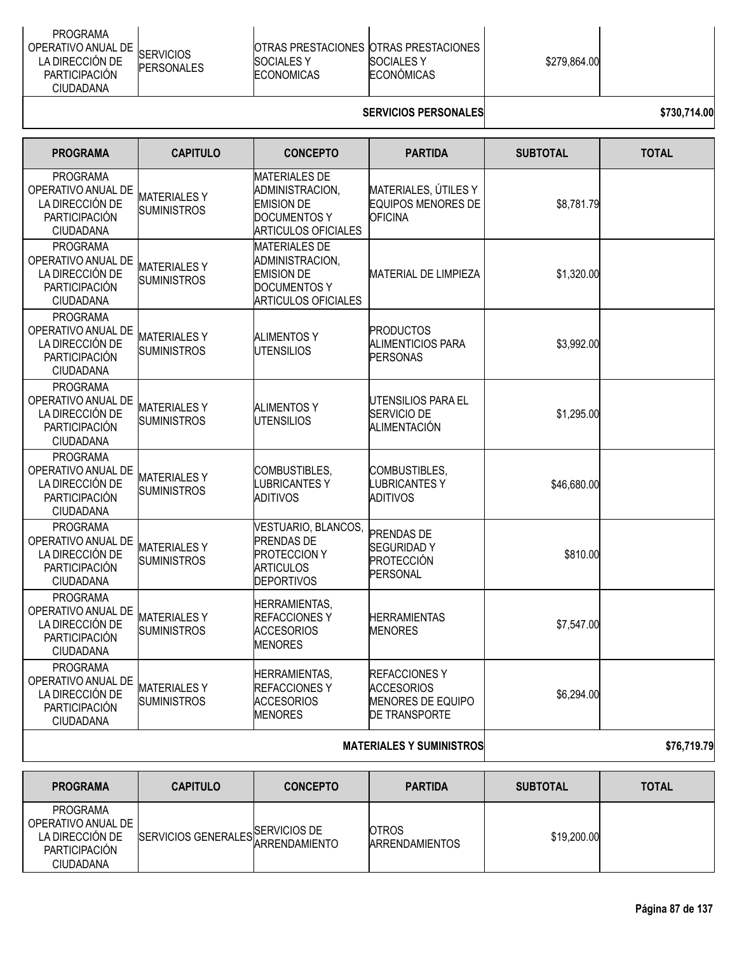| PROGRAMA<br>OPERATIVO ANUAL DE<br><b>SERVICIOS</b><br>LA DIRECCIÓN DE<br><b>ISOCIALES Y</b><br><b>PERSONALES</b><br><b>PARTICIPACION</b><br><b>ECONOMICAS</b><br>CIUDADANA | OTRAS PRESTACIONES OTRAS PRESTACIONES<br>\$279.864.00<br><b>ISOCIALES Y</b><br>ECONÓMICAS |  |
|----------------------------------------------------------------------------------------------------------------------------------------------------------------------------|-------------------------------------------------------------------------------------------|--|
|----------------------------------------------------------------------------------------------------------------------------------------------------------------------------|-------------------------------------------------------------------------------------------|--|

## **SERVICIOS PERSONALES \$730,714.00**

| <b>PROGRAMA</b>                                                                                      | <b>CAPITULO</b>                          | <b>CONCEPTO</b>                                                                                                   | <b>PARTIDA</b>                                                                        | <b>SUBTOTAL</b> | <b>TOTAL</b> |
|------------------------------------------------------------------------------------------------------|------------------------------------------|-------------------------------------------------------------------------------------------------------------------|---------------------------------------------------------------------------------------|-----------------|--------------|
| <b>PROGRAMA</b><br>OPERATIVO ANUAL DE<br>LA DIRECCIÓN DE<br>PARTICIPACIÓN<br><b>CIUDADANA</b>        | <b>MATERIALESY</b><br><b>SUMINISTROS</b> | <b>MATERIALES DE</b><br>ADMINISTRACION,<br><b>EMISION DE</b><br><b>DOCUMENTOS Y</b><br><b>ARTICULOS OFICIALES</b> | MATERIALES, ÚTILES Y<br><b>EQUIPOS MENORES DE</b><br><b>OFICINA</b>                   | \$8,781.79      |              |
| PROGRAMA<br>OPERATIVO ANUAL DE<br>LA DIRECCIÓN DE<br>PARTICIPACIÓN<br>CIUDADANA                      | <b>MATERIALESY</b><br><b>SUMINISTROS</b> | <b>MATERIALES DE</b><br>ADMINISTRACION,<br><b>EMISION DE</b><br><b>DOCUMENTOS Y</b><br><b>ARTICULOS OFICIALES</b> | MATERIAL DE LIMPIEZA                                                                  | \$1,320.00      |              |
| <b>PROGRAMA</b><br>OPERATIVO ANUAL DE<br>LA DIRECCIÓN DE<br>PARTICIPACIÓN<br><b>CIUDADANA</b>        | <b>MATERIALESY</b><br><b>SUMINISTROS</b> | ALIMENTOS Y<br><b>UTENSILIOS</b>                                                                                  | PRODUCTOS<br><b>ALIMENTICIOS PARA</b><br>PERSONAS                                     | \$3,992.00      |              |
| PROGRAMA<br>OPERATIVO ANUAL DE<br>LA DIRECCIÓN DE<br><b>PARTICIPACIÓN</b><br>CIUDADANA               | MATERIALES Y<br><b>SUMINISTROS</b>       | <b>ALIMENTOS Y</b><br><b>UTENSILIOS</b>                                                                           | UTENSILIOS PARA EL<br>SERVICIO DE<br>ALIMENTACIÓN                                     | \$1,295.00      |              |
| <b>PROGRAMA</b><br>OPERATIVO ANUAL DE<br>LA DIRECCIÓN DE<br>PARTICIPACIÓN<br>CIUDADANA               | <b>MATERIALESY</b><br>SUMINISTROS        | COMBUSTIBLES,<br><b>LUBRICANTESY</b><br>ADITIVOS                                                                  | COMBUSTIBLES,<br>LUBRICANTES Y<br><b>ADITIVOS</b>                                     | \$46,680.00     |              |
| <b>PROGRAMA</b><br>OPERATIVO ANUAL DE<br>LA DIRECCIÓN DE<br><b>PARTICIPACIÓN</b><br><b>CIUDADANA</b> | <b>MATERIALESY</b><br><b>SUMINISTROS</b> | VESTUARIO, BLANCOS,<br><b>PRENDAS DE</b><br><b>PROTECCION Y</b><br><b>ARTICULOS</b><br><b>DEPORTIVOS</b>          | <b>PRENDAS DE</b><br><b>SEGURIDADY</b><br>PROTECCIÓN<br><b>PERSONAL</b>               | \$810.00        |              |
| <b>PROGRAMA</b><br>OPERATIVO ANUAL DE<br>LA DIRECCIÓN DE<br>PARTICIPACIÓN<br>CIUDADANA               | <b>MATERIALESY</b><br><b>SUMINISTROS</b> | <b>HERRAMIENTAS,</b><br><b>REFACCIONESY</b><br><b>ACCESORIOS</b><br><b>MENORES</b>                                | <b>HERRAMIENTAS</b><br><b>MENORES</b>                                                 | \$7,547.00      |              |
| <b>PROGRAMA</b><br>OPERATIVO ANUAL DE<br>LA DIRECCIÓN DE<br>PARTICIPACIÓN<br><b>CIUDADANA</b>        | <b>MATERIALESY</b><br><b>SUMINISTROS</b> | <b>HERRAMIENTAS,</b><br><b>REFACCIONESY</b><br><b>ACCESORIOS</b><br><b>MENORES</b>                                | <b>REFACCIONESY</b><br><b>ACCESORIOS</b><br><b>MENORES DE EQUIPO</b><br>DE TRANSPORTE | \$6,294.00      |              |
|                                                                                                      |                                          |                                                                                                                   | <b>MATERIALES Y SUMINISTROS</b>                                                       |                 | \$76,719.79  |

| <b>PROGRAMA</b>                                                                               | <b>CAPITULO</b>                  | <b>CONCEPTO</b> | <b>PARTIDA</b>                        | <b>SUBTOTAL</b> | <b>TOTAL</b> |
|-----------------------------------------------------------------------------------------------|----------------------------------|-----------------|---------------------------------------|-----------------|--------------|
| PROGRAMA<br>OPERATIVO ANUAL DE<br>LA DIRECCIÓN DE<br><b>PARTICIPACIÓN</b><br><b>CIUDADANA</b> | SERVICIOS GENERALES SERVICIOS DE |                 | <b>OTROS</b><br><b>ARRENDAMIENTOS</b> | \$19,200.00     |              |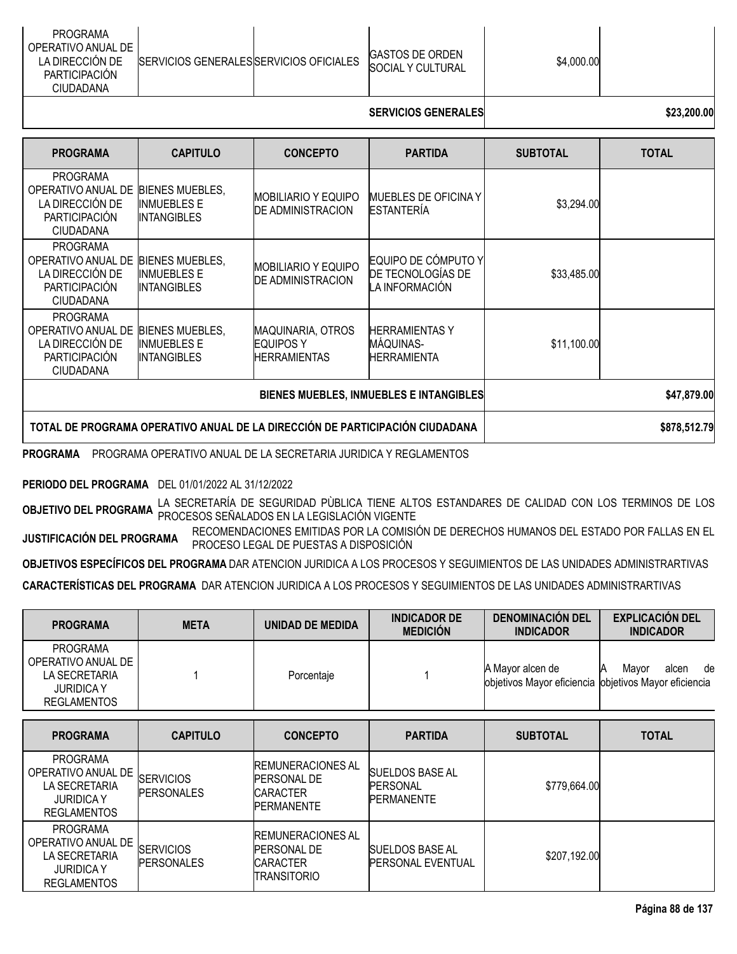|  | <b>PROGRAMA</b><br>OPERATIVO ANUAL DE<br>LA DIRECCION DE<br>SERVICIOS GENERALESISERVICIOS OFICIALES<br>PARTICIPACIÓN<br>CIUDADANA |  | <b>IGASTOS DE ORDEN</b><br>SOCIAL Y CULTURAL | \$4,000.00 |  |
|--|-----------------------------------------------------------------------------------------------------------------------------------|--|----------------------------------------------|------------|--|
|--|-----------------------------------------------------------------------------------------------------------------------------------|--|----------------------------------------------|------------|--|

## **SERVICIOS GENERALES \$23,200.00**

| <b>PROGRAMA</b>                                                                               | <b>CAPITULO</b>                                                    | <b>CONCEPTO</b>                                                     | <b>PARTIDA</b>                                             | <b>SUBTOTAL</b> | <b>TOTAL</b> |
|-----------------------------------------------------------------------------------------------|--------------------------------------------------------------------|---------------------------------------------------------------------|------------------------------------------------------------|-----------------|--------------|
| <b>PROGRAMA</b><br>OPERATIVO ANUAL DE<br>LA DIRECCIÓN DE<br>PARTICIPACIÓN<br><b>CIUDADANA</b> | <b>BIENES MUEBLES.</b><br><b>INMUEBLES E</b><br><b>INTANGIBLES</b> | <b>MOBILIARIO Y EQUIPO</b><br><b>DE ADMINISTRACION</b>              | <b>MUEBLES DE OFICINA Y</b><br><b>ESTANTERÍA</b>           | \$3,294.00      |              |
| <b>PROGRAMA</b><br>OPERATIVO ANUAL DE<br>LA DIRECCIÓN DE<br>PARTICIPACIÓN<br><b>CIUDADANA</b> | <b>BIENES MUEBLES,</b><br><b>INMUEBLES E</b><br><b>INTANGIBLES</b> | <b>MOBILIARIO Y EQUIPO</b><br><b>DE ADMINISTRACION</b>              | EQUIPO DE CÓMPUTO Y<br>DE TECNOLOGÍAS DE<br>LA INFORMACIÓN | \$33,485.00     |              |
| <b>PROGRAMA</b><br>OPERATIVO ANUAL DE<br>LA DIRECCIÓN DE<br>PARTICIPACIÓN<br><b>CIUDADANA</b> | <b>BIENES MUEBLES,</b><br><b>INMUEBLES E</b><br><b>INTANGIBLES</b> | <b>MAQUINARIA, OTROS</b><br><b>EQUIPOS Y</b><br><b>HERRAMIENTAS</b> | <b>HERRAMIENTASY</b><br>MÁQUINAS-<br><b>HERRAMIENTA</b>    | \$11,100.00     |              |
| BIENES MUEBLES, INMUEBLES E INTANGIBLES                                                       |                                                                    |                                                                     |                                                            |                 | \$47,879.00  |
| TOTAL DE PROGRAMA OPERATIVO ANUAL DE LA DIRECCIÓN DE PARTICIPACIÓN CIUDADANA                  |                                                                    |                                                                     |                                                            |                 | \$878,512.79 |

**PROGRAMA** PROGRAMA OPERATIVO ANUAL DE LA SECRETARIA JURIDICA Y REGLAMENTOS

**PERIODO DEL PROGRAMA** DEL 01/01/2022 AL 31/12/2022

**OBJETIVO DEL PROGRAMA** LA SECRETARÍA DE SEGURIDAD PÙBLICA TIENE ALTOS ESTANDARES DE CALIDAD CON LOS TERMINOS DE LOS PROCESOS SEÑALADOS EN LA LEGISLACIÓN VIGENTE

**JUSTIFICACIÓN DEL PROGRAMA** RECOMENDACIONES EMITIDAS POR LA COMISIÓN DE DERECHOS HUMANOS DEL ESTADO POR FALLAS EN EL PROCESO LEGAL DE PUESTAS A DISPOSICIÓN

**OBJETIVOS ESPECÍFICOS DEL PROGRAMA** DAR ATENCION JURIDICA A LOS PROCESOS Y SEGUIMIENTOS DE LAS UNIDADES ADMINISTRARTIVAS

**CARACTERÍSTICAS DEL PROGRAMA** DAR ATENCION JURIDICA A LOS PROCESOS Y SEGUIMIENTOS DE LAS UNIDADES ADMINISTRARTIVAS

| <b>PROGRAMA</b>                                                                                   | <b>META</b> | UNIDAD DE MEDIDA | <b>INDICADOR DE</b><br><b>MEDICIÓN</b> | <b>DENOMINACION DEL</b><br><b>INDICADOR</b>                                | <b>EXPLICACIÓN DEL</b><br><b>INDICADOR</b> |
|---------------------------------------------------------------------------------------------------|-------------|------------------|----------------------------------------|----------------------------------------------------------------------------|--------------------------------------------|
| <b>PROGRAMA</b><br>OPERATIVO ANUAL DE<br>LA SECRETARIA<br><b>JURIDICA Y</b><br><b>REGLAMENTOS</b> |             | Porcentaje       |                                        | A Mayor alcen de<br>objetivos Mayor eficiencia lobjetivos Mayor eficiencia | de<br>Mavor<br>alcen                       |
|                                                                                                   |             |                  |                                        |                                                                            |                                            |

| <b>PROGRAMA</b>                                                                                   | <b>CAPITULO</b>                       | <b>CONCEPTO</b>                                                                   | <b>PARTIDA</b>                                           | <b>SUBTOTAL</b> | <b>TOTAL</b> |
|---------------------------------------------------------------------------------------------------|---------------------------------------|-----------------------------------------------------------------------------------|----------------------------------------------------------|-----------------|--------------|
| <b>PROGRAMA</b><br>OPERATIVO ANUAL DE<br>LA SECRETARIA<br><b>JURIDICA Y</b><br><b>REGLAMENTOS</b> | <b>SERVICIOS</b><br><b>PERSONALES</b> | <b>IREMUNERACIONES AL</b><br><b>PERSONAL DE</b><br>ICARACTER<br><b>PERMANENTE</b> | ISUELDOS BASE AL<br><b>PERSONAL</b><br><b>PERMANENTE</b> | \$779,664.00    |              |
| PROGRAMA<br>OPERATIVO ANUAL DE<br>LA SECRETARIA<br><b>JURIDICA Y</b><br><b>REGLAMENTOS</b>        | <b>SERVICIOS</b><br><b>PERSONALES</b> | <b>IREMUNERACIONES AL</b><br><b>PERSONAL DE</b><br>ICARACTER<br>ITRANSITORIO      | <b>SUELDOS BASE AL</b><br><b>IPERSONAL EVENTUAL</b>      | \$207,192.00    |              |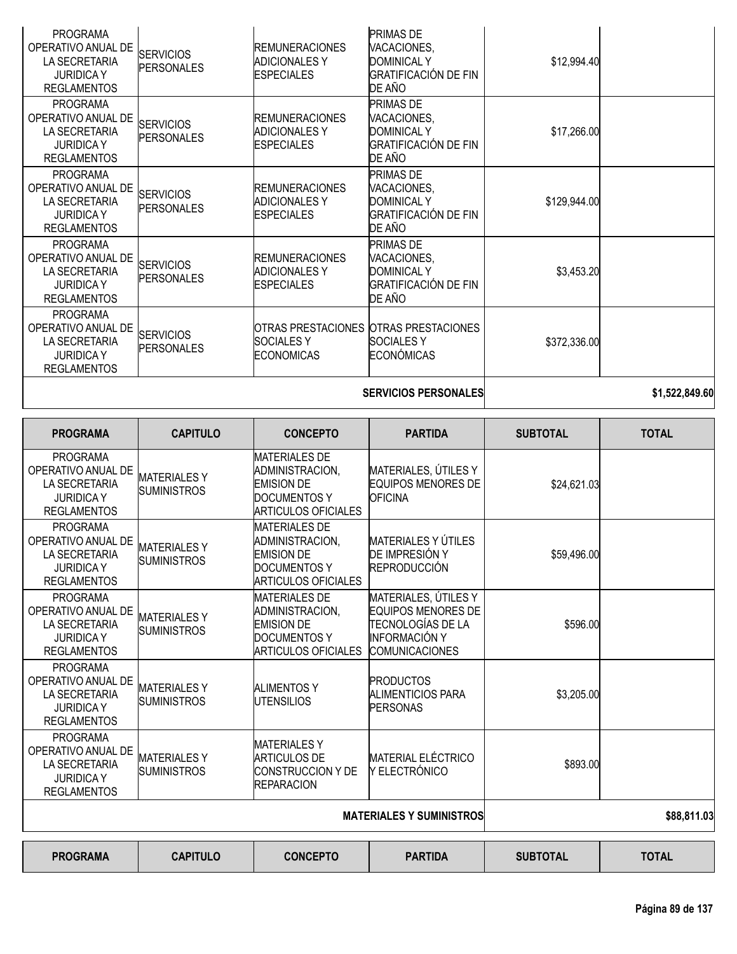| Página 89 de 137 |  |  |
|------------------|--|--|
|                  |  |  |

|                 |                 |                 | ________<br>$ -$ |                 | $\cdots$<br>__ |
|-----------------|-----------------|-----------------|------------------|-----------------|----------------|
|                 |                 |                 |                  |                 |                |
| <b>PROGRAMA</b> | <b>CAPITULO</b> | <b>CONCEPTO</b> | <b>PARTIDA</b>   | <b>SUBTOTAL</b> | <b>TOTAL</b>   |

| <b>PROGRAMA</b><br>OPERATIVO ANUAL DE<br>LA SECRETARIA<br><b>JURIDICAY</b><br><b>REGLAMENTOS</b>        | <b>SERVICIOS</b><br><b>PERSONALES</b>     | OTRAS PRESTACIONES OTRAS PRESTACIONES<br><b>SOCIALESY</b><br><b>ECONOMICAS</b>                                    | <b>SOCIALESY</b><br>ECONÓMICAS                                                                                          | \$372,336.00                                                                   |                |
|---------------------------------------------------------------------------------------------------------|-------------------------------------------|-------------------------------------------------------------------------------------------------------------------|-------------------------------------------------------------------------------------------------------------------------|--------------------------------------------------------------------------------|----------------|
|                                                                                                         |                                           |                                                                                                                   | <b>SERVICIOS PERSONALES</b>                                                                                             |                                                                                | \$1,522,849.60 |
| <b>PROGRAMA</b>                                                                                         | <b>CAPITULO</b>                           | <b>CONCEPTO</b>                                                                                                   | <b>PARTIDA</b>                                                                                                          | <b>SUBTOTAL</b>                                                                | <b>TOTAL</b>   |
| <b>PROGRAMA</b><br>OPERATIVO ANUAL DE<br><b>LA SECRETARIA</b><br><b>JURIDICAY</b><br><b>REGLAMENTOS</b> | <b>MATERIALESY</b><br><b>SUMINISTROS</b>  | <b>MATERIALES DE</b><br>ADMINISTRACION,<br><b>EMISION DE</b><br><b>DOCUMENTOS Y</b><br><b>ARTICULOS OFICIALES</b> | MATERIALES, ÚTILES Y<br><b>EQUIPOS MENORES DE</b><br><b>OFICINA</b>                                                     | \$24,621.03                                                                    |                |
| <b>PROGRAMA</b><br>OPERATIVO ANUAL DE<br>LA SECRETARIA<br><b>JURIDICAY</b><br><b>REGLAMENTOS</b>        | <b>MATERIALESY</b><br><b>SUMINISTROS</b>  | <b>MATERIALES DE</b><br>ADMINISTRACION,<br><b>EMISION DE</b><br><b>DOCUMENTOS Y</b><br><b>ARTICULOS OFICIALES</b> | <b>MATERIALES Y ÚTILES</b><br>DE IMPRESIÓN Y<br>REPRODUCCIÓN                                                            | \$59,496.00                                                                    |                |
| <b>PROGRAMA</b><br>OPERATIVO ANUAL DE<br>LA SECRETARIA<br><b>JURIDICAY</b><br><b>REGLAMENTOS</b>        | <b>MATERIALES Y</b><br><b>SUMINISTROS</b> | <b>MATERIALES DE</b><br>ADMINISTRACION,<br><b>EMISION DE</b><br><b>DOCUMENTOS Y</b><br><b>ARTICULOS OFICIALES</b> | MATERIALES, ÚTILES Y<br><b>EQUIPOS MENORES DE</b><br>TECNOLOGÍAS DE LA<br><b>INFORMACIÓN Y</b><br><b>COMUNICACIONES</b> | \$596.00                                                                       |                |
| <b>PROGRAMA</b><br>OPERATIVO ANUAL DE<br><b>LA SECRETARIA</b><br><b>JURIDICAY</b><br><b>REGLAMENTOS</b> | <b>MATERIALESY</b><br><b>SUMINISTROS</b>  | <b>ALIMENTOS Y</b><br><b>UTENSILIOS</b>                                                                           | <b>PRODUCTOS</b><br><b>ALIMENTICIOS PARA</b><br><b>PERSONAS</b>                                                         | \$3,205.00                                                                     |                |
| <b>PROGRAMA</b><br>OPERATIVO ANUAL DE<br>LA SECRETARIA<br><b>JURIDICAY</b><br><b>REGLAMENTOS</b>        | <b>MATERIALESY</b><br><b>SUMINISTROS</b>  | <b>MATERIALESY</b><br><b>ARTICULOS DE</b><br><b>CONSTRUCCION Y DE</b><br><b>REPARACION</b>                        | <b>MATERIAL ELÉCTRICO</b><br>Y ELECTRÓNICO                                                                              | \$893.00                                                                       |                |
|                                                                                                         |                                           |                                                                                                                   | <b>MATERIALES Y SUMINISTROS</b>                                                                                         |                                                                                | \$88,811.03    |
| -----                                                                                                   |                                           |                                                                                                                   | ----                                                                                                                    | $\mathbf{A} \mathbf{B} \mathbf{B} \mathbf{A} \mathbf{B} \mathbf{A} \mathbf{B}$ |                |

PROGRAMA OPERATIVO ANUAL DE LA SECRETARIA JURIDICA Y REGLAMENTOS **SERVICIOS** PERSONALES REMUNERACIONES ADICIONALES Y **ESPECIALES** PRIMAS DE VACACIONES, DOMINICAL Y GRATIFICACIÓN DE FIN DE AÑO \$12,994.40 PROGRAMA OPERATIVO ANUAL DE LA SECRETARIA JURIDICA Y REGLAMENTOS SERVICIOS PERSONALES REMUNERACIONES ADICIONALES Y ESPECIALES PRIMAS DE VACACIONES, DOMINICAL Y GRATIFICACIÓN DE FIN DE AÑO \$17,266.00 PROGRAMA OPERATIVO ANUAL DE LA SECRETARIA JURIDICA Y REGLAMENTOS **SERVICIOS** PERSONALES REMUNERACIONES ADICIONALES Y ESPECIALES PRIMAS DE VACACIONES, DOMINICAL Y GRATIFICACIÓN DE FIN DE AÑO \$129,944.00 PROGRAMA OPERATIVO ANUAL DE LA SECRETARIA JURIDICA Y REGLAMENTOS **SERVICIOS** PERSONALES REMUNERACIONES ADICIONALES Y **ESPECIALES** PRIMAS DE VACACIONES, DOMINICAL Y GRATIFICACIÓN DE FIN DE AÑO \$3,453.20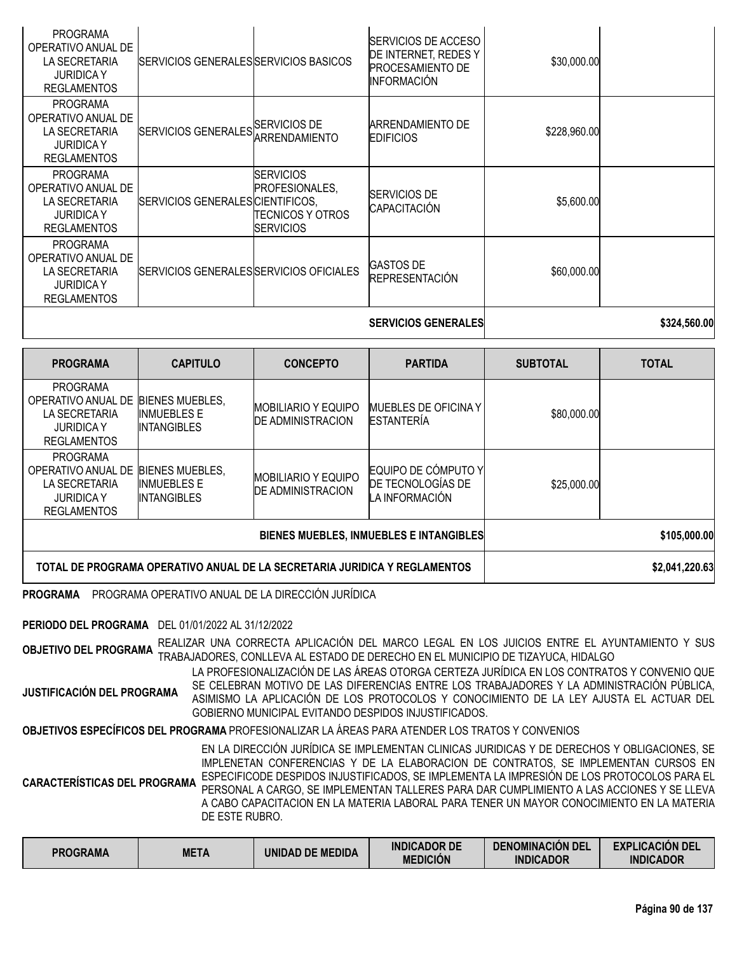|                                                                                                   |                                         |                                                                             | <b>SERVICIOS GENERALES</b>                                                                   |              | \$324,560.00 |
|---------------------------------------------------------------------------------------------------|-----------------------------------------|-----------------------------------------------------------------------------|----------------------------------------------------------------------------------------------|--------------|--------------|
| <b>PROGRAMA</b><br>OPERATIVO ANUAL DE<br>LA SECRETARIA<br><b>JURIDICAY</b><br><b>REGLAMENTOS</b>  | SERVICIOS GENERALES SERVICIOS OFICIALES |                                                                             | <b>GASTOS DE</b><br><b>REPRESENTACIÓN</b>                                                    | \$60,000.00  |              |
| <b>PROGRAMA</b><br>OPERATIVO ANUAL DE<br>LA SECRETARIA<br><b>JURIDICA Y</b><br><b>REGLAMENTOS</b> | SERVICIOS GENERALES CIENTIFICOS,        | <b>SERVICIOS</b><br>PROFESIONALES,<br>ITECNICOS Y OTROS<br><b>SERVICIOS</b> | <b>SERVICIOS DE</b><br>CAPACITACIÓN                                                          | \$5,600.00   |              |
| <b>PROGRAMA</b><br>OPERATIVO ANUAL DE<br>LA SECRETARIA<br><b>JURIDICAY</b><br><b>REGLAMENTOS</b>  | SERVICIOS GENERALES SERVICIOS DE        | ARRENDAMIENTO                                                               | ARRENDAMIENTO DE<br><b>EDIFICIOS</b>                                                         | \$228,960.00 |              |
| <b>PROGRAMA</b><br>OPERATIVO ANUAL DE<br>LA SECRETARIA<br><b>JURIDICAY</b><br><b>REGLAMENTOS</b>  | SERVICIOS GENERALES SERVICIOS BASICOS   |                                                                             | SERVICIOS DE ACCESO<br>DE INTERNET, REDES Y<br><b>PROCESAMIENTO DE</b><br><b>INFORMACIÓN</b> | \$30,000.00  |              |

| <b>PROGRAMA</b>                                                                                   | <b>CAPITULO</b>                                                    | <b>CONCEPTO</b>                                        | <b>PARTIDA</b>                                             | <b>SUBTOTAL</b> | <b>TOTAL</b>   |
|---------------------------------------------------------------------------------------------------|--------------------------------------------------------------------|--------------------------------------------------------|------------------------------------------------------------|-----------------|----------------|
| <b>PROGRAMA</b><br>OPERATIVO ANUAL DE<br>LA SECRETARIA<br><b>JURIDICA Y</b><br><b>REGLAMENTOS</b> | <b>BIENES MUEBLES.</b><br><b>INMUEBLES E</b><br><b>INTANGIBLES</b> | <b>MOBILIARIO Y EQUIPO</b><br><b>DE ADMINISTRACION</b> | <b>MUEBLES DE OFICINA Y</b><br><b>ESTANTERÍA</b>           | \$80,000.00     |                |
| <b>PROGRAMA</b><br>OPERATIVO ANUAL DE<br>LA SECRETARIA<br><b>JURIDICA Y</b><br><b>REGLAMENTOS</b> | <b>BIENES MUEBLES,</b><br><b>INMUEBLES E</b><br><b>INTANGIBLES</b> | <b>MOBILIARIO Y EQUIPO</b><br><b>DE ADMINISTRACION</b> | EQUIPO DE CÓMPUTO Y<br>DE TECNOLOGÍAS DE<br>LA INFORMACIÓN | \$25,000.00     |                |
|                                                                                                   |                                                                    | <b>BIENES MUEBLES, INMUEBLES E INTANGIBLES</b>         | \$105,000.00                                               |                 |                |
| TOTAL DE PROGRAMA OPERATIVO ANUAL DE LA SECRETARIA JURIDICA Y REGLAMENTOS                         |                                                                    |                                                        |                                                            |                 | \$2,041,220.63 |

**PROGRAMA** PROGRAMA OPERATIVO ANUAL DE LA DIRECCIÓN JURÍDICA

**PERIODO DEL PROGRAMA** DEL 01/01/2022 AL 31/12/2022

**OBJETIVO DEL PROGRAMA** REALIZAR UNA CORRECTA APLICACIÓN DEL MARCO LEGAL EN LOS JUICIOS ENTRE EL AYUNTAMIENTO <sup>Y</sup> SUS TRABAJADORES, CONLLEVA AL ESTADO DE DERECHO EN EL MUNICIPIO DE TIZAYUCA, HIDALGO

**JUSTIFICACIÓN DEL PROGRAMA** LA PROFESIONALIZACIÓN DE LAS ÁREAS OTORGA CERTEZA JURÍDICA EN LOS CONTRATOS Y CONVENIO QUE SE CELEBRAN MOTIVO DE LAS DIFERENCIAS ENTRE LOS TRABAJADORES Y LA ADMINISTRACIÓN PÚBLICA, ASIMISMO LA APLICACIÓN DE LOS PROTOCOLOS Y CONOCIMIENTO DE LA LEY AJUSTA EL ACTUAR DEL GOBIERNO MUNICIPAL EVITANDO DESPIDOS INJUSTIFICADOS.

**OBJETIVOS ESPECÍFICOS DEL PROGRAMA** PROFESIONALIZAR LA ÁREAS PARA ATENDER LOS TRATOS Y CONVENIOS

**CARACTERÍSTICAS DEL PROGRAMA** EN LA DIRECCIÓN JURÍDICA SE IMPLEMENTAN CLINICAS JURIDICAS Y DE DERECHOS Y OBLIGACIONES, SE IMPLENETAN CONFERENCIAS Y DE LA ELABORACION DE CONTRATOS, SE IMPLEMENTAN CURSOS EN ESPECIFICODE DESPIDOS INJUSTIFICADOS, SE IMPLEMENTA LA IMPRESIÓN DE LOS PROTOCOLOS PARA EL PERSONAL A CARGO, SE IMPLEMENTAN TALLERES PARA DAR CUMPLIMIENTO A LAS ACCIONES Y SE LLEVA A CABO CAPACITACION EN LA MATERIA LABORAL PARA TENER UN MAYOR CONOCIMIENTO EN LA MATERIA DE ESTE RUBRO.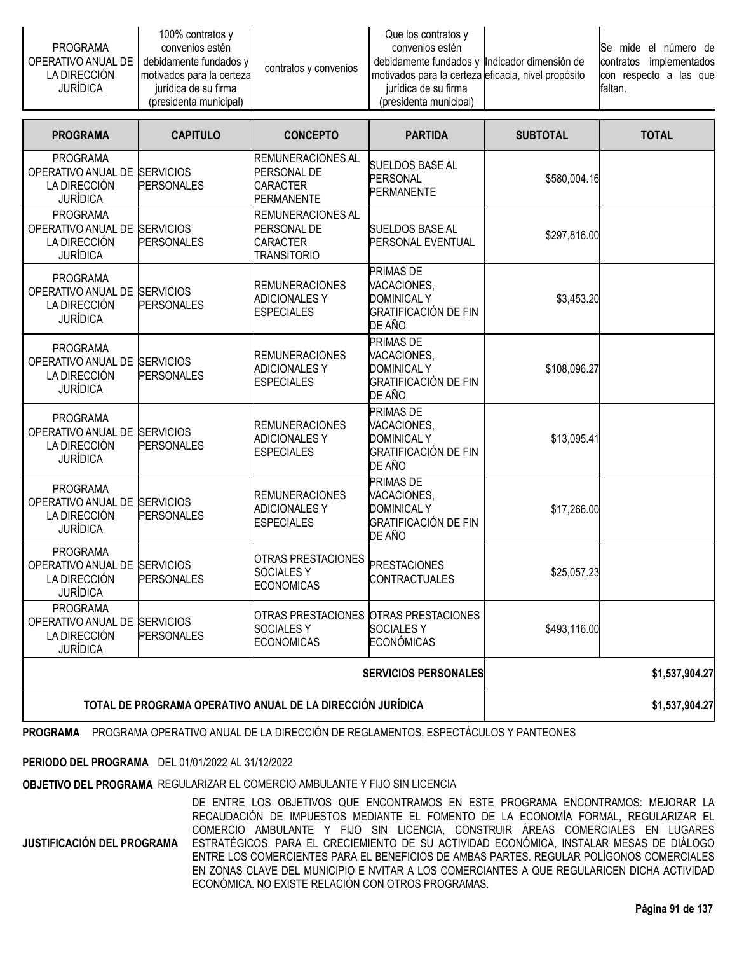|                    | 100% contratos $y$        |                       | Que los contratos y                                 |                         |
|--------------------|---------------------------|-----------------------|-----------------------------------------------------|-------------------------|
| PROGRAMA           | convenios estén           | contratos y convenios | convenios estén                                     | lSe mide el número de   |
| OPERATIVO ANUAL DE | debidamente fundados y    |                       | debidamente fundados y Indicador dimensión de       | contratos implementados |
| LA DIRECCION       | motivados para la certeza |                       | motivados para la certeza eficacia, nivel propósito | con respecto a las que  |
| <b>JURIDICA</b>    | iurídica de su firma      |                       | jurídica de su firma                                | faltan.                 |
|                    | (presidenta municipal)    |                       | (presidenta municipal)                              |                         |

| <b>PROGRAMA</b>                                                                    | <b>CAPITULO</b>                       | <b>CONCEPTO</b>                                                                 | <b>PARTIDA</b>                                                                                 | <b>SUBTOTAL</b> | <b>TOTAL</b>   |
|------------------------------------------------------------------------------------|---------------------------------------|---------------------------------------------------------------------------------|------------------------------------------------------------------------------------------------|-----------------|----------------|
| <b>PROGRAMA</b><br>OPERATIVO ANUAL DE SERVICIOS<br>LA DIRECCIÓN<br><b>JURÍDICA</b> | <b>PERSONALES</b>                     | <b>REMUNERACIONES AL</b><br>PERSONAL DE<br><b>CARACTER</b><br><b>PERMANENTE</b> | <b>SUELDOS BASE AL</b><br>PERSONAL<br><b>PERMANENTE</b>                                        | \$580,004.16    |                |
| <b>PROGRAMA</b><br>OPERATIVO ANUAL DE SERVICIOS<br>LA DIRECCIÓN<br><b>JURÍDICA</b> | <b>PERSONALES</b>                     | REMUNERACIONES AL<br>PERSONAL DE<br><b>CARACTER</b><br><b>TRANSITORIO</b>       | <b>SUELDOS BASE AL</b><br>PERSONAL EVENTUAL                                                    | \$297,816.00    |                |
| <b>PROGRAMA</b><br>OPERATIVO ANUAL DE SERVICIOS<br>LA DIRECCIÓN<br><b>JURÍDICA</b> | <b>PERSONALES</b>                     | <b>REMUNERACIONES</b><br><b>ADICIONALES Y</b><br><b>ESPECIALES</b>              | <b>PRIMAS DE</b><br>VACACIONES,<br><b>DOMINICAL Y</b><br><b>GRATIFICACIÓN DE FIN</b><br>DE AÑO | \$3,453.20      |                |
| <b>PROGRAMA</b><br>OPERATIVO ANUAL DE<br>LA DIRECCIÓN<br><b>JURÍDICA</b>           | <b>SERVICIOS</b><br><b>PERSONALES</b> | <b>REMUNERACIONES</b><br><b>ADICIONALES Y</b><br><b>ESPECIALES</b>              | <b>PRIMAS DE</b><br>VACACIONES,<br><b>DOMINICAL Y</b><br><b>GRATIFICACIÓN DE FIN</b><br>DE AÑO | \$108,096.27    |                |
| <b>PROGRAMA</b><br>OPERATIVO ANUAL DE<br>LA DIRECCIÓN<br><b>JURÍDICA</b>           | <b>SERVICIOS</b><br><b>PERSONALES</b> | <b>REMUNERACIONES</b><br><b>ADICIONALES Y</b><br><b>ESPECIALES</b>              | <b>PRIMAS DE</b><br>VACACIONES,<br><b>DOMINICAL Y</b><br><b>GRATIFICACIÓN DE FIN</b><br>DE AÑO | \$13,095.41     |                |
| <b>PROGRAMA</b><br>OPERATIVO ANUAL DE<br>LA DIRECCIÓN<br><b>JURÍDICA</b>           | <b>SERVICIOS</b><br><b>PERSONALES</b> | <b>REMUNERACIONES</b><br><b>ADICIONALES Y</b><br><b>ESPECIALES</b>              | <b>PRIMAS DE</b><br>VACACIONES,<br><b>DOMINICAL Y</b><br><b>GRATIFICACIÓN DE FIN</b><br>DE AÑO | \$17,266.00     |                |
| <b>PROGRAMA</b><br>OPERATIVO ANUAL DE SERVICIOS<br>LA DIRECCIÓN<br><b>JURÍDICA</b> | <b>PERSONALES</b>                     | OTRAS PRESTACIONES<br><b>SOCIALES Y</b><br><b>ECONOMICAS</b>                    | <b>PRESTACIONES</b><br><b>CONTRACTUALES</b>                                                    | \$25,057.23     |                |
| <b>PROGRAMA</b><br>OPERATIVO ANUAL DE SERVICIOS<br>LA DIRECCIÓN<br><b>JURÍDICA</b> | <b>PERSONALES</b>                     | <b>SOCIALESY</b><br><b>ECONOMICAS</b>                                           | OTRAS PRESTACIONES IOTRAS PRESTACIONES<br><b>SOCIALESY</b><br><b>ECONÓMICAS</b>                | \$493,116.00    |                |
| <b>SERVICIOS PERSONALES</b>                                                        |                                       |                                                                                 |                                                                                                |                 | \$1,537,904.27 |
| TOTAL DE PROGRAMA OPERATIVO ANUAL DE LA DIRECCIÓN JURÍDICA                         |                                       |                                                                                 |                                                                                                |                 | \$1,537,904.27 |

**PROGRAMA** PROGRAMA OPERATIVO ANUAL DE LA DIRECCIÓN DE REGLAMENTOS, ESPECTÁCULOS Y PANTEONES

**PERIODO DEL PROGRAMA** DEL 01/01/2022 AL 31/12/2022

**OBJETIVO DEL PROGRAMA** REGULARIZAR EL COMERCIO AMBULANTE Y FIJO SIN LICENCIA

**JUSTIFICACIÓN DEL PROGRAMA**

DE ENTRE LOS OBJETIVOS QUE ENCONTRAMOS EN ESTE PROGRAMA ENCONTRAMOS: MEJORAR LA RECAUDACIÓN DE IMPUESTOS MEDIANTE EL FOMENTO DE LA ECONOMÍA FORMAL, REGULARIZAR EL COMERCIO AMBULANTE Y FIJO SIN LICENCIA, CONSTRUIR ÁREAS COMERCIALES EN LUGARES ESTRATÉGICOS, PARA EL CRECIEMIENTO DE SU ACTIVIDAD ECONÓMICA, INSTALAR MESAS DE DIÁLOGO ENTRE LOS COMERCIENTES PARA EL BENEFICIOS DE AMBAS PARTES. REGULAR POLÌGONOS COMERCIALES EN ZONAS CLAVE DEL MUNICIPIO E NVITAR A LOS COMERCIANTES A QUE REGULARICEN DICHA ACTIVIDAD ECONÓMICA. NO EXISTE RELACIÓN CON OTROS PROGRAMAS.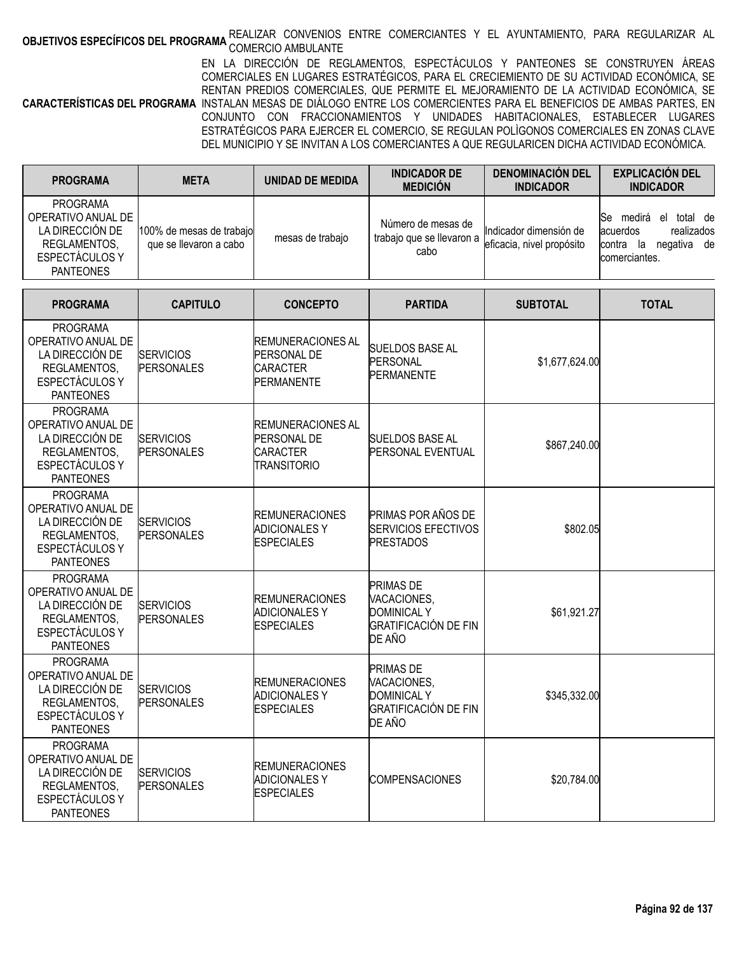# **OBJETIVOS ESPECÍFICOS DEL PROGRAMA** REALIZAR CONVENIOS ENTRE COMERCIANTES Y EL AYUNTAMIENTO, PARA REGULARIZAR AL<br>COMBETI**VOS ESPECÍFICOS DEL PROGRAMA** COMERCIO AMBULANTE

**CARACTERÍSTICAS DEL PROGRAMA** INSTALAN MESAS DE DIÁLOGO ENTRE LOS COMERCIENTES PARA EL BENEFICIOS DE AMBAS PARTES, EN EN LA DIRECCIÓN DE REGLAMENTOS, ESPECTÁCULOS Y PANTEONES SE CONSTRUYEN ÁREAS COMERCIALES EN LUGARES ESTRATÉGICOS, PARA EL CRECIEMIENTO DE SU ACTIVIDAD ECONÓMICA, SE RENTAN PREDIOS COMERCIALES, QUE PERMITE EL MEJORAMIENTO DE LA ACTIVIDAD ECONÓMICA, SE CONJUNTO CON FRACCIONAMIENTOS Y UNIDADES HABITACIONALES, ESTABLECER LUGARES ESTRATÉGICOS PARA EJERCER EL COMERCIO, SE REGULAN POLÌGONOS COMERCIALES EN ZONAS CLAVE DEL MUNICIPIO Y SE INVITAN A LOS COMERCIANTES A QUE REGULARICEN DICHA ACTIVIDAD ECONÓMICA.

| <b>PROGRAMA</b>                                                                                                      | <b>META</b>                                        | <b>UNIDAD DE MEDIDA</b>                                                          | <b>INDICADOR DE</b><br><b>MEDICIÓN</b>                                                         | <b>DENOMINACIÓN DEL</b><br><b>INDICADOR</b>         | <b>EXPLICACIÓN DEL</b><br><b>INDICADOR</b>                                                |
|----------------------------------------------------------------------------------------------------------------------|----------------------------------------------------|----------------------------------------------------------------------------------|------------------------------------------------------------------------------------------------|-----------------------------------------------------|-------------------------------------------------------------------------------------------|
| <b>PROGRAMA</b><br>OPERATIVO ANUAL DE<br>LA DIRECCIÓN DE<br>REGLAMENTOS,<br>ESPECTÁCULOS Y<br><b>PANTEONES</b>       | 100% de mesas de trabajo<br>que se llevaron a cabo | mesas de trabajo                                                                 | Número de mesas de<br>trabajo que se llevaron a<br>cabo                                        | Indicador dimensión de<br>eficacia, nivel propósito | Se medirá el total de<br>acuerdos<br>realizados<br>contra la negativa de<br>comerciantes. |
| <b>PROGRAMA</b>                                                                                                      | <b>CAPITULO</b>                                    | <b>CONCEPTO</b>                                                                  | <b>PARTIDA</b>                                                                                 | <b>SUBTOTAL</b>                                     | <b>TOTAL</b>                                                                              |
| <b>PROGRAMA</b><br>OPERATIVO ANUAL DE<br>LA DIRECCIÓN DE<br>REGLAMENTOS,<br>ESPECTÁCULOS Y<br><b>PANTEONES</b>       | <b>SERVICIOS</b><br><b>PERSONALES</b>              | <b>REMUNERACIONES AL</b><br>PERSONAL DE<br><b>CARACTER</b><br><b>PERMANENTE</b>  | <b>SUELDOS BASE AL</b><br>PERSONAL<br><b>PERMANENTE</b>                                        | \$1,677,624.00                                      |                                                                                           |
| <b>PROGRAMA</b><br>OPERATIVO ANUAL DE<br>LA DIRECCIÓN DE<br>REGLAMENTOS,<br>ESPECTÁCULOS Y<br><b>PANTEONES</b>       | <b>SERVICIOS</b><br><b>PERSONALES</b>              | <b>REMUNERACIONES AL</b><br>PERSONAL DE<br><b>CARACTER</b><br><b>TRANSITORIO</b> | <b>SUELDOS BASE AL</b><br><b>PERSONAL EVENTUAL</b>                                             | \$867,240.00                                        |                                                                                           |
| <b>PROGRAMA</b><br>OPERATIVO ANUAL DE<br>LA DIRECCIÓN DE<br>REGLAMENTOS,<br>ESPECTÁCULOS Y<br><b>PANTEONES</b>       | <b>SERVICIOS</b><br><b>PERSONALES</b>              | <b>REMUNERACIONES</b><br><b>ADICIONALES Y</b><br><b>ESPECIALES</b>               | PRIMAS POR AÑOS DE<br><b>SERVICIOS EFECTIVOS</b><br><b>PRESTADOS</b>                           | \$802.05                                            |                                                                                           |
| <b>PROGRAMA</b><br>OPERATIVO ANUAL DE<br>LA DIRECCIÓN DE<br>REGLAMENTOS,<br>ESPECTÁCULOS Y<br><b>PANTEONES</b>       | <b>SERVICIOS</b><br><b>PERSONALES</b>              | <b>REMUNERACIONES</b><br><b>ADICIONALES Y</b><br><b>ESPECIALES</b>               | <b>PRIMAS DE</b><br>VACACIONES,<br><b>DOMINICAL Y</b><br><b>GRATIFICACIÓN DE FIN</b><br>DE AÑO | \$61,921.27                                         |                                                                                           |
| <b>PROGRAMA</b><br>OPERATIVO ANUAL DE<br>LA DIRECCIÓN DE<br><b>REGLAMENTOS</b><br>ESPECTÁCULOS Y<br><b>PANTEONES</b> | <b>SERVICIOS</b><br><b>PERSONALES</b>              | <b>REMUNERACIONES</b><br><b>ADICIONALES Y</b><br>ESPECIALES                      | <b>PRIMAS DE</b><br>VACACIONES,<br><b>DOMINICAL Y</b><br><b>GRATIFICACIÓN DE FIN</b><br>DE AÑO | \$345,332.00                                        |                                                                                           |
| <b>PROGRAMA</b><br>OPERATIVO ANUAL DE<br>LA DIRECCIÓN DE<br>REGLAMENTOS,<br>ESPECTÁCULOS Y<br><b>PANTEONES</b>       | <b>SERVICIOS</b><br><b>PERSONALES</b>              | <b>REMUNERACIONES</b><br><b>ADICIONALES Y</b><br><b>ESPECIALES</b>               | <b>COMPENSACIONES</b>                                                                          | \$20,784.00                                         |                                                                                           |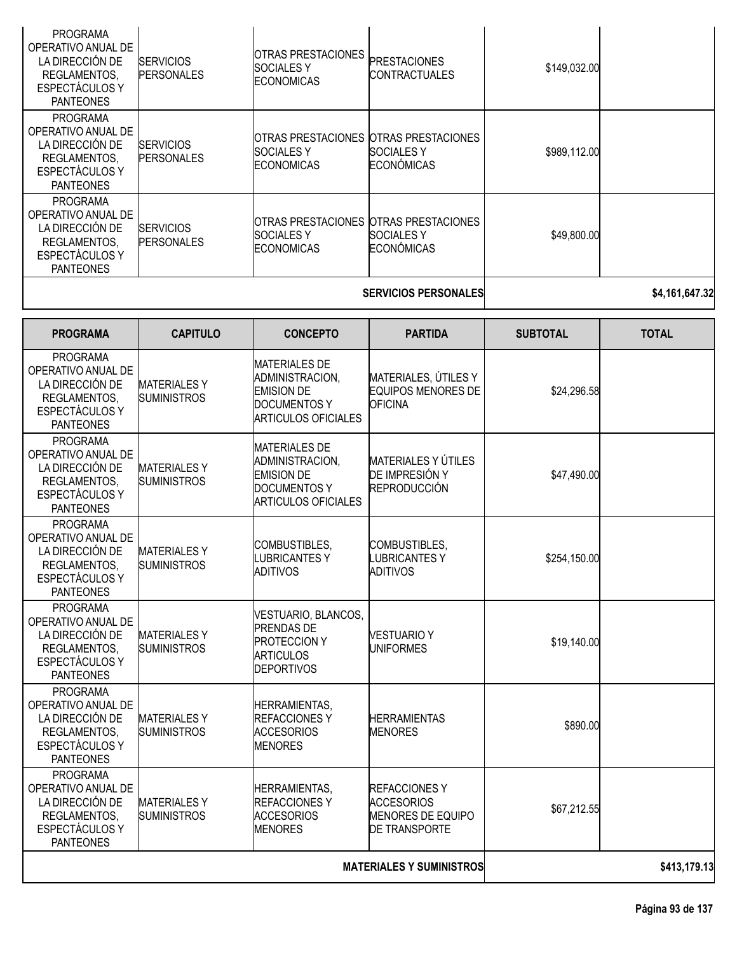| <b>PROGRAMA</b><br>OPERATIVO ANUAL DE<br>LA DIRECCIÓN DE<br>REGLAMENTOS,<br><b>ESPECTÁCULOS Y</b><br><b>PANTEONES</b> | <b>SERVICIOS</b><br><b>PERSONALES</b> | OTRAS PRESTACIONES<br><b>SOCIALES Y</b><br><b>ECONOMICAS</b>                           | <b>PRESTACIONES</b><br><b>CONTRACTUALES</b> | \$149,032.00 |  |
|-----------------------------------------------------------------------------------------------------------------------|---------------------------------------|----------------------------------------------------------------------------------------|---------------------------------------------|--------------|--|
| <b>PROGRAMA</b><br>OPERATIVO ANUAL DE<br>LA DIRECCIÓN DE<br>REGLAMENTOS,<br><b>ESPECTÁCULOS Y</b><br><b>PANTEONES</b> | <b>SERVICIOS</b><br><b>PERSONALES</b> | OTRAS PRESTACIONES OTRAS PRESTACIONES<br><b>SOCIALES Y</b><br><b>ECONOMICAS</b>        | <b>SOCIALES Y</b><br><b>ECONÓMICAS</b>      | \$989,112.00 |  |
| <b>PROGRAMA</b><br>OPERATIVO ANUAL DE<br>LA DIRECCIÓN DE<br>REGLAMENTOS.<br>ESPECTÁCULOS Y<br><b>PANTEONES</b>        | <b>SERVICIOS</b><br><b>PERSONALES</b> | <b>OTRAS PRESTACIONES OTRAS PRESTACIONES</b><br><b>SOCIALES Y</b><br><b>ECONOMICAS</b> | <b>SOCIALES Y</b><br><b>ECONÓMICAS</b>      | \$49,800.00  |  |

## **SERVICIOS PERSONALES \$4,161,647.32**

| <b>PROGRAMA</b>                                                                                                       | <b>CAPITULO</b>                           | <b>CONCEPTO</b>                                                                                                   | <b>PARTIDA</b>                                                                        | <b>SUBTOTAL</b> | <b>TOTAL</b> |
|-----------------------------------------------------------------------------------------------------------------------|-------------------------------------------|-------------------------------------------------------------------------------------------------------------------|---------------------------------------------------------------------------------------|-----------------|--------------|
| <b>PROGRAMA</b><br>OPERATIVO ANUAL DE<br>LA DIRECCIÓN DE<br>REGLAMENTOS,<br><b>ESPECTÁCULOS Y</b><br><b>PANTEONES</b> | <b>MATERIALES Y</b><br><b>SUMINISTROS</b> | <b>MATERIALES DE</b><br>ADMINISTRACION,<br><b>EMISION DE</b><br><b>DOCUMENTOS Y</b><br><b>ARTICULOS OFICIALES</b> | MATERIALES, ÚTILES Y<br><b>EQUIPOS MENORES DE</b><br><b>OFICINA</b>                   | \$24,296.58     |              |
| <b>PROGRAMA</b><br>OPERATIVO ANUAL DE<br>LA DIRECCIÓN DE<br>REGLAMENTOS,<br><b>ESPECTÁCULOS Y</b><br><b>PANTEONES</b> | <b>MATERIALESY</b><br><b>SUMINISTROS</b>  | <b>MATERIALES DE</b><br>ADMINISTRACION,<br><b>EMISION DE</b><br><b>DOCUMENTOS Y</b><br><b>ARTICULOS OFICIALES</b> | <b>MATERIALES Y ÚTILES</b><br>DE IMPRESIÓN Y<br>REPRODUCCIÓN                          | \$47,490.00     |              |
| <b>PROGRAMA</b><br>OPERATIVO ANUAL DE<br>LA DIRECCIÓN DE<br>REGLAMENTOS,<br><b>ESPECTÁCULOS Y</b><br><b>PANTEONES</b> | <b>MATERIALESY</b><br><b>SUMINISTROS</b>  | COMBUSTIBLES,<br><b>LUBRICANTESY</b><br><b>ADITIVOS</b>                                                           | COMBUSTIBLES,<br><b>LUBRICANTESY</b><br><b>ADITIVOS</b>                               | \$254,150.00    |              |
| <b>PROGRAMA</b><br>OPERATIVO ANUAL DE<br>LA DIRECCIÓN DE<br>REGLAMENTOS,<br><b>ESPECTÁCULOS Y</b><br><b>PANTEONES</b> | <b>MATERIALESY</b><br><b>SUMINISTROS</b>  | VESTUARIO, BLANCOS,<br>PRENDAS DE<br><b>PROTECCION Y</b><br><b>ARTICULOS</b><br><b>DEPORTIVOS</b>                 | <b>VESTUARIO Y</b><br><b>UNIFORMES</b>                                                | \$19,140.00     |              |
| <b>PROGRAMA</b><br>OPERATIVO ANUAL DE<br>LA DIRECCIÓN DE<br>REGLAMENTOS,<br><b>ESPECTÁCULOS Y</b><br><b>PANTEONES</b> | <b>MATERIALES Y</b><br><b>SUMINISTROS</b> | <b>HERRAMIENTAS,</b><br><b>REFACCIONES Y</b><br><b>ACCESORIOS</b><br><b>MENORES</b>                               | <b>HERRAMIENTAS</b><br><b>MENORES</b>                                                 | \$890.00        |              |
| <b>PROGRAMA</b><br>OPERATIVO ANUAL DE<br>LA DIRECCIÓN DE<br>REGLAMENTOS,<br><b>ESPECTÁCULOS Y</b><br><b>PANTEONES</b> | <b>MATERIALESY</b><br><b>SUMINISTROS</b>  | <b>HERRAMIENTAS,</b><br><b>REFACCIONESY</b><br><b>ACCESORIOS</b><br><b>MENORES</b>                                | <b>REFACCIONESY</b><br><b>ACCESORIOS</b><br>MENORES DE EQUIPO<br><b>DE TRANSPORTE</b> | \$67,212.55     |              |
| <b>MATERIALES Y SUMINISTROS</b>                                                                                       |                                           |                                                                                                                   |                                                                                       |                 | \$413,179.13 |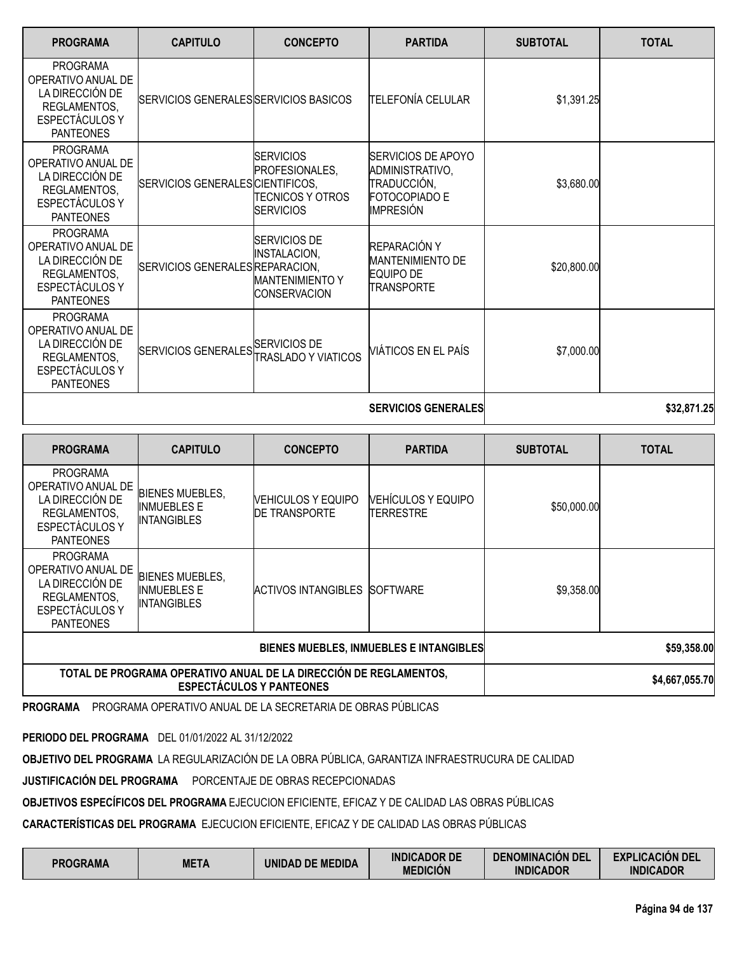| <b>PROGRAMA</b>                                                                                                       | <b>CAPITULO</b>                       | <b>CONCEPTO</b>                                                                      | <b>PARTIDA</b>                                                                                          | <b>SUBTOTAL</b> | <b>TOTAL</b> |
|-----------------------------------------------------------------------------------------------------------------------|---------------------------------------|--------------------------------------------------------------------------------------|---------------------------------------------------------------------------------------------------------|-----------------|--------------|
| <b>PROGRAMA</b><br>OPERATIVO ANUAL DE<br>LA DIRECCIÓN DE<br>REGLAMENTOS,<br>ESPECTÁCULOS Y<br><b>PANTEONES</b>        | SERVICIOS GENERALES SERVICIOS BASICOS |                                                                                      | TELEFONÍA CELULAR                                                                                       | \$1,391.25      |              |
| <b>PROGRAMA</b><br>OPERATIVO ANUAL DE<br>LA DIRECCIÓN DE<br>REGLAMENTOS,<br>ESPECTÁCULOS Y<br><b>PANTEONES</b>        | SERVICIOS GENERALES CIENTIFICOS,      | <b>SERVICIOS</b><br>PROFESIONALES,<br><b>TECNICOS Y OTROS</b><br><b>SERVICIOS</b>    | <b>SERVICIOS DE APOYO</b><br>ADMINISTRATIVO,<br>TRADUCCIÓN,<br><b>FOTOCOPIADO E</b><br><b>IMPRESIÓN</b> | \$3,680.00      |              |
| <b>PROGRAMA</b><br>OPERATIVO ANUAL DE<br>LA DIRECCIÓN DE<br>REGLAMENTOS,<br><b>ESPECTÁCULOS Y</b><br><b>PANTEONES</b> | SERVICIOS GENERALES REPARACION.       | <b>SERVICIOS DE</b><br><b>INSTALACION,</b><br>MANTENIMIENTO Y<br><b>CONSERVACION</b> | REPARACIÓN Y<br>MANTENIMIENTO DE<br>EQUIPO DE<br><b>TRANSPORTE</b>                                      | \$20,800.00     |              |
| <b>PROGRAMA</b><br>OPERATIVO ANUAL DE<br>LA DIRECCIÓN DE<br>REGLAMENTOS,<br><b>ESPECTÁCULOS Y</b><br><b>PANTEONES</b> | SERVICIOS GENERALES SERVICIOS DE      | TRASLADO Y VIATICOS                                                                  | VIÁTICOS EN EL PAÍS                                                                                     | \$7,000.00      |              |
|                                                                                                                       |                                       |                                                                                      | <b>SERVICIOS GENERALES</b>                                                                              |                 | \$32,871.25  |

**PROGRAMA CAPITULO CONCEPTO PARTIDA SUBTOTAL TOTAL** PROGRAMA OPERATIVO ANUAL DE LA DIRECCIÓN DE REGLAMENTOS, ESPECTÁCULOS Y PANTEONES BIENES MUEBLES, INMUEBLES E **INTANGIBLES** VEHICULOS Y EQUIPO DE TRANSPORTE VEHÍCULOS Y EQUIPO TERRESTRE \$50,000.00 PROGRAMA OPERATIVO ANUAL DE LA DIRECCIÓN DE REGLAMENTOS, ESPECTÁCULOS Y PANTEONES BIENES MUEBLES, INMUEBLES E INTANGIBLES ACTIVOS INTANGIBLES SOFTWARE \$9,358.00 **BIENES MUEBLES, INMUEBLES E INTANGIBLES \$59,358.00 TOTAL DE PROGRAMA OPERATIVO ANUAL DE LA DIRECCIÓN DE REGLAMENTOS, ESPECTÁCULOS Y PANTEONES \$4,667,055.70**

**PROGRAMA** PROGRAMA OPERATIVO ANUAL DE LA SECRETARIA DE OBRAS PÚBLICAS

**PERIODO DEL PROGRAMA** DEL 01/01/2022 AL 31/12/2022

**OBJETIVO DEL PROGRAMA** LA REGULARIZACIÓN DE LA OBRA PÚBLICA, GARANTIZA INFRAESTRUCURA DE CALIDAD

**JUSTIFICACIÓN DEL PROGRAMA** PORCENTAJE DE OBRAS RECEPCIONADAS

**OBJETIVOS ESPECÍFICOS DEL PROGRAMA** EJECUCION EFICIENTE, EFICAZ Y DE CALIDAD LAS OBRAS PÚBLICAS

**CARACTERÍSTICAS DEL PROGRAMA** EJECUCION EFICIENTE, EFICAZ Y DE CALIDAD LAS OBRAS PÚBLICAS

| <b>PROGRAMA</b> | <b>META</b> | UNIDAD DE MEDIDA | <b>INDICADOR DE</b><br><b>MEDICIÓN</b> | <b>DENOMINACIÓN DEL</b><br><b>INDICADOR</b> | <b>EXPLICACIÓN DEL</b><br><b>INDICADOR</b> |
|-----------------|-------------|------------------|----------------------------------------|---------------------------------------------|--------------------------------------------|
|-----------------|-------------|------------------|----------------------------------------|---------------------------------------------|--------------------------------------------|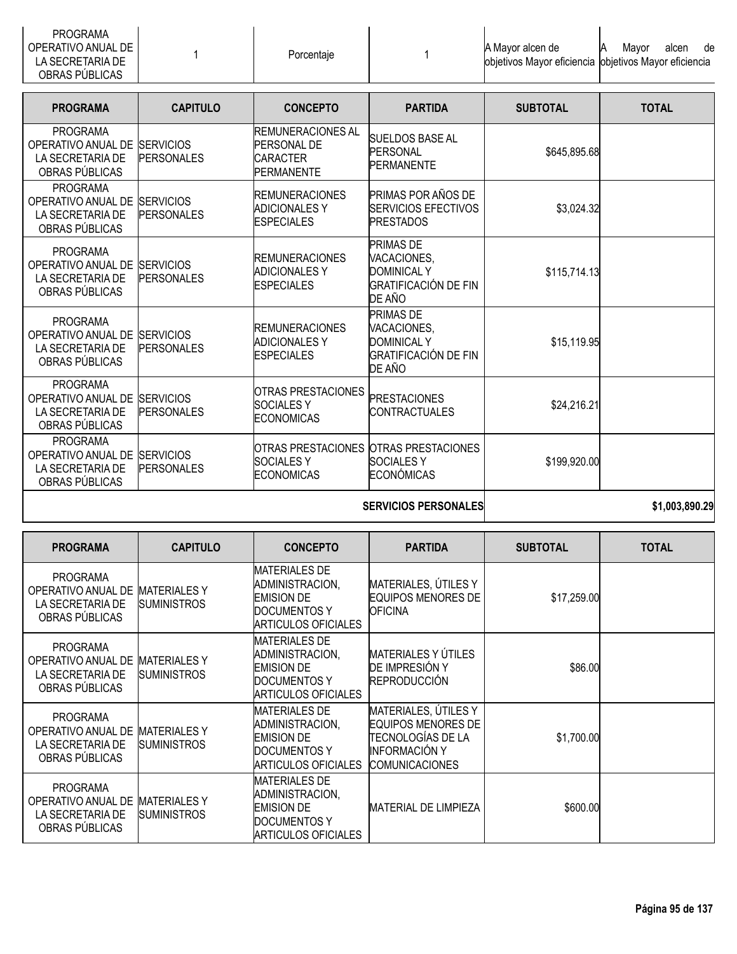| <b>PROGRAMA</b><br>OPERATIVO ANUAL DE<br>LA SECRETARIA DE<br>OBRAS PÚBLICAS           |                                       | Porcentaje                                                                     |                                                                                                | A Mayor alcen de<br>objetivos Mayor eficiencia | alcen<br>Mayor<br>de<br>objetivos Mayor eficiencia |
|---------------------------------------------------------------------------------------|---------------------------------------|--------------------------------------------------------------------------------|------------------------------------------------------------------------------------------------|------------------------------------------------|----------------------------------------------------|
| <b>PROGRAMA</b>                                                                       | <b>CAPITULO</b>                       | <b>CONCEPTO</b>                                                                | <b>PARTIDA</b>                                                                                 | <b>SUBTOTAL</b>                                | <b>TOTAL</b>                                       |
| <b>PROGRAMA</b><br>OPERATIVO ANUAL DE<br>LA SECRETARIA DE<br>OBRAS PÚBLICAS           | <b>SERVICIOS</b><br><b>PERSONALES</b> | <b>REMUNERACIONES AL</b><br>PERSONAL DE<br><b>CARACTER</b><br>PERMANENTE       | <b>SUELDOS BASE AL</b><br><b>PERSONAL</b><br><b>PERMANENTE</b>                                 | \$645,895.68                                   |                                                    |
| <b>PROGRAMA</b><br>OPERATIVO ANUAL DE<br>LA SECRETARIA DE<br>OBRAS PÚBLICAS           | <b>SERVICIOS</b><br><b>PERSONALES</b> | <b>REMUNERACIONES</b><br><b>ADICIONALES Y</b><br><b>ESPECIALES</b>             | PRIMAS POR AÑOS DE<br><b>SERVICIOS EFECTIVOS</b><br><b>PRESTADOS</b>                           | \$3,024.32                                     |                                                    |
| <b>PROGRAMA</b><br>OPERATIVO ANUAL DE<br>LA SECRETARIA DE<br>OBRAS PÚBLICAS           | <b>SERVICIOS</b><br><b>PERSONALES</b> | <b>REMUNERACIONES</b><br><b>ADICIONALES Y</b><br><b>ESPECIALES</b>             | <b>PRIMAS DE</b><br>VACACIONES,<br><b>DOMINICAL Y</b><br><b>GRATIFICACIÓN DE FIN</b><br>DE AÑO | \$115,714.13                                   |                                                    |
| <b>PROGRAMA</b><br>OPERATIVO ANUAL DE<br>LA SECRETARIA DE<br>OBRAS PÚBLICAS           | <b>SERVICIOS</b><br><b>PERSONALES</b> | <b>REMUNERACIONES</b><br><b>ADICIONALES Y</b><br><b>ESPECIALES</b>             | <b>PRIMAS DE</b><br>VACACIONES,<br><b>DOMINICAL Y</b><br><b>GRATIFICACIÓN DE FIN</b><br>DE AÑO | \$15,119.95                                    |                                                    |
| <b>PROGRAMA</b><br>OPERATIVO ANUAL DE<br>LA SECRETARIA DE<br>OBRAS PÚBLICAS           | <b>SERVICIOS</b><br><b>PERSONALES</b> | <b>OTRAS PRESTACIONES</b><br><b>SOCIALESY</b><br><b>ECONOMICAS</b>             | <b>PRESTACIONES</b><br><b>CONTRACTUALES</b>                                                    | \$24,216.21                                    |                                                    |
| <b>PROGRAMA</b><br>OPERATIVO ANUAL DE SERVICIOS<br>LA SECRETARIA DE<br>OBRAS PÚBLICAS | <b>PERSONALES</b>                     | OTRAS PRESTACIONES OTRAS PRESTACIONES<br><b>SOCIALESY</b><br><b>ECONOMICAS</b> | <b>SOCIALESY</b><br><b>ECONÓMICAS</b>                                                          | \$199,920.00                                   |                                                    |
|                                                                                       |                                       |                                                                                | <b>CEDIMAINE DEDENNAI EE</b>                                                                   |                                                | <b>ደ4 ሰሰ2 ዩስስ ኃስ</b>                               |

| <b>SERVICIOS PERSONALES</b> |
|-----------------------------|
|-----------------------------|

**SERVICIOS PERSONALES \$1,003,890.29**

| <b>PROGRAMA</b>                                                             | <b>CAPITULO</b>                           | <b>CONCEPTO</b>                                                                                                   | <b>PARTIDA</b>                                                                                                          | <b>SUBTOTAL</b> | <b>TOTAL</b> |
|-----------------------------------------------------------------------------|-------------------------------------------|-------------------------------------------------------------------------------------------------------------------|-------------------------------------------------------------------------------------------------------------------------|-----------------|--------------|
| <b>PROGRAMA</b><br>OPERATIVO ANUAL DE<br>LA SECRETARIA DE<br>OBRAS PÚBLICAS | <b>MATERIALES Y</b><br><b>SUMINISTROS</b> | <b>MATERIALES DE</b><br>ADMINISTRACION,<br><b>EMISION DE</b><br><b>DOCUMENTOS Y</b><br>ARTICULOS OFICIALES        | MATERIALES, ÚTILES Y<br><b>EQUIPOS MENORES DE</b><br><b>OFICINA</b>                                                     | \$17,259.00     |              |
| <b>PROGRAMA</b><br>OPERATIVO ANUAL DE<br>LA SECRETARIA DE<br>OBRAS PÚBLICAS | <b>MATERIALES Y</b><br><b>SUMINISTROS</b> | <b>MATERIALES DE</b><br>ADMINISTRACION,<br><b>EMISION DE</b><br><b>DOCUMENTOS Y</b><br><b>ARTICULOS OFICIALES</b> | <b>MATERIALES Y ÚTILES</b><br>DE IMPRESIÓN Y<br><b>REPRODUCCIÓN</b>                                                     | \$86.00         |              |
| <b>PROGRAMA</b><br>OPERATIVO ANUAL DE<br>LA SECRETARIA DE<br>OBRAS PÚBLICAS | <b>MATERIALES Y</b><br><b>SUMINISTROS</b> | <b>MATERIALES DE</b><br>ADMINISTRACION,<br><b>EMISION DE</b><br>DOCUMENTOS Y<br><b>ARTICULOS OFICIALES</b>        | MATERIALES, ÚTILES Y<br><b>EQUIPOS MENORES DE</b><br>TECNOLOGÍAS DE LA<br><b>INFORMACIÓN Y</b><br><b>COMUNICACIONES</b> | \$1,700.00      |              |
| <b>PROGRAMA</b><br>OPERATIVO ANUAL DE<br>LA SECRETARIA DE<br>OBRAS PÚBLICAS | <b>MATERIALES Y</b><br><b>SUMINISTROS</b> | <b>MATERIALES DE</b><br>ADMINISTRACION,<br><b>EMISION DE</b><br>DOCUMENTOS Y<br>ARTICULOS OFICIALES               | <b>MATERIAL DE LIMPIEZA</b>                                                                                             | \$600.00        |              |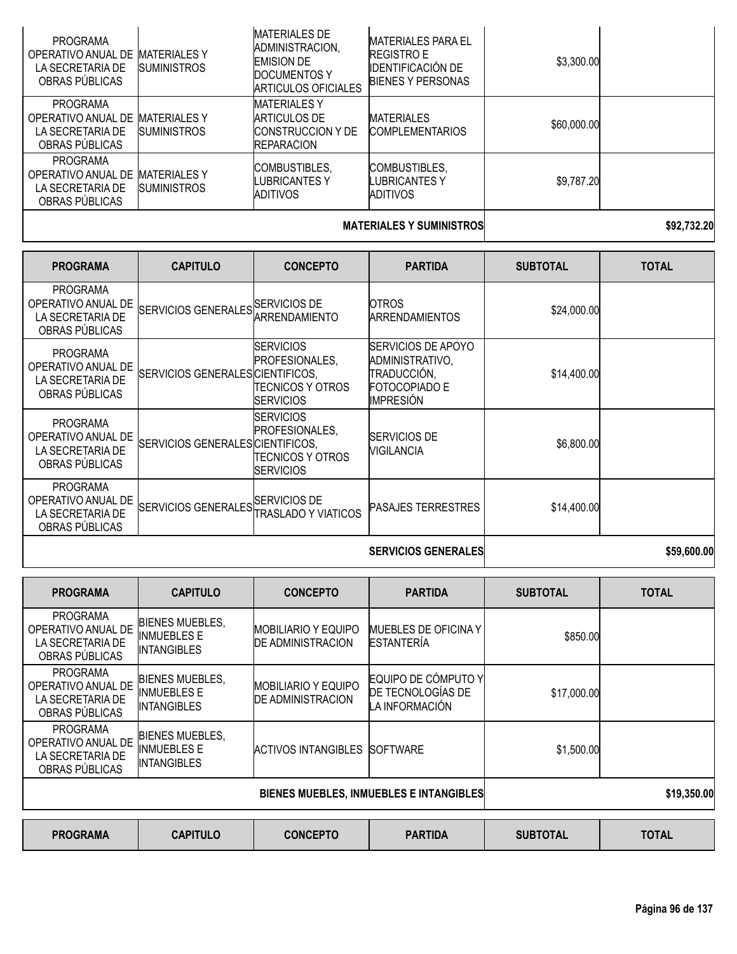| <b>PROGRAMA</b><br>OPERATIVO ANUAL DE<br>LA SECRETARIA DE<br>OBRAS PÚBLICAS | <b>MATERIALES Y</b><br><b>SUMINISTROS</b> | <b>MATERIALES DE</b><br>ADMINISTRACION,<br><b>EMISION DE</b><br><b>DOCUMENTOS Y</b><br><b>ARTICULOS OFICIALES</b> | <b>MATERIALES PARA EL</b><br><b>REGISTRO E</b><br><b>IDENTIFICACIÓN DE</b><br><b>BIENES Y PERSONAS</b> | \$3,300.00  |  |  |
|-----------------------------------------------------------------------------|-------------------------------------------|-------------------------------------------------------------------------------------------------------------------|--------------------------------------------------------------------------------------------------------|-------------|--|--|
| <b>PROGRAMA</b><br>OPERATIVO ANUAL DE<br>LA SECRETARIA DE<br>OBRAS PUBLICAS | <b>MATERIALES Y</b><br><b>SUMINISTROS</b> | <b>MATERIALES Y</b><br>ARTICULOS DE<br><b>CONSTRUCCION Y DE</b><br><b>REPARACION</b>                              | <b>MATERIALES</b><br><b>COMPLEMENTARIOS</b>                                                            | \$60,000.00 |  |  |
| <b>PROGRAMA</b><br>OPERATIVO ANUAL DE<br>LA SECRETARIA DE<br>OBRAS PUBLICAS | <b>MATERIALES Y</b><br><b>SUMINISTROS</b> | <b>COMBUSTIBLES.</b><br>ILUBRICANTES Y<br>ADITIVOS                                                                | <b>COMBUSTIBLES.</b><br>LUBRICANTES Y<br><b>ADITIVOS</b>                                               | \$9,787.20  |  |  |
| \$92,732.20<br><b>MATERIALES Y SUMINISTROS</b>                              |                                           |                                                                                                                   |                                                                                                        |             |  |  |

| <b>PROGRAMA</b>                                                             | <b>CAPITULO</b>                  | <b>CONCEPTO</b>                                                                      | <b>PARTIDA</b>                                                                                          | <b>SUBTOTAL</b> | <b>TOTAL</b> |
|-----------------------------------------------------------------------------|----------------------------------|--------------------------------------------------------------------------------------|---------------------------------------------------------------------------------------------------------|-----------------|--------------|
| <b>PROGRAMA</b><br>OPERATIVO ANUAL DE<br>LA SECRETARIA DE<br>OBRAS PÚBLICAS | <b>SERVICIOS GENERALES</b>       | <b>ISERVICIOS DE</b><br>ARRENDAMIENTO                                                | <b>OTROS</b><br><b>ARRENDAMIENTOS</b>                                                                   | \$24,000.00     |              |
| <b>PROGRAMA</b><br>OPERATIVO ANUAL DE<br>LA SECRETARIA DE<br>OBRAS PÚBLICAS | SERVICIOS GENERALES CIENTIFICOS, | <b>SERVICIOS</b><br>PROFESIONALES,<br><b>TECNICOS Y OTROS</b><br>ISERVICIOS          | <b>SERVICIOS DE APOYO</b><br>ADMINISTRATIVO,<br>TRADUCCIÓN,<br><b>FOTOCOPIADO E</b><br><b>IMPRESIÓN</b> | \$14,400.00     |              |
| <b>PROGRAMA</b><br>OPERATIVO ANUAL DE<br>LA SECRETARIA DE<br>OBRAS PÚBLICAS | SERVICIOS GENERALES CIENTIFICOS, | <b>ISERVICIOS</b><br><b>IPROFESIONALES.</b><br>TECNICOS Y OTROS<br><b>ISERVICIOS</b> | <b>SERVICIOS DE</b><br>MIGILANCIA                                                                       | \$6,800.00      |              |
| <b>PROGRAMA</b><br>OPERATIVO ANUAL DE<br>LA SECRETARIA DE<br>OBRAS PÚBLICAS | SERVICIOS GENERALES SERVICIOS DE | TRASLADO Y VIATICOS                                                                  | PASAJES TERRESTRES                                                                                      | \$14,400.00     |              |
|                                                                             |                                  |                                                                                      | <b>SERVICIOS GENERALES</b>                                                                              |                 | \$59,600.00  |

| <b>PROGRAMA</b>                                                             | <b>CAPITULO</b>                                                    | <b>CONCEPTO</b>                                        | <b>PARTIDA</b>                                             | <b>SUBTOTAL</b> | <b>TOTAL</b> |
|-----------------------------------------------------------------------------|--------------------------------------------------------------------|--------------------------------------------------------|------------------------------------------------------------|-----------------|--------------|
| <b>PROGRAMA</b><br>OPERATIVO ANUAL DE<br>LA SECRETARIA DE<br>OBRAS PÚBLICAS | <b>BIENES MUEBLES,</b><br><b>INMUEBLES E</b><br><b>INTANGIBLES</b> | IMOBILIARIO Y EQUIPO<br><b>DE ADMINISTRACION</b>       | <b>MUEBLES DE OFICINA Y</b><br><b>ESTANTERÍA</b>           | \$850.00        |              |
| <b>PROGRAMA</b><br>OPERATIVO ANUAL DE<br>LA SECRETARIA DE<br>OBRAS PÚBLICAS | <b>BIENES MUEBLES,</b><br><b>INMUEBLES E</b><br><b>INTANGIBLES</b> | <b>MOBILIARIO Y EQUIPO</b><br><b>DE ADMINISTRACION</b> | EQUIPO DE CÓMPUTO Y<br>DE TECNOLOGÍAS DE<br>LA INFORMACIÓN | \$17,000.00     |              |
| <b>PROGRAMA</b><br>OPERATIVO ANUAL DE<br>LA SECRETARIA DE<br>OBRAS PÚBLICAS | <b>BIENES MUEBLES,</b><br><b>INMUEBLES E</b><br><b>INTANGIBLES</b> | ACTIVOS INTANGIBLES                                    | <b>SOFTWARE</b>                                            | \$1,500.00      |              |
|                                                                             |                                                                    | BIENES MUEBLES, INMUEBLES E INTANGIBLES                |                                                            | \$19,350.00     |              |
| <b>PROGRAMA</b>                                                             | <b>CAPITULO</b>                                                    | <b>CONCEPTO</b>                                        | <b>PARTIDA</b>                                             | <b>SUBTOTAL</b> | <b>TOTAL</b> |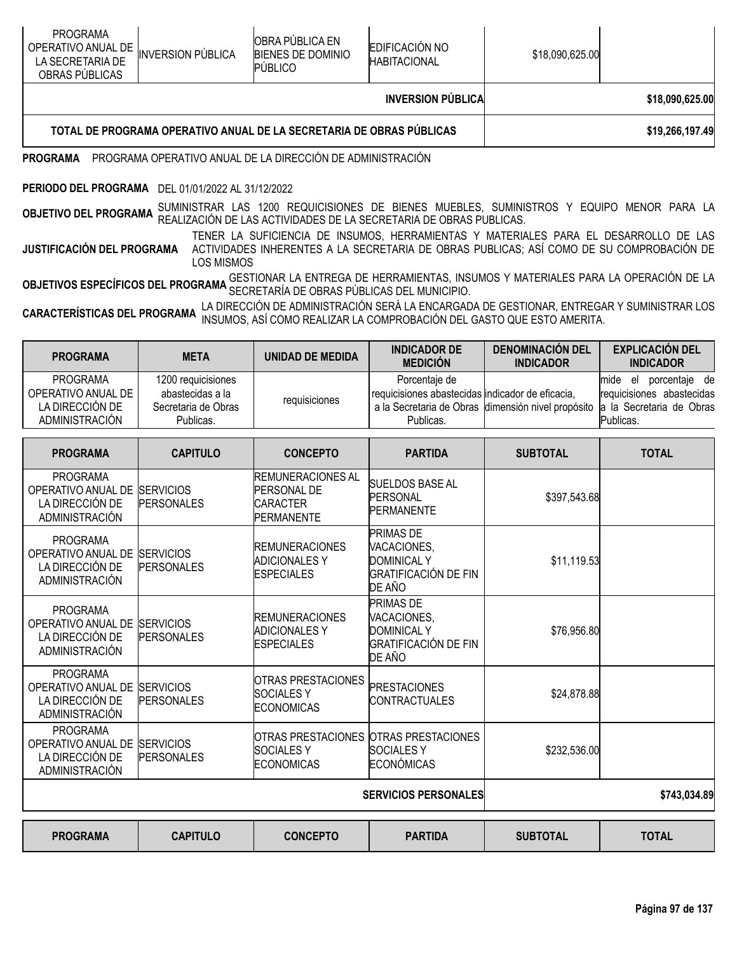|                                                                               |                          |                                                                      | <b>INVERSION PÚBLICA</b>                     |                 | \$18,090,625,00 |
|-------------------------------------------------------------------------------|--------------------------|----------------------------------------------------------------------|----------------------------------------------|-----------------|-----------------|
| <b>PROGRAMA</b><br>OPERATIVO ANUAL DE  <br>LA SECRETARIA DE<br>OBRAS PUBLICAS | <b>INVERSION PÚBLICA</b> | <b>OBRA PUBLICA EN</b><br><b>BIENES DE DOMINIO</b><br><b>PUBLICO</b> | <b>EDIFICACIÓN NO</b><br><b>HABITACIONAL</b> | \$18,090,625.00 |                 |

## **TOTAL DE PROGRAMA OPERATIVO ANUAL DE LA SECRETARIA DE OBRAS PÚBLICAS \$19,266,197.49**

### **PROGRAMA** PROGRAMA OPERATIVO ANUAL DE LA DIRECCIÓN DE ADMINISTRACIÓN

#### **PERIODO DEL PROGRAMA** DEL 01/01/2022 AL 31/12/2022

**OBJETIVO DEL PROGRAMA** SUMINISTRAR LAS 1200 REQUICISIONES DE BIENES MUEBLES, SUMINISTROS Y EQUIPO MENOR PARA LA<br>A el las actividades de la palización de las actividades de la secretaria de obras publicas.

**JUSTIFICACIÓN DEL PROGRAMA** TENER LA SUFICIENCIA DE INSUMOS, HERRAMIENTAS Y MATERIALES PARA EL DESARROLLO DE LAS ACTIVIDADES INHERENTES A LA SECRETARIA DE OBRAS PUBLICAS; ASÍ COMO DE SU COMPROBACIÓN DE LOS MISMOS

**OBJETIVOS ESPECÍFICOS DEL PROGRAMA** GESTIONAR LA ENTREGA DE HERRAMIENTAS, INSUMOS Y MATERIALES PARA LA OPERACIÓN DE LA<br>OBJET**IVOS ESPECÍFICOS DEL PROGRAMA** SECRETARÍA DE OBRAS PÚBLICAS DEL MUNICIPIO.

**CARACTERÍSTICAS DEL PROGRAMA** LA DIRECCIÓN DE ADMINISTRACIÓN SERÁ LA ENCARGADA DE GESTIONAR, ENTREGAR <sup>Y</sup> SUMINISTRAR LOS INSUMOS, ASÍ COMO REALIZAR LA COMPROBACIÓN DEL GASTO QUE ESTO AMERITA.

| <b>PROGRAMA</b>                                                                             | <b>META</b>                                                                | <b>UNIDAD DE MEDIDA</b>                                                                | <b>INDICADOR DE</b><br><b>MEDICIÓN</b>                                                                                               | <b>DENOMINACIÓN DEL</b><br><b>INDICADOR</b> | <b>EXPLICACIÓN DEL</b><br><b>INDICADOR</b>                                                        |
|---------------------------------------------------------------------------------------------|----------------------------------------------------------------------------|----------------------------------------------------------------------------------------|--------------------------------------------------------------------------------------------------------------------------------------|---------------------------------------------|---------------------------------------------------------------------------------------------------|
| <b>PROGRAMA</b><br>OPERATIVO ANUAL DE<br>LA DIRECCIÓN DE<br><b>ADMINISTRACIÓN</b>           | 1200 requicisiones<br>abastecidas a la<br>Secretaria de Obras<br>Publicas. | requisiciones                                                                          | Porcentaje de<br>requicisiones abastecidas indicador de eficacia,<br>a la Secretaria de Obras dimensión nivel propósito<br>Publicas. |                                             | mide<br>porcentaje de<br>el<br>requicisiones abastecidas<br>a la Secretaria de Obras<br>Publicas. |
| <b>PROGRAMA</b>                                                                             | <b>CAPITULO</b>                                                            | <b>CONCEPTO</b>                                                                        | <b>PARTIDA</b>                                                                                                                       | <b>SUBTOTAL</b>                             | <b>TOTAL</b>                                                                                      |
| <b>PROGRAMA</b><br>OPERATIVO ANUAL DE<br>LA DIRECCIÓN DE<br>ADMINISTRACIÓN                  | <b>SERVICIOS</b><br><b>PERSONALES</b>                                      | <b>REMUNERACIONES AL</b><br><b>PERSONAL DE</b><br><b>CARACTER</b><br><b>PERMANENTE</b> | <b>SUELDOS BASE AL</b><br>PERSONAL<br>PERMANENTE                                                                                     | \$397,543.68                                |                                                                                                   |
| <b>PROGRAMA</b><br>OPERATIVO ANUAL DE SERVICIOS<br>LA DIRECCIÓN DE<br><b>ADMINISTRACIÓN</b> | <b>PERSONALES</b>                                                          | <b>REMUNERACIONES</b><br><b>ADICIONALES Y</b><br><b>ESPECIALES</b>                     | <b>PRIMAS DE</b><br>VACACIONES,<br><b>DOMINICAL Y</b><br><b>GRATIFICACIÓN DE FIN</b><br>DE AÑO                                       | \$11,119.53                                 |                                                                                                   |
| <b>PROGRAMA</b><br>OPERATIVO ANUAL DE<br>LA DIRECCIÓN DE<br><b>ADMINISTRACIÓN</b>           | <b>SERVICIOS</b><br><b>PERSONALES</b>                                      | <b>REMUNERACIONES</b><br><b>ADICIONALESY</b><br><b>ESPECIALES</b>                      | <b>PRIMAS DE</b><br>VACACIONES,<br><b>DOMINICAL Y</b><br><b>GRATIFICACIÓN DE FIN</b><br>DE AÑO                                       | \$76,956.80                                 |                                                                                                   |
| <b>PROGRAMA</b><br>OPERATIVO ANUAL DE<br>LA DIRECCIÓN DE<br>ADMINISTRACIÓN                  | <b>SERVICIOS</b><br><b>PERSONALES</b>                                      | <b>OTRAS PRESTACIONES</b><br><b>SOCIALESY</b><br><b>ECONOMICAS</b>                     | <b>PRESTACIONES</b><br><b>CONTRACTUALES</b>                                                                                          | \$24,878.88                                 |                                                                                                   |
| <b>PROGRAMA</b><br>OPERATIVO ANUAL DE<br>LA DIRECCIÓN DE<br>ADMINISTRACIÓN                  | <b>SERVICIOS</b><br><b>PERSONALES</b>                                      | OTRAS PRESTACIONES OTRAS PRESTACIONES<br><b>SOCIALESY</b><br><b>ECONOMICAS</b>         | <b>SOCIALESY</b><br>ECONÓMICAS                                                                                                       | \$232,536.00                                |                                                                                                   |
|                                                                                             |                                                                            | <b>SERVICIOS PERSONALES</b>                                                            | \$743,034.89                                                                                                                         |                                             |                                                                                                   |
|                                                                                             |                                                                            |                                                                                        |                                                                                                                                      |                                             |                                                                                                   |

| <b>PROGRAMA</b><br><b>CAPITULO</b> | <b>CONCEPTO</b> | <b>PARTIDA</b> | <b>SUBTOTAL</b> | <b>TOTAL</b> |
|------------------------------------|-----------------|----------------|-----------------|--------------|
|------------------------------------|-----------------|----------------|-----------------|--------------|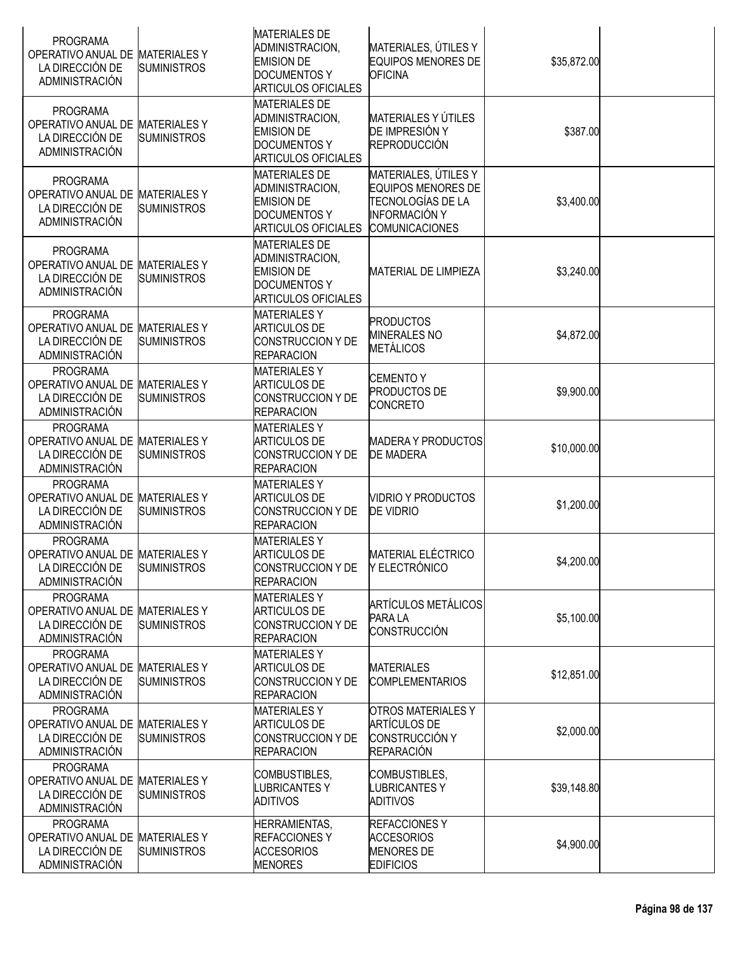| <b>PROGRAMA</b><br>OPERATIVO ANUAL DE<br>LA DIRECCIÓN DE<br>ADMINISTRACIÓN                     | <b>MATERIALESY</b><br><b>SUMINISTROS</b>  | <b>MATERIALES DE</b><br>ADMINISTRACION,<br><b>EMISION DE</b><br><b>DOCUMENTOS Y</b><br><b>ARTICULOS OFICIALES</b> | MATERIALES, ÚTILES Y<br><b>EQUIPOS MENORES DE</b><br><b>OFICINA</b>                                                     | \$35,872.00 |  |
|------------------------------------------------------------------------------------------------|-------------------------------------------|-------------------------------------------------------------------------------------------------------------------|-------------------------------------------------------------------------------------------------------------------------|-------------|--|
| <b>PROGRAMA</b><br>OPERATIVO ANUAL DE<br>LA DIRECCIÓN DE<br><b>ADMINISTRACIÓN</b>              | <b>MATERIALESY</b><br><b>SUMINISTROS</b>  | <b>MATERIALES DE</b><br>ADMINISTRACION,<br><b>EMISION DE</b><br><b>DOCUMENTOS Y</b><br><b>ARTICULOS OFICIALES</b> | <b>MATERIALES Y ÚTILES</b><br>DE IMPRESIÓN Y<br><b>REPRODUCCIÓN</b>                                                     | \$387.00    |  |
| <b>PROGRAMA</b><br>OPERATIVO ANUAL DE<br>LA DIRECCIÓN DE<br><b>ADMINISTRACIÓN</b>              | <b>MATERIALESY</b><br><b>SUMINISTROS</b>  | <b>MATERIALES DE</b><br>ADMINISTRACION,<br><b>EMISION DE</b><br><b>DOCUMENTOS Y</b><br><b>ARTICULOS OFICIALES</b> | MATERIALES, ÚTILES Y<br><b>EQUIPOS MENORES DE</b><br>TECNOLOGÍAS DE LA<br><b>INFORMACIÓN Y</b><br><b>COMUNICACIONES</b> | \$3,400.00  |  |
| <b>PROGRAMA</b><br>OPERATIVO ANUAL DE<br>LA DIRECCIÓN DE<br><b>ADMINISTRACIÓN</b>              | <b>MATERIALESY</b><br><b>SUMINISTROS</b>  | <b>MATERIALES DE</b><br>ADMINISTRACION,<br><b>EMISION DE</b><br><b>DOCUMENTOS Y</b><br><b>ARTICULOS OFICIALES</b> | <b>MATERIAL DE LIMPIEZA</b>                                                                                             | \$3,240.00  |  |
| <b>PROGRAMA</b><br>OPERATIVO ANUAL DE<br>LA DIRECCIÓN DE<br><b>ADMINISTRACIÓN</b>              | <b>MATERIALES Y</b><br><b>SUMINISTROS</b> | <b>MATERIALES Y</b><br><b>ARTICULOS DE</b><br><b>CONSTRUCCION Y DE</b><br><b>REPARACION</b>                       | <b>PRODUCTOS</b><br><b>MINERALES NO</b><br><b>METÁLICOS</b>                                                             | \$4,872.00  |  |
| <b>PROGRAMA</b><br>OPERATIVO ANUAL DE MATERIALES Y<br>LA DIRECCIÓN DE<br>ADMINISTRACIÓN        | <b>SUMINISTROS</b>                        | <b>MATERIALESY</b><br><b>ARTICULOS DE</b><br><b>CONSTRUCCION Y DE</b><br><b>REPARACION</b>                        | <b>CEMENTO Y</b><br><b>PRODUCTOS DE</b><br><b>CONCRETO</b>                                                              | \$9,900.00  |  |
| <b>PROGRAMA</b><br>OPERATIVO ANUAL DE MATERIALES Y<br>LA DIRECCIÓN DE<br><b>ADMINISTRACIÓN</b> | <b>SUMINISTROS</b>                        | <b>MATERIALESY</b><br><b>ARTICULOS DE</b><br><b>CONSTRUCCION Y DE</b><br><b>REPARACION</b>                        | <b>MADERA Y PRODUCTOS</b><br><b>DE MADERA</b>                                                                           | \$10,000.00 |  |
| <b>PROGRAMA</b><br>OPERATIVO ANUAL DE<br>LA DIRECCIÓN DE<br><b>ADMINISTRACIÓN</b>              | <b>MATERIALESY</b><br><b>SUMINISTROS</b>  | <b>MATERIALESY</b><br><b>ARTICULOS DE</b><br>CONSTRUCCION Y DE<br><b>REPARACION</b>                               | <b>VIDRIO Y PRODUCTOS</b><br><b>DE VIDRIO</b>                                                                           | \$1,200.00  |  |
| <b>PROGRAMA</b><br>OPERATIVO ANUAL DE MATERIALES Y<br>LA DIRECCIÓN DE<br><b>ADMINISTRACIÓN</b> | <b>SUMINISTROS</b>                        | <b>MATERIALESY</b><br><b>ARTICULOS DE</b><br><b>CONSTRUCCION Y DE</b><br><b>REPARACION</b>                        | <b>MATERIAL ELÉCTRICO</b><br>Y ELECTRÓNICO                                                                              | \$4,200.00  |  |
| <b>PROGRAMA</b><br>OPERATIVO ANUAL DE MATERIALES Y<br>LA DIRECCIÓN DE<br>ADMINISTRACIÓN        | <b>SUMINISTROS</b>                        | <b>MATERIALESY</b><br><b>ARTICULOS DE</b><br>CONSTRUCCION Y DE<br><b>REPARACION</b>                               | <b>ARTÍCULOS METÁLICOS</b><br>PARA LA<br>CONSTRUCCIÓN                                                                   | \$5,100.00  |  |
| <b>PROGRAMA</b><br>OPERATIVO ANUAL DE<br>LA DIRECCIÓN DE<br>ADMINISTRACIÓN                     | <b>MATERIALES Y</b><br><b>SUMINISTROS</b> | <b>MATERIALESY</b><br><b>ARTICULOS DE</b><br><b>CONSTRUCCION Y DE</b><br><b>REPARACION</b>                        | <b>MATERIALES</b><br><b>COMPLEMENTARIOS</b>                                                                             | \$12,851.00 |  |
| <b>PROGRAMA</b><br>OPERATIVO ANUAL DE MATERIALES Y<br>LA DIRECCIÓN DE<br>ADMINISTRACIÓN        | <b>SUMINISTROS</b>                        | <b>MATERIALES Y</b><br><b>ARTICULOS DE</b><br><b>CONSTRUCCION Y DE</b><br><b>REPARACION</b>                       | <b>OTROS MATERIALES Y</b><br><b>ARTÍCULOS DE</b><br><b>CONSTRUCCIÓN Y</b><br><b>REPARACIÓN</b>                          | \$2,000.00  |  |
| <b>PROGRAMA</b><br>OPERATIVO ANUAL DE MATERIALES Y<br>LA DIRECCIÓN DE<br><b>ADMINISTRACIÓN</b> | <b>SUMINISTROS</b>                        | COMBUSTIBLES,<br><b>LUBRICANTESY</b><br><b>ADITIVOS</b>                                                           | COMBUSTIBLES,<br><b>LUBRICANTESY</b><br><b>ADITIVOS</b>                                                                 | \$39,148.80 |  |
| <b>PROGRAMA</b><br>OPERATIVO ANUAL DE<br>LA DIRECCIÓN DE<br>ADMINISTRACIÓN                     | <b>MATERIALESY</b><br><b>SUMINISTROS</b>  | <b>HERRAMIENTAS,</b><br><b>REFACCIONESY</b><br><b>ACCESORIOS</b><br><b>MENORES</b>                                | <b>REFACCIONESY</b><br><b>ACCESORIOS</b><br><b>MENORES DE</b><br><b>EDIFICIOS</b>                                       | \$4,900.00  |  |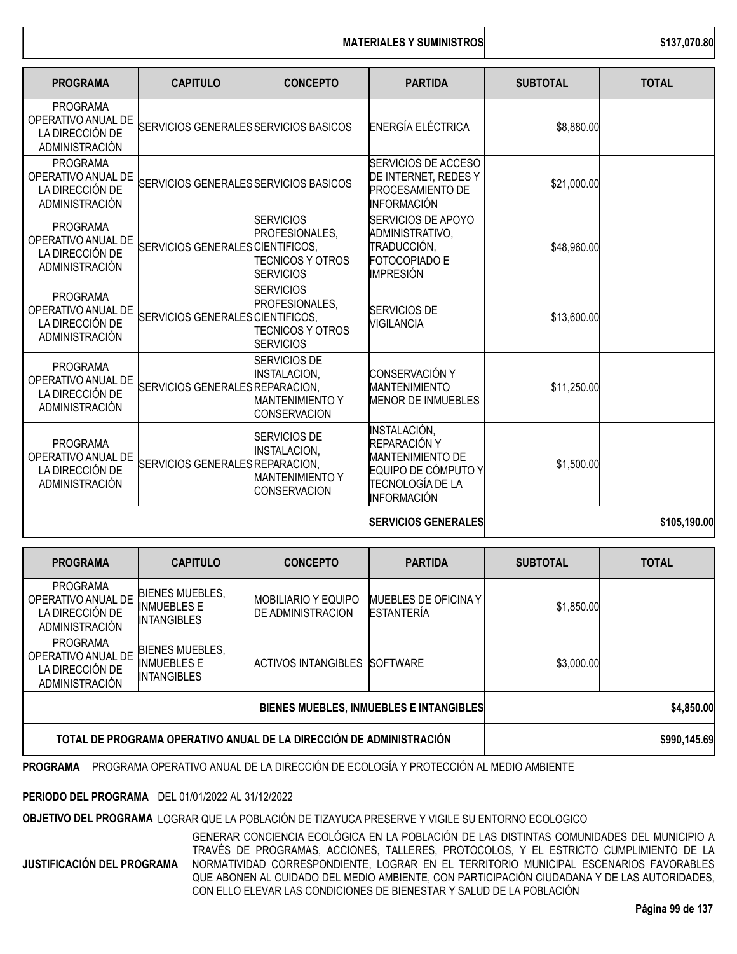## **MATERIALES Y SUMINISTROS \$137,070.80**

| <b>PROGRAMA</b>                                                                   | <b>CAPITULO</b>                       | <b>CONCEPTO</b>                                                                             | <b>PARTIDA</b>                                                                                                    | <b>SUBTOTAL</b> | <b>TOTAL</b> |
|-----------------------------------------------------------------------------------|---------------------------------------|---------------------------------------------------------------------------------------------|-------------------------------------------------------------------------------------------------------------------|-----------------|--------------|
| <b>PROGRAMA</b><br>OPERATIVO ANUAL DE<br>LA DIRECCIÓN DE<br>ADMINISTRACIÓN        | SERVICIOS GENERALES SERVICIOS BASICOS |                                                                                             | ENERGÍA ELÉCTRICA                                                                                                 | \$8,880.00      |              |
| <b>PROGRAMA</b><br>OPERATIVO ANUAL DE<br>LA DIRECCIÓN DE<br>ADMINISTRACIÓN        | SERVICIOS GENERALES SERVICIOS BASICOS |                                                                                             | SERVICIOS DE ACCESO<br>DE INTERNET, REDES Y<br><b>PROCESAMIENTO DE</b><br>INFORMACIÓN                             | \$21,000.00     |              |
| <b>PROGRAMA</b><br>OPERATIVO ANUAL DE<br>LA DIRECCIÓN DE<br><b>ADMINISTRACIÓN</b> | SERVICIOS GENERALES CIENTIFICOS,      | <b>SERVICIOS</b><br>PROFESIONALES,<br><b>TECNICOS Y OTROS</b><br><b>SERVICIOS</b>           | SERVICIOS DE APOYO<br>ADMINISTRATIVO,<br>TRADUCCIÓN,<br>FOTOCOPIADO E<br>IMPRESIÓN                                | \$48,960.00     |              |
| <b>PROGRAMA</b><br>OPERATIVO ANUAL DE<br>LA DIRECCIÓN DE<br><b>ADMINISTRACIÓN</b> | SERVICIOS GENERALES CIENTIFICOS,      | <b>SERVICIOS</b><br>PROFESIONALES.<br><b>TECNICOS Y OTROS</b><br><b>SERVICIOS</b>           | <b>SERVICIOS DE</b><br><b>VIGILANCIA</b>                                                                          | \$13,600.00     |              |
| <b>PROGRAMA</b><br>OPERATIVO ANUAL DE<br>LA DIRECCIÓN DE<br><b>ADMINISTRACIÓN</b> | SERVICIOS GENERALES REPARACION,       | <b>SERVICIOS DE</b><br><b>INSTALACION,</b><br><b>MANTENIMIENTO Y</b><br><b>CONSERVACION</b> | <b>CONSERVACIÓN Y</b><br><b>MANTENIMIENTO</b><br><b>MENOR DE INMUEBLES</b>                                        | \$11,250.00     |              |
| <b>PROGRAMA</b><br>OPERATIVO ANUAL DE<br>LA DIRECCIÓN DE<br>ADMINISTRACIÓN        | SERVICIOS GENERALES REPARACION,       | <b>SERVICIOS DE</b><br><b>INSTALACION,</b><br><b>MANTENIMIENTO Y</b><br><b>CONSERVACION</b> | INSTALACIÓN,<br>REPARACIÓN Y<br><b>MANTENIMIENTO DE</b><br>EQUIPO DE CÓMPUTO Y<br>TECNOLOGÍA DE LA<br>INFORMACIÓN | \$1,500.00      |              |
|                                                                                   |                                       |                                                                                             | <b>SERVICIOS GENERALES</b>                                                                                        |                 | \$105,190.00 |

| <b>PROGRAMA</b>                                                            | <b>CAPITULO</b>                                                    | <b>CONCEPTO</b>                                        | <b>PARTIDA</b>                            | <b>SUBTOTAL</b> | <b>TOTAL</b> |
|----------------------------------------------------------------------------|--------------------------------------------------------------------|--------------------------------------------------------|-------------------------------------------|-----------------|--------------|
| <b>PROGRAMA</b><br>OPERATIVO ANUAL DE<br>LA DIRECCIÓN DE<br>ADMINISTRACIÓN | <b>BIENES MUEBLES,</b><br><b>INMUEBLES E</b><br><b>INTANGIBLES</b> | <b>MOBILIARIO Y EQUIPO</b><br><b>DE ADMINISTRACION</b> | MUEBLES DE OFICINA Y<br><b>ESTANTERÍA</b> | \$1,850.00      |              |
| <b>PROGRAMA</b><br>OPERATIVO ANUAL DE<br>LA DIRECCIÓN DE<br>ADMINISTRACIÓN | <b>BIENES MUEBLES,</b><br>INMUEBLES E<br><b>INTANGIBLES</b>        | <b>ACTIVOS INTANGIBLES</b>                             | <b>SOFTWARE</b>                           | \$3,000.00      |              |
| <b>BIENES MUEBLES, INMUEBLES E INTANGIBLES</b>                             |                                                                    |                                                        |                                           |                 | \$4,850.00   |
| TOTAL DE PROGRAMA OPERATIVO ANUAL DE LA DIRECCIÓN DE ADMINISTRACIÓN        |                                                                    |                                                        |                                           |                 | \$990,145.69 |

**PROGRAMA** PROGRAMA OPERATIVO ANUAL DE LA DIRECCIÓN DE ECOLOGÍA Y PROTECCIÓN AL MEDIO AMBIENTE

**PERIODO DEL PROGRAMA** DEL 01/01/2022 AL 31/12/2022

**OBJETIVO DEL PROGRAMA** LOGRAR QUE LA POBLACIÓN DE TIZAYUCA PRESERVE Y VIGILE SU ENTORNO ECOLOGICO

**JUSTIFICACIÓN DEL PROGRAMA**

GENERAR CONCIENCIA ECOLÓGICA EN LA POBLACIÓN DE LAS DISTINTAS COMUNIDADES DEL MUNICIPIO A TRAVÉS DE PROGRAMAS, ACCIONES, TALLERES, PROTOCOLOS, Y EL ESTRICTO CUMPLIMIENTO DE LA NORMATIVIDAD CORRESPONDIENTE, LOGRAR EN EL TERRITORIO MUNICIPAL ESCENARIOS FAVORABLES QUE ABONEN AL CUIDADO DEL MEDIO AMBIENTE, CON PARTICIPACIÓN CIUDADANA Y DE LAS AUTORIDADES, CON ELLO ELEVAR LAS CONDICIONES DE BIENESTAR Y SALUD DE LA POBLACIÓN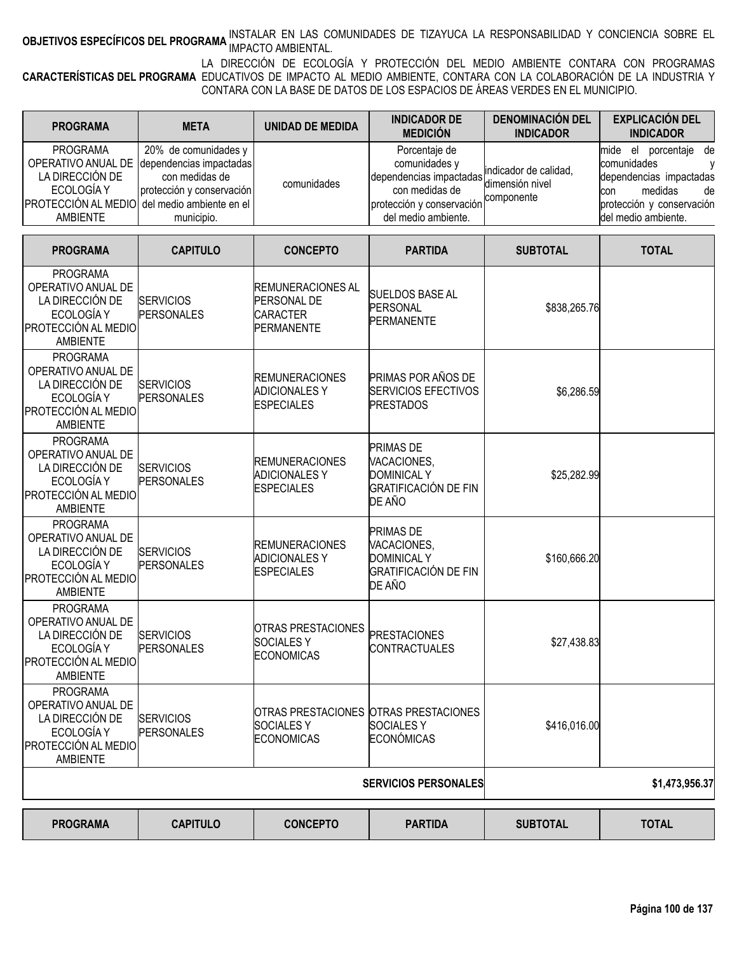# **OBJETIVOS ESPECÍFICOS DEL PROGRAMA <sup>INSTALAR EN LA**S COMUNIDADES DE TIZAYUCA LA RESPONSABILIDAD Y CONCIENCIA SOBRE EL<br>I</sup>

**CARACTERÍSTICAS DEL PROGRAMA** EDUCATIVOS DE IMPACTO AL MEDIO AMBIENTE, CONTARA CON LA COLABORACIÓN DE LA INDUSTRIA Y LA DIRECCIÓN DE ECOLOGÍA Y PROTECCIÓN DEL MEDIO AMBIENTE CONTARA CON PROGRAMAS CONTARA CON LA BASE DE DATOS DE LOS ESPACIOS DE ÁREAS VERDES EN EL MUNICIPIO.

| <b>PROGRAMA</b>                                                                                                     | <b>META</b>                                                                                                                     | UNIDAD DE MEDIDA | <b>INDICADOR DE</b><br><b>MEDICIÓN</b>                                                                                                          | <b>DENOMINACIÓN DEL</b><br><b>INDICADOR</b> | <b>EXPLICACIÓN DEL</b><br><b>INDICADOR</b>                                                                                                         |
|---------------------------------------------------------------------------------------------------------------------|---------------------------------------------------------------------------------------------------------------------------------|------------------|-------------------------------------------------------------------------------------------------------------------------------------------------|---------------------------------------------|----------------------------------------------------------------------------------------------------------------------------------------------------|
| <b>PROGRAMA</b><br>LA DIRECCIÓN DE<br>ECOLOGÍA Y<br><b>PROTECCIÓN AL MEDIO</b> del medio ambiente en el<br>AMBIFNTF | 20% de comunidades y<br>OPERATIVO ANUAL DE dependencias impactadas<br>con medidas de<br>protección y conservación<br>municipio. | comunidades      | Porcentaje de<br>comunidades y<br>dependencias impactadas dimensión nivel<br>con medidas de<br>protección y conservación<br>del medio ambiente. | indicador de calidad.<br>componente         | porcentaje de<br>el<br>mide<br>comunidades<br>dependencias impactadas<br>medidas<br>de<br>con<br>protección y conservación<br>Idel medio ambiente. |

| <b>PROGRAMA</b>                                                                                                         | <b>CAPITULO</b>                       | <b>CONCEPTO</b>                                                                | <b>PARTIDA</b>                                                                                 | <b>SUBTOTAL</b> | <b>TOTAL</b>   |
|-------------------------------------------------------------------------------------------------------------------------|---------------------------------------|--------------------------------------------------------------------------------|------------------------------------------------------------------------------------------------|-----------------|----------------|
| <b>PROGRAMA</b><br>OPERATIVO ANUAL DE<br>LA DIRECCIÓN DE<br>ECOLOGÍA Y<br><b>PROTECCIÓN AL MEDIO</b><br><b>AMBIENTE</b> | <b>SERVICIOS</b><br>PERSONALES        | <b>REMUNERACIONES AL</b><br>PERSONAL DE<br>CARACTER<br><b>PERMANENTE</b>       | SUELDOS BASE AL<br><b>PERSONAL</b><br><b>PERMANENTE</b>                                        | \$838,265.76    |                |
| <b>PROGRAMA</b><br>OPERATIVO ANUAL DE<br>LA DIRECCIÓN DE<br>ECOLOGÍA Y<br><b>PROTECCIÓN AL MEDIO</b><br><b>AMBIENTE</b> | <b>SERVICIOS</b><br>PERSONALES        | <b>REMUNERACIONES</b><br><b>ADICIONALES Y</b><br><b>ESPECIALES</b>             | <b>PRIMAS POR AÑOS DE</b><br><b>SERVICIOS EFECTIVOS</b><br><b>PRESTADOS</b>                    | \$6,286.59      |                |
| <b>PROGRAMA</b><br>OPERATIVO ANUAL DE<br>LA DIRECCIÓN DE<br>ECOLOGÍA Y<br><b>PROTECCIÓN AL MEDIO</b><br><b>AMBIENTE</b> | <b>SERVICIOS</b><br><b>PERSONALES</b> | <b>REMUNERACIONES</b><br><b>ADICIONALES Y</b><br><b>ESPECIALES</b>             | <b>PRIMAS DE</b><br>VACACIONES,<br><b>DOMINICAL Y</b><br><b>GRATIFICACIÓN DE FIN</b><br>DE AÑO | \$25,282.99     |                |
| <b>PROGRAMA</b><br>OPERATIVO ANUAL DE<br>LA DIRECCIÓN DE<br>ECOLOGÍA Y<br><b>PROTECCIÓN AL MEDIO</b><br>AMBIENTE        | <b>SERVICIOS</b><br><b>PERSONALES</b> | <b>REMUNERACIONES</b><br><b>ADICIONALES Y</b><br><b>ESPECIALES</b>             | <b>PRIMAS DE</b><br>VACACIONES,<br><b>DOMINICAL Y</b><br><b>GRATIFICACIÓN DE FIN</b><br>DE AÑO | \$160,666.20    |                |
| <b>PROGRAMA</b><br>OPERATIVO ANUAL DE<br>LA DIRECCIÓN DE<br>ECOLOGÍA Y<br><b>PROTECCIÓN AL MEDIO</b><br>AMBIENTE        | <b>SERVICIOS</b><br><b>PERSONALES</b> | <b>OTRAS PRESTACIONES</b><br><b>SOCIALESY</b><br><b>ECONOMICAS</b>             | <b>PRESTACIONES</b><br><b>CONTRACTUALES</b>                                                    | \$27,438.83     |                |
| <b>PROGRAMA</b><br>OPERATIVO ANUAL DE<br>LA DIRECCIÓN DE<br>ECOLOGÍA Y<br><b>PROTECCIÓN AL MEDIO</b><br><b>AMBIENTE</b> | <b>SERVICIOS</b><br><b>PERSONALES</b> | OTRAS PRESTACIONES OTRAS PRESTACIONES<br><b>SOCIALESY</b><br><b>ECONOMICAS</b> | <b>SOCIALESY</b><br><b>ECONÓMICAS</b>                                                          | \$416,016.00    |                |
|                                                                                                                         |                                       |                                                                                | <b>SERVICIOS PERSONALES</b>                                                                    |                 | \$1,473,956.37 |
| <b>PROGRAMA</b>                                                                                                         | <b>CAPITULO</b>                       | <b>CONCEPTO</b>                                                                | <b>PARTIDA</b>                                                                                 | <b>SUBTOTAL</b> | <b>TOTAL</b>   |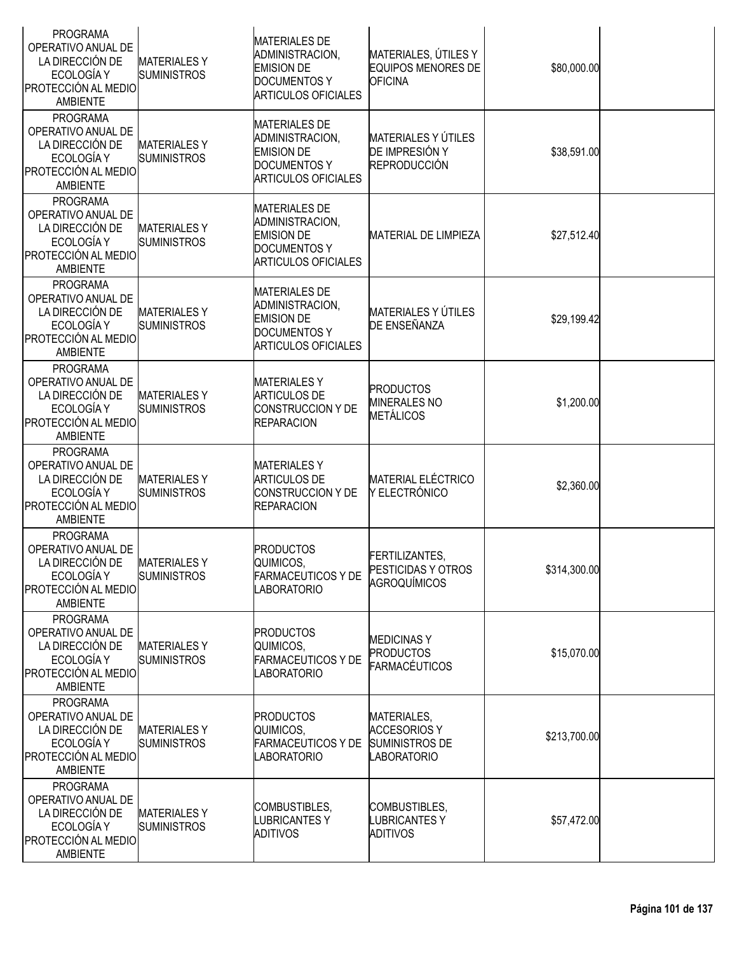| <b>PROGRAMA</b><br>OPERATIVO ANUAL DE<br>LA DIRECCIÓN DE<br>ECOLOGÍA Y<br>PROTECCIÓN AL MEDIO<br>AMBIENTE               | <b>MATERIALESY</b><br><b>SUMINISTROS</b> | <b>MATERIALES DE</b><br>ADMINISTRACION,<br><b>EMISION DE</b><br><b>DOCUMENTOS Y</b><br><b>ARTICULOS OFICIALES</b> | MATERIALES, ÚTILES Y<br><b>EQUIPOS MENORES DE</b><br><b>OFICINA</b>               | \$80,000.00  |  |
|-------------------------------------------------------------------------------------------------------------------------|------------------------------------------|-------------------------------------------------------------------------------------------------------------------|-----------------------------------------------------------------------------------|--------------|--|
| <b>PROGRAMA</b><br>OPERATIVO ANUAL DE<br>LA DIRECCIÓN DE<br>ECOLOGÍA Y<br>PROTECCIÓN AL MEDIO<br><b>AMBIENTE</b>        | <b>MATERIALESY</b><br><b>SUMINISTROS</b> | <b>MATERIALES DE</b><br>ADMINISTRACION,<br><b>EMISION DE</b><br><b>DOCUMENTOS Y</b><br><b>ARTICULOS OFICIALES</b> | MATERIALES Y ÚTILES<br>DE IMPRESIÓN Y<br><b>REPRODUCCIÓN</b>                      | \$38,591.00  |  |
| <b>PROGRAMA</b><br>OPERATIVO ANUAL DE<br>LA DIRECCIÓN DE<br>ECOLOGÍA Y<br>PROTECCIÓN AL MEDIO<br><b>AMBIENTE</b>        | <b>MATERIALESY</b><br><b>SUMINISTROS</b> | <b>MATERIALES DE</b><br>ADMINISTRACION,<br><b>EMISION DE</b><br><b>DOCUMENTOS Y</b><br><b>ARTICULOS OFICIALES</b> | <b>MATERIAL DE LIMPIEZA</b>                                                       | \$27,512.40  |  |
| <b>PROGRAMA</b><br>OPERATIVO ANUAL DE<br>LA DIRECCIÓN DE<br>ECOLOGÍA Y<br><b>PROTECCIÓN AL MEDIO</b><br><b>AMBIENTE</b> | <b>MATERIALESY</b><br><b>SUMINISTROS</b> | <b>MATERIALES DE</b><br>ADMINISTRACION,<br><b>EMISION DE</b><br><b>DOCUMENTOS Y</b><br><b>ARTICULOS OFICIALES</b> | <b>MATERIALES Y ÚTILES</b><br>DE ENSEÑANZA                                        | \$29,199.42  |  |
| <b>PROGRAMA</b><br>OPERATIVO ANUAL DE<br>LA DIRECCIÓN DE<br>ECOLOGÍA Y<br>PROTECCIÓN AL MEDIO<br><b>AMBIENTE</b>        | <b>MATERIALESY</b><br><b>SUMINISTROS</b> | <b>MATERIALESY</b><br><b>ARTICULOS DE</b><br><b>CONSTRUCCION Y DE</b><br><b>REPARACION</b>                        | <b>PRODUCTOS</b><br><b>MINERALES NO</b><br>METÁLICOS                              | \$1,200.00   |  |
| <b>PROGRAMA</b><br>OPERATIVO ANUAL DE<br>LA DIRECCIÓN DE<br>ECOLOGÍA Y<br>PROTECCIÓN AL MEDIO<br><b>AMBIENTE</b>        | <b>MATERIALESY</b><br><b>SUMINISTROS</b> | <b>MATERIALESY</b><br><b>ARTICULOS DE</b><br>CONSTRUCCION Y DE<br><b>REPARACION</b>                               | <b>MATERIAL ELÉCTRICO</b><br>Y ELECTRÓNICO                                        | \$2,360.00   |  |
| <b>PROGRAMA</b><br>OPERATIVO ANUAL DE<br>LA DIRECCIÓN DE<br>ECOLOGÍA Y<br>PROTECCIÓN AL MEDIO<br>AMBIENTE               | <b>MATERIALESY</b><br><b>SUMINISTROS</b> | <b>PRODUCTOS</b><br>QUIMICOS,<br><b>FARMACEUTICOS Y DE</b><br><b>LABORATORIO</b>                                  | FERTILIZANTES,<br>PESTICIDAS Y OTROS<br>AGROQUÍMICOS                              | \$314,300.00 |  |
| <b>PROGRAMA</b><br>OPERATIVO ANUAL DE<br>LA DIRECCIÓN DE<br>ECOLOGÍA Y<br><b>PROTECCIÓN AL MEDIO</b><br>AMBIENTE        | <b>MATERIALESY</b><br><b>SUMINISTROS</b> | <b>PRODUCTOS</b><br>QUIMICOS,<br><b>FARMACEUTICOS Y DE</b><br><b>LABORATORIO</b>                                  | <b>MEDICINASY</b><br><b>PRODUCTOS</b><br><b>FARMACÉUTICOS</b>                     | \$15,070.00  |  |
| <b>PROGRAMA</b><br>OPERATIVO ANUAL DE<br>LA DIRECCIÓN DE<br>ECOLOGÍA Y<br>PROTECCIÓN AL MEDIO<br>AMBIENTE               | <b>MATERIALESY</b><br><b>SUMINISTROS</b> | <b>PRODUCTOS</b><br>QUIMICOS,<br><b>FARMACEUTICOS Y DE</b><br><b>LABORATORIO</b>                                  | MATERIALES,<br><b>ACCESORIOS Y</b><br><b>SUMINISTROS DE</b><br><b>LABORATORIO</b> | \$213,700.00 |  |
| <b>PROGRAMA</b><br>OPERATIVO ANUAL DE<br>LA DIRECCIÓN DE<br>ECOLOGÍA Y<br><b>PROTECCIÓN AL MEDIO</b><br><b>AMBIENTE</b> | <b>MATERIALESY</b><br><b>SUMINISTROS</b> | COMBUSTIBLES,<br><b>LUBRICANTES Y</b><br><b>ADITIVOS</b>                                                          | COMBUSTIBLES,<br>LUBRICANTES Y<br><b>ADITIVOS</b>                                 | \$57,472.00  |  |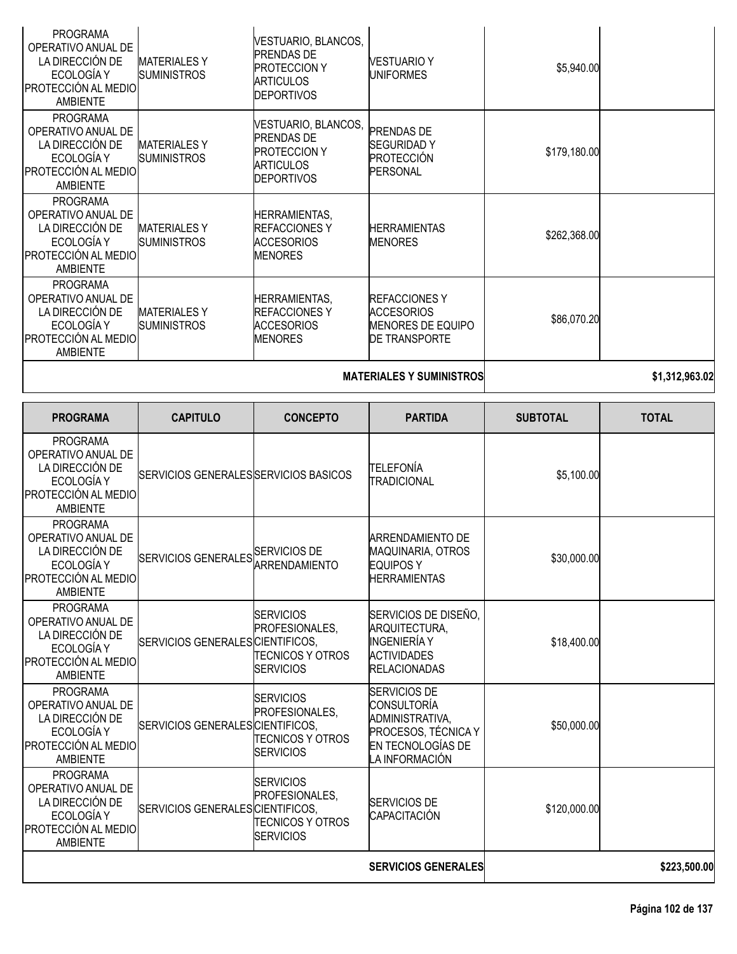|                                                                                                                         |                                           | <b>MATERIALES Y SUMINISTROS</b>                                                                          | \$1,312,963.02                                                                         |              |  |
|-------------------------------------------------------------------------------------------------------------------------|-------------------------------------------|----------------------------------------------------------------------------------------------------------|----------------------------------------------------------------------------------------|--------------|--|
| <b>PROGRAMA</b><br>OPERATIVO ANUAL DE<br>LA DIRECCIÓN DE<br>ECOLOGÍA Y<br><b>PROTECCIÓN AL MEDIO</b><br><b>AMBIENTE</b> | <b>MATERIALESY</b><br><b>SUMINISTROS</b>  | HERRAMIENTAS,<br><b>REFACCIONESY</b><br><b>ACCESORIOS</b><br><b>MENORES</b>                              | <b>REFACCIONES Y</b><br><b>ACCESORIOS</b><br>MENORES DE EQUIPO<br><b>DE TRANSPORTE</b> | \$86,070.20  |  |
| <b>PROGRAMA</b><br>OPERATIVO ANUAL DE<br>LA DIRECCIÓN DE<br>ECOLOGÍA Y<br>PROTECCIÓN AL MEDIO<br>AMBIENTE               | <b>MATERIALES Y</b><br><b>SUMINISTROS</b> | <b>HERRAMIENTAS,</b><br><b>IREFACCIONES Y</b><br><b>ACCESORIOS</b><br><b>MENORES</b>                     | <b>HERRAMIENTAS</b><br><b>MENORES</b>                                                  | \$262,368.00 |  |
| <b>PROGRAMA</b><br>OPERATIVO ANUAL DE<br>LA DIRECCIÓN DE<br>ECOLOGÍA Y<br><b>PROTECCIÓN AL MEDIO</b><br>AMBIENTE        | <b>MATERIALESY</b><br><b>SUMINISTROS</b>  | VESTUARIO, BLANCOS,<br><b>PRENDAS DE</b><br><b>PROTECCION Y</b><br><b>ARTICULOS</b><br><b>DEPORTIVOS</b> | <b>PRENDAS DE</b><br><b>SEGURIDAD Y</b><br>PROTECCIÓN<br><b>PERSONAL</b>               | \$179,180.00 |  |
| <b>PROGRAMA</b><br>OPERATIVO ANUAL DE<br>LA DIRECCIÓN DE<br>ECOLOGÍA Y<br><b>PROTECCIÓN AL MEDIO</b><br>AMBIENTE        | <b>MATERIALESY</b><br><b>SUMINISTROS</b>  | VESTUARIO, BLANCOS,<br><b>PRENDAS DE</b><br><b>PROTECCION Y</b><br><b>ARTICULOS</b><br><b>DEPORTIVOS</b> | VESTUARIO Y<br>UNIFORMES                                                               | \$5,940.00   |  |

| <b>PROGRAMA</b>                                                                                                         | <b>CAPITULO</b>                       | <b>CONCEPTO</b>                                                                   | <b>PARTIDA</b>                                                                                                             | <b>SUBTOTAL</b> | <b>TOTAL</b> |
|-------------------------------------------------------------------------------------------------------------------------|---------------------------------------|-----------------------------------------------------------------------------------|----------------------------------------------------------------------------------------------------------------------------|-----------------|--------------|
| PROGRAMA<br>OPERATIVO ANUAL DE<br>LA DIRECCIÓN DE<br>ECOLOGÍA Y<br>PROTECCIÓN AL MEDIO<br><b>AMBIENTE</b>               | SERVICIOS GENERALES SERVICIOS BASICOS |                                                                                   | <b>TELEFONÍA</b><br><b>TRADICIONAL</b>                                                                                     | \$5,100.00      |              |
| <b>PROGRAMA</b><br>OPERATIVO ANUAL DE<br>LA DIRECCIÓN DE<br>ECOLOGÍA Y<br>PROTECCIÓN AL MEDIO<br><b>AMBIENTE</b>        | SERVICIOS GENERALES SERVICIOS DE      |                                                                                   | <b>ARRENDAMIENTO DE</b><br><b>MAQUINARIA, OTROS</b><br><b>EQUIPOS Y</b><br><b>HERRAMIENTAS</b>                             | \$30,000.00     |              |
| <b>PROGRAMA</b><br>OPERATIVO ANUAL DE<br>LA DIRECCIÓN DE<br>ECOLOGÍA Y<br>PROTECCIÓN AL MEDIO<br><b>AMBIENTE</b>        | SERVICIOS GENERALES CIENTIFICOS,      | <b>SERVICIOS</b><br>PROFESIONALES.<br>TECNICOS Y OTROS<br><b>SERVICIOS</b>        | SERVICIOS DE DISEÑO,<br>ARQUITECTURA.<br><b>INGENIERÍA Y</b><br><b>ACTIVIDADES</b><br><b>RELACIONADAS</b>                  | \$18,400.00     |              |
| <b>PROGRAMA</b><br>OPERATIVO ANUAL DE<br>LA DIRECCIÓN DE<br>ECOLOGÍA Y<br>PROTECCIÓN AL MEDIO<br><b>AMBIENTE</b>        | SERVICIOS GENERALES CIENTIFICOS,      | <b>SERVICIOS</b><br>PROFESIONALES.<br><b>TECNICOS Y OTROS</b><br><b>SERVICIOS</b> | <b>SERVICIOS DE</b><br><b>CONSULTORÍA</b><br>ADMINISTRATIVA,<br>PROCESOS, TÉCNICA Y<br>EN TECNOLOGÍAS DE<br>LA INFORMACIÓN | \$50,000.00     |              |
| <b>PROGRAMA</b><br>OPERATIVO ANUAL DE<br>LA DIRECCIÓN DE<br>ECOLOGÍA Y<br><b>PROTECCIÓN AL MEDIO</b><br><b>AMBIENTE</b> | SERVICIOS GENERALES CIENTIFICOS,      | <b>SERVICIOS</b><br>PROFESIONALES.<br>TECNICOS Y OTROS<br><b>SERVICIOS</b>        | <b>SERVICIOS DE</b><br>CAPACITACIÓN                                                                                        | \$120,000.00    |              |
|                                                                                                                         |                                       |                                                                                   | <b>SERVICIOS GENERALES</b>                                                                                                 |                 | \$223,500.00 |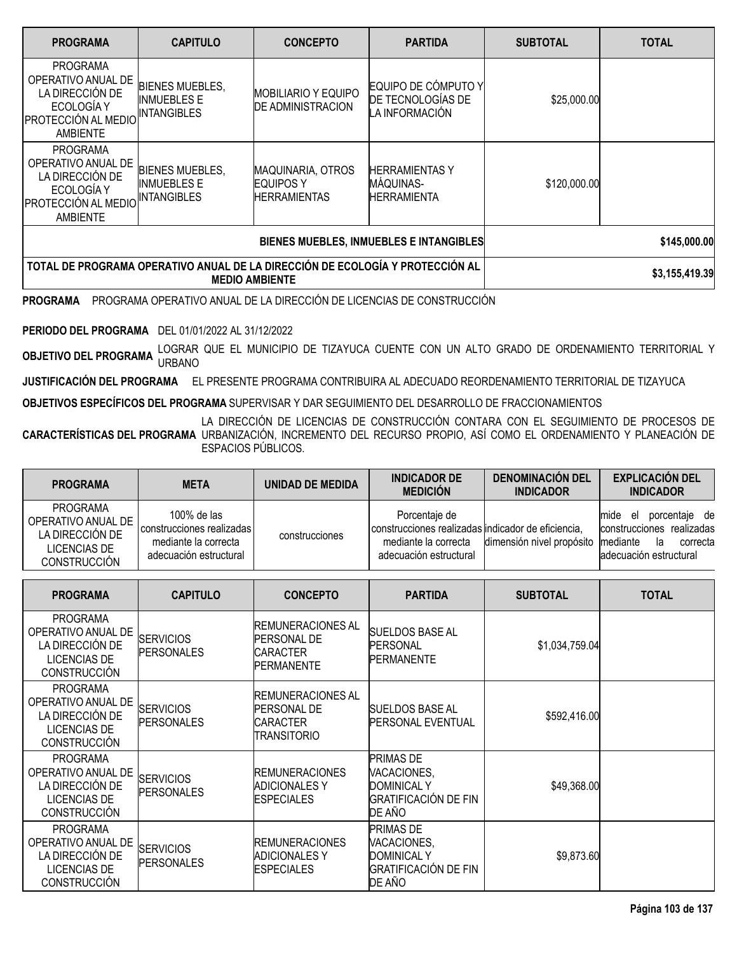| <b>PROGRAMA</b>                                                                                                         | <b>CAPITULO</b>                                                                                        | <b>CONCEPTO</b>                                                      | <b>PARTIDA</b>                                             | <b>SUBTOTAL</b> | <b>TOTAL</b> |
|-------------------------------------------------------------------------------------------------------------------------|--------------------------------------------------------------------------------------------------------|----------------------------------------------------------------------|------------------------------------------------------------|-----------------|--------------|
| <b>PROGRAMA</b><br>OPERATIVO ANUAL DE<br>LA DIRECCIÓN DE<br>ECOLOGÍA Y<br><b>PROTECCIÓN AL MEDIO</b><br><b>AMBIENTE</b> | <b>BIENES MUEBLES,</b><br><b>INMUEBLES E</b><br><b>INTANGIBLES</b>                                     | <b>MOBILIARIO Y EQUIPO</b><br><b>DE ADMINISTRACION</b>               | EQUIPO DE CÓMPUTO Y<br>DE TECNOLOGÍAS DE<br>LA INFORMACIÓN | \$25,000.00     |              |
| <b>PROGRAMA</b><br>OPERATIVO ANUAL DE<br>LA DIRECCIÓN DE<br>ECOLOGÍA Y<br><b>PROTECCIÓN AL MEDIO</b><br><b>AMBIENTE</b> | <b>BIENES MUEBLES,</b><br><b>INMUEBLES E</b><br>INTANGIBLES                                            | <b>MAQUINARIA, OTROS</b><br><b>EQUIPOS Y</b><br><b>IHERRAMIENTAS</b> | <b>HERRAMIENTAS Y</b><br>MÁQUINAS-<br><b>HERRAMIENTA</b>   | \$120,000.00    |              |
|                                                                                                                         |                                                                                                        |                                                                      | BIENES MUEBLES, INMUEBLES E INTANGIBLES                    |                 | \$145,000.00 |
|                                                                                                                         | TOTAL DE PROGRAMA OPERATIVO ANUAL DE LA DIRECCIÓN DE ECOLOGÍA Y PROTECCIÓN AL<br><b>MEDIO AMBIENTE</b> |                                                                      | \$3,155,419.39                                             |                 |              |

**PROGRAMA** PROGRAMA OPERATIVO ANUAL DE LA DIRECCIÓN DE LICENCIAS DE CONSTRUCCIÓN

**PERIODO DEL PROGRAMA** DEL 01/01/2022 AL 31/12/2022

**OBJETIVO DEL PROGRAMA** LOGRAR QUE EL MUNICIPIO DE TIZAYUCA CUENTE CON UN ALTO GRADO DE ORDENAMIENTO TERRITORIAL Y<br>URBANO DE PROGRAMA URBANO

**JUSTIFICACIÓN DEL PROGRAMA** EL PRESENTE PROGRAMA CONTRIBUIRA AL ADECUADO REORDENAMIENTO TERRITORIAL DE TIZAYUCA

**OBJETIVOS ESPECÍFICOS DEL PROGRAMA** SUPERVISAR Y DAR SEGUIMIENTO DEL DESARROLLO DE FRACCIONAMIENTOS

**CARACTERÍSTICAS DEL PROGRAMA** URBANIZACIÓN, INCREMENTO DEL RECURSO PROPIO, ASÍ COMO EL ORDENAMIENTO Y PLANEACIÓN DE LA DIRECCIÓN DE LICENCIAS DE CONSTRUCCIÓN CONTARA CON EL SEGUIMIENTO DE PROCESOS DE ESPACIOS PÚBLICOS.

| <b>PROGRAMA</b>                                                                          | <b>META</b>                                                                                | UNIDAD DE MEDIDA | <b>INDICADOR DE</b><br><b>MEDICIÓN</b>                                                                                | <b>DENOMINACIÓN DEL</b><br><b>INDICADOR</b> | <b>EXPLICACIÓN DEL</b><br><b>INDICADOR</b>                                                                       |
|------------------------------------------------------------------------------------------|--------------------------------------------------------------------------------------------|------------------|-----------------------------------------------------------------------------------------------------------------------|---------------------------------------------|------------------------------------------------------------------------------------------------------------------|
| <b>PROGRAMA</b><br>OPERATIVO ANUAL DE<br>LA DIRECCIÓN DE<br>LICENCIAS DE<br>CONSTRUCCIÓN | 100% de las<br>construcciones realizadas<br>mediante la correcta<br>adecuación estructural | construcciones   | Porcentaje de<br>construcciones realizadas indicador de eficiencia,<br>mediante la correcta<br>adecuación estructural | dimensión nivel propósito                   | porcentaje de<br>mide<br>el<br>construcciones realizadas<br>mediante<br>correcta<br>la<br>adecuación estructural |

| <b>PROGRAMA</b>                                                                                        | <b>CAPITULO</b>                       | <b>CONCEPTO</b>                                                                         | <b>PARTIDA</b>                                                                                 | <b>SUBTOTAL</b> | <b>TOTAL</b> |
|--------------------------------------------------------------------------------------------------------|---------------------------------------|-----------------------------------------------------------------------------------------|------------------------------------------------------------------------------------------------|-----------------|--------------|
| <b>PROGRAMA</b><br>OPERATIVO ANUAL DE<br>LA DIRECCIÓN DE<br>LICENCIAS DE<br><b>CONSTRUCCIÓN</b>        | <b>SERVICIOS</b><br><b>PERSONALES</b> | <b>IREMUNERACIONES AL</b><br><b>PERSONAL DE</b><br><b>CARACTER</b><br><b>PERMANENTE</b> | SUELDOS BASE AL<br><b>PERSONAL</b><br><b>PERMANENTE</b>                                        | \$1,034,759.04  |              |
| <b>PROGRAMA</b><br>OPERATIVO ANUAL DE<br>LA DIRECCIÓN DE<br><b>LICENCIAS DE</b><br><b>CONSTRUCCIÓN</b> | <b>SERVICIOS</b><br><b>PERSONALES</b> | <b>IREMUNERACIONES AL</b><br><b>PERSONAL DE</b><br><b>CARACTER</b><br>itransitorio      | <b>SUELDOS BASE AL</b><br><b>PERSONAL EVENTUAL</b>                                             | \$592,416.00    |              |
| <b>PROGRAMA</b><br>OPERATIVO ANUAL DE<br>LA DIRECCIÓN DE<br><b>LICENCIAS DE</b><br><b>CONSTRUCCIÓN</b> | <b>SERVICIOS</b><br><b>PERSONALES</b> | <b>REMUNERACIONES</b><br><b>ADICIONALES Y</b><br><b>ESPECIALES</b>                      | <b>PRIMAS DE</b><br>VACACIONES,<br><b>DOMINICAL Y</b><br><b>GRATIFICACIÓN DE FIN</b><br>DE AÑO | \$49,368.00     |              |
| <b>PROGRAMA</b><br>OPERATIVO ANUAL DE<br>LA DIRECCIÓN DE<br><b>LICENCIAS DE</b><br><b>CONSTRUCCIÓN</b> | <b>SERVICIOS</b><br><b>PERSONALES</b> | <b>REMUNERACIONES</b><br><b>ADICIONALES Y</b><br><b>ESPECIALES</b>                      | <b>PRIMAS DE</b><br>VACACIONES,<br><b>DOMINICAL Y</b><br><b>GRATIFICACIÓN DE FIN</b><br>DE AÑO | \$9,873.60      |              |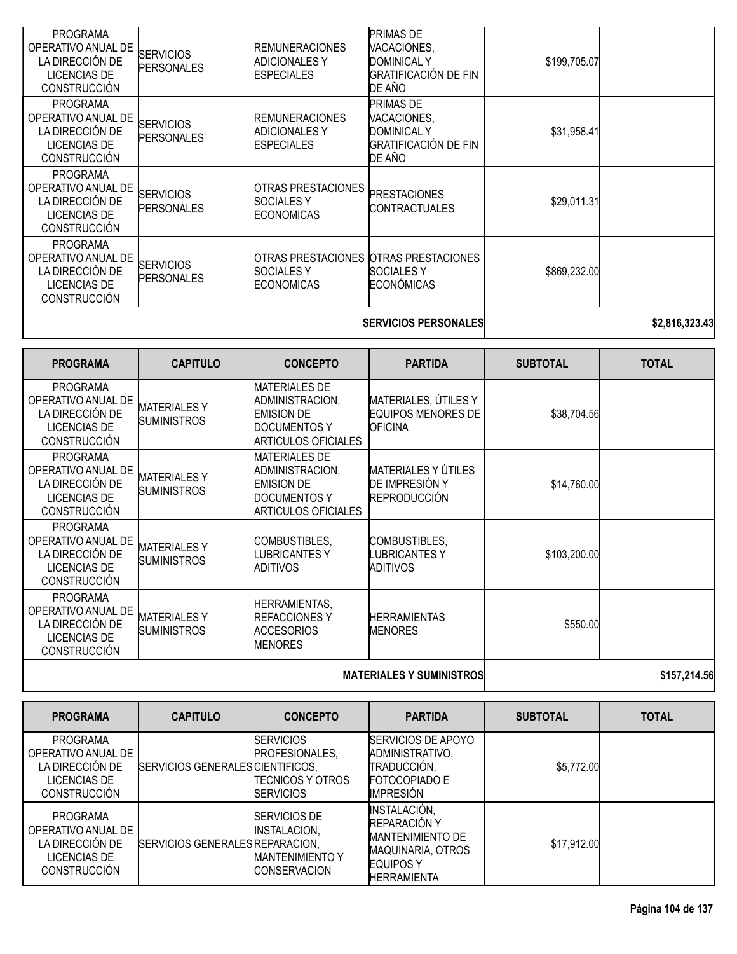| <b>PROGRAMA</b><br>OPERATIVO ANUAL DE<br>LA DIRECCIÓN DE<br><b>LICENCIAS DE</b><br><b>CONSTRUCCIÓN</b>                    | <b>SERVICIOS</b><br><b>PERSONALES</b>    | <b>REMUNERACIONES</b><br><b>ADICIONALES Y</b><br><b>ESPECIALES</b>                                                | <b>PRIMAS DE</b><br>VACACIONES,<br><b>DOMINICAL Y</b><br>GRATIFICACIÓN DE FIN<br>DE AÑO | \$199,705.07    |                |
|---------------------------------------------------------------------------------------------------------------------------|------------------------------------------|-------------------------------------------------------------------------------------------------------------------|-----------------------------------------------------------------------------------------|-----------------|----------------|
| <b>PROGRAMA</b><br>OPERATIVO ANUAL DE<br>LA DIRECCIÓN DE<br><b>LICENCIAS DE</b><br><b>CONSTRUCCIÓN</b>                    | <b>SERVICIOS</b><br><b>PERSONALES</b>    | <b>REMUNERACIONES</b><br><b>ADICIONALES Y</b><br><b>ESPECIALES</b>                                                | PRIMAS DE<br>VACACIONES,<br><b>DOMINICAL Y</b><br><b>GRATIFICACIÓN DE FIN</b><br>DE AÑO | \$31,958.41     |                |
| <b>PROGRAMA</b><br>OPERATIVO ANUAL DE<br>LA DIRECCIÓN DE<br><b>LICENCIAS DE</b><br><b>CONSTRUCCIÓN</b>                    | <b>SERVICIOS</b><br><b>PERSONALES</b>    | <b>OTRAS PRESTACIONES</b><br><b>SOCIALESY</b><br><b>ECONOMICAS</b>                                                | <b>PRESTACIONES</b><br><b>CONTRACTUALES</b>                                             | \$29,011.31     |                |
| <b>PROGRAMA</b><br>OPERATIVO ANUAL DE<br>LA DIRECCIÓN DE<br><b>LICENCIAS DE</b><br><b>CONSTRUCCIÓN</b>                    | <b>SERVICIOS</b><br><b>PERSONALES</b>    | <b>OTRAS PRESTACIONES</b><br><b>SOCIALESY</b><br><b>ECONOMICAS</b>                                                | <b>OTRAS PRESTACIONES</b><br><b>SOCIALESY</b><br>ECONÓMICAS                             | \$869,232.00    |                |
|                                                                                                                           |                                          |                                                                                                                   | <b>SERVICIOS PERSONALES</b>                                                             |                 | \$2,816,323.43 |
|                                                                                                                           |                                          |                                                                                                                   |                                                                                         |                 |                |
| <b>PROGRAMA</b>                                                                                                           | <b>CAPITULO</b>                          | <b>CONCEPTO</b>                                                                                                   | <b>PARTIDA</b>                                                                          | <b>SUBTOTAL</b> | <b>TOTAL</b>   |
| <b>PROGRAMA</b><br>OPERATIVO ANUAL DE<br>LA DIRECCIÓN DE<br><b>LICENCIAS DE</b><br><b>CONSTRUCCIÓN</b>                    | <b>MATERIALESY</b><br><b>SUMINISTROS</b> | <b>MATERIALES DE</b><br>ADMINISTRACION,<br><b>EMISION DE</b><br><b>DOCUMENTOS Y</b><br><b>ARTICULOS OFICIALES</b> | MATERIALES, ÚTILES Y<br><b>EQUIPOS MENORES DE</b><br>OFICINA                            | \$38,704.56     |                |
| <b>PROGRAMA</b><br>OPERATIVO ANUAL DE<br>LA DIRECCIÓN DE<br><b>LICENCIAS DE</b><br><b>CONSTRUCCIÓN</b>                    | <b>MATERIALESY</b><br><b>SUMINISTROS</b> | <b>MATERIALES DE</b><br>ADMINISTRACION,<br><b>EMISION DE</b><br><b>DOCUMENTOS Y</b><br><b>ARTICULOS OFICIALES</b> | <b>MATERIALES Y ÚTILES</b><br>DE IMPRESIÓN Y<br><b>REPRODUCCIÓN</b>                     | \$14,760.00     |                |
| <b>PROGRAMA</b><br>OPERATIVO ANUAL DE<br>LA DIRECCIÓN DE<br><b>LICENCIAS DE</b><br><b>CONSTRUCCIÓN</b><br><b>PROGRAMA</b> | <b>MATERIALESY</b><br><b>SUMINISTROS</b> | COMBUSTIBLES,<br><b>LUBRICANTESY</b><br><b>ADITIVOS</b>                                                           | COMBUSTIBLES,<br><b>UBRICANTESY</b><br><b>ADITIVOS</b>                                  | \$103,200.00    |                |

**MATERIALES Y SUMINISTROS 1997 1201 1202 1203 137,214.56** 

| <b>PROGRAMA</b>                                                                                 | <b>CAPITULO</b>                  | <b>CONCEPTO</b>                                                                       | <b>PARTIDA</b>                                                                                                                       | <b>SUBTOTAL</b> | <b>TOTAL</b> |
|-------------------------------------------------------------------------------------------------|----------------------------------|---------------------------------------------------------------------------------------|--------------------------------------------------------------------------------------------------------------------------------------|-----------------|--------------|
| <b>PROGRAMA</b><br>OPERATIVO ANUAL DE<br>LA DIRECCIÓN DE<br>LICENCIAS DE<br><b>CONSTRUCCIÓN</b> | SERVICIOS GENERALES CIENTIFICOS, | <b>SERVICIOS</b><br>PROFESIONALES,<br>ITECNICOS Y OTROS<br><b>ISERVICIOS</b>          | <b>ISERVICIOS DE APOYO</b><br>ADMINISTRATIVO,<br>TRADUCCIÓN,<br><b>FOTOCOPIADO E</b><br><b>IMPRESIÓN</b>                             | \$5,772.00      |              |
| PROGRAMA<br>OPERATIVO ANUAL DE<br>LA DIRECCIÓN DE<br>LICENCIAS DE<br><b>CONSTRUCCIÓN</b>        | SERVICIOS GENERALES REPARACION,  | <b>ISERVICIOS DE</b><br>INSTALACION,<br><b>MANTENIMIENTO Y</b><br><b>CONSERVACION</b> | <b>INSTALACIÓN,</b><br><b>REPARACIÓN Y</b><br><b>MANTENIMIENTO DE</b><br>MAQUINARIA, OTROS<br><b>EQUIPOS Y</b><br><b>HERRAMIENTA</b> | \$17,912.00     |              |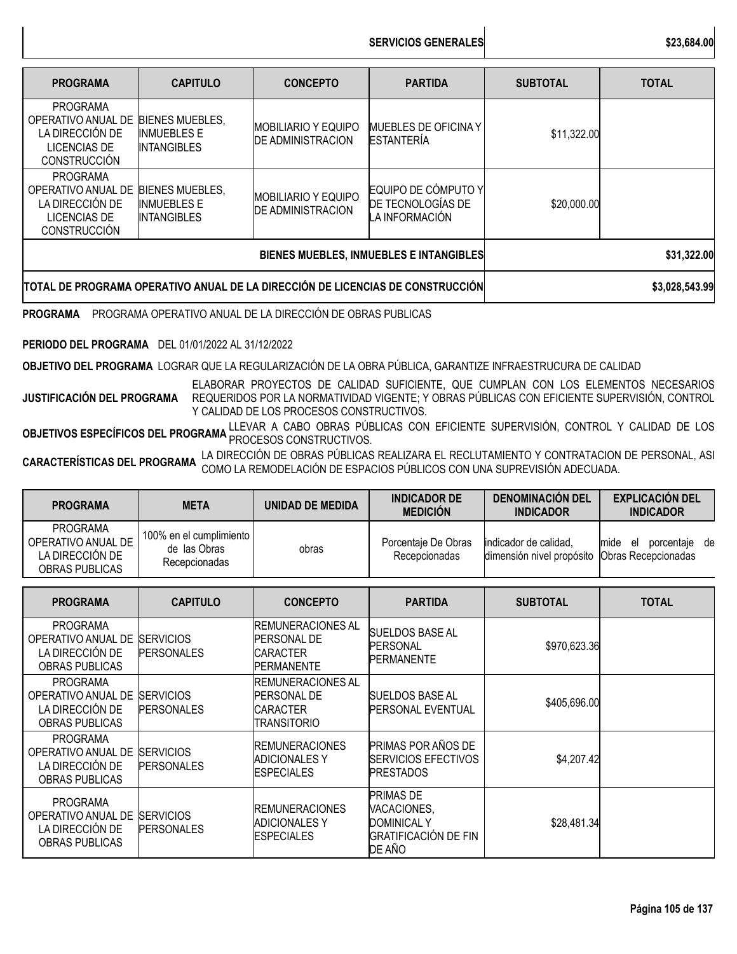**SERVICIOS GENERALES \$23,684.00**

| <b>PROGRAMA</b>                                                                                        | <b>CAPITULO</b>                                                                | <b>CONCEPTO</b>                                        | <b>PARTIDA</b>                                             | <b>SUBTOTAL</b> | <b>TOTAL</b> |
|--------------------------------------------------------------------------------------------------------|--------------------------------------------------------------------------------|--------------------------------------------------------|------------------------------------------------------------|-----------------|--------------|
| <b>PROGRAMA</b><br>OPERATIVO ANUAL DE<br>LA DIRECCIÓN DE<br><b>LICENCIAS DE</b><br><b>CONSTRUCCIÓN</b> | <b>BIENES MUEBLES.</b><br><b>INMUEBLES E</b><br><b>INTANGIBLES</b>             | IMOBILIARIO Y EQUIPO<br><b>DE ADMINISTRACION</b>       | <b>MUEBLES DE OFICINA Y</b><br><b>ESTANTERÍA</b>           | \$11,322.00     |              |
| <b>PROGRAMA</b><br>OPERATIVO ANUAL DE<br>LA DIRECCIÓN DE<br><b>LICENCIAS DE</b><br><b>CONSTRUCCIÓN</b> | <b>BIENES MUEBLES.</b><br><b>INMUEBLES E</b><br><b>INTANGIBLES</b>             | <b>MOBILIARIO Y EQUIPO</b><br><b>DE ADMINISTRACION</b> | EQUIPO DE CÓMPUTO Y<br>DE TECNOLOGÍAS DE<br>LA INFORMACIÓN | \$20,000.00     |              |
|                                                                                                        |                                                                                | BIENES MUEBLES, INMUEBLES E INTANGIBLES                | \$31,322.00                                                |                 |              |
|                                                                                                        | TOTAL DE PROGRAMA OPERATIVO ANUAL DE LA DIRECCIÓN DE LICENCIAS DE CONSTRUCCIÓN |                                                        | \$3,028,543.99                                             |                 |              |

**PROGRAMA** PROGRAMA OPERATIVO ANUAL DE LA DIRECCIÓN DE OBRAS PUBLICAS

**PERIODO DEL PROGRAMA** DEL 01/01/2022 AL 31/12/2022

**OBJETIVO DEL PROGRAMA** LOGRAR QUE LA REGULARIZACIÓN DE LA OBRA PÚBLICA, GARANTIZE INFRAESTRUCURA DE CALIDAD

**JUSTIFICACIÓN DEL PROGRAMA** ELABORAR PROYECTOS DE CALIDAD SUFICIENTE, QUE CUMPLAN CON LOS ELEMENTOS NECESARIOS REQUERIDOS POR LA NORMATIVIDAD VIGENTE; Y OBRAS PÚBLICAS CON EFICIENTE SUPERVISIÓN, CONTROL Y CALIDAD DE LOS PROCESOS CONSTRUCTIVOS.

**OBJETIVOS ESPECÍFICOS DEL PROGRAMA** LLEVAR A CABO OBRAS PÚBLICAS CON EFICIENTE SUPERVISIÓN, CONTROL Y CALIDAD DE LOS<br>PROCESOS CONSTRUCTIVOS DE PROGRAMA PROCESOS CONSTRUCTIVOS.

**CARACTERÍSTICAS DEL PROGRAMA** LA DIRECCIÓN DE OBRAS PÚBLICAS REALIZARA EL RECLUTAMIENTO <sup>Y</sup> CONTRATACION DE PERSONAL, ASI COMO LA REMODELACIÓN DE ESPACIOS PÚBLICOS CON UNA SUPREVISIÓN ADECUADA.

| <b>PROGRAMA</b>                                                                   | <b>META</b>                                              | <b>UNIDAD DE MEDIDA</b>                                                                 | <b>INDICADOR DE</b><br><b>MEDICIÓN</b>                                                  | <b>DENOMINACIÓN DEL</b><br><b>INDICADOR</b>        | <b>EXPLICACIÓN DEL</b><br><b>INDICADOR</b>      |
|-----------------------------------------------------------------------------------|----------------------------------------------------------|-----------------------------------------------------------------------------------------|-----------------------------------------------------------------------------------------|----------------------------------------------------|-------------------------------------------------|
| <b>PROGRAMA</b><br>OPERATIVO ANUAL DE<br>LA DIRECCIÓN DE<br><b>OBRAS PUBLICAS</b> | 100% en el cumplimiento<br>de las Obras<br>Recepcionadas | obras                                                                                   | Porcentaje De Obras<br>Recepcionadas                                                    | indicador de calidad,<br>dimensión nivel propósito | mide el<br>porcentaje de<br>Obras Recepcionadas |
| <b>PROGRAMA</b>                                                                   | <b>CAPITULO</b>                                          | <b>CONCEPTO</b>                                                                         | <b>PARTIDA</b>                                                                          | <b>SUBTOTAL</b>                                    | <b>TOTAL</b>                                    |
| <b>PROGRAMA</b><br>OPERATIVO ANUAL DE<br>LA DIRECCIÓN DE<br><b>OBRAS PUBLICAS</b> | <b>SERVICIOS</b><br><b>PERSONALES</b>                    | <b>REMUNERACIONES AL</b><br><b>PERSONAL DE</b><br><b>CARACTER</b><br><b>PERMANENTE</b>  | <b>SUELDOS BASE AL</b><br><b>PERSONAL</b><br><b>PERMANENTE</b>                          | \$970,623.36                                       |                                                 |
| <b>PROGRAMA</b><br>OPERATIVO ANUAL DE<br>LA DIRECCIÓN DE<br><b>OBRAS PUBLICAS</b> | <b>SERVICIOS</b><br><b>PERSONALES</b>                    | <b>REMUNERACIONES AL</b><br><b>PERSONAL DE</b><br><b>CARACTER</b><br><b>TRANSITORIO</b> | <b>SUELDOS BASE AL</b><br>PERSONAL EVENTUAL                                             | \$405,696.00                                       |                                                 |
| <b>PROGRAMA</b><br>OPERATIVO ANUAL DE<br>LA DIRECCIÓN DE<br><b>OBRAS PUBLICAS</b> | <b>SERVICIOS</b><br><b>PERSONALES</b>                    | <b>REMUNERACIONES</b><br><b>ADICIONALES Y</b><br><b>ESPECIALES</b>                      | PRIMAS POR AÑOS DE<br>SERVICIOS EFECTIVOS<br><b>PRESTADOS</b>                           | \$4,207.42                                         |                                                 |
| <b>PROGRAMA</b><br>OPERATIVO ANUAL DE<br>LA DIRECCIÓN DE<br><b>OBRAS PUBLICAS</b> | <b>SERVICIOS</b><br><b>PERSONALES</b>                    | <b>REMUNERACIONES</b><br><b>ADICIONALES Y</b><br>ESPECIALES                             | PRIMAS DE<br>VACACIONES,<br><b>DOMINICAL Y</b><br><b>GRATIFICACIÓN DE FIN</b><br>DE AÑO | \$28,481.34                                        |                                                 |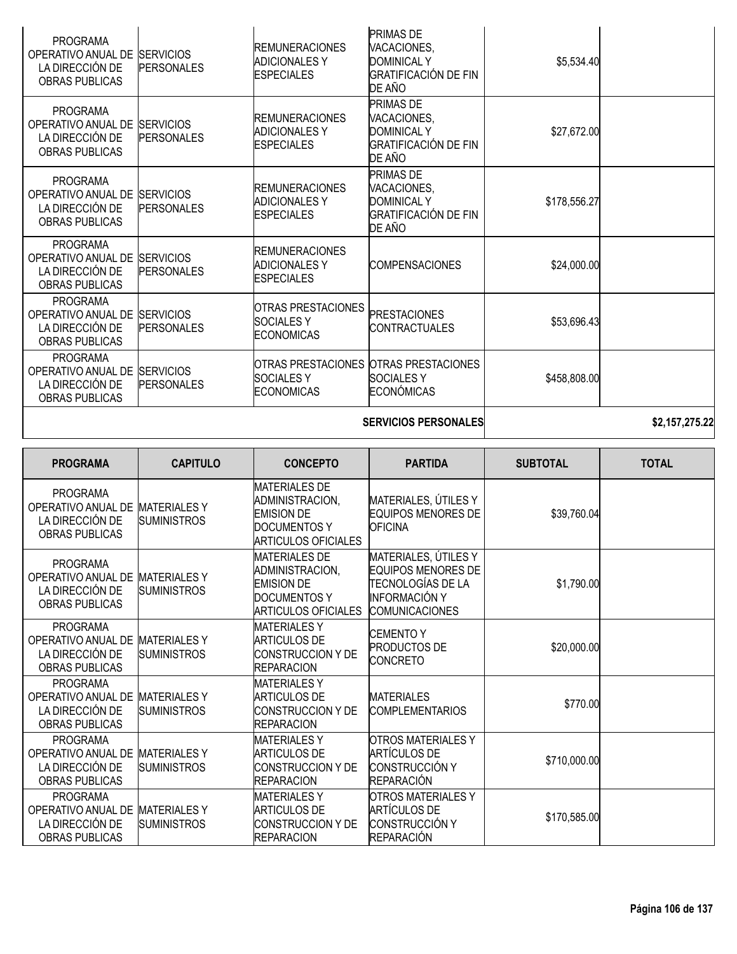| <b>PROGRAMA</b><br>OPERATIVO ANUAL DE<br>LA DIRECCIÓN DE<br><b>OBRAS PUBLICAS</b> | <b>SERVICIOS</b><br><b>PERSONALES</b> | <b>REMUNERACIONES</b><br><b>ADICIONALES Y</b><br><b>ESPECIALES</b>   | PRIMAS DE<br>VACACIONES,<br><b>DOMINICAL Y</b><br><b>GRATIFICACIÓN DE FIN</b><br>DE AÑO        | \$5,534.40   |  |
|-----------------------------------------------------------------------------------|---------------------------------------|----------------------------------------------------------------------|------------------------------------------------------------------------------------------------|--------------|--|
| <b>PROGRAMA</b><br>OPERATIVO ANUAL DE<br>LA DIRECCIÓN DE<br><b>OBRAS PUBLICAS</b> | <b>SERVICIOS</b><br><b>PERSONALES</b> | <b>REMUNERACIONES</b><br><b>ADICIONALES Y</b><br><b>ESPECIALES</b>   | <b>PRIMAS DE</b><br>VACACIONES,<br><b>DOMINICAL Y</b><br>GRATIFICACIÓN DE FIN<br>DE AÑO        | \$27,672.00  |  |
| <b>PROGRAMA</b><br>OPERATIVO ANUAL DE<br>LA DIRECCIÓN DE<br><b>OBRAS PUBLICAS</b> | <b>SERVICIOS</b><br><b>PERSONALES</b> | <b>IREMUNERACIONES</b><br><b>ADICIONALES Y</b><br><b>IESPECIALES</b> | <b>PRIMAS DE</b><br>VACACIONES,<br><b>DOMINICAL Y</b><br><b>GRATIFICACIÓN DE FIN</b><br>DE AÑO | \$178,556.27 |  |
| <b>PROGRAMA</b><br>OPERATIVO ANUAL DE<br>LA DIRECCIÓN DE<br><b>OBRAS PUBLICAS</b> | <b>SERVICIOS</b><br><b>PERSONALES</b> | <b>IREMUNERACIONES</b><br><b>ADICIONALES Y</b><br><b>IESPECIALES</b> | <b>COMPENSACIONES</b>                                                                          | \$24,000.00  |  |
| <b>PROGRAMA</b><br>OPERATIVO ANUAL DE<br>LA DIRECCIÓN DE<br><b>OBRAS PUBLICAS</b> | <b>SERVICIOS</b><br><b>PERSONALES</b> | IOTRAS PRESTACIONES<br><b>SOCIALESY</b><br><b>ECONOMICAS</b>         | <b>PRESTACIONES</b><br><b>CONTRACTUALES</b>                                                    | \$53,696.43  |  |
| <b>PROGRAMA</b><br>OPERATIVO ANUAL DE<br>LA DIRECCIÓN DE<br><b>OBRAS PUBLICAS</b> | <b>SERVICIOS</b><br><b>PERSONALES</b> | ISOCIALES Y<br><b>ECONOMICAS</b>                                     | OTRAS PRESTACIONES OTRAS PRESTACIONES<br><b>SOCIALES Y</b><br>ECONÓMICAS                       | \$458,808.00 |  |
|                                                                                   |                                       |                                                                      |                                                                                                |              |  |

## **SERVICIOS PERSONALES \$2,157,275.22**

| <b>PROGRAMA</b>                                                                   | <b>CAPITULO</b>                           | <b>CONCEPTO</b>                                                                                                   | <b>PARTIDA</b>                                                                                                   | <b>SUBTOTAL</b> | <b>TOTAL</b> |
|-----------------------------------------------------------------------------------|-------------------------------------------|-------------------------------------------------------------------------------------------------------------------|------------------------------------------------------------------------------------------------------------------|-----------------|--------------|
| <b>PROGRAMA</b><br>OPERATIVO ANUAL DE<br>LA DIRECCIÓN DE<br><b>OBRAS PUBLICAS</b> | <b>MATERIALESY</b><br><b>SUMINISTROS</b>  | <b>MATERIALES DE</b><br>ADMINISTRACION,<br><b>EMISION DE</b><br><b>DOCUMENTOS Y</b><br>ARTICULOS OFICIALES        | MATERIALES, ÚTILES Y<br><b>EQUIPOS MENORES DE</b><br><b>OFICINA</b>                                              | \$39,760.04     |              |
| <b>PROGRAMA</b><br>OPERATIVO ANUAL DE<br>LA DIRECCIÓN DE<br><b>OBRAS PUBLICAS</b> | <b>MATERIALES Y</b><br><b>SUMINISTROS</b> | <b>MATERIALES DE</b><br>ADMINISTRACION,<br><b>EMISION DE</b><br><b>DOCUMENTOS Y</b><br><b>ARTICULOS OFICIALES</b> | MATERIALES, ÚTILES Y<br><b>EQUIPOS MENORES DE</b><br>TECNOLOGÍAS DE LA<br>INFORMACIÓN Y<br><b>COMUNICACIONES</b> | \$1,790.00      |              |
| <b>PROGRAMA</b><br>OPERATIVO ANUAL DE<br>LA DIRECCIÓN DE<br><b>OBRAS PUBLICAS</b> | <b>MATERIALES Y</b><br><b>SUMINISTROS</b> | <b>MATERIALES Y</b><br><b>ARTICULOS DE</b><br>ICONSTRUCCION Y DE<br><b>REPARACION</b>                             | CEMENTO Y<br><b>PRODUCTOS DE</b><br><b>CONCRETO</b>                                                              | \$20,000.00     |              |
| <b>PROGRAMA</b><br>OPERATIVO ANUAL DE<br>LA DIRECCIÓN DE<br><b>OBRAS PUBLICAS</b> | <b>MATERIALES Y</b><br><b>SUMINISTROS</b> | <b>MATERIALES Y</b><br><b>ARTICULOS DE</b><br>ICONSTRUCCION Y DE<br><b>REPARACION</b>                             | <b>MATERIALES</b><br><b>COMPLEMENTARIOS</b>                                                                      | \$770.00        |              |
| <b>PROGRAMA</b><br>OPERATIVO ANUAL DE<br>LA DIRECCIÓN DE<br>OBRAS PUBLICAS        | <b>MATERIALES Y</b><br><b>SUMINISTROS</b> | <b>MATERIALES Y</b><br><b>ARTICULOS DE</b><br>ICONSTRUCCION Y DE<br><b>REPARACION</b>                             | <b>OTROS MATERIALES Y</b><br><b>ARTÍCULOS DE</b><br><b>CONSTRUCCIÓN Y</b><br><b>REPARACIÓN</b>                   | \$710,000.00    |              |
| <b>PROGRAMA</b><br>OPERATIVO ANUAL DE<br>LA DIRECCIÓN DE<br><b>OBRAS PUBLICAS</b> | <b>MATERIALES Y</b><br><b>SUMINISTROS</b> | <b>MATERIALESY</b><br>ARTICULOS DE<br><b>CONSTRUCCION Y DE</b><br><b>REPARACION</b>                               | <b>OTROS MATERIALES Y</b><br>ARTÍCULOS DE<br>CONSTRUCCIÓN Y<br><b>REPARACIÓN</b>                                 | \$170,585.00    |              |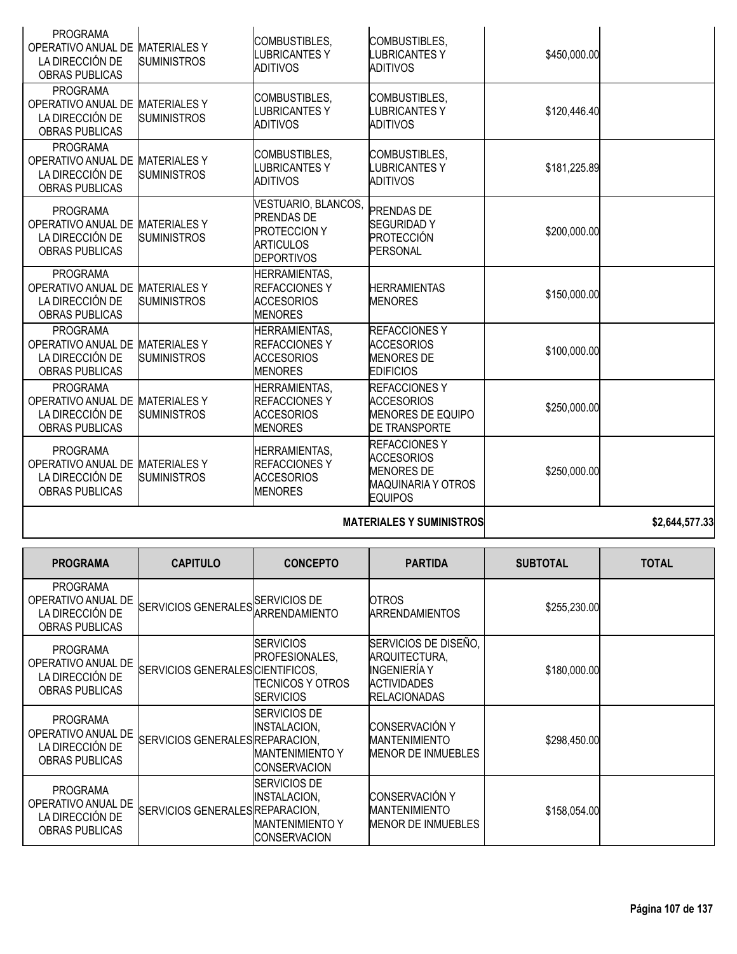|                                                                                                |                                           |                                                                                                          | <b>MATERIALES Y SUMINISTROS</b>                                                                              |              | \$2,644,577.33 |
|------------------------------------------------------------------------------------------------|-------------------------------------------|----------------------------------------------------------------------------------------------------------|--------------------------------------------------------------------------------------------------------------|--------------|----------------|
| <b>PROGRAMA</b><br>OPERATIVO ANUAL DE MATERIALES Y<br>LA DIRECCIÓN DE<br><b>OBRAS PUBLICAS</b> | <b>SUMINISTROS</b>                        | <b>HERRAMIENTAS,</b><br><b>REFACCIONES Y</b><br><b>ACCESORIOS</b><br><b>MENORES</b>                      | <b>REFACCIONESY</b><br><b>ACCESORIOS</b><br><b>MENORES DE</b><br><b>MAQUINARIA Y OTROS</b><br><b>EQUIPOS</b> | \$250,000.00 |                |
| <b>PROGRAMA</b><br>OPERATIVO ANUAL DE MATERIALES Y<br>LA DIRECCIÓN DE<br><b>OBRAS PUBLICAS</b> | <b>SUMINISTROS</b>                        | <b>HERRAMIENTAS,</b><br><b>REFACCIONESY</b><br><b>ACCESORIOS</b><br><b>MENORES</b>                       | <b>REFACCIONESY</b><br><b>ACCESORIOS</b><br><b>MENORES DE EQUIPO</b><br><b>DE TRANSPORTE</b>                 | \$250,000.00 |                |
| <b>PROGRAMA</b><br>OPERATIVO ANUAL DE<br>LA DIRECCIÓN DE<br><b>OBRAS PUBLICAS</b>              | <b>MATERIALES Y</b><br><b>SUMINISTROS</b> | <b>HERRAMIENTAS,</b><br><b>REFACCIONESY</b><br><b>ACCESORIOS</b><br><b>MENORES</b>                       | <b>REFACCIONES Y</b><br><b>ACCESORIOS</b><br><b>MENORES DE</b><br><b>EDIFICIOS</b>                           | \$100,000.00 |                |
| <b>PROGRAMA</b><br>OPERATIVO ANUAL DE<br>LA DIRECCIÓN DE<br><b>OBRAS PUBLICAS</b>              | <b>MATERIALES Y</b><br><b>SUMINISTROS</b> | <b>HERRAMIENTAS,</b><br><b>REFACCIONES Y</b><br>ACCESORIOS<br><b>MENORES</b>                             | <b>HERRAMIENTAS</b><br><b>MENORES</b>                                                                        | \$150,000.00 |                |
| <b>PROGRAMA</b><br>OPERATIVO ANUAL DE MATERIALES Y<br>LA DIRECCIÓN DE<br><b>OBRAS PUBLICAS</b> | <b>SUMINISTROS</b>                        | VESTUARIO, BLANCOS,<br><b>PRENDAS DE</b><br><b>PROTECCION Y</b><br><b>ARTICULOS</b><br><b>DEPORTIVOS</b> | <b>PRENDAS DE</b><br><b>SEGURIDADY</b><br>PROTECCIÓN<br><b>PERSONAL</b>                                      | \$200,000.00 |                |
| <b>PROGRAMA</b><br>OPERATIVO ANUAL DE MATERIALES Y<br>LA DIRECCIÓN DE<br><b>OBRAS PUBLICAS</b> | <b>SUMINISTROS</b>                        | COMBUSTIBLES,<br><b>LUBRICANTESY</b><br><b>ADITIVOS</b>                                                  | COMBUSTIBLES,<br><b>LUBRICANTESY</b><br><b>ADITIVOS</b>                                                      | \$181,225.89 |                |
| <b>PROGRAMA</b><br>OPERATIVO ANUAL DE MATERIALES Y<br>LA DIRECCIÓN DE<br><b>OBRAS PUBLICAS</b> | <b>SUMINISTROS</b>                        | COMBUSTIBLES,<br><b>LUBRICANTESY</b><br><b>ADITIVOS</b>                                                  | COMBUSTIBLES,<br><b>LUBRICANTESY</b><br><b>ADITIVOS</b>                                                      | \$120,446.40 |                |
| <b>PROGRAMA</b><br>OPERATIVO ANUAL DE<br>LA DIRECCIÓN DE<br><b>OBRAS PUBLICAS</b>              | <b>MATERIALESY</b><br><b>SUMINISTROS</b>  | COMBUSTIBLES,<br><b>LUBRICANTESY</b><br>ADITIVOS                                                         | COMBUSTIBLES,<br><b>LUBRICANTESY</b><br>ADITIVOS                                                             | \$450,000.00 |                |

| <b>PROGRAMA</b>                                                                   | <b>CAPITULO</b>                  | <b>CONCEPTO</b>                                                                        | <b>PARTIDA</b>                                                                                     | <b>SUBTOTAL</b> | <b>TOTAL</b> |
|-----------------------------------------------------------------------------------|----------------------------------|----------------------------------------------------------------------------------------|----------------------------------------------------------------------------------------------------|-----------------|--------------|
| <b>PROGRAMA</b><br>OPERATIVO ANUAL DE<br>LA DIRECCIÓN DE<br><b>OBRAS PUBLICAS</b> | SERVICIOS GENERALES SERVICIOS DE | ARRENDAMIENTO                                                                          | <b>OTROS</b><br><b>ARRENDAMIENTOS</b>                                                              | \$255,230.00    |              |
| <b>PROGRAMA</b><br>OPERATIVO ANUAL DE<br>LA DIRECCIÓN DE<br><b>OBRAS PUBLICAS</b> | SERVICIOS GENERALESICIENTIFICOS, | <b>ISERVICIOS</b><br>PROFESIONALES,<br>ITECNICOS Y OTROS<br><b>ISERVICIOS</b>          | SERVICIOS DE DISEÑO,<br>ARQUITECTURA,<br>INGENIERÍA Y<br><b>ACTIVIDADES</b><br><b>RELACIONADAS</b> | \$180,000.00    |              |
| <b>PROGRAMA</b><br>OPERATIVO ANUAL DE<br>LA DIRECCIÓN DE<br><b>OBRAS PUBLICAS</b> | SERVICIOS GENERALES REPARACION,  | <b>ISERVICIOS DE</b><br><b>INSTALACION,</b><br>IMANTENIMIENTO Y<br><b>CONSERVACION</b> | CONSERVACIÓN Y<br><b>IMANTENIMIENTO</b><br>MENOR DE INMUEBLES                                      | \$298,450.00    |              |
| <b>PROGRAMA</b><br>OPERATIVO ANUAL DE<br>LA DIRECCIÓN DE<br><b>OBRAS PUBLICAS</b> | SERVICIOS GENERALES REPARACION,  | <b>ISERVICIOS DE</b><br>INSTALACION.<br><b>IMANTENIMIENTO Y</b><br><b>CONSERVACION</b> | CONSERVACIÓN Y<br><b>IMANTENIMIENTO</b><br>MENOR DE INMUEBLES                                      | \$158,054.00    |              |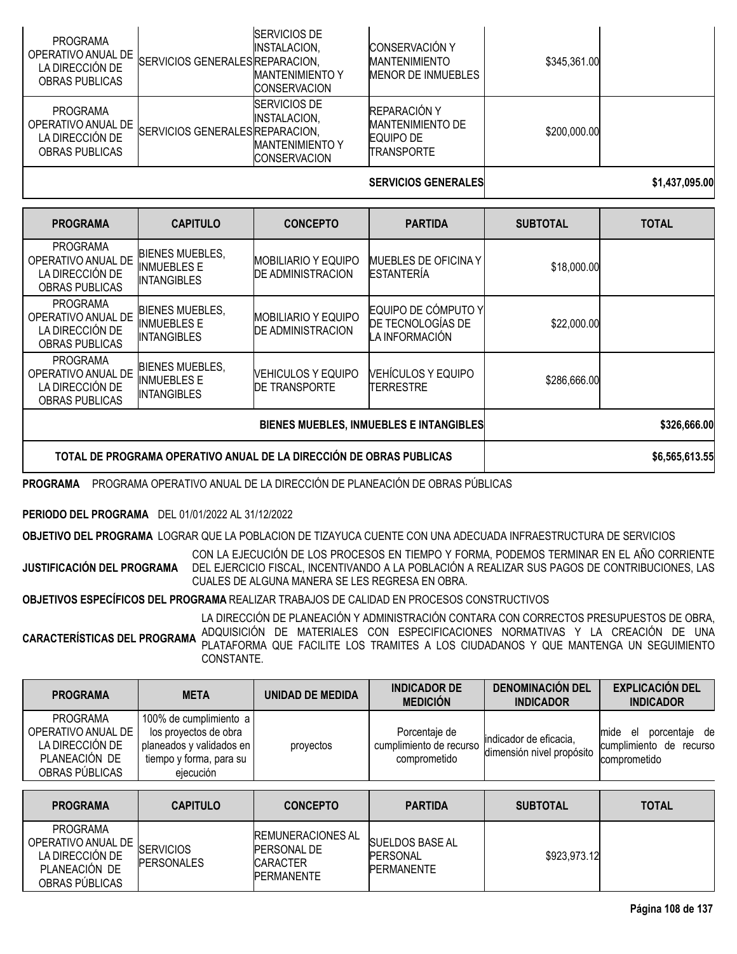| <b>PROGRAMA</b><br>OPERATIVO ANUAL DE<br>LA DIRECCIÓN DE<br>OBRAS PUBLICAS | SERVICIOS GENERALES REPARACION, | SERVICIOS DE<br>INSTALACION.<br><b>IMANTENIMIENTO Y</b><br><b>ICONSERVACION</b>        | <b>CONSERVACIÓN Y</b><br><b>MANTENIMIENTO</b><br>MENOR DE INMUEBLES              | \$345,361.00 |                |
|----------------------------------------------------------------------------|---------------------------------|----------------------------------------------------------------------------------------|----------------------------------------------------------------------------------|--------------|----------------|
| <b>PROGRAMA</b><br>OPERATIVO ANUAL DE<br>LA DIRECCIÓN DE<br>OBRAS PUBLICAS | SERVICIOS GENERALES REPARACION, | <b>SERVICIOS DE</b><br><b>INSTALACION.</b><br><b>IMANTENIMIENTO Y</b><br>ICONSERVACION | <b>REPARACIÓN Y</b><br><b>MANTENIMIENTO DE</b><br>EQUIPO DE<br><b>TRANSPORTE</b> | \$200,000.00 |                |
|                                                                            |                                 |                                                                                        | <b>SERVICIOS GENERALES</b>                                                       |              | \$1.437.095.00 |

| <b>PROGRAMA</b>                                                                   | <b>CAPITULO</b>                                                    | <b>CONCEPTO</b>                                        | <b>PARTIDA</b>                                                    | <b>SUBTOTAL</b> | <b>TOTAL</b>   |
|-----------------------------------------------------------------------------------|--------------------------------------------------------------------|--------------------------------------------------------|-------------------------------------------------------------------|-----------------|----------------|
| <b>PROGRAMA</b><br>OPERATIVO ANUAL DE<br>LA DIRECCIÓN DE<br><b>OBRAS PUBLICAS</b> | <b>BIENES MUEBLES,</b><br><b>INMUEBLES E</b><br><b>INTANGIBLES</b> | <b>MOBILIARIO Y EQUIPO</b><br><b>DE ADMINISTRACION</b> | MUEBLES DE OFICINA Y<br><b>ESTANTERÍA</b>                         | \$18,000.00     |                |
| <b>PROGRAMA</b><br>OPERATIVO ANUAL DE<br>LA DIRECCIÓN DE<br><b>OBRAS PUBLICAS</b> | <b>BIENES MUEBLES,</b><br>INMUEBLES E<br>INTANGIBLES               | <b>MOBILIARIO Y EQUIPO</b><br><b>DE ADMINISTRACION</b> | EQUIPO DE CÓMPUTO Y<br><b>DE TECNOLOGÍAS DE</b><br>LA INFORMACIÓN | \$22,000.00     |                |
| <b>PROGRAMA</b><br>OPERATIVO ANUAL DE<br>LA DIRECCIÓN DE<br><b>OBRAS PUBLICAS</b> | <b>BIENES MUEBLES,</b><br><b>INMUEBLES E</b><br><b>INTANGIBLES</b> | <b>VEHICULOS Y EQUIPO</b><br><b>DE TRANSPORTE</b>      | <b>VEHÍCULOS Y EQUIPO</b><br><b>TERRESTRE</b>                     | \$286,666.00    |                |
| BIENES MUEBLES, INMUEBLES E INTANGIBLES                                           |                                                                    |                                                        |                                                                   |                 | \$326,666.00   |
| TOTAL DE PROGRAMA OPERATIVO ANUAL DE LA DIRECCIÓN DE OBRAS PUBLICAS               |                                                                    |                                                        |                                                                   |                 | \$6,565,613.55 |

**PROGRAMA** PROGRAMA OPERATIVO ANUAL DE LA DIRECCIÓN DE PLANEACIÓN DE OBRAS PÚBLICAS

## **PERIODO DEL PROGRAMA** DEL 01/01/2022 AL 31/12/2022

**OBJETIVO DEL PROGRAMA** LOGRAR QUE LA POBLACION DE TIZAYUCA CUENTE CON UNA ADECUADA INFRAESTRUCTURA DE SERVICIOS

**JUSTIFICACIÓN DEL PROGRAMA** CON LA EJECUCIÓN DE LOS PROCESOS EN TIEMPO Y FORMA, PODEMOS TERMINAR EN EL AÑO CORRIENTE DEL EJERCICIO FISCAL, INCENTIVANDO A LA POBLACIÓN A REALIZAR SUS PAGOS DE CONTRIBUCIONES, LAS CUALES DE ALGUNA MANERA SE LES REGRESA EN OBRA.

**OBJETIVOS ESPECÍFICOS DEL PROGRAMA** REALIZAR TRABAJOS DE CALIDAD EN PROCESOS CONSTRUCTIVOS

**CARACTERÍSTICAS DEL PROGRAMA** LA DIRECCIÓN DE PLANEACIÓN Y ADMINISTRACIÓN CONTARA CON CORRECTOS PRESUPUESTOS DE OBRA, ADQUISICIÓN DE MATERIALES CON ESPECIFICACIONES NORMATIVAS Y LA CREACIÓN DE UNA PLATAFORMA QUE FACILITE LOS TRAMITES A LOS CIUDADANOS Y QUE MANTENGA UN SEGUIMIENTO CONSTANTE.

| <b>PROGRAMA</b>                                                                      | <b>META</b>                                                                                                             | UNIDAD DE MEDIDA | <b>INDICADOR DE</b><br><b>MEDICIÓN</b>                   | <b>DENOMINACIÓN DEL</b><br><b>INDICADOR</b>          | <b>EXPLICACIÓN DEL</b><br><b>INDICADOR</b>                                |
|--------------------------------------------------------------------------------------|-------------------------------------------------------------------------------------------------------------------------|------------------|----------------------------------------------------------|------------------------------------------------------|---------------------------------------------------------------------------|
| PROGRAMA<br>OPERATIVO ANUAL DE<br>LA DIRECCIÓN DE<br>PLANEACIÓN DE<br>OBRAS PÚBLICAS | 100% de cumplimiento a l<br>los proyectos de obra<br>planeados y validados en l<br>tiempo y forma, para su<br>eiecución | provectos        | Porcentaje de<br>cumplimiento de recurso<br>comprometido | lindicador de eficacia.<br>dimensión nivel propósito | porcentaje de<br>mide<br>el<br>de recurso<br>cumplimiento<br>comprometido |

| <b>PROGRAMA</b>                                                                             | <b>CAPITULO</b>                       | <b>CONCEPTO</b>                                                                        | <b>PARTIDA</b>                                                  | <b>SUBTOTAL</b> | <b>TOTAL</b> |
|---------------------------------------------------------------------------------------------|---------------------------------------|----------------------------------------------------------------------------------------|-----------------------------------------------------------------|-----------------|--------------|
| <b>PROGRAMA</b><br>OPERATIVO ANUAL DE<br>LA DIRECCIÓN DE<br>PLANEACIÓN DE<br>OBRAS PUBLICAS | <b>SERVICIOS</b><br><b>PERSONALES</b> | <b>REMUNERACIONES AL</b><br><b>PERSONAL DE</b><br><b>CARACTER</b><br><b>PERMANENTE</b> | <b>SUELDOS BASE AL</b><br><b>IPERSONAL</b><br><b>PERMANENTE</b> | \$923,973.12    |              |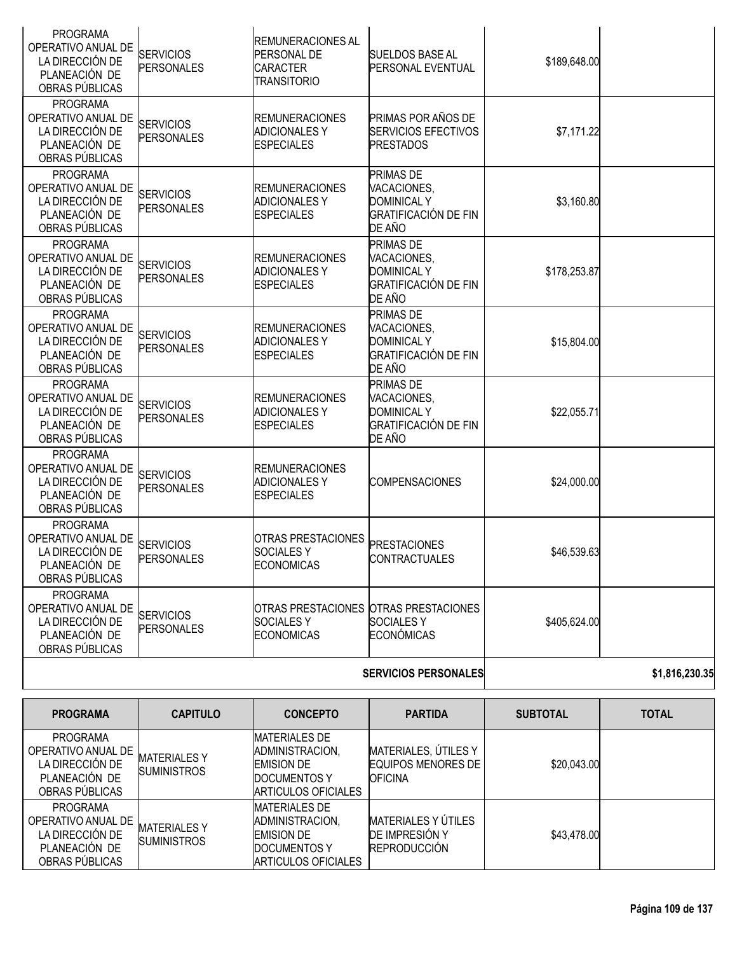| <b>PROGRAMA</b><br>OPERATIVO ANUAL DE<br>LA DIRECCIÓN DE<br>PLANEACIÓN DE<br>OBRAS PÚBLICAS | <b>SERVICIOS</b><br><b>PERSONALES</b> | <b>REMUNERACIONES AL</b><br>PERSONAL DE<br><b>CARACTER</b><br><b>TRANSITORIO</b> | <b>SUELDOS BASE AL</b><br>PERSONAL EVENTUAL                                             | \$189,648.00 |  |
|---------------------------------------------------------------------------------------------|---------------------------------------|----------------------------------------------------------------------------------|-----------------------------------------------------------------------------------------|--------------|--|
| <b>PROGRAMA</b><br>OPERATIVO ANUAL DE<br>LA DIRECCIÓN DE<br>PLANEACIÓN DE<br>OBRAS PÚBLICAS | <b>SERVICIOS</b><br><b>PERSONALES</b> | <b>REMUNERACIONES</b><br><b>ADICIONALESY</b><br><b>ESPECIALES</b>                | PRIMAS POR AÑOS DE<br>SERVICIOS EFECTIVOS<br><b>PRESTADOS</b>                           | \$7,171.22   |  |
| <b>PROGRAMA</b><br>OPERATIVO ANUAL DE<br>LA DIRECCIÓN DE<br>PLANEACIÓN DE<br>OBRAS PÚBLICAS | <b>SERVICIOS</b><br><b>PERSONALES</b> | <b>REMUNERACIONES</b><br><b>ADICIONALES Y</b><br><b>ESPECIALES</b>               | PRIMAS DE<br>VACACIONES,<br><b>DOMINICAL Y</b><br><b>GRATIFICACIÓN DE FIN</b><br>DE AÑO | \$3,160.80   |  |
| <b>PROGRAMA</b><br>OPERATIVO ANUAL DE<br>LA DIRECCIÓN DE<br>PLANEACIÓN DE<br>OBRAS PÚBLICAS | <b>SERVICIOS</b><br><b>PERSONALES</b> | <b>REMUNERACIONES</b><br><b>ADICIONALESY</b><br><b>ESPECIALES</b>                | PRIMAS DE<br>VACACIONES,<br><b>DOMINICAL Y</b><br><b>GRATIFICACIÓN DE FIN</b><br>DE AÑO | \$178,253.87 |  |
| <b>PROGRAMA</b><br>OPERATIVO ANUAL DE<br>LA DIRECCIÓN DE<br>PLANEACIÓN DE<br>OBRAS PÚBLICAS | <b>SERVICIOS</b><br><b>PERSONALES</b> | <b>REMUNERACIONES</b><br><b>ADICIONALESY</b><br><b>ESPECIALES</b>                | PRIMAS DE<br>VACACIONES,<br><b>DOMINICAL Y</b><br><b>GRATIFICACIÓN DE FIN</b><br>DE AÑO | \$15,804.00  |  |
| <b>PROGRAMA</b><br>OPERATIVO ANUAL DE<br>LA DIRECCIÓN DE<br>PLANEACIÓN DE<br>OBRAS PÚBLICAS | <b>SERVICIOS</b><br><b>PERSONALES</b> | <b>REMUNERACIONES</b><br><b>ADICIONALESY</b><br><b>ESPECIALES</b>                | PRIMAS DE<br>VACACIONES,<br><b>DOMINICAL Y</b><br><b>GRATIFICACIÓN DE FIN</b><br>DE AÑO | \$22,055.71  |  |
| <b>PROGRAMA</b><br>OPERATIVO ANUAL DE<br>LA DIRECCIÓN DE<br>PLANEACIÓN DE<br>OBRAS PÚBLICAS | <b>SERVICIOS</b><br><b>PERSONALES</b> | <b>REMUNERACIONES</b><br><b>ADICIONALES Y</b><br><b>ESPECIALES</b>               | <b>COMPENSACIONES</b>                                                                   | \$24,000.00  |  |
| <b>PROGRAMA</b><br>OPERATIVO ANUAL DE<br>LA DIRECCIÓN DE<br>PLANEACIÓN DE<br>OBRAS PÚBLICAS | <b>SERVICIOS</b><br><b>PERSONALES</b> | <b>OTRAS PRESTACIONES</b><br><b>SOCIALESY</b><br><b>ECONOMICAS</b>               | <b>PRESTACIONES</b><br><b>CONTRACTUALES</b>                                             | \$46,539.63  |  |
| <b>PROGRAMA</b><br>OPERATIVO ANUAL DE<br>LA DIRECCIÓN DE<br>PLANEACIÓN DE<br>OBRAS PÚBLICAS | <b>SERVICIOS</b><br><b>PERSONALES</b> | <b>SOCIALESY</b><br><b>ECONOMICAS</b>                                            | OTRAS PRESTACIONES OTRAS PRESTACIONES<br><b>SOCIALESY</b><br><b>ECONÓMICAS</b>          | \$405,624.00 |  |
|                                                                                             |                                       |                                                                                  |                                                                                         |              |  |

### **SERVICIOS PERSONALES \$1,816,230.35**

| <b>PROGRAMA</b>                                                                             | <b>CAPITULO</b>                           | <b>CONCEPTO</b>                                                                                             | <b>PARTIDA</b>                                                        | <b>SUBTOTAL</b> | <b>TOTAL</b> |
|---------------------------------------------------------------------------------------------|-------------------------------------------|-------------------------------------------------------------------------------------------------------------|-----------------------------------------------------------------------|-----------------|--------------|
| <b>PROGRAMA</b><br>OPERATIVO ANUAL DE<br>LA DIRECCIÓN DE<br>PLANEACIÓN DE<br>OBRAS PÚBLICAS | <b>MATERIALES Y</b><br><b>SUMINISTROS</b> | <b>MATERIALES DE</b><br>ADMINISTRACION,<br><b>EMISION DE</b><br>DOCUMENTOS Y<br>ARTICULOS OFICIALES         | MATERIALES, ÚTILES Y<br><b>EQUIPOS MENORES DE I</b><br><b>OFICINA</b> | \$20,043.00     |              |
| <b>PROGRAMA</b><br>OPERATIVO ANUAL DE<br>LA DIRECCIÓN DE<br>PLANEACIÓN DE<br>OBRAS PÚBLICAS | <b>MATERIALESY</b><br><b>SUMINISTROS</b>  | <b>MATERIALES DE</b><br>ADMINISTRACION,<br><b>EMISION DE</b><br><b>DOCUMENTOS Y</b><br>IARTICULOS OFICIALES | MATERIALES Y ÚTILES<br><b>DE IMPRESIÓN Y</b><br><b>REPRODUCCIÓN</b>   | \$43,478.00     |              |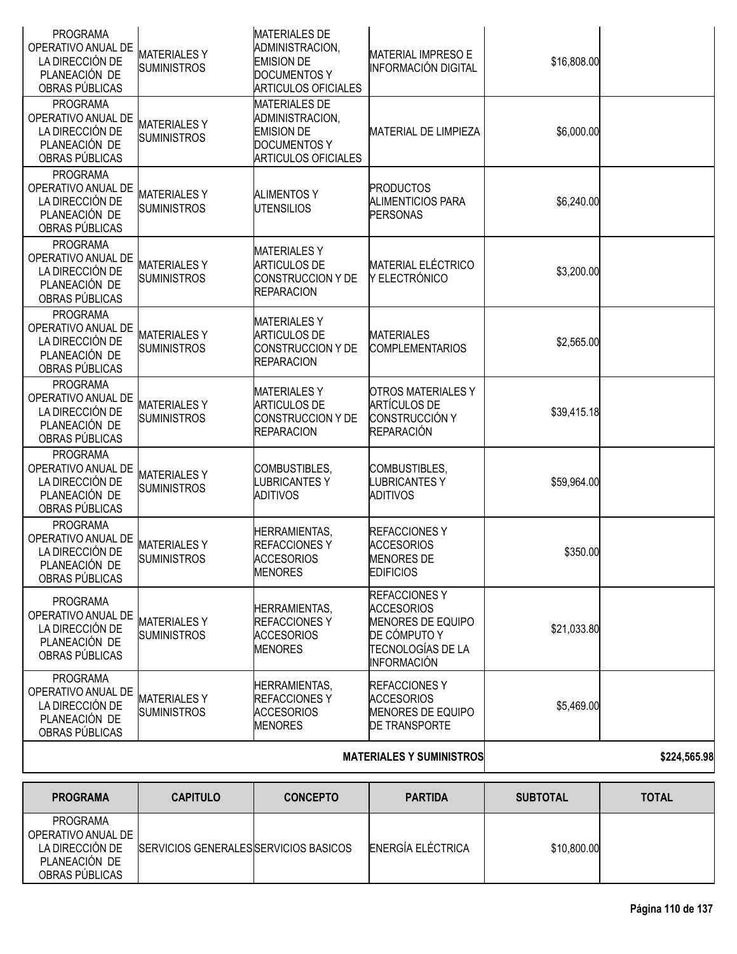| <b>PROGRAMA</b><br>OPERATIVO ANUAL DE<br>LA DIRECCIÓN DE<br>PLANEACIÓN DE<br>OBRAS PÚBLICAS | <b>MATERIALESY</b><br><b>SUMINISTROS</b> | <b>MATERIALES DE</b><br>ADMINISTRACION,<br><b>EMISION DE</b><br><b>DOCUMENTOS Y</b><br><b>ARTICULOS OFICIALES</b> | <b>MATERIAL IMPRESO E</b><br><b>INFORMACIÓN DIGITAL</b>                                                                                | \$16,808.00 |  |
|---------------------------------------------------------------------------------------------|------------------------------------------|-------------------------------------------------------------------------------------------------------------------|----------------------------------------------------------------------------------------------------------------------------------------|-------------|--|
| <b>PROGRAMA</b><br>OPERATIVO ANUAL DE<br>LA DIRECCIÓN DE<br>PLANEACIÓN DE<br>OBRAS PÚBLICAS | <b>MATERIALESY</b><br><b>SUMINISTROS</b> | <b>MATERIALES DE</b><br>ADMINISTRACION,<br><b>EMISION DE</b><br><b>DOCUMENTOS Y</b><br><b>ARTICULOS OFICIALES</b> | <b>MATERIAL DE LIMPIEZA</b>                                                                                                            | \$6,000.00  |  |
| <b>PROGRAMA</b><br>OPERATIVO ANUAL DE<br>LA DIRECCIÓN DE<br>PLANEACIÓN DE<br>OBRAS PÚBLICAS | <b>MATERIALESY</b><br><b>SUMINISTROS</b> | <b>ALIMENTOS Y</b><br><b>UTENSILIOS</b>                                                                           | <b>PRODUCTOS</b><br><b>ALIMENTICIOS PARA</b><br><b>PERSONAS</b>                                                                        | \$6,240.00  |  |
| <b>PROGRAMA</b><br>OPERATIVO ANUAL DE<br>LA DIRECCIÓN DE<br>PLANEACIÓN DE<br>OBRAS PÚBLICAS | <b>MATERIALESY</b><br><b>SUMINISTROS</b> | <b>MATERIALESY</b><br><b>ARTICULOS DE</b><br><b>CONSTRUCCION Y DE</b><br><b>REPARACION</b>                        | <b>MATERIAL ELÉCTRICO</b><br>Y ELECTRÓNICO                                                                                             | \$3,200.00  |  |
| <b>PROGRAMA</b><br>OPERATIVO ANUAL DE<br>LA DIRECCIÓN DE<br>PLANEACIÓN DE<br>OBRAS PÚBLICAS | <b>MATERIALESY</b><br><b>SUMINISTROS</b> | <b>MATERIALESY</b><br><b>ARTICULOS DE</b><br>CONSTRUCCION Y DE<br><b>REPARACION</b>                               | <b>MATERIALES</b><br><b>COMPLEMENTARIOS</b>                                                                                            | \$2,565.00  |  |
| <b>PROGRAMA</b><br>OPERATIVO ANUAL DE<br>LA DIRECCIÓN DE<br>PLANEACIÓN DE<br>OBRAS PÚBLICAS | <b>MATERIALESY</b><br><b>SUMINISTROS</b> | <b>MATERIALESY</b><br><b>ARTICULOS DE</b><br><b>CONSTRUCCION Y DE</b><br><b>REPARACION</b>                        | <b>OTROS MATERIALES Y</b><br><b>ARTÍCULOS DE</b><br><b>CONSTRUCCIÓN Y</b><br><b>REPARACIÓN</b>                                         | \$39,415.18 |  |
| <b>PROGRAMA</b><br>OPERATIVO ANUAL DE<br>LA DIRECCIÓN DE<br>PLANEACIÓN DE<br>OBRAS PÚBLICAS | <b>MATERIALESY</b><br><b>SUMINISTROS</b> | COMBUSTIBLES,<br><b>LUBRICANTESY</b><br>ADITIVOS                                                                  | COMBUSTIBLES,<br><b>LUBRICANTESY</b><br>ADITIVOS                                                                                       | \$59,964.00 |  |
| <b>PROGRAMA</b><br>OPERATIVO ANUAL DE<br>LA DIRECCIÓN DE<br>PLANEACIÓN DE<br>OBRAS PÚBLICAS | <b>MATERIALESY</b><br><b>SUMINISTROS</b> | <b>HERRAMIENTAS,</b><br><b>REFACCIONESY</b><br><b>ACCESORIOS</b><br><b>MENORES</b>                                | <b>REFACCIONESY</b><br><b>ACCESORIOS</b><br><b>MENORES DE</b><br><b>EDIFICIOS</b>                                                      | \$350.00    |  |
| <b>PROGRAMA</b><br>OPERATIVO ANUAL DE<br>LA DIRECCIÓN DE<br>PLANEACIÓN DE<br>OBRAS PÚBLICAS | <b>MATERIALESY</b><br><b>SUMINISTROS</b> | HERRAMIENTAS,<br>REFACCIONES Y<br><b>ACCESORIOS</b><br><b>MENORES</b>                                             | <b>REFACCIONESY</b><br><b>ACCESORIOS</b><br><b>MENORES DE EQUIPO</b><br>DE CÓMPUTO Y<br><b>TECNOLOGÍAS DE LA</b><br><b>INFORMACIÓN</b> | \$21,033.80 |  |
| <b>PROGRAMA</b><br>OPERATIVO ANUAL DE<br>LA DIRECCIÓN DE<br>PLANEACIÓN DE<br>OBRAS PÚBLICAS | <b>MATERIALESY</b><br><b>SUMINISTROS</b> | HERRAMIENTAS,<br><b>REFACCIONES Y</b><br><b>ACCESORIOS</b><br><b>MENORES</b>                                      | <b>REFACCIONESY</b><br><b>ACCESORIOS</b><br>MENORES DE EQUIPO<br><b>DE TRANSPORTE</b>                                                  | \$5,469.00  |  |
|                                                                                             |                                          | <b>MATERIALES Y SUMINISTROS</b>                                                                                   | \$224,565.98                                                                                                                           |             |  |

| <b>PROGRAMA</b>                                                                      | <b>CAPITULO</b>                               | <b>CONCEPTO</b> | <b>PARTIDA</b>    | <b>SUBTOTAL</b> | <b>TOTAL</b> |
|--------------------------------------------------------------------------------------|-----------------------------------------------|-----------------|-------------------|-----------------|--------------|
| PROGRAMA<br>OPERATIVO ANUAL DE<br>LA DIRECCIÓN DE<br>PLANEACIÓN DE<br>OBRAS PÚBLICAS | <b>ISERVICIOS GENERALESISERVICIOS BASICOS</b> |                 | ENERGÍA ELÉCTRICA | \$10,800.00     |              |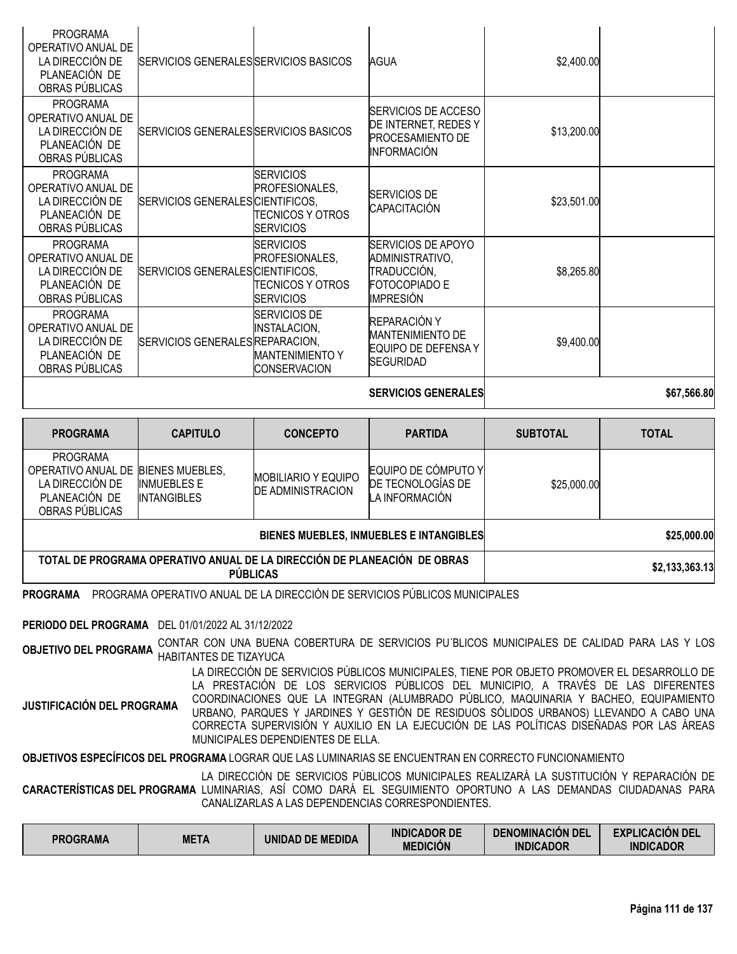| <b>PROGRAMA</b><br>OPERATIVO ANUAL DE<br>LA DIRECCIÓN DE<br>PLANEACIÓN DE<br>OBRAS PÚBLICAS | SERVICIOS GENERALES SERVICIOS BASICOS |                                                                                      | AGUA                                                                                             | \$2,400.00  |             |
|---------------------------------------------------------------------------------------------|---------------------------------------|--------------------------------------------------------------------------------------|--------------------------------------------------------------------------------------------------|-------------|-------------|
| <b>PROGRAMA</b><br>OPERATIVO ANUAL DE<br>LA DIRECCIÓN DE<br>PLANEACIÓN DE<br>OBRAS PÚBLICAS | SERVICIOS GENERALES SERVICIOS BASICOS |                                                                                      | SERVICIOS DE ACCESO<br>DE INTERNET, REDES Y<br><b>PROCESAMIENTO DE</b><br><b>INFORMACIÓN</b>     | \$13,200.00 |             |
| <b>PROGRAMA</b><br>OPERATIVO ANUAL DE<br>LA DIRECCIÓN DE<br>PLANEACIÓN DE<br>OBRAS PÚBLICAS | SERVICIOS GENERALES CIENTIFICOS,      | <b>SERVICIOS</b><br>PROFESIONALES.<br>TECNICOS Y OTROS<br><b>ISERVICIOS</b>          | <b>SERVICIOS DE</b><br>CAPACITACIÓN                                                              | \$23,501.00 |             |
| <b>PROGRAMA</b><br>OPERATIVO ANUAL DE<br>LA DIRECCIÓN DE<br>PLANEACIÓN DE<br>OBRAS PÚBLICAS | SERVICIOS GENERALES CIENTIFICOS,      | <b>ISERVICIOS</b><br>PROFESIONALES.<br>TECNICOS Y OTROS<br><b>SERVICIOS</b>          | <b>SERVICIOS DE APOYO</b><br>ADMINISTRATIVO,<br>TRADUCCIÓN,<br>FOTOCOPIADO E<br><b>IMPRESIÓN</b> | \$8,265.80  |             |
| <b>PROGRAMA</b><br>OPERATIVO ANUAL DE<br>LA DIRECCIÓN DE<br>PLANEACIÓN DE<br>OBRAS PÚBLICAS | SERVICIOS GENERALES REPARACION,       | SERVICIOS DE<br><b>INSTALACION,</b><br><b>MANTENIMIENTO Y</b><br><b>CONSERVACION</b> | REPARACIÓN Y<br><b>MANTENIMIENTO DE</b><br>EQUIPO DE DEFENSA Y<br><b>SEGURIDAD</b>               | \$9,400.00  |             |
|                                                                                             |                                       |                                                                                      | <b>SERVICIOS GENERALES</b>                                                                       |             | \$67,566.80 |

| <b>PROGRAMA</b>                                                                                      | <b>CAPITULO</b>                                                                             | <b>CONCEPTO</b>                                        | <b>PARTIDA</b>                                             | <b>SUBTOTAL</b> | <b>TOTAL</b> |
|------------------------------------------------------------------------------------------------------|---------------------------------------------------------------------------------------------|--------------------------------------------------------|------------------------------------------------------------|-----------------|--------------|
| PROGRAMA<br>OPERATIVO ANUAL DE BIENES MUEBLES,<br>LA DIRECCIÓN DE<br>PLANEACIÓN DE<br>OBRAS PUBLICAS | <b>INMUEBLES E</b><br><b>INTANGIBLES</b>                                                    | <b>MOBILIARIO Y EQUIPO</b><br><b>DE ADMINISTRACION</b> | EQUIPO DE CÓMPUTO Y<br>DE TECNOLOGIAS DE<br>A INFORMACIÓN. | \$25,000.00     |              |
|                                                                                                      |                                                                                             | BIENES MUEBLES, INMUEBLES E INTANGIBLES                | \$25,000.00                                                |                 |              |
|                                                                                                      | TOTAL DE PROGRAMA OPERATIVO ANUAL DE LA DIRECCIÓN DE PLANEACIÓN DE OBRAS<br><b>PUBLICAS</b> |                                                        | \$2,133,363.13                                             |                 |              |

**PROGRAMA** PROGRAMA OPERATIVO ANUAL DE LA DIRECCIÓN DE SERVICIOS PÚBLICOS MUNICIPALES

**PERIODO DEL PROGRAMA** DEL 01/01/2022 AL 31/12/2022

**OBJETIVO DEL PROGRAMA** CONTAR CON UNA BUENA COBERTURA DE SERVICIOS PU´BLICOS MUNICIPALES DE CALIDAD PARA LAS <sup>Y</sup> LOS HABITANTES DE TIZAYUCA

**JUSTIFICACIÓN DEL PROGRAMA** LA DIRECCIÓN DE SERVICIOS PÚBLICOS MUNICIPALES, TIENE POR OBJETO PROMOVER EL DESARROLLO DE LA PRESTACIÓN DE LOS SERVICIOS PÚBLICOS DEL MUNICIPIO, A TRAVÉS DE LAS DIFERENTES COORDINACIONES QUE LA INTEGRAN (ALUMBRADO PÚBLICO, MAQUINARIA Y BACHEO, EQUIPAMIENTO URBANO, PARQUES Y JARDINES Y GESTIÓN DE RESIDUOS SÓLIDOS URBANOS) LLEVANDO A CABO UNA CORRECTA SUPERVISIÓN Y AUXILIO EN LA EJECUCIÓN DE LAS POLÍTICAS DISEÑADAS POR LAS ÁREAS MUNICIPALES DEPENDIENTES DE ELLA.

**OBJETIVOS ESPECÍFICOS DEL PROGRAMA** LOGRAR QUE LAS LUMINARIAS SE ENCUENTRAN EN CORRECTO FUNCIONAMIENTO

**CARACTERÍSTICAS DEL PROGRAMA** LUMINARIAS, ASÍ COMO DARÁ EL SEGUIMIENTO OPORTUNO A LAS DEMANDAS CIUDADANAS PARA LA DIRECCIÓN DE SERVICIOS PÚBLICOS MUNICIPALES REALIZARÁ LA SUSTITUCIÓN Y REPARACIÓN DE CANALIZARLAS A LAS DEPENDENCIAS CORRESPONDIENTES.

| <b>PROGRAMA</b> | <b>META</b> | UNIDAD DE MEDIDA | <b>INDICADOR DE</b><br><b>MEDICIÓN</b> | <b>DENOMINACION DEL</b><br><b>INDICADOR</b> | <b>EXPLICACIÓN DEL</b><br><b>INDICADOR</b> |
|-----------------|-------------|------------------|----------------------------------------|---------------------------------------------|--------------------------------------------|
|-----------------|-------------|------------------|----------------------------------------|---------------------------------------------|--------------------------------------------|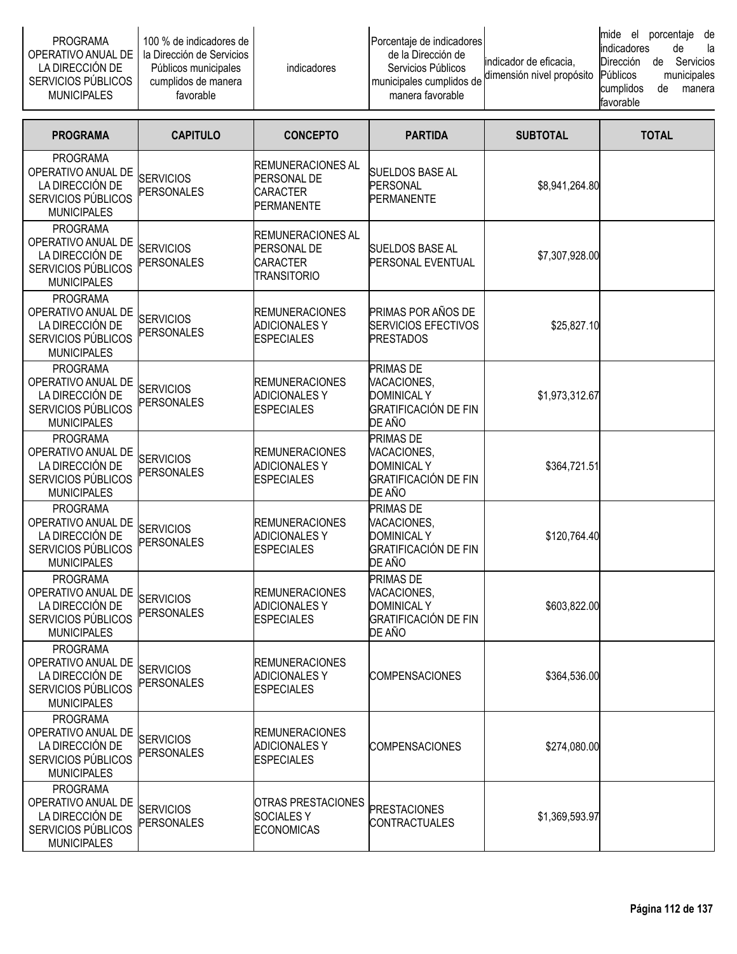| PROGRAMA<br>OPERATIVO ANUAL DE I<br>LA DIRECCION DE<br>SERVICIOS PUBLICOS<br><b>MUNICIPALES</b> | 100 % de indicadores de l<br>I la Dirección de Servicios I<br>Públicos municipales<br>cumplidos de manera<br>favorable | <i>indicadores</i> | Porcentaje de indicadores<br>de la Dirección de<br>Servicios Públicos<br>municipales cumplidos de<br>manera favorable | lindicador de eficacia.<br>dimensión nivel propósito Públicos | mide el<br>lindicadores<br>Dirección<br>cumplidos<br><b>favorable</b> | porcentaie<br>de<br>de<br>de | de<br>la<br>Servicios<br>municipales<br>manera |
|-------------------------------------------------------------------------------------------------|------------------------------------------------------------------------------------------------------------------------|--------------------|-----------------------------------------------------------------------------------------------------------------------|---------------------------------------------------------------|-----------------------------------------------------------------------|------------------------------|------------------------------------------------|
|-------------------------------------------------------------------------------------------------|------------------------------------------------------------------------------------------------------------------------|--------------------|-----------------------------------------------------------------------------------------------------------------------|---------------------------------------------------------------|-----------------------------------------------------------------------|------------------------------|------------------------------------------------|

| <b>PROGRAMA</b>                                                                                      | <b>CAPITULO</b>                       | <b>CONCEPTO</b>                                                            | <b>PARTIDA</b>                                                                                 | <b>SUBTOTAL</b> | <b>TOTAL</b> |
|------------------------------------------------------------------------------------------------------|---------------------------------------|----------------------------------------------------------------------------|------------------------------------------------------------------------------------------------|-----------------|--------------|
| <b>PROGRAMA</b><br>OPERATIVO ANUAL DE<br>LA DIRECCIÓN DE<br>SERVICIOS PÚBLICOS<br><b>MUNICIPALES</b> | <b>SERVICIOS</b><br><b>PERSONALES</b> | IREMUNERACIONES AL<br>PERSONAL DE<br><b>CARACTER</b><br><b>PERMANENTE</b>  | <b>SUELDOS BASE AL</b><br><b>PERSONAL</b><br><b>PERMANENTE</b>                                 | \$8,941,264.80  |              |
| <b>PROGRAMA</b><br>OPERATIVO ANUAL DE<br>LA DIRECCIÓN DE<br>SERVICIOS PÚBLICOS<br><b>MUNICIPALES</b> | <b>SERVICIOS</b><br>PERSONALES        | IREMUNERACIONES AL<br>PERSONAL DE<br><b>CARACTER</b><br><b>TRANSITORIO</b> | <b>SUELDOS BASE AL</b><br>PERSONAL EVENTUAL                                                    | \$7,307,928.00  |              |
| <b>PROGRAMA</b><br>OPERATIVO ANUAL DE<br>LA DIRECCIÓN DE<br>SERVICIOS PÚBLICOS<br><b>MUNICIPALES</b> | <b>SERVICIOS</b><br><b>PERSONALES</b> | <b>REMUNERACIONES</b><br><b>ADICIONALES Y</b><br><b>ESPECIALES</b>         | PRIMAS POR AÑOS DE<br><b>SERVICIOS EFECTIVOS</b><br><b>PRESTADOS</b>                           | \$25,827.10     |              |
| <b>PROGRAMA</b><br>OPERATIVO ANUAL DE<br>LA DIRECCIÓN DE<br>SERVICIOS PÚBLICOS<br><b>MUNICIPALES</b> | <b>SERVICIOS</b><br><b>PERSONALES</b> | <b>REMUNERACIONES</b><br><b>ADICIONALESY</b><br><b>ESPECIALES</b>          | <b>PRIMAS DE</b><br>VACACIONES,<br><b>DOMINICAL Y</b><br><b>GRATIFICACIÓN DE FIN</b><br>DE AÑO | \$1,973,312.67  |              |
| <b>PROGRAMA</b><br>OPERATIVO ANUAL DE<br>LA DIRECCIÓN DE<br>SERVICIOS PÚBLICOS<br><b>MUNICIPALES</b> | <b>SERVICIOS</b><br><b>PERSONALES</b> | <b>REMUNERACIONES</b><br><b>ADICIONALES Y</b><br><b>ESPECIALES</b>         | PRIMAS DE<br>VACACIONES,<br><b>DOMINICAL Y</b><br><b>GRATIFICACIÓN DE FIN</b><br>DE AÑO        | \$364,721.51    |              |
| <b>PROGRAMA</b><br>OPERATIVO ANUAL DE<br>LA DIRECCIÓN DE<br>SERVICIOS PÚBLICOS<br><b>MUNICIPALES</b> | <b>SERVICIOS</b><br><b>PERSONALES</b> | <b>REMUNERACIONES</b><br><b>ADICIONALES Y</b><br><b>ESPECIALES</b>         | <b>PRIMAS DE</b><br>VACACIONES,<br><b>DOMINICAL Y</b><br><b>GRATIFICACIÓN DE FIN</b><br>DE AÑO | \$120,764.40    |              |
| <b>PROGRAMA</b><br>OPERATIVO ANUAL DE<br>LA DIRECCIÓN DE<br>SERVICIOS PÚBLICOS<br><b>MUNICIPALES</b> | <b>SERVICIOS</b><br>PERSONALES        | <b>REMUNERACIONES</b><br><b>ADICIONALESY</b><br><b>ESPECIALES</b>          | PRIMAS DE<br>VACACIONES,<br><b>DOMINICAL Y</b><br><b>GRATIFICACIÓN DE FIN</b><br>DE AÑO        | \$603,822.00    |              |
| <b>PROGRAMA</b><br>OPERATIVO ANUAL DE<br>LA DIRECCIÓN DE<br>SERVICIOS PÚBLICOS<br><b>MUNICIPALES</b> | <b>SERVICIOS</b><br><b>PERSONALES</b> | <b>REMUNERACIONES</b><br><b>ADICIONALES Y</b><br><b>ESPECIALES</b>         | <b>COMPENSACIONES</b>                                                                          | \$364,536.00    |              |
| <b>PROGRAMA</b><br>OPERATIVO ANUAL DE<br>LA DIRECCIÓN DE<br>SERVICIOS PÚBLICOS<br><b>MUNICIPALES</b> | <b>SERVICIOS</b><br><b>PERSONALES</b> | <b>REMUNERACIONES</b><br><b>ADICIONALES Y</b><br><b>ESPECIALES</b>         | <b>COMPENSACIONES</b>                                                                          | \$274,080.00    |              |
| <b>PROGRAMA</b><br>OPERATIVO ANUAL DE<br>LA DIRECCIÓN DE<br>SERVICIOS PÚBLICOS<br><b>MUNICIPALES</b> | <b>SERVICIOS</b><br>PERSONALES        | OTRAS PRESTACIONES<br><b>SOCIALESY</b><br><b>ECONOMICAS</b>                | <b>PRESTACIONES</b><br>CONTRACTUALES                                                           | \$1,369,593.97  |              |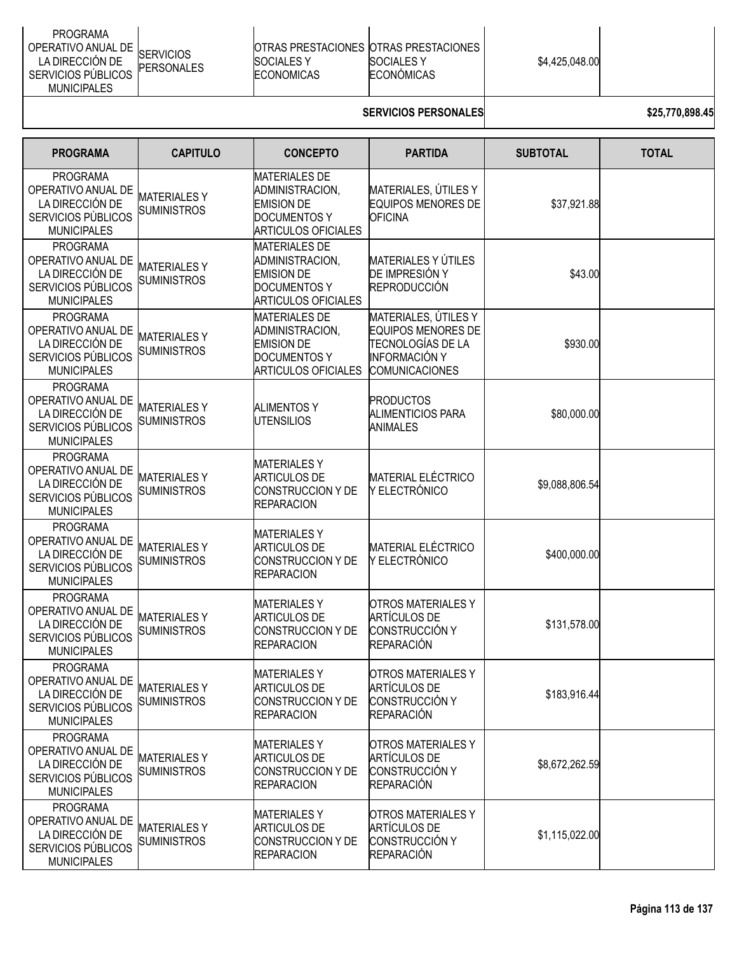| <b>PROGRAMA</b><br>OPERATIVO ANUAL DE<br><b>SERVICIOS</b><br>LA DIRECCIÓN DE<br><b>PERSONALES</b><br>SERVICIOS PÚBLICOS<br><b>MUNICIPALES</b> | ISOCIALES Y<br><b>ECONOMICAS</b> | <b>IOTRAS PRESTACIONES IOTRAS PRESTACIONES I</b><br><b>SOCIALES Y</b><br>ECONÓMICAS | \$4,425,048.00 |  |
|-----------------------------------------------------------------------------------------------------------------------------------------------|----------------------------------|-------------------------------------------------------------------------------------|----------------|--|
|-----------------------------------------------------------------------------------------------------------------------------------------------|----------------------------------|-------------------------------------------------------------------------------------|----------------|--|

# **SERVICIOS PERSONALES 1999 825,770,898.45**

| <b>PROGRAMA</b>                                                                                      | <b>CAPITULO</b>                           | <b>CONCEPTO</b>                                                                                                   | <b>PARTIDA</b>                                                                                                          | <b>SUBTOTAL</b> | <b>TOTAL</b> |
|------------------------------------------------------------------------------------------------------|-------------------------------------------|-------------------------------------------------------------------------------------------------------------------|-------------------------------------------------------------------------------------------------------------------------|-----------------|--------------|
| <b>PROGRAMA</b><br>OPERATIVO ANUAL DE<br>LA DIRECCIÓN DE<br>SERVICIOS PÚBLICOS<br><b>MUNICIPALES</b> | <b>MATERIALES Y</b><br><b>SUMINISTROS</b> | <b>MATERIALES DE</b><br>ADMINISTRACION,<br><b>EMISION DE</b><br><b>DOCUMENTOS Y</b><br><b>ARTICULOS OFICIALES</b> | MATERIALES, ÚTILES Y<br><b>EQUIPOS MENORES DE</b><br><b>OFICINA</b>                                                     | \$37,921.88     |              |
| <b>PROGRAMA</b><br>OPERATIVO ANUAL DE<br>LA DIRECCIÓN DE<br>SERVICIOS PÚBLICOS<br><b>MUNICIPALES</b> | <b>MATERIALESY</b><br><b>SUMINISTROS</b>  | <b>MATERIALES DE</b><br>ADMINISTRACION,<br><b>EMISION DE</b><br><b>DOCUMENTOS Y</b><br><b>ARTICULOS OFICIALES</b> | <b>MATERIALES Y ÚTILES</b><br>DE IMPRESIÓN Y<br>REPRODUCCIÓN                                                            | \$43.00         |              |
| <b>PROGRAMA</b><br>OPERATIVO ANUAL DE<br>LA DIRECCIÓN DE<br>SERVICIOS PÚBLICOS<br><b>MUNICIPALES</b> | <b>MATERIALESY</b><br><b>SUMINISTROS</b>  | <b>MATERIALES DE</b><br>ADMINISTRACION,<br><b>EMISION DE</b><br><b>DOCUMENTOS Y</b><br><b>ARTICULOS OFICIALES</b> | MATERIALES, ÚTILES Y<br><b>EQUIPOS MENORES DE</b><br>TECNOLOGÍAS DE LA<br><b>INFORMACIÓN Y</b><br><b>COMUNICACIONES</b> | \$930.00        |              |
| <b>PROGRAMA</b><br>OPERATIVO ANUAL DE<br>LA DIRECCIÓN DE<br>SERVICIOS PÚBLICOS<br><b>MUNICIPALES</b> | <b>MATERIALESY</b><br><b>SUMINISTROS</b>  | <b>ALIMENTOS Y</b><br><b>UTENSILIOS</b>                                                                           | <b>PRODUCTOS</b><br><b>ALIMENTICIOS PARA</b><br><b>ANIMALES</b>                                                         | \$80,000.00     |              |
| <b>PROGRAMA</b><br>OPERATIVO ANUAL DE<br>LA DIRECCIÓN DE<br>SERVICIOS PÚBLICOS<br><b>MUNICIPALES</b> | <b>MATERIALESY</b><br><b>SUMINISTROS</b>  | <b>MATERIALESY</b><br><b>ARTICULOS DE</b><br>CONSTRUCCION Y DE<br><b>REPARACION</b>                               | <b>MATERIAL ELÉCTRICO</b><br>Y ELECTRÓNICO                                                                              | \$9,088,806.54  |              |
| <b>PROGRAMA</b><br>OPERATIVO ANUAL DE<br>LA DIRECCIÓN DE<br>SERVICIOS PÚBLICOS<br><b>MUNICIPALES</b> | <b>MATERIALESY</b><br><b>SUMINISTROS</b>  | <b>MATERIALES Y</b><br><b>ARTICULOS DE</b><br><b>CONSTRUCCION Y DE</b><br><b>REPARACION</b>                       | <b>MATERIAL ELÉCTRICO</b><br>Y ELECTRÓNICO                                                                              | \$400,000.00    |              |
| <b>PROGRAMA</b><br>OPERATIVO ANUAL DE<br>LA DIRECCIÓN DE<br>SERVICIOS PÚBLICOS<br><b>MUNICIPALES</b> | <b>MATERIALESY</b><br><b>SUMINISTROS</b>  | <b>MATERIALES Y</b><br><b>ARTICULOS DE</b><br>CONSTRUCCION Y DE<br><b>REPARACION</b>                              | <b>OTROS MATERIALES Y</b><br><b>ARTÍCULOS DE</b><br><b>CONSTRUCCIÓN Y</b><br><b>REPARACIÓN</b>                          | \$131,578.00    |              |
| <b>PROGRAMA</b><br>OPERATIVO ANUAL DE<br>LA DIRECCIÓN DE<br>SERVICIOS PÚBLICOS<br><b>MUNICIPALES</b> | <b>MATERIALESY</b><br><b>SUMINISTROS</b>  | <b>MATERIALESY</b><br><b>ARTICULOS DE</b><br>CONSTRUCCION Y DE<br><b>REPARACION</b>                               | <b>OTROS MATERIALES Y</b><br><b>ARTÍCULOS DE</b><br><b>CONSTRUCCIÓN Y</b><br><b>REPARACIÓN</b>                          | \$183,916.44    |              |
| <b>PROGRAMA</b><br>OPERATIVO ANUAL DE<br>LA DIRECCIÓN DE<br>SERVICIOS PÚBLICOS<br><b>MUNICIPALES</b> | <b>MATERIALESY</b><br><b>SUMINISTROS</b>  | <b>MATERIALESY</b><br><b>ARTICULOS DE</b><br><b>CONSTRUCCION Y DE</b><br><b>REPARACION</b>                        | <b>OTROS MATERIALES Y</b><br><b>ARTÍCULOS DE</b><br>CONSTRUCCIÓN Y<br><b>REPARACIÓN</b>                                 | \$8,672,262.59  |              |
| <b>PROGRAMA</b><br>OPERATIVO ANUAL DE<br>LA DIRECCIÓN DE<br>SERVICIOS PÚBLICOS<br><b>MUNICIPALES</b> | <b>MATERIALESY</b><br><b>SUMINISTROS</b>  | <b>MATERIALESY</b><br><b>ARTICULOS DE</b><br>CONSTRUCCION Y DE<br><b>REPARACION</b>                               | <b>OTROS MATERIALES Y</b><br><b>ARTÍCULOS DE</b><br><b>CONSTRUCCIÓN Y</b><br><b>REPARACIÓN</b>                          | \$1,115,022.00  |              |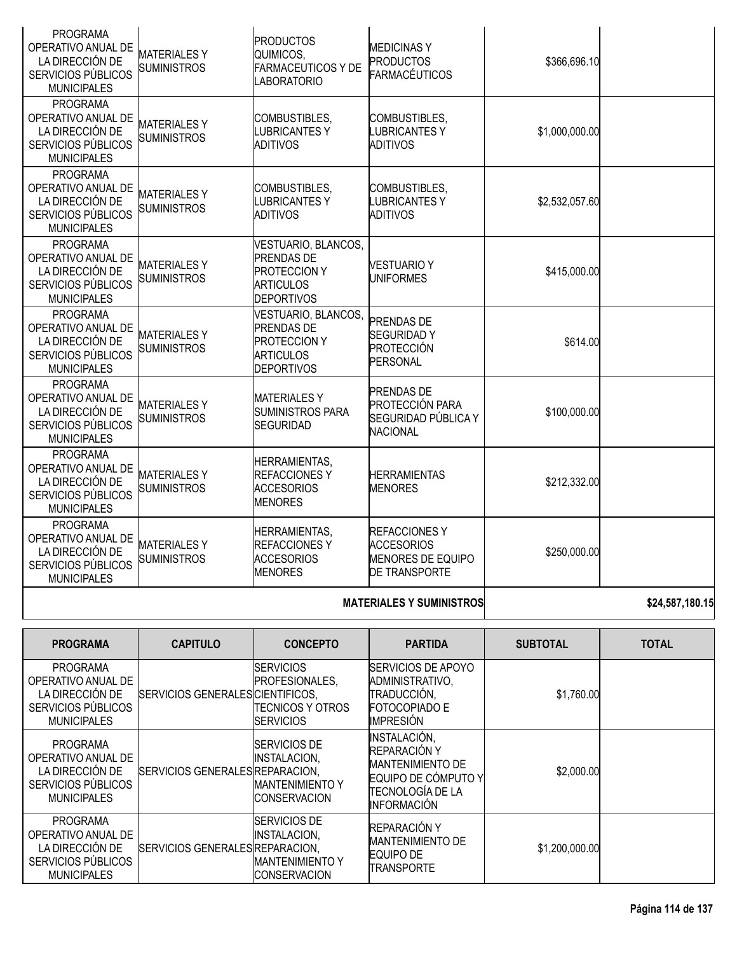| <b>PROGRAMA</b><br>OPERATIVO ANUAL DE<br>LA DIRECCIÓN DE<br>SERVICIOS PÚBLICOS<br><b>MUNICIPALES</b> | <b>MATERIALESY</b><br><b>SUMINISTROS</b>  | <b>PRODUCTOS</b><br>QUIMICOS,<br><b>FARMACEUTICOS Y DE</b><br><b>LABORATORIO</b>                         | <b>MEDICINAS Y</b><br><b>PRODUCTOS</b><br><b>FARMACÉUTICOS</b>                               | \$366,696.10   |  |
|------------------------------------------------------------------------------------------------------|-------------------------------------------|----------------------------------------------------------------------------------------------------------|----------------------------------------------------------------------------------------------|----------------|--|
| <b>PROGRAMA</b><br>OPERATIVO ANUAL DE<br>LA DIRECCIÓN DE<br>SERVICIOS PÚBLICOS<br><b>MUNICIPALES</b> | <b>MATERIALESY</b><br><b>SUMINISTROS</b>  | COMBUSTIBLES,<br><b>LUBRICANTESY</b><br><b>ADITIVOS</b>                                                  | COMBUSTIBLES,<br><b>LUBRICANTESY</b><br><b>ADITIVOS</b>                                      | \$1,000,000.00 |  |
| <b>PROGRAMA</b><br>OPERATIVO ANUAL DE<br>LA DIRECCIÓN DE<br>SERVICIOS PÚBLICOS<br><b>MUNICIPALES</b> | <b>MATERIALES Y</b><br><b>SUMINISTROS</b> | COMBUSTIBLES,<br><b>LUBRICANTESY</b><br><b>ADITIVOS</b>                                                  | COMBUSTIBLES,<br><b>LUBRICANTES Y</b><br><b>ADITIVOS</b>                                     | \$2,532,057.60 |  |
| <b>PROGRAMA</b><br>OPERATIVO ANUAL DE<br>LA DIRECCIÓN DE<br>SERVICIOS PÚBLICOS<br><b>MUNICIPALES</b> | <b>MATERIALESY</b><br><b>SUMINISTROS</b>  | VESTUARIO, BLANCOS,<br><b>PRENDAS DE</b><br><b>PROTECCION Y</b><br><b>ARTICULOS</b><br><b>DEPORTIVOS</b> | <b>VESTUARIO Y</b><br><b>UNIFORMES</b>                                                       | \$415,000.00   |  |
| PROGRAMA<br>OPERATIVO ANUAL DE<br>LA DIRECCIÓN DE<br>SERVICIOS PÚBLICOS<br><b>MUNICIPALES</b>        | <b>MATERIALESY</b><br><b>SUMINISTROS</b>  | VESTUARIO, BLANCOS,<br><b>PRENDAS DE</b><br><b>PROTECCION Y</b><br><b>ARTICULOS</b><br><b>DEPORTIVOS</b> | <b>PRENDAS DE</b><br><b>SEGURIDADY</b><br>PROTECCIÓN<br><b>PERSONAL</b>                      | \$614.00       |  |
| <b>PROGRAMA</b><br>OPERATIVO ANUAL DE<br>LA DIRECCIÓN DE<br>SERVICIOS PÚBLICOS<br><b>MUNICIPALES</b> | <b>MATERIALESY</b><br><b>SUMINISTROS</b>  | <b>MATERIALESY</b><br><b>SUMINISTROS PARA</b><br>SEGURIDAD                                               | PRENDAS DE<br><b>PROTECCIÓN PARA</b><br>SEGURIDAD PÚBLICA Y<br><b>NACIONAL</b>               | \$100,000.00   |  |
| <b>PROGRAMA</b><br>OPERATIVO ANUAL DE<br>LA DIRECCIÓN DE<br>SERVICIOS PÚBLICOS<br><b>MUNICIPALES</b> | <b>MATERIALESY</b><br><b>SUMINISTROS</b>  | <b>HERRAMIENTAS,</b><br><b>REFACCIONESY</b><br><b>ACCESORIOS</b><br><b>MENORES</b>                       | <b>HERRAMIENTAS</b><br><b>MENORES</b>                                                        | \$212,332.00   |  |
| <b>PROGRAMA</b><br>OPERATIVO ANUAL DE<br>LA DIRECCIÓN DE<br>SERVICIOS PÚBLICOS<br><b>MUNICIPALES</b> | <b>MATERIALESY</b><br><b>SUMINISTROS</b>  | <b>HERRAMIENTAS,</b><br><b>REFACCIONES Y</b><br><b>ACCESORIOS</b><br><b>MENORES</b>                      | <b>REFACCIONESY</b><br><b>ACCESORIOS</b><br><b>MENORES DE EQUIPO</b><br><b>DE TRANSPORTE</b> | \$250,000.00   |  |

# **MATERIALES Y SUMINISTROS \$24,587,180.15**

| <b>PROGRAMA</b>                                                                                      | <b>CAPITULO</b>                  | <b>CONCEPTO</b>                                                                      | <b>PARTIDA</b>                                                                                                           | <b>SUBTOTAL</b> | <b>TOTAL</b> |
|------------------------------------------------------------------------------------------------------|----------------------------------|--------------------------------------------------------------------------------------|--------------------------------------------------------------------------------------------------------------------------|-----------------|--------------|
| <b>PROGRAMA</b><br>OPERATIVO ANUAL DE<br>LA DIRECCIÓN DE<br>SERVICIOS PÚBLICOS<br><b>MUNICIPALES</b> | SERVICIOS GENERALES CIENTIFICOS, | <b>SERVICIOS</b><br>PROFESIONALES,<br><b>TECNICOS Y OTROS</b><br><b>SERVICIOS</b>    | <b>SERVICIOS DE APOYO</b><br>ADMINISTRATIVO,<br>TRADUCCIÓN,<br><b>FOTOCOPIADO E</b><br><b>IMPRESIÓN</b>                  | \$1,760.00      |              |
| <b>PROGRAMA</b><br>OPERATIVO ANUAL DE<br>LA DIRECCIÓN DE<br>SERVICIOS PÚBLICOS<br><b>MUNICIPALES</b> | SERVICIOS GENERALES REPARACION.  | <b>SERVICIOS DE</b><br>INSTALACION,<br><b>MANTENIMIENTO Y</b><br><b>CONSERVACION</b> | INSTALACIÓN,<br>REPARACIÓN Y<br><b>MANTENIMIENTO DE</b><br>EQUIPO DE CÓMPUTO Y<br>TECNOLOGÍA DE LA<br><b>INFORMACIÓN</b> | \$2,000.00      |              |
| <b>PROGRAMA</b><br>OPERATIVO ANUAL DE<br>LA DIRECCIÓN DE<br>SERVICIOS PÚBLICOS<br><b>MUNICIPALES</b> | SERVICIOS GENERALES REPARACION.  | <b>SERVICIOS DE</b><br>INSTALACION,<br><b>MANTENIMIENTO Y</b><br><b>CONSERVACION</b> | REPARACIÓN Y<br><b>MANTENIMIENTO DE</b><br>EQUIPO DE<br><b>TRANSPORTE</b>                                                | \$1,200,000.00  |              |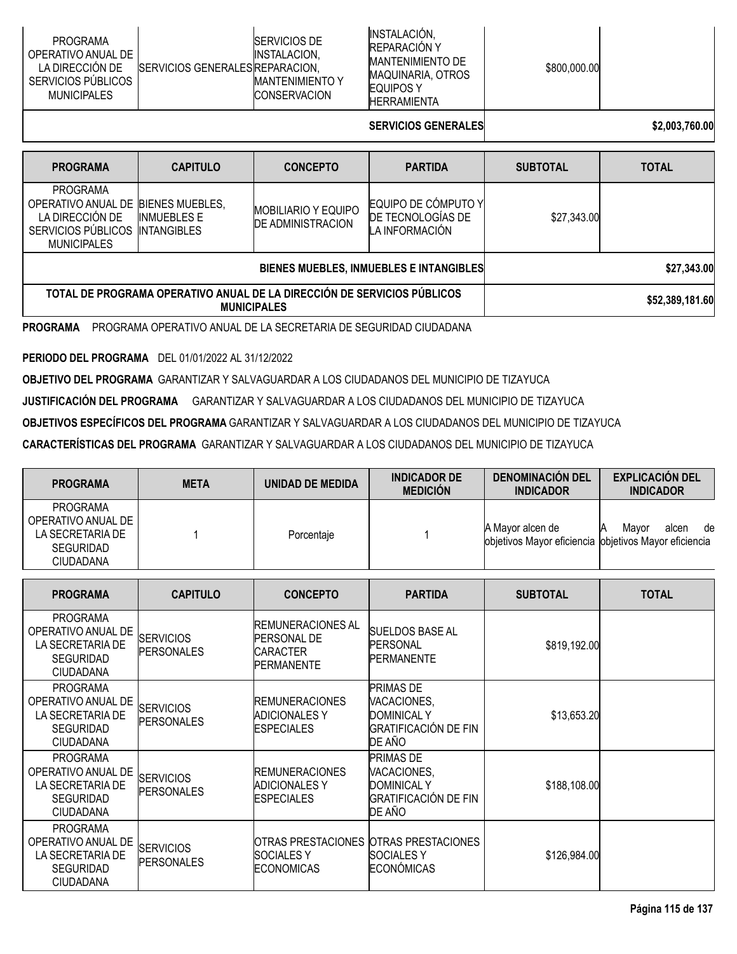| PROGRAMA<br>OPERATIVO ANUAL DE<br>LA DIRECCIÓN DE<br><b>ISERVICIOS GENERALESIREPARACION.</b><br>SERVICIOS PÚBLICOS<br><b>MUNICIPALES</b> | INSTALACIÓN,<br><b>ISERVICIOS DE</b><br><b>REPARACIÓN Y</b><br>INSTALACION.<br><b>IMANTENIMIENTO DE</b><br>MAQUINARIA, OTROS<br><b>IMANTENIMIENTO Y</b><br><b>EQUIPOS Y</b><br><b>ICONSERVACION</b><br><b>HERRAMIENTA</b> | \$800,000.00 |  |
|------------------------------------------------------------------------------------------------------------------------------------------|---------------------------------------------------------------------------------------------------------------------------------------------------------------------------------------------------------------------------|--------------|--|
|------------------------------------------------------------------------------------------------------------------------------------------|---------------------------------------------------------------------------------------------------------------------------------------------------------------------------------------------------------------------------|--------------|--|

# **SERVICIOS GENERALES \$2,003,760.00**

| <b>PROGRAMA</b>                                                                                                      | <b>CAPITULO</b>                   | <b>CONCEPTO</b>                                        | <b>PARTIDA</b>                                             | <b>SUBTOTAL</b> | <b>TOTAL</b>    |  |
|----------------------------------------------------------------------------------------------------------------------|-----------------------------------|--------------------------------------------------------|------------------------------------------------------------|-----------------|-----------------|--|
| <b>PROGRAMA</b><br>OPERATIVO ANUAL DE BIENES MUEBLES,<br>LA DIRECCIÓN DE<br>SERVICIOS PUBLICOS<br><b>MUNICIPALES</b> | INMUFBLES F<br><b>INTANGIBLES</b> | <b>MOBILIARIO Y EQUIPO</b><br><b>DE ADMINISTRACION</b> | EQUIPO DE CÓMPUTO Y<br>DE TECNOLOGIAS DE<br>LA INFORMACIÓN | \$27,343.00     |                 |  |
|                                                                                                                      |                                   | BIENES MUEBLES, INMUEBLES E INTANGIBLES                |                                                            | \$27,343.00     |                 |  |
| TOTAL DE PROGRAMA OPERATIVO ANUAL DE LA DIRECCIÓN DE SERVICIOS PÚBLICOS<br><b>MUNICIPALES</b>                        |                                   |                                                        |                                                            |                 | \$52,389,181.60 |  |
| <b>PROGRAMA</b><br>PROGRAMA OPERATIVO ANUAL DE LA SECRETARIA DE SEGURIDAD CIUDADANA                                  |                                   |                                                        |                                                            |                 |                 |  |

**PERIODO DEL PROGRAMA** DEL 01/01/2022 AL 31/12/2022

**OBJETIVO DEL PROGRAMA** GARANTIZAR Y SALVAGUARDAR A LOS CIUDADANOS DEL MUNICIPIO DE TIZAYUCA

**JUSTIFICACIÓN DEL PROGRAMA** GARANTIZAR Y SALVAGUARDAR A LOS CIUDADANOS DEL MUNICIPIO DE TIZAYUCA

**OBJETIVOS ESPECÍFICOS DEL PROGRAMA** GARANTIZAR Y SALVAGUARDAR A LOS CIUDADANOS DEL MUNICIPIO DE TIZAYUCA

**CARACTERÍSTICAS DEL PROGRAMA** GARANTIZAR Y SALVAGUARDAR A LOS CIUDADANOS DEL MUNICIPIO DE TIZAYUCA

| <b>PROGRAMA</b>                                                                            | <b>META</b> | UNIDAD DE MEDIDA | <b>INDICADOR DE</b><br><b>MEDICIÓN</b> | <b>DENOMINACION DEL</b><br><b>INDICADOR</b>                               | <b>EXPLICACIÓN DEL</b><br><b>INDICADOR</b> |
|--------------------------------------------------------------------------------------------|-------------|------------------|----------------------------------------|---------------------------------------------------------------------------|--------------------------------------------|
| <b>PROGRAMA</b><br>OPERATIVO ANUAL DE<br>LA SECRETARIA DE<br><b>SEGURIDAD</b><br>CIUDADANA |             | Porcentaie       |                                        | A Mayor alcen de<br>objetivos Mayor eficiencia objetivos Mayor eficiencia | Mavor<br>alcen<br>de<br>ΙA                 |

| <b>PROGRAMA</b>                                                                                   | <b>CAPITULO</b>                       | <b>CONCEPTO</b>                                                                         | <b>PARTIDA</b>                                                                                 | <b>SUBTOTAL</b> | <b>TOTAL</b> |
|---------------------------------------------------------------------------------------------------|---------------------------------------|-----------------------------------------------------------------------------------------|------------------------------------------------------------------------------------------------|-----------------|--------------|
| <b>PROGRAMA</b><br>OPERATIVO ANUAL DE<br>LA SECRETARIA DE<br><b>SEGURIDAD</b><br><b>CIUDADANA</b> | <b>SERVICIOS</b><br><b>PERSONALES</b> | <b>IREMUNERACIONES AL</b><br><b>PERSONAL DE</b><br><b>CARACTER</b><br><b>PERMANENTE</b> | <b>SUELDOS BASE AL</b><br>PERSONAL<br><b>PERMANENTE</b>                                        | \$819,192.00    |              |
| <b>PROGRAMA</b><br>OPERATIVO ANUAL DE<br>LA SECRETARIA DE<br><b>SEGURIDAD</b><br><b>CIUDADANA</b> | <b>SERVICIOS</b><br><b>PERSONALES</b> | <b>REMUNERACIONES</b><br><b>ADICIONALES Y</b><br><b>ESPECIALES</b>                      | <b>PRIMAS DE</b><br>VACACIONES,<br><b>DOMINICAL Y</b><br><b>GRATIFICACIÓN DE FIN</b><br>DE AÑO | \$13,653.20     |              |
| <b>PROGRAMA</b><br>OPERATIVO ANUAL DE<br>LA SECRETARIA DE<br><b>SEGURIDAD</b><br><b>CIUDADANA</b> | <b>SERVICIOS</b><br><b>PERSONALES</b> | <b>IREMUNERACIONES</b><br><b>ADICIONALES Y</b><br><b>ESPECIALES</b>                     | <b>PRIMAS DE</b><br>VACACIONES,<br><b>DOMINICAL Y</b><br><b>GRATIFICACIÓN DE FIN</b><br>DE AÑO | \$188,108.00    |              |
| <b>PROGRAMA</b><br>OPERATIVO ANUAL DE<br>LA SECRETARIA DE<br><b>SEGURIDAD</b><br><b>CIUDADANA</b> | <b>SERVICIOS</b><br><b>PERSONALES</b> | OTRAS PRESTACIONES OTRAS PRESTACIONES<br><b>SOCIALES Y</b><br><b>ECONOMICAS</b>         | <b>SOCIALES Y</b><br><b>ECONÓMICAS</b>                                                         | \$126,984.00    |              |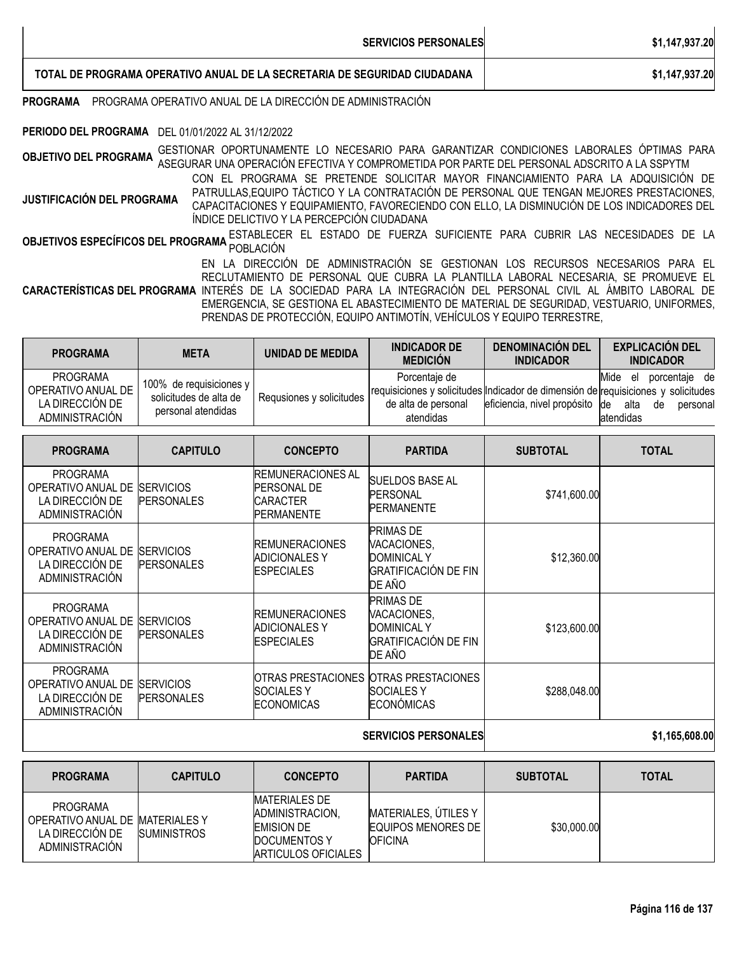| <b>SERVICIOS PERSONALES</b>                                               | \$1,147,937.20 |
|---------------------------------------------------------------------------|----------------|
| TOTAL DE PROGRAMA OPERATIVO ANUAL DE LA SECRETARIA DE SEGURIDAD CIUDADANA | \$1,147,937.20 |

### **PROGRAMA** PROGRAMA OPERATIVO ANUAL DE LA DIRECCIÓN DE ADMINISTRACIÓN

### **PERIODO DEL PROGRAMA** DEL 01/01/2022 AL 31/12/2022

**OBJETIVO DEL PROGRAMA** GESTIONAR OPORTUNAMENTE LO NECESARIO PARA GARANTIZAR CONDICIONES LABORALES ÓPTIMAS PARA ASEGURAR UNA OPERACIÓN EFECTIVA Y COMPROMETIDA POR PARTE DEL PERSONAL ADSCRITO A LA SSPYTM

**JUSTIFICACIÓN DEL PROGRAMA** CON EL PROGRAMA SE PRETENDE SOLICITAR MAYOR FINANCIAMIENTO PARA LA ADQUISICIÓN DE PATRULLAS,EQUIPO TÁCTICO Y LA CONTRATACIÓN DE PERSONAL QUE TENGAN MEJORES PRESTACIONES, CAPACITACIONES Y EQUIPAMIENTO, FAVORECIENDO CON ELLO, LA DISMINUCIÓN DE LOS INDICADORES DEL ÍNDICE DELICTIVO Y LA PERCEPCIÓN CIUDADANA

**OBJETIVOS ESPECÍFICOS DEL PROGRAMA <sup>ESTABLECER EL ESTADO DE FUERZA SUFICIENTE PARA CUBRIR LAS NECESIDADES DE LA<br>Pobletivos específicos del programa <sub>población</sub>**</sup>

**CARACTERÍSTICAS DEL PROGRAMA** INTERÉS DE LA SOCIEDAD PARA LA INTEGRACIÓN DEL PERSONAL CIVIL AL ÁMBITO LABORAL DE EN LA DIRECCIÓN DE ADMINISTRACIÓN SE GESTIONAN LOS RECURSOS NECESARIOS PARA EL RECLUTAMIENTO DE PERSONAL QUE CUBRA LA PLANTILLA LABORAL NECESARIA, SE PROMUEVE EL EMERGENCIA, SE GESTIONA EL ABASTECIMIENTO DE MATERIAL DE SEGURIDAD, VESTUARIO, UNIFORMES, PRENDAS DE PROTECCIÓN, EQUIPO ANTIMOTÍN, VEHÍCULOS Y EQUIPO TERRESTRE,

| <b>PROGRAMA</b>                                                     | <b>META</b>                                                               | UNIDAD DE MEDIDA         | <b>INDICADOR DE</b><br><b>MEDICIÓN</b>            | <b>DENOMINACION DEL</b><br><b>INDICADOR</b> | <b>EXPLICACIÓN DEL</b><br><b>INDICADOR</b>                                                                                                            |
|---------------------------------------------------------------------|---------------------------------------------------------------------------|--------------------------|---------------------------------------------------|---------------------------------------------|-------------------------------------------------------------------------------------------------------------------------------------------------------|
| PROGRAMA<br>OPERATIVO ANUAL DE<br>LA DIRECCIÓN DE<br>ADMINISTRACIÓN | 100% de requisiciones y l<br>solicitudes de alta de<br>personal atendidas | Requsiones y solicitudes | Porcentaie de<br>de alta de personal<br>atendidas | eficiencia, nivel propósito de              | Mide el<br>porcentaie de<br>requisiciones y solicitudes Indicador de dimensión de requisiciones y solicitudes<br>alta<br>personal<br>de<br>latendidas |

| <b>PROGRAMA</b>                                                                   | <b>CAPITULO</b>                       | <b>CONCEPTO</b>                                                                          | <b>PARTIDA</b>                                                                                 | <b>SUBTOTAL</b> | <b>TOTAL</b>   |
|-----------------------------------------------------------------------------------|---------------------------------------|------------------------------------------------------------------------------------------|------------------------------------------------------------------------------------------------|-----------------|----------------|
| <b>PROGRAMA</b><br>OPERATIVO ANUAL DE<br>LA DIRECCIÓN DE<br><b>ADMINISTRACIÓN</b> | <b>SERVICIOS</b><br><b>PERSONALES</b> | <b>IREMUNERACIONES AL</b><br><b>PERSONAL DE</b><br><b>ICARACTER</b><br><b>PERMANENTE</b> | <b>SUELDOS BASE AL</b><br><b>PERSONAL</b><br><b>PERMANENTE</b>                                 | \$741,600.00    |                |
| <b>PROGRAMA</b><br>OPERATIVO ANUAL DE<br>LA DIRECCIÓN DE<br><b>ADMINISTRACIÓN</b> | <b>SERVICIOS</b><br><b>PERSONALES</b> | <b>REMUNERACIONES</b><br>ADICIONALES Y<br><b>ESPECIALES</b>                              | <b>PRIMAS DE</b><br>VACACIONES,<br><b>DOMINICAL Y</b><br><b>GRATIFICACIÓN DE FIN</b><br>DE AÑO | \$12,360.00     |                |
| <b>PROGRAMA</b><br>OPERATIVO ANUAL DE<br>LA DIRECCIÓN DE<br><b>ADMINISTRACIÓN</b> | <b>SERVICIOS</b><br><b>PERSONALES</b> | <b>REMUNERACIONES</b><br>ADICIONALES Y<br><b>ESPECIALES</b>                              | <b>PRIMAS DE</b><br>VACACIONES,<br><b>DOMINICAL Y</b><br><b>GRATIFICACIÓN DE FIN</b><br>DE AÑO | \$123,600.00    |                |
| <b>PROGRAMA</b><br>OPERATIVO ANUAL DE<br>LA DIRECCIÓN DE<br><b>ADMINISTRACIÓN</b> | <b>SERVICIOS</b><br><b>PERSONALES</b> | <b>SOCIALES Y</b><br><b>ECONOMICAS</b>                                                   | OTRAS PRESTACIONES OTRAS PRESTACIONES<br><b>SOCIALES Y</b><br><b>ECONÓMICAS</b>                | \$288,048.00    |                |
|                                                                                   |                                       |                                                                                          | <b>SERVICIOS PERSONALES</b>                                                                    |                 | \$1,165,608.00 |

| <b>PROGRAMA</b>                                                                  | <b>CAPITULO</b>     | <b>CONCEPTO</b>                                                                                            | <b>PARTIDA</b>                                                 | <b>SUBTOTAL</b> | <b>TOTAL</b> |
|----------------------------------------------------------------------------------|---------------------|------------------------------------------------------------------------------------------------------------|----------------------------------------------------------------|-----------------|--------------|
| PROGRAMA<br>OPERATIVO ANUAL DE MATERIALES Y<br>LA DIRECCIÓN DE<br>ADMINISTRACIÓN | <b>ISUMINISTROS</b> | <b>MATERIALES DE</b><br><b>ADMINISTRACION.</b><br><b>EMISION DE</b><br>DOCUMENTOS Y<br>ARTICULOS OFICIALES | MATERIALES, ÚTILES Y<br>EQUIPOS MENORES DE I<br><b>OFICINA</b> | \$30,000.00     |              |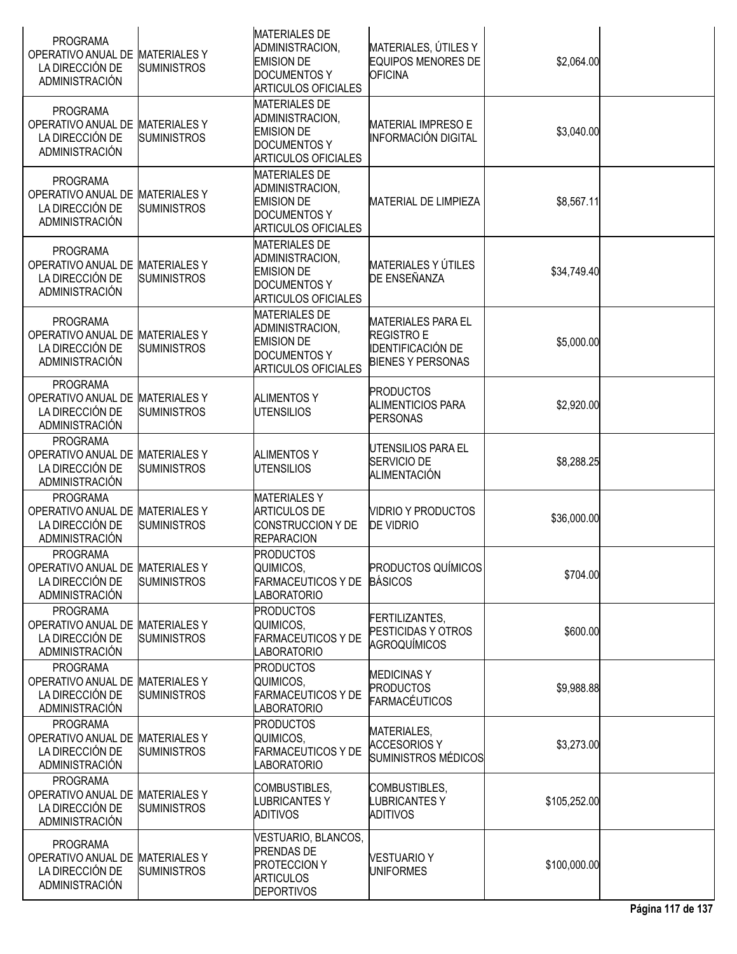| <b>PROGRAMA</b><br>OPERATIVO ANUAL DE MATERIALES Y<br>LA DIRECCIÓN DE<br><b>ADMINISTRACIÓN</b> | <b>SUMINISTROS</b>                        | <b>MATERIALES DE</b><br>ADMINISTRACION,<br><b>EMISION DE</b><br><b>DOCUMENTOS Y</b><br><b>ARTICULOS OFICIALES</b> | MATERIALES, ÚTILES Y<br><b>EQUIPOS MENORES DE</b><br><b>OFICINA</b>                                    | \$2,064.00   |  |
|------------------------------------------------------------------------------------------------|-------------------------------------------|-------------------------------------------------------------------------------------------------------------------|--------------------------------------------------------------------------------------------------------|--------------|--|
| <b>PROGRAMA</b><br>OPERATIVO ANUAL DE<br>LA DIRECCIÓN DE<br><b>ADMINISTRACIÓN</b>              | <b>MATERIALESY</b><br><b>SUMINISTROS</b>  | <b>MATERIALES DE</b><br>ADMINISTRACION,<br><b>EMISION DE</b><br><b>DOCUMENTOS Y</b><br><b>ARTICULOS OFICIALES</b> | <b>MATERIAL IMPRESO E</b><br><b>INFORMACIÓN DIGITAL</b>                                                | \$3,040.00   |  |
| <b>PROGRAMA</b><br>OPERATIVO ANUAL DE<br>LA DIRECCIÓN DE<br>ADMINISTRACIÓN                     | <b>MATERIALESY</b><br><b>SUMINISTROS</b>  | <b>MATERIALES DE</b><br>ADMINISTRACION,<br><b>EMISION DE</b><br><b>DOCUMENTOS Y</b><br><b>ARTICULOS OFICIALES</b> | <b>MATERIAL DE LIMPIEZA</b>                                                                            | \$8,567.11   |  |
| <b>PROGRAMA</b><br>OPERATIVO ANUAL DE MATERIALES Y<br>LA DIRECCIÓN DE<br><b>ADMINISTRACIÓN</b> | <b>SUMINISTROS</b>                        | <b>MATERIALES DE</b><br>ADMINISTRACION,<br><b>EMISION DE</b><br><b>DOCUMENTOS Y</b><br><b>ARTICULOS OFICIALES</b> | <b>MATERIALES Y ÚTILES</b><br><b>DE ENSEÑANZA</b>                                                      | \$34,749.40  |  |
| <b>PROGRAMA</b><br>OPERATIVO ANUAL DE MATERIALES Y<br>LA DIRECCIÓN DE<br><b>ADMINISTRACIÓN</b> | <b>SUMINISTROS</b>                        | <b>MATERIALES DE</b><br>ADMINISTRACION,<br><b>EMISION DE</b><br><b>DOCUMENTOS Y</b><br><b>ARTICULOS OFICIALES</b> | <b>MATERIALES PARA EL</b><br><b>REGISTRO E</b><br><b>IDENTIFICACIÓN DE</b><br><b>BIENES Y PERSONAS</b> | \$5,000.00   |  |
| PROGRAMA<br>OPERATIVO ANUAL DE MATERIALES Y<br>LA DIRECCIÓN DE<br>ADMINISTRACIÓN               | <b>SUMINISTROS</b>                        | <b>ALIMENTOS Y</b><br><b>UTENSILIOS</b>                                                                           | <b>PRODUCTOS</b><br><b>ALIMENTICIOS PARA</b><br><b>PERSONAS</b>                                        | \$2,920.00   |  |
| <b>PROGRAMA</b><br>OPERATIVO ANUAL DE<br>LA DIRECCIÓN DE<br><b>ADMINISTRACIÓN</b>              | <b>MATERIALESY</b><br><b>SUMINISTROS</b>  | <b>ALIMENTOS Y</b><br><b>UTENSILIOS</b>                                                                           | UTENSILIOS PARA EL<br>SERVICIO DE<br>ALIMENTACIÓN                                                      | \$8,288.25   |  |
| <b>PROGRAMA</b><br>OPERATIVO ANUAL DE MATERIALES Y<br>LA DIRECCIÓN DE<br><b>ADMINISTRACIÓN</b> | <b>SUMINISTROS</b>                        | <b>MATERIALESY</b><br><b>ARTICULOS DE</b><br><b>CONSTRUCCION Y DE</b><br><b>REPARACION</b>                        | <b>VIDRIO Y PRODUCTOS</b><br><b>DE VIDRIO</b>                                                          | \$36,000.00  |  |
| <b>PROGRAMA</b><br>OPERATIVO ANUAL DE MATERIALES Y<br>LA DIRECCIÓN DE<br><b>ADMINISTRACIÓN</b> | <b>SUMINISTROS</b>                        | <b>PRODUCTOS</b><br>QUIMICOS,<br><b>FARMACEUTICOS Y DE</b><br><b>LABORATORIO</b>                                  | <b>PRODUCTOS QUÍMICOS</b><br><b>BÁSICOS</b>                                                            | \$704.00     |  |
| <b>PROGRAMA</b><br>OPERATIVO ANUAL DE MATERIALES Y<br>LA DIRECCIÓN DE<br><b>ADMINISTRACIÓN</b> | <b>SUMINISTROS</b>                        | <b>PRODUCTOS</b><br>QUIMICOS,<br><b>FARMACEUTICOS Y DE</b><br><b>LABORATORIO</b>                                  | FERTILIZANTES.<br>PESTICIDAS Y OTROS<br>AGROQUÍMICOS                                                   | \$600.00     |  |
| <b>PROGRAMA</b><br>OPERATIVO ANUAL DE MATERIALES Y<br>LA DIRECCIÓN DE<br><b>ADMINISTRACIÓN</b> | <b>SUMINISTROS</b>                        | <b>PRODUCTOS</b><br>QUIMICOS,<br><b>FARMACEUTICOS Y DE</b><br><b>LABORATORIO</b>                                  | <b>MEDICINAS Y</b><br><b>PRODUCTOS</b><br><b>FARMACÉUTICOS</b>                                         | \$9,988.88   |  |
| <b>PROGRAMA</b><br>OPERATIVO ANUAL DE MATERIALES Y<br>LA DIRECCIÓN DE<br><b>ADMINISTRACIÓN</b> | <b>SUMINISTROS</b>                        | <b>PRODUCTOS</b><br>QUIMICOS,<br><b>FARMACEUTICOS Y DE</b><br>LABORATORIO                                         | MATERIALES,<br><b>ACCESORIOS Y</b><br>SUMINISTROS MÉDICOS                                              | \$3,273.00   |  |
| <b>PROGRAMA</b><br>OPERATIVO ANUAL DE MATERIALES Y<br>LA DIRECCIÓN DE<br><b>ADMINISTRACIÓN</b> | <b>SUMINISTROS</b>                        | COMBUSTIBLES,<br><b>LUBRICANTESY</b><br><b>ADITIVOS</b>                                                           | COMBUSTIBLES,<br>LUBRICANTES Y<br><b>ADITIVOS</b>                                                      | \$105,252.00 |  |
| <b>PROGRAMA</b><br>OPERATIVO ANUAL DE<br>LA DIRECCIÓN DE<br><b>ADMINISTRACIÓN</b>              | <b>MATERIALES Y</b><br><b>SUMINISTROS</b> | VESTUARIO, BLANCOS,<br><b>PRENDAS DE</b><br><b>PROTECCION Y</b><br><b>ARTICULOS</b><br><b>DEPORTIVOS</b>          | <b>VESTUARIO Y</b><br><b>UNIFORMES</b>                                                                 | \$100,000.00 |  |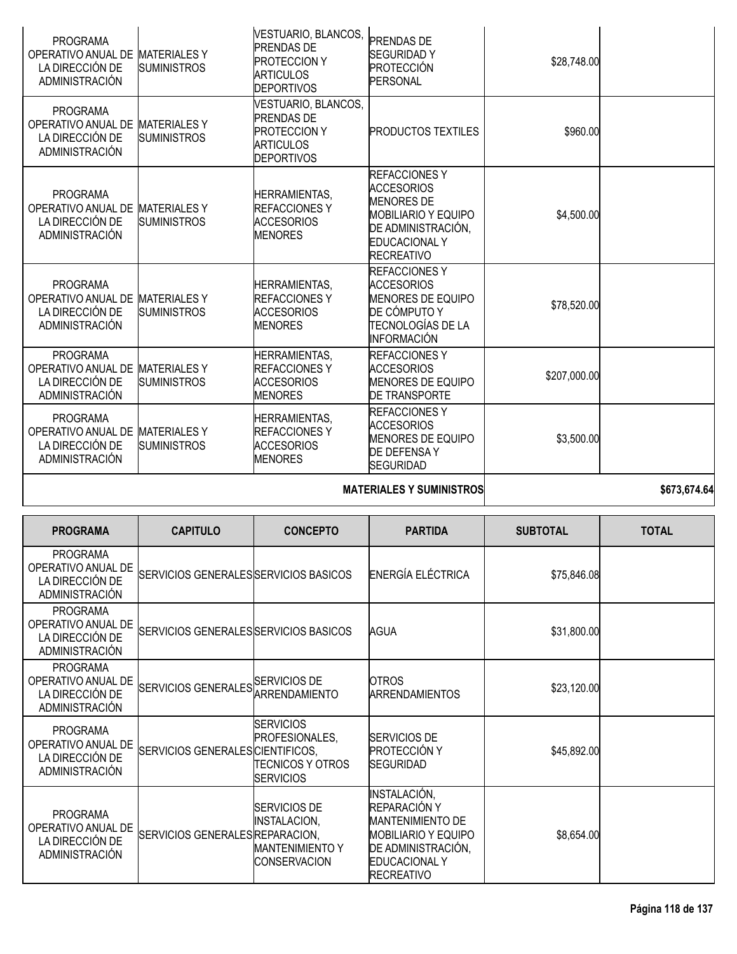| <b>PROGRAMA</b><br>OPERATIVO ANUAL DE<br>LA DIRECCIÓN DE<br>ADMINISTRACIÓN | <b>MATERIALESY</b><br><b>SUMINISTROS</b>  | VESTUARIO, BLANCOS,<br><b>PRENDAS DE</b><br><b>PROTECCION Y</b><br><b>ARTICULOS</b><br><b>DEPORTIVOS</b> | <b>PRENDAS DE</b><br><b>SEGURIDADY</b><br><b>PROTECCIÓN</b><br>PERSONAL                                                                                         | \$28,748.00  |  |
|----------------------------------------------------------------------------|-------------------------------------------|----------------------------------------------------------------------------------------------------------|-----------------------------------------------------------------------------------------------------------------------------------------------------------------|--------------|--|
| <b>PROGRAMA</b><br>OPERATIVO ANUAL DE<br>LA DIRECCIÓN DE<br>ADMINISTRACIÓN | <b>MATERIALES Y</b><br><b>SUMINISTROS</b> | VESTUARIO, BLANCOS,<br><b>PRENDAS DE</b><br><b>PROTECCION Y</b><br><b>ARTICULOS</b><br><b>DEPORTIVOS</b> | <b>PRODUCTOS TEXTILES</b>                                                                                                                                       | \$960.00     |  |
| <b>PROGRAMA</b><br>OPERATIVO ANUAL DE<br>LA DIRECCIÓN DE<br>ADMINISTRACIÓN | <b>MATERIALES Y</b><br><b>SUMINISTROS</b> | <b>HERRAMIENTAS,</b><br><b>REFACCIONES Y</b><br><b>ACCESORIOS</b><br><b>MENORES</b>                      | <b>REFACCIONES Y</b><br><b>ACCESORIOS</b><br><b>MENORES DE</b><br><b>MOBILIARIO Y EQUIPO</b><br>DE ADMINISTRACIÓN,<br><b>EDUCACIONAL Y</b><br><b>RECREATIVO</b> | \$4,500.00   |  |
| <b>PROGRAMA</b><br>OPERATIVO ANUAL DE<br>LA DIRECCIÓN DE<br>ADMINISTRACIÓN | <b>MATERIALES Y</b><br><b>SUMINISTROS</b> | <b>HERRAMIENTAS,</b><br><b>REFACCIONES Y</b><br><b>ACCESORIOS</b><br><b>MENORES</b>                      | <b>REFACCIONES Y</b><br><b>ACCESORIOS</b><br><b>MENORES DE EQUIPO</b><br>DE CÓMPUTO Y<br>TECNOLOGÍAS DE LA<br><b>INFORMACIÓN</b>                                | \$78,520.00  |  |
| <b>PROGRAMA</b><br>OPERATIVO ANUAL DE<br>LA DIRECCIÓN DE<br>ADMINISTRACIÓN | <b>MATERIALES Y</b><br><b>SUMINISTROS</b> | <b>HERRAMIENTAS,</b><br><b>REFACCIONES Y</b><br>ACCESORIOS<br><b>MENORES</b>                             | <b>REFACCIONESY</b><br><b>ACCESORIOS</b><br><b>MENORES DE EQUIPO</b><br><b>DE TRANSPORTE</b>                                                                    | \$207,000.00 |  |
| <b>PROGRAMA</b><br>OPERATIVO ANUAL DE<br>LA DIRECCIÓN DE<br>ADMINISTRACIÓN | <b>MATERIALES Y</b><br><b>SUMINISTROS</b> | <b>HERRAMIENTAS,</b><br><b>REFACCIONES Y</b><br><b>ACCESORIOS</b><br><b>MENORES</b>                      | <b>REFACCIONES Y</b><br><b>ACCESORIOS</b><br><b>MENORES DE EQUIPO</b><br><b>DE DEFENSAY</b><br><b>SEGURIDAD</b>                                                 | \$3,500.00   |  |

### **MATERIALES Y SUMINISTROS** \$673,674.64

| <b>PROGRAMA</b>                                                                   | <b>CAPITULO</b>                       | <b>CONCEPTO</b>                                                                       | <b>PARTIDA</b>                                                                                                                                           | <b>SUBTOTAL</b> | <b>TOTAL</b> |
|-----------------------------------------------------------------------------------|---------------------------------------|---------------------------------------------------------------------------------------|----------------------------------------------------------------------------------------------------------------------------------------------------------|-----------------|--------------|
| <b>PROGRAMA</b><br>OPERATIVO ANUAL DE<br>LA DIRECCIÓN DE<br><b>ADMINISTRACIÓN</b> | SERVICIOS GENERALES SERVICIOS BASICOS |                                                                                       | ENERGÍA ELÉCTRICA                                                                                                                                        | \$75,846.08     |              |
| <b>PROGRAMA</b><br>OPERATIVO ANUAL DE<br>LA DIRECCIÓN DE<br><b>ADMINISTRACIÓN</b> | SERVICIOS GENERALES SERVICIOS BASICOS |                                                                                       | AGUA                                                                                                                                                     | \$31,800.00     |              |
| <b>PROGRAMA</b><br>OPERATIVO ANUAL DE<br>LA DIRECCIÓN DE<br><b>ADMINISTRACIÓN</b> | SERVICIOS GENERALES SERVICIOS DE      | ARRENDAMIENTO                                                                         | <b>OTROS</b><br><b>ARRENDAMIENTOS</b>                                                                                                                    | \$23,120.00     |              |
| <b>PROGRAMA</b><br>OPERATIVO ANUAL DE<br>LA DIRECCIÓN DE<br><b>ADMINISTRACIÓN</b> | SERVICIOS GENERALES CIENTIFICOS.      | <b>SERVICIOS</b><br>PROFESIONALES,<br>ITECNICOS Y OTROS<br><b>SERVICIOS</b>           | <b>SERVICIOS DE</b><br><b>PROTECCIÓN Y</b><br><b>SEGURIDAD</b>                                                                                           | \$45,892.00     |              |
| <b>PROGRAMA</b><br>OPERATIVO ANUAL DE<br>LA DIRECCIÓN DE<br><b>ADMINISTRACIÓN</b> | SERVICIOS GENERALES REPARACION,       | <b>SERVICIOS DE</b><br><b>INSTALACION,</b><br><b>MANTENIMIENTO Y</b><br>ICONSERVACION | INSTALACIÓN,<br>REPARACIÓN Y<br><b>MANTENIMIENTO DE</b><br><b>MOBILIARIO Y EQUIPO</b><br>DE ADMINISTRACIÓN,<br><b>EDUCACIONAL Y</b><br><b>RECREATIVO</b> | \$8,654.00      |              |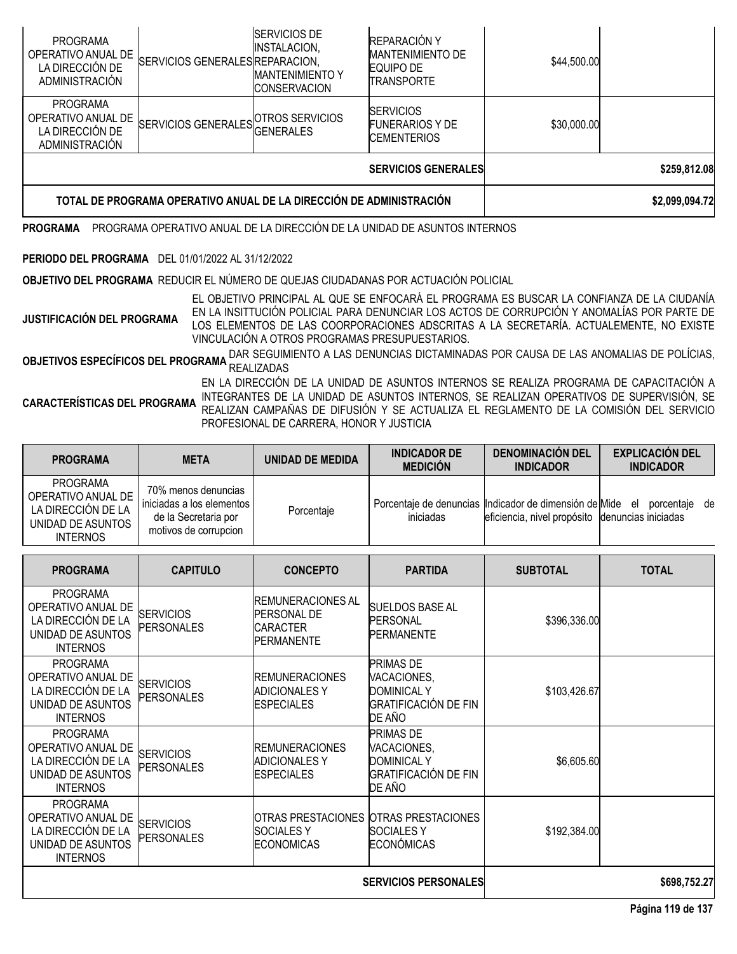| <b>PROGRAMA</b><br>OPERATIVO ANUAL DE<br>LA DIRECCIÓN DE<br>ADMINISTRACIÓN | SERVICIOS GENERALES REPARACION, | <b>SERVICIOS DE</b><br><b>INSTALACION,</b><br><b>MANTENIMIENTO Y</b><br><b>CONSERVACION</b> | REPARACIÓN Y<br><b>MANTENIMIENTO DE</b><br><b>EQUIPO DE</b><br><b>TRANSPORTE</b> | \$44,500.00    |              |
|----------------------------------------------------------------------------|---------------------------------|---------------------------------------------------------------------------------------------|----------------------------------------------------------------------------------|----------------|--------------|
| <b>PROGRAMA</b><br>OPERATIVO ANUAL DE<br>LA DIRECCIÓN DE<br>ADMINISTRACIÓN | SERVICIOS GENERALES             | <b>OTROS SERVICIOS</b><br><b>IGENERALES</b>                                                 | <b>SERVICIOS</b><br><b>FUNERARIOS Y DE</b><br><b>CEMENTERIOS</b>                 | \$30,000.00    |              |
|                                                                            |                                 |                                                                                             | <b>SERVICIOS GENERALES</b>                                                       |                | \$259,812.08 |
| TOTAL DE PROGRAMA OPERATIVO ANUAL DE LA DIRECCIÓN DE ADMINISTRACIÓN        |                                 |                                                                                             |                                                                                  | \$2,099,094.72 |              |

**PROGRAMA** PROGRAMA OPERATIVO ANUAL DE LA DIRECCIÓN DE LA UNIDAD DE ASUNTOS INTERNOS

### **PERIODO DEL PROGRAMA** DEL 01/01/2022 AL 31/12/2022

**OBJETIVO DEL PROGRAMA** REDUCIR EL NÚMERO DE QUEJAS CIUDADANAS POR ACTUACIÓN POLICIAL

**JUSTIFICACIÓN DEL PROGRAMA** EL OBJETIVO PRINCIPAL AL QUE SE ENFOCARÁ EL PROGRAMA ES BUSCAR LA CONFIANZA DE LA CIUDANÍA EN LA INSITTUCIÓN POLICIAL PARA DENUNCIAR LOS ACTOS DE CORRUPCIÓN Y ANOMALÍAS POR PARTE DE LOS ELEMENTOS DE LAS COORPORACIONES ADSCRITAS A LA SECRETARÍA. ACTUALEMENTE, NO EXISTE VINCULACIÓN A OTROS PROGRAMAS PRESUPUESTARIOS.

OBJETIVOS ESPECÍFICOS DEL PROGRAMA DAR SEGUIMIENTO A LAS DENUNCIAS DICTAMINADAS POR CAUSA DE LAS ANOMALIAS DE POLÍCIAS, REALIZADAS

**CARACTERÍSTICAS DEL PROGRAMA** EN LA DIRECCIÓN DE LA UNIDAD DE ASUNTOS INTERNOS SE REALIZA PROGRAMA DE CAPACITACIÓN A INTEGRANTES DE LA UNIDAD DE ASUNTOS INTERNOS, SE REALIZAN OPERATIVOS DE SUPERVISIÓN, SE REALIZAN CAMPAÑAS DE DIFUSIÓN Y SE ACTUALIZA EL REGLAMENTO DE LA COMISIÓN DEL SERVICIO PROFESIONAL DE CARRERA, HONOR Y JUSTICIA

| <b>PROGRAMA</b>                                                                              | <b>META</b>                                                                                         | UNIDAD DE MEDIDA | <b>INDICADOR DE</b><br><b>MEDICIÓN</b> | <b>DENOMINACION DEL</b><br><b>INDICADOR</b>                                                                   | <b>EXPLICACIÓN DEL</b><br><b>INDICADOR</b> |
|----------------------------------------------------------------------------------------------|-----------------------------------------------------------------------------------------------------|------------------|----------------------------------------|---------------------------------------------------------------------------------------------------------------|--------------------------------------------|
| PROGRAMA<br>OPERATIVO ANUAL DE<br>LA DIRECCIÓN DE LA<br>UNIDAD DE ASUNTOS<br><b>INTERNOS</b> | 70% menos denuncias<br>iniciadas a los elementos l<br>de la Secretaria por<br>motivos de corrupcion | Porcentaje       | iniciadas                              | Porcentaje de denuncias lindicador de dimensión de Mide el<br>eficiencia, nivel propósito denuncias iniciadas | porcentaje de                              |

| <b>PROGRAMA</b>                                                                                     | <b>CAPITULO</b>                       | <b>CONCEPTO</b>                                                                        | <b>PARTIDA</b>                                                                                 | <b>SUBTOTAL</b> | <b>TOTAL</b> |
|-----------------------------------------------------------------------------------------------------|---------------------------------------|----------------------------------------------------------------------------------------|------------------------------------------------------------------------------------------------|-----------------|--------------|
| <b>PROGRAMA</b><br>OPERATIVO ANUAL DE<br>LA DIRECCIÓN DE LA<br>UNIDAD DE ASUNTOS<br><b>INTERNOS</b> | <b>SERVICIOS</b><br><b>PERSONALES</b> | <b>REMUNERACIONES AL</b><br><b>PERSONAL DE</b><br><b>CARACTER</b><br><b>PERMANENTE</b> | <b>SUELDOS BASE AL</b><br>PERSONAL<br><b>PERMANENTE</b>                                        | \$396,336.00    |              |
| <b>PROGRAMA</b><br>OPERATIVO ANUAL DE<br>LA DIRECCIÓN DE LA<br>UNIDAD DE ASUNTOS<br><b>INTERNOS</b> | <b>SERVICIOS</b><br><b>PERSONALES</b> | <b>REMUNERACIONES</b><br><b>ADICIONALES Y</b><br><b>ESPECIALES</b>                     | <b>PRIMAS DE</b><br>VACACIONES,<br><b>DOMINICAL Y</b><br><b>GRATIFICACIÓN DE FIN</b><br>DE AÑO | \$103,426.67    |              |
| <b>PROGRAMA</b><br>OPERATIVO ANUAL DE<br>LA DIRECCIÓN DE LA<br>UNIDAD DE ASUNTOS<br><b>INTERNOS</b> | <b>SERVICIOS</b><br><b>PERSONALES</b> | <b>REMUNERACIONES</b><br><b>ADICIONALES Y</b><br><b>ESPECIALES</b>                     | <b>PRIMAS DE</b><br>VACACIONES,<br><b>DOMINICAL Y</b><br><b>GRATIFICACIÓN DE FIN</b><br>DE AÑO | \$6,605.60      |              |
| <b>PROGRAMA</b><br>OPERATIVO ANUAL DE<br>LA DIRECCIÓN DE LA<br>UNIDAD DE ASUNTOS<br><b>INTERNOS</b> | <b>SERVICIOS</b><br><b>PERSONALES</b> | <b>SOCIALESY</b><br><b>ECONOMICAS</b>                                                  | OTRAS PRESTACIONES OTRAS PRESTACIONES<br><b>SOCIALESY</b><br><b>ECONÓMICAS</b>                 | \$192,384.00    |              |
| <b>SERVICIOS PERSONALES</b>                                                                         |                                       |                                                                                        |                                                                                                |                 | \$698,752.27 |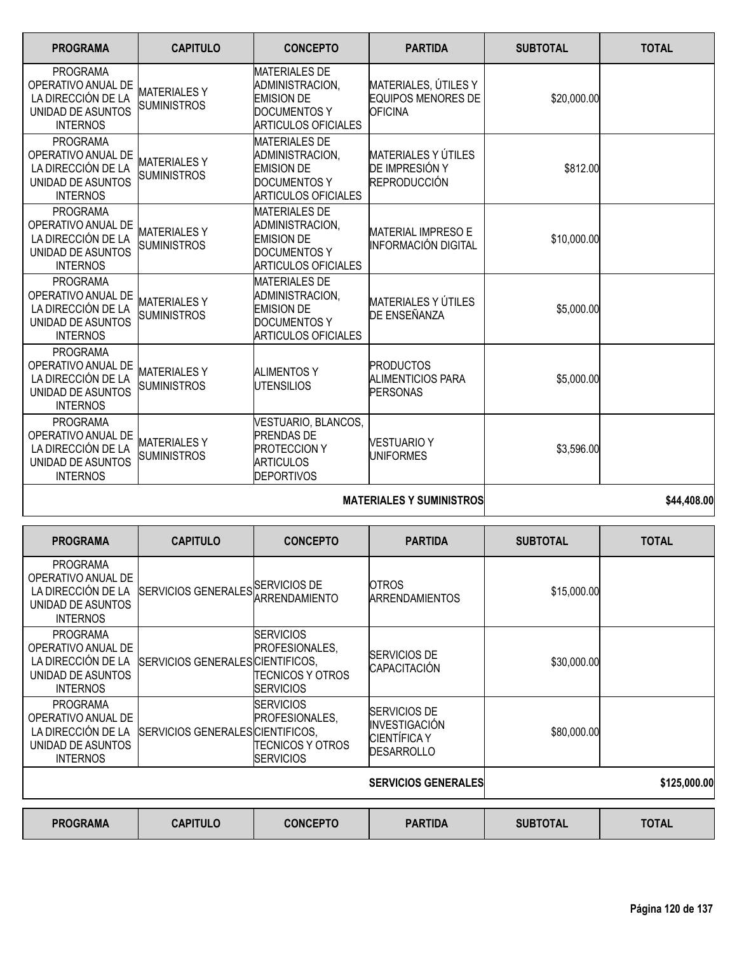| <b>PROGRAMA</b>                                                                                     | <b>CAPITULO</b>                           | <b>CONCEPTO</b>                                                                                                   | <b>PARTIDA</b>                                                      | <b>SUBTOTAL</b> | <b>TOTAL</b> |
|-----------------------------------------------------------------------------------------------------|-------------------------------------------|-------------------------------------------------------------------------------------------------------------------|---------------------------------------------------------------------|-----------------|--------------|
| <b>PROGRAMA</b><br>OPERATIVO ANUAL DE<br>LA DIRECCIÓN DE LA<br>UNIDAD DE ASUNTOS<br><b>INTERNOS</b> | <b>MATERIALESY</b><br><b>SUMINISTROS</b>  | <b>MATERIALES DE</b><br>ADMINISTRACION,<br><b>EMISION DE</b><br><b>DOCUMENTOS Y</b><br><b>ARTICULOS OFICIALES</b> | MATERIALES, ÚTILES Y<br><b>EQUIPOS MENORES DE</b><br><b>OFICINA</b> | \$20,000.00     |              |
| <b>PROGRAMA</b><br>OPERATIVO ANUAL DE<br>LA DIRECCIÓN DE LA<br>UNIDAD DE ASUNTOS<br><b>INTERNOS</b> | <b>MATERIALES Y</b><br><b>SUMINISTROS</b> | <b>MATERIALES DE</b><br>ADMINISTRACION.<br><b>EMISION DE</b><br><b>DOCUMENTOS Y</b><br><b>ARTICULOS OFICIALES</b> | <b>MATERIALES Y ÚTILES</b><br>DE IMPRESIÓN Y<br><b>REPRODUCCIÓN</b> | \$812.00        |              |
| <b>PROGRAMA</b><br>OPERATIVO ANUAL DE<br>LA DIRECCIÓN DE LA<br>UNIDAD DE ASUNTOS<br><b>INTERNOS</b> | <b>MATERIALESY</b><br><b>SUMINISTROS</b>  | <b>MATERIALES DE</b><br>ADMINISTRACION.<br><b>EMISION DE</b><br><b>DOCUMENTOS Y</b><br><b>ARTICULOS OFICIALES</b> | <b>MATERIAL IMPRESO E</b><br><b>INFORMACIÓN DIGITAL</b>             | \$10,000.00     |              |
| <b>PROGRAMA</b><br>OPERATIVO ANUAL DE<br>LA DIRECCIÓN DE LA<br>UNIDAD DE ASUNTOS<br><b>INTERNOS</b> | <b>MATERIALESY</b><br><b>SUMINISTROS</b>  | <b>MATERIALES DE</b><br>ADMINISTRACION,<br><b>EMISION DE</b><br><b>DOCUMENTOS Y</b><br><b>ARTICULOS OFICIALES</b> | <b>MATERIALES Y ÚTILES</b><br>DE ENSEÑANZA                          | \$5,000.00      |              |
| <b>PROGRAMA</b><br>OPERATIVO ANUAL DE<br>LA DIRECCIÓN DE LA<br>UNIDAD DE ASUNTOS<br><b>INTERNOS</b> | <b>MATERIALESY</b><br><b>SUMINISTROS</b>  | <b>ALIMENTOS Y</b><br><b>UTENSILIOS</b>                                                                           | <b>PRODUCTOS</b><br><b>ALIMENTICIOS PARA</b><br><b>PERSONAS</b>     | \$5,000.00      |              |
| <b>PROGRAMA</b><br>OPERATIVO ANUAL DE<br>LA DIRECCIÓN DE LA<br>UNIDAD DE ASUNTOS<br><b>INTERNOS</b> | <b>MATERIALES Y</b><br><b>SUMINISTROS</b> | VESTUARIO, BLANCOS,<br><b>PRENDAS DE</b><br><b>PROTECCION Y</b><br><b>ARTICULOS</b><br><b>DEPORTIVOS</b>          | <b>VESTUARIO Y</b><br><b>UNIFORMES</b>                              | \$3,596.00      |              |
|                                                                                                     |                                           |                                                                                                                   | \$44,408.00                                                         |                 |              |

| <b>PROGRAMA</b>                                                                                     | <b>CAPITULO</b>                  | <b>CONCEPTO</b>                                                                      | <b>PARTIDA</b>                                                                   | <b>SUBTOTAL</b> | <b>TOTAL</b> |
|-----------------------------------------------------------------------------------------------------|----------------------------------|--------------------------------------------------------------------------------------|----------------------------------------------------------------------------------|-----------------|--------------|
| <b>PROGRAMA</b><br>OPERATIVO ANUAL DE<br>LA DIRECCIÓN DE LA<br>UNIDAD DE ASUNTOS<br><b>INTERNOS</b> | <b>SERVICIOS GENERALES</b>       | <b>SERVICIOS DE</b><br>ARRENDAMIENTO                                                 | <b>OTROS</b><br><b>ARRENDAMIENTOS</b>                                            | \$15,000.00     |              |
| <b>PROGRAMA</b><br>OPERATIVO ANUAL DE<br>LA DIRECCIÓN DE LA<br>UNIDAD DE ASUNTOS<br><b>INTERNOS</b> | SERVICIOS GENERALESICIENTIFICOS. | <b>ISERVICIOS</b><br><b>IPROFESIONALES.</b><br>TECNICOS Y OTROS<br><b>ISERVICIOS</b> | <b>SERVICIOS DE</b><br><b>CAPACITACIÓN</b>                                       | \$30,000.00     |              |
| <b>PROGRAMA</b><br>OPERATIVO ANUAL DE<br>LA DIRECCIÓN DE LA<br>UNIDAD DE ASUNTOS<br><b>INTERNOS</b> | SERVICIOS GENERALES CIENTIFICOS, | <b>SERVICIOS</b><br>PROFESIONALES,<br>TECNICOS Y OTROS<br><b>ISERVICIOS</b>          | <b>SERVICIOS DE</b><br>INVESTIGACIÓN<br><b>CIENTÍFICA Y</b><br><b>DESARROLLO</b> | \$80,000.00     |              |
|                                                                                                     |                                  |                                                                                      | <b>SERVICIOS GENERALES</b>                                                       |                 | \$125,000.00 |
| <b>PROGRAMA</b>                                                                                     | <b>CAPITULO</b>                  | <b>CONCEPTO</b>                                                                      | <b>PARTIDA</b>                                                                   | <b>SUBTOTAL</b> | <b>TOTAL</b> |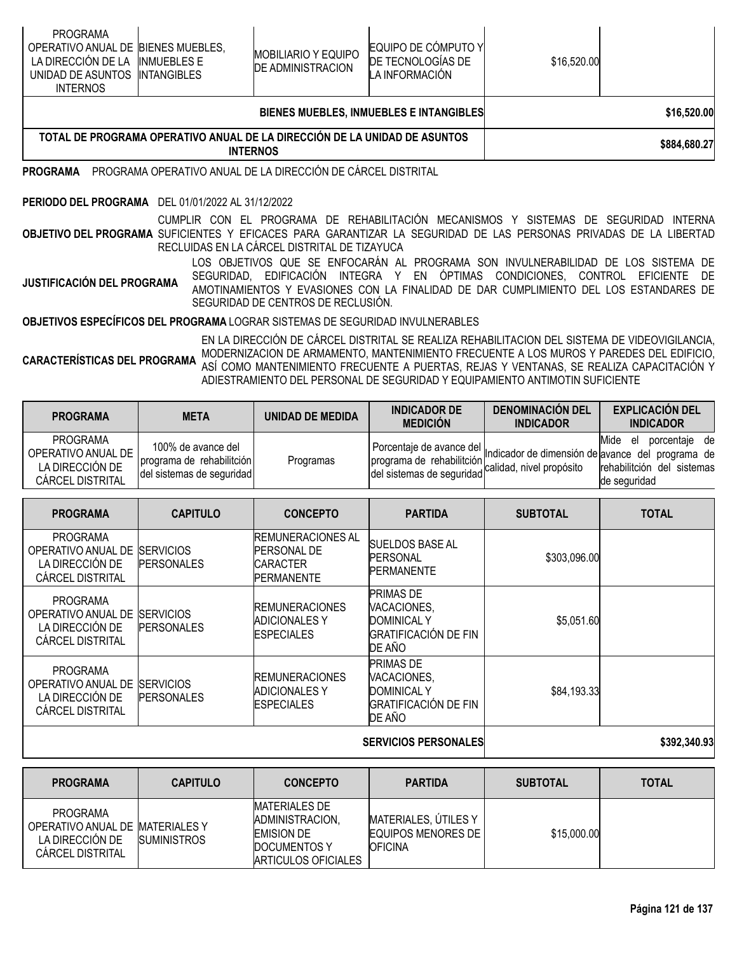| <b>PROGRAMA</b><br>OPERATIVO ANUAL DE BIENES MUEBLES,<br>LA DIRECCION DE LA INMUEBLES E<br>UNIDAD DE ASUNTOS INTANGIBLES<br><b>INTERNOS</b> |  | <b>MOBILIARIO Y EQUIPO</b><br><b>DE ADMINISTRACION</b> | EQUIPO DE CÓMPUTO Y<br>DE TECNOLOGIAS DE<br>LA INFORMACION | \$16,520.00 |  |
|---------------------------------------------------------------------------------------------------------------------------------------------|--|--------------------------------------------------------|------------------------------------------------------------|-------------|--|
|                                                                                                                                             |  | <b>BIENES MUEBLES, INMUEBLES E INTANGIBLES</b>         | \$16,520.00                                                |             |  |

| '. DE PROGRAMA OPERATIVO ANUAL .<br>. DE LA DIRECCION DE LA UNIDAD DE ,<br><b>ASUNTOS</b><br>TOTAL<br><b>TERNOS</b><br><b>INT</b> | \$884,680.27 |
|-----------------------------------------------------------------------------------------------------------------------------------|--------------|

**PROGRAMA** PROGRAMA OPERATIVO ANUAL DE LA DIRECCIÓN DE CÁRCEL DISTRITAL

#### **PERIODO DEL PROGRAMA** DEL 01/01/2022 AL 31/12/2022

**OBJETIVO DEL PROGRAMA** SUFICIENTES Y EFICACES PARA GARANTIZAR LA SEGURIDAD DE LAS PERSONAS PRIVADAS DE LA LIBERTAD CUMPLIR CON EL PROGRAMA DE REHABILITACIÓN MECANISMOS Y SISTEMAS DE SEGURIDAD INTERNA RECLUIDAS EN LA CÁRCEL DISTRITAL DE TIZAYUCA

**JUSTIFICACIÓN DEL PROGRAMA** LOS OBJETIVOS QUE SE ENFOCARÁN AL PROGRAMA SON INVULNERABILIDAD DE LOS SISTEMA DE SEGURIDAD, EDIFICACIÓN INTEGRA Y EN ÓPTIMAS CONDICIONES, CONTROL EFICIENTE DE AMOTINAMIENTOS Y EVASIONES CON LA FINALIDAD DE DAR CUMPLIMIENTO DEL LOS ESTANDARES DE SEGURIDAD DE CENTROS DE RECLUSIÓN.

**OBJETIVOS ESPECÍFICOS DEL PROGRAMA** LOGRAR SISTEMAS DE SEGURIDAD INVULNERABLES

**CARACTERÍSTICAS DEL PROGRAMA** EN LA DIRECCIÓN DE CÁRCEL DISTRITAL SE REALIZA REHABILITACION DEL SISTEMA DE VIDEOVIGILANCIA, MODERNIZACION DE ARMAMENTO, MANTENIMIENTO FRECUENTE A LOS MUROS Y PAREDES DEL EDIFICIO, ASÍ COMO MANTENIMIENTO FRECUENTE A PUERTAS, REJAS Y VENTANAS, SE REALIZA CAPACITACIÓN Y ADIESTRAMIENTO DEL PERSONAL DE SEGURIDAD Y EQUIPAMIENTO ANTIMOTIN SUFICIENTE

| <b>PROGRAMA</b>                                                                     | <b>META</b>                                                                  | UNIDAD DE MEDIDA | <b>INDICADOR DE</b><br><b>MEDICIÓN</b> | <b>DENOMINACIÓN DEL</b><br><b>INDICADOR</b> | <b>EXPLICACIÓN DEL</b><br><b>INDICADOR</b>                                                                                                                                                                                                              |
|-------------------------------------------------------------------------------------|------------------------------------------------------------------------------|------------------|----------------------------------------|---------------------------------------------|---------------------------------------------------------------------------------------------------------------------------------------------------------------------------------------------------------------------------------------------------------|
| <b>PROGRAMA</b><br>OPERATIVO ANUAL DE<br>LA DIRECCIÓN DE<br><b>CARCEL DISTRITAL</b> | 100% de avance del<br>programa de rehabilitción<br>del sistemas de seguridad | Programas        |                                        |                                             | Mide<br>porcentaje de<br>el<br>Porcentaje de avance del Indicador de dimensión de avance del programa de<br>programa de rehabilitción calidad, nivel propósito rehabilitción del sistemas<br>de seguridad<br>rehabilitción del sistemas<br>de seguridad |

| <b>PROGRAMA</b>                                                                     | <b>CAPITULO</b>                       | <b>CONCEPTO</b>                                                                        | <b>PARTIDA</b>                                                                                 | <b>SUBTOTAL</b> | <b>TOTAL</b> |
|-------------------------------------------------------------------------------------|---------------------------------------|----------------------------------------------------------------------------------------|------------------------------------------------------------------------------------------------|-----------------|--------------|
| <b>PROGRAMA</b><br>OPERATIVO ANUAL DE<br>LA DIRECCIÓN DE<br><b>CÁRCEL DISTRITAL</b> | <b>SERVICIOS</b><br><b>PERSONALES</b> | <b>REMUNERACIONES AL</b><br><b>PERSONAL DE</b><br><b>CARACTER</b><br><b>PERMANENTE</b> | <b>SUELDOS BASE AL</b><br><b>PERSONAL</b><br><b>PERMANENTE</b>                                 | \$303,096.00    |              |
| <b>PROGRAMA</b><br>OPERATIVO ANUAL DE<br>LA DIRECCIÓN DE<br><b>CARCEL DISTRITAL</b> | <b>SERVICIOS</b><br><b>PERSONALES</b> | <b>REMUNERACIONES</b><br><b>ADICIONALES Y</b><br><b>ESPECIALES</b>                     | <b>PRIMAS DE</b><br>VACACIONES,<br><b>DOMINICAL Y</b><br><b>GRATIFICACIÓN DE FIN</b><br>DE AÑO | \$5,051.60      |              |
| <b>PROGRAMA</b><br>OPERATIVO ANUAL DE<br>LA DIRECCIÓN DE<br><b>CÁRCEL DISTRITAL</b> | <b>SERVICIOS</b><br><b>PERSONALES</b> | <b>REMUNERACIONES</b><br><b>ADICIONALES Y</b><br><b>ESPECIALES</b>                     | <b>PRIMAS DE</b><br>VACACIONES,<br><b>DOMINICAL Y</b><br><b>GRATIFICACIÓN DE FIN</b><br>DE AÑO | \$84,193.33     |              |
|                                                                                     |                                       | <b>SERVICIOS PERSONALES</b>                                                            | \$392,340.93                                                                                   |                 |              |

| <b>PROGRAMA</b>                                                                                  | <b>CAPITULO</b>    | <b>CONCEPTO</b>                                                                                     | <b>PARTIDA</b>                                               | <b>SUBTOTAL</b> | <b>TOTAL</b> |
|--------------------------------------------------------------------------------------------------|--------------------|-----------------------------------------------------------------------------------------------------|--------------------------------------------------------------|-----------------|--------------|
| <b>PROGRAMA</b><br>OPERATIVO ANUAL DE MATERIALES Y<br>LA DIRECCION DE<br><b>CARCEL DISTRITAL</b> | <b>SUMINISTROS</b> | <b>MATERIALES DE</b><br>ADMINISTRACION.<br><b>EMISION DE</b><br>DOCUMENTOS Y<br>ARTICULOS OFICIALES | MATERIALES, ÚTILES Y<br>EQUIPOS MENORES DE<br><b>OFICINA</b> | \$15,000.00     |              |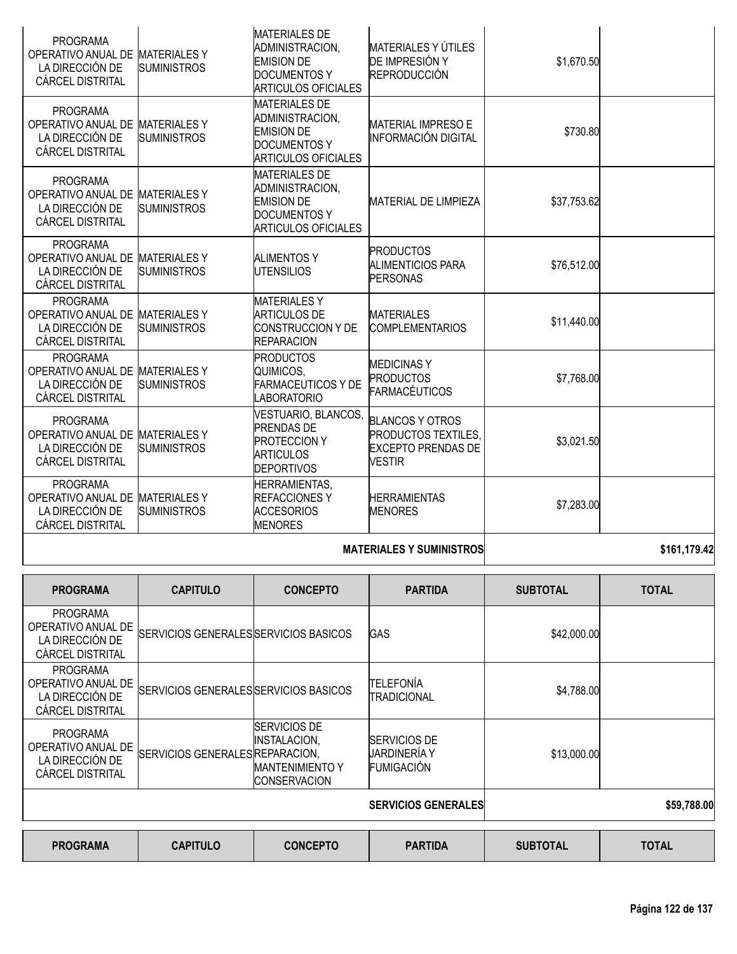| <b>PROGRAMA</b><br>OPERATIVO ANUAL DE<br>LA DIRECCIÓN DE<br><b>CÁRCEL DISTRITAL</b>              | <b>MATERIALES Y</b><br><b>SUMINISTROS</b> | <b>MATERIALES DE</b><br>ADMINISTRACION,<br><b>EMISION DE</b><br><b>DOCUMENTOS Y</b><br><b>ARTICULOS OFICIALES</b> | MATERIALES Y ÚTILES<br>DE IMPRESIÓN Y<br><b>REPRODUCCIÓN</b>                                       | \$1,670.50  |  |
|--------------------------------------------------------------------------------------------------|-------------------------------------------|-------------------------------------------------------------------------------------------------------------------|----------------------------------------------------------------------------------------------------|-------------|--|
| <b>PROGRAMA</b><br>OPERATIVO ANUAL DE<br>LA DIRECCIÓN DE<br><b>CÁRCEL DISTRITAL</b>              | <b>MATERIALES Y</b><br><b>SUMINISTROS</b> | <b>MATERIALES DE</b><br>ADMINISTRACION.<br><b>EMISION DE</b><br><b>DOCUMENTOS Y</b><br><b>ARTICULOS OFICIALES</b> | <b>MATERIAL IMPRESO E</b><br>INFORMACIÓN DIGITAL                                                   | \$730.80    |  |
| <b>PROGRAMA</b><br>OPERATIVO ANUAL DE<br>LA DIRECCIÓN DE<br>CÁRCEL DISTRITAL                     | <b>MATERIALESY</b><br><b>SUMINISTROS</b>  | <b>MATERIALES DE</b><br>ADMINISTRACION,<br><b>EMISION DE</b><br><b>DOCUMENTOS Y</b><br><b>ARTICULOS OFICIALES</b> | <b>MATERIAL DE LIMPIEZA</b>                                                                        | \$37,753.62 |  |
| <b>PROGRAMA</b><br>OPERATIVO ANUAL DE<br>LA DIRECCIÓN DE<br><b>CÁRCEL DISTRITAL</b>              | <b>MATERIALESY</b><br><b>SUMINISTROS</b>  | <b>ALIMENTOS Y</b><br><b>IUTENSILIOS</b>                                                                          | <b>PRODUCTOS</b><br><b>ALIMENTICIOS PARA</b><br><b>PERSONAS</b>                                    | \$76,512.00 |  |
| <b>PROGRAMA</b><br>OPERATIVO ANUAL DE<br>LA DIRECCIÓN DE<br><b>CÁRCEL DISTRITAL</b>              | <b>MATERIALES Y</b><br><b>SUMINISTROS</b> | <b>MATERIALESY</b><br><b>ARTICULOS DE</b><br><b>CONSTRUCCION Y DE</b><br><b>REPARACION</b>                        | <b>MATERIALES</b><br><b>COMPLEMENTARIOS</b>                                                        | \$11,440.00 |  |
| <b>PROGRAMA</b><br>OPERATIVO ANUAL DE MATERIALES Y<br>LA DIRECCIÓN DE<br><b>CÁRCEL DISTRITAL</b> | <b>SUMINISTROS</b>                        | <b>PRODUCTOS</b><br>QUIMICOS,<br><b>FARMACEUTICOS Y DE</b><br><b>LABORATORIO</b>                                  | <b>MEDICINASY</b><br><b>PRODUCTOS</b><br><b>FARMACÉUTICOS</b>                                      | \$7,768.00  |  |
| <b>PROGRAMA</b><br>OPERATIVO ANUAL DE<br>LA DIRECCIÓN DE<br><b>CÁRCEL DISTRITAL</b>              | <b>MATERIALES Y</b><br><b>SUMINISTROS</b> | VESTUARIO, BLANCOS,<br><b>PRENDAS DE</b><br><b>PROTECCION Y</b><br><b>ARTICULOS</b><br><b>DEPORTIVOS</b>          | <b>BLANCOS Y OTROS</b><br><b>PRODUCTOS TEXTILES.</b><br><b>EXCEPTO PRENDAS DE</b><br><b>VESTIR</b> | \$3,021.50  |  |
| <b>PROGRAMA</b><br>OPERATIVO ANUAL DE<br>LA DIRECCIÓN DE<br><b>CÁRCEL DISTRITAL</b>              | <b>MATERIALESY</b><br><b>SUMINISTROS</b>  | <b>HERRAMIENTAS,</b><br><b>REFACCIONES Y</b><br><b>ACCESORIOS</b><br><b>MENORES</b>                               | <b>HERRAMIENTAS</b><br><b>MENORES</b>                                                              | \$7,283.00  |  |
|                                                                                                  |                                           |                                                                                                                   | <u> CA CA ATO AN</u>                                                                               |             |  |

## **MATERIALES Y SUMINISTROS \$161,179.42**

| <b>PROGRAMA</b>                                                              | <b>CAPITULO</b>                       | <b>CONCEPTO</b>                                                                             | <b>PARTIDA</b>                                           | <b>SUBTOTAL</b> | <b>TOTAL</b> |
|------------------------------------------------------------------------------|---------------------------------------|---------------------------------------------------------------------------------------------|----------------------------------------------------------|-----------------|--------------|
| <b>PROGRAMA</b><br>OPERATIVO ANUAL DE<br>LA DIRECCIÓN DE<br>CÁRCEL DISTRITAL | SERVICIOS GENERALES SERVICIOS BASICOS |                                                                                             | GAS                                                      | \$42,000.00     |              |
| <b>PROGRAMA</b><br>OPERATIVO ANUAL DE<br>LA DIRECCIÓN DE<br>CÁRCEL DISTRITAL | SERVICIOS GENERALES SERVICIOS BASICOS |                                                                                             | <b>TELEFONÍA</b><br>TRADICIONAL                          | \$4,788.00      |              |
| <b>PROGRAMA</b><br>OPERATIVO ANUAL DE<br>LA DIRECCIÓN DE<br>CÁRCEL DISTRITAL | SERVICIOS GENERALES REPARACION.       | <b>SERVICIOS DE</b><br><b>INSTALACION,</b><br><b>MANTENIMIENTO Y</b><br><b>CONSERVACION</b> | <b>SERVICIOS DE</b><br>JARDINERÍA Y<br><b>FUMIGACIÓN</b> | \$13,000.00     |              |
|                                                                              |                                       |                                                                                             | <b>SERVICIOS GENERALES</b>                               |                 | \$59,788.00  |
| <b>DDAADIII</b>                                                              | $A$ ANTIILA                           | <b>AAUAFRTA</b>                                                                             | <b>BARTIBA</b>                                           | AURTAT LI       | <b>TATIL</b> |

| <b>PROGRAMA</b> | <b>CAPITULO</b> | <b>CONCEPTO</b> | <b>PARTIDA</b> | <b>SUBTOTAL</b> | <b>TOTAL</b> |
|-----------------|-----------------|-----------------|----------------|-----------------|--------------|
|-----------------|-----------------|-----------------|----------------|-----------------|--------------|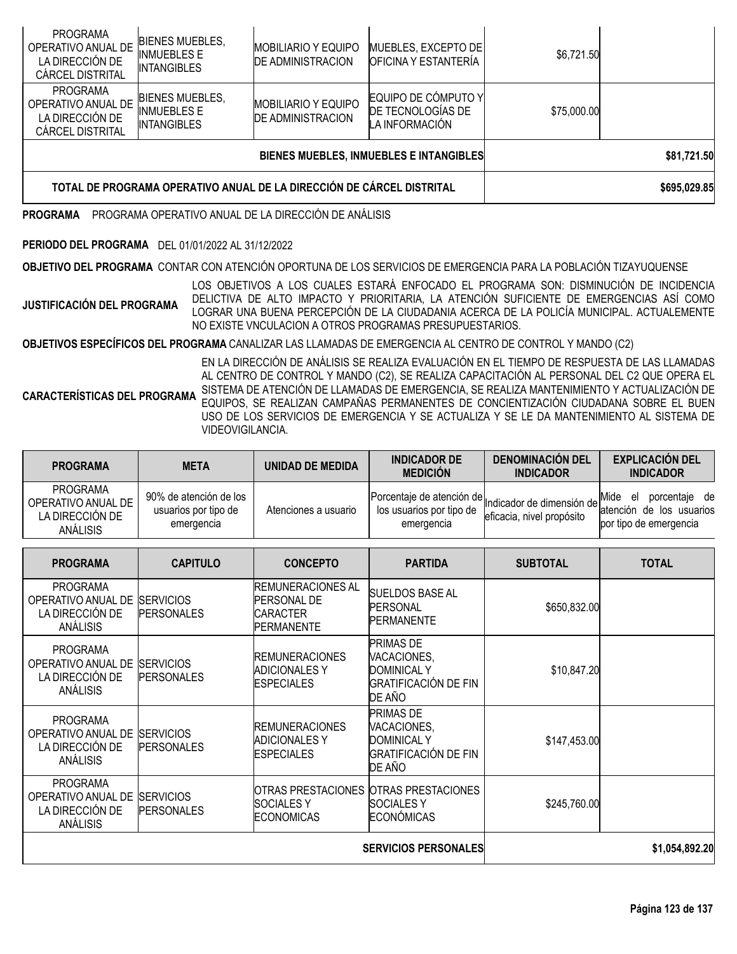| TOTAL DE PROGRAMA OPERATIVO ANUAL DE LA DIRECCIÓN DE CÁRCEL DISTRITAL               |                                                                    |                                                        |                                                            |             | \$695,029.85 |
|-------------------------------------------------------------------------------------|--------------------------------------------------------------------|--------------------------------------------------------|------------------------------------------------------------|-------------|--------------|
|                                                                                     |                                                                    | BIENES MUEBLES, INMUEBLES E INTANGIBLES                |                                                            | \$81,721.50 |              |
| <b>PROGRAMA</b><br>OPERATIVO ANUAL DE<br>LA DIRECCIÓN DE<br><b>CÁRCEL DISTRITAL</b> | <b>BIENES MUEBLES,</b><br><b>INMUEBLES E</b><br><b>INTANGIBLES</b> | <b>MOBILIARIO Y EQUIPO</b><br><b>DE ADMINISTRACION</b> | EQUIPO DE CÓMPUTO Y<br>DE TECNOLOGIAS DE<br>LA INFORMACIÓN | \$75,000.00 |              |
| <b>PROGRAMA</b><br>OPERATIVO ANUAL DE<br>LA DIRECCIÓN DE<br>CÁRCEL DISTRITAL        | <b>BIENES MUEBLES,</b><br><b>INMUEBLES E</b><br><b>INTANGIBLES</b> | <b>MOBILIARIO Y EQUIPO</b><br><b>DE ADMINISTRACION</b> | MUEBLES, EXCEPTO DE<br><b>OFICINA Y ESTANTERÍA</b>         | \$6,721.50  |              |

**PROGRAMA** PROGRAMA OPERATIVO ANUAL DE LA DIRECCIÓN DE ANÁLISIS

### **PERIODO DEL PROGRAMA** DEL 01/01/2022 AL 31/12/2022

**OBJETIVO DEL PROGRAMA** CONTAR CON ATENCIÓN OPORTUNA DE LOS SERVICIOS DE EMERGENCIA PARA LA POBLACIÓN TIZAYUQUENSE

**JUSTIFICACIÓN DEL PROGRAMA** LOS OBJETIVOS A LOS CUALES ESTARÁ ENFOCADO EL PROGRAMA SON: DISMINUCIÓN DE INCIDENCIA DELICTIVA DE ALTO IMPACTO Y PRIORITARIA, LA ATENCIÓN SUFICIENTE DE EMERGENCIAS ASÍ COMO LOGRAR UNA BUENA PERCEPCIÓN DE LA CIUDADANIA ACERCA DE LA POLICÍA MUNICIPAL. ACTUALEMENTE NO EXISTE VNCULACION A OTROS PROGRAMAS PRESUPUESTARIOS.

**OBJETIVOS ESPECÍFICOS DEL PROGRAMA** CANALIZAR LAS LLAMADAS DE EMERGENCIA AL CENTRO DE CONTROL Y MANDO (C2)

**CARACTERÍSTICAS DEL PROGRAMA** EN LA DIRECCIÓN DE ANÁLISIS SE REALIZA EVALUACIÓN EN EL TIEMPO DE RESPUESTA DE LAS LLAMADAS AL CENTRO DE CONTROL Y MANDO (C2), SE REALIZA CAPACITACIÓN AL PERSONAL DEL C2 QUE OPERA EL SISTEMA DE ATENCIÓN DE LLAMADAS DE EMERGENCIA, SE REALIZA MANTENIMIENTO Y ACTUALIZACIÓN DE EQUIPOS, SE REALIZAN CAMPAÑAS PERMANENTES DE CONCIENTIZACIÓN CIUDADANA SOBRE EL BUEN USO DE LOS SERVICIOS DE EMERGENCIA Y SE ACTUALIZA Y SE LE DA MANTENIMIENTO AL SISTEMA DE VIDEOVIGILANCIA.

| <b>PROGRAMA</b>                                                             | <b>META</b>                                                  | <b>UNIDAD DE MEDIDA</b>                                                         | <b>INDICADOR DE</b><br><b>MEDICIÓN</b>                                                         | <b>DENOMINACIÓN DEL</b><br><b>INDICADOR</b>            | <b>EXPLICACIÓN DEL</b><br><b>INDICADOR</b>                                        |
|-----------------------------------------------------------------------------|--------------------------------------------------------------|---------------------------------------------------------------------------------|------------------------------------------------------------------------------------------------|--------------------------------------------------------|-----------------------------------------------------------------------------------|
| <b>PROGRAMA</b><br>OPERATIVO ANUAL DE<br>LA DIRECCIÓN DE<br>ANÁLISIS        | 90% de atención de los<br>usuarios por tipo de<br>emergencia | Atenciones a usuario                                                            | Porcentaje de atención de<br>los usuarios por tipo de<br>emergencia                            | Indicador de dimensión de<br>eficacia, nivel propósito | porcentaje de<br>Mide<br>el<br>atención de los usuarios<br>por tipo de emergencia |
| <b>PROGRAMA</b>                                                             | <b>CAPITULO</b>                                              | <b>CONCEPTO</b>                                                                 | <b>PARTIDA</b>                                                                                 | <b>SUBTOTAL</b>                                        | <b>TOTAL</b>                                                                      |
| <b>PROGRAMA</b><br>OPERATIVO ANUAL DE<br>LA DIRECCIÓN DE<br><b>ANÁLISIS</b> | <b>SERVICIOS</b><br><b>PERSONALES</b>                        | <b>REMUNERACIONES AL</b><br><b>PERSONAL DE</b><br><b>CARACTER</b><br>PERMANENTE | SUELDOS BASE AL<br><b>PERSONAL</b><br><b>PERMANENTE</b>                                        | \$650,832.00                                           |                                                                                   |
| <b>PROGRAMA</b><br>OPERATIVO ANUAL DE<br>LA DIRECCIÓN DE<br><b>ANÁLISIS</b> | <b>SERVICIOS</b><br><b>PERSONALES</b>                        | <b>REMUNERACIONES</b><br><b>ADICIONALES Y</b><br><b>ESPECIALES</b>              | <b>PRIMAS DE</b><br>VACACIONES,<br><b>DOMINICAL Y</b><br><b>GRATIFICACIÓN DE FIN</b><br>DE AÑO | \$10,847.20                                            |                                                                                   |
| <b>PROGRAMA</b><br>OPERATIVO ANUAL DE<br>LA DIRECCIÓN DE<br>ANÁLISIS        | <b>SERVICIOS</b><br><b>PERSONALES</b>                        | <b>REMUNERACIONES</b><br><b>ADICIONALESY</b><br><b>ESPECIALES</b>               | <b>PRIMAS DE</b><br>VACACIONES,<br><b>DOMINICAL Y</b><br><b>GRATIFICACIÓN DE FIN</b><br>DE AÑO | \$147,453.00                                           |                                                                                   |
| <b>PROGRAMA</b><br>OPERATIVO ANUAL DE<br>LA DIRECCIÓN DE<br>ANÁLISIS        | <b>SERVICIOS</b><br><b>PERSONALES</b>                        | OTRAS PRESTACIONES OTRAS PRESTACIONES<br><b>SOCIALESY</b><br><b>ECONOMICAS</b>  | <b>SOCIALES Y</b><br><b>ECONÓMICAS</b>                                                         | \$245,760.00                                           |                                                                                   |
| <b>SERVICIOS PERSONALES</b>                                                 |                                                              |                                                                                 |                                                                                                |                                                        | \$1,054,892.20                                                                    |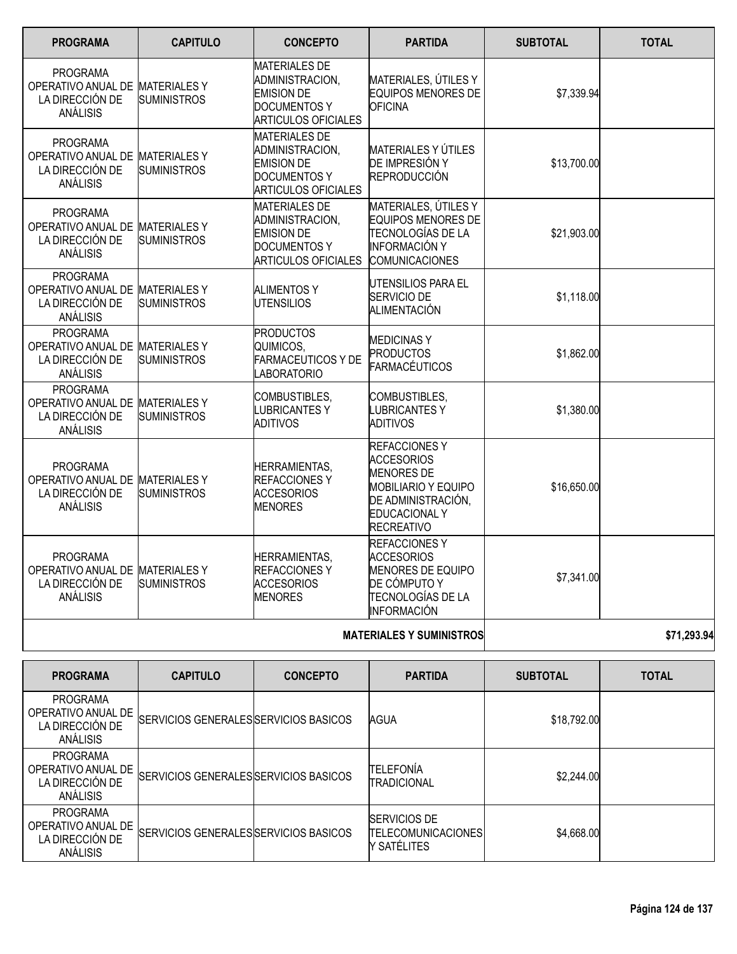| <b>PROGRAMA</b>                                                                   | <b>CAPITULO</b>                           | <b>CONCEPTO</b>                                                                                                   | <b>PARTIDA</b>                                                                                                                                                 | <b>SUBTOTAL</b> | <b>TOTAL</b> |
|-----------------------------------------------------------------------------------|-------------------------------------------|-------------------------------------------------------------------------------------------------------------------|----------------------------------------------------------------------------------------------------------------------------------------------------------------|-----------------|--------------|
| <b>PROGRAMA</b><br>OPERATIVO ANUAL DE<br>LA DIRECCIÓN DE<br>ANÁLISIS              | <b>MATERIALESY</b><br><b>SUMINISTROS</b>  | <b>MATERIALES DE</b><br>ADMINISTRACION,<br><b>EMISION DE</b><br><b>DOCUMENTOS Y</b><br><b>ARTICULOS OFICIALES</b> | MATERIALES, ÚTILES Y<br><b>EQUIPOS MENORES DE</b><br><b>OFICINA</b>                                                                                            | \$7,339.94      |              |
| <b>PROGRAMA</b><br>OPERATIVO ANUAL DE MATERIALES Y<br>LA DIRECCIÓN DE<br>ANÁLISIS | <b>SUMINISTROS</b>                        | <b>MATERIALES DE</b><br>ADMINISTRACION,<br><b>EMISION DE</b><br>DOCUMENTOS Y<br><b>ARTICULOS OFICIALES</b>        | <b>MATERIALES Y ÚTILES</b><br>DE IMPRESIÓN Y<br><b>REPRODUCCIÓN</b>                                                                                            | \$13,700.00     |              |
| <b>PROGRAMA</b><br>OPERATIVO ANUAL DE<br>LA DIRECCIÓN DE<br>ANÁLISIS              | <b>MATERIALESY</b><br><b>SUMINISTROS</b>  | <b>MATERIALES DE</b><br>ADMINISTRACION,<br><b>EMISION DE</b><br><b>DOCUMENTOS Y</b><br><b>ARTICULOS OFICIALES</b> | MATERIALES, ÚTILES Y<br><b>EQUIPOS MENORES DE</b><br>TECNOLOGÍAS DE LA<br><b>INFORMACIÓN Y</b><br><b>COMUNICACIONES</b>                                        | \$21,903.00     |              |
| <b>PROGRAMA</b><br>OPERATIVO ANUAL DE MATERIALES Y<br>LA DIRECCIÓN DE<br>ANÁLISIS | <b>SUMINISTROS</b>                        | <b>ALIMENTOS Y</b><br><b>UTENSILIOS</b>                                                                           | UTENSILIOS PARA EL<br>SERVICIO DE<br><b>ALIMENTACIÓN</b>                                                                                                       | \$1,118.00      |              |
| <b>PROGRAMA</b><br>OPERATIVO ANUAL DE<br>LA DIRECCIÓN DE<br>ANÁLISIS              | <b>MATERIALESY</b><br><b>SUMINISTROS</b>  | <b>PRODUCTOS</b><br>QUIMICOS,<br><b>FARMACEUTICOS Y DE</b><br><b>LABORATORIO</b>                                  | <b>MEDICINAS Y</b><br><b>PRODUCTOS</b><br>FARMACÉUTICOS                                                                                                        | \$1,862.00      |              |
| <b>PROGRAMA</b><br>OPERATIVO ANUAL DE<br>LA DIRECCIÓN DE<br>ANÁLISIS              | <b>MATERIALES Y</b><br><b>SUMINISTROS</b> | COMBUSTIBLES,<br><b>LUBRICANTESY</b><br>ADITIVOS                                                                  | COMBUSTIBLES,<br>LUBRICANTES Y<br><b>ADITIVOS</b>                                                                                                              | \$1,380.00      |              |
| <b>PROGRAMA</b><br>OPERATIVO ANUAL DE<br>LA DIRECCIÓN DE<br>ANÁLISIS              | <b>MATERIALES Y</b><br><b>SUMINISTROS</b> | <b>HERRAMIENTAS,</b><br><b>REFACCIONES Y</b><br><b>ACCESORIOS</b><br><b>MENORES</b>                               | <b>REFACCIONESY</b><br><b>ACCESORIOS</b><br><b>MENORES DE</b><br><b>MOBILIARIO Y EQUIPO</b><br>DE ADMINISTRACIÓN,<br><b>EDUCACIONAL Y</b><br><b>RECREATIVO</b> | \$16,650.00     |              |
| <b>PROGRAMA</b><br>OPERATIVO ANUAL DE MATERIALES Y<br>LA DIRECCIÓN DE<br>ANÁLISIS | <b>SUMINISTROS</b>                        | <b>HERRAMIENTAS,</b><br><b>REFACCIONES Y</b><br><b>ACCESORIOS</b><br><b>MENORES</b>                               | <b>REFACCIONESY</b><br><b>ACCESORIOS</b><br><b>MENORES DE EQUIPO</b><br>DE CÓMPUTO Y<br>TECNOLOGÍAS DE LA<br><b>INFORMACIÓN</b>                                | \$7,341.00      |              |
|                                                                                   |                                           |                                                                                                                   | <b>MATERIALES Y SUMINISTROS</b>                                                                                                                                |                 | \$71,293.94  |
| <b>PROGRAMA</b>                                                                   | <b>CAPITULO</b>                           | <b>CONCEPTO</b>                                                                                                   | <b>PARTIDA</b>                                                                                                                                                 | <b>SUBTOTAL</b> | <b>TOTAL</b> |

| <b>PROGRAMA</b>                                                      | <b>CAPITULO</b>                       | <b>CONCEPTO</b> | <b>PARTIDA</b>                                           | <b>SUBTOTAL</b> | <b>TOTAL</b> |
|----------------------------------------------------------------------|---------------------------------------|-----------------|----------------------------------------------------------|-----------------|--------------|
| PROGRAMA<br>OPERATIVO ANUAL DE<br>LA DIRECCIÓN DE<br>ANÁLISIS        | SERVICIOS GENERALES SERVICIOS BASICOS |                 | AGUA                                                     | \$18,792.00     |              |
| <b>PROGRAMA</b><br>OPERATIVO ANUAL DE<br>LA DIRECCIÓN DE<br>ANÁLISIS | SERVICIOS GENERALES SERVICIOS BASICOS |                 | TELEFONÍA<br>TRADICIONAL                                 | \$2,244.00      |              |
| PROGRAMA<br>OPERATIVO ANUAL DE<br>LA DIRECCIÓN DE<br><b>ANÁLISIS</b> | SERVICIOS GENERALES SERVICIOS BASICOS |                 | SERVICIOS DE<br><b>TELECOMUNICACIONES</b><br>Y SATÉLITES | \$4,668.00      |              |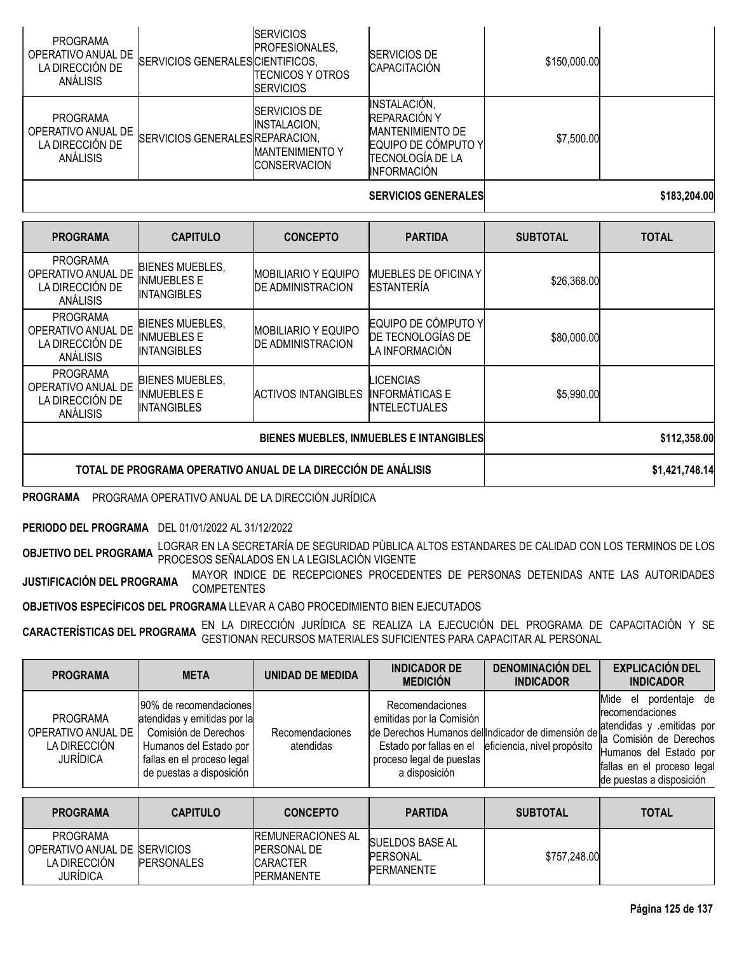|                                                                      |                                  |                                                                                       | <b>SERVICIOS GENERALES</b>                                                                                                              |              | \$183,204.00 |
|----------------------------------------------------------------------|----------------------------------|---------------------------------------------------------------------------------------|-----------------------------------------------------------------------------------------------------------------------------------------|--------------|--------------|
| <b>PROGRAMA</b><br>OPERATIVO ANUAL DE<br>LA DIRECCIÓN DE<br>ANÁLISIS | SERVICIOS GENERALES REPARACION,  | SERVICIOS DE<br><b>INSTALACION,</b><br><b>MANTENIMIENTO Y</b><br><b>ICONSERVACION</b> | <b>INSTALACIÓN,</b><br><b>REPARACIÓN Y</b><br><b>MANTENIMIENTO DE</b><br>EQUIPO DE CÓMPUTO Y<br>ITECNOLOGÍA DE LA<br><b>INFORMACIÓN</b> | \$7,500.00   |              |
| <b>PROGRAMA</b><br>OPERATIVO ANUAL DE<br>LA DIRECCIÓN DE<br>ANÁLISIS | SERVICIOS GENERALES CIENTIFICOS, | <b>SERVICIOS</b><br>PROFESIONALES,<br>ITECNICOS Y OTROS<br><b>ISERVICIOS</b>          | <b>SERVICIOS DE</b><br><b>CAPACITACIÓN</b>                                                                                              | \$150,000.00 |              |

| <b>PROGRAMA</b>                                                      | <b>CAPITULO</b>                                                    | <b>CONCEPTO</b>                                        | <b>PARTIDA</b>                                                    | <b>SUBTOTAL</b> | <b>TOTAL</b>   |
|----------------------------------------------------------------------|--------------------------------------------------------------------|--------------------------------------------------------|-------------------------------------------------------------------|-----------------|----------------|
| <b>PROGRAMA</b><br>OPERATIVO ANUAL DE<br>LA DIRECCIÓN DE<br>ANÁLISIS | <b>BIENES MUEBLES,</b><br>INMUEBLES E<br><b>INTANGIBLES</b>        | MOBILIARIO Y EQUIPO<br><b>DE ADMINISTRACION</b>        | <b>IMUEBLES DE OFICINA Y</b><br><b>ESTANTERÍA</b>                 | \$26,368.00     |                |
| <b>PROGRAMA</b><br>OPERATIVO ANUAL DE<br>LA DIRECCIÓN DE<br>ANÁLISIS | <b>BIENES MUEBLES,</b><br><b>INMUEBLES E</b><br><b>INTANGIBLES</b> | <b>MOBILIARIO Y EQUIPO</b><br><b>DE ADMINISTRACION</b> | EQUIPO DE CÓMPUTO Y<br>DE TECNOLOGÍAS DE<br>LA INFORMACIÓN        | \$80,000.00     |                |
| <b>PROGRAMA</b><br>OPERATIVO ANUAL DE<br>LA DIRECCIÓN DE<br>ANÁLISIS | <b>BIENES MUEBLES,</b><br><b>INMUEBLES E</b><br>INTANGIBLES        | ACTIVOS INTANGIBLES                                    | <b>LICENCIAS</b><br><b>INFORMÁTICAS E</b><br><b>INTELECTUALES</b> | \$5,990.00      |                |
|                                                                      |                                                                    | BIENES MUEBLES, INMUEBLES E INTANGIBLES                | \$112,358.00                                                      |                 |                |
|                                                                      | TOTAL DE PROGRAMA OPERATIVO ANUAL DE LA DIRECCIÓN DE ANÁLISIS      |                                                        |                                                                   |                 | \$1,421,748.14 |

**PROGRAMA** PROGRAMA OPERATIVO ANUAL DE LA DIRECCIÓN JURÍDICA

**PERIODO DEL PROGRAMA** DEL 01/01/2022 AL 31/12/2022

**OBJETIVO DEL PROGRAMA** LOGRAR EN LA SECRETARÍA DE SEGURIDAD PÙBLICA ALTOS ESTANDARES DE CALIDAD CON LOS TERMINOS DE LOS<br>PROCESOS SEÑALADOS EN ALTERADOS SENTENTES EN LA LEGISLACIÓN VIGENTE

**JUSTIFICACIÓN DEL PROGRAMA** MAYOR INDICE DE RECEPCIONES PROCEDENTES DE PERSONAS DETENIDAS ANTE LAS AUTORIDADES **COMPETENTES** 

**OBJETIVOS ESPECÍFICOS DEL PROGRAMA** LLEVAR A CABO PROCEDIMIENTO BIEN EJECUTADOS

**CARACTERÍSTICAS DEL PROGRAMA** EN LA DIRECCIÓN JURÍDICA SE REALIZA LA EJECUCIÓN DEL PROGRAMA DE CAPACITACIÓN Y SE<br>GARACTE**RÍSTICAS DEL PROGRAMA** GESTIONAN RECURSOS MATERIALES SUFICIENTES PARA CAPACITAR AL PERSONAL

| <b>PROGRAMA</b>                                                          | <b>META</b>                                                                                                                                                        | UNIDAD DE MEDIDA             | <b>INDICADOR DE</b><br><b>MEDICIÓN</b>                                                   | <b>DENOMINACIÓN DEL</b><br><b>INDICADOR</b>         | <b>EXPLICACIÓN DEL</b><br><b>INDICADOR</b>                                                                                                                                                                              |
|--------------------------------------------------------------------------|--------------------------------------------------------------------------------------------------------------------------------------------------------------------|------------------------------|------------------------------------------------------------------------------------------|-----------------------------------------------------|-------------------------------------------------------------------------------------------------------------------------------------------------------------------------------------------------------------------------|
| <b>PROGRAMA</b><br>OPERATIVO ANUAL DE<br>LA DIRECCIÓN<br><b>JURÍDICA</b> | 190% de recomendaciones<br>atendidas y emitidas por la<br>Comisión de Derechos<br>Humanos del Estado por<br>fallas en el proceso legal<br>de puestas a disposición | Recomendaciones<br>atendidas | Recomendaciones<br>emitidas por la Comisión<br>proceso legal de puestas<br>a disposición | Estado por fallas en el eficiencia, nivel propósito | Mide<br>pordentaje de<br>el<br>recomendaciones<br>de Derechos Humanos del Indicador de dimensión de <b>Protocología de Derechos</b><br>Humanos del Estado por<br>fallas en el proceso legal<br>de puestas a disposición |

| <b>PROGRAMA</b>                                                              | <b>CAPITULO</b>   | <b>CONCEPTO</b>                                                                        | <b>PARTIDA</b>                                                  | <b>SUBTOTAL</b> | <b>TOTAL</b> |
|------------------------------------------------------------------------------|-------------------|----------------------------------------------------------------------------------------|-----------------------------------------------------------------|-----------------|--------------|
| <b>PROGRAMA</b><br>OPERATIVO ANUAL DE ISERVICIOS<br>LA DIRECCION<br>JURÍDICA | <b>PERSONALES</b> | <b>REMUNERACIONES AL</b><br><b>PERSONAL DE</b><br><b>CARACTER</b><br><b>PERMANENTE</b> | <b>SUELDOS BASE AL</b><br><b>IPERSONAL</b><br><b>PERMANENTE</b> | \$757,248.00    |              |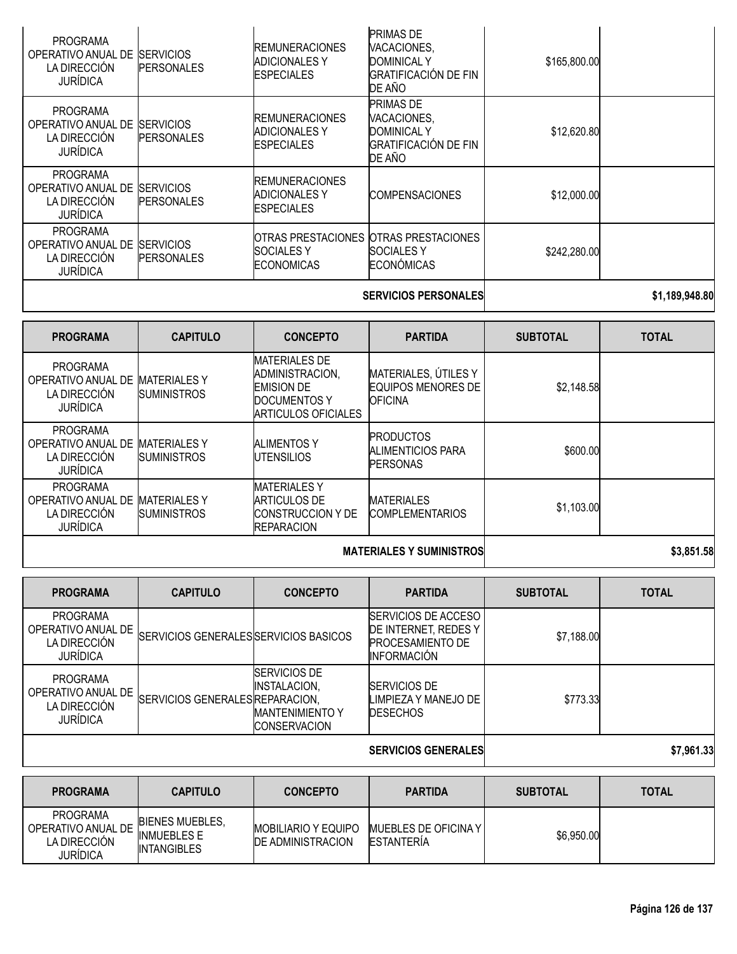| <b>PROGRAMA</b><br>OPERATIVO ANUAL DE<br>LA DIRECCIÓN<br><b>JURÍDICA</b> | <b>ISERVICIOS</b><br><b>PERSONALES</b> | <b>IREMUNERACIONES</b><br><b>ADICIONALES Y</b><br><b>ESPECIALES</b>  | <b>PRIMAS DE</b><br>VACACIONES,<br><b>DOMINICAL Y</b><br><b>GRATIFICACIÓN DE FIN</b><br>DE AÑO | \$165,800.00 |  |
|--------------------------------------------------------------------------|----------------------------------------|----------------------------------------------------------------------|------------------------------------------------------------------------------------------------|--------------|--|
| <b>PROGRAMA</b><br>OPERATIVO ANUAL DE<br>LA DIRECCIÓN<br><b>JURÍDICA</b> | <b>SERVICIOS</b><br><b>PERSONALES</b>  | <b>IREMUNERACIONES</b><br><b>ADICIONALES Y</b><br><b>ESPECIALES</b>  | <b>PRIMAS DE</b><br>VACACIONES,<br><b>DOMINICAL Y</b><br><b>GRATIFICACIÓN DE FIN</b><br>DE AÑO | \$12,620.80  |  |
| <b>PROGRAMA</b><br>OPERATIVO ANUAL DE<br>LA DIRECCIÓN<br><b>JURÍDICA</b> | <b>SERVICIOS</b><br><b>PERSONALES</b>  | <b>IREMUNERACIONES</b><br><b>ADICIONALES Y</b><br><b>IESPECIALES</b> | <b>COMPENSACIONES</b>                                                                          | \$12,000.00  |  |
| <b>PROGRAMA</b><br>OPERATIVO ANUAL DE<br>LA DIRECCIÓN<br><b>JURÍDICA</b> | <b>SERVICIOS</b><br><b>PERSONALES</b>  | <b>SOCIALESY</b><br><b>ECONOMICAS</b>                                | OTRAS PRESTACIONES OTRAS PRESTACIONES<br><b>SOCIALES Y</b><br><b>ECONÓMICAS</b>                | \$242,280.00 |  |
|                                                                          |                                        |                                                                      |                                                                                                |              |  |

### **SERVICIOS PERSONALES \$1,189,948.80**

| <b>PROGRAMA</b>                                                          | <b>CAPITULO</b>                           | <b>CONCEPTO</b>                                                                                            | <b>PARTIDA</b>                                               | <b>SUBTOTAL</b> | <b>TOTAL</b> |
|--------------------------------------------------------------------------|-------------------------------------------|------------------------------------------------------------------------------------------------------------|--------------------------------------------------------------|-----------------|--------------|
| <b>PROGRAMA</b><br>OPERATIVO ANUAL DE<br>LA DIRECCIÓN<br><b>JURÍDICA</b> | <b>MATERIALES Y</b><br><b>SUMINISTROS</b> | <b>MATERIALES DE</b><br>ADMINISTRACION,<br><b>EMISION DE</b><br><b>DOCUMENTOS Y</b><br>ARTICULOS OFICIALES | MATERIALES, ÚTILES Y<br>EQUIPOS MENORES DE<br><b>OFICINA</b> | \$2,148.58      |              |
| <b>PROGRAMA</b><br>OPERATIVO ANUAL DE<br>LA DIRECCIÓN<br><b>JURÍDICA</b> | <b>MATERIALES Y</b><br><b>SUMINISTROS</b> | <b>ALIMENTOS Y</b><br><b>IUTENSILIOS</b>                                                                   | <b>PRODUCTOS</b><br>ALIMENTICIOS PARA<br><b>PERSONAS</b>     | \$600.00        |              |
| <b>PROGRAMA</b><br>OPERATIVO ANUAL DE<br>LA DIRECCIÓN<br><b>JURÍDICA</b> | <b>MATERIALES Y</b><br><b>SUMINISTROS</b> | <b>MATERIALES Y</b><br>ARTICULOS DE<br><b>CONSTRUCCION Y DE</b><br><b>REPARACION</b>                       | <b>MATERIALES</b><br><b>COMPLEMENTARIOS</b>                  | \$1,103.00      |              |
|                                                                          |                                           | <b>MATERIALES Y SUMINISTROS</b>                                                                            | \$3.851.58                                                   |                 |              |

| <b>PROGRAMA</b>                                                          | <b>CAPITULO</b>                       | <b>CONCEPTO</b>                                                                        | <b>PARTIDA</b>                                                                                       | <b>SUBTOTAL</b> | <b>TOTAL</b> |
|--------------------------------------------------------------------------|---------------------------------------|----------------------------------------------------------------------------------------|------------------------------------------------------------------------------------------------------|-----------------|--------------|
| <b>PROGRAMA</b><br>OPERATIVO ANUAL DE<br>LA DIRECCIÓN<br><b>JURÍDICA</b> | SERVICIOS GENERALES SERVICIOS BASICOS |                                                                                        | <b>ISERVICIOS DE ACCESO</b><br>DE INTERNET, REDES Y<br><b>PROCESAMIENTO DE</b><br><b>INFORMACIÓN</b> | \$7,188.00      |              |
| <b>PROGRAMA</b><br>OPERATIVO ANUAL DE<br>LA DIRECCIÓN<br><b>JURÍDICA</b> | SERVICIOS GENERALES REPARACION,       | <b>ISERVICIOS DE</b><br>INSTALACION,<br><b>MANTENIMIENTO Y</b><br><b>ICONSERVACION</b> | <b>SERVICIOS DE</b><br>LIMPIEZA Y MANEJO DE<br><b>DESECHOS</b>                                       | \$773.33        |              |
|                                                                          |                                       |                                                                                        | <b>SERVICIOS GENERALES</b>                                                                           |                 | \$7,961.33   |

| <b>PROGRAMA</b>                                            | <b>CAPITULO</b>                                                    | <b>CONCEPTO</b>                                         | <b>PARTIDA</b>                             | <b>SUBTOTAL</b> | <b>TOTAL</b> |
|------------------------------------------------------------|--------------------------------------------------------------------|---------------------------------------------------------|--------------------------------------------|-----------------|--------------|
| PROGRAMA<br>OPERATIVO ANUAL DE<br>LA DIRECCIÓN<br>JURÍDICA | <b>BIENES MUEBLES.</b><br><b>INMUEBLES E</b><br><b>INTANGIBLES</b> | <b>IMOBILIARIO Y EQUIPO</b><br><b>DE ADMINISTRACION</b> | <b>IMUEBLES DE OFICINA Y</b><br>ESTANTERÍA | \$6,950.00      |              |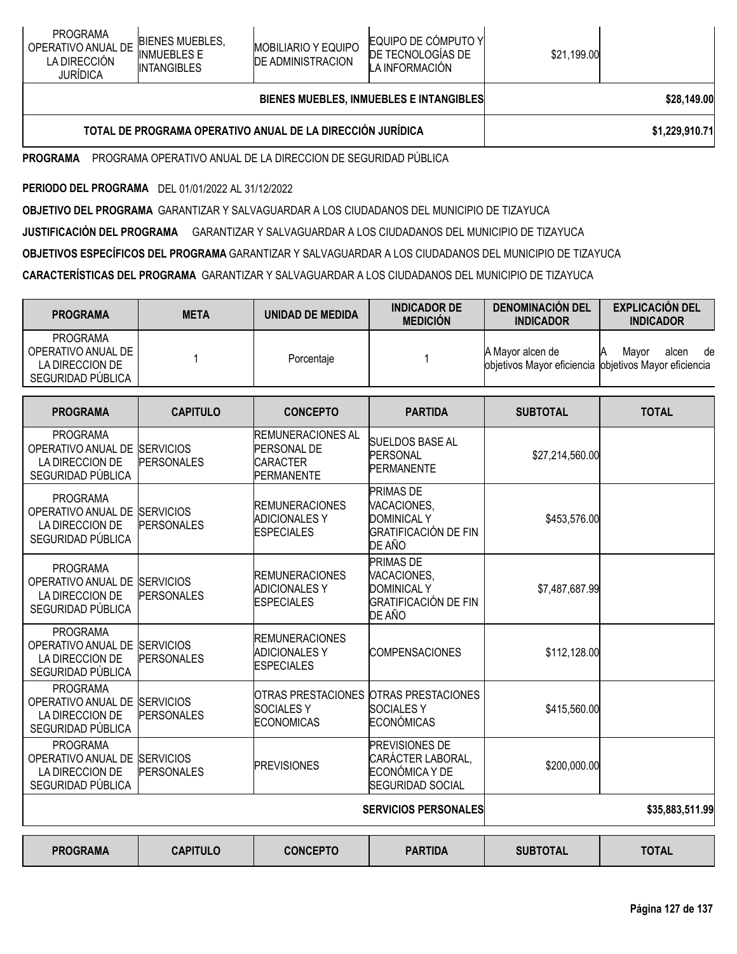# **BIENES MUEBLES, INMUEBLES E INTANGIBLES \$28,149.00**

# **TOTAL DE PROGRAMA OPERATIVO ANUAL DE LA DIRECCIÓN JURÍDICA \$1,229,910.71**

**PROGRAMA** PROGRAMA OPERATIVO ANUAL DE LA DIRECCION DE SEGURIDAD PÚBLICA

**PERIODO DEL PROGRAMA** DEL 01/01/2022 AL 31/12/2022

**OBJETIVO DEL PROGRAMA** GARANTIZAR Y SALVAGUARDAR A LOS CIUDADANOS DEL MUNICIPIO DE TIZAYUCA

**JUSTIFICACIÓN DEL PROGRAMA** GARANTIZAR Y SALVAGUARDAR A LOS CIUDADANOS DEL MUNICIPIO DE TIZAYUCA

**OBJETIVOS ESPECÍFICOS DEL PROGRAMA** GARANTIZAR Y SALVAGUARDAR A LOS CIUDADANOS DEL MUNICIPIO DE TIZAYUCA

**CARACTERÍSTICAS DEL PROGRAMA** GARANTIZAR Y SALVAGUARDAR A LOS CIUDADANOS DEL MUNICIPIO DE TIZAYUCA

| <b>PROGRAMA</b>                                                                         | <b>META</b>                           | <b>UNIDAD DE MEDIDA</b>                                                  | <b>INDICADOR DE</b><br><b>MEDICIÓN</b>                                                         | <b>DENOMINACIÓN DEL</b><br><b>INDICADOR</b>                               | <b>EXPLICACIÓN DEL</b><br><b>INDICADOR</b> |
|-----------------------------------------------------------------------------------------|---------------------------------------|--------------------------------------------------------------------------|------------------------------------------------------------------------------------------------|---------------------------------------------------------------------------|--------------------------------------------|
| <b>PROGRAMA</b><br>OPERATIVO ANUAL DE<br>LA DIRECCION DE<br>SEGURIDAD PÚBLICA           | 1                                     | Porcentaje                                                               | 1                                                                                              | A Mayor alcen de<br>objetivos Mayor eficiencia objetivos Mayor eficiencia | alcen<br>Mavor<br>de                       |
| <b>PROGRAMA</b>                                                                         | <b>CAPITULO</b>                       | <b>CONCEPTO</b>                                                          | <b>PARTIDA</b>                                                                                 | <b>SUBTOTAL</b>                                                           | <b>TOTAL</b>                               |
| PROGRAMA<br>OPERATIVO ANUAL DE<br>LA DIRECCION DE<br>SEGURIDAD PÚBLICA                  | <b>SERVICIOS</b><br><b>PERSONALES</b> | <b>REMUNERACIONES AL</b><br>PERSONAL DE<br><b>CARACTER</b><br>PERMANENTE | <b>SUELDOS BASE AL</b><br>PERSONAL<br><b>PERMANENTE</b>                                        | \$27,214,560.00                                                           |                                            |
| <b>PROGRAMA</b><br>OPERATIVO ANUAL DE SERVICIOS<br>LA DIRECCION DE<br>SEGURIDAD PÚBLICA | <b>PERSONALES</b>                     | <b>REMUNERACIONES</b><br><b>ADICIONALES Y</b><br><b>ESPECIALES</b>       | <b>PRIMAS DE</b><br>VACACIONES,<br><b>DOMINICAL Y</b><br><b>GRATIFICACIÓN DE FIN</b><br>DE AÑO | \$453,576.00                                                              |                                            |
| <b>PROGRAMA</b><br>OPERATIVO ANUAL DE<br>LA DIRECCION DE<br>SEGURIDAD PÚBLICA           | <b>SERVICIOS</b><br><b>PERSONALES</b> | <b>REMUNERACIONES</b><br><b>ADICIONALES Y</b><br><b>ESPECIALES</b>       | <b>PRIMAS DE</b><br>VACACIONES.<br><b>DOMINICAL Y</b><br><b>GRATIFICACIÓN DE FIN</b><br>DE AÑO | \$7,487,687.99                                                            |                                            |
| <b>PROGRAMA</b><br>OPERATIVO ANUAL DE SERVICIOS<br>LA DIRECCION DE<br>SEGURIDAD PÚBLICA | <b>PERSONALES</b>                     | <b>REMUNERACIONES</b><br><b>ADICIONALES Y</b><br><b>ESPECIALES</b>       | <b>COMPENSACIONES</b>                                                                          | \$112,128.00                                                              |                                            |
| <b>PROGRAMA</b><br>OPERATIVO ANUAL DE SERVICIOS<br>LA DIRECCION DE<br>SEGURIDAD PÚBLICA | <b>PERSONALES</b>                     | <b>SOCIALESY</b><br><b>ECONOMICAS</b>                                    | OTRAS PRESTACIONES OTRAS PRESTACIONES<br><b>SOCIALESY</b><br><b>ECONÓMICAS</b>                 | \$415,560.00                                                              |                                            |
| <b>PROGRAMA</b><br>OPERATIVO ANUAL DE SERVICIOS<br>LA DIRECCION DE<br>SEGURIDAD PÚBLICA | <b>PERSONALES</b>                     | <b>PREVISIONES</b>                                                       | <b>PREVISIONES DE</b><br>CARÁCTER LABORAL,<br>ECONÓMICA Y DE<br><b>SEGURIDAD SOCIAL</b>        | \$200,000.00                                                              |                                            |
|                                                                                         |                                       |                                                                          | <b>SERVICIOS PERSONALES</b>                                                                    |                                                                           | \$35,883,511.99                            |
| <b>PROGRAMA</b>                                                                         | <b>CAPITULO</b>                       | <b>CONCEPTO</b>                                                          | <b>PARTIDA</b>                                                                                 | <b>SUBTOTAL</b>                                                           | <b>TOTAL</b>                               |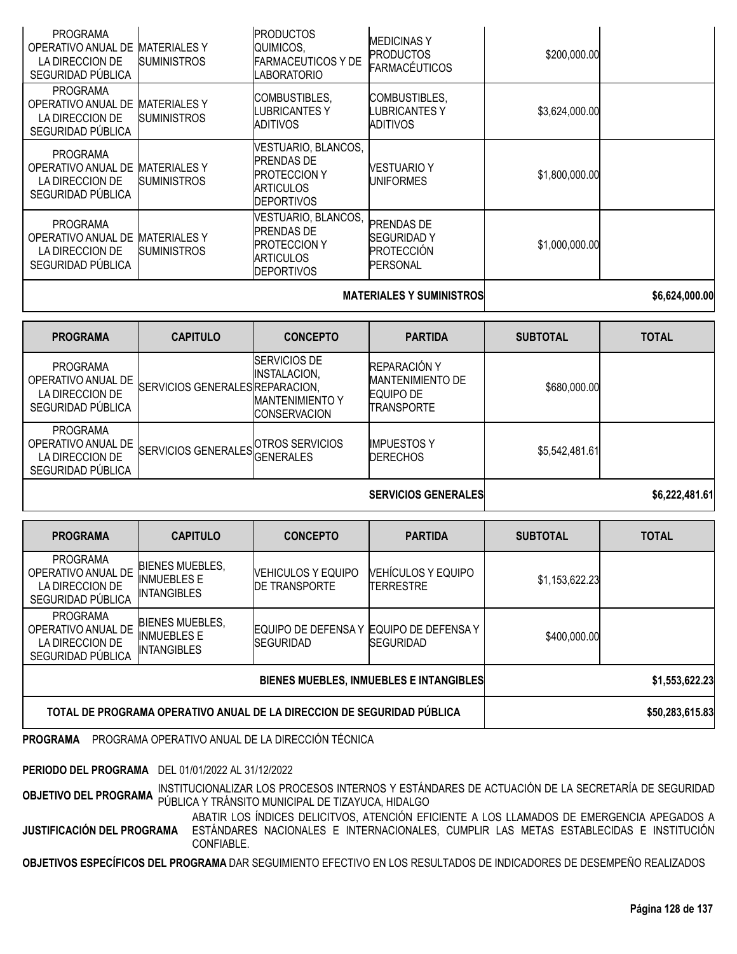| <b>PROGRAMA</b><br>OPERATIVO ANUAL DE<br>LA DIRECCION DE<br>SEGURIDAD PÚBLICA | <b>MATERIALES Y</b><br><b>SUMINISTROS</b> | <b>PRODUCTOS</b><br>QUIMICOS,<br><b>FARMACEUTICOS Y DE</b><br>LABORATORIO                                | <b>IMEDICINAS Y</b><br><b>PRODUCTOS</b><br><b>FARMACÉUTICOS</b>                | \$200,000.00   |  |
|-------------------------------------------------------------------------------|-------------------------------------------|----------------------------------------------------------------------------------------------------------|--------------------------------------------------------------------------------|----------------|--|
| <b>PROGRAMA</b><br>OPERATIVO ANUAL DE<br>LA DIRECCION DE<br>SEGURIDAD PÚBLICA | <b>MATERIALESY</b><br><b>SUMINISTROS</b>  | COMBUSTIBLES,<br>LUBRICANTES Y<br>ADITIVOS                                                               | COMBUSTIBLES,<br>LUBRICANTES Y<br>ADITIVOS                                     | \$3,624,000.00 |  |
| <b>PROGRAMA</b><br>OPERATIVO ANUAL DE<br>LA DIRECCION DE<br>SEGURIDAD PÚBLICA | <b>MATERIALES Y</b><br><b>SUMINISTROS</b> | VESTUARIO, BLANCOS,<br><b>PRENDAS DE</b><br><b>PROTECCION Y</b><br><b>ARTICULOS</b><br><b>DEPORTIVOS</b> | <b>VESTUARIO Y</b><br><b>UNIFORMES</b>                                         | \$1,800,000.00 |  |
| <b>PROGRAMA</b><br>OPERATIVO ANUAL DE<br>LA DIRECCION DE<br>SEGURIDAD PÚBLICA | <b>MATERIALES Y</b><br><b>SUMINISTROS</b> | VESTUARIO, BLANCOS,<br><b>PRENDAS DE</b><br><b>PROTECCION Y</b><br><b>ARTICULOS</b><br><b>DEPORTIVOS</b> | <b>PRENDAS DE</b><br><b>SEGURIDADY</b><br><b>PROTECCIÓN</b><br><b>PERSONAL</b> | \$1,000,000.00 |  |

### **MATERIALES Y SUMINISTROS \$6,624,000.00**

| <b>PROGRAMA</b>                                                               | <b>CAPITULO</b>                 | <b>CONCEPTO</b>                                                                       | <b>PARTIDA</b>                                                                   | <b>SUBTOTAL</b> | <b>TOTAL</b>   |
|-------------------------------------------------------------------------------|---------------------------------|---------------------------------------------------------------------------------------|----------------------------------------------------------------------------------|-----------------|----------------|
| <b>PROGRAMA</b><br>OPERATIVO ANUAL DE<br>LA DIRECCION DE<br>SEGURIDAD PÚBLICA | SERVICIOS GENERALES REPARACION, | <b>SERVICIOS DE</b><br>INSTALACION,<br><b>MANTENIMIENTO Y</b><br><b>ICONSERVACION</b> | <b>REPARACIÓN Y</b><br><b>MANTENIMIENTO DE</b><br><b>EQUIPO DE</b><br>TRANSPORTE | \$680,000.00    |                |
| <b>PROGRAMA</b><br>OPERATIVO ANUAL DE<br>LA DIRECCION DE<br>SEGURIDAD PÚBLICA | SERVICIOS GENERALES GENERALES   | OTROS SERVICIOS                                                                       | <b>IMPUESTOS Y</b><br><b>DERECHOS</b>                                            | \$5,542,481.61  |                |
|                                                                               |                                 |                                                                                       | <b>SERVICIOS GENERALES</b>                                                       |                 | \$6,222,481.61 |

| <b>PROGRAMA</b>                                                               | <b>CAPITULO</b>                                                    | <b>CONCEPTO</b>                                    | <b>PARTIDA</b>                                  | <b>SUBTOTAL</b> | <b>TOTAL</b>    |
|-------------------------------------------------------------------------------|--------------------------------------------------------------------|----------------------------------------------------|-------------------------------------------------|-----------------|-----------------|
| <b>PROGRAMA</b><br>OPERATIVO ANUAL DE<br>LA DIRECCION DE<br>SEGURIDAD PÚBLICA | <b>BIENES MUEBLES,</b><br><b>INMUEBLES E</b><br><b>INTANGIBLES</b> | <b>NEHICULOS Y EQUIPO</b><br><b>IDE TRANSPORTE</b> | <b>VEHÍCULOS Y EQUIPO</b><br>TERRESTRE          | \$1,153,622.23  |                 |
| <b>PROGRAMA</b><br>OPERATIVO ANUAL DE<br>LA DIRECCION DE<br>SEGURIDAD PÚBLICA | <b>BIENES MUEBLES,</b><br><b>INMUEBLES E</b><br><b>INTANGIBLES</b> | EQUIPO DE DEFENSA Y<br><b>SEGURIDAD</b>            | <b>EQUIPO DE DEFENSA Y</b><br><b>ISEGURIDAD</b> | \$400,000.00    |                 |
| BIENES MUEBLES, INMUEBLES E INTANGIBLES                                       |                                                                    |                                                    |                                                 |                 | \$1,553,622.23  |
| TOTAL DE PROGRAMA OPERATIVO ANUAL DE LA DIRECCION DE SEGURIDAD PÚBLICA        |                                                                    |                                                    |                                                 |                 | \$50,283,615.83 |

**PROGRAMA** PROGRAMA OPERATIVO ANUAL DE LA DIRECCIÓN TÉCNICA

**PERIODO DEL PROGRAMA** DEL 01/01/2022 AL 31/12/2022

**INSTITUCIONALIZAR LOS PROCESOS INTERNOS Y ESTÁNDARES DE ACTUACIÓN DE LA SECRETARÍA DE SEGURIDAD** OBJETIVO DEL PROGRAMA INSTITUCIONALIZAN LOS FINOLESCO MUNICIPAL DE TIZAYUCA, HIDALGO

**JUSTIFICACIÓN DEL PROGRAMA** ESTÁNDARES NACIONALES E INTERNACIONALES, CUMPLIR LAS METAS ESTABLECIDAS E INSTITUCIÓN ABATIR LOS ÍNDICES DELICITVOS, ATENCIÓN EFICIENTE A LOS LLAMADOS DE EMERGENCIA APEGADOS A CONFIABLE.

**OBJETIVOS ESPECÍFICOS DEL PROGRAMA** DAR SEGUIMIENTO EFECTIVO EN LOS RESULTADOS DE INDICADORES DE DESEMPEÑO REALIZADOS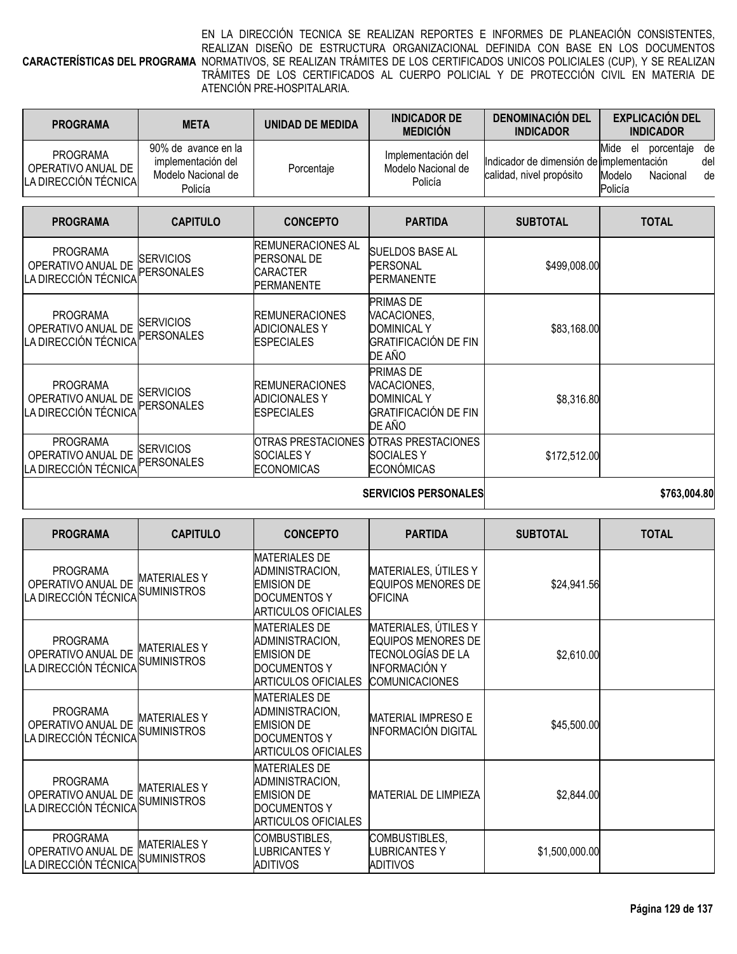#### **CARACTERÍSTICAS DEL PROGRAMA** NORMATIVOS, SE REALIZAN TRÁMITES DE LOS CERTIFICADOS UNICOS POLICIALES (CUP), Y SE REALIZAN EN LA DIRECCIÓN TECNICA SE REALIZAN REPORTES E INFORMES DE PLANEACIÓN CONSISTENTES, REALIZAN DISEÑO DE ESTRUCTURA ORGANIZACIONAL DEFINIDA CON BASE EN LOS DOCUMENTOS TRÁMITES DE LOS CERTIFICADOS AL CUERPO POLICIAL Y DE PROTECCIÓN CIVIL EN MATERIA DE ATENCIÓN PRE-HOSPITALARIA.

| <b>PROGRAMA</b>                                                | <b>META</b>                                                                | UNIDAD DE MEDIDA | <b>INDICADOR DE</b><br><b>MEDICIÓN</b>              | <b>DENOMINACION DEL</b><br><b>INDICADOR</b>                          | <b>EXPLICACIÓN DEL</b><br><b>INDICADOR</b>                |                 |
|----------------------------------------------------------------|----------------------------------------------------------------------------|------------------|-----------------------------------------------------|----------------------------------------------------------------------|-----------------------------------------------------------|-----------------|
| <b>PROGRAMA</b><br>OPERATIVO ANUAL DE<br>LA DIRECCIÓN TÉCNICAL | 90% de avance en la<br>implementación del<br>Modelo Nacional de<br>Policía | Porcentaje       | Implementación del<br>Modelo Nacional de<br>Policía | Indicador de dimensión de implementación<br>calidad, nivel propósito | Mide<br>porcentaie<br>el<br>Modelo<br>Nacional<br>Policía | de<br>del<br>de |

| <b>PROGRAMA</b>                                               | <b>CAPITULO</b>                       | <b>CONCEPTO</b>                                                                    | <b>PARTIDA</b>                                                                          | <b>SUBTOTAL</b> | <b>TOTAL</b> |
|---------------------------------------------------------------|---------------------------------------|------------------------------------------------------------------------------------|-----------------------------------------------------------------------------------------|-----------------|--------------|
| <b>PROGRAMA</b><br>OPERATIVO ANUAL DE<br>LA DIRECCIÓN TÉCNICA | <b>SERVICIOS</b><br><b>PERSONALES</b> | IREMUNERACIONES AL<br><b>PERSONAL DE</b><br><b>ICARACTER</b><br><b>IPERMANENTE</b> | SUELDOS BASE AL<br><b>PERSONAL</b><br><b>PERMANENTE</b>                                 | \$499,008.00    |              |
| <b>PROGRAMA</b><br>OPERATIVO ANUAL DE<br>LA DIRECCIÓN TÉCNICA | <b>SERVICIOS</b><br>PERSONALES        | <b>IREMUNERACIONES</b><br>ADICIONALES Y<br>ESPECIALES                              | <b>PRIMAS DE</b><br>VACACIONES,<br><b>DOMINICAL Y</b><br>GRATIFICACIÓN DE FIN<br>DE AÑO | \$83,168.00     |              |
| <b>PROGRAMA</b><br>OPERATIVO ANUAL DE<br>LA DIRECCIÓN TÉCNICA | <b>SERVICIOS</b><br><b>PERSONALES</b> | <b>IREMUNERACIONES</b><br><b>ADICIONALES Y</b><br><b>IESPECIALES</b>               | <b>PRIMAS DE</b><br>VACACIONES,<br><b>DOMINICAL Y</b><br>GRATIFICACIÓN DE FIN<br>DE AÑO | \$8,316.80      |              |
| <b>PROGRAMA</b><br>OPERATIVO ANUAL DE<br>LA DIRECCIÓN TÉCNICA | <b>SERVICIOS</b><br>PERSONALES        | IOTRAS PRESTACIONES<br>SOCIALES Y<br>ECONOMICAS                                    | <b>OTRAS PRESTACIONES</b><br>SOCIALES Y<br><b>ECONÓMICAS</b>                            | \$172,512.00    |              |
|                                                               |                                       |                                                                                    | <b>SERVICIOS PERSONALES</b>                                                             |                 | \$763,004.80 |

|  | <b>SERVICIOS PERSONALES</b> |
|--|-----------------------------|
|--|-----------------------------|

| <b>PROGRAMA</b>                                               | <b>CAPITULO</b>                           | <b>CONCEPTO</b>                                                                                            | <b>PARTIDA</b>                                                                                                          | <b>SUBTOTAL</b> | <b>TOTAL</b> |
|---------------------------------------------------------------|-------------------------------------------|------------------------------------------------------------------------------------------------------------|-------------------------------------------------------------------------------------------------------------------------|-----------------|--------------|
| <b>PROGRAMA</b><br>OPERATIVO ANUAL DE<br>LA DIRECCIÓN TÉCNICA | <b>MATERIALESY</b><br><b>SUMINISTROS</b>  | <b>MATERIALES DE</b><br>ADMINISTRACION,<br><b>EMISION DE</b><br><b>DOCUMENTOS Y</b><br>ARTICULOS OFICIALES | MATERIALES, ÚTILES Y<br><b>EQUIPOS MENORES DE</b><br><b>OFICINA</b>                                                     | \$24,941.56     |              |
| <b>PROGRAMA</b><br>OPERATIVO ANUAL DE<br>LA DIRECCIÓN TÉCNICA | <b>MATERIALESY</b><br><b>SUMINISTROS</b>  | <b>MATERIALES DE</b><br>ADMINISTRACION,<br><b>EMISION DE</b><br>DOCUMENTOS Y<br>ARTICULOS OFICIALES        | MATERIALES, ÚTILES Y<br><b>EQUIPOS MENORES DE</b><br>TECNOLOGÍAS DE LA<br><b>INFORMACIÓN Y</b><br><b>COMUNICACIONES</b> | \$2,610.00      |              |
| <b>PROGRAMA</b><br>OPERATIVO ANUAL DE<br>LA DIRECCIÓN TÉCNICA | <b>MATERIALESY</b><br><b>SUMINISTROS</b>  | <b>MATERIALES DE</b><br>ADMINISTRACION,<br><b>EMISION DE</b><br>DOCUMENTOS Y<br><b>ARTICULOS OFICIALES</b> | <b>MATERIAL IMPRESO E</b><br><b>INFORMACIÓN DIGITAL</b>                                                                 | \$45,500.00     |              |
| <b>PROGRAMA</b><br>OPERATIVO ANUAL DE<br>LA DIRECCIÓN TÉCNICA | <b>MATERIALESY</b><br><b>SUMINISTROS</b>  | <b>MATERIALES DE</b><br>ADMINISTRACION,<br><b>EMISION DE</b><br>DOCUMENTOS Y<br><b>ARTICULOS OFICIALES</b> | <b>MATERIAL DE LIMPIEZA</b>                                                                                             | \$2,844.00      |              |
| <b>PROGRAMA</b><br>OPERATIVO ANUAL DE<br>LA DIRECCIÓN TÉCNICA | <b>MATERIALES Y</b><br><b>SUMINISTROS</b> | COMBUSTIBLES,<br><b>LUBRICANTES Y</b><br>ADITIVOS                                                          | COMBUSTIBLES,<br><b>UBRICANTESY</b><br><b>ADITIVOS</b>                                                                  | \$1,500,000.00  |              |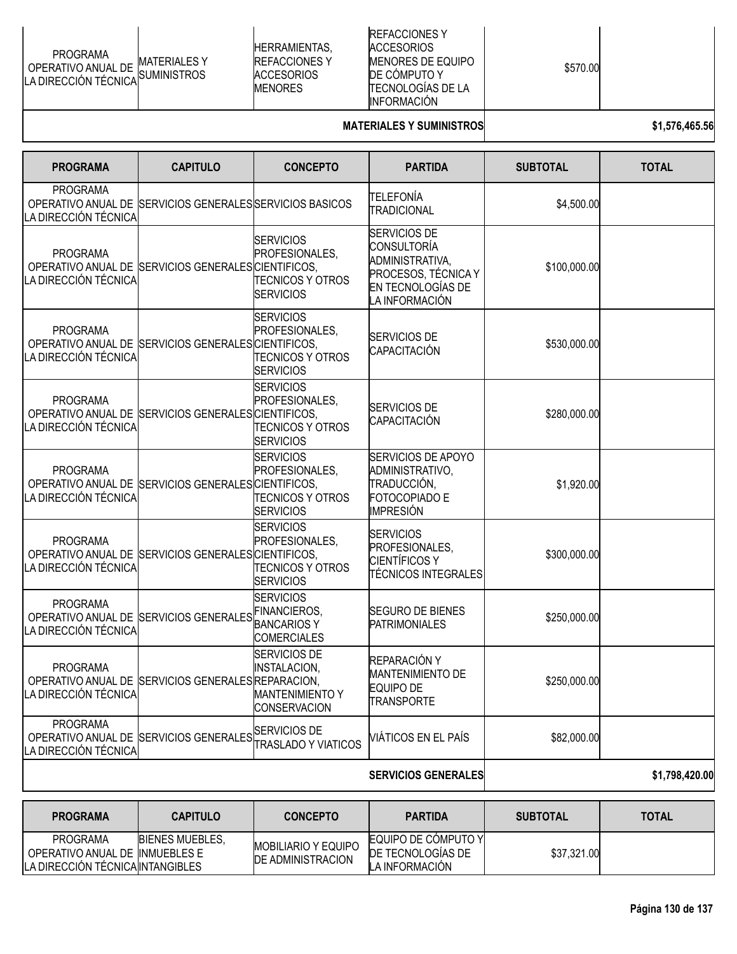| PROGRAMA<br>PROGRAMA<br>OPERATIVO ANUAL DE MATERIALES Y<br>LA DIRECCIÓN TÉCNICA SUMINISTROS |  |
|---------------------------------------------------------------------------------------------|--|
|---------------------------------------------------------------------------------------------|--|

HERRAMIENTAS, REFACCIONES Y **ACCESORIOS** MENORES

REFACCIONES Y ACCESORIOS MENORES DE EQUIPO DE CÓMPUTO Y TECNOLOGÍAS DE LA INFORMACIÓN

\$570.00

#### **MATERIALES Y SUMINISTROS \$1,576,465.56**

| <b>PROGRAMA</b>                                               | <b>CAPITULO</b>                                          | <b>CONCEPTO</b>                                                                      | <b>PARTIDA</b>                                                                                                      | <b>SUBTOTAL</b> | <b>TOTAL</b>   |
|---------------------------------------------------------------|----------------------------------------------------------|--------------------------------------------------------------------------------------|---------------------------------------------------------------------------------------------------------------------|-----------------|----------------|
| <b>PROGRAMA</b><br>LA DIRECCIÓN TÉCNICA                       | OPERATIVO ANUAL DE SERVICIOS GENERALES SERVICIOS BASICOS |                                                                                      | TELEFONÍA<br><b>TRADICIONAL</b>                                                                                     | \$4,500.00      |                |
| <b>PROGRAMA</b><br>LA DIRECCIÓN TÉCNICA                       | OPERATIVO ANUAL DE SERVICIOS GENERALES CIENTIFICOS,      | <b>SERVICIOS</b><br>PROFESIONALES,<br><b>TECNICOS Y OTROS</b><br><b>SERVICIOS</b>    | <b>SERVICIOS DE</b><br>CONSULTORÍA<br>ADMINISTRATIVA,<br>PROCESOS, TÉCNICA Y<br>EN TECNOLOGÍAS DE<br>LA INFORMACIÓN | \$100,000.00    |                |
| <b>PROGRAMA</b><br>LA DIRECCIÓN TÉCNICA                       | OPERATIVO ANUAL DE SERVICIOS GENERALES CIENTIFICOS,      | <b>SERVICIOS</b><br>PROFESIONALES,<br><b>TECNICOS Y OTROS</b><br><b>SERVICIOS</b>    | <b>SERVICIOS DE</b><br>CAPACITACIÓN                                                                                 | \$530,000.00    |                |
| <b>PROGRAMA</b><br>LA DIRECCIÓN TÉCNICA                       | OPERATIVO ANUAL DE SERVICIOS GENERALES CIENTIFICOS,      | <b>SERVICIOS</b><br>PROFESIONALES,<br><b>TECNICOS Y OTROS</b><br><b>SERVICIOS</b>    | <b>SERVICIOS DE</b><br>CAPACITACIÓN                                                                                 | \$280,000.00    |                |
| <b>PROGRAMA</b><br>LA DIRECCIÓN TÉCNICA                       | OPERATIVO ANUAL DE SERVICIOS GENERALES CIENTIFICOS,      | <b>SERVICIOS</b><br>PROFESIONALES,<br>TECNICOS Y OTROS<br><b>SERVICIOS</b>           | <b>SERVICIOS DE APOYO</b><br>ADMINISTRATIVO,<br>TRADUCCIÓN,<br>FOTOCOPIADO E<br>IMPRESIÓN                           | \$1,920.00      |                |
| <b>PROGRAMA</b><br>LA DIRECCIÓN TÉCNICA                       | OPERATIVO ANUAL DE SERVICIOS GENERALES CIENTIFICOS,      | <b>SERVICIOS</b><br>PROFESIONALES,<br><b>TECNICOS Y OTROS</b><br><b>SERVICIOS</b>    | <b>SERVICIOS</b><br>PROFESIONALES,<br>CIENTÍFICOS Y<br><b>TÉCNICOS INTEGRALES</b>                                   | \$300,000.00    |                |
| <b>PROGRAMA</b><br>LA DIRECCIÓN TÉCNICA                       | OPERATIVO ANUAL DE SERVICIOS GENERALES FINANCIEROS,      | <b>SERVICIOS</b><br><b>BANCARIOSY</b><br><b>COMERCIALES</b>                          | <b>SEGURO DE BIENES</b><br><b>PATRIMONIALES</b>                                                                     | \$250,000.00    |                |
| <b>PROGRAMA</b><br>LA DIRECCION TECNICA                       | OPERATIVO ANUAL DE SERVICIOS GENERALES REPARACION,       | SERVICIOS DE<br><b>INSTALACION,</b><br><b>MANTENIMIENTO Y</b><br><b>CONSERVACION</b> | REPARACIÓN Y<br><b>MANTENIMIENTO DE</b><br>FOUIPO DE<br><b>TRANSPORTE</b>                                           | \$250,000.00    |                |
| <b>PROGRAMA</b><br>OPERATIVO ANUAL DE<br>LA DIRECCIÓN TÉCNICA | <b>SERVICIOS GENERALES</b>                               | <b>SERVICIOS DE</b><br><b>TRASLADO Y VIATICOS</b>                                    | VIÁTICOS EN EL PAÍS                                                                                                 | \$82,000.00     |                |
|                                                               |                                                          |                                                                                      | <b>SERVICIOS GENERALES</b>                                                                                          |                 | \$1,798,420.00 |
|                                                               |                                                          |                                                                                      |                                                                                                                     |                 |                |

| <b>PROGRAMA</b>                                                                | <b>CAPITULO</b>        | <b>CONCEPTO</b>                                        | <b>PARTIDA</b>                                                     | <b>SUBTOTAL</b> | <b>TOTAL</b> |
|--------------------------------------------------------------------------------|------------------------|--------------------------------------------------------|--------------------------------------------------------------------|-----------------|--------------|
| PROGRAMA<br>OPERATIVO ANUAL DE INMUEBLES E<br>LA DIRECCION TECNICA INTANGIBLES | <b>BIENES MUEBLES.</b> | <b>MOBILIARIO Y EQUIPO</b><br><b>DE ADMINISTRACION</b> | <b>EQUIPO DE COMPUTO YI</b><br>DE TECNOLOGIAS DE<br>LA INFORMACION | \$37,321.00     |              |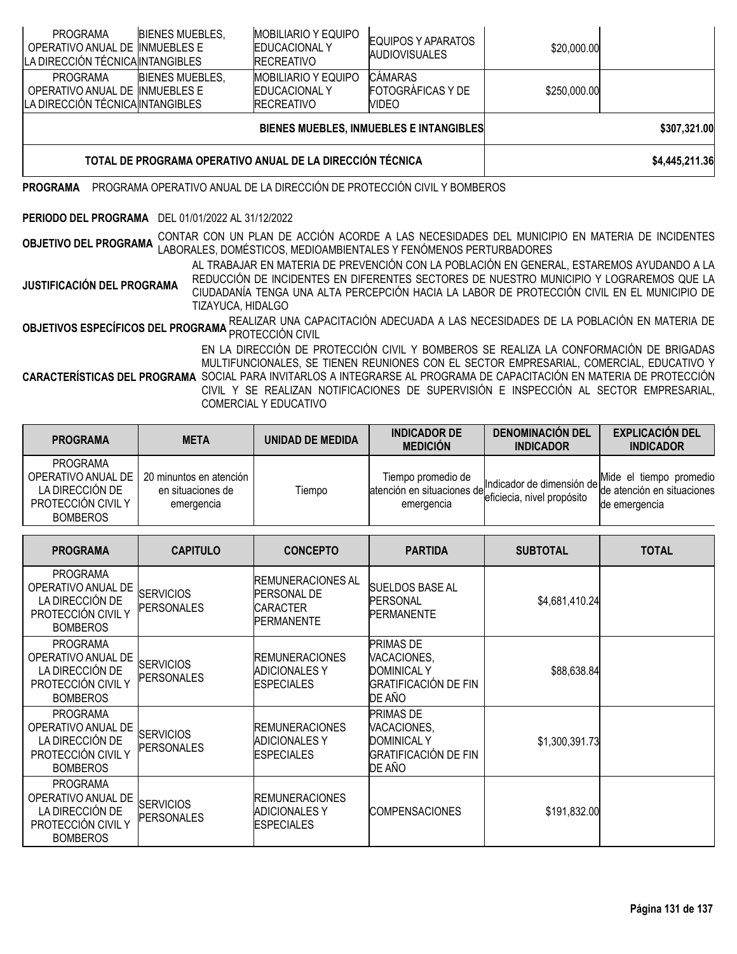| <b>PROGRAMA</b><br>OPERATIVO ANUAL DE INMUEBLES E<br>LA DIRECCIÓN TÉCNICA INTANGIBLES                                                                                                                                                                                                                                                 | <b>BIENES MUEBLES,</b>                                                      |  | <b>MOBILIARIO Y EQUIPO</b><br><b>EDUCACIONAL Y</b><br><b>RECREATIVO</b> | EQUIPOS Y APARATOS<br><b>AUDIOVISUALES</b> | \$20,000.00                                                                                                                                                                            |  |  |  |
|---------------------------------------------------------------------------------------------------------------------------------------------------------------------------------------------------------------------------------------------------------------------------------------------------------------------------------------|-----------------------------------------------------------------------------|--|-------------------------------------------------------------------------|--------------------------------------------|----------------------------------------------------------------------------------------------------------------------------------------------------------------------------------------|--|--|--|
| <b>PROGRAMA</b><br>OPERATIVO ANUAL DE INMUEBLES E<br>LA DIRECCIÓN TÉCNICA INTANGIBLES                                                                                                                                                                                                                                                 | <b>BIENES MUEBLES,</b>                                                      |  | <b>MOBILIARIO Y EQUIPO</b><br><b>EDUCACIONAL Y</b><br><b>RECREATIVO</b> | CÁMARAS<br>FOTOGRÁFICAS Y DE<br>VIDEO      | \$250,000.00                                                                                                                                                                           |  |  |  |
|                                                                                                                                                                                                                                                                                                                                       | BIENES MUEBLES, INMUEBLES E INTANGIBLES<br>\$307,321.00                     |  |                                                                         |                                            |                                                                                                                                                                                        |  |  |  |
|                                                                                                                                                                                                                                                                                                                                       | TOTAL DE PROGRAMA OPERATIVO ANUAL DE LA DIRECCIÓN TÉCNICA<br>\$4,445,211.36 |  |                                                                         |                                            |                                                                                                                                                                                        |  |  |  |
| <b>PROGRAMA</b>                                                                                                                                                                                                                                                                                                                       |                                                                             |  | PROGRAMA OPERATIVO ANUAL DE LA DIRECCIÓN DE PROTECCIÓN CIVIL Y BOMBEROS |                                            |                                                                                                                                                                                        |  |  |  |
| PERIODO DEL PROGRAMA DEL 01/01/2022 AL 31/12/2022                                                                                                                                                                                                                                                                                     |                                                                             |  |                                                                         |                                            |                                                                                                                                                                                        |  |  |  |
| <b>OBJETIVO DEL PROGRAMA</b>                                                                                                                                                                                                                                                                                                          |                                                                             |  | LABORALES, DOMÉSTICOS, MEDIOAMBIENTALES Y FENÓMENOS PERTURBADORES       |                                            | CONTAR CON UN PLAN DE ACCIÓN ACORDE A LAS NECESIDADES DEL MUNICIPIO EN MATERIA DE INCIDENTES                                                                                           |  |  |  |
| AL TRABAJAR EN MATERIA DE PREVENCIÓN CON LA POBLACIÓN EN GENERAL, ESTAREMOS AYUDANDO A LA<br>REDUCCIÓN DE INCIDENTES EN DIFERENTES SECTORES DE NUESTRO MUNICIPIO Y LOGRAREMOS QUE LA<br>JUSTIFICACIÓN DEL PROGRAMA<br>CIUDADANÍA TENGA UNA ALTA PERCEPCIÓN HACIA LA LABOR DE PROTECCIÓN CIVIL EN EL MUNICIPIO DE<br>TIZAYUCA, HIDALGO |                                                                             |  |                                                                         |                                            |                                                                                                                                                                                        |  |  |  |
|                                                                                                                                                                                                                                                                                                                                       |                                                                             |  | PROTECCIÓN CIVIL                                                        |                                            | OBJETIVOS ESPECÍFICOS DEL PROGRAMA REALIZAR UNA CAPACITACIÓN ADECUADA A LAS NECESIDADES DE LA POBLACIÓN EN MATERIA DE                                                                  |  |  |  |
|                                                                                                                                                                                                                                                                                                                                       |                                                                             |  |                                                                         |                                            | EN LA DIRECCIÓN DE PROTECCIÓN CIVIL Y BOMBEROS SE REALIZA LA CONFORMACIÓN DE BRIGADAS<br>MILITIELINOIONALEO OE TIENEN DELINIONEO OON EL OEOTOD EMPDEOADIAL - OOMEDOIAL - EDLIOATIVO V. |  |  |  |

**CARACTERÍSTICAS DEL PROGRAMA** SOCIAL PARA INVITARLOS A INTEGRARSE AL PROGRAMA DE CAPACITACIÓN EN MATERIA DE PROTECCIÓN MULTIFUNCIONALES, SE TIENEN REUNIONES CON EL SECTOR EMPRESARIAL, COMERCIAL, EDUCATIVO Y CIVIL Y SE REALIZAN NOTIFICACIONES DE SUPERVISIÓN E INSPECCIÓN AL SECTOR EMPRESARIAL,

COMERCIAL Y EDUCATIVO

| <b>PROGRAMA</b>                                                                            | <b>META</b>                                                | UNIDAD DE MEDIDA | <b>INDICADOR DE</b><br><b>MEDICIÓN</b>                          | <b>DENOMINACION DEL</b><br><b>INDICADOR</b> | <b>EXPLICACIÓN DEL</b><br><b>INDICADOR</b>                                                     |
|--------------------------------------------------------------------------------------------|------------------------------------------------------------|------------------|-----------------------------------------------------------------|---------------------------------------------|------------------------------------------------------------------------------------------------|
| PROGRAMA<br>OPERATIVO ANUAL DE<br>LA DIRECCIÓN DE<br>PROTECCIÓN CIVIL Y<br><b>BOMBEROS</b> | 20 minuntos en atención<br>en situaciones de<br>emergencia | Tiempo           | Tiempo promedio de<br>atención en situaciones del<br>emergencia | eficiecia, nivel propósito                  | Mide el tiempo promedio<br>Indicador de dimensión de dimensión en situaciones<br>de emergencia |

| <b>PROGRAMA</b>                                                                                   | <b>CAPITULO</b>                       | <b>CONCEPTO</b>                                                                        | <b>PARTIDA</b>                                                                                 | <b>SUBTOTAL</b> | <b>TOTAL</b> |
|---------------------------------------------------------------------------------------------------|---------------------------------------|----------------------------------------------------------------------------------------|------------------------------------------------------------------------------------------------|-----------------|--------------|
| <b>PROGRAMA</b><br>OPERATIVO ANUAL DE<br>LA DIRECCIÓN DE<br>PROTECCIÓN CIVIL Y<br><b>BOMBEROS</b> | <b>SERVICIOS</b><br><b>PERSONALES</b> | <b>REMUNERACIONES AL</b><br><b>PERSONAL DE</b><br><b>CARACTER</b><br><b>PERMANENTE</b> | <b>SUELDOS BASE AL</b><br><b>PERSONAL</b><br><b>PERMANENTE</b>                                 | \$4,681,410.24  |              |
| <b>PROGRAMA</b><br>OPERATIVO ANUAL DE<br>LA DIRECCIÓN DE<br>PROTECCIÓN CIVIL Y<br><b>BOMBEROS</b> | <b>SERVICIOS</b><br><b>PERSONALES</b> | <b>IREMUNERACIONES</b><br><b>ADICIONALES Y</b><br><b>ESPECIALES</b>                    | <b>PRIMAS DE</b><br>VACACIONES,<br><b>DOMINICAL Y</b><br><b>GRATIFICACIÓN DE FIN</b><br>DE AÑO | \$88,638.84     |              |
| <b>PROGRAMA</b><br>OPERATIVO ANUAL DE<br>LA DIRECCIÓN DE<br>PROTECCIÓN CIVIL Y<br><b>BOMBEROS</b> | <b>SERVICIOS</b><br><b>PERSONALES</b> | <b>REMUNERACIONES</b><br><b>ADICIONALES Y</b><br><b>ESPECIALES</b>                     | <b>PRIMAS DE</b><br>VACACIONES,<br><b>DOMINICAL Y</b><br><b>GRATIFICACIÓN DE FIN</b><br>DE AÑO | \$1,300,391.73  |              |
| <b>PROGRAMA</b><br>OPERATIVO ANUAL DE<br>LA DIRECCIÓN DE<br>PROTECCIÓN CIVIL Y<br><b>BOMBEROS</b> | <b>SERVICIOS</b><br><b>PERSONALES</b> | <b>IREMUNERACIONES</b><br><b>ADICIONALES Y</b><br><b>ESPECIALES</b>                    | <b>COMPENSACIONES</b>                                                                          | \$191,832.00    |              |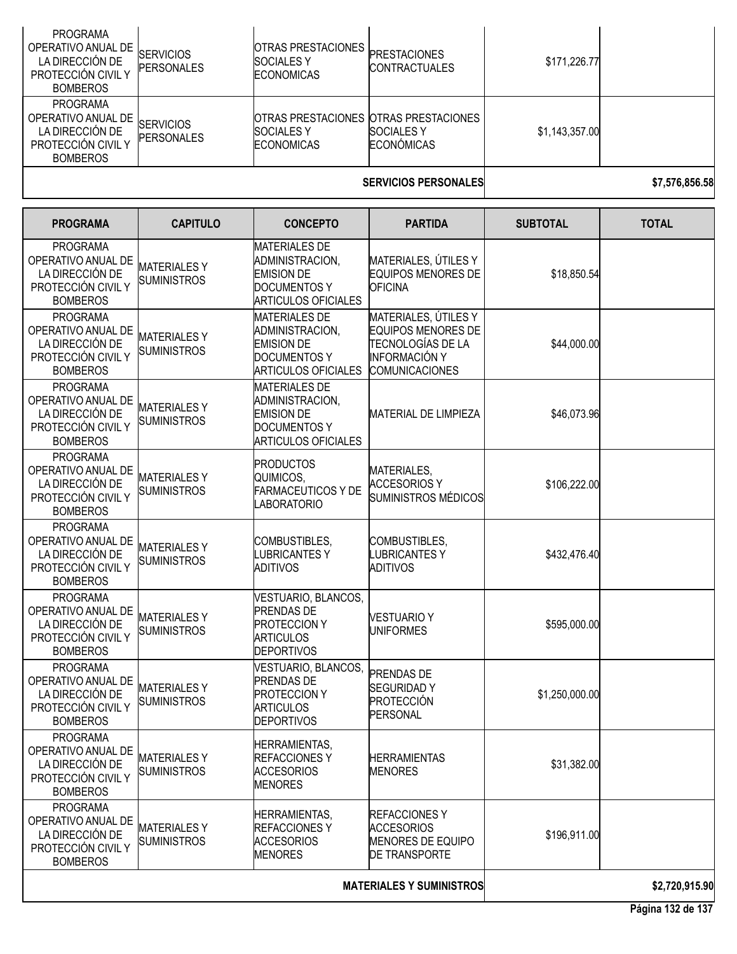| <b>PROGRAMA</b><br>OPERATIVO ANUAL DE<br>LA DIRECCIÓN DE<br>PROTECCIÓN CIVIL Y<br><b>BOMBEROS</b><br><b>PROGRAMA</b> | <b>SERVICIOS</b><br><b>PERSONALES</b> | IOTRAS PRESTACIONES I<br><b>SOCIALES Y</b><br><b>ECONOMICAS</b> | <b>PRESTACIONES</b><br><b>CONTRACTUALES</b>                                     | \$171,226.77   |                       |
|----------------------------------------------------------------------------------------------------------------------|---------------------------------------|-----------------------------------------------------------------|---------------------------------------------------------------------------------|----------------|-----------------------|
| OPERATIVO ANUAL DE<br>LA DIRECCIÓN DE<br>PROTECCIÓN CIVIL Y<br><b>BOMBEROS</b>                                       | <b>SERVICIOS</b><br><b>PERSONALES</b> | <b>SOCIALES Y</b><br><b>ECONOMICAS</b>                          | OTRAS PRESTACIONES OTRAS PRESTACIONES<br><b>SOCIALES Y</b><br><b>ECONÓMICAS</b> | \$1,143,357.00 |                       |
|                                                                                                                      |                                       |                                                                 | APB\#AIAA BPBAALLL! PA                                                          |                | <u> 15 558 858 58</u> |

### **SERVICIOS PERSONALES \$7,576,856.58**

| <b>PROGRAMA</b>                                                                                   | <b>CAPITULO</b>                          | <b>CONCEPTO</b>                                                                                                   | <b>PARTIDA</b>                                                                                                   | <b>SUBTOTAL</b> | <b>TOTAL</b>   |
|---------------------------------------------------------------------------------------------------|------------------------------------------|-------------------------------------------------------------------------------------------------------------------|------------------------------------------------------------------------------------------------------------------|-----------------|----------------|
| <b>PROGRAMA</b><br>OPERATIVO ANUAL DE<br>LA DIRECCIÓN DE<br>PROTECCIÓN CIVIL Y<br><b>BOMBEROS</b> | <b>MATERIALESY</b><br><b>SUMINISTROS</b> | <b>MATERIALES DE</b><br>ADMINISTRACION,<br><b>EMISION DE</b><br><b>DOCUMENTOS Y</b><br><b>ARTICULOS OFICIALES</b> | MATERIALES, ÚTILES Y<br><b>EQUIPOS MENORES DE</b><br><b>OFICINA</b>                                              | \$18,850.54     |                |
| <b>PROGRAMA</b><br>OPERATIVO ANUAL DE<br>LA DIRECCIÓN DE<br>PROTECCIÓN CIVIL Y<br><b>BOMBEROS</b> | <b>MATERIALESY</b><br><b>SUMINISTROS</b> | <b>MATERIALES DE</b><br>ADMINISTRACION,<br><b>EMISION DE</b><br><b>DOCUMENTOS Y</b><br><b>ARTICULOS OFICIALES</b> | MATERIALES, ÚTILES Y<br><b>EQUIPOS MENORES DE</b><br>TECNOLOGÍAS DE LA<br>INFORMACIÓN Y<br><b>COMUNICACIONES</b> | \$44,000.00     |                |
| <b>PROGRAMA</b><br>OPERATIVO ANUAL DE<br>LA DIRECCIÓN DE<br>PROTECCIÓN CIVIL Y<br><b>BOMBEROS</b> | <b>MATERIALESY</b><br><b>SUMINISTROS</b> | <b>MATERIALES DE</b><br>ADMINISTRACION,<br><b>EMISION DE</b><br><b>DOCUMENTOS Y</b><br><b>ARTICULOS OFICIALES</b> | <b>MATERIAL DE LIMPIEZA</b>                                                                                      | \$46,073.96     |                |
| <b>PROGRAMA</b><br>OPERATIVO ANUAL DE<br>LA DIRECCIÓN DE<br>PROTECCIÓN CIVIL Y<br><b>BOMBEROS</b> | <b>MATERIALESY</b><br><b>SUMINISTROS</b> | <b>PRODUCTOS</b><br>QUIMICOS,<br><b>FARMACEUTICOS Y DE</b><br><b>LABORATORIO</b>                                  | MATERIALES,<br><b>ACCESORIOS Y</b><br>SUMINISTROS MÉDICOS                                                        | \$106,222.00    |                |
| <b>PROGRAMA</b><br>OPERATIVO ANUAL DE<br>LA DIRECCIÓN DE<br>PROTECCIÓN CIVIL Y<br><b>BOMBEROS</b> | <b>MATERIALESY</b><br><b>SUMINISTROS</b> | COMBUSTIBLES,<br><b>LUBRICANTESY</b><br><b>ADITIVOS</b>                                                           | COMBUSTIBLES,<br><b>LUBRICANTES Y</b><br><b>ADITIVOS</b>                                                         | \$432,476.40    |                |
| <b>PROGRAMA</b><br>OPERATIVO ANUAL DE<br>LA DIRECCIÓN DE<br>PROTECCIÓN CIVIL Y<br><b>BOMBEROS</b> | <b>MATERIALESY</b><br><b>SUMINISTROS</b> | VESTUARIO, BLANCOS,<br><b>PRENDAS DE</b><br><b>PROTECCION Y</b><br><b>ARTICULOS</b><br><b>DEPORTIVOS</b>          | <b>VESTUARIO Y</b><br><b>UNIFORMES</b>                                                                           | \$595,000.00    |                |
| <b>PROGRAMA</b><br>OPERATIVO ANUAL DE<br>LA DIRECCIÓN DE<br>PROTECCIÓN CIVIL Y<br><b>BOMBEROS</b> | <b>MATERIALESY</b><br><b>SUMINISTROS</b> | VESTUARIO, BLANCOS,<br><b>PRENDAS DE</b><br><b>PROTECCION Y</b><br><b>ARTICULOS</b><br><b>DEPORTIVOS</b>          | <b>PRENDAS DE</b><br><b>SEGURIDADY</b><br><b>PROTECCIÓN</b><br><b>PERSONAL</b>                                   | \$1,250,000.00  |                |
| <b>PROGRAMA</b><br>OPERATIVO ANUAL DE<br>LA DIRECCIÓN DE<br>PROTECCIÓN CIVIL Y<br><b>BOMBEROS</b> | <b>MATERIALESY</b><br><b>SUMINISTROS</b> | <b>HERRAMIENTAS,</b><br><b>REFACCIONESY</b><br><b>ACCESORIOS</b><br><b>MENORES</b>                                | <b>HERRAMIENTAS</b><br><b>MENORES</b>                                                                            | \$31,382.00     |                |
| <b>PROGRAMA</b><br>OPERATIVO ANUAL DE<br>LA DIRECCIÓN DE<br>PROTECCIÓN CIVIL Y<br><b>BOMBEROS</b> | <b>MATERIALESY</b><br><b>SUMINISTROS</b> | <b>HERRAMIENTAS,</b><br><b>REFACCIONESY</b><br><b>ACCESORIOS</b><br><b>MENORES</b>                                | <b>REFACCIONES Y</b><br><b>ACCESORIOS</b><br><b>MENORES DE EQUIPO</b><br><b>DE TRANSPORTE</b>                    | \$196,911.00    |                |
|                                                                                                   | <b>MATERIALES Y SUMINISTROS</b>          |                                                                                                                   |                                                                                                                  |                 | \$2,720,915.90 |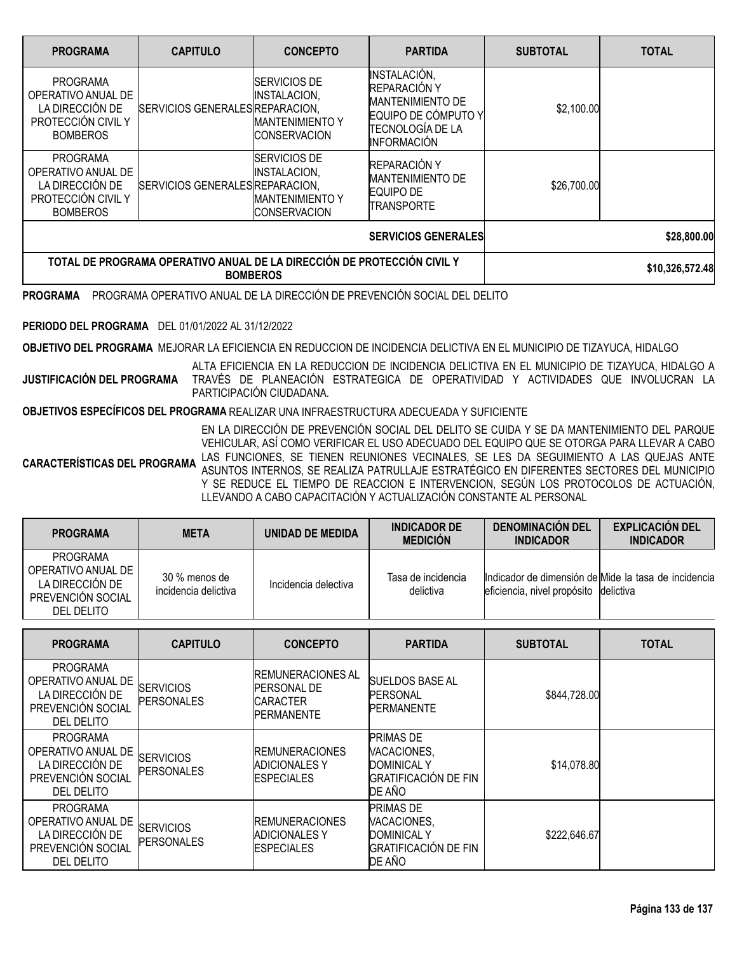| <b>PROGRAMA</b>                                                                                   | <b>CAPITULO</b>                 | <b>CONCEPTO</b>                                                                             | <b>PARTIDA</b>                                                                                                                  | <b>SUBTOTAL</b> | <b>TOTAL</b>    |
|---------------------------------------------------------------------------------------------------|---------------------------------|---------------------------------------------------------------------------------------------|---------------------------------------------------------------------------------------------------------------------------------|-----------------|-----------------|
| <b>PROGRAMA</b><br>OPERATIVO ANUAL DE<br>LA DIRECCIÓN DE<br>PROTECCIÓN CIVIL Y<br><b>BOMBEROS</b> | SERVICIOS GENERALES REPARACION, | <b>SERVICIOS DE</b><br><b>INSTALACION,</b><br><b>MANTENIMIENTO Y</b><br><b>CONSERVACION</b> | INSTALACIÓN,<br>REPARACIÓN Y<br><b>MANTENIMIENTO DE</b><br>EQUIPO DE CÓMPUTO Y<br><b>TECNOLOGÍA DE LA</b><br><b>INFORMACIÓN</b> | \$2,100.00      |                 |
| <b>PROGRAMA</b><br>OPERATIVO ANUAL DE<br>LA DIRECCIÓN DE<br>PROTECCIÓN CIVIL Y<br><b>BOMBEROS</b> | SERVICIOS GENERALES REPARACION. | <b>SERVICIOS DE</b><br>INSTALACION,<br><b>IMANTENIMIENTO Y</b><br><b>CONSERVACION</b>       | REPARACIÓN Y<br><b>MANTENIMIENTO DE</b><br>EQUIPO DE<br>TRANSPORTE                                                              | \$26,700.00     |                 |
|                                                                                                   |                                 | <b>SERVICIOS GENERALES</b>                                                                  | \$28,800.00                                                                                                                     |                 |                 |
| TOTAL DE PROGRAMA OPERATIVO ANUAL DE LA DIRECCIÓN DE PROTECCIÓN CIVIL Y<br><b>BOMBEROS</b>        |                                 |                                                                                             |                                                                                                                                 |                 | \$10,326,572.48 |

**PROGRAMA** PROGRAMA OPERATIVO ANUAL DE LA DIRECCIÓN DE PREVENCIÓN SOCIAL DEL DELITO

### **PERIODO DEL PROGRAMA** DEL 01/01/2022 AL 31/12/2022

**OBJETIVO DEL PROGRAMA** MEJORAR LA EFICIENCIA EN REDUCCION DE INCIDENCIA DELICTIVA EN EL MUNICIPIO DE TIZAYUCA, HIDALGO

**JUSTIFICACIÓN DEL PROGRAMA** ALTA EFICIENCIA EN LA REDUCCION DE INCIDENCIA DELICTIVA EN EL MUNICIPIO DE TIZAYUCA, HIDALGO A TRAVÉS DE PLANEACIÓN ESTRATEGICA DE OPERATIVIDAD Y ACTIVIDADES QUE INVOLUCRAN LA PARTICIPACIÓN CIUDADANA.

### **OBJETIVOS ESPECÍFICOS DEL PROGRAMA** REALIZAR UNA INFRAESTRUCTURA ADECUEADA Y SUFICIENTE

**CARACTERÍSTICAS DEL PROGRAMA** LAS FUNCIONES, SE TIENEN REUNIONES VECINALES, SE LES DA SEGUIMIENTO A LAS QUEJAS ANTE EN LA DIRECCIÓN DE PREVENCIÓN SOCIAL DEL DELITO SE CUIDA Y SE DA MANTENIMIENTO DEL PARQUE VEHICULAR, ASÍ COMO VERIFICAR EL USO ADECUADO DEL EQUIPO QUE SE OTORGA PARA LLEVAR A CABO ASUNTOS INTERNOS, SE REALIZA PATRULLAJE ESTRATÉGICO EN DIFERENTES SECTORES DEL MUNICIPIO Y SE REDUCE EL TIEMPO DE REACCION E INTERVENCION, SEGÚN LOS PROTOCOLOS DE ACTUACIÓN, LLEVANDO A CABO CAPACITACIÓN Y ACTUALIZACIÓN CONSTANTE AL PERSONAL

| <b>PROGRAMA</b>                                                                             | <b>META</b>                           | UNIDAD DE MEDIDA     | <b>INDICADOR DE</b><br><b>MEDICIÓN</b> | <b>DENOMINACIÓN DEL</b><br><b>INDICADOR</b> | <b>EXPLICACIÓN DEL</b><br><b>INDICADOR</b>           |
|---------------------------------------------------------------------------------------------|---------------------------------------|----------------------|----------------------------------------|---------------------------------------------|------------------------------------------------------|
| <b>PROGRAMA</b><br>OPERATIVO ANUAL DE<br>LA DIRECCIÓN DE<br>PREVENCIÓN SOCIAL<br>DEL DELITO | 30 % menos de<br>incidencia delictiva | Incidencia delectiva | Tasa de incidencia<br>delictiva        | eficiencia, nivel propósito delictiva       | Indicador de dimensión de Mide la tasa de incidencia |

| <b>PROGRAMA</b>                                                                             | <b>CAPITULO</b>                       | <b>CONCEPTO</b>                                                                         | <b>PARTIDA</b>                                                                                 | <b>SUBTOTAL</b> | <b>TOTAL</b> |
|---------------------------------------------------------------------------------------------|---------------------------------------|-----------------------------------------------------------------------------------------|------------------------------------------------------------------------------------------------|-----------------|--------------|
| <b>PROGRAMA</b><br>OPERATIVO ANUAL DE<br>LA DIRECCIÓN DE<br>PREVENCIÓN SOCIAL<br>DEL DELITO | <b>SERVICIOS</b><br><b>PERSONALES</b> | <b>IREMUNERACIONES AL</b><br><b>PERSONAL DE</b><br><b>CARACTER</b><br><b>PERMANENTE</b> | <b>SUELDOS BASE AL</b><br><b>PERSONAL</b><br><b>PERMANENTE</b>                                 | \$844,728.00    |              |
| <b>PROGRAMA</b><br>OPERATIVO ANUAL DE<br>LA DIRECCIÓN DE<br>PREVENCIÓN SOCIAL<br>DEL DELITO | <b>SERVICIOS</b><br><b>PERSONALES</b> | <b>REMUNERACIONES</b><br>ADICIONALES Y<br><b>ESPECIALES</b>                             | <b>PRIMAS DE</b><br>VACACIONES,<br>DOMINICAL Y<br><b>GRATIFICACIÓN DE FIN</b><br>DE AÑO        | \$14,078.80     |              |
| <b>PROGRAMA</b><br>OPERATIVO ANUAL DE<br>LA DIRECCIÓN DE<br>PREVENCIÓN SOCIAL<br>DEL DELITO | <b>SERVICIOS</b><br><b>PERSONALES</b> | <b>REMUNERACIONES</b><br><b>ADICIONALES Y</b><br><b>ESPECIALES</b>                      | <b>PRIMAS DE</b><br>VACACIONES,<br><b>DOMINICAL Y</b><br><b>GRATIFICACIÓN DE FIN</b><br>DE AÑO | \$222,646.67    |              |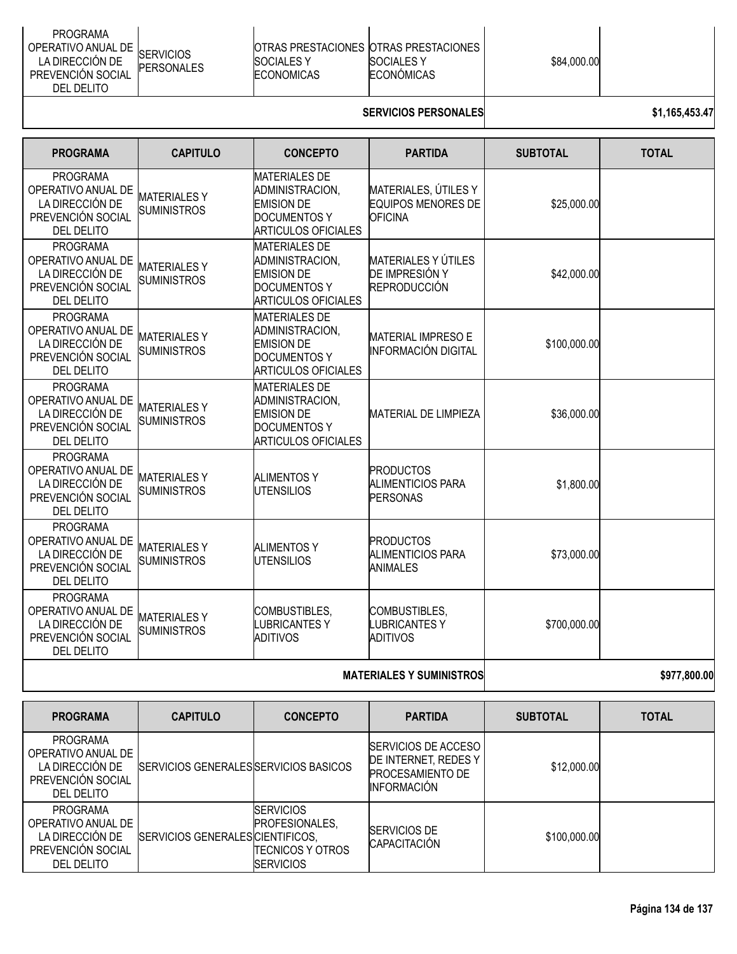| <b>PROGRAMA</b><br>OPERATIVO ANUAL DE<br><b>SERVICIOS</b><br>LA DIRECCIÓN DE<br><b>PERSONALES</b><br><b>PREVENCIÓN SOCIAL</b><br>DEL DELITO | <b>IOTRAS PRESTACIONES IOTRAS PRESTACIONES</b><br><b>ISOCIALES Y</b><br><b>ECONOMICAS</b> | <b>SOCIALES Y</b><br>ECONÓMICAS | \$84,000.00 |  |
|---------------------------------------------------------------------------------------------------------------------------------------------|-------------------------------------------------------------------------------------------|---------------------------------|-------------|--|
|---------------------------------------------------------------------------------------------------------------------------------------------|-------------------------------------------------------------------------------------------|---------------------------------|-------------|--|

# **SERVICIOS PERSONALES \$1,165,453.47**

| <b>PROGRAMA</b>                                                                                    | <b>CAPITULO</b>                          | <b>CONCEPTO</b>                                                                                                   | <b>PARTIDA</b>                                                      | <b>SUBTOTAL</b> | <b>TOTAL</b> |
|----------------------------------------------------------------------------------------------------|------------------------------------------|-------------------------------------------------------------------------------------------------------------------|---------------------------------------------------------------------|-----------------|--------------|
| <b>PROGRAMA</b><br>OPERATIVO ANUAL DE<br>LA DIRECCIÓN DE<br>PREVENCIÓN SOCIAL<br><b>DEL DELITO</b> | <b>MATERIALESY</b><br><b>SUMINISTROS</b> | <b>MATERIALES DE</b><br>ADMINISTRACION,<br><b>EMISION DE</b><br><b>DOCUMENTOS Y</b><br><b>ARTICULOS OFICIALES</b> | MATERIALES, ÚTILES Y<br><b>EQUIPOS MENORES DE</b><br><b>OFICINA</b> | \$25,000.00     |              |
| <b>PROGRAMA</b><br>OPERATIVO ANUAL DE<br>LA DIRECCIÓN DE<br>PREVENCIÓN SOCIAL<br>DEL DELITO        | <b>MATERIALESY</b><br><b>SUMINISTROS</b> | <b>MATERIALES DE</b><br>ADMINISTRACION,<br><b>EMISION DE</b><br><b>DOCUMENTOS Y</b><br><b>ARTICULOS OFICIALES</b> | <b>MATERIALES Y ÚTILES</b><br>DE IMPRESIÓN Y<br><b>REPRODUCCIÓN</b> | \$42,000.00     |              |
| <b>PROGRAMA</b><br>OPERATIVO ANUAL DE<br>LA DIRECCIÓN DE<br>PREVENCIÓN SOCIAL<br>DEL DELITO        | <b>MATERIALESY</b><br><b>SUMINISTROS</b> | <b>MATERIALES DE</b><br>ADMINISTRACION.<br><b>EMISION DE</b><br><b>DOCUMENTOS Y</b><br><b>ARTICULOS OFICIALES</b> | <b>MATERIAL IMPRESO E</b><br><b>INFORMACIÓN DIGITAL</b>             | \$100,000.00    |              |
| <b>PROGRAMA</b><br>OPERATIVO ANUAL DE<br>LA DIRECCIÓN DE<br>PREVENCIÓN SOCIAL<br>DEL DELITO        | <b>MATERIALESY</b><br><b>SUMINISTROS</b> | <b>MATERIALES DE</b><br>ADMINISTRACION,<br><b>EMISION DE</b><br><b>DOCUMENTOS Y</b><br><b>ARTICULOS OFICIALES</b> | <b>MATERIAL DE LIMPIEZA</b>                                         | \$36,000.00     |              |
| <b>PROGRAMA</b><br>OPERATIVO ANUAL DE<br>LA DIRECCIÓN DE<br>PREVENCIÓN SOCIAL<br>DEL DELITO        | <b>MATERIALESY</b><br><b>SUMINISTROS</b> | <b>ALIMENTOS Y</b><br><b>UTENSILIOS</b>                                                                           | <b>PRODUCTOS</b><br><b>ALIMENTICIOS PARA</b><br>PERSONAS            | \$1,800.00      |              |
| <b>PROGRAMA</b><br>OPERATIVO ANUAL DE<br>LA DIRECCIÓN DE<br>PREVENCIÓN SOCIAL<br>DEL DELITO        | <b>MATERIALESY</b><br><b>SUMINISTROS</b> | <b>ALIMENTOS Y</b><br><b>UTENSILIOS</b>                                                                           | <b>PRODUCTOS</b><br><b>ALIMENTICIOS PARA</b><br>ANIMALES            | \$73,000.00     |              |
| <b>PROGRAMA</b><br>OPERATIVO ANUAL DE<br>LA DIRECCIÓN DE<br>PREVENCIÓN SOCIAL<br>DEL DELITO        | <b>MATERIALESY</b><br><b>SUMINISTROS</b> | COMBUSTIBLES,<br><b>LUBRICANTESY</b><br><b>ADITIVOS</b>                                                           | COMBUSTIBLES,<br><b>LUBRICANTESY</b><br><b>ADITIVOS</b>             | \$700,000.00    |              |
|                                                                                                    |                                          |                                                                                                                   |                                                                     |                 |              |

#### **MATERIALES Y SUMINISTROS 1977,800.00**

| <b>PROGRAMA</b>                                                                             | <b>CAPITULO</b>                       | <b>CONCEPTO</b>                                                                             | <b>PARTIDA</b>                                                                                       | <b>SUBTOTAL</b> | <b>TOTAL</b> |
|---------------------------------------------------------------------------------------------|---------------------------------------|---------------------------------------------------------------------------------------------|------------------------------------------------------------------------------------------------------|-----------------|--------------|
| <b>PROGRAMA</b><br>OPERATIVO ANUAL DE<br>LA DIRECCIÓN DE<br>PREVENCIÓN SOCIAL<br>DEL DELITO | SERVICIOS GENERALES SERVICIOS BASICOS |                                                                                             | <b>ISERVICIOS DE ACCESO</b><br>DE INTERNET, REDES Y<br><b>PROCESAMIENTO DE</b><br><b>INFORMACIÓN</b> | \$12,000.00     |              |
| PROGRAMA<br>OPERATIVO ANUAL DE<br>LA DIRECCIÓN DE<br>PREVENCIÓN SOCIAL<br>DEL DELITO        | SERVICIOS GENERALES CIENTIFICOS,      | <b>ISERVICIOS</b><br><b>IPROFESIONALES.</b><br><b>TECNICOS Y OTROS</b><br><b>ISERVICIOS</b> | <b>SERVICIOS DE</b><br><b>CAPACITACIÓN</b>                                                           | \$100,000.00    |              |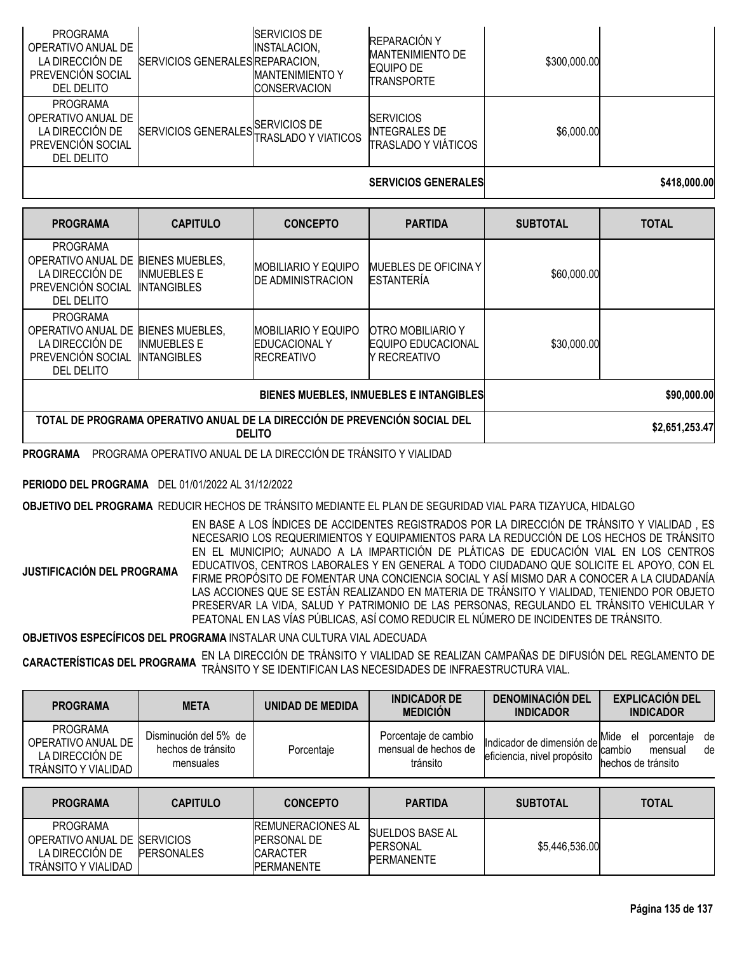| <b>PROGRAMA</b><br>OPERATIVO ANUAL DE<br>LA DIRECCIÓN DE<br>PREVENCIÓN SOCIAL<br>DEL DELITO | SERVICIOS GENERALES REPARACION,  | <b>SERVICIOS DE</b><br>INSTALACION,<br><b>IMANTENIMIENTO Y</b><br><b>CONSERVACION</b> | REPARACIÓN Y<br><b>MANTENIMIENTO DE</b><br>EQUIPO DE<br><b>TRANSPORTE</b> | \$300,000.00 |              |
|---------------------------------------------------------------------------------------------|----------------------------------|---------------------------------------------------------------------------------------|---------------------------------------------------------------------------|--------------|--------------|
| <b>PROGRAMA</b><br>OPERATIVO ANUAL DE<br>LA DIRECCIÓN DE<br>PREVENCIÓN SOCIAL<br>DEL DELITO | SERVICIOS GENERALES SERVICIOS DE |                                                                                       | <b>SERVICIOS</b><br><b>INTEGRALES DE</b><br><b>TRASLADO Y VIÁTICOS</b>    | \$6,000.00   |              |
|                                                                                             |                                  |                                                                                       | <b>SERVICIOS GENERALES</b>                                                |              | \$418,000,00 |

| <b>PROGRAMA</b>                                                                             | <b>CAPITULO</b>                                                    | <b>CONCEPTO</b>                                                            | <b>PARTIDA</b>                                                        | <b>SUBTOTAL</b> | <b>TOTAL</b>   |
|---------------------------------------------------------------------------------------------|--------------------------------------------------------------------|----------------------------------------------------------------------------|-----------------------------------------------------------------------|-----------------|----------------|
| PROGRAMA<br>OPERATIVO ANUAL DE<br>LA DIRECCIÓN DE<br>PREVENCIÓN SOCIAL<br>DEL DELITO        | <b>BIENES MUEBLES.</b><br><b>INMUEBLES E</b><br><b>INTANGIBLES</b> | <b>MOBILIARIO Y EQUIPO</b><br><b>DE ADMINISTRACION</b>                     | <b>MUEBLES DE OFICINA Y</b><br><b>ESTANTERÍA</b>                      | \$60,000.00     |                |
| <b>PROGRAMA</b><br>OPERATIVO ANUAL DE<br>LA DIRECCIÓN DE<br>PREVENCIÓN SOCIAL<br>DEL DELITO | <b>BIENES MUEBLES.</b><br><b>INMUEBLES E</b><br><b>INTANGIBLES</b> | <b>IMOBILIARIO Y EQUIPO</b><br><b>IEDUCACIONAL Y</b><br><b>IRECREATIVO</b> | <b>OTRO MOBILIARIO Y</b><br><b>EQUIPO EDUCACIONAL</b><br>Y RECREATIVO | \$30,000.00     |                |
| <b>BIENES MUEBLES, INMUEBLES E INTANGIBLES</b>                                              |                                                                    |                                                                            |                                                                       |                 | \$90,000.00    |
| TOTAL DE PROGRAMA OPERATIVO ANUAL DE LA DIRECCIÓN DE PREVENCIÓN SOCIAL DEL<br><b>DELITO</b> |                                                                    |                                                                            |                                                                       |                 | \$2,651,253.47 |

**PROGRAMA** PROGRAMA OPERATIVO ANUAL DE LA DIRECCIÓN DE TRÁNSITO Y VIALIDAD

**PERIODO DEL PROGRAMA** DEL 01/01/2022 AL 31/12/2022

**OBJETIVO DEL PROGRAMA** REDUCIR HECHOS DE TRÁNSITO MEDIANTE EL PLAN DE SEGURIDAD VIAL PARA TIZAYUCA, HIDALGO

**JUSTIFICACIÓN DEL PROGRAMA** EN BASE A LOS ÍNDICES DE ACCIDENTES REGISTRADOS POR LA DIRECCIÓN DE TRÁNSITO Y VIALIDAD , ES NECESARIO LOS REQUERIMIENTOS Y EQUIPAMIENTOS PARA LA REDUCCIÓN DE LOS HECHOS DE TRÁNSITO EN EL MUNICIPIO; AUNADO A LA IMPARTICIÓN DE PLÁTICAS DE EDUCACIÓN VIAL EN LOS CENTROS EDUCATIVOS, CENTROS LABORALES Y EN GENERAL A TODO CIUDADANO QUE SOLICITE EL APOYO, CON EL FIRME PROPÓSITO DE FOMENTAR UNA CONCIENCIA SOCIAL Y ASÍ MISMO DAR A CONOCER A LA CIUDADANÍA LAS ACCIONES QUE SE ESTÁN REALIZANDO EN MATERIA DE TRÁNSITO Y VIALIDAD, TENIENDO POR OBJETO PRESERVAR LA VIDA, SALUD Y PATRIMONIO DE LAS PERSONAS, REGULANDO EL TRÁNSITO VEHICULAR Y PEATONAL EN LAS VÍAS PÚBLICAS, ASÍ COMO REDUCIR EL NÚMERO DE INCIDENTES DE TRÁNSITO.

**OBJETIVOS ESPECÍFICOS DEL PROGRAMA** INSTALAR UNA CULTURA VIAL ADECUADA

**CARACTERÍSTICAS DEL PROGRAMA** EN LA DIRECCIÓN DE TRÁNSITO <sup>Y</sup> VIALIDAD SE REALIZAN CAMPAÑAS DE DIFUSIÓN DEL REGLAMENTO DE TRÁNSITO Y SE IDENTIFICAN LAS NECESIDADES DE INFRAESTRUCTURA VIAL.

| <b>PROGRAMA</b>                                                                 | <b>META</b>                                              | UNIDAD DE MEDIDA | <b>INDICADOR DE</b><br><b>MEDICIÓN</b>                   | <b>DENOMINACIÓN DEL</b><br><b>INDICADOR</b>              | <b>EXPLICACIÓN DEL</b><br><b>INDICADOR</b>                                      |
|---------------------------------------------------------------------------------|----------------------------------------------------------|------------------|----------------------------------------------------------|----------------------------------------------------------|---------------------------------------------------------------------------------|
| <b>PROGRAMA</b><br>OPERATIVO ANUAL DE<br>LA DIRECCIÓN DE<br>TRANSITO Y VIALIDAD | Disminución del 5% de<br>hechos de tránsito<br>mensuales | Porcentaje       | Porcentaje de cambio<br>mensual de hechos de<br>tránsito | Indicador de dimensión de<br>eficiencia, nivel propósito | Mide<br>de<br>porcentaje<br>el<br>de<br>cambio<br>mensual<br>hechos de tránsito |
|                                                                                 |                                                          |                  |                                                          |                                                          |                                                                                 |
| <b>PROGRAMA</b>                                                                 | <b>CAPITULO</b>                                          | <b>CONCEPTO</b>  | <b>PARTIDA</b>                                           | <b>SUBTOTAL</b>                                          | <b>TOTAL</b>                                                                    |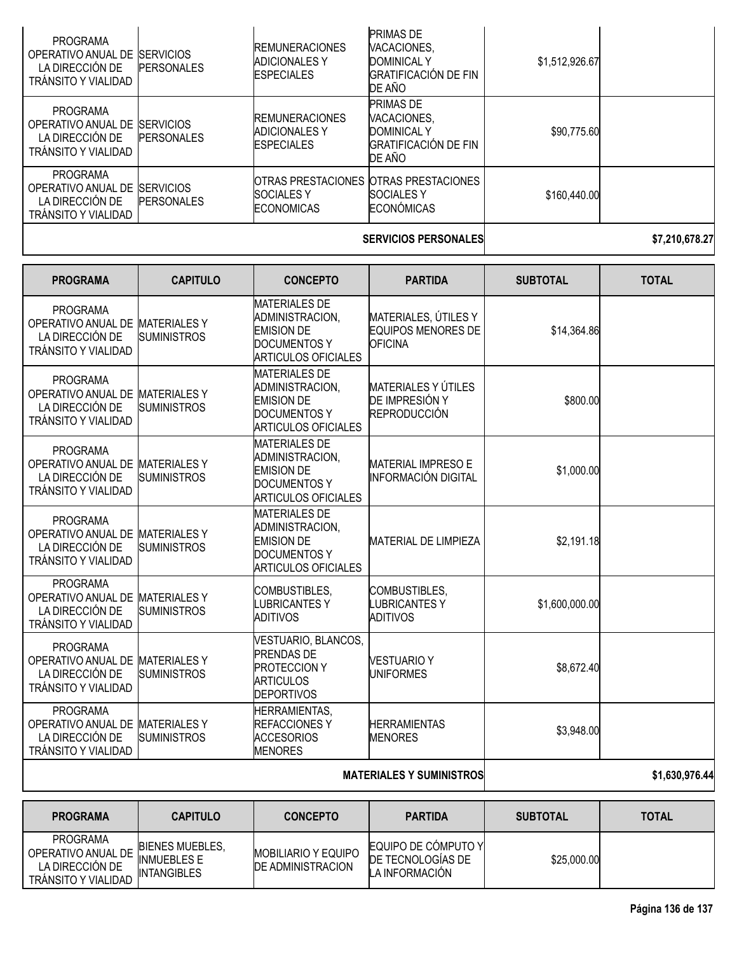| PROGRAMA<br>OPERATIVO ANUAL DE<br>LA DIRECCIÓN DE<br>TRÁNSITO Y VIALIDAD        | <b>SERVICIOS</b><br><b>PERSONALES</b> | <b>REMUNERACIONES</b><br><b>ADICIONALES Y</b><br><b>ESPECIALES</b> | <b>PRIMAS DE</b><br>VACACIONES.<br><b>DOMINICAL Y</b><br><b>GRATIFICACIÓN DE FIN</b><br>DE AÑO | \$1,512,926.67 |  |
|---------------------------------------------------------------------------------|---------------------------------------|--------------------------------------------------------------------|------------------------------------------------------------------------------------------------|----------------|--|
| PROGRAMA<br>OPERATIVO ANUAL DE<br>LA DIRECCIÓN DE<br>TRANSITO Y VIALIDAD        | <b>SERVICIOS</b><br><b>PERSONALES</b> | <b>REMUNERACIONES</b><br><b>ADICIONALES Y</b><br><b>ESPECIALES</b> | <b>PRIMAS DE</b><br>VACACIONES.<br><b>DOMINICAL Y</b><br><b>GRATIFICACIÓN DE FIN</b><br>DE AÑO | \$90,775.60    |  |
| <b>PROGRAMA</b><br>OPERATIVO ANUAL DE<br>LA DIRECCIÓN DE<br>TRANSITO Y VIALIDAD | <b>SERVICIOS</b><br><b>PERSONALES</b> | <b>SOCIALES Y</b><br><b>ECONOMICAS</b>                             | <b>OTRAS PRESTACIONES OTRAS PRESTACIONES</b><br><b>SOCIALES Y</b><br><b>ECONÓMICAS</b>         | \$160,440.00   |  |
|                                                                                 |                                       |                                                                    |                                                                                                |                |  |

### **SERVICIOS PERSONALES \$7,210,678.27**

| <b>PROGRAMA</b>                                                                                     | <b>CAPITULO</b>                           | <b>CONCEPTO</b>                                                                                                   | <b>PARTIDA</b>                                                      | <b>SUBTOTAL</b> | <b>TOTAL</b>   |
|-----------------------------------------------------------------------------------------------------|-------------------------------------------|-------------------------------------------------------------------------------------------------------------------|---------------------------------------------------------------------|-----------------|----------------|
| <b>PROGRAMA</b><br>OPERATIVO ANUAL DE MATERIALES Y<br>LA DIRECCIÓN DE<br><b>TRÁNSITO Y VIALIDAD</b> | <b>SUMINISTROS</b>                        | <b>MATERIALES DE</b><br>ADMINISTRACION,<br><b>EMISION DE</b><br><b>DOCUMENTOS Y</b><br><b>ARTICULOS OFICIALES</b> | MATERIALES, ÚTILES Y<br><b>EQUIPOS MENORES DE</b><br><b>OFICINA</b> | \$14,364.86     |                |
| <b>PROGRAMA</b><br>OPERATIVO ANUAL DE MATERIALES Y<br>LA DIRECCIÓN DE<br><b>TRÁNSITO Y VIALIDAD</b> | <b>SUMINISTROS</b>                        | <b>MATERIALES DE</b><br>ADMINISTRACION.<br><b>EMISION DE</b><br><b>DOCUMENTOS Y</b><br><b>ARTICULOS OFICIALES</b> | <b>MATERIALES Y ÚTILES</b><br>DE IMPRESIÓN Y<br><b>REPRODUCCIÓN</b> | \$800.00        |                |
| <b>PROGRAMA</b><br>OPERATIVO ANUAL DE MATERIALES Y<br>LA DIRECCIÓN DE<br><b>TRÁNSITO Y VIALIDAD</b> | <b>SUMINISTROS</b>                        | <b>MATERIALES DE</b><br>ADMINISTRACION,<br><b>EMISION DE</b><br><b>DOCUMENTOS Y</b><br><b>ARTICULOS OFICIALES</b> | <b>MATERIAL IMPRESO E</b><br><b>INFORMACIÓN DIGITAL</b>             | \$1,000.00      |                |
| <b>PROGRAMA</b><br>OPERATIVO ANUAL DE MATERIALES Y<br>LA DIRECCIÓN DE<br><b>TRÁNSITO Y VIALIDAD</b> | <b>SUMINISTROS</b>                        | <b>MATERIALES DE</b><br>ADMINISTRACION,<br><b>EMISION DE</b><br><b>DOCUMENTOS Y</b><br><b>ARTICULOS OFICIALES</b> | <b>MATERIAL DE LIMPIEZA</b>                                         | \$2,191.18      |                |
| <b>PROGRAMA</b><br>OPERATIVO ANUAL DE MATERIALES Y<br>LA DIRECCIÓN DE<br><b>TRÁNSITO Y VIALIDAD</b> | <b>SUMINISTROS</b>                        | COMBUSTIBLES,<br><b>LUBRICANTESY</b><br><b>ADITIVOS</b>                                                           | COMBUSTIBLES,<br><b>LUBRICANTESY</b><br><b>ADITIVOS</b>             | \$1,600,000.00  |                |
| <b>PROGRAMA</b><br>OPERATIVO ANUAL DE<br>LA DIRECCIÓN DE<br><b>TRÁNSITO Y VIALIDAD</b>              | <b>MATERIALES Y</b><br><b>SUMINISTROS</b> | VESTUARIO, BLANCOS,<br><b>PRENDAS DE</b><br><b>PROTECCION Y</b><br><b>ARTICULOS</b><br><b>DEPORTIVOS</b>          | <b>VESTUARIO Y</b><br><b>UNIFORMES</b>                              | \$8,672.40      |                |
| <b>PROGRAMA</b><br>OPERATIVO ANUAL DE MATERIALES Y<br>LA DIRECCIÓN DE<br><b>TRÁNSITO Y VIALIDAD</b> | <b>SUMINISTROS</b>                        | HERRAMIENTAS,<br><b>REFACCIONESY</b><br><b>ACCESORIOS</b><br><b>MENORES</b>                                       | <b>HERRAMIENTAS</b><br><b>MENORES</b>                               | \$3,948.00      |                |
|                                                                                                     |                                           |                                                                                                                   | <b>MATERIALES Y SUMINISTROS</b>                                     |                 | \$1,630,976.44 |

| <b>PROGRAMA</b>                                                          | <b>CAPITULO</b>                                                    | <b>CONCEPTO</b>                                        | <b>PARTIDA</b>                                              | <b>SUBTOTAL</b> | <b>TOTAL</b> |
|--------------------------------------------------------------------------|--------------------------------------------------------------------|--------------------------------------------------------|-------------------------------------------------------------|-----------------|--------------|
| PROGRAMA<br>OPERATIVO ANUAL DE<br>LA DIRECCIÓN DE<br>TRÁNSITO Y VIALIDAD | <b>BIENES MUEBLES.</b><br><b>INMUEBLES E</b><br><b>INTANGIBLES</b> | <b>MOBILIARIO Y EQUIPO</b><br><b>DE ADMINISTRACION</b> | EQUIPO DE CÓMPUTO YI<br>DE TECNOLOGIAS DE<br>LA INFORMACIÓN | \$25,000.00     |              |